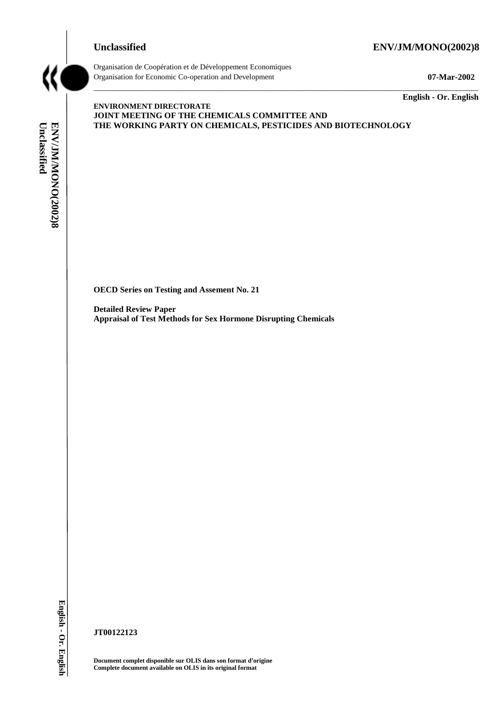## **Unclassified ENV/JM/MONO(2002)8**



Organisation de Coopération et de Développement Economiques Organisation for Economic Co-operation and Development **07-Mar-2002**

**English - Or. English**

# Unclassified ENV/JM/MONO(2002)8 **Unclassified ENV/JM/MONO(2002)8**

**ENVIRONMENT DIRECTORATE JOINT MEETING OF THE CHEMICALS COMMITTEE AND THE WORKING PARTY ON CHEMICALS, PESTICIDES AND BIOTECHNOLOGY**

\_\_\_\_\_\_\_\_\_\_\_\_\_\_\_\_\_\_\_\_\_\_\_\_\_\_\_\_\_\_\_\_\_\_\_\_\_\_\_\_\_\_\_\_\_\_\_\_\_\_\_\_\_\_\_\_\_\_\_\_\_\_\_\_\_\_\_\_\_\_\_\_\_\_\_\_\_\_\_\_\_\_\_\_\_\_\_\_\_\_\_

**OECD Series on Testing and Assement No. 21**

**Detailed Review Paper Appraisal of Test Methods for Sex Hormone Disrupting Chemicals**

**JT00122123**

**Document complet disponible sur OLIS dans son format d'origine Complete document available on OLIS in its original format**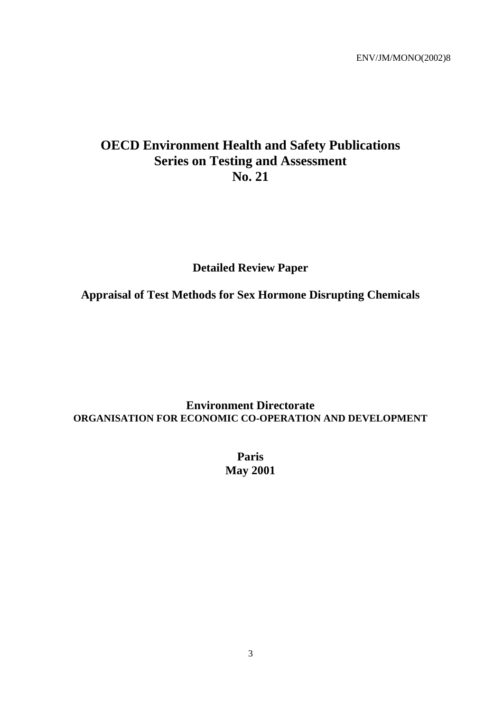## **OECD Environment Health and Safety Publications Series on Testing and Assessment No. 21**

**Detailed Review Paper**

**Appraisal of Test Methods for Sex Hormone Disrupting Chemicals**

## **Environment Directorate ORGANISATION FOR ECONOMIC CO-OPERATION AND DEVELOPMENT**

**Paris May 2001**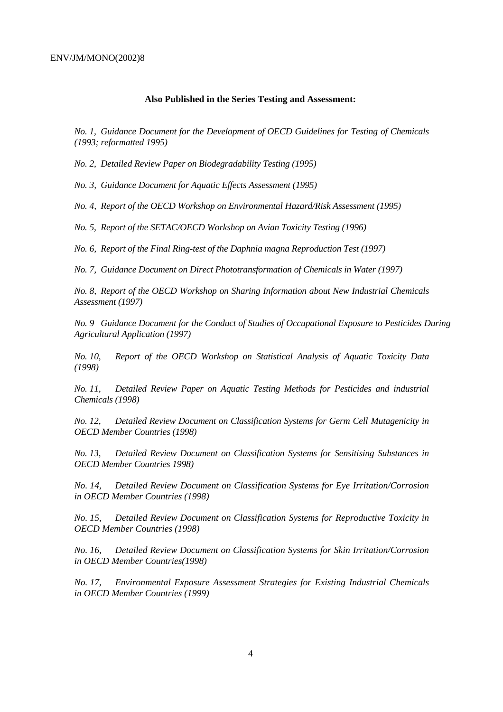#### **Also Published in the Series Testing and Assessment:**

*No. 1, Guidance Document for the Development of OECD Guidelines for Testing of Chemicals (1993; reformatted 1995)*

*No. 2, Detailed Review Paper on Biodegradability Testing (1995)*

*No. 3, Guidance Document for Aquatic Effects Assessment (1995)*

*No. 4, Report of the OECD Workshop on Environmental Hazard/Risk Assessment (1995)*

*No. 5, Report of the SETAC/OECD Workshop on Avian Toxicity Testing (1996)*

*No. 6, Report of the Final Ring-test of the Daphnia magna Reproduction Test (1997)*

*No. 7, Guidance Document on Direct Phototransformation of Chemicals in Water (1997)*

*No. 8, Report of the OECD Workshop on Sharing Information about New Industrial Chemicals Assessment (1997)*

*No. 9 Guidance Document for the Conduct of Studies of Occupational Exposure to Pesticides During Agricultural Application (1997)*

*No. 10, Report of the OECD Workshop on Statistical Analysis of Aquatic Toxicity Data (1998)*

*No. 11, Detailed Review Paper on Aquatic Testing Methods for Pesticides and industrial Chemicals (1998)*

*No. 12, Detailed Review Document on Classification Systems for Germ Cell Mutagenicity in OECD Member Countries (1998)*

*No. 13, Detailed Review Document on Classification Systems for Sensitising Substances in OECD Member Countries 1998)*

*No. 14, Detailed Review Document on Classification Systems for Eye Irritation/Corrosion in OECD Member Countries (1998)*

*No. 15, Detailed Review Document on Classification Systems for Reproductive Toxicity in OECD Member Countries (1998)*

*No. 16, Detailed Review Document on Classification Systems for Skin Irritation/Corrosion in OECD Member Countries(1998)*

*No. 17, Environmental Exposure Assessment Strategies for Existing Industrial Chemicals in OECD Member Countries (1999)*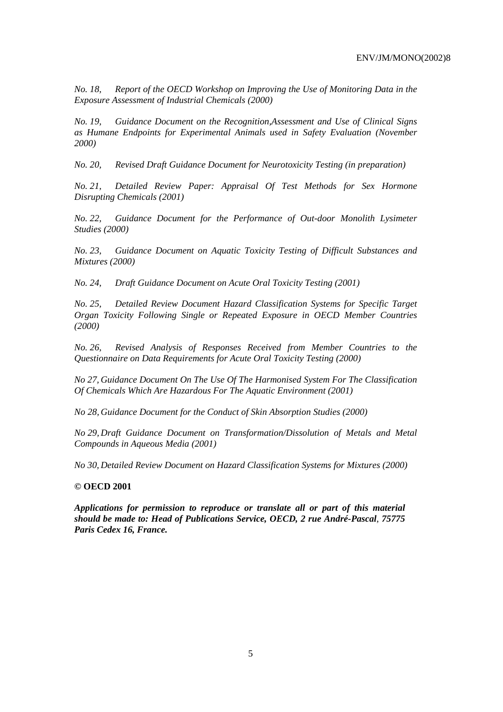*No. 18, Report of the OECD Workshop on Improving the Use of Monitoring Data in the Exposure Assessment of Industrial Chemicals (2000)*

*No. 19, Guidance Document on the Recognition,Assessment and Use of Clinical Signs as Humane Endpoints for Experimental Animals used in Safety Evaluation (November 2000)*

*No. 20, Revised Draft Guidance Document for Neurotoxicity Testing (in preparation)*

*No. 21, Detailed Review Paper: Appraisal Of Test Methods for Sex Hormone Disrupting Chemicals (2001)*

*No. 22, Guidance Document for the Performance of Out-door Monolith Lysimeter Studies (2000)*

*No. 23, Guidance Document on Aquatic Toxicity Testing of Difficult Substances and Mixtures (2000)*

*No. 24, Draft Guidance Document on Acute Oral Toxicity Testing (2001)*

*No. 25, Detailed Review Document Hazard Classification Systems for Specific Target Organ Toxicity Following Single or Repeated Exposure in OECD Member Countries (2000)*

*No. 26, Revised Analysis of Responses Received from Member Countries to the Questionnaire on Data Requirements for Acute Oral Toxicity Testing (2000)*

*No 27, Guidance Document On The Use Of The Harmonised System For The Classification Of Chemicals Which Are Hazardous For The Aquatic Environment (2001)*

*No 28, Guidance Document for the Conduct of Skin Absorption Studies (2000)*

*No 29, Draft Guidance Document on Transformation/Dissolution of Metals and Metal Compounds in Aqueous Media (2001)*

*No 30, Detailed Review Document on Hazard Classification Systems for Mixtures (2000)*

#### **© OECD 2001**

*Applications for permission to reproduce or translate all or part of this material should be made to: Head of Publications Service, OECD, 2 rue André-Pascal*, *75775 Paris Cedex 16, France.*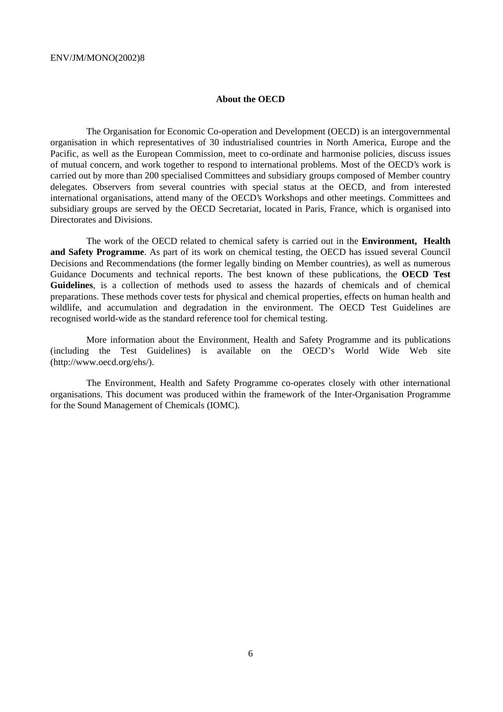#### **About the OECD**

The Organisation for Economic Co-operation and Development (OECD) is an intergovernmental organisation in which representatives of 30 industrialised countries in North America, Europe and the Pacific, as well as the European Commission, meet to co-ordinate and harmonise policies, discuss issues of mutual concern, and work together to respond to international problems. Most of the OECD's work is carried out by more than 200 specialised Committees and subsidiary groups composed of Member country delegates. Observers from several countries with special status at the OECD, and from interested international organisations, attend many of the OECD's Workshops and other meetings. Committees and subsidiary groups are served by the OECD Secretariat, located in Paris, France, which is organised into Directorates and Divisions.

The work of the OECD related to chemical safety is carried out in the **Environment, Health and Safety Programme**. As part of its work on chemical testing, the OECD has issued several Council Decisions and Recommendations (the former legally binding on Member countries), as well as numerous Guidance Documents and technical reports. The best known of these publications, the **OECD Test Guidelines**, is a collection of methods used to assess the hazards of chemicals and of chemical preparations. These methods cover tests for physical and chemical properties, effects on human health and wildlife, and accumulation and degradation in the environment. The OECD Test Guidelines are recognised world-wide as the standard reference tool for chemical testing.

More information about the Environment, Health and Safety Programme and its publications (including the Test Guidelines) is available on the OECD's World Wide Web site (http://www.oecd.org/ehs/).

The Environment, Health and Safety Programme co-operates closely with other international organisations. This document was produced within the framework of the Inter-Organisation Programme for the Sound Management of Chemicals (IOMC).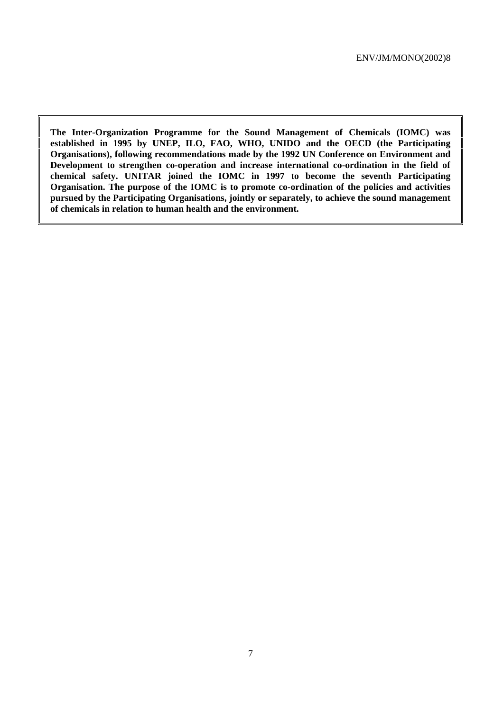**The Inter-Organization Programme for the Sound Management of Chemicals (IOMC) was established in 1995 by UNEP, ILO, FAO, WHO, UNIDO and the OECD (the Participating Organisations), following recommendations made by the 1992 UN Conference on Environment and Development to strengthen co-operation and increase international co-ordination in the field of chemical safety. UNITAR joined the IOMC in 1997 to become the seventh Participating Organisation. The purpose of the IOMC is to promote co-ordination of the policies and activities pursued by the Participating Organisations, jointly or separately, to achieve the sound management of chemicals in relation to human health and the environment.**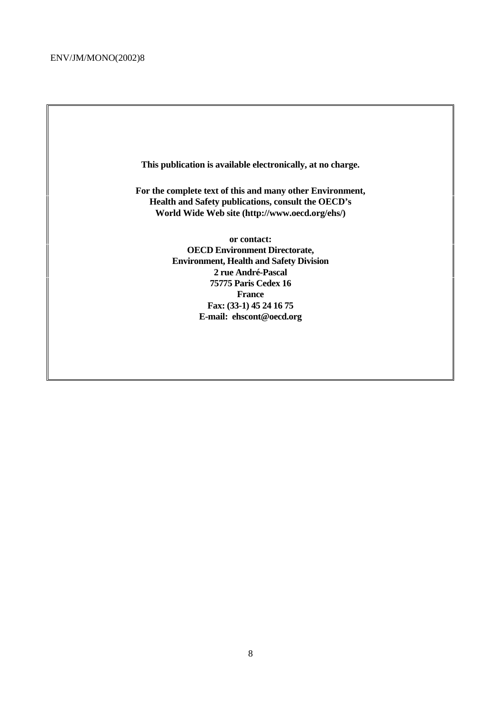**This publication is available electronically, at no charge. For the complete text of this and many other Environment, Health and Safety publications, consult the OECD's World Wide Web site (http://www.oecd.org/ehs/) or contact: OECD Environment Directorate, Environment, Health and Safety Division 2 rue André-Pascal 75775 Paris Cedex 16 France Fax: (33-1) 45 24 16 75 E-mail: ehscont@oecd.org**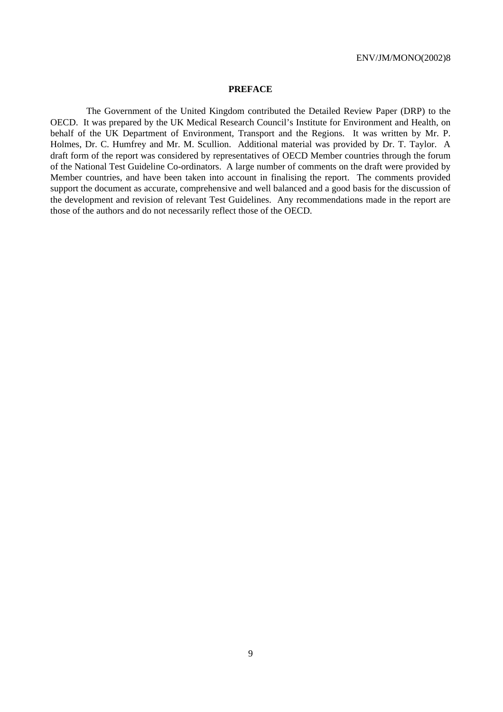#### **PREFACE**

The Government of the United Kingdom contributed the Detailed Review Paper (DRP) to the OECD. It was prepared by the UK Medical Research Council's Institute for Environment and Health, on behalf of the UK Department of Environment, Transport and the Regions. It was written by Mr. P. Holmes, Dr. C. Humfrey and Mr. M. Scullion. Additional material was provided by Dr. T. Taylor. A draft form of the report was considered by representatives of OECD Member countries through the forum of the National Test Guideline Co-ordinators. A large number of comments on the draft were provided by Member countries, and have been taken into account in finalising the report. The comments provided support the document as accurate, comprehensive and well balanced and a good basis for the discussion of the development and revision of relevant Test Guidelines. Any recommendations made in the report are those of the authors and do not necessarily reflect those of the OECD.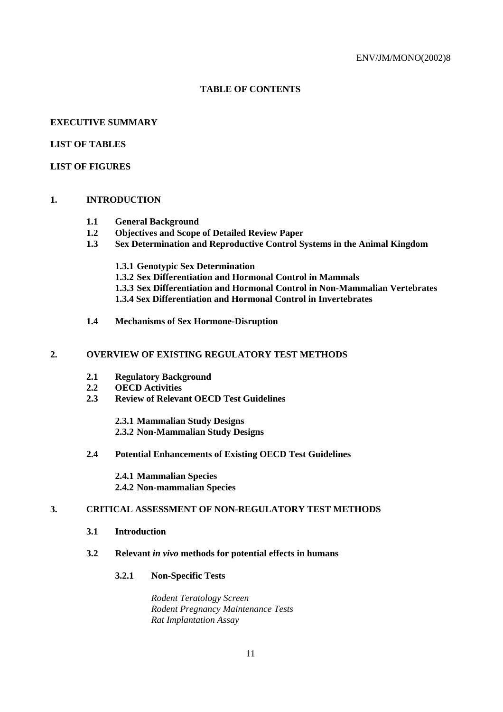## **TABLE OF CONTENTS**

#### **EXECUTIVE SUMMARY**

#### **LIST OF TABLES**

#### **LIST OF FIGURES**

#### **1. INTRODUCTION**

- **1.1 General Background**
- **1.2 Objectives and Scope of Detailed Review Paper**
- **1.3 Sex Determination and Reproductive Control Systems in the Animal Kingdom**
	- **1.3.1 Genotypic Sex Determination**
	- **1.3.2 Sex Differentiation and Hormonal Control in Mammals**
	- **1.3.3 Sex Differentiation and Hormonal Control in Non-Mammalian Vertebrates**
	- **1.3.4 Sex Differentiation and Hormonal Control in Invertebrates**
- **1.4 Mechanisms of Sex Hormone-Disruption**

#### **2. OVERVIEW OF EXISTING REGULATORY TEST METHODS**

- **2.1 Regulatory Background**
- **2.2 OECD Activities**
- **2.3 Review of Relevant OECD Test Guidelines**

**2.3.1 Mammalian Study Designs**

**2.3.2 Non-Mammalian Study Designs**

#### **2.4 Potential Enhancements of Existing OECD Test Guidelines**

**2.4.1 Mammalian Species 2.4.2 Non-mammalian Species**

#### **3. CRITICAL ASSESSMENT OF NON-REGULATORY TEST METHODS**

**3.1 Introduction**

#### **3.2 Relevant** *in vivo* **methods for potential effects in humans**

**3.2.1 Non-Specific Tests**

*Rodent Teratology Screen Rodent Pregnancy Maintenance Tests Rat Implantation Assay*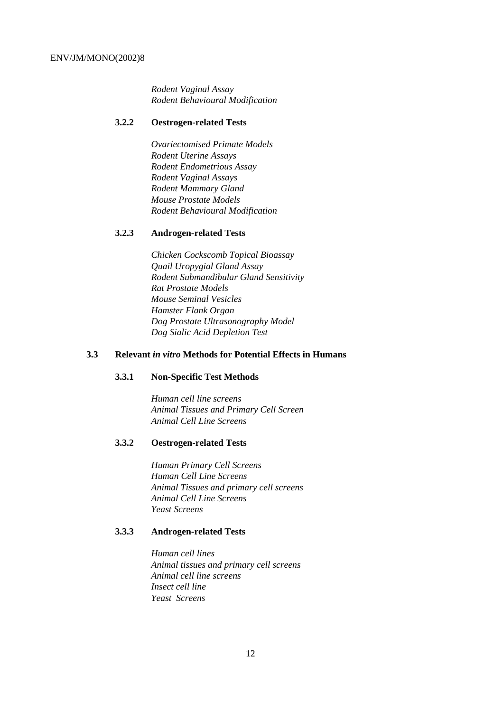*Rodent Vaginal Assay Rodent Behavioural Modification*

#### **3.2.2 Oestrogen-related Tests**

*Ovariectomised Primate Models Rodent Uterine Assays Rodent Endometrious Assay Rodent Vaginal Assays Rodent Mammary Gland Mouse Prostate Models Rodent Behavioural Modification*

#### **3.2.3 Androgen-related Tests**

*Chicken Cockscomb Topical Bioassay Quail Uropygial Gland Assay Rodent Submandibular Gland Sensitivity Rat Prostate Models Mouse Seminal Vesicles Hamster Flank Organ Dog Prostate Ultrasonography Model Dog Sialic Acid Depletion Test*

#### **3.3 Relevant** *in vitro* **Methods for Potential Effects in Humans**

#### **3.3.1 Non-Specific Test Methods**

*Human cell line screens Animal Tissues and Primary Cell Screen Animal Cell Line Screens*

#### **3.3.2 Oestrogen-related Tests**

*Human Primary Cell Screens Human Cell Line Screens Animal Tissues and primary cell screens Animal Cell Line Screens Yeast Screens*

#### **3.3.3 Androgen-related Tests**

*Human cell lines Animal tissues and primary cell screens Animal cell line screens Insect cell line Yeast Screens*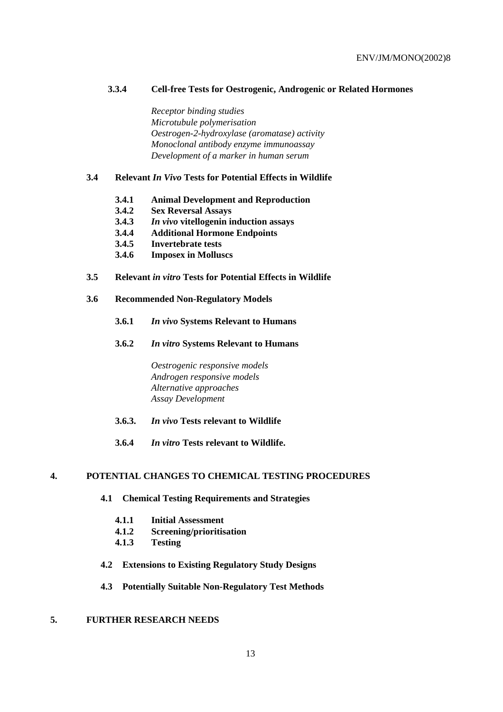#### **3.3.4 Cell-free Tests for Oestrogenic, Androgenic or Related Hormones**

*Receptor binding studies Microtubule polymerisation Oestrogen-2-hydroxylase (aromatase) activity Monoclonal antibody enzyme immunoassay Development of a marker in human serum*

#### **3.4 Relevant** *In Vivo* **Tests for Potential Effects in Wildlife**

- **3.4.1 Animal Development and Reproduction**
- **3.4.2 Sex Reversal Assays**
- **3.4.3** *In vivo* **vitellogenin induction assays**
- **3.4.4 Additional Hormone Endpoints**
- **3.4.5 Invertebrate tests**
- **3.4.6 Imposex in Molluscs**
- **3.5 Relevant** *in vitro* **Tests for Potential Effects in Wildlife**

#### **3.6 Recommended Non-Regulatory Models**

- **3.6.1** *In vivo* **Systems Relevant to Humans**
- **3.6.2** *In vitro* **Systems Relevant to Humans**

*Oestrogenic responsive models Androgen responsive models Alternative approaches Assay Development*

- **3.6.3.** *In vivo* **Tests relevant to Wildlife**
- **3.6.4** *In vitro* **Tests relevant to Wildlife.**

#### **4. POTENTIAL CHANGES TO CHEMICAL TESTING PROCEDURES**

- **4.1 Chemical Testing Requirements and Strategies**
	- **4.1.1 Initial Assessment**
	- **4.1.2 Screening/prioritisation**
	- **4.1.3 Testing**
- **4.2 Extensions to Existing Regulatory Study Designs**
- **4.3 Potentially Suitable Non-Regulatory Test Methods**

#### **5. FURTHER RESEARCH NEEDS**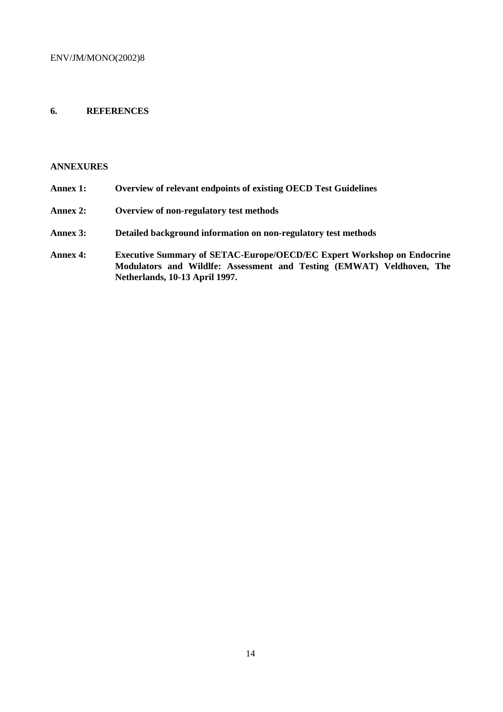## **6. REFERENCES**

#### **ANNEXURES**

| <b>Annex 1:</b> | <b>Overview of relevant endpoints of existing OECD Test Guidelines</b>                                                                                 |  |  |
|-----------------|--------------------------------------------------------------------------------------------------------------------------------------------------------|--|--|
| <b>Annex 2:</b> | Overview of non-regulatory test methods                                                                                                                |  |  |
| Annex 3:        | Detailed background information on non-regulatory test methods                                                                                         |  |  |
| <b>Annex 4:</b> | <b>Executive Summary of SETAC-Europe/OECD/EC Expert Workshop on Endocrine</b><br>Modulators and Wildlfe: Assessment and Testing (EMWAT) Veldhoven, The |  |  |

**Netherlands, 10-13 April 1997.**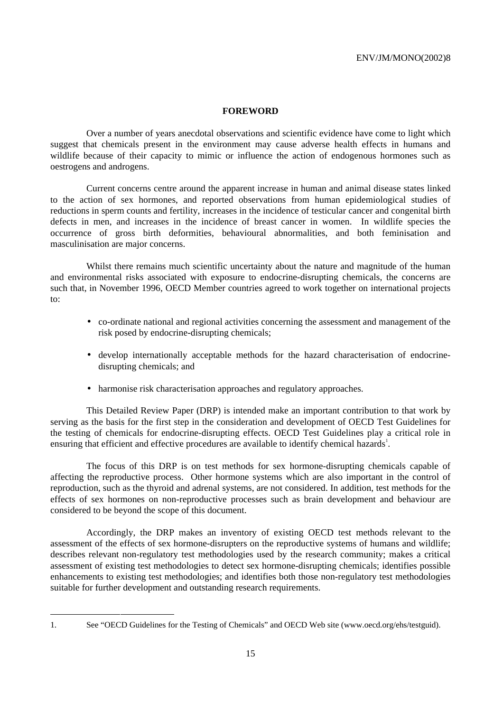#### **FOREWORD**

Over a number of years anecdotal observations and scientific evidence have come to light which suggest that chemicals present in the environment may cause adverse health effects in humans and wildlife because of their capacity to mimic or influence the action of endogenous hormones such as oestrogens and androgens.

Current concerns centre around the apparent increase in human and animal disease states linked to the action of sex hormones, and reported observations from human epidemiological studies of reductions in sperm counts and fertility, increases in the incidence of testicular cancer and congenital birth defects in men, and increases in the incidence of breast cancer in women. In wildlife species the occurrence of gross birth deformities, behavioural abnormalities, and both feminisation and masculinisation are major concerns.

Whilst there remains much scientific uncertainty about the nature and magnitude of the human and environmental risks associated with exposure to endocrine-disrupting chemicals, the concerns are such that, in November 1996, OECD Member countries agreed to work together on international projects to:

- co-ordinate national and regional activities concerning the assessment and management of the risk posed by endocrine-disrupting chemicals;
- develop internationally acceptable methods for the hazard characterisation of endocrinedisrupting chemicals; and
- harmonise risk characterisation approaches and regulatory approaches.

This Detailed Review Paper (DRP) is intended make an important contribution to that work by serving as the basis for the first step in the consideration and development of OECD Test Guidelines for the testing of chemicals for endocrine-disrupting effects. OECD Test Guidelines play a critical role in ensuring that efficient and effective procedures are available to identify chemical hazards<sup>1</sup>.

The focus of this DRP is on test methods for sex hormone-disrupting chemicals capable of affecting the reproductive process. Other hormone systems which are also important in the control of reproduction, such as the thyroid and adrenal systems, are not considered. In addition, test methods for the effects of sex hormones on non-reproductive processes such as brain development and behaviour are considered to be beyond the scope of this document.

Accordingly, the DRP makes an inventory of existing OECD test methods relevant to the assessment of the effects of sex hormone-disrupters on the reproductive systems of humans and wildlife; describes relevant non-regulatory test methodologies used by the research community; makes a critical assessment of existing test methodologies to detect sex hormone-disrupting chemicals; identifies possible enhancements to existing test methodologies; and identifies both those non-regulatory test methodologies suitable for further development and outstanding research requirements.

<sup>-</sup>

<sup>1.</sup> See "OECD Guidelines for the Testing of Chemicals" and OECD Web site (www.oecd.org/ehs/testguid).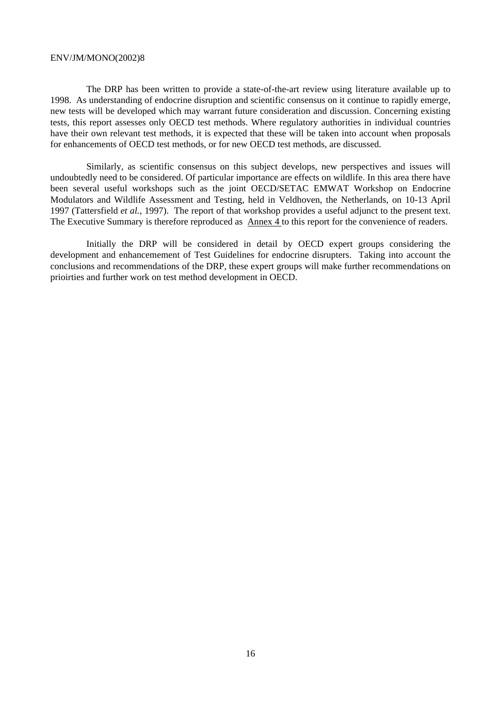The DRP has been written to provide a state-of-the-art review using literature available up to 1998. As understanding of endocrine disruption and scientific consensus on it continue to rapidly emerge, new tests will be developed which may warrant future consideration and discussion. Concerning existing tests, this report assesses only OECD test methods. Where regulatory authorities in individual countries have their own relevant test methods, it is expected that these will be taken into account when proposals for enhancements of OECD test methods, or for new OECD test methods, are discussed.

Similarly, as scientific consensus on this subject develops, new perspectives and issues will undoubtedly need to be considered. Of particular importance are effects on wildlife. In this area there have been several useful workshops such as the joint OECD/SETAC EMWAT Workshop on Endocrine Modulators and Wildlife Assessment and Testing, held in Veldhoven, the Netherlands, on 10-13 April 1997 (Tattersfield *et al.*, 1997). The report of that workshop provides a useful adjunct to the present text. The Executive Summary is therefore reproduced as Annex 4 to this report for the convenience of readers.

Initially the DRP will be considered in detail by OECD expert groups considering the development and enhancemement of Test Guidelines for endocrine disrupters. Taking into account the conclusions and recommendations of the DRP, these expert groups will make further recommendations on prioirties and further work on test method development in OECD.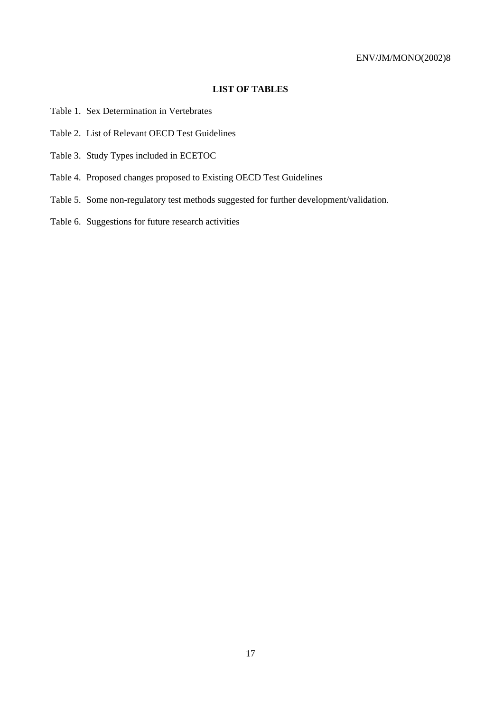#### **LIST OF TABLES**

- Table 1. Sex Determination in Vertebrates
- Table 2. List of Relevant OECD Test Guidelines
- Table 3. Study Types included in ECETOC
- Table 4. Proposed changes proposed to Existing OECD Test Guidelines
- Table 5. Some non-regulatory test methods suggested for further development/validation.
- Table 6. Suggestions for future research activities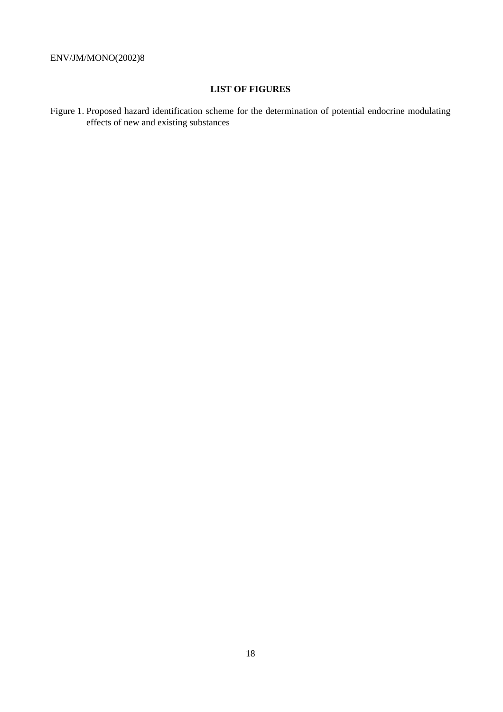## **LIST OF FIGURES**

Figure 1. Proposed hazard identification scheme for the determination of potential endocrine modulating effects of new and existing substances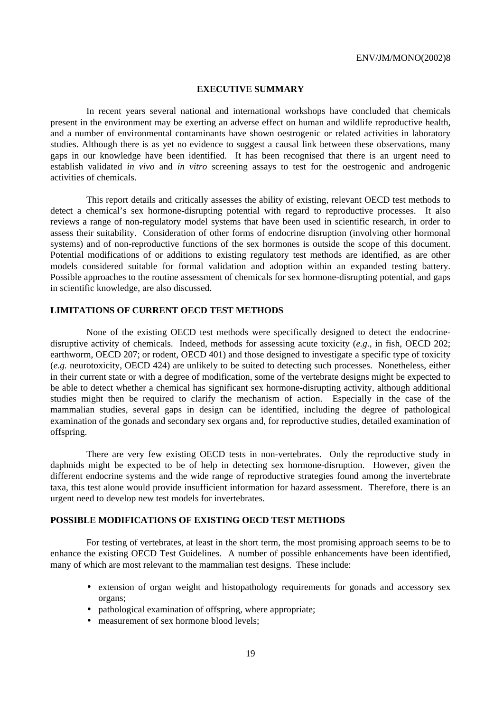#### **EXECUTIVE SUMMARY**

In recent years several national and international workshops have concluded that chemicals present in the environment may be exerting an adverse effect on human and wildlife reproductive health, and a number of environmental contaminants have shown oestrogenic or related activities in laboratory studies. Although there is as yet no evidence to suggest a causal link between these observations, many gaps in our knowledge have been identified. It has been recognised that there is an urgent need to establish validated *in vivo* and *in vitro* screening assays to test for the oestrogenic and androgenic activities of chemicals.

This report details and critically assesses the ability of existing, relevant OECD test methods to detect a chemical's sex hormone-disrupting potential with regard to reproductive processes. It also reviews a range of non-regulatory model systems that have been used in scientific research, in order to assess their suitability. Consideration of other forms of endocrine disruption (involving other hormonal systems) and of non-reproductive functions of the sex hormones is outside the scope of this document. Potential modifications of or additions to existing regulatory test methods are identified, as are other models considered suitable for formal validation and adoption within an expanded testing battery. Possible approaches to the routine assessment of chemicals for sex hormone-disrupting potential, and gaps in scientific knowledge, are also discussed.

## **LIMITATIONS OF CURRENT OECD TEST METHODS**

None of the existing OECD test methods were specifically designed to detect the endocrinedisruptive activity of chemicals. Indeed, methods for assessing acute toxicity (*e.g.*, in fish, OECD 202; earthworm, OECD 207; or rodent, OECD 401) and those designed to investigate a specific type of toxicity (*e.g.* neurotoxicity, OECD 424) are unlikely to be suited to detecting such processes. Nonetheless, either in their current state or with a degree of modification, some of the vertebrate designs might be expected to be able to detect whether a chemical has significant sex hormone-disrupting activity, although additional studies might then be required to clarify the mechanism of action. Especially in the case of the mammalian studies, several gaps in design can be identified, including the degree of pathological examination of the gonads and secondary sex organs and, for reproductive studies, detailed examination of offspring.

There are very few existing OECD tests in non-vertebrates. Only the reproductive study in daphnids might be expected to be of help in detecting sex hormone-disruption. However, given the different endocrine systems and the wide range of reproductive strategies found among the invertebrate taxa, this test alone would provide insufficient information for hazard assessment. Therefore, there is an urgent need to develop new test models for invertebrates.

#### **POSSIBLE MODIFICATIONS OF EXISTING OECD TEST METHODS**

For testing of vertebrates, at least in the short term, the most promising approach seems to be to enhance the existing OECD Test Guidelines. A number of possible enhancements have been identified, many of which are most relevant to the mammalian test designs. These include:

- extension of organ weight and histopathology requirements for gonads and accessory sex organs;
- pathological examination of offspring, where appropriate:
- measurement of sex hormone blood levels: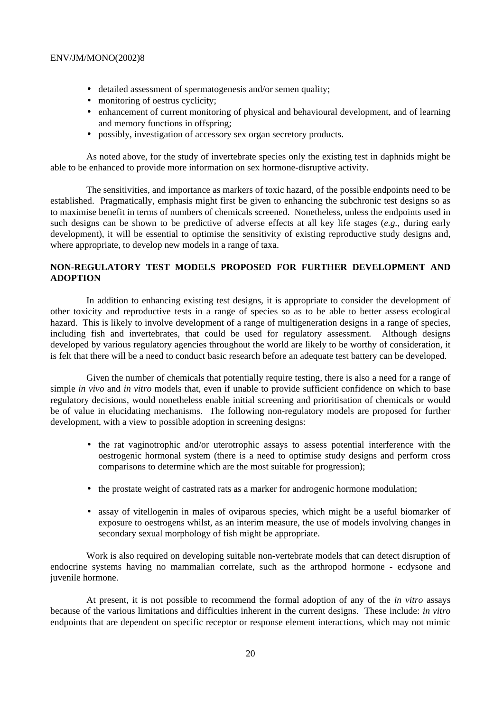- detailed assessment of spermatogenesis and/or semen quality;
- monitoring of oestrus cyclicity;
- enhancement of current monitoring of physical and behavioural development, and of learning and memory functions in offspring;
- possibly, investigation of accessory sex organ secretory products.

As noted above, for the study of invertebrate species only the existing test in daphnids might be able to be enhanced to provide more information on sex hormone-disruptive activity.

The sensitivities, and importance as markers of toxic hazard, of the possible endpoints need to be established. Pragmatically, emphasis might first be given to enhancing the subchronic test designs so as to maximise benefit in terms of numbers of chemicals screened. Nonetheless, unless the endpoints used in such designs can be shown to be predictive of adverse effects at all key life stages (*e.g.*, during early development), it will be essential to optimise the sensitivity of existing reproductive study designs and, where appropriate, to develop new models in a range of taxa.

## **NON-REGULATORY TEST MODELS PROPOSED FOR FURTHER DEVELOPMENT AND ADOPTION**

In addition to enhancing existing test designs, it is appropriate to consider the development of other toxicity and reproductive tests in a range of species so as to be able to better assess ecological hazard. This is likely to involve development of a range of multigeneration designs in a range of species, including fish and invertebrates, that could be used for regulatory assessment. Although designs developed by various regulatory agencies throughout the world are likely to be worthy of consideration, it is felt that there will be a need to conduct basic research before an adequate test battery can be developed.

 Given the number of chemicals that potentially require testing, there is also a need for a range of simple *in vivo* and *in vitro* models that, even if unable to provide sufficient confidence on which to base regulatory decisions, would nonetheless enable initial screening and prioritisation of chemicals or would be of value in elucidating mechanisms. The following non-regulatory models are proposed for further development, with a view to possible adoption in screening designs:

- the rat vaginotrophic and/or uterotrophic assays to assess potential interference with the oestrogenic hormonal system (there is a need to optimise study designs and perform cross comparisons to determine which are the most suitable for progression);
- the prostate weight of castrated rats as a marker for androgenic hormone modulation;
- assay of vitellogenin in males of oviparous species, which might be a useful biomarker of exposure to oestrogens whilst, as an interim measure, the use of models involving changes in secondary sexual morphology of fish might be appropriate.

Work is also required on developing suitable non-vertebrate models that can detect disruption of endocrine systems having no mammalian correlate, such as the arthropod hormone - ecdysone and juvenile hormone.

At present, it is not possible to recommend the formal adoption of any of the *in vitro* assays because of the various limitations and difficulties inherent in the current designs. These include: *in vitro* endpoints that are dependent on specific receptor or response element interactions, which may not mimic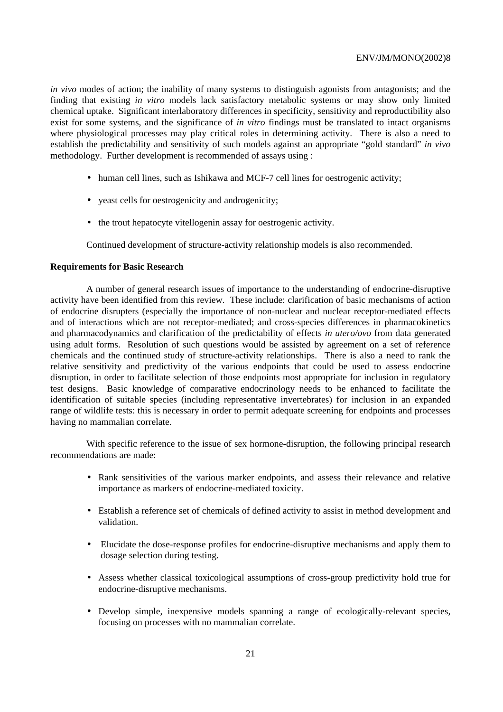*in vivo* modes of action; the inability of many systems to distinguish agonists from antagonists; and the finding that existing *in vitro* models lack satisfactory metabolic systems or may show only limited chemical uptake. Significant interlaboratory differences in specificity, sensitivity and reproductibility also exist for some systems, and the significance of *in vitro* findings must be translated to intact organisms where physiological processes may play critical roles in determining activity. There is also a need to establish the predictability and sensitivity of such models against an appropriate "gold standard" *in vivo* methodology. Further development is recommended of assays using :

- human cell lines, such as Ishikawa and MCF-7 cell lines for oestrogenic activity;
- yeast cells for oestrogenicity and androgenicity;
- the trout hepatocyte vitellogenin assay for oestrogenic activity.

Continued development of structure-activity relationship models is also recommended.

#### **Requirements for Basic Research**

A number of general research issues of importance to the understanding of endocrine-disruptive activity have been identified from this review. These include: clarification of basic mechanisms of action of endocrine disrupters (especially the importance of non-nuclear and nuclear receptor-mediated effects and of interactions which are not receptor-mediated; and cross-species differences in pharmacokinetics and pharmacodynamics and clarification of the predictability of effects *in utero/ovo* from data generated using adult forms. Resolution of such questions would be assisted by agreement on a set of reference chemicals and the continued study of structure-activity relationships. There is also a need to rank the relative sensitivity and predictivity of the various endpoints that could be used to assess endocrine disruption, in order to facilitate selection of those endpoints most appropriate for inclusion in regulatory test designs. Basic knowledge of comparative endocrinology needs to be enhanced to facilitate the identification of suitable species (including representative invertebrates) for inclusion in an expanded range of wildlife tests: this is necessary in order to permit adequate screening for endpoints and processes having no mammalian correlate.

With specific reference to the issue of sex hormone-disruption, the following principal research recommendations are made:

- Rank sensitivities of the various marker endpoints, and assess their relevance and relative importance as markers of endocrine-mediated toxicity.
- Establish a reference set of chemicals of defined activity to assist in method development and validation.
- Elucidate the dose-response profiles for endocrine-disruptive mechanisms and apply them to dosage selection during testing.
- Assess whether classical toxicological assumptions of cross-group predictivity hold true for endocrine-disruptive mechanisms.
- Develop simple, inexpensive models spanning a range of ecologically-relevant species, focusing on processes with no mammalian correlate.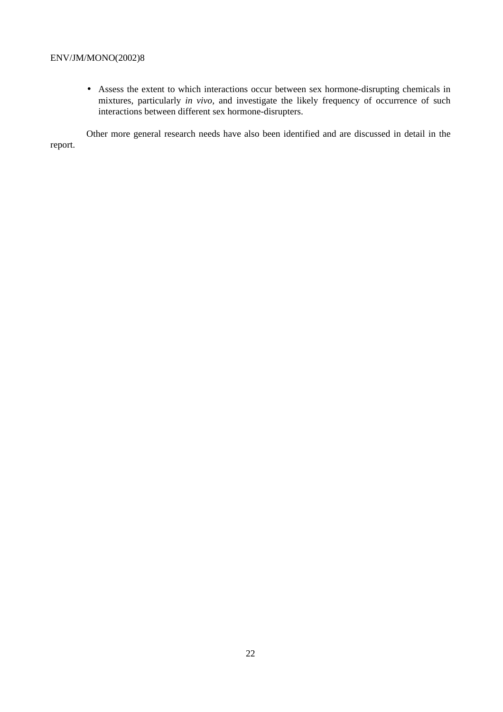• Assess the extent to which interactions occur between sex hormone-disrupting chemicals in mixtures, particularly *in vivo*, and investigate the likely frequency of occurrence of such interactions between different sex hormone-disrupters.

Other more general research needs have also been identified and are discussed in detail in the report.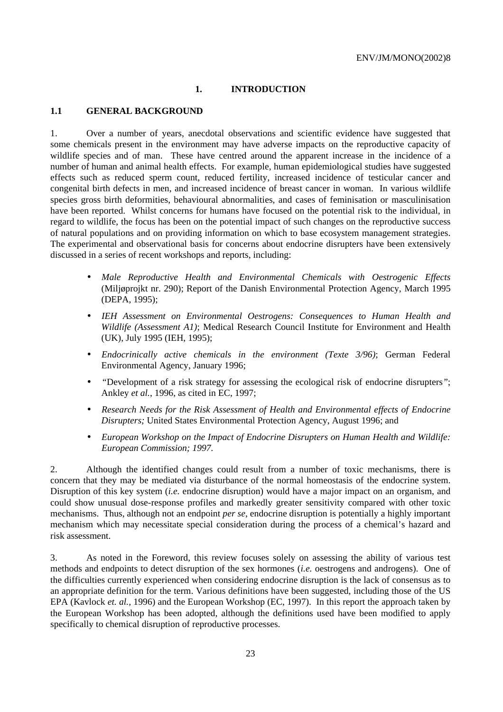#### **1. INTRODUCTION**

#### **1.1 GENERAL BACKGROUND**

1. Over a number of years, anecdotal observations and scientific evidence have suggested that some chemicals present in the environment may have adverse impacts on the reproductive capacity of wildlife species and of man. These have centred around the apparent increase in the incidence of a number of human and animal health effects. For example, human epidemiological studies have suggested effects such as reduced sperm count, reduced fertility, increased incidence of testicular cancer and congenital birth defects in men, and increased incidence of breast cancer in woman. In various wildlife species gross birth deformities, behavioural abnormalities, and cases of feminisation or masculinisation have been reported. Whilst concerns for humans have focused on the potential risk to the individual, in regard to wildlife, the focus has been on the potential impact of such changes on the reproductive success of natural populations and on providing information on which to base ecosystem management strategies. The experimental and observational basis for concerns about endocrine disrupters have been extensively discussed in a series of recent workshops and reports, including:

- *Male Reproductive Health and Environmental Chemicals with Oestrogenic Effects* (Miljøprojkt nr. 290); Report of the Danish Environmental Protection Agency, March 1995 (DEPA, 1995);
- *IEH Assessment on Environmental Oestrogens: Consequences to Human Health and Wildlife (Assessment A1)*; Medical Research Council Institute for Environment and Health (UK), July 1995 (IEH, 1995);
- *Endocrinically active chemicals in the environment (Texte 3/96)*; German Federal Environmental Agency, January 1996;
- *"*Development of a risk strategy for assessing the ecological risk of endocrine disrupters*"*; Ankley *et al.*, 1996, as cited in EC, 1997;
- *Research Needs for the Risk Assessment of Health and Environmental effects of Endocrine Disrupters;* United States Environmental Protection Agency, August 1996; and
- *European Workshop on the Impact of Endocrine Disrupters on Human Health and Wildlife: European Commission; 1997.*

2. Although the identified changes could result from a number of toxic mechanisms, there is concern that they may be mediated via disturbance of the normal homeostasis of the endocrine system. Disruption of this key system (*i.e.* endocrine disruption) would have a major impact on an organism, and could show unusual dose-response profiles and markedly greater sensitivity compared with other toxic mechanisms. Thus, although not an endpoint *per se*, endocrine disruption is potentially a highly important mechanism which may necessitate special consideration during the process of a chemical's hazard and risk assessment.

3. As noted in the Foreword, this review focuses solely on assessing the ability of various test methods and endpoints to detect disruption of the sex hormones (*i.e.* oestrogens and androgens). One of the difficulties currently experienced when considering endocrine disruption is the lack of consensus as to an appropriate definition for the term. Various definitions have been suggested, including those of the US EPA (Kavlock *et. al.,* 1996) and the European Workshop (EC, 1997). In this report the approach taken by the European Workshop has been adopted, although the definitions used have been modified to apply specifically to chemical disruption of reproductive processes.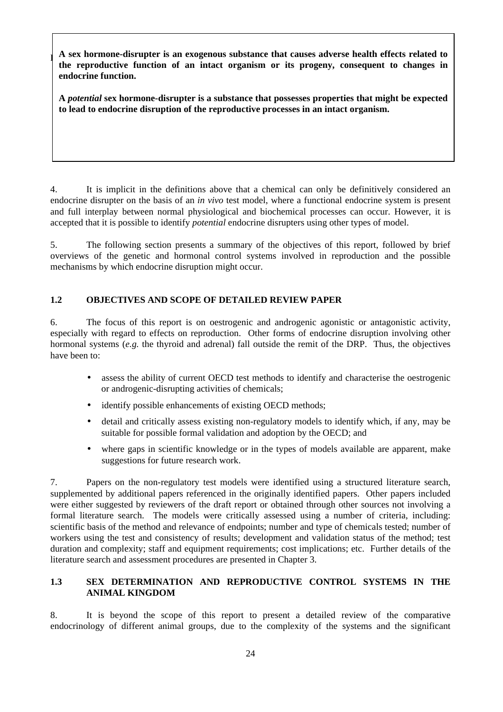A sex hormone-disrupter is an exogenous substance that causes adverse health effects related to **the reproductive function of an intact organism or its progeny, consequent to changes in endocrine function.**

**A** *potential* **sex hormone-disrupter is a substance that possesses properties that might be expected to lead to endocrine disruption of the reproductive processes in an intact organism.**

4. It is implicit in the definitions above that a chemical can only be definitively considered an endocrine disrupter on the basis of an *in vivo* test model, where a functional endocrine system is present and full interplay between normal physiological and biochemical processes can occur. However, it is accepted that it is possible to identify *potential* endocrine disrupters using other types of model.

5. The following section presents a summary of the objectives of this report, followed by brief overviews of the genetic and hormonal control systems involved in reproduction and the possible mechanisms by which endocrine disruption might occur.

## **1.2 OBJECTIVES AND SCOPE OF DETAILED REVIEW PAPER**

6. The focus of this report is on oestrogenic and androgenic agonistic or antagonistic activity, especially with regard to effects on reproduction. Other forms of endocrine disruption involving other hormonal systems (*e.g.* the thyroid and adrenal) fall outside the remit of the DRP. Thus, the objectives have been to:

- assess the ability of current OECD test methods to identify and characterise the oestrogenic or androgenic-disrupting activities of chemicals;
- identify possible enhancements of existing OECD methods;
- detail and critically assess existing non-regulatory models to identify which, if any, may be suitable for possible formal validation and adoption by the OECD; and
- where gaps in scientific knowledge or in the types of models available are apparent, make suggestions for future research work.

7. Papers on the non-regulatory test models were identified using a structured literature search, supplemented by additional papers referenced in the originally identified papers. Other papers included were either suggested by reviewers of the draft report or obtained through other sources not involving a formal literature search. The models were critically assessed using a number of criteria, including: scientific basis of the method and relevance of endpoints; number and type of chemicals tested; number of workers using the test and consistency of results; development and validation status of the method; test duration and complexity; staff and equipment requirements; cost implications; etc. Further details of the literature search and assessment procedures are presented in Chapter 3.

### **1.3 SEX DETERMINATION AND REPRODUCTIVE CONTROL SYSTEMS IN THE ANIMAL KINGDOM**

8. It is beyond the scope of this report to present a detailed review of the comparative endocrinology of different animal groups, due to the complexity of the systems and the significant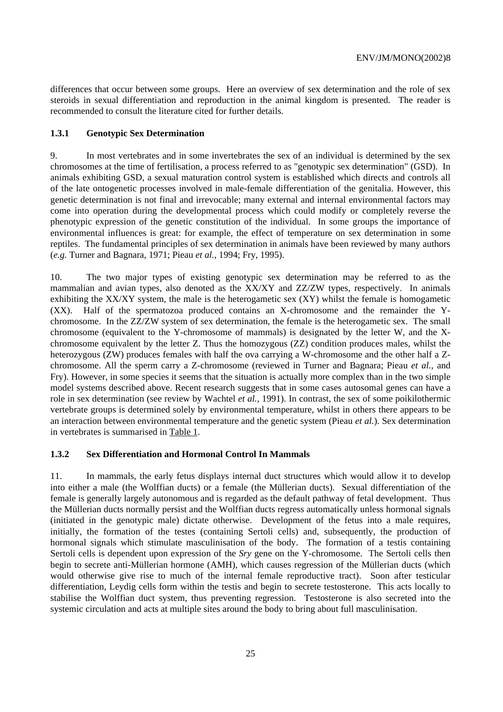differences that occur between some groups. Here an overview of sex determination and the role of sex steroids in sexual differentiation and reproduction in the animal kingdom is presented. The reader is recommended to consult the literature cited for further details.

#### **1.3.1 Genotypic Sex Determination**

9. In most vertebrates and in some invertebrates the sex of an individual is determined by the sex chromosomes at the time of fertilisation, a process referred to as "genotypic sex determination" (GSD). In animals exhibiting GSD, a sexual maturation control system is established which directs and controls all of the late ontogenetic processes involved in male-female differentiation of the genitalia. However, this genetic determination is not final and irrevocable; many external and internal environmental factors may come into operation during the developmental process which could modify or completely reverse the phenotypic expression of the genetic constitution of the individual. In some groups the importance of environmental influences is great: for example, the effect of temperature on sex determination in some reptiles. The fundamental principles of sex determination in animals have been reviewed by many authors (*e.g.* Turner and Bagnara, 1971; Pieau *et al.,* 1994; Fry, 1995).

10. The two major types of existing genotypic sex determination may be referred to as the mammalian and avian types, also denoted as the XX/XY and ZZ/ZW types, respectively. In animals exhibiting the XX/XY system, the male is the heterogametic sex (XY) whilst the female is homogametic (XX). Half of the spermatozoa produced contains an X-chromosome and the remainder the Ychromosome. In the ZZ/ZW system of sex determination, the female is the heterogametic sex. The small chromosome (equivalent to the Y-chromosome of mammals) is designated by the letter W, and the Xchromosome equivalent by the letter Z. Thus the homozygous (ZZ) condition produces males, whilst the heterozygous (ZW) produces females with half the ova carrying a W-chromosome and the other half a Zchromosome. All the sperm carry a Z-chromosome (reviewed in Turner and Bagnara; Pieau *et al.,* and Fry). However, in some species it seems that the situation is actually more complex than in the two simple model systems described above. Recent research suggests that in some cases autosomal genes can have a role in sex determination (see review by Wachtel *et al.*, 1991). In contrast, the sex of some poikilothermic vertebrate groups is determined solely by environmental temperature, whilst in others there appears to be an interaction between environmental temperature and the genetic system (Pieau *et al.*). Sex determination in vertebrates is summarised in Table 1.

#### **1.3.2 Sex Differentiation and Hormonal Control In Mammals**

11. In mammals, the early fetus displays internal duct structures which would allow it to develop into either a male (the Wolffian ducts) or a female (the Müllerian ducts). Sexual differentiation of the female is generally largely autonomous and is regarded as the default pathway of fetal development. Thus the Müllerian ducts normally persist and the Wolffian ducts regress automatically unless hormonal signals (initiated in the genotypic male) dictate otherwise. Development of the fetus into a male requires, initially, the formation of the testes (containing Sertoli cells) and, subsequently, the production of hormonal signals which stimulate masculinisation of the body. The formation of a testis containing Sertoli cells is dependent upon expression of the *Sry* gene on the Y-chromosome. The Sertoli cells then begin to secrete anti-Müllerian hormone (AMH), which causes regression of the Müllerian ducts (which would otherwise give rise to much of the internal female reproductive tract). Soon after testicular differentiation, Leydig cells form within the testis and begin to secrete testosterone. This acts locally to stabilise the Wolffian duct system, thus preventing regression. Testosterone is also secreted into the systemic circulation and acts at multiple sites around the body to bring about full masculinisation.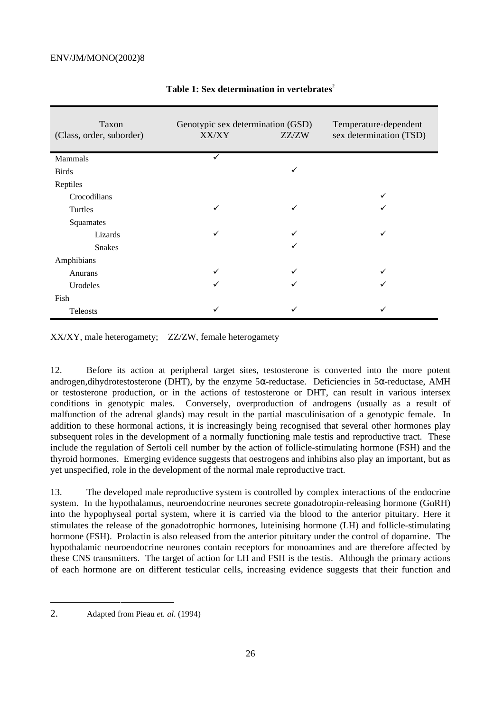| Taxon<br>(Class, order, suborder) | Genotypic sex determination (GSD)<br>XX/XY | ZZ/ZW | Temperature-dependent<br>sex determination (TSD) |  |
|-----------------------------------|--------------------------------------------|-------|--------------------------------------------------|--|
| Mammals                           |                                            |       |                                                  |  |
| <b>Birds</b>                      |                                            | ✓     |                                                  |  |
| Reptiles                          |                                            |       |                                                  |  |
| Crocodilians                      |                                            |       |                                                  |  |
| Turtles                           |                                            | ✓     |                                                  |  |
| Squamates                         |                                            |       |                                                  |  |
| Lizards                           |                                            |       |                                                  |  |
| <b>Snakes</b>                     |                                            |       |                                                  |  |
| Amphibians                        |                                            |       |                                                  |  |
| Anurans                           |                                            | ✓     |                                                  |  |
| Urodeles                          |                                            |       |                                                  |  |
| Fish                              |                                            |       |                                                  |  |
| Teleosts                          |                                            | ✓     |                                                  |  |

#### **Table 1: Sex determination in vertebrates<sup>2</sup>**

XX/XY, male heterogamety; ZZ/ZW, female heterogamety

12. Before its action at peripheral target sites, testosterone is converted into the more potent androgen,dihydrotestosterone (DHT), by the enzyme  $5\alpha$ -reductase. Deficiencies in  $5\alpha$ -reductase, AMH or testosterone production, or in the actions of testosterone or DHT, can result in various intersex conditions in genotypic males. Conversely, overproduction of androgens (usually as a result of malfunction of the adrenal glands) may result in the partial masculinisation of a genotypic female. In addition to these hormonal actions, it is increasingly being recognised that several other hormones play subsequent roles in the development of a normally functioning male testis and reproductive tract. These include the regulation of Sertoli cell number by the action of follicle-stimulating hormone (FSH) and the thyroid hormones. Emerging evidence suggests that oestrogens and inhibins also play an important, but as yet unspecified, role in the development of the normal male reproductive tract.

13. The developed male reproductive system is controlled by complex interactions of the endocrine system. In the hypothalamus, neuroendocrine neurones secrete gonadotropin-releasing hormone (GnRH) into the hypophyseal portal system, where it is carried via the blood to the anterior pituitary. Here it stimulates the release of the gonadotrophic hormones, luteinising hormone (LH) and follicle-stimulating hormone (FSH). Prolactin is also released from the anterior pituitary under the control of dopamine. The hypothalamic neuroendocrine neurones contain receptors for monoamines and are therefore affected by these CNS transmitters. The target of action for LH and FSH is the testis. Although the primary actions of each hormone are on different testicular cells, increasing evidence suggests that their function and

-

<sup>2.</sup> Adapted from Pieau *et. al*. (1994)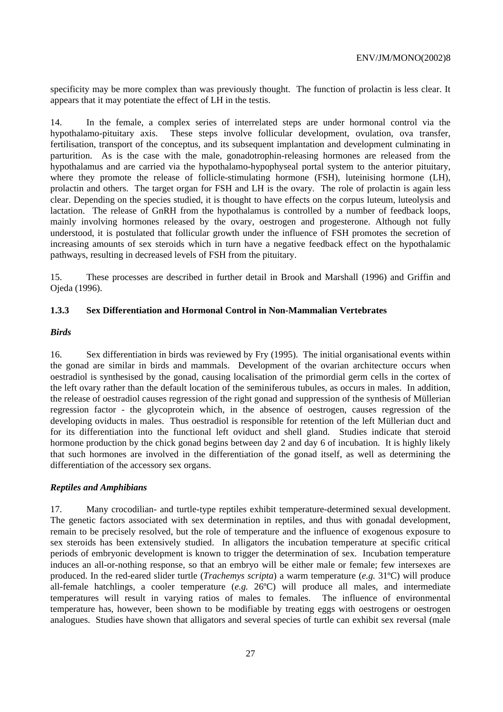specificity may be more complex than was previously thought. The function of prolactin is less clear. It appears that it may potentiate the effect of LH in the testis.

14. In the female, a complex series of interrelated steps are under hormonal control via the hypothalamo-pituitary axis. These steps involve follicular development, ovulation, ova transfer, fertilisation, transport of the conceptus, and its subsequent implantation and development culminating in parturition. As is the case with the male, gonadotrophin-releasing hormones are released from the hypothalamus and are carried via the hypothalamo-hypophyseal portal system to the anterior pituitary, where they promote the release of follicle-stimulating hormone (FSH), luteinising hormone (LH), prolactin and others. The target organ for FSH and LH is the ovary. The role of prolactin is again less clear. Depending on the species studied, it is thought to have effects on the corpus luteum, luteolysis and lactation. The release of GnRH from the hypothalamus is controlled by a number of feedback loops, mainly involving hormones released by the ovary, oestrogen and progesterone. Although not fully understood, it is postulated that follicular growth under the influence of FSH promotes the secretion of increasing amounts of sex steroids which in turn have a negative feedback effect on the hypothalamic pathways, resulting in decreased levels of FSH from the pituitary.

15. These processes are described in further detail in Brook and Marshall (1996) and Griffin and Ojeda (1996).

#### **1.3.3 Sex Differentiation and Hormonal Control in Non-Mammalian Vertebrates**

#### *Birds*

16. Sex differentiation in birds was reviewed by Fry (1995). The initial organisational events within the gonad are similar in birds and mammals. Development of the ovarian architecture occurs when oestradiol is synthesised by the gonad, causing localisation of the primordial germ cells in the cortex of the left ovary rather than the default location of the seminiferous tubules, as occurs in males. In addition, the release of oestradiol causes regression of the right gonad and suppression of the synthesis of Müllerian regression factor - the glycoprotein which, in the absence of oestrogen, causes regression of the developing oviducts in males. Thus oestradiol is responsible for retention of the left Müllerian duct and for its differentiation into the functional left oviduct and shell gland. Studies indicate that steroid hormone production by the chick gonad begins between day 2 and day 6 of incubation. It is highly likely that such hormones are involved in the differentiation of the gonad itself, as well as determining the differentiation of the accessory sex organs.

#### *Reptiles and Amphibians*

17. Many crocodilian- and turtle-type reptiles exhibit temperature-determined sexual development. The genetic factors associated with sex determination in reptiles, and thus with gonadal development, remain to be precisely resolved, but the role of temperature and the influence of exogenous exposure to sex steroids has been extensively studied. In alligators the incubation temperature at specific critical periods of embryonic development is known to trigger the determination of sex. Incubation temperature induces an all-or-nothing response, so that an embryo will be either male or female; few intersexes are produced. In the red-eared slider turtle (*Trachemys scripta*) a warm temperature (*e.g.* 31ºC) will produce all-female hatchlings, a cooler temperature (*e.g.* 26ºC) will produce all males, and intermediate temperatures will result in varying ratios of males to females. The influence of environmental temperature has, however, been shown to be modifiable by treating eggs with oestrogens or oestrogen analogues. Studies have shown that alligators and several species of turtle can exhibit sex reversal (male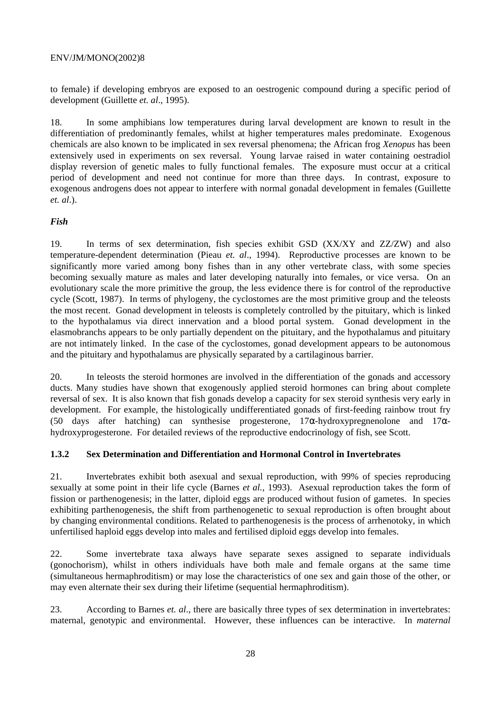to female) if developing embryos are exposed to an oestrogenic compound during a specific period of development (Guillette *et. al*., 1995).

18. In some amphibians low temperatures during larval development are known to result in the differentiation of predominantly females, whilst at higher temperatures males predominate. Exogenous chemicals are also known to be implicated in sex reversal phenomena; the African frog *Xenopus* has been extensively used in experiments on sex reversal. Young larvae raised in water containing oestradiol display reversion of genetic males to fully functional females. The exposure must occur at a critical period of development and need not continue for more than three days. In contrast, exposure to exogenous androgens does not appear to interfere with normal gonadal development in females (Guillette *et. al*.).

## *Fish*

19. In terms of sex determination, fish species exhibit GSD (XX/XY and ZZ/ZW) and also temperature-dependent determination (Pieau *et. al*., 1994). Reproductive processes are known to be significantly more varied among bony fishes than in any other vertebrate class, with some species becoming sexually mature as males and later developing naturally into females, or vice versa. On an evolutionary scale the more primitive the group, the less evidence there is for control of the reproductive cycle (Scott, 1987). In terms of phylogeny, the cyclostomes are the most primitive group and the teleosts the most recent. Gonad development in teleosts is completely controlled by the pituitary, which is linked to the hypothalamus via direct innervation and a blood portal system. Gonad development in the elasmobranchs appears to be only partially dependent on the pituitary, and the hypothalamus and pituitary are not intimately linked. In the case of the cyclostomes, gonad development appears to be autonomous and the pituitary and hypothalamus are physically separated by a cartilaginous barrier.

20. In teleosts the steroid hormones are involved in the differentiation of the gonads and accessory ducts. Many studies have shown that exogenously applied steroid hormones can bring about complete reversal of sex. It is also known that fish gonads develop a capacity for sex steroid synthesis very early in development. For example, the histologically undifferentiated gonads of first-feeding rainbow trout fry (50 days after hatching) can synthesise progesterone,  $17\alpha$ -hydroxypregnenolone and  $17\alpha$ hydroxyprogesterone. For detailed reviews of the reproductive endocrinology of fish, see Scott.

## **1.3.2 Sex Determination and Differentiation and Hormonal Control in Invertebrates**

21. Invertebrates exhibit both asexual and sexual reproduction, with 99% of species reproducing sexually at some point in their life cycle (Barnes *et al.,* 1993). Asexual reproduction takes the form of fission or parthenogenesis; in the latter, diploid eggs are produced without fusion of gametes. In species exhibiting parthenogenesis, the shift from parthenogenetic to sexual reproduction is often brought about by changing environmental conditions. Related to parthenogenesis is the process of arrhenotoky, in which unfertilised haploid eggs develop into males and fertilised diploid eggs develop into females.

22. Some invertebrate taxa always have separate sexes assigned to separate individuals (gonochorism), whilst in others individuals have both male and female organs at the same time (simultaneous hermaphroditism) or may lose the characteristics of one sex and gain those of the other, or may even alternate their sex during their lifetime (sequential hermaphroditism).

23. According to Barnes *et. al*., there are basically three types of sex determination in invertebrates: maternal, genotypic and environmental. However, these influences can be interactive. In *maternal*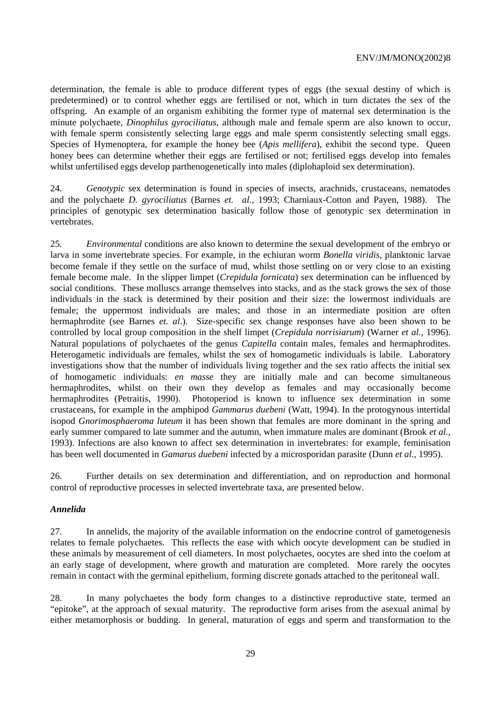determination, the female is able to produce different types of eggs (the sexual destiny of which is predetermined) or to control whether eggs are fertilised or not, which in turn dictates the sex of the offspring. An example of an organism exhibiting the former type of maternal sex determination is the minute polychaete, *Dinophilus gyrociliatus*, although male and female sperm are also known to occur, with female sperm consistently selecting large eggs and male sperm consistently selecting small eggs. Species of Hymenoptera, for example the honey bee (*Apis mellifera*), exhibit the second type. Queen honey bees can determine whether their eggs are fertilised or not; fertilised eggs develop into females whilst unfertilised eggs develop parthenogenetically into males (diplohaploid sex determination).

24. *Genotypic* sex determination is found in species of insects, arachnids, crustaceans, nematodes and the polychaete *D. gyrociliatus* (Barnes *et. al.*, 1993; Charniaux-Cotton and Payen, 1988). The principles of genotypic sex determination basically follow those of genotypic sex determination in vertebrates.

25*. Environmental* conditions are also known to determine the sexual development of the embryo or larva in some invertebrate species. For example, in the echiuran worm *Bonella viridis,* planktonic larvae become female if they settle on the surface of mud, whilst those settling on or very close to an existing female become male. In the slipper limpet (*Crepidula fornicata*) sex determination can be influenced by social conditions. These molluscs arrange themselves into stacks, and as the stack grows the sex of those individuals in the stack is determined by their position and their size: the lowermost individuals are female; the uppermost individuals are males; and those in an intermediate position are often hermaphrodite (see Barnes *et. al*.). Size-specific sex change responses have also been shown to be controlled by local group composition in the shelf limpet (*Crepidula norrisiarum*) (Warner *et al.*, 1996). Natural populations of polychaetes of the genus *Capitella* contain males, females and hermaphrodites. Heterogametic individuals are females, whilst the sex of homogametic individuals is labile. Laboratory investigations show that the number of individuals living together and the sex ratio affects the initial sex of homogametic individuals: *en masse* they are initially male and can become simultaneous hermaphrodites, whilst on their own they develop as females and may occasionally become hermaphrodites (Petraitis, 1990). Photoperiod is known to influence sex determination in some crustaceans, for example in the amphipod *Gammarus duebeni* (Watt, 1994). In the protogynous intertidal isopod *Gnorimosphaeroma luteum* it has been shown that females are more dominant in the spring and early summer compared to late summer and the autumn, when immature males are dominant (Brook *et al.*, 1993). Infections are also known to affect sex determination in invertebrates: for example, feminisation has been well documented in *Gamarus duebeni* infected by a microsporidan parasite (Dunn *et al.,* 1995).

26. Further details on sex determination and differentiation, and on reproduction and hormonal control of reproductive processes in selected invertebrate taxa, are presented below.

#### *Annelida*

27. In annelids, the majority of the available information on the endocrine control of gametogenesis relates to female polychaetes. This reflects the ease with which oocyte development can be studied in these animals by measurement of cell diameters. In most polychaetes, oocytes are shed into the coelom at an early stage of development, where growth and maturation are completed. More rarely the oocytes remain in contact with the germinal epithelium, forming discrete gonads attached to the peritoneal wall.

28. In many polychaetes the body form changes to a distinctive reproductive state, termed an "epitoke", at the approach of sexual maturity. The reproductive form arises from the asexual animal by either metamorphosis or budding. In general, maturation of eggs and sperm and transformation to the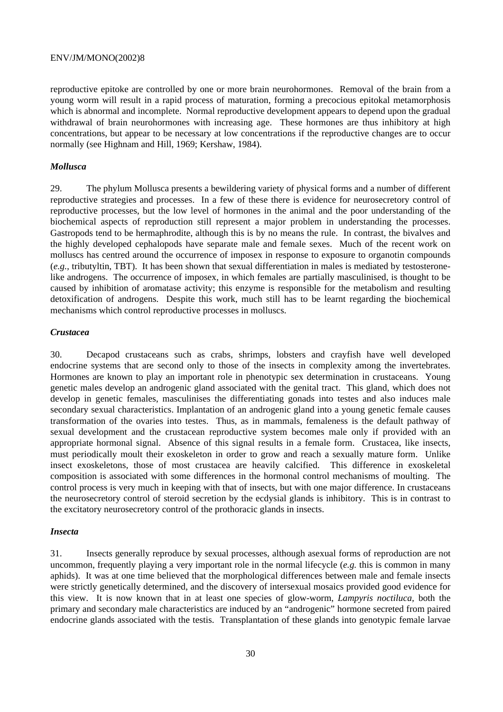reproductive epitoke are controlled by one or more brain neurohormones. Removal of the brain from a young worm will result in a rapid process of maturation, forming a precocious epitokal metamorphosis which is abnormal and incomplete. Normal reproductive development appears to depend upon the gradual withdrawal of brain neurohormones with increasing age. These hormones are thus inhibitory at high concentrations, but appear to be necessary at low concentrations if the reproductive changes are to occur normally (see Highnam and Hill, 1969; Kershaw, 1984).

#### *Mollusca*

29. The phylum Mollusca presents a bewildering variety of physical forms and a number of different reproductive strategies and processes. In a few of these there is evidence for neurosecretory control of reproductive processes, but the low level of hormones in the animal and the poor understanding of the biochemical aspects of reproduction still represent a major problem in understanding the processes. Gastropods tend to be hermaphrodite, although this is by no means the rule. In contrast, the bivalves and the highly developed cephalopods have separate male and female sexes. Much of the recent work on molluscs has centred around the occurrence of imposex in response to exposure to organotin compounds (*e.g.,* tributyltin, TBT). It has been shown that sexual differentiation in males is mediated by testosteronelike androgens. The occurrence of imposex, in which females are partially masculinised, is thought to be caused by inhibition of aromatase activity; this enzyme is responsible for the metabolism and resulting detoxification of androgens. Despite this work, much still has to be learnt regarding the biochemical mechanisms which control reproductive processes in molluscs.

#### *Crustacea*

30. Decapod crustaceans such as crabs, shrimps, lobsters and crayfish have well developed endocrine systems that are second only to those of the insects in complexity among the invertebrates. Hormones are known to play an important role in phenotypic sex determination in crustaceans. Young genetic males develop an androgenic gland associated with the genital tract. This gland, which does not develop in genetic females, masculinises the differentiating gonads into testes and also induces male secondary sexual characteristics. Implantation of an androgenic gland into a young genetic female causes transformation of the ovaries into testes. Thus, as in mammals, femaleness is the default pathway of sexual development and the crustacean reproductive system becomes male only if provided with an appropriate hormonal signal. Absence of this signal results in a female form. Crustacea, like insects, must periodically moult their exoskeleton in order to grow and reach a sexually mature form. Unlike insect exoskeletons, those of most crustacea are heavily calcified. This difference in exoskeletal composition is associated with some differences in the hormonal control mechanisms of moulting. The control process is very much in keeping with that of insects, but with one major difference. In crustaceans the neurosecretory control of steroid secretion by the ecdysial glands is inhibitory. This is in contrast to the excitatory neurosecretory control of the prothoracic glands in insects.

#### *Insecta*

31. Insects generally reproduce by sexual processes, although asexual forms of reproduction are not uncommon, frequently playing a very important role in the normal lifecycle (*e.g.* this is common in many aphids). It was at one time believed that the morphological differences between male and female insects were strictly genetically determined, and the discovery of intersexual mosaics provided good evidence for this view. It is now known that in at least one species of glow-worm, *Lampyris noctiluca,* both the primary and secondary male characteristics are induced by an "androgenic" hormone secreted from paired endocrine glands associated with the testis. Transplantation of these glands into genotypic female larvae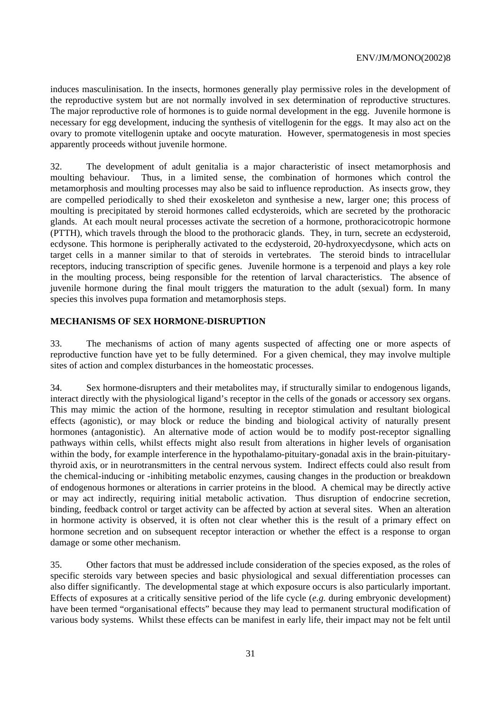induces masculinisation. In the insects, hormones generally play permissive roles in the development of the reproductive system but are not normally involved in sex determination of reproductive structures. The major reproductive role of hormones is to guide normal development in the egg. Juvenile hormone is necessary for egg development, inducing the synthesis of vitellogenin for the eggs. It may also act on the ovary to promote vitellogenin uptake and oocyte maturation. However, spermatogenesis in most species apparently proceeds without juvenile hormone.

32. The development of adult genitalia is a major characteristic of insect metamorphosis and moulting behaviour. Thus, in a limited sense, the combination of hormones which control the metamorphosis and moulting processes may also be said to influence reproduction. As insects grow, they are compelled periodically to shed their exoskeleton and synthesise a new, larger one; this process of moulting is precipitated by steroid hormones called ecdysteroids, which are secreted by the prothoracic glands. At each moult neural processes activate the secretion of a hormone, prothoracicotropic hormone (PTTH), which travels through the blood to the prothoracic glands. They, in turn, secrete an ecdysteroid, ecdysone. This hormone is peripherally activated to the ecdysteroid, 20-hydroxyecdysone, which acts on target cells in a manner similar to that of steroids in vertebrates. The steroid binds to intracellular receptors, inducing transcription of specific genes. Juvenile hormone is a terpenoid and plays a key role in the moulting process, being responsible for the retention of larval characteristics. The absence of juvenile hormone during the final moult triggers the maturation to the adult (sexual) form. In many species this involves pupa formation and metamorphosis steps.

#### **MECHANISMS OF SEX HORMONE-DISRUPTION**

33. The mechanisms of action of many agents suspected of affecting one or more aspects of reproductive function have yet to be fully determined. For a given chemical, they may involve multiple sites of action and complex disturbances in the homeostatic processes.

34. Sex hormone-disrupters and their metabolites may, if structurally similar to endogenous ligands, interact directly with the physiological ligand's receptor in the cells of the gonads or accessory sex organs. This may mimic the action of the hormone, resulting in receptor stimulation and resultant biological effects (agonistic), or may block or reduce the binding and biological activity of naturally present hormones (antagonistic). An alternative mode of action would be to modify post-receptor signalling pathways within cells, whilst effects might also result from alterations in higher levels of organisation within the body, for example interference in the hypothalamo-pituitary-gonadal axis in the brain-pituitarythyroid axis, or in neurotransmitters in the central nervous system. Indirect effects could also result from the chemical-inducing or -inhibiting metabolic enzymes, causing changes in the production or breakdown of endogenous hormones or alterations in carrier proteins in the blood. A chemical may be directly active or may act indirectly, requiring initial metabolic activation. Thus disruption of endocrine secretion, binding, feedback control or target activity can be affected by action at several sites. When an alteration in hormone activity is observed, it is often not clear whether this is the result of a primary effect on hormone secretion and on subsequent receptor interaction or whether the effect is a response to organ damage or some other mechanism.

35. Other factors that must be addressed include consideration of the species exposed, as the roles of specific steroids vary between species and basic physiological and sexual differentiation processes can also differ significantly. The developmental stage at which exposure occurs is also particularly important. Effects of exposures at a critically sensitive period of the life cycle (*e.g.* during embryonic development) have been termed "organisational effects" because they may lead to permanent structural modification of various body systems. Whilst these effects can be manifest in early life, their impact may not be felt until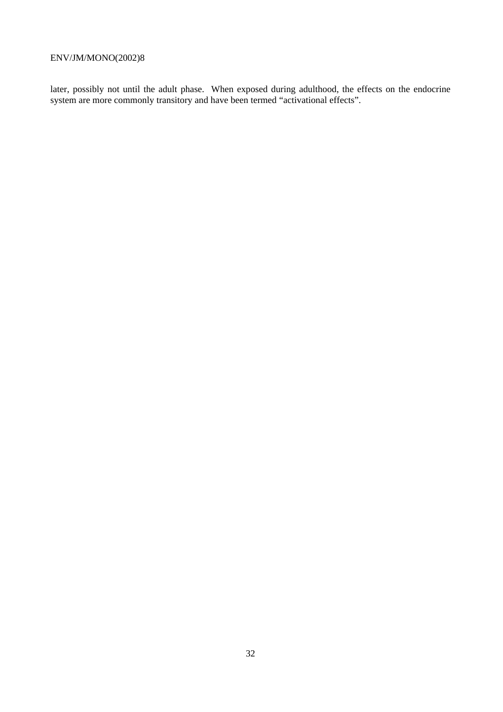later, possibly not until the adult phase. When exposed during adulthood, the effects on the endocrine system are more commonly transitory and have been termed "activational effects".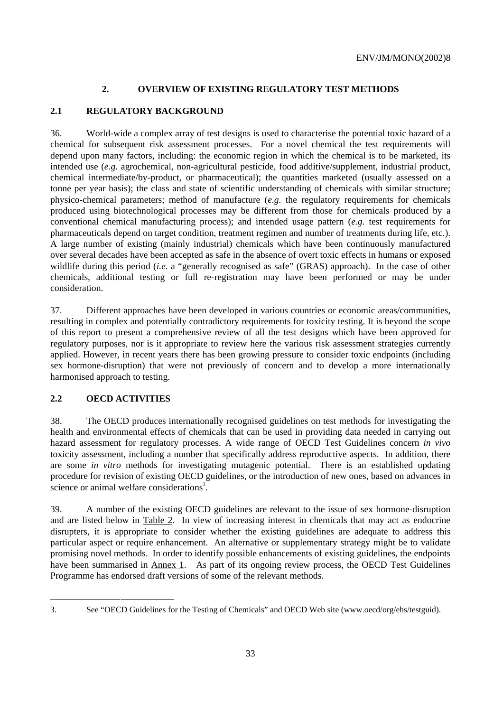## **2. OVERVIEW OF EXISTING REGULATORY TEST METHODS**

## **2.1 REGULATORY BACKGROUND**

36. World-wide a complex array of test designs is used to characterise the potential toxic hazard of a chemical for subsequent risk assessment processes. For a novel chemical the test requirements will depend upon many factors, including: the economic region in which the chemical is to be marketed, its intended use (*e.g.* agrochemical, non-agricultural pesticide, food additive/supplement, industrial product, chemical intermediate/by-product, or pharmaceutical); the quantities marketed (usually assessed on a tonne per year basis); the class and state of scientific understanding of chemicals with similar structure; physico-chemical parameters; method of manufacture (*e.g.* the regulatory requirements for chemicals produced using biotechnological processes may be different from those for chemicals produced by a conventional chemical manufacturing process); and intended usage pattern (*e.g.* test requirements for pharmaceuticals depend on target condition, treatment regimen and number of treatments during life, etc*.*). A large number of existing (mainly industrial) chemicals which have been continuously manufactured over several decades have been accepted as safe in the absence of overt toxic effects in humans or exposed wildlife during this period (*i.e.* a "generally recognised as safe" (GRAS) approach). In the case of other chemicals, additional testing or full re-registration may have been performed or may be under consideration.

37. Different approaches have been developed in various countries or economic areas/communities, resulting in complex and potentially contradictory requirements for toxicity testing. It is beyond the scope of this report to present a comprehensive review of all the test designs which have been approved for regulatory purposes, nor is it appropriate to review here the various risk assessment strategies currently applied. However, in recent years there has been growing pressure to consider toxic endpoints (including sex hormone-disruption) that were not previously of concern and to develop a more internationally harmonised approach to testing.

## **2.2 OECD ACTIVITIES**

38. The OECD produces internationally recognised guidelines on test methods for investigating the health and environmental effects of chemicals that can be used in providing data needed in carrying out hazard assessment for regulatory processes. A wide range of OECD Test Guidelines concern *in vivo* toxicity assessment, including a number that specifically address reproductive aspects. In addition, there are some *in vitro* methods for investigating mutagenic potential. There is an established updating procedure for revision of existing OECD guidelines, or the introduction of new ones, based on advances in science or animal welfare considerations<sup>3</sup>.

39. A number of the existing OECD guidelines are relevant to the issue of sex hormone-disruption and are listed below in Table 2. In view of increasing interest in chemicals that may act as endocrine disrupters, it is appropriate to consider whether the existing guidelines are adequate to address this particular aspect or require enhancement. An alternative or supplementary strategy might be to validate promising novel methods. In order to identify possible enhancements of existing guidelines, the endpoints have been summarised in Annex 1. As part of its ongoing review process, the OECD Test Guidelines Programme has endorsed draft versions of some of the relevant methods.

<sup>-</sup>3. See "OECD Guidelines for the Testing of Chemicals" and OECD Web site (www.oecd/org/ehs/testguid).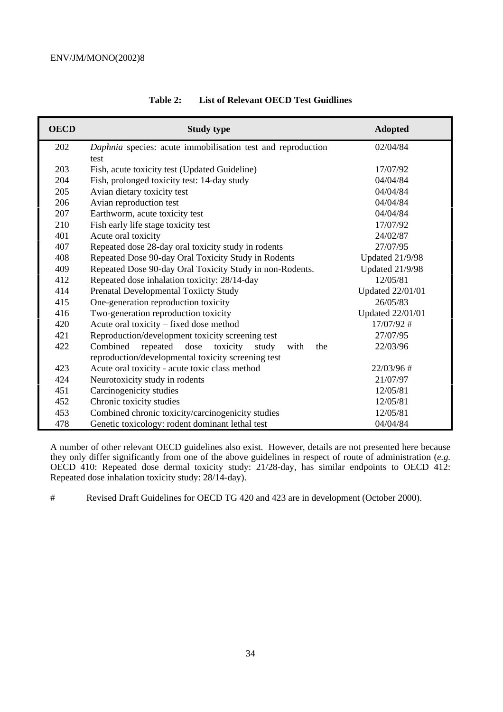| <b>OECD</b> | <b>Study type</b>                                                | <b>Adopted</b>          |
|-------------|------------------------------------------------------------------|-------------------------|
| 202         | Daphnia species: acute immobilisation test and reproduction      | 02/04/84                |
|             | test                                                             |                         |
| 203         | Fish, acute toxicity test (Updated Guideline)                    | 17/07/92                |
| 204         | Fish, prolonged toxicity test: 14-day study                      | 04/04/84                |
| 205         | Avian dietary toxicity test                                      | 04/04/84                |
| 206         | Avian reproduction test                                          | 04/04/84                |
| 207         | Earthworm, acute toxicity test                                   | 04/04/84                |
| 210         | Fish early life stage toxicity test                              | 17/07/92                |
| 401         | Acute oral toxicity                                              | 24/02/87                |
| 407         | Repeated dose 28-day oral toxicity study in rodents              | 27/07/95                |
| 408         | Repeated Dose 90-day Oral Toxicity Study in Rodents              | <b>Updated 21/9/98</b>  |
| 409         | Repeated Dose 90-day Oral Toxicity Study in non-Rodents.         | <b>Updated 21/9/98</b>  |
| 412         | Repeated dose inhalation toxicity: 28/14-day                     | 12/05/81                |
| 414         | Prenatal Developmental Toxiicty Study                            | <b>Updated 22/01/01</b> |
| 415         | One-generation reproduction toxicity                             | 26/05/83                |
| 416         | Two-generation reproduction toxicity                             | <b>Updated 22/01/01</b> |
| 420         | Acute oral toxicity – fixed dose method                          | 17/07/92 #              |
| 421         | Reproduction/development toxicity screening test                 | 27/07/95                |
| 422         | Combined<br>repeated<br>dose<br>toxicity<br>study<br>with<br>the | 22/03/96                |
|             | reproduction/developmental toxicity screening test               |                         |
| 423         | Acute oral toxicity - acute toxic class method                   | 22/03/96 #              |
| 424         | Neurotoxicity study in rodents                                   | 21/07/97                |
| 451         | Carcinogenicity studies                                          | 12/05/81                |
| 452         | Chronic toxicity studies                                         | 12/05/81                |
| 453         | Combined chronic toxicity/carcinogenicity studies                | 12/05/81                |
| 478         | Genetic toxicology: rodent dominant lethal test                  | 04/04/84                |

## **Table 2: List of Relevant OECD Test Guidlines**

A number of other relevant OECD guidelines also exist. However, details are not presented here because they only differ significantly from one of the above guidelines in respect of route of administration (*e.g.* OECD 410: Repeated dose dermal toxicity study: 21/28-day, has similar endpoints to OECD 412: Repeated dose inhalation toxicity study: 28/14-day).

# Revised Draft Guidelines for OECD TG 420 and 423 are in development (October 2000).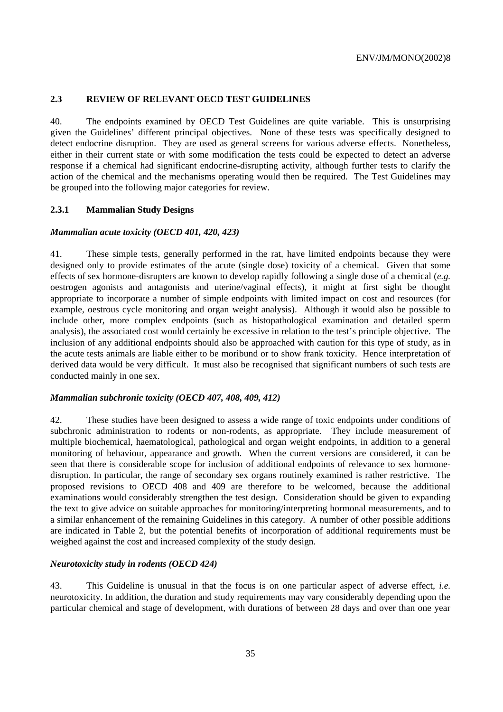#### **2.3 REVIEW OF RELEVANT OECD TEST GUIDELINES**

40. The endpoints examined by OECD Test Guidelines are quite variable. This is unsurprising given the Guidelines' different principal objectives. None of these tests was specifically designed to detect endocrine disruption. They are used as general screens for various adverse effects. Nonetheless, either in their current state or with some modification the tests could be expected to detect an adverse response if a chemical had significant endocrine-disrupting activity, although further tests to clarify the action of the chemical and the mechanisms operating would then be required. The Test Guidelines may be grouped into the following major categories for review.

#### **2.3.1 Mammalian Study Designs**

#### *Mammalian acute toxicity (OECD 401, 420, 423)*

41. These simple tests, generally performed in the rat, have limited endpoints because they were designed only to provide estimates of the acute (single dose) toxicity of a chemical. Given that some effects of sex hormone-disrupters are known to develop rapidly following a single dose of a chemical (*e.g.* oestrogen agonists and antagonists and uterine/vaginal effects), it might at first sight be thought appropriate to incorporate a number of simple endpoints with limited impact on cost and resources (for example, oestrous cycle monitoring and organ weight analysis). Although it would also be possible to include other, more complex endpoints (such as histopathological examination and detailed sperm analysis), the associated cost would certainly be excessive in relation to the test's principle objective. The inclusion of any additional endpoints should also be approached with caution for this type of study, as in the acute tests animals are liable either to be moribund or to show frank toxicity. Hence interpretation of derived data would be very difficult. It must also be recognised that significant numbers of such tests are conducted mainly in one sex.

#### *Mammalian subchronic toxicity (OECD 407, 408, 409, 412)*

42. These studies have been designed to assess a wide range of toxic endpoints under conditions of subchronic administration to rodents or non-rodents, as appropriate. They include measurement of multiple biochemical, haematological, pathological and organ weight endpoints, in addition to a general monitoring of behaviour, appearance and growth. When the current versions are considered, it can be seen that there is considerable scope for inclusion of additional endpoints of relevance to sex hormonedisruption. In particular, the range of secondary sex organs routinely examined is rather restrictive. The proposed revisions to OECD 408 and 409 are therefore to be welcomed, because the additional examinations would considerably strengthen the test design. Consideration should be given to expanding the text to give advice on suitable approaches for monitoring/interpreting hormonal measurements, and to a similar enhancement of the remaining Guidelines in this category. A number of other possible additions are indicated in Table 2, but the potential benefits of incorporation of additional requirements must be weighed against the cost and increased complexity of the study design.

#### *Neurotoxicity study in rodents (OECD 424)*

43. This Guideline is unusual in that the focus is on one particular aspect of adverse effect, *i.e.* neurotoxicity. In addition, the duration and study requirements may vary considerably depending upon the particular chemical and stage of development, with durations of between 28 days and over than one year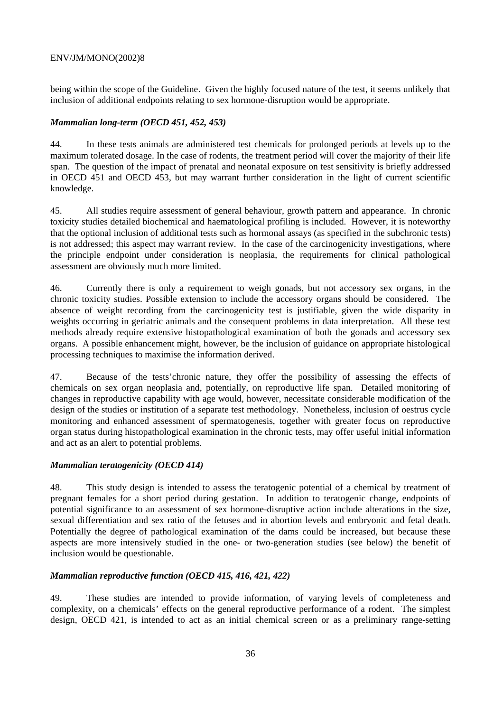being within the scope of the Guideline. Given the highly focused nature of the test, it seems unlikely that inclusion of additional endpoints relating to sex hormone-disruption would be appropriate.

#### *Mammalian long-term (OECD 451, 452, 453)*

44. In these tests animals are administered test chemicals for prolonged periods at levels up to the maximum tolerated dosage. In the case of rodents, the treatment period will cover the majority of their life span. The question of the impact of prenatal and neonatal exposure on test sensitivity is briefly addressed in OECD 451 and OECD 453, but may warrant further consideration in the light of current scientific knowledge.

45. All studies require assessment of general behaviour, growth pattern and appearance. In chronic toxicity studies detailed biochemical and haematological profiling is included. However, it is noteworthy that the optional inclusion of additional tests such as hormonal assays (as specified in the subchronic tests) is not addressed; this aspect may warrant review. In the case of the carcinogenicity investigations, where the principle endpoint under consideration is neoplasia, the requirements for clinical pathological assessment are obviously much more limited.

46. Currently there is only a requirement to weigh gonads, but not accessory sex organs, in the chronic toxicity studies. Possible extension to include the accessory organs should be considered. The absence of weight recording from the carcinogenicity test is justifiable, given the wide disparity in weights occurring in geriatric animals and the consequent problems in data interpretation. All these test methods already require extensive histopathological examination of both the gonads and accessory sex organs. A possible enhancement might, however, be the inclusion of guidance on appropriate histological processing techniques to maximise the information derived.

47. Because of the tests'chronic nature, they offer the possibility of assessing the effects of chemicals on sex organ neoplasia and, potentially, on reproductive life span. Detailed monitoring of changes in reproductive capability with age would, however, necessitate considerable modification of the design of the studies or institution of a separate test methodology. Nonetheless, inclusion of oestrus cycle monitoring and enhanced assessment of spermatogenesis, together with greater focus on reproductive organ status during histopathological examination in the chronic tests, may offer useful initial information and act as an alert to potential problems.

#### *Mammalian teratogenicity (OECD 414)*

48. This study design is intended to assess the teratogenic potential of a chemical by treatment of pregnant females for a short period during gestation. In addition to teratogenic change, endpoints of potential significance to an assessment of sex hormone-disruptive action include alterations in the size, sexual differentiation and sex ratio of the fetuses and in abortion levels and embryonic and fetal death. Potentially the degree of pathological examination of the dams could be increased, but because these aspects are more intensively studied in the one- or two-generation studies (see below) the benefit of inclusion would be questionable.

#### *Mammalian reproductive function (OECD 415, 416, 421, 422)*

49. These studies are intended to provide information, of varying levels of completeness and complexity, on a chemicals' effects on the general reproductive performance of a rodent. The simplest design, OECD 421, is intended to act as an initial chemical screen or as a preliminary range-setting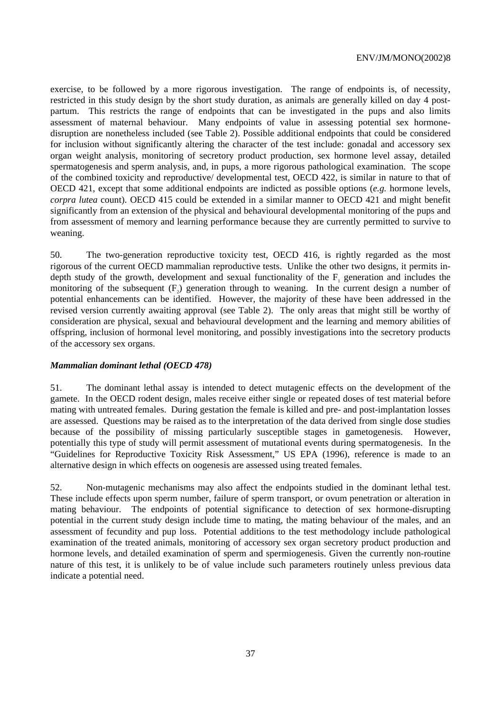exercise, to be followed by a more rigorous investigation. The range of endpoints is, of necessity, restricted in this study design by the short study duration, as animals are generally killed on day 4 postpartum. This restricts the range of endpoints that can be investigated in the pups and also limits assessment of maternal behaviour. Many endpoints of value in assessing potential sex hormonedisruption are nonetheless included (see Table 2). Possible additional endpoints that could be considered for inclusion without significantly altering the character of the test include: gonadal and accessory sex organ weight analysis, monitoring of secretory product production, sex hormone level assay, detailed spermatogenesis and sperm analysis, and, in pups, a more rigorous pathological examination. The scope of the combined toxicity and reproductive/ developmental test, OECD 422, is similar in nature to that of OECD 421, except that some additional endpoints are indicted as possible options (*e.g.* hormone levels, *corpra lutea* count). OECD 415 could be extended in a similar manner to OECD 421 and might benefit significantly from an extension of the physical and behavioural developmental monitoring of the pups and from assessment of memory and learning performance because they are currently permitted to survive to weaning.

50. The two-generation reproductive toxicity test, OECD 416, is rightly regarded as the most rigorous of the current OECD mammalian reproductive tests. Unlike the other two designs, it permits indepth study of the growth, development and sexual functionality of the  $F_1$  generation and includes the monitoring of the subsequent  $(F_2)$  generation through to weaning. In the current design a number of potential enhancements can be identified. However, the majority of these have been addressed in the revised version currently awaiting approval (see Table 2). The only areas that might still be worthy of consideration are physical, sexual and behavioural development and the learning and memory abilities of offspring, inclusion of hormonal level monitoring, and possibly investigations into the secretory products of the accessory sex organs.

### *Mammalian dominant lethal (OECD 478)*

51. The dominant lethal assay is intended to detect mutagenic effects on the development of the gamete. In the OECD rodent design, males receive either single or repeated doses of test material before mating with untreated females. During gestation the female is killed and pre- and post-implantation losses are assessed. Questions may be raised as to the interpretation of the data derived from single dose studies because of the possibility of missing particularly susceptible stages in gametogenesis. However, potentially this type of study will permit assessment of mutational events during spermatogenesis. In the "Guidelines for Reproductive Toxicity Risk Assessment," US EPA (1996), reference is made to an alternative design in which effects on oogenesis are assessed using treated females.

52. Non-mutagenic mechanisms may also affect the endpoints studied in the dominant lethal test. These include effects upon sperm number, failure of sperm transport, or ovum penetration or alteration in mating behaviour. The endpoints of potential significance to detection of sex hormone-disrupting potential in the current study design include time to mating, the mating behaviour of the males, and an assessment of fecundity and pup loss. Potential additions to the test methodology include pathological examination of the treated animals, monitoring of accessory sex organ secretory product production and hormone levels, and detailed examination of sperm and spermiogenesis. Given the currently non-routine nature of this test, it is unlikely to be of value include such parameters routinely unless previous data indicate a potential need.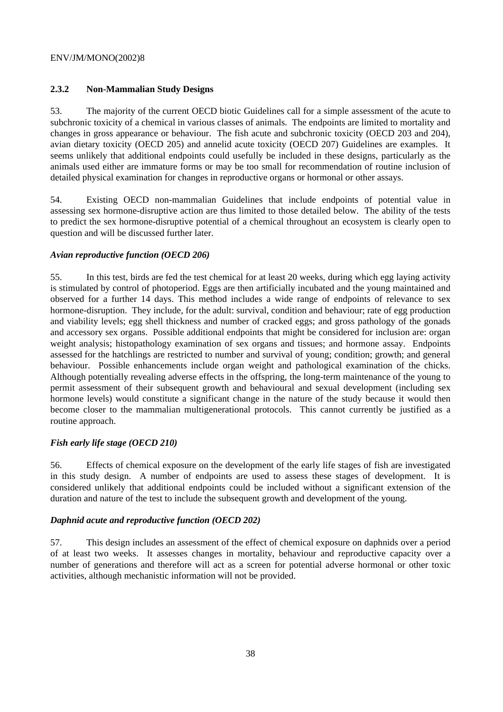# **2.3.2 Non-Mammalian Study Designs**

53. The majority of the current OECD biotic Guidelines call for a simple assessment of the acute to subchronic toxicity of a chemical in various classes of animals. The endpoints are limited to mortality and changes in gross appearance or behaviour. The fish acute and subchronic toxicity (OECD 203 and 204), avian dietary toxicity (OECD 205) and annelid acute toxicity (OECD 207) Guidelines are examples. It seems unlikely that additional endpoints could usefully be included in these designs, particularly as the animals used either are immature forms or may be too small for recommendation of routine inclusion of detailed physical examination for changes in reproductive organs or hormonal or other assays.

54. Existing OECD non-mammalian Guidelines that include endpoints of potential value in assessing sex hormone-disruptive action are thus limited to those detailed below. The ability of the tests to predict the sex hormone-disruptive potential of a chemical throughout an ecosystem is clearly open to question and will be discussed further later.

# *Avian reproductive function (OECD 206)*

55. In this test, birds are fed the test chemical for at least 20 weeks, during which egg laying activity is stimulated by control of photoperiod. Eggs are then artificially incubated and the young maintained and observed for a further 14 days. This method includes a wide range of endpoints of relevance to sex hormone-disruption. They include, for the adult: survival, condition and behaviour; rate of egg production and viability levels; egg shell thickness and number of cracked eggs; and gross pathology of the gonads and accessory sex organs. Possible additional endpoints that might be considered for inclusion are: organ weight analysis; histopathology examination of sex organs and tissues; and hormone assay. Endpoints assessed for the hatchlings are restricted to number and survival of young; condition; growth; and general behaviour. Possible enhancements include organ weight and pathological examination of the chicks. Although potentially revealing adverse effects in the offspring, the long-term maintenance of the young to permit assessment of their subsequent growth and behavioural and sexual development (including sex hormone levels) would constitute a significant change in the nature of the study because it would then become closer to the mammalian multigenerational protocols. This cannot currently be justified as a routine approach.

# *Fish early life stage (OECD 210)*

56. Effects of chemical exposure on the development of the early life stages of fish are investigated in this study design. A number of endpoints are used to assess these stages of development. It is considered unlikely that additional endpoints could be included without a significant extension of the duration and nature of the test to include the subsequent growth and development of the young.

# *Daphnid acute and reproductive function (OECD 202)*

57. This design includes an assessment of the effect of chemical exposure on daphnids over a period of at least two weeks. It assesses changes in mortality, behaviour and reproductive capacity over a number of generations and therefore will act as a screen for potential adverse hormonal or other toxic activities, although mechanistic information will not be provided.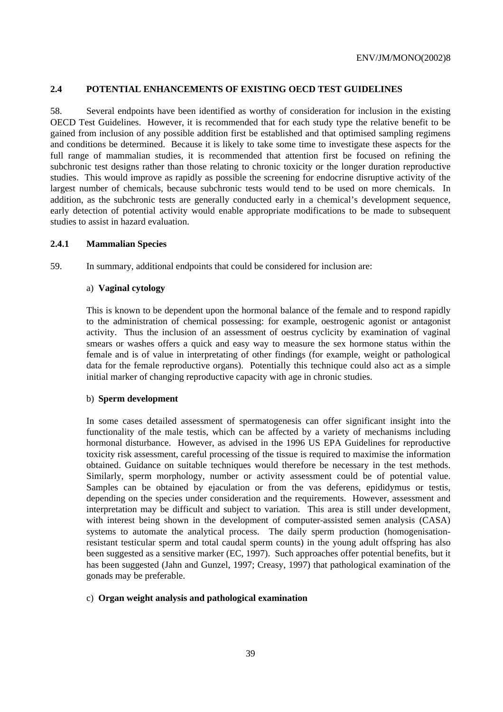# **2.4 POTENTIAL ENHANCEMENTS OF EXISTING OECD TEST GUIDELINES**

58. Several endpoints have been identified as worthy of consideration for inclusion in the existing OECD Test Guidelines. However, it is recommended that for each study type the relative benefit to be gained from inclusion of any possible addition first be established and that optimised sampling regimens and conditions be determined. Because it is likely to take some time to investigate these aspects for the full range of mammalian studies, it is recommended that attention first be focused on refining the subchronic test designs rather than those relating to chronic toxicity or the longer duration reproductive studies. This would improve as rapidly as possible the screening for endocrine disruptive activity of the largest number of chemicals, because subchronic tests would tend to be used on more chemicals. In addition, as the subchronic tests are generally conducted early in a chemical's development sequence, early detection of potential activity would enable appropriate modifications to be made to subsequent studies to assist in hazard evaluation.

### **2.4.1 Mammalian Species**

59. In summary, additional endpoints that could be considered for inclusion are:

### a) **Vaginal cytology**

This is known to be dependent upon the hormonal balance of the female and to respond rapidly to the administration of chemical possessing: for example, oestrogenic agonist or antagonist activity. Thus the inclusion of an assessment of oestrus cyclicity by examination of vaginal smears or washes offers a quick and easy way to measure the sex hormone status within the female and is of value in interpretating of other findings (for example, weight or pathological data for the female reproductive organs). Potentially this technique could also act as a simple initial marker of changing reproductive capacity with age in chronic studies.

### b) **Sperm development**

In some cases detailed assessment of spermatogenesis can offer significant insight into the functionality of the male testis, which can be affected by a variety of mechanisms including hormonal disturbance. However, as advised in the 1996 US EPA Guidelines for reproductive toxicity risk assessment, careful processing of the tissue is required to maximise the information obtained. Guidance on suitable techniques would therefore be necessary in the test methods. Similarly, sperm morphology, number or activity assessment could be of potential value. Samples can be obtained by ejaculation or from the vas deferens, epididymus or testis, depending on the species under consideration and the requirements. However, assessment and interpretation may be difficult and subject to variation. This area is still under development, with interest being shown in the development of computer-assisted semen analysis (CASA) systems to automate the analytical process. The daily sperm production (homogenisationresistant testicular sperm and total caudal sperm counts) in the young adult offspring has also been suggested as a sensitive marker (EC, 1997). Such approaches offer potential benefits, but it has been suggested (Jahn and Gunzel, 1997; Creasy, 1997) that pathological examination of the gonads may be preferable.

#### c) **Organ weight analysis and pathological examination**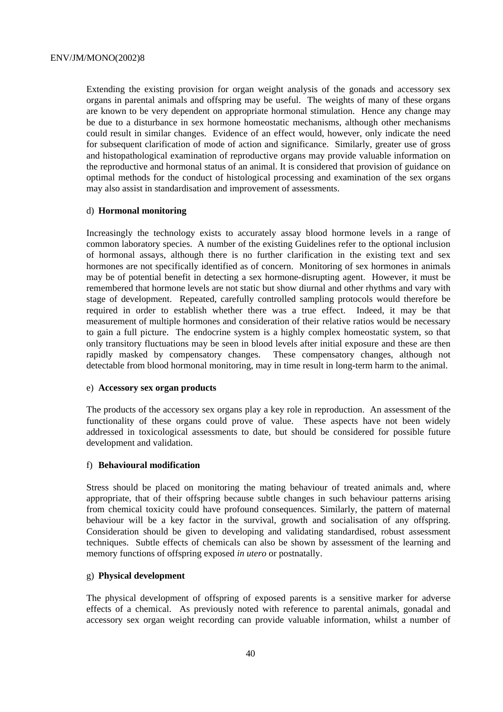Extending the existing provision for organ weight analysis of the gonads and accessory sex organs in parental animals and offspring may be useful. The weights of many of these organs are known to be very dependent on appropriate hormonal stimulation. Hence any change may be due to a disturbance in sex hormone homeostatic mechanisms, although other mechanisms could result in similar changes. Evidence of an effect would, however, only indicate the need for subsequent clarification of mode of action and significance. Similarly, greater use of gross and histopathological examination of reproductive organs may provide valuable information on the reproductive and hormonal status of an animal. It is considered that provision of guidance on optimal methods for the conduct of histological processing and examination of the sex organs may also assist in standardisation and improvement of assessments.

## d) **Hormonal monitoring**

Increasingly the technology exists to accurately assay blood hormone levels in a range of common laboratory species. A number of the existing Guidelines refer to the optional inclusion of hormonal assays, although there is no further clarification in the existing text and sex hormones are not specifically identified as of concern. Monitoring of sex hormones in animals may be of potential benefit in detecting a sex hormone-disrupting agent. However, it must be remembered that hormone levels are not static but show diurnal and other rhythms and vary with stage of development. Repeated, carefully controlled sampling protocols would therefore be required in order to establish whether there was a true effect. Indeed, it may be that measurement of multiple hormones and consideration of their relative ratios would be necessary to gain a full picture. The endocrine system is a highly complex homeostatic system, so that only transitory fluctuations may be seen in blood levels after initial exposure and these are then rapidly masked by compensatory changes. These compensatory changes, although not detectable from blood hormonal monitoring, may in time result in long-term harm to the animal.

### e) **Accessory sex organ products**

The products of the accessory sex organs play a key role in reproduction. An assessment of the functionality of these organs could prove of value. These aspects have not been widely addressed in toxicological assessments to date, but should be considered for possible future development and validation.

### f) **Behavioural modification**

Stress should be placed on monitoring the mating behaviour of treated animals and, where appropriate, that of their offspring because subtle changes in such behaviour patterns arising from chemical toxicity could have profound consequences. Similarly, the pattern of maternal behaviour will be a key factor in the survival, growth and socialisation of any offspring. Consideration should be given to developing and validating standardised, robust assessment techniques. Subtle effects of chemicals can also be shown by assessment of the learning and memory functions of offspring exposed *in utero* or postnatally.

### g) **Physical development**

The physical development of offspring of exposed parents is a sensitive marker for adverse effects of a chemical. As previously noted with reference to parental animals, gonadal and accessory sex organ weight recording can provide valuable information, whilst a number of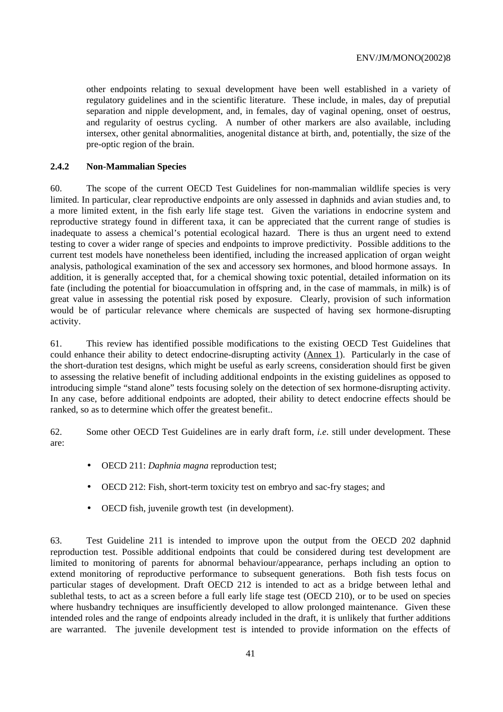other endpoints relating to sexual development have been well established in a variety of regulatory guidelines and in the scientific literature. These include, in males, day of preputial separation and nipple development, and, in females, day of vaginal opening, onset of oestrus, and regularity of oestrus cycling. A number of other markers are also available, including intersex, other genital abnormalities, anogenital distance at birth, and, potentially, the size of the pre-optic region of the brain.

# **2.4.2 Non-Mammalian Species**

60. The scope of the current OECD Test Guidelines for non-mammalian wildlife species is very limited. In particular, clear reproductive endpoints are only assessed in daphnids and avian studies and, to a more limited extent, in the fish early life stage test. Given the variations in endocrine system and reproductive strategy found in different taxa, it can be appreciated that the current range of studies is inadequate to assess a chemical's potential ecological hazard. There is thus an urgent need to extend testing to cover a wider range of species and endpoints to improve predictivity. Possible additions to the current test models have nonetheless been identified, including the increased application of organ weight analysis, pathological examination of the sex and accessory sex hormones, and blood hormone assays. In addition, it is generally accepted that, for a chemical showing toxic potential, detailed information on its fate (including the potential for bioaccumulation in offspring and, in the case of mammals, in milk) is of great value in assessing the potential risk posed by exposure. Clearly, provision of such information would be of particular relevance where chemicals are suspected of having sex hormone-disrupting activity.

61. This review has identified possible modifications to the existing OECD Test Guidelines that could enhance their ability to detect endocrine-disrupting activity (Annex 1). Particularly in the case of the short-duration test designs, which might be useful as early screens, consideration should first be given to assessing the relative benefit of including additional endpoints in the existing guidelines as opposed to introducing simple "stand alone" tests focusing solely on the detection of sex hormone-disrupting activity. In any case, before additional endpoints are adopted, their ability to detect endocrine effects should be ranked, so as to determine which offer the greatest benefit..

62. Some other OECD Test Guidelines are in early draft form, *i.e*. still under development. These are:

- OECD 211: *Daphnia magna* reproduction test;
- OECD 212: Fish, short-term toxicity test on embryo and sac-fry stages; and
- OECD fish, juvenile growth test (in development).

63. Test Guideline 211 is intended to improve upon the output from the OECD 202 daphnid reproduction test. Possible additional endpoints that could be considered during test development are limited to monitoring of parents for abnormal behaviour/appearance, perhaps including an option to extend monitoring of reproductive performance to subsequent generations. Both fish tests focus on particular stages of development. Draft OECD 212 is intended to act as a bridge between lethal and sublethal tests, to act as a screen before a full early life stage test (OECD 210), or to be used on species where husbandry techniques are insufficiently developed to allow prolonged maintenance. Given these intended roles and the range of endpoints already included in the draft, it is unlikely that further additions are warranted. The juvenile development test is intended to provide information on the effects of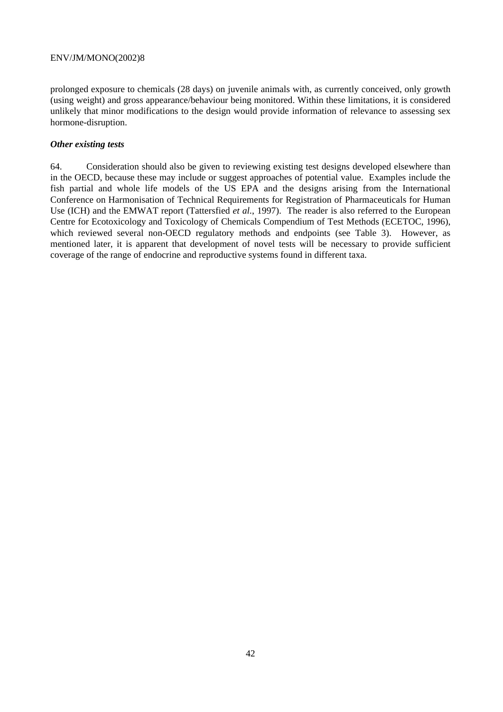prolonged exposure to chemicals (28 days) on juvenile animals with, as currently conceived, only growth (using weight) and gross appearance/behaviour being monitored. Within these limitations, it is considered unlikely that minor modifications to the design would provide information of relevance to assessing sex hormone-disruption.

## *Other existing tests*

64. Consideration should also be given to reviewing existing test designs developed elsewhere than in the OECD, because these may include or suggest approaches of potential value. Examples include the fish partial and whole life models of the US EPA and the designs arising from the International Conference on Harmonisation of Technical Requirements for Registration of Pharmaceuticals for Human Use (ICH) and the EMWAT report (Tattersfied *et al.*, 1997). The reader is also referred to the European Centre for Ecotoxicology and Toxicology of Chemicals Compendium of Test Methods (ECETOC, 1996), which reviewed several non-OECD regulatory methods and endpoints (see Table 3). However, as mentioned later, it is apparent that development of novel tests will be necessary to provide sufficient coverage of the range of endocrine and reproductive systems found in different taxa.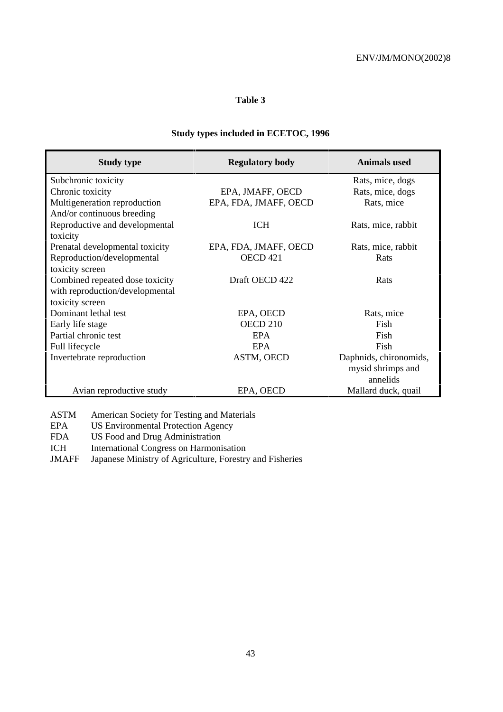# **Table 3**

## **Study types included in ECETOC, 1996**

| <b>Study type</b>               | <b>Regulatory body</b> | <b>Animals used</b>    |
|---------------------------------|------------------------|------------------------|
| Subchronic toxicity             |                        | Rats, mice, dogs       |
| Chronic toxicity                | EPA, JMAFF, OECD       | Rats, mice, dogs       |
| Multigeneration reproduction    | EPA, FDA, JMAFF, OECD  | Rats, mice             |
| And/or continuous breeding      |                        |                        |
| Reproductive and developmental  | <b>ICH</b>             | Rats, mice, rabbit     |
| toxicity                        |                        |                        |
| Prenatal developmental toxicity | EPA, FDA, JMAFF, OECD  | Rats, mice, rabbit     |
| Reproduction/developmental      | OECD <sub>421</sub>    | Rats                   |
| toxicity screen                 |                        |                        |
| Combined repeated dose toxicity | Draft OECD 422         | Rats                   |
| with reproduction/developmental |                        |                        |
| toxicity screen                 |                        |                        |
| Dominant lethal test            | EPA, OECD              | Rats, mice             |
| Early life stage                | OECD <sub>210</sub>    | Fish                   |
| Partial chronic test            | EPA                    | Fish                   |
| Full lifecycle                  | <b>EPA</b>             | Fish                   |
| Invertebrate reproduction       | ASTM, OECD             | Daphnids, chironomids, |
|                                 |                        | mysid shrimps and      |
|                                 |                        | annelids               |
| Avian reproductive study        | EPA, OECD              | Mallard duck, quail    |

ASTM American Society for Testing and Materials

EPA US Environmental Protection Agency

FDA US Food and Drug Administration<br>ICH International Congress on Harmoni

International Congress on Harmonisation

JMAFF Japanese Ministry of Agriculture, Forestry and Fisheries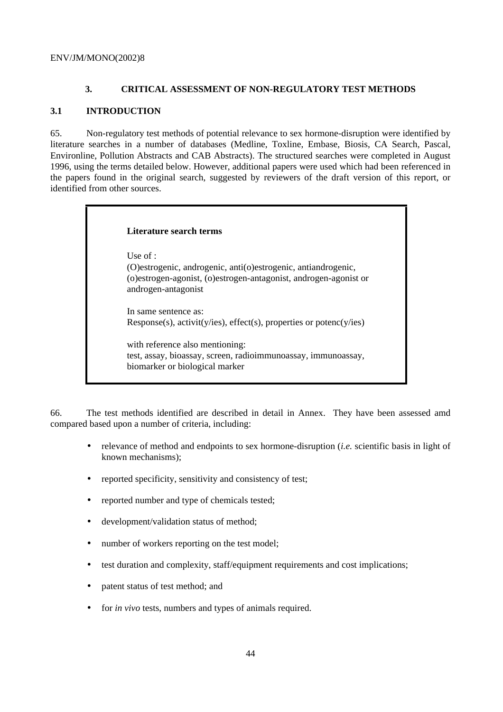# **3. CRITICAL ASSESSMENT OF NON-REGULATORY TEST METHODS**

# **3.1 INTRODUCTION**

65. Non-regulatory test methods of potential relevance to sex hormone-disruption were identified by literature searches in a number of databases (Medline, Toxline, Embase, Biosis, CA Search, Pascal, Environline, Pollution Abstracts and CAB Abstracts). The structured searches were completed in August 1996, using the terms detailed below. However, additional papers were used which had been referenced in the papers found in the original search, suggested by reviewers of the draft version of this report, or identified from other sources.

# **Literature search terms**

Use of :

(O)estrogenic, androgenic, anti(o)estrogenic, antiandrogenic, (o)estrogen-agonist, (o)estrogen-antagonist, androgen-agonist or androgen-antagonist

In same sentence as:  $Response(s)$ , activit(y/ies), effect(s), properties or potenc(y/ies)

with reference also mentioning: test, assay, bioassay, screen, radioimmunoassay, immunoassay, biomarker or biological marker

66. The test methods identified are described in detail in Annex. They have been assessed amd compared based upon a number of criteria, including:

- relevance of method and endpoints to sex hormone-disruption *(<i>i.e.* scientific basis in light of known mechanisms);
- reported specificity, sensitivity and consistency of test;
- reported number and type of chemicals tested;
- development/validation status of method;
- number of workers reporting on the test model;
- test duration and complexity, staff/equipment requirements and cost implications;
- patent status of test method; and
- for *in vivo* tests, numbers and types of animals required.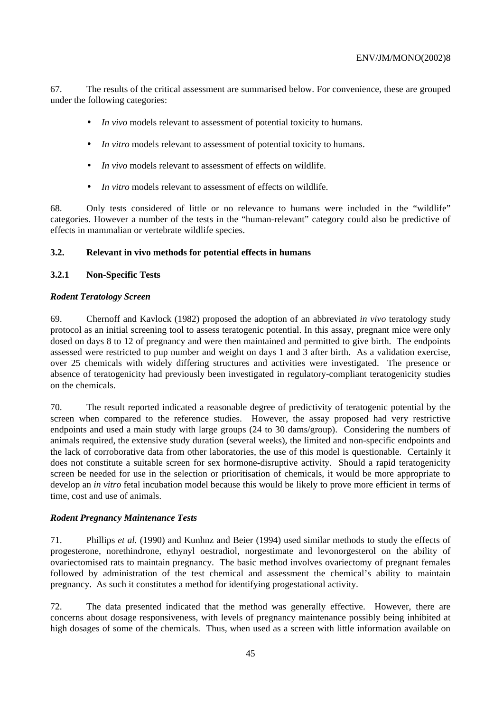67. The results of the critical assessment are summarised below. For convenience, these are grouped under the following categories:

- *In vivo* models relevant to assessment of potential toxicity to humans.
- *In vitro* models relevant to assessment of potential toxicity to humans.
- In vivo models relevant to assessment of effects on wildlife.
- In vitro models relevant to assessment of effects on wildlife.

68. Only tests considered of little or no relevance to humans were included in the "wildlife" categories. However a number of the tests in the "human-relevant" category could also be predictive of effects in mammalian or vertebrate wildlife species.

# **3.2. Relevant in vivo methods for potential effects in humans**

# **3.2.1 Non-Specific Tests**

# *Rodent Teratology Screen*

69. Chernoff and Kavlock (1982) proposed the adoption of an abbreviated *in vivo* teratology study protocol as an initial screening tool to assess teratogenic potential. In this assay, pregnant mice were only dosed on days 8 to 12 of pregnancy and were then maintained and permitted to give birth. The endpoints assessed were restricted to pup number and weight on days 1 and 3 after birth. As a validation exercise, over 25 chemicals with widely differing structures and activities were investigated. The presence or absence of teratogenicity had previously been investigated in regulatory-compliant teratogenicity studies on the chemicals.

70. The result reported indicated a reasonable degree of predictivity of teratogenic potential by the screen when compared to the reference studies. However, the assay proposed had very restrictive endpoints and used a main study with large groups (24 to 30 dams/group). Considering the numbers of animals required, the extensive study duration (several weeks), the limited and non-specific endpoints and the lack of corroborative data from other laboratories, the use of this model is questionable. Certainly it does not constitute a suitable screen for sex hormone-disruptive activity. Should a rapid teratogenicity screen be needed for use in the selection or prioritisation of chemicals, it would be more appropriate to develop an *in vitro* fetal incubation model because this would be likely to prove more efficient in terms of time, cost and use of animals.

# *Rodent Pregnancy Maintenance Tests*

71. Phillips et al. (1990) and Kunhnz and Beier (1994) used similar methods to study the effects of progesterone, norethindrone, ethynyl oestradiol, norgestimate and levonorgesterol on the ability of ovariectomised rats to maintain pregnancy. The basic method involves ovariectomy of pregnant females followed by administration of the test chemical and assessment the chemical's ability to maintain pregnancy. As such it constitutes a method for identifying progestational activity.

72. The data presented indicated that the method was generally effective. However, there are concerns about dosage responsiveness, with levels of pregnancy maintenance possibly being inhibited at high dosages of some of the chemicals. Thus, when used as a screen with little information available on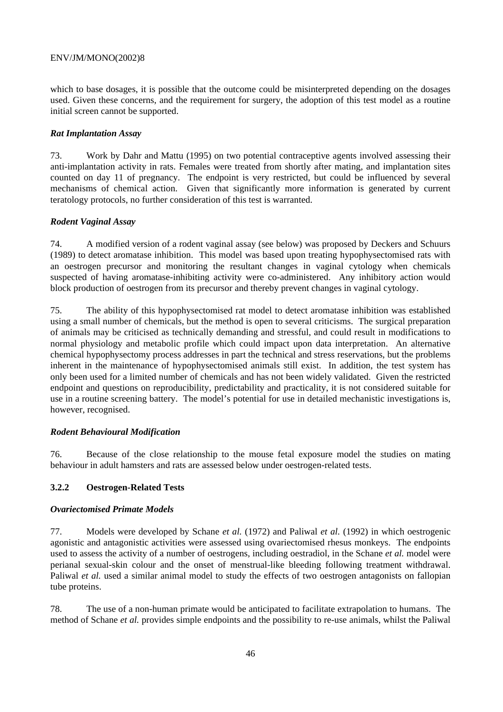which to base dosages, it is possible that the outcome could be misinterpreted depending on the dosages used. Given these concerns, and the requirement for surgery, the adoption of this test model as a routine initial screen cannot be supported.

## *Rat Implantation Assay*

73. Work by Dahr and Mattu (1995) on two potential contraceptive agents involved assessing their anti-implantation activity in rats. Females were treated from shortly after mating, and implantation sites counted on day 11 of pregnancy. The endpoint is very restricted, but could be influenced by several mechanisms of chemical action. Given that significantly more information is generated by current teratology protocols, no further consideration of this test is warranted.

# *Rodent Vaginal Assay*

74. A modified version of a rodent vaginal assay (see below) was proposed by Deckers and Schuurs (1989) to detect aromatase inhibition. This model was based upon treating hypophysectomised rats with an oestrogen precursor and monitoring the resultant changes in vaginal cytology when chemicals suspected of having aromatase-inhibiting activity were co-administered. Any inhibitory action would block production of oestrogen from its precursor and thereby prevent changes in vaginal cytology.

75. The ability of this hypophysectomised rat model to detect aromatase inhibition was established using a small number of chemicals, but the method is open to several criticisms. The surgical preparation of animals may be criticised as technically demanding and stressful, and could result in modifications to normal physiology and metabolic profile which could impact upon data interpretation. An alternative chemical hypophysectomy process addresses in part the technical and stress reservations, but the problems inherent in the maintenance of hypophysectomised animals still exist. In addition, the test system has only been used for a limited number of chemicals and has not been widely validated. Given the restricted endpoint and questions on reproducibility, predictability and practicality, it is not considered suitable for use in a routine screening battery. The model's potential for use in detailed mechanistic investigations is, however, recognised.

# *Rodent Behavioural Modification*

76. Because of the close relationship to the mouse fetal exposure model the studies on mating behaviour in adult hamsters and rats are assessed below under oestrogen-related tests.

# **3.2.2 Oestrogen-Related Tests**

### *Ovariectomised Primate Models*

77. Models were developed by Schane *et al.* (1972) and Paliwal *et al.* (1992) in which oestrogenic agonistic and antagonistic activities were assessed using ovariectomised rhesus monkeys. The endpoints used to assess the activity of a number of oestrogens, including oestradiol, in the Schane *et al.* model were perianal sexual-skin colour and the onset of menstrual-like bleeding following treatment withdrawal. Paliwal *et al.* used a similar animal model to study the effects of two oestrogen antagonists on fallopian tube proteins.

78. The use of a non-human primate would be anticipated to facilitate extrapolation to humans. The method of Schane *et al.* provides simple endpoints and the possibility to re-use animals, whilst the Paliwal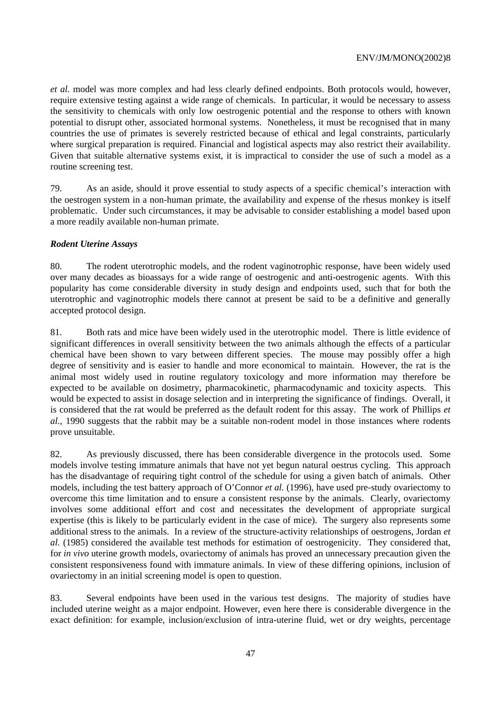*et al.* model was more complex and had less clearly defined endpoints. Both protocols would, however, require extensive testing against a wide range of chemicals. In particular, it would be necessary to assess the sensitivity to chemicals with only low oestrogenic potential and the response to others with known potential to disrupt other, associated hormonal systems. Nonetheless, it must be recognised that in many countries the use of primates is severely restricted because of ethical and legal constraints, particularly where surgical preparation is required. Financial and logistical aspects may also restrict their availability. Given that suitable alternative systems exist, it is impractical to consider the use of such a model as a routine screening test.

79. As an aside, should it prove essential to study aspects of a specific chemical's interaction with the oestrogen system in a non-human primate, the availability and expense of the rhesus monkey is itself problematic. Under such circumstances, it may be advisable to consider establishing a model based upon a more readily available non-human primate.

# *Rodent Uterine Assays*

80. The rodent uterotrophic models, and the rodent vaginotrophic response, have been widely used over many decades as bioassays for a wide range of oestrogenic and anti-oestrogenic agents. With this popularity has come considerable diversity in study design and endpoints used, such that for both the uterotrophic and vaginotrophic models there cannot at present be said to be a definitive and generally accepted protocol design.

81. Both rats and mice have been widely used in the uterotrophic model. There is little evidence of significant differences in overall sensitivity between the two animals although the effects of a particular chemical have been shown to vary between different species. The mouse may possibly offer a high degree of sensitivity and is easier to handle and more economical to maintain. However, the rat is the animal most widely used in routine regulatory toxicology and more information may therefore be expected to be available on dosimetry, pharmacokinetic, pharmacodynamic and toxicity aspects. This would be expected to assist in dosage selection and in interpreting the significance of findings. Overall, it is considered that the rat would be preferred as the default rodent for this assay. The work of Phillips *et al.,* 1990 suggests that the rabbit may be a suitable non-rodent model in those instances where rodents prove unsuitable.

82. As previously discussed, there has been considerable divergence in the protocols used. Some models involve testing immature animals that have not yet begun natural oestrus cycling. This approach has the disadvantage of requiring tight control of the schedule for using a given batch of animals. Other models, including the test battery approach of O'Connor *et al.* (1996), have used pre-study ovariectomy to overcome this time limitation and to ensure a consistent response by the animals. Clearly, ovariectomy involves some additional effort and cost and necessitates the development of appropriate surgical expertise (this is likely to be particularly evident in the case of mice). The surgery also represents some additional stress to the animals. In a review of the structure-activity relationships of oestrogens, Jordan *et al.* (1985) considered the available test methods for estimation of oestrogenicity. They considered that, for *in vivo* uterine growth models, ovariectomy of animals has proved an unnecessary precaution given the consistent responsiveness found with immature animals. In view of these differing opinions, inclusion of ovariectomy in an initial screening model is open to question.

83. Several endpoints have been used in the various test designs. The majority of studies have included uterine weight as a major endpoint. However, even here there is considerable divergence in the exact definition: for example, inclusion/exclusion of intra-uterine fluid, wet or dry weights, percentage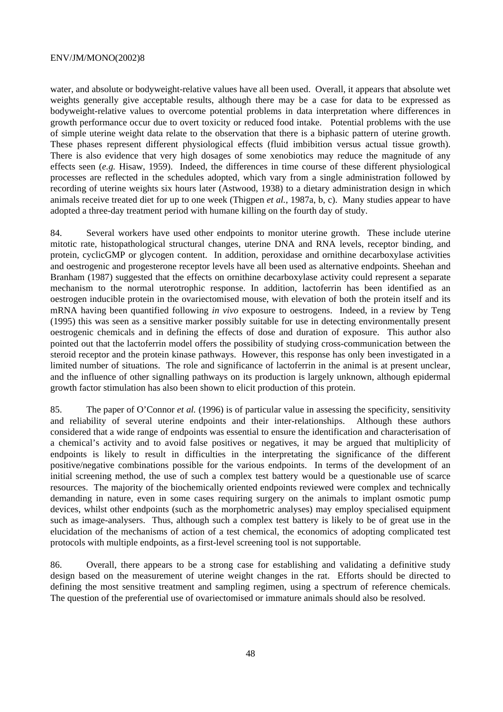water, and absolute or bodyweight-relative values have all been used. Overall, it appears that absolute wet weights generally give acceptable results, although there may be a case for data to be expressed as bodyweight-relative values to overcome potential problems in data interpretation where differences in growth performance occur due to overt toxicity or reduced food intake. Potential problems with the use of simple uterine weight data relate to the observation that there is a biphasic pattern of uterine growth. These phases represent different physiological effects (fluid imbibition versus actual tissue growth). There is also evidence that very high dosages of some xenobiotics may reduce the magnitude of any effects seen (*e.g.* Hisaw, 1959). Indeed, the differences in time course of these different physiological processes are reflected in the schedules adopted, which vary from a single administration followed by recording of uterine weights six hours later (Astwood, 1938) to a dietary administration design in which animals receive treated diet for up to one week (Thigpen *et al.*, 1987a, b, c). Many studies appear to have adopted a three-day treatment period with humane killing on the fourth day of study.

84. Several workers have used other endpoints to monitor uterine growth. These include uterine mitotic rate, histopathological structural changes, uterine DNA and RNA levels, receptor binding, and protein, cyclicGMP or glycogen content. In addition, peroxidase and ornithine decarboxylase activities and oestrogenic and progesterone receptor levels have all been used as alternative endpoints. Sheehan and Branham (1987) suggested that the effects on ornithine decarboxylase activity could represent a separate mechanism to the normal uterotrophic response. In addition, lactoferrin has been identified as an oestrogen inducible protein in the ovariectomised mouse, with elevation of both the protein itself and its mRNA having been quantified following *in vivo* exposure to oestrogens. Indeed, in a review by Teng (1995) this was seen as a sensitive marker possibly suitable for use in detecting environmentally present oestrogenic chemicals and in defining the effects of dose and duration of exposure. This author also pointed out that the lactoferrin model offers the possibility of studying cross-communication between the steroid receptor and the protein kinase pathways. However, this response has only been investigated in a limited number of situations. The role and significance of lactoferrin in the animal is at present unclear, and the influence of other signalling pathways on its production is largely unknown, although epidermal growth factor stimulation has also been shown to elicit production of this protein.

85. The paper of O'Connor *et al.* (1996) is of particular value in assessing the specificity, sensitivity and reliability of several uterine endpoints and their inter-relationships. Although these authors considered that a wide range of endpoints was essential to ensure the identification and characterisation of a chemical's activity and to avoid false positives or negatives, it may be argued that multiplicity of endpoints is likely to result in difficulties in the interpretating the significance of the different positive/negative combinations possible for the various endpoints. In terms of the development of an initial screening method, the use of such a complex test battery would be a questionable use of scarce resources. The majority of the biochemically oriented endpoints reviewed were complex and technically demanding in nature, even in some cases requiring surgery on the animals to implant osmotic pump devices, whilst other endpoints (such as the morphometric analyses) may employ specialised equipment such as image-analysers. Thus, although such a complex test battery is likely to be of great use in the elucidation of the mechanisms of action of a test chemical, the economics of adopting complicated test protocols with multiple endpoints, as a first-level screening tool is not supportable.

86. Overall, there appears to be a strong case for establishing and validating a definitive study design based on the measurement of uterine weight changes in the rat. Efforts should be directed to defining the most sensitive treatment and sampling regimen, using a spectrum of reference chemicals. The question of the preferential use of ovariectomised or immature animals should also be resolved.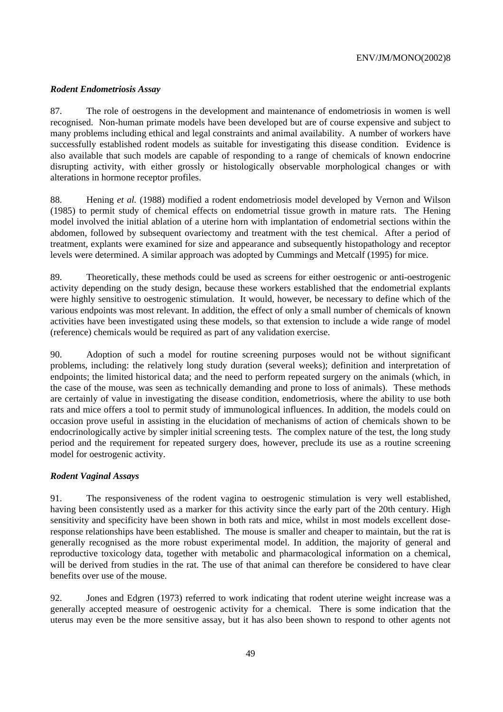## *Rodent Endometriosis Assay*

87. The role of oestrogens in the development and maintenance of endometriosis in women is well recognised. Non-human primate models have been developed but are of course expensive and subject to many problems including ethical and legal constraints and animal availability. A number of workers have successfully established rodent models as suitable for investigating this disease condition. Evidence is also available that such models are capable of responding to a range of chemicals of known endocrine disrupting activity, with either grossly or histologically observable morphological changes or with alterations in hormone receptor profiles.

88. Hening *et al.* (1988) modified a rodent endometriosis model developed by Vernon and Wilson (1985) to permit study of chemical effects on endometrial tissue growth in mature rats. The Hening model involved the initial ablation of a uterine horn with implantation of endometrial sections within the abdomen, followed by subsequent ovariectomy and treatment with the test chemical. After a period of treatment, explants were examined for size and appearance and subsequently histopathology and receptor levels were determined. A similar approach was adopted by Cummings and Metcalf (1995) for mice.

89. Theoretically, these methods could be used as screens for either oestrogenic or anti-oestrogenic activity depending on the study design, because these workers established that the endometrial explants were highly sensitive to oestrogenic stimulation. It would, however, be necessary to define which of the various endpoints was most relevant. In addition, the effect of only a small number of chemicals of known activities have been investigated using these models, so that extension to include a wide range of model (reference) chemicals would be required as part of any validation exercise.

90. Adoption of such a model for routine screening purposes would not be without significant problems, including: the relatively long study duration (several weeks); definition and interpretation of endpoints; the limited historical data; and the need to perform repeated surgery on the animals (which, in the case of the mouse, was seen as technically demanding and prone to loss of animals). These methods are certainly of value in investigating the disease condition, endometriosis, where the ability to use both rats and mice offers a tool to permit study of immunological influences. In addition, the models could on occasion prove useful in assisting in the elucidation of mechanisms of action of chemicals shown to be endocrinologically active by simpler initial screening tests. The complex nature of the test, the long study period and the requirement for repeated surgery does, however, preclude its use as a routine screening model for oestrogenic activity.

### *Rodent Vaginal Assays*

91. The responsiveness of the rodent vagina to oestrogenic stimulation is very well established, having been consistently used as a marker for this activity since the early part of the 20th century. High sensitivity and specificity have been shown in both rats and mice, whilst in most models excellent doseresponse relationships have been established. The mouse is smaller and cheaper to maintain, but the rat is generally recognised as the more robust experimental model. In addition, the majority of general and reproductive toxicology data, together with metabolic and pharmacological information on a chemical, will be derived from studies in the rat. The use of that animal can therefore be considered to have clear benefits over use of the mouse.

92. Jones and Edgren (1973) referred to work indicating that rodent uterine weight increase was a generally accepted measure of oestrogenic activity for a chemical. There is some indication that the uterus may even be the more sensitive assay, but it has also been shown to respond to other agents not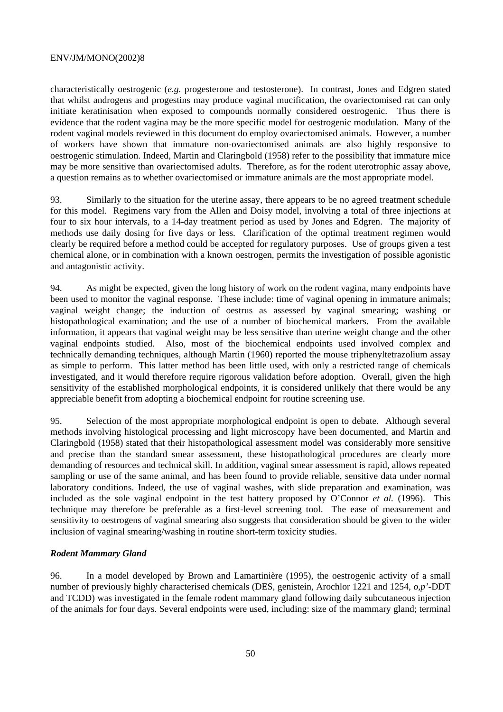characteristically oestrogenic (*e.g.* progesterone and testosterone). In contrast, Jones and Edgren stated that whilst androgens and progestins may produce vaginal mucification, the ovariectomised rat can only initiate keratinisation when exposed to compounds normally considered oestrogenic. Thus there is evidence that the rodent vagina may be the more specific model for oestrogenic modulation. Many of the rodent vaginal models reviewed in this document do employ ovariectomised animals. However, a number of workers have shown that immature non-ovariectomised animals are also highly responsive to oestrogenic stimulation. Indeed, Martin and Claringbold (1958) refer to the possibility that immature mice may be more sensitive than ovariectomised adults. Therefore, as for the rodent uterotrophic assay above, a question remains as to whether ovariectomised or immature animals are the most appropriate model.

93. Similarly to the situation for the uterine assay, there appears to be no agreed treatment schedule for this model. Regimens vary from the Allen and Doisy model, involving a total of three injections at four to six hour intervals, to a 14-day treatment period as used by Jones and Edgren. The majority of methods use daily dosing for five days or less. Clarification of the optimal treatment regimen would clearly be required before a method could be accepted for regulatory purposes. Use of groups given a test chemical alone, or in combination with a known oestrogen, permits the investigation of possible agonistic and antagonistic activity.

94. As might be expected, given the long history of work on the rodent vagina, many endpoints have been used to monitor the vaginal response. These include: time of vaginal opening in immature animals; vaginal weight change; the induction of oestrus as assessed by vaginal smearing; washing or histopathological examination; and the use of a number of biochemical markers. From the available information, it appears that vaginal weight may be less sensitive than uterine weight change and the other vaginal endpoints studied. Also, most of the biochemical endpoints used involved complex and technically demanding techniques, although Martin (1960) reported the mouse triphenyltetrazolium assay as simple to perform. This latter method has been little used, with only a restricted range of chemicals investigated, and it would therefore require rigorous validation before adoption. Overall, given the high sensitivity of the established morphological endpoints, it is considered unlikely that there would be any appreciable benefit from adopting a biochemical endpoint for routine screening use.

95. Selection of the most appropriate morphological endpoint is open to debate. Although several methods involving histological processing and light microscopy have been documented, and Martin and Claringbold (1958) stated that their histopathological assessment model was considerably more sensitive and precise than the standard smear assessment, these histopathological procedures are clearly more demanding of resources and technical skill. In addition, vaginal smear assessment is rapid, allows repeated sampling or use of the same animal, and has been found to provide reliable, sensitive data under normal laboratory conditions. Indeed, the use of vaginal washes, with slide preparation and examination, was included as the sole vaginal endpoint in the test battery proposed by O'Connor *et al.* (1996). This technique may therefore be preferable as a first-level screening tool. The ease of measurement and sensitivity to oestrogens of vaginal smearing also suggests that consideration should be given to the wider inclusion of vaginal smearing/washing in routine short-term toxicity studies.

### *Rodent Mammary Gland*

96. In a model developed by Brown and Lamartinière (1995), the oestrogenic activity of a small number of previously highly characterised chemicals (DES, genistein, Arochlor 1221 and 1254, *o,p'-*DDT and TCDD) was investigated in the female rodent mammary gland following daily subcutaneous injection of the animals for four days. Several endpoints were used, including: size of the mammary gland; terminal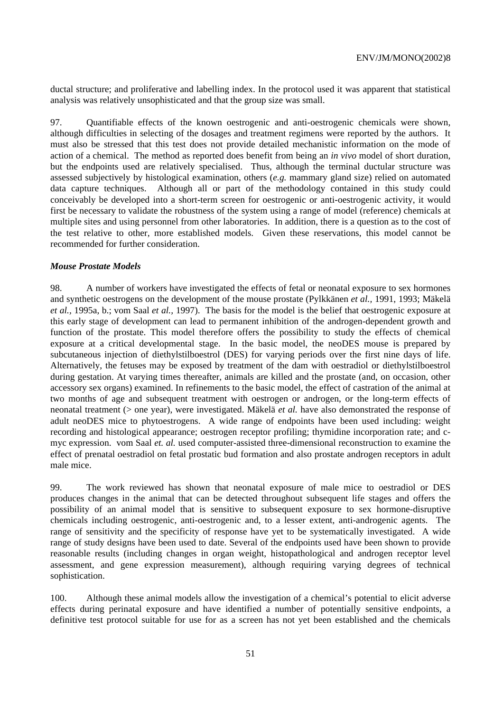ductal structure; and proliferative and labelling index. In the protocol used it was apparent that statistical analysis was relatively unsophisticated and that the group size was small.

97. Quantifiable effects of the known oestrogenic and anti-oestrogenic chemicals were shown, although difficulties in selecting of the dosages and treatment regimens were reported by the authors. It must also be stressed that this test does not provide detailed mechanistic information on the mode of action of a chemical. The method as reported does benefit from being an *in vivo* model of short duration, but the endpoints used are relatively specialised. Thus, although the terminal ductular structure was assessed subjectively by histological examination, others (*e.g.* mammary gland size) relied on automated data capture techniques. Although all or part of the methodology contained in this study could conceivably be developed into a short-term screen for oestrogenic or anti-oestrogenic activity, it would first be necessary to validate the robustness of the system using a range of model (reference) chemicals at multiple sites and using personnel from other laboratories. In addition, there is a question as to the cost of the test relative to other, more established models. Given these reservations, this model cannot be recommended for further consideration.

## *Mouse Prostate Models*

98. A number of workers have investigated the effects of fetal or neonatal exposure to sex hormones and synthetic oestrogens on the development of the mouse prostate (Pylkkänen *et al.,* 1991, 1993; Mäkelä *et al.,* 1995a, b.; vom Saal *et al.,* 1997). The basis for the model is the belief that oestrogenic exposure at this early stage of development can lead to permanent inhibition of the androgen-dependent growth and function of the prostate. This model therefore offers the possibility to study the effects of chemical exposure at a critical developmental stage. In the basic model, the neoDES mouse is prepared by subcutaneous injection of diethylstilboestrol (DES) for varying periods over the first nine days of life. Alternatively, the fetuses may be exposed by treatment of the dam with oestradiol or diethylstilboestrol during gestation. At varying times thereafter, animals are killed and the prostate (and, on occasion, other accessory sex organs) examined. In refinements to the basic model, the effect of castration of the animal at two months of age and subsequent treatment with oestrogen or androgen, or the long-term effects of neonatal treatment (> one year), were investigated. Mäkelä *et al.* have also demonstrated the response of adult neoDES mice to phytoestrogens. A wide range of endpoints have been used including: weight recording and histological appearance; oestrogen receptor profiling; thymidine incorporation rate; and cmyc expression. vom Saal *et. al.* used computer-assisted three-dimensional reconstruction to examine the effect of prenatal oestradiol on fetal prostatic bud formation and also prostate androgen receptors in adult male mice.

99. The work reviewed has shown that neonatal exposure of male mice to oestradiol or DES produces changes in the animal that can be detected throughout subsequent life stages and offers the possibility of an animal model that is sensitive to subsequent exposure to sex hormone-disruptive chemicals including oestrogenic, anti-oestrogenic and, to a lesser extent, anti-androgenic agents. The range of sensitivity and the specificity of response have yet to be systematically investigated. A wide range of study designs have been used to date. Several of the endpoints used have been shown to provide reasonable results (including changes in organ weight, histopathological and androgen receptor level assessment, and gene expression measurement), although requiring varying degrees of technical sophistication.

100. Although these animal models allow the investigation of a chemical's potential to elicit adverse effects during perinatal exposure and have identified a number of potentially sensitive endpoints, a definitive test protocol suitable for use for as a screen has not yet been established and the chemicals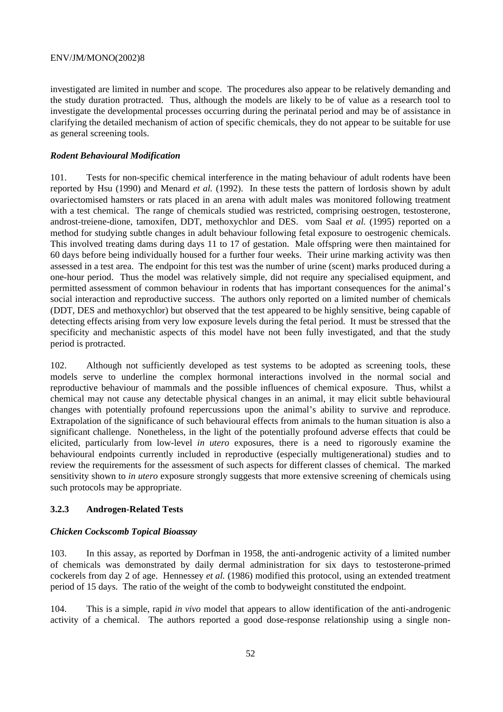investigated are limited in number and scope. The procedures also appear to be relatively demanding and the study duration protracted. Thus, although the models are likely to be of value as a research tool to investigate the developmental processes occurring during the perinatal period and may be of assistance in clarifying the detailed mechanism of action of specific chemicals, they do not appear to be suitable for use as general screening tools.

# *Rodent Behavioural Modification*

101. Tests for non-specific chemical interference in the mating behaviour of adult rodents have been reported by Hsu (1990) and Menard *et al.* (1992). In these tests the pattern of lordosis shown by adult ovariectomised hamsters or rats placed in an arena with adult males was monitored following treatment with a test chemical. The range of chemicals studied was restricted, comprising oestrogen, testosterone, androst-treiene-dione, tamoxifen, DDT, methoxychlor and DES. vom Saal *et al.* (1995) reported on a method for studying subtle changes in adult behaviour following fetal exposure to oestrogenic chemicals. This involved treating dams during days 11 to 17 of gestation. Male offspring were then maintained for 60 days before being individually housed for a further four weeks. Their urine marking activity was then assessed in a test area. The endpoint for this test was the number of urine (scent) marks produced during a one-hour period. Thus the model was relatively simple, did not require any specialised equipment, and permitted assessment of common behaviour in rodents that has important consequences for the animal's social interaction and reproductive success. The authors only reported on a limited number of chemicals (DDT, DES and methoxychlor) but observed that the test appeared to be highly sensitive, being capable of detecting effects arising from very low exposure levels during the fetal period. It must be stressed that the specificity and mechanistic aspects of this model have not been fully investigated, and that the study period is protracted.

102. Although not sufficiently developed as test systems to be adopted as screening tools, these models serve to underline the complex hormonal interactions involved in the normal social and reproductive behaviour of mammals and the possible influences of chemical exposure. Thus, whilst a chemical may not cause any detectable physical changes in an animal, it may elicit subtle behavioural changes with potentially profound repercussions upon the animal's ability to survive and reproduce. Extrapolation of the significance of such behavioural effects from animals to the human situation is also a significant challenge. Nonetheless, in the light of the potentially profound adverse effects that could be elicited, particularly from low-level *in utero* exposures, there is a need to rigorously examine the behavioural endpoints currently included in reproductive (especially multigenerational) studies and to review the requirements for the assessment of such aspects for different classes of chemical. The marked sensitivity shown to *in utero* exposure strongly suggests that more extensive screening of chemicals using such protocols may be appropriate.

# **3.2.3 Androgen-Related Tests**

# *Chicken Cockscomb Topical Bioassay*

103. In this assay, as reported by Dorfman in 1958, the anti-androgenic activity of a limited number of chemicals was demonstrated by daily dermal administration for six days to testosterone-primed cockerels from day 2 of age. Hennessey *et al.* (1986) modified this protocol, using an extended treatment period of 15 days. The ratio of the weight of the comb to bodyweight constituted the endpoint.

104. This is a simple, rapid *in vivo* model that appears to allow identification of the anti-androgenic activity of a chemical. The authors reported a good dose-response relationship using a single non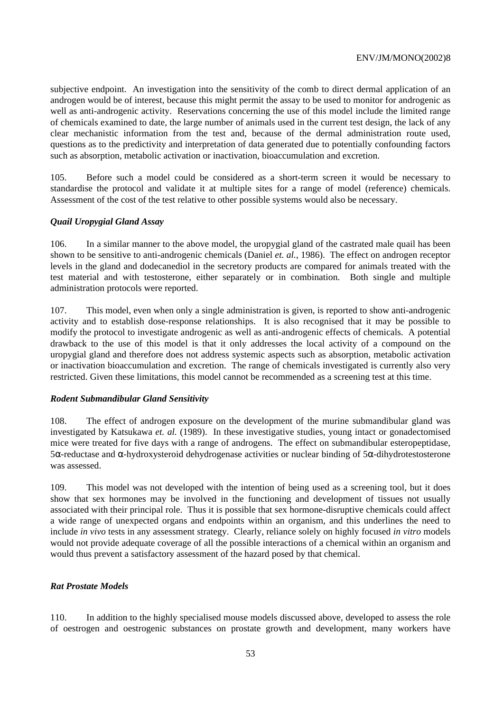subjective endpoint. An investigation into the sensitivity of the comb to direct dermal application of an androgen would be of interest, because this might permit the assay to be used to monitor for androgenic as well as anti-androgenic activity. Reservations concerning the use of this model include the limited range of chemicals examined to date, the large number of animals used in the current test design, the lack of any clear mechanistic information from the test and, because of the dermal administration route used, questions as to the predictivity and interpretation of data generated due to potentially confounding factors such as absorption, metabolic activation or inactivation, bioaccumulation and excretion.

105. Before such a model could be considered as a short-term screen it would be necessary to standardise the protocol and validate it at multiple sites for a range of model (reference) chemicals. Assessment of the cost of the test relative to other possible systems would also be necessary.

# *Quail Uropygial Gland Assay*

106. In a similar manner to the above model, the uropygial gland of the castrated male quail has been shown to be sensitive to anti-androgenic chemicals (Daniel *et. al.*, 1986). The effect on androgen receptor levels in the gland and dodecanediol in the secretory products are compared for animals treated with the test material and with testosterone, either separately or in combination. Both single and multiple administration protocols were reported.

107. This model, even when only a single administration is given, is reported to show anti-androgenic activity and to establish dose-response relationships. It is also recognised that it may be possible to modify the protocol to investigate androgenic as well as anti-androgenic effects of chemicals. A potential drawback to the use of this model is that it only addresses the local activity of a compound on the uropygial gland and therefore does not address systemic aspects such as absorption, metabolic activation or inactivation bioaccumulation and excretion. The range of chemicals investigated is currently also very restricted. Given these limitations, this model cannot be recommended as a screening test at this time.

### *Rodent Submandibular Gland Sensitivity*

108. The effect of androgen exposure on the development of the murine submandibular gland was investigated by Katsukawa *et. al.* (1989). In these investigative studies, young intact or gonadectomised mice were treated for five days with a range of androgens. The effect on submandibular esteropeptidase, 5α-reductase and α-hydroxysteroid dehydrogenase activities or nuclear binding of 5α-dihydrotestosterone was assessed.

109. This model was not developed with the intention of being used as a screening tool, but it does show that sex hormones may be involved in the functioning and development of tissues not usually associated with their principal role. Thus it is possible that sex hormone-disruptive chemicals could affect a wide range of unexpected organs and endpoints within an organism, and this underlines the need to include *in vivo* tests in any assessment strategy. Clearly, reliance solely on highly focused *in vitro* models would not provide adequate coverage of all the possible interactions of a chemical within an organism and would thus prevent a satisfactory assessment of the hazard posed by that chemical.

### *Rat Prostate Models*

110. In addition to the highly specialised mouse models discussed above, developed to assess the role of oestrogen and oestrogenic substances on prostate growth and development, many workers have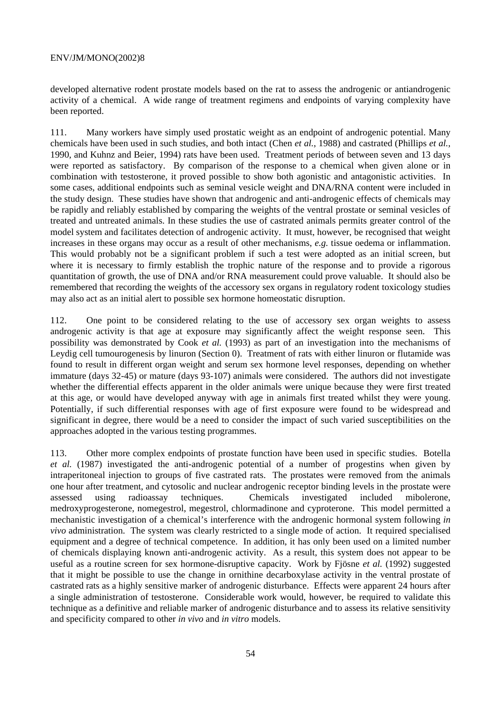developed alternative rodent prostate models based on the rat to assess the androgenic or antiandrogenic activity of a chemical. A wide range of treatment regimens and endpoints of varying complexity have been reported.

111. Many workers have simply used prostatic weight as an endpoint of androgenic potential. Many chemicals have been used in such studies, and both intact (Chen *et al.*, 1988) and castrated (Phillips *et al.*, 1990, and Kuhnz and Beier, 1994) rats have been used. Treatment periods of between seven and 13 days were reported as satisfactory. By comparison of the response to a chemical when given alone or in combination with testosterone, it proved possible to show both agonistic and antagonistic activities. In some cases, additional endpoints such as seminal vesicle weight and DNA/RNA content were included in the study design. These studies have shown that androgenic and anti-androgenic effects of chemicals may be rapidly and reliably established by comparing the weights of the ventral prostate or seminal vesicles of treated and untreated animals. In these studies the use of castrated animals permits greater control of the model system and facilitates detection of androgenic activity. It must, however, be recognised that weight increases in these organs may occur as a result of other mechanisms, *e.g.* tissue oedema or inflammation. This would probably not be a significant problem if such a test were adopted as an initial screen, but where it is necessary to firmly establish the trophic nature of the response and to provide a rigorous quantitation of growth, the use of DNA and/or RNA measurement could prove valuable. It should also be remembered that recording the weights of the accessory sex organs in regulatory rodent toxicology studies may also act as an initial alert to possible sex hormone homeostatic disruption.

112. One point to be considered relating to the use of accessory sex organ weights to assess androgenic activity is that age at exposure may significantly affect the weight response seen. This possibility was demonstrated by Cook *et al.* (1993) as part of an investigation into the mechanisms of Leydig cell tumourogenesis by linuron (Section 0). Treatment of rats with either linuron or flutamide was found to result in different organ weight and serum sex hormone level responses, depending on whether immature (days 32-45) or mature (days 93-107) animals were considered. The authors did not investigate whether the differential effects apparent in the older animals were unique because they were first treated at this age, or would have developed anyway with age in animals first treated whilst they were young. Potentially, if such differential responses with age of first exposure were found to be widespread and significant in degree, there would be a need to consider the impact of such varied susceptibilities on the approaches adopted in the various testing programmes.

113. Other more complex endpoints of prostate function have been used in specific studies. Botella *et al.* (1987) investigated the anti-androgenic potential of a number of progestins when given by intraperitoneal injection to groups of five castrated rats. The prostates were removed from the animals one hour after treatment, and cytosolic and nuclear androgenic receptor binding levels in the prostate were assessed using radioassay techniques. Chemicals investigated included mibolerone, medroxyprogesterone, nomegestrol, megestrol, chlormadinone and cyproterone. This model permitted a mechanistic investigation of a chemical's interference with the androgenic hormonal system following *in vivo* administration. The system was clearly restricted to a single mode of action. It required specialised equipment and a degree of technical competence. In addition, it has only been used on a limited number of chemicals displaying known anti-androgenic activity. As a result, this system does not appear to be useful as a routine screen for sex hormone-disruptive capacity. Work by Fjösne *et al.* (1992) suggested that it might be possible to use the change in ornithine decarboxylase activity in the ventral prostate of castrated rats as a highly sensitive marker of androgenic disturbance. Effects were apparent 24 hours after a single administration of testosterone. Considerable work would, however, be required to validate this technique as a definitive and reliable marker of androgenic disturbance and to assess its relative sensitivity and specificity compared to other *in vivo* and *in vitro* models.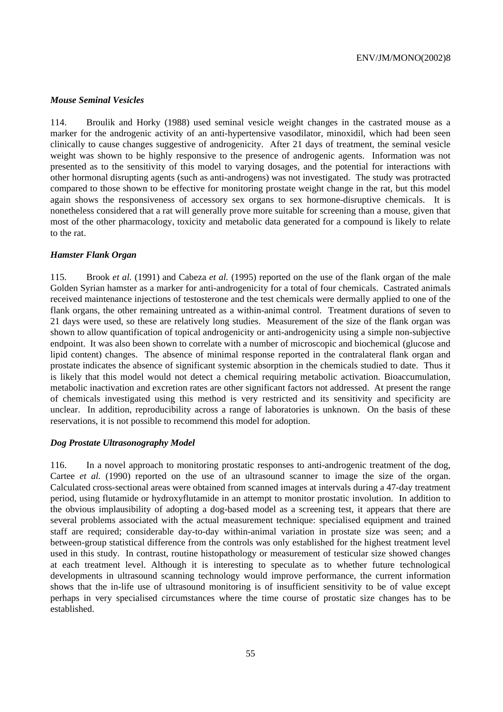## *Mouse Seminal Vesicles*

114. Broulik and Horky (1988) used seminal vesicle weight changes in the castrated mouse as a marker for the androgenic activity of an anti-hypertensive vasodilator, minoxidil, which had been seen clinically to cause changes suggestive of androgenicity. After 21 days of treatment, the seminal vesicle weight was shown to be highly responsive to the presence of androgenic agents. Information was not presented as to the sensitivity of this model to varying dosages, and the potential for interactions with other hormonal disrupting agents (such as anti-androgens) was not investigated. The study was protracted compared to those shown to be effective for monitoring prostate weight change in the rat, but this model again shows the responsiveness of accessory sex organs to sex hormone-disruptive chemicals. It is nonetheless considered that a rat will generally prove more suitable for screening than a mouse, given that most of the other pharmacology, toxicity and metabolic data generated for a compound is likely to relate to the rat.

## *Hamster Flank Organ*

115. Brook *et al.* (1991) and Cabeza *et al.* (1995) reported on the use of the flank organ of the male Golden Syrian hamster as a marker for anti-androgenicity for a total of four chemicals. Castrated animals received maintenance injections of testosterone and the test chemicals were dermally applied to one of the flank organs, the other remaining untreated as a within-animal control. Treatment durations of seven to 21 days were used, so these are relatively long studies. Measurement of the size of the flank organ was shown to allow quantification of topical androgenicity or anti-androgenicity using a simple non-subjective endpoint. It was also been shown to correlate with a number of microscopic and biochemical (glucose and lipid content) changes. The absence of minimal response reported in the contralateral flank organ and prostate indicates the absence of significant systemic absorption in the chemicals studied to date. Thus it is likely that this model would not detect a chemical requiring metabolic activation. Bioaccumulation, metabolic inactivation and excretion rates are other significant factors not addressed. At present the range of chemicals investigated using this method is very restricted and its sensitivity and specificity are unclear. In addition, reproducibility across a range of laboratories is unknown. On the basis of these reservations, it is not possible to recommend this model for adoption.

#### *Dog Prostate Ultrasonography Model*

116. In a novel approach to monitoring prostatic responses to anti-androgenic treatment of the dog, Cartee *et al.* (1990) reported on the use of an ultrasound scanner to image the size of the organ. Calculated cross-sectional areas were obtained from scanned images at intervals during a 47-day treatment period, using flutamide or hydroxyflutamide in an attempt to monitor prostatic involution. In addition to the obvious implausibility of adopting a dog-based model as a screening test, it appears that there are several problems associated with the actual measurement technique: specialised equipment and trained staff are required; considerable day-to-day within-animal variation in prostate size was seen; and a between-group statistical difference from the controls was only established for the highest treatment level used in this study. In contrast, routine histopathology or measurement of testicular size showed changes at each treatment level. Although it is interesting to speculate as to whether future technological developments in ultrasound scanning technology would improve performance, the current information shows that the in-life use of ultrasound monitoring is of insufficient sensitivity to be of value except perhaps in very specialised circumstances where the time course of prostatic size changes has to be established.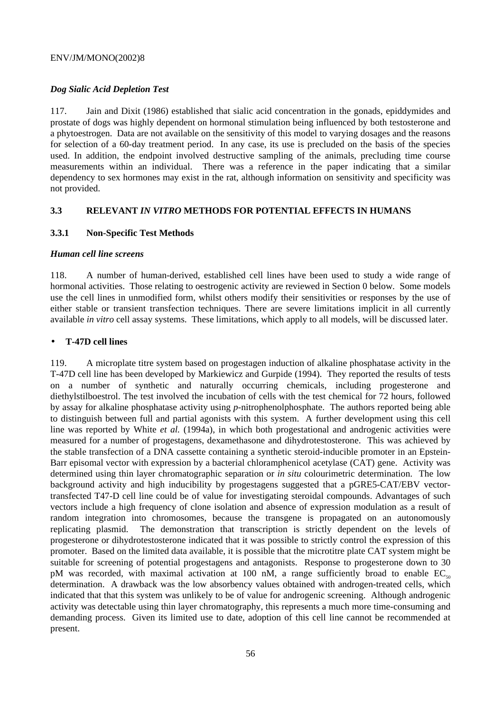# *Dog Sialic Acid Depletion Test*

117. Jain and Dixit (1986) established that sialic acid concentration in the gonads, epiddymides and prostate of dogs was highly dependent on hormonal stimulation being influenced by both testosterone and a phytoestrogen. Data are not available on the sensitivity of this model to varying dosages and the reasons for selection of a 60-day treatment period. In any case, its use is precluded on the basis of the species used. In addition, the endpoint involved destructive sampling of the animals, precluding time course measurements within an individual. There was a reference in the paper indicating that a similar dependency to sex hormones may exist in the rat, although information on sensitivity and specificity was not provided.

# **3.3 RELEVANT** *IN VITRO* **METHODS FOR POTENTIAL EFFECTS IN HUMANS**

# **3.3.1 Non-Specific Test Methods**

# *Human cell line screens*

118. A number of human-derived, established cell lines have been used to study a wide range of hormonal activities. Those relating to oestrogenic activity are reviewed in Section 0 below. Some models use the cell lines in unmodified form, whilst others modify their sensitivities or responses by the use of either stable or transient transfection techniques. There are severe limitations implicit in all currently available *in vitro* cell assay systems. These limitations, which apply to all models, will be discussed later.

# • **T-47D cell lines**

119. A microplate titre system based on progestagen induction of alkaline phosphatase activity in the T-47D cell line has been developed by Markiewicz and Gurpide (1994). They reported the results of tests on a number of synthetic and naturally occurring chemicals, including progesterone and diethylstilboestrol. The test involved the incubation of cells with the test chemical for 72 hours, followed by assay for alkaline phosphatase activity using *p*-nitrophenolphosphate. The authors reported being able to distinguish between full and partial agonists with this system. A further development using this cell line was reported by White *et al.* (1994a), in which both progestational and androgenic activities were measured for a number of progestagens, dexamethasone and dihydrotestosterone. This was achieved by the stable transfection of a DNA cassette containing a synthetic steroid-inducible promoter in an Epstein-Barr episomal vector with expression by a bacterial chloramphenicol acetylase (CAT) gene. Activity was determined using thin layer chromatographic separation or *in situ* colourimetric determination. The low background activity and high inducibility by progestagens suggested that a pGRE5-CAT/EBV vectortransfected T47-D cell line could be of value for investigating steroidal compounds. Advantages of such vectors include a high frequency of clone isolation and absence of expression modulation as a result of random integration into chromosomes, because the transgene is propagated on an autonomously replicating plasmid. The demonstration that transcription is strictly dependent on the levels of progesterone or dihydrotestosterone indicated that it was possible to strictly control the expression of this promoter. Based on the limited data available, it is possible that the microtitre plate CAT system might be suitable for screening of potential progestagens and antagonists. Response to progesterone down to 30 pM was recorded, with maximal activation at 100 nM, a range sufficiently broad to enable  $EC_{50}$ determination. A drawback was the low absorbency values obtained with androgen-treated cells, which indicated that that this system was unlikely to be of value for androgenic screening. Although androgenic activity was detectable using thin layer chromatography, this represents a much more time-consuming and demanding process. Given its limited use to date, adoption of this cell line cannot be recommended at present.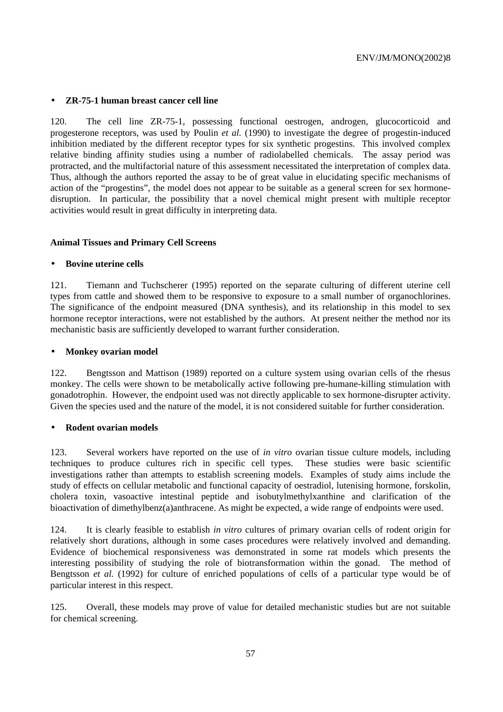# • **ZR-75-1 human breast cancer cell line**

120. The cell line ZR-75-1, possessing functional oestrogen, androgen, glucocorticoid and progesterone receptors, was used by Poulin *et al.* (1990) to investigate the degree of progestin-induced inhibition mediated by the different receptor types for six synthetic progestins. This involved complex relative binding affinity studies using a number of radiolabelled chemicals. The assay period was protracted, and the multifactorial nature of this assessment necessitated the interpretation of complex data. Thus, although the authors reported the assay to be of great value in elucidating specific mechanisms of action of the "progestins", the model does not appear to be suitable as a general screen for sex hormonedisruption. In particular, the possibility that a novel chemical might present with multiple receptor activities would result in great difficulty in interpreting data.

## **Animal Tissues and Primary Cell Screens**

## • **Bovine uterine cells**

121. Tiemann and Tuchscherer (1995) reported on the separate culturing of different uterine cell types from cattle and showed them to be responsive to exposure to a small number of organochlorines. The significance of the endpoint measured (DNA synthesis), and its relationship in this model to sex hormone receptor interactions, were not established by the authors. At present neither the method nor its mechanistic basis are sufficiently developed to warrant further consideration.

## • **Monkey ovarian model**

122. Bengtsson and Mattison (1989) reported on a culture system using ovarian cells of the rhesus monkey. The cells were shown to be metabolically active following pre-humane-killing stimulation with gonadotrophin. However, the endpoint used was not directly applicable to sex hormone-disrupter activity. Given the species used and the nature of the model, it is not considered suitable for further consideration.

### • **Rodent ovarian models**

123. Several workers have reported on the use of *in vitro* ovarian tissue culture models, including techniques to produce cultures rich in specific cell types. These studies were basic scientific investigations rather than attempts to establish screening models. Examples of study aims include the study of effects on cellular metabolic and functional capacity of oestradiol, lutenising hormone, forskolin, cholera toxin, vasoactive intestinal peptide and isobutylmethylxanthine and clarification of the bioactivation of dimethylbenz(a)anthracene. As might be expected, a wide range of endpoints were used.

124. It is clearly feasible to establish *in vitro* cultures of primary ovarian cells of rodent origin for relatively short durations, although in some cases procedures were relatively involved and demanding. Evidence of biochemical responsiveness was demonstrated in some rat models which presents the interesting possibility of studying the role of biotransformation within the gonad. The method of Bengtsson *et al.* (1992) for culture of enriched populations of cells of a particular type would be of particular interest in this respect.

125. Overall, these models may prove of value for detailed mechanistic studies but are not suitable for chemical screening.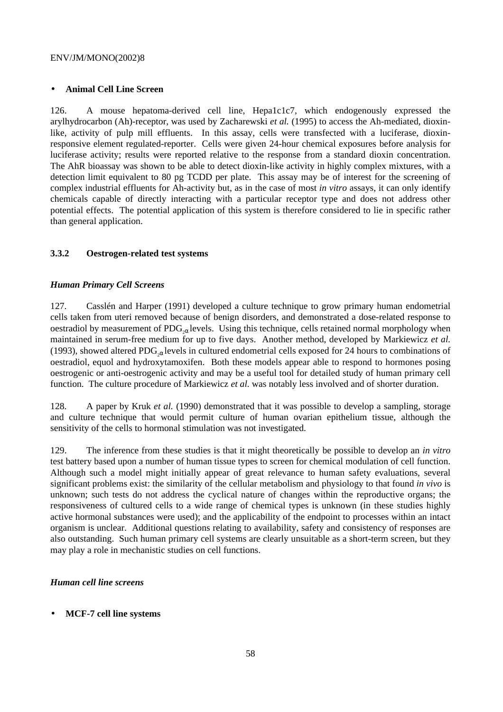## • **Animal Cell Line Screen**

126. A mouse hepatoma-derived cell line, Hepa1c1c7, which endogenously expressed the arylhydrocarbon (Ah)-receptor, was used by Zacharewski *et al.* (1995) to access the Ah-mediated, dioxinlike, activity of pulp mill effluents. In this assay, cells were transfected with a luciferase, dioxinresponsive element regulated-reporter. Cells were given 24-hour chemical exposures before analysis for luciferase activity; results were reported relative to the response from a standard dioxin concentration. The AhR bioassay was shown to be able to detect dioxin-like activity in highly complex mixtures, with a detection limit equivalent to 80 pg TCDD per plate. This assay may be of interest for the screening of complex industrial effluents for Ah-activity but, as in the case of most *in vitro* assays, it can only identify chemicals capable of directly interacting with a particular receptor type and does not address other potential effects. The potential application of this system is therefore considered to lie in specific rather than general application.

# **3.3.2 Oestrogen-related test systems**

## *Human Primary Cell Screens*

127. Casslén and Harper (1991) developed a culture technique to grow primary human endometrial cells taken from uteri removed because of benign disorders, and demonstrated a dose-related response to oestradiol by measurement of  $PDG_{\alpha}$  levels. Using this technique, cells retained normal morphology when maintained in serum-free medium for up to five days. Another method, developed by Markiewicz *et al.* (1993), showed altered PDG<sub>2</sub> levels in cultured endometrial cells exposed for 24 hours to combinations of oestradiol, equol and hydroxytamoxifen. Both these models appear able to respond to hormones posing oestrogenic or anti-oestrogenic activity and may be a useful tool for detailed study of human primary cell function. The culture procedure of Markiewicz *et al.* was notably less involved and of shorter duration.

128. A paper by Kruk *et al.* (1990) demonstrated that it was possible to develop a sampling, storage and culture technique that would permit culture of human ovarian epithelium tissue, although the sensitivity of the cells to hormonal stimulation was not investigated.

129. The inference from these studies is that it might theoretically be possible to develop an *in vitro* test battery based upon a number of human tissue types to screen for chemical modulation of cell function. Although such a model might initially appear of great relevance to human safety evaluations, several significant problems exist: the similarity of the cellular metabolism and physiology to that found *in vivo* is unknown; such tests do not address the cyclical nature of changes within the reproductive organs; the responsiveness of cultured cells to a wide range of chemical types is unknown (in these studies highly active hormonal substances were used); and the applicability of the endpoint to processes within an intact organism is unclear. Additional questions relating to availability, safety and consistency of responses are also outstanding. Such human primary cell systems are clearly unsuitable as a short-term screen, but they may play a role in mechanistic studies on cell functions.

### *Human cell line screens*

• **MCF-7 cell line systems**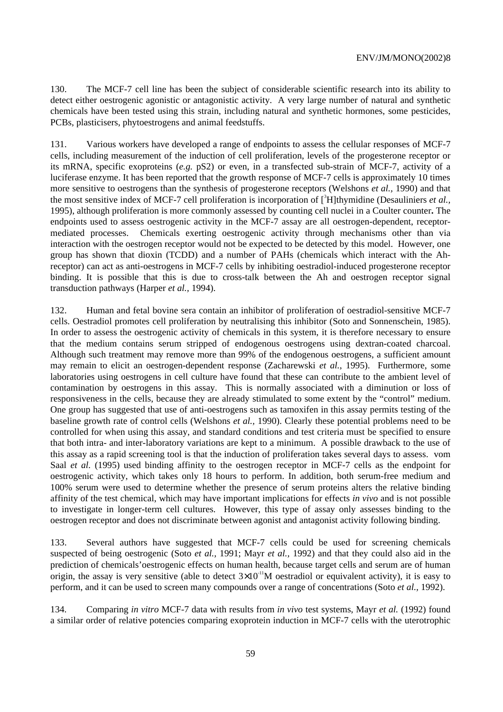130. The MCF-7 cell line has been the subject of considerable scientific research into its ability to detect either oestrogenic agonistic or antagonistic activity. A very large number of natural and synthetic chemicals have been tested using this strain, including natural and synthetic hormones, some pesticides, PCBs, plasticisers, phytoestrogens and animal feedstuffs.

131. Various workers have developed a range of endpoints to assess the cellular responses of MCF-7 cells, including measurement of the induction of cell proliferation, levels of the progesterone receptor or its mRNA, specific exoproteins (*e.g.* pS2) or even, in a transfected sub-strain of MCF-7, activity of a luciferase enzyme. It has been reported that the growth response of MCF-7 cells is approximately 10 times more sensitive to oestrogens than the synthesis of progesterone receptors (Welshons *et al.,* 1990) and that the most sensitive index of MCF-7 cell proliferation is incorporation of [<sup>3</sup>H]thymidine (Desauliniers et al., 1995), although proliferation is more commonly assessed by counting cell nuclei in a Coulter counter**.** The endpoints used to assess oestrogenic activity in the MCF-7 assay are all oestrogen-dependent, receptormediated processes. Chemicals exerting oestrogenic activity through mechanisms other than via interaction with the oestrogen receptor would not be expected to be detected by this model. However, one group has shown that dioxin (TCDD) and a number of PAHs (chemicals which interact with the Ahreceptor) can act as anti-oestrogens in MCF-7 cells by inhibiting oestradiol-induced progesterone receptor binding. It is possible that this is due to cross-talk between the Ah and oestrogen receptor signal transduction pathways (Harper *et al.,* 1994).

132. Human and fetal bovine sera contain an inhibitor of proliferation of oestradiol-sensitive MCF-7 cells. Oestradiol promotes cell proliferation by neutralising this inhibitor (Soto and Sonnenschein, 1985). In order to assess the oestrogenic activity of chemicals in this system, it is therefore necessary to ensure that the medium contains serum stripped of endogenous oestrogens using dextran-coated charcoal. Although such treatment may remove more than 99% of the endogenous oestrogens, a sufficient amount may remain to elicit an oestrogen-dependent response (Zacharewski *et al.*, 1995). Furthermore, some laboratories using oestrogens in cell culture have found that these can contribute to the ambient level of contamination by oestrogens in this assay. This is normally associated with a diminution or loss of responsiveness in the cells, because they are already stimulated to some extent by the "control" medium. One group has suggested that use of anti-oestrogens such as tamoxifen in this assay permits testing of the baseline growth rate of control cells (Welshons *et al.,* 1990). Clearly these potential problems need to be controlled for when using this assay, and standard conditions and test criteria must be specified to ensure that both intra- and inter-laboratory variations are kept to a minimum. A possible drawback to the use of this assay as a rapid screening tool is that the induction of proliferation takes several days to assess. vom Saal *et al.* (1995) used binding affinity to the oestrogen receptor in MCF-7 cells as the endpoint for oestrogenic activity, which takes only 18 hours to perform. In addition, both serum-free medium and 100% serum were used to determine whether the presence of serum proteins alters the relative binding affinity of the test chemical, which may have important implications for effects *in vivo* and is not possible to investigate in longer-term cell cultures. However, this type of assay only assesses binding to the oestrogen receptor and does not discriminate between agonist and antagonist activity following binding.

133. Several authors have suggested that MCF-7 cells could be used for screening chemicals suspected of being oestrogenic (Soto *et al.,* 1991; Mayr *et al.,* 1992) and that they could also aid in the prediction of chemicals'oestrogenic effects on human health, because target cells and serum are of human origin, the assay is very sensitive (able to detect  $3\times10^{-1}$ M oestradiol or equivalent activity), it is easy to perform, and it can be used to screen many compounds over a range of concentrations (Soto *et al.,* 1992).

134. Comparing *in vitro* MCF-7 data with results from *in vivo* test systems, Mayr *et al.* (1992) found a similar order of relative potencies comparing exoprotein induction in MCF-7 cells with the uterotrophic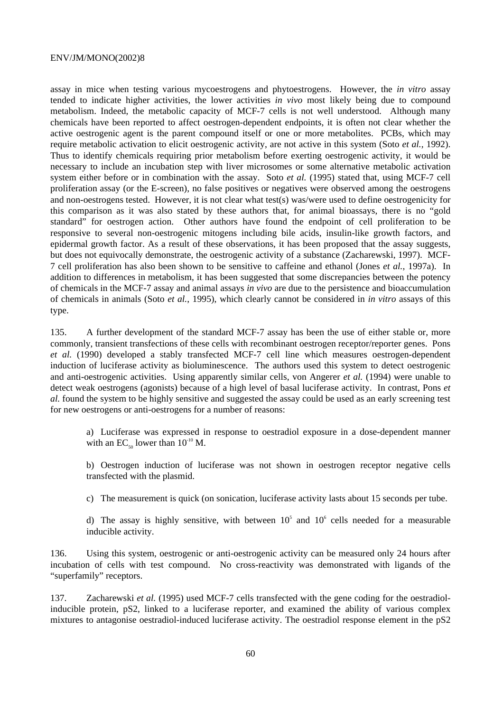assay in mice when testing various mycoestrogens and phytoestrogens. However, the *in vitro* assay tended to indicate higher activities, the lower activities *in vivo* most likely being due to compound metabolism. Indeed, the metabolic capacity of MCF-7 cells is not well understood. Although many chemicals have been reported to affect oestrogen-dependent endpoints, it is often not clear whether the active oestrogenic agent is the parent compound itself or one or more metabolites. PCBs, which may require metabolic activation to elicit oestrogenic activity, are not active in this system (Soto *et al.,* 1992). Thus to identify chemicals requiring prior metabolism before exerting oestrogenic activity, it would be necessary to include an incubation step with liver microsomes or some alternative metabolic activation system either before or in combination with the assay. Soto *et al.* (1995) stated that, using MCF-7 cell proliferation assay (or the E-screen), no false positives or negatives were observed among the oestrogens and non-oestrogens tested. However, it is not clear what test(s) was/were used to define oestrogenicity for this comparison as it was also stated by these authors that, for animal bioassays, there is no "gold standard" for oestrogen action. Other authors have found the endpoint of cell proliferation to be responsive to several non-oestrogenic mitogens including bile acids, insulin-like growth factors, and epidermal growth factor. As a result of these observations, it has been proposed that the assay suggests, but does not equivocally demonstrate, the oestrogenic activity of a substance (Zacharewski, 1997). MCF-7 cell proliferation has also been shown to be sensitive to caffeine and ethanol (Jones *et al.*, 1997a). In addition to differences in metabolism, it has been suggested that some discrepancies between the potency of chemicals in the MCF-7 assay and animal assays *in vivo* are due to the persistence and bioaccumulation of chemicals in animals (Soto *et al.*, 1995), which clearly cannot be considered in *in vitro* assays of this type.

135. A further development of the standard MCF-7 assay has been the use of either stable or, more commonly, transient transfections of these cells with recombinant oestrogen receptor/reporter genes. Pons *et al.* (1990) developed a stably transfected MCF-7 cell line which measures oestrogen-dependent induction of luciferase activity as bioluminescence. The authors used this system to detect oestrogenic and anti-oestrogenic activities. Using apparently similar cells, von Angerer *et al.* (1994) were unable to detect weak oestrogens (agonists) because of a high level of basal luciferase activity. In contrast, Pons *et al.* found the system to be highly sensitive and suggested the assay could be used as an early screening test for new oestrogens or anti-oestrogens for a number of reasons:

a) Luciferase was expressed in response to oestradiol exposure in a dose-dependent manner with an  $EC_{50}$  lower than  $10^{-10}$  M.

b) Oestrogen induction of luciferase was not shown in oestrogen receptor negative cells transfected with the plasmid.

c) The measurement is quick (on sonication, luciferase activity lasts about 15 seconds per tube.

d) The assay is highly sensitive, with between  $10<sup>5</sup>$  and  $10<sup>6</sup>$  cells needed for a measurable inducible activity.

136. Using this system, oestrogenic or anti-oestrogenic activity can be measured only 24 hours after incubation of cells with test compound. No cross-reactivity was demonstrated with ligands of the "superfamily" receptors.

137. Zacharewski *et al.* (1995) used MCF-7 cells transfected with the gene coding for the oestradiolinducible protein, pS2, linked to a luciferase reporter, and examined the ability of various complex mixtures to antagonise oestradiol-induced luciferase activity. The oestradiol response element in the pS2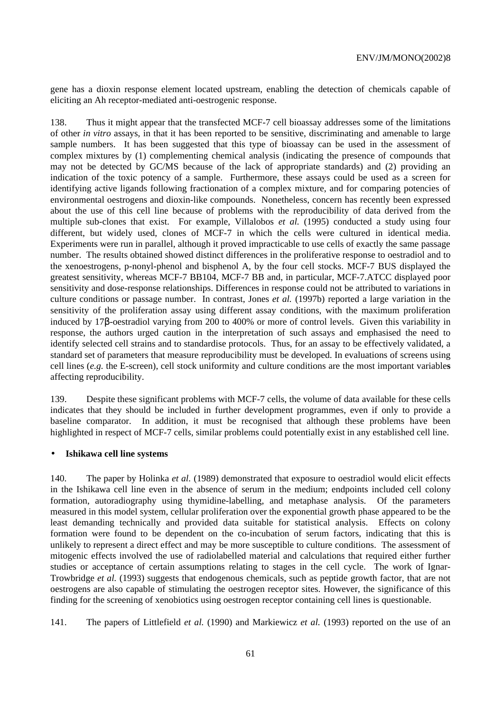gene has a dioxin response element located upstream, enabling the detection of chemicals capable of eliciting an Ah receptor-mediated anti-oestrogenic response.

138. Thus it might appear that the transfected MCF-7 cell bioassay addresses some of the limitations of other *in vitro* assays, in that it has been reported to be sensitive, discriminating and amenable to large sample numbers. It has been suggested that this type of bioassay can be used in the assessment of complex mixtures by (1) complementing chemical analysis (indicating the presence of compounds that may not be detected by GC/MS because of the lack of appropriate standards) and (2) providing an indication of the toxic potency of a sample. Furthermore, these assays could be used as a screen for identifying active ligands following fractionation of a complex mixture, and for comparing potencies of environmental oestrogens and dioxin-like compounds. Nonetheless, concern has recently been expressed about the use of this cell line because of problems with the reproducibility of data derived from the multiple sub-clones that exist. For example, Villalobos *et al.* (1995) conducted a study using four different, but widely used, clones of MCF-7 in which the cells were cultured in identical media. Experiments were run in parallel, although it proved impracticable to use cells of exactly the same passage number. The results obtained showed distinct differences in the proliferative response to oestradiol and to the xenoestrogens, p-nonyl-phenol and bisphenol A, by the four cell stocks. MCF-7 BUS displayed the greatest sensitivity, whereas MCF-7 BB104, MCF-7 BB and, in particular, MCF-7.ATCC displayed poor sensitivity and dose-response relationships. Differences in response could not be attributed to variations in culture conditions or passage number. In contrast, Jones *et al.* (1997b) reported a large variation in the sensitivity of the proliferation assay using different assay conditions, with the maximum proliferation induced by 17β-oestradiol varying from 200 to 400% or more of control levels. Given this variability in response, the authors urged caution in the interpretation of such assays and emphasised the need to identify selected cell strains and to standardise protocols. Thus, for an assay to be effectively validated, a standard set of parameters that measure reproducibility must be developed. In evaluations of screens using cell lines (*e.g.* the E-screen), cell stock uniformity and culture conditions are the most important variable**s** affecting reproducibility.

139. Despite these significant problems with MCF-7 cells, the volume of data available for these cells indicates that they should be included in further development programmes, even if only to provide a baseline comparator. In addition, it must be recognised that although these problems have been highlighted in respect of MCF-7 cells, similar problems could potentially exist in any established cell line.

### • **Ishikawa cell line systems**

140. The paper by Holinka *et al.* (1989) demonstrated that exposure to oestradiol would elicit effects in the Ishikawa cell line even in the absence of serum in the medium; endpoints included cell colony formation, autoradiography using thymidine-labelling, and metaphase analysis. Of the parameters measured in this model system, cellular proliferation over the exponential growth phase appeared to be the least demanding technically and provided data suitable for statistical analysis. Effects on colony formation were found to be dependent on the co-incubation of serum factors, indicating that this is unlikely to represent a direct effect and may be more susceptible to culture conditions. The assessment of mitogenic effects involved the use of radiolabelled material and calculations that required either further studies or acceptance of certain assumptions relating to stages in the cell cycle. The work of Ignar-Trowbridge *et al.* (1993) suggests that endogenous chemicals, such as peptide growth factor, that are not oestrogens are also capable of stimulating the oestrogen receptor sites. However, the significance of this finding for the screening of xenobiotics using oestrogen receptor containing cell lines is questionable.

141. The papers of Littlefield *et al.* (1990) and Markiewicz *et al.* (1993) reported on the use of an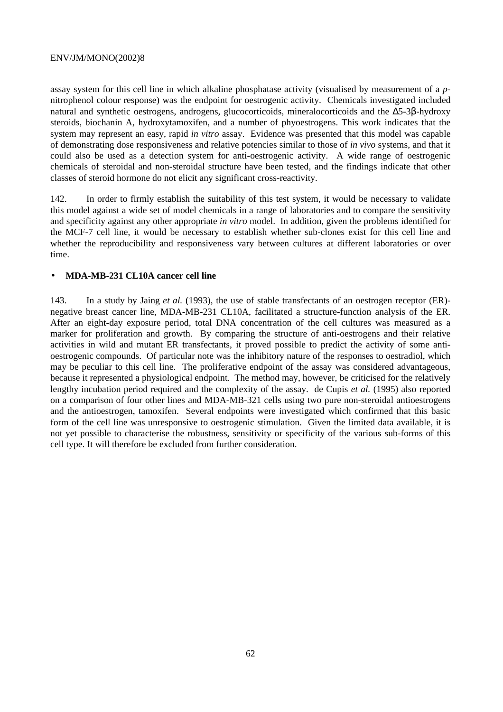assay system for this cell line in which alkaline phosphatase activity (visualised by measurement of a *p*nitrophenol colour response) was the endpoint for oestrogenic activity. Chemicals investigated included natural and synthetic oestrogens, androgens, glucocorticoids, mineralocorticoids and the ∆5-3β-hydroxy steroids, biochanin A, hydroxytamoxifen, and a number of phyoestrogens. This work indicates that the system may represent an easy, rapid *in vitro* assay. Evidence was presented that this model was capable of demonstrating dose responsiveness and relative potencies similar to those of *in vivo* systems, and that it could also be used as a detection system for anti-oestrogenic activity. A wide range of oestrogenic chemicals of steroidal and non-steroidal structure have been tested, and the findings indicate that other classes of steroid hormone do not elicit any significant cross-reactivity.

142. In order to firmly establish the suitability of this test system, it would be necessary to validate this model against a wide set of model chemicals in a range of laboratories and to compare the sensitivity and specificity against any other appropriate *in vitro* model. In addition, given the problems identified for the MCF-7 cell line, it would be necessary to establish whether sub-clones exist for this cell line and whether the reproducibility and responsiveness vary between cultures at different laboratories or over time.

# • **MDA-MB-231 CL10A cancer cell line**

143. In a study by Jaing *et al.* (1993), the use of stable transfectants of an oestrogen receptor (ER) negative breast cancer line, MDA-MB-231 CL10A, facilitated a structure-function analysis of the ER. After an eight-day exposure period, total DNA concentration of the cell cultures was measured as a marker for proliferation and growth. By comparing the structure of anti-oestrogens and their relative activities in wild and mutant ER transfectants, it proved possible to predict the activity of some antioestrogenic compounds. Of particular note was the inhibitory nature of the responses to oestradiol, which may be peculiar to this cell line. The proliferative endpoint of the assay was considered advantageous, because it represented a physiological endpoint. The method may, however, be criticised for the relatively lengthy incubation period required and the complexity of the assay. de Cupis *et al.* (1995) also reported on a comparison of four other lines and MDA-MB-321 cells using two pure non-steroidal antioestrogens and the antioestrogen, tamoxifen. Several endpoints were investigated which confirmed that this basic form of the cell line was unresponsive to oestrogenic stimulation. Given the limited data available, it is not yet possible to characterise the robustness, sensitivity or specificity of the various sub-forms of this cell type. It will therefore be excluded from further consideration.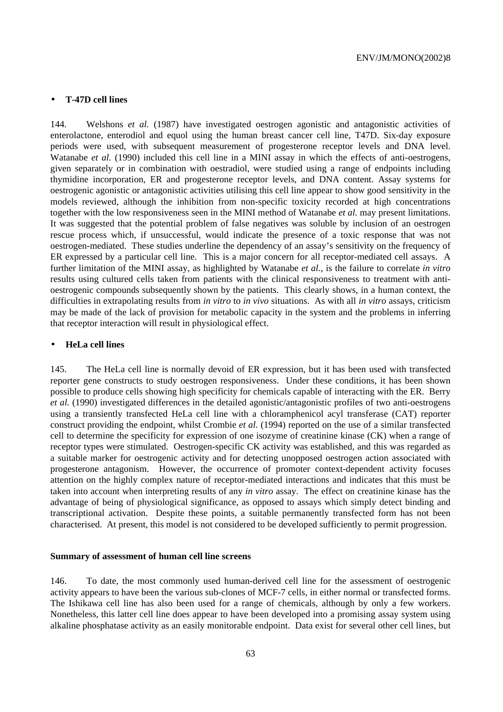### • **T-47D cell lines**

144. Welshons *et al.* (1987) have investigated oestrogen agonistic and antagonistic activities of enterolactone, enterodiol and equol using the human breast cancer cell line, T47D. Six-day exposure periods were used, with subsequent measurement of progesterone receptor levels and DNA level. Watanabe *et al.* (1990) included this cell line in a MINI assay in which the effects of anti-oestrogens, given separately or in combination with oestradiol, were studied using a range of endpoints including thymidine incorporation, ER and progesterone receptor levels, and DNA content. Assay systems for oestrogenic agonistic or antagonistic activities utilising this cell line appear to show good sensitivity in the models reviewed, although the inhibition from non-specific toxicity recorded at high concentrations together with the low responsiveness seen in the MINI method of Watanabe *et al.* may present limitations. It was suggested that the potential problem of false negatives was soluble by inclusion of an oestrogen rescue process which, if unsuccessful, would indicate the presence of a toxic response that was not oestrogen-mediated. These studies underline the dependency of an assay's sensitivity on the frequency of ER expressed by a particular cell line. This is a major concern for all receptor-mediated cell assays. A further limitation of the MINI assay, as highlighted by Watanabe *et al.,* is the failure to correlate *in vitro* results using cultured cells taken from patients with the clinical responsiveness to treatment with antioestrogenic compounds subsequently shown by the patients. This clearly shows, in a human context, the difficulties in extrapolating results from *in vitro* to *in vivo* situations. As with all *in vitro* assays, criticism may be made of the lack of provision for metabolic capacity in the system and the problems in inferring that receptor interaction will result in physiological effect.

### • **HeLa cell lines**

145. The HeLa cell line is normally devoid of ER expression, but it has been used with transfected reporter gene constructs to study oestrogen responsiveness. Under these conditions, it has been shown possible to produce cells showing high specificity for chemicals capable of interacting with the ER. Berry *et al.* (1990) investigated differences in the detailed agonistic/antagonistic profiles of two anti-oestrogens using a transiently transfected HeLa cell line with a chloramphenicol acyl transferase (CAT) reporter construct providing the endpoint, whilst Crombie *et al.* (1994) reported on the use of a similar transfected cell to determine the specificity for expression of one isozyme of creatinine kinase (CK) when a range of receptor types were stimulated. Oestrogen-specific CK activity was established, and this was regarded as a suitable marker for oestrogenic activity and for detecting unopposed oestrogen action associated with progesterone antagonism. However, the occurrence of promoter context-dependent activity focuses attention on the highly complex nature of receptor-mediated interactions and indicates that this must be taken into account when interpreting results of any *in vitro* assay. The effect on creatinine kinase has the advantage of being of physiological significance, as opposed to assays which simply detect binding and transcriptional activation. Despite these points, a suitable permanently transfected form has not been characterised. At present, this model is not considered to be developed sufficiently to permit progression.

#### **Summary of assessment of human cell line screens**

146. To date, the most commonly used human-derived cell line for the assessment of oestrogenic activity appears to have been the various sub-clones of MCF-7 cells, in either normal or transfected forms. The Ishikawa cell line has also been used for a range of chemicals, although by only a few workers. Nonetheless, this latter cell line does appear to have been developed into a promising assay system using alkaline phosphatase activity as an easily monitorable endpoint. Data exist for several other cell lines, but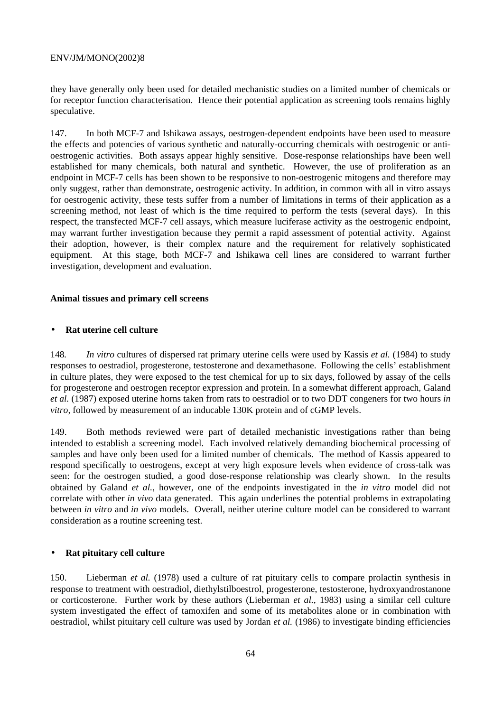they have generally only been used for detailed mechanistic studies on a limited number of chemicals or for receptor function characterisation. Hence their potential application as screening tools remains highly speculative.

147. In both MCF-7 and Ishikawa assays, oestrogen-dependent endpoints have been used to measure the effects and potencies of various synthetic and naturally-occurring chemicals with oestrogenic or antioestrogenic activities. Both assays appear highly sensitive. Dose-response relationships have been well established for many chemicals, both natural and synthetic. However, the use of proliferation as an endpoint in MCF-7 cells has been shown to be responsive to non-oestrogenic mitogens and therefore may only suggest, rather than demonstrate, oestrogenic activity. In addition, in common with all in vitro assays for oestrogenic activity, these tests suffer from a number of limitations in terms of their application as a screening method, not least of which is the time required to perform the tests (several days). In this respect, the transfected MCF-7 cell assays, which measure luciferase activity as the oestrogenic endpoint, may warrant further investigation because they permit a rapid assessment of potential activity. Against their adoption, however, is their complex nature and the requirement for relatively sophisticated equipment. At this stage, both MCF-7 and Ishikawa cell lines are considered to warrant further investigation, development and evaluation.

## **Animal tissues and primary cell screens**

## • **Rat uterine cell culture**

148*. In vitro* cultures of dispersed rat primary uterine cells were used by Kassis *et al.* (1984) to study responses to oestradiol, progesterone, testosterone and dexamethasone. Following the cells' establishment in culture plates, they were exposed to the test chemical for up to six days, followed by assay of the cells for progesterone and oestrogen receptor expression and protein. In a somewhat different approach, Galand *et al.* (1987) exposed uterine horns taken from rats to oestradiol or to two DDT congeners for two hours *in vitro*, followed by measurement of an inducable 130K protein and of cGMP levels.

149. Both methods reviewed were part of detailed mechanistic investigations rather than being intended to establish a screening model. Each involved relatively demanding biochemical processing of samples and have only been used for a limited number of chemicals. The method of Kassis appeared to respond specifically to oestrogens, except at very high exposure levels when evidence of cross-talk was seen: for the oestrogen studied, a good dose-response relationship was clearly shown. In the results obtained by Galand *et al.*, however, one of the endpoints investigated in the *in vitro* model did not correlate with other *in vivo* data generated. This again underlines the potential problems in extrapolating between *in vitro* and *in vivo* models. Overall, neither uterine culture model can be considered to warrant consideration as a routine screening test.

# • **Rat pituitary cell culture**

150. Lieberman *et al.* (1978) used a culture of rat pituitary cells to compare prolactin synthesis in response to treatment with oestradiol, diethylstilboestrol, progesterone, testosterone, hydroxyandrostanone or corticosterone. Further work by these authors (Lieberman *et al.*, 1983) using a similar cell culture system investigated the effect of tamoxifen and some of its metabolites alone or in combination with oestradiol, whilst pituitary cell culture was used by Jordan *et al.* (1986) to investigate binding efficiencies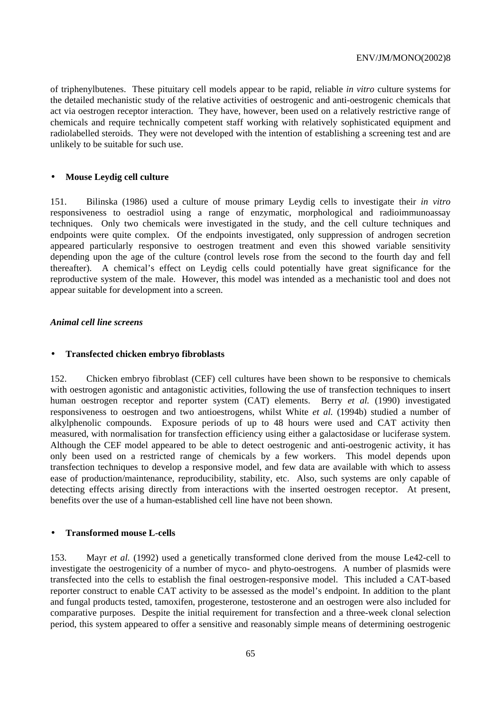of triphenylbutenes. These pituitary cell models appear to be rapid, reliable *in vitro* culture systems for the detailed mechanistic study of the relative activities of oestrogenic and anti-oestrogenic chemicals that act via oestrogen receptor interaction. They have, however, been used on a relatively restrictive range of chemicals and require technically competent staff working with relatively sophisticated equipment and radiolabelled steroids. They were not developed with the intention of establishing a screening test and are unlikely to be suitable for such use.

## • **Mouse Leydig cell culture**

151. Bilinska (1986) used a culture of mouse primary Leydig cells to investigate their *in vitro* responsiveness to oestradiol using a range of enzymatic, morphological and radioimmunoassay techniques. Only two chemicals were investigated in the study, and the cell culture techniques and endpoints were quite complex. Of the endpoints investigated, only suppression of androgen secretion appeared particularly responsive to oestrogen treatment and even this showed variable sensitivity depending upon the age of the culture (control levels rose from the second to the fourth day and fell thereafter). A chemical's effect on Leydig cells could potentially have great significance for the reproductive system of the male. However, this model was intended as a mechanistic tool and does not appear suitable for development into a screen.

### *Animal cell line screens*

## • **Transfected chicken embryo fibroblasts**

152. Chicken embryo fibroblast (CEF) cell cultures have been shown to be responsive to chemicals with oestrogen agonistic and antagonistic activities, following the use of transfection techniques to insert human oestrogen receptor and reporter system (CAT) elements. Berry *et al.* (1990) investigated responsiveness to oestrogen and two antioestrogens, whilst White *et al.* (1994b) studied a number of alkylphenolic compounds. Exposure periods of up to 48 hours were used and CAT activity then measured, with normalisation for transfection efficiency using either a galactosidase or luciferase system. Although the CEF model appeared to be able to detect oestrogenic and anti-oestrogenic activity, it has only been used on a restricted range of chemicals by a few workers. This model depends upon transfection techniques to develop a responsive model, and few data are available with which to assess ease of production/maintenance, reproducibility, stability, etc. Also, such systems are only capable of detecting effects arising directly from interactions with the inserted oestrogen receptor. At present, benefits over the use of a human-established cell line have not been shown.

## • **Transformed mouse L-cells**

153. Mayr *et al.* (1992) used a genetically transformed clone derived from the mouse Le42-cell to investigate the oestrogenicity of a number of myco- and phyto-oestrogens. A number of plasmids were transfected into the cells to establish the final oestrogen-responsive model. This included a CAT-based reporter construct to enable CAT activity to be assessed as the model's endpoint. In addition to the plant and fungal products tested, tamoxifen, progesterone, testosterone and an oestrogen were also included for comparative purposes. Despite the initial requirement for transfection and a three-week clonal selection period, this system appeared to offer a sensitive and reasonably simple means of determining oestrogenic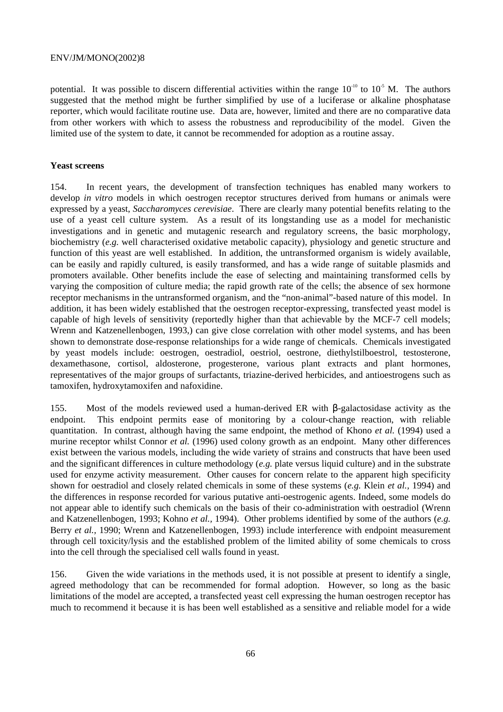potential. It was possible to discern differential activities within the range  $10^{-10}$  to  $10^{-5}$  M. The authors suggested that the method might be further simplified by use of a luciferase or alkaline phosphatase reporter, which would facilitate routine use. Data are, however, limited and there are no comparative data from other workers with which to assess the robustness and reproducibility of the model. Given the limited use of the system to date, it cannot be recommended for adoption as a routine assay.

### **Yeast screens**

154. In recent years, the development of transfection techniques has enabled many workers to develop *in vitro* models in which oestrogen receptor structures derived from humans or animals were expressed by a yeast, *Saccharomyces cerevisiae*. There are clearly many potential benefits relating to the use of a yeast cell culture system. As a result of its longstanding use as a model for mechanistic investigations and in genetic and mutagenic research and regulatory screens, the basic morphology, biochemistry (*e.g.* well characterised oxidative metabolic capacity), physiology and genetic structure and function of this yeast are well established. In addition, the untransformed organism is widely available, can be easily and rapidly cultured, is easily transformed, and has a wide range of suitable plasmids and promoters available. Other benefits include the ease of selecting and maintaining transformed cells by varying the composition of culture media; the rapid growth rate of the cells; the absence of sex hormone receptor mechanisms in the untransformed organism, and the "non-animal"-based nature of this model. In addition, it has been widely established that the oestrogen receptor-expressing, transfected yeast model is capable of high levels of sensitivity (reportedly higher than that achievable by the MCF-7 cell models; Wrenn and Katzenellenbogen, 1993,) can give close correlation with other model systems, and has been shown to demonstrate dose-response relationships for a wide range of chemicals. Chemicals investigated by yeast models include: oestrogen, oestradiol, oestriol, oestrone, diethylstilboestrol, testosterone, dexamethasone, cortisol, aldosterone, progesterone, various plant extracts and plant hormones, representatives of the major groups of surfactants, triazine-derived herbicides, and antioestrogens such as tamoxifen, hydroxytamoxifen and nafoxidine.

155. Most of the models reviewed used a human-derived ER with β-galactosidase activity as the endpoint. This endpoint permits ease of monitoring by a colour-change reaction, with reliable quantitation. In contrast, although having the same endpoint, the method of Khono *et al.* (1994) used a murine receptor whilst Connor *et al.* (1996) used colony growth as an endpoint. Many other differences exist between the various models, including the wide variety of strains and constructs that have been used and the significant differences in culture methodology (*e.g.* plate versus liquid culture) and in the substrate used for enzyme activity measurement. Other causes for concern relate to the apparent high specificity shown for oestradiol and closely related chemicals in some of these systems (*e.g.* Klein *et al.,* 1994) and the differences in response recorded for various putative anti-oestrogenic agents. Indeed, some models do not appear able to identify such chemicals on the basis of their co-administration with oestradiol (Wrenn and Katzenellenbogen, 1993; Kohno *et al.,* 1994). Other problems identified by some of the authors (*e.g.* Berry *et al.,* 1990; Wrenn and Katzenellenbogen, 1993) include interference with endpoint measurement through cell toxicity/lysis and the established problem of the limited ability of some chemicals to cross into the cell through the specialised cell walls found in yeast.

156. Given the wide variations in the methods used, it is not possible at present to identify a single, agreed methodology that can be recommended for formal adoption. However, so long as the basic limitations of the model are accepted, a transfected yeast cell expressing the human oestrogen receptor has much to recommend it because it is has been well established as a sensitive and reliable model for a wide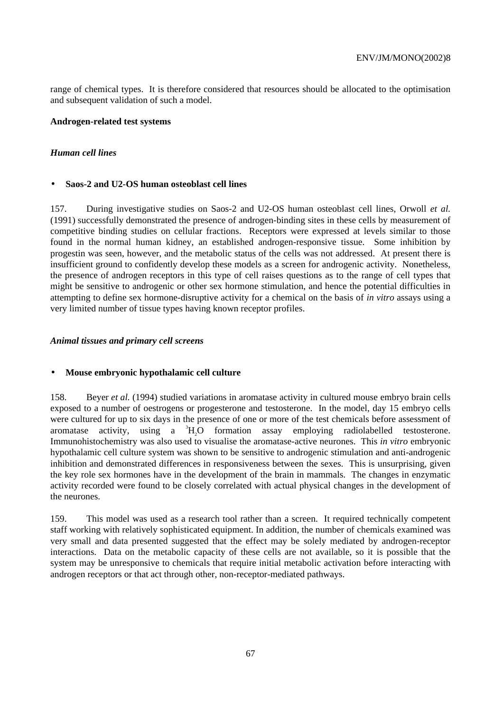range of chemical types. It is therefore considered that resources should be allocated to the optimisation and subsequent validation of such a model.

### **Androgen-related test systems**

## *Human cell lines*

#### • **Saos-2 and U2-OS human osteoblast cell lines**

157. During investigative studies on Saos-2 and U2-OS human osteoblast cell lines, Orwoll *et al.* (1991) successfully demonstrated the presence of androgen-binding sites in these cells by measurement of competitive binding studies on cellular fractions. Receptors were expressed at levels similar to those found in the normal human kidney, an established androgen-responsive tissue. Some inhibition by progestin was seen, however, and the metabolic status of the cells was not addressed. At present there is insufficient ground to confidently develop these models as a screen for androgenic activity. Nonetheless, the presence of androgen receptors in this type of cell raises questions as to the range of cell types that might be sensitive to androgenic or other sex hormone stimulation, and hence the potential difficulties in attempting to define sex hormone-disruptive activity for a chemical on the basis of *in vitro* assays using a very limited number of tissue types having known receptor profiles.

### *Animal tissues and primary cell screens*

### • **Mouse embryonic hypothalamic cell culture**

158. Beyer *et al.* (1994) studied variations in aromatase activity in cultured mouse embryo brain cells exposed to a number of oestrogens or progesterone and testosterone. In the model, day 15 embryo cells were cultured for up to six days in the presence of one or more of the test chemicals before assessment of aromatase activity, using a  ${}^{3}H_{2}O$  formation assay employing radiolabelled testosterone. Immunohistochemistry was also used to visualise the aromatase-active neurones. This *in vitro* embryonic hypothalamic cell culture system was shown to be sensitive to androgenic stimulation and anti-androgenic inhibition and demonstrated differences in responsiveness between the sexes. This is unsurprising, given the key role sex hormones have in the development of the brain in mammals. The changes in enzymatic activity recorded were found to be closely correlated with actual physical changes in the development of the neurones.

159. This model was used as a research tool rather than a screen. It required technically competent staff working with relatively sophisticated equipment. In addition, the number of chemicals examined was very small and data presented suggested that the effect may be solely mediated by androgen-receptor interactions. Data on the metabolic capacity of these cells are not available, so it is possible that the system may be unresponsive to chemicals that require initial metabolic activation before interacting with androgen receptors or that act through other, non-receptor-mediated pathways.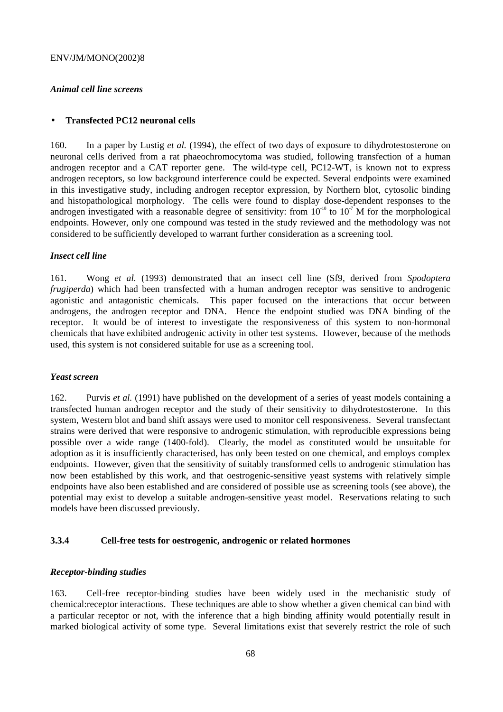## *Animal cell line screens*

### • **Transfected PC12 neuronal cells**

160. In a paper by Lustig *et al.* (1994), the effect of two days of exposure to dihydrotestosterone on neuronal cells derived from a rat phaeochromocytoma was studied, following transfection of a human androgen receptor and a CAT reporter gene. The wild-type cell, PC12-WT, is known not to express androgen receptors, so low background interference could be expected. Several endpoints were examined in this investigative study, including androgen receptor expression, by Northern blot, cytosolic binding and histopathological morphology. The cells were found to display dose-dependent responses to the androgen investigated with a reasonable degree of sensitivity: from  $10^{-10}$  to  $10^{-7}$  M for the morphological endpoints. However, only one compound was tested in the study reviewed and the methodology was not considered to be sufficiently developed to warrant further consideration as a screening tool.

## *Insect cell line*

161. Wong *et al.* (1993) demonstrated that an insect cell line (Sf9, derived from *Spodoptera frugiperda*) which had been transfected with a human androgen receptor was sensitive to androgenic agonistic and antagonistic chemicals. This paper focused on the interactions that occur between androgens, the androgen receptor and DNA. Hence the endpoint studied was DNA binding of the receptor. It would be of interest to investigate the responsiveness of this system to non-hormonal chemicals that have exhibited androgenic activity in other test systems. However, because of the methods used, this system is not considered suitable for use as a screening tool.

### *Yeast screen*

162. Purvis *et al.* (1991) have published on the development of a series of yeast models containing a transfected human androgen receptor and the study of their sensitivity to dihydrotestosterone. In this system, Western blot and band shift assays were used to monitor cell responsiveness. Several transfectant strains were derived that were responsive to androgenic stimulation, with reproducible expressions being possible over a wide range (1400-fold). Clearly, the model as constituted would be unsuitable for adoption as it is insufficiently characterised, has only been tested on one chemical, and employs complex endpoints. However, given that the sensitivity of suitably transformed cells to androgenic stimulation has now been established by this work, and that oestrogenic-sensitive yeast systems with relatively simple endpoints have also been established and are considered of possible use as screening tools (see above), the potential may exist to develop a suitable androgen-sensitive yeast model. Reservations relating to such models have been discussed previously.

## **3.3.4 Cell-free tests for oestrogenic, androgenic or related hormones**

#### *Receptor-binding studies*

163. Cell-free receptor-binding studies have been widely used in the mechanistic study of chemical:receptor interactions. These techniques are able to show whether a given chemical can bind with a particular receptor or not, with the inference that a high binding affinity would potentially result in marked biological activity of some type. Several limitations exist that severely restrict the role of such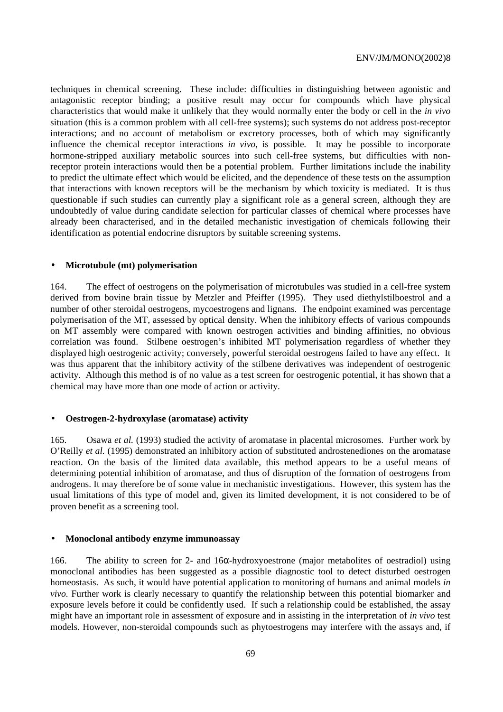techniques in chemical screening. These include: difficulties in distinguishing between agonistic and antagonistic receptor binding; a positive result may occur for compounds which have physical characteristics that would make it unlikely that they would normally enter the body or cell in the *in vivo* situation (this is a common problem with all cell-free systems); such systems do not address post-receptor interactions; and no account of metabolism or excretory processes, both of which may significantly influence the chemical receptor interactions *in vivo,* is possible*.* It may be possible to incorporate hormone-stripped auxiliary metabolic sources into such cell-free systems, but difficulties with nonreceptor protein interactions would then be a potential problem. Further limitations include the inability to predict the ultimate effect which would be elicited, and the dependence of these tests on the assumption that interactions with known receptors will be the mechanism by which toxicity is mediated. It is thus questionable if such studies can currently play a significant role as a general screen, although they are undoubtedly of value during candidate selection for particular classes of chemical where processes have already been characterised, and in the detailed mechanistic investigation of chemicals following their identification as potential endocrine disruptors by suitable screening systems.

### • **Microtubule (mt) polymerisation**

164. The effect of oestrogens on the polymerisation of microtubules was studied in a cell-free system derived from bovine brain tissue by Metzler and Pfeiffer (1995). They used diethylstilboestrol and a number of other steroidal oestrogens, mycoestrogens and lignans. The endpoint examined was percentage polymerisation of the MT, assessed by optical density. When the inhibitory effects of various compounds on MT assembly were compared with known oestrogen activities and binding affinities, no obvious correlation was found. Stilbene oestrogen's inhibited MT polymerisation regardless of whether they displayed high oestrogenic activity; conversely, powerful steroidal oestrogens failed to have any effect. It was thus apparent that the inhibitory activity of the stilbene derivatives was independent of oestrogenic activity. Although this method is of no value as a test screen for oestrogenic potential, it has shown that a chemical may have more than one mode of action or activity.

### • **Oestrogen-2-hydroxylase (aromatase) activity**

165. Osawa *et al.* (1993) studied the activity of aromatase in placental microsomes. Further work by O'Reilly *et al.* (1995) demonstrated an inhibitory action of substituted androstenediones on the aromatase reaction. On the basis of the limited data available, this method appears to be a useful means of determining potential inhibition of aromatase, and thus of disruption of the formation of oestrogens from androgens. It may therefore be of some value in mechanistic investigations. However, this system has the usual limitations of this type of model and, given its limited development, it is not considered to be of proven benefit as a screening tool.

### • **Monoclonal antibody enzyme immunoassay**

166. The ability to screen for 2- and 16α-hydroxyoestrone (major metabolites of oestradiol) using monoclonal antibodies has been suggested as a possible diagnostic tool to detect disturbed oestrogen homeostasis. As such, it would have potential application to monitoring of humans and animal models *in vivo.* Further work is clearly necessary to quantify the relationship between this potential biomarker and exposure levels before it could be confidently used. If such a relationship could be established, the assay might have an important role in assessment of exposure and in assisting in the interpretation of *in vivo* test models. However, non-steroidal compounds such as phytoestrogens may interfere with the assays and, if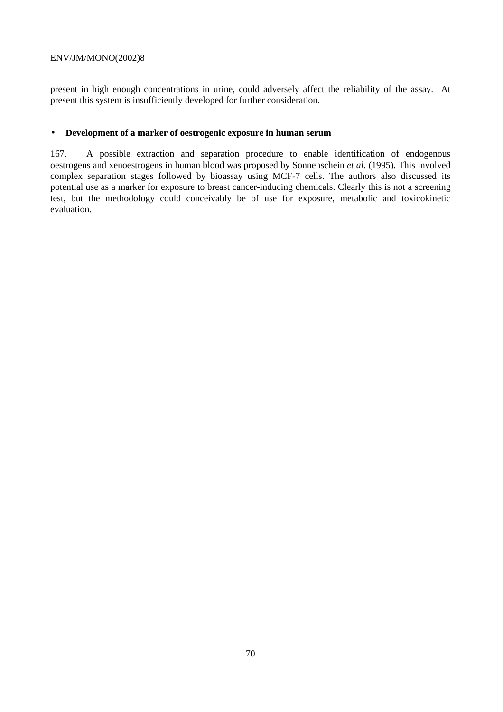present in high enough concentrations in urine, could adversely affect the reliability of the assay. At present this system is insufficiently developed for further consideration.

# • **Development of a marker of oestrogenic exposure in human serum**

167. A possible extraction and separation procedure to enable identification of endogenous oestrogens and xenoestrogens in human blood was proposed by Sonnenschein *et al.* (1995). This involved complex separation stages followed by bioassay using MCF-7 cells. The authors also discussed its potential use as a marker for exposure to breast cancer-inducing chemicals. Clearly this is not a screening test, but the methodology could conceivably be of use for exposure, metabolic and toxicokinetic evaluation.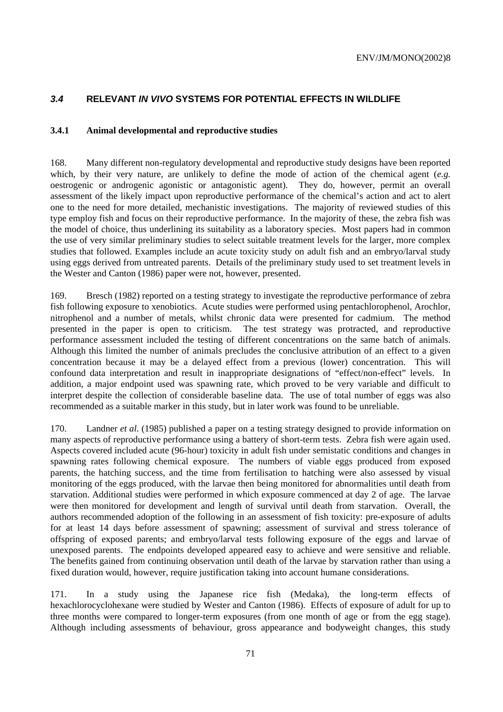# **3.4 RELEVANT IN VIVO SYSTEMS FOR POTENTIAL EFFECTS IN WILDLIFE**

## **3.4.1 Animal developmental and reproductive studies**

168. Many different non-regulatory developmental and reproductive study designs have been reported which, by their very nature, are unlikely to define the mode of action of the chemical agent (*e.g.* oestrogenic or androgenic agonistic or antagonistic agent). They do, however, permit an overall assessment of the likely impact upon reproductive performance of the chemical's action and act to alert one to the need for more detailed, mechanistic investigations. The majority of reviewed studies of this type employ fish and focus on their reproductive performance. In the majority of these, the zebra fish was the model of choice, thus underlining its suitability as a laboratory species. Most papers had in common the use of very similar preliminary studies to select suitable treatment levels for the larger, more complex studies that followed. Examples include an acute toxicity study on adult fish and an embryo/larval study using eggs derived from untreated parents. Details of the preliminary study used to set treatment levels in the Wester and Canton (1986) paper were not, however, presented.

169. Bresch (1982) reported on a testing strategy to investigate the reproductive performance of zebra fish following exposure to xenobiotics. Acute studies were performed using pentachlorophenol, Arochlor, nitrophenol and a number of metals, whilst chronic data were presented for cadmium. The method presented in the paper is open to criticism. The test strategy was protracted, and reproductive performance assessment included the testing of different concentrations on the same batch of animals. Although this limited the number of animals precludes the conclusive attribution of an effect to a given concentration because it may be a delayed effect from a previous (lower) concentration. This will confound data interpretation and result in inappropriate designations of "effect/non-effect" levels. In addition, a major endpoint used was spawning rate, which proved to be very variable and difficult to interpret despite the collection of considerable baseline data. The use of total number of eggs was also recommended as a suitable marker in this study, but in later work was found to be unreliable.

170. Landner *et al.* (1985) published a paper on a testing strategy designed to provide information on many aspects of reproductive performance using a battery of short-term tests. Zebra fish were again used. Aspects covered included acute (96-hour) toxicity in adult fish under semistatic conditions and changes in spawning rates following chemical exposure. The numbers of viable eggs produced from exposed parents, the hatching success, and the time from fertilisation to hatching were also assessed by visual monitoring of the eggs produced, with the larvae then being monitored for abnormalities until death from starvation. Additional studies were performed in which exposure commenced at day 2 of age. The larvae were then monitored for development and length of survival until death from starvation. Overall, the authors recommended adoption of the following in an assessment of fish toxicity: pre-exposure of adults for at least 14 days before assessment of spawning; assessment of survival and stress tolerance of offspring of exposed parents; and embryo/larval tests following exposure of the eggs and larvae of unexposed parents. The endpoints developed appeared easy to achieve and were sensitive and reliable. The benefits gained from continuing observation until death of the larvae by starvation rather than using a fixed duration would, however, require justification taking into account humane considerations.

171. In a study using the Japanese rice fish (Medaka), the long-term effects of hexachlorocyclohexane were studied by Wester and Canton (1986). Effects of exposure of adult for up to three months were compared to longer-term exposures (from one month of age or from the egg stage). Although including assessments of behaviour, gross appearance and bodyweight changes, this study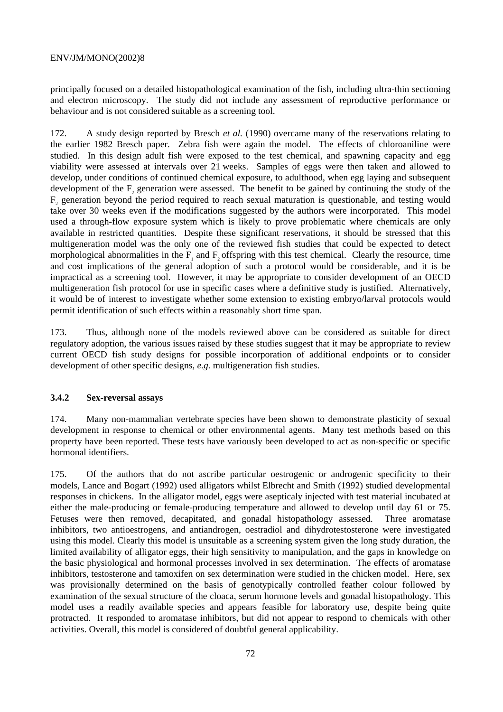principally focused on a detailed histopathological examination of the fish, including ultra-thin sectioning and electron microscopy. The study did not include any assessment of reproductive performance or behaviour and is not considered suitable as a screening tool.

172. A study design reported by Bresch *et al.* (1990) overcame many of the reservations relating to the earlier 1982 Bresch paper. Zebra fish were again the model. The effects of chloroaniline were studied. In this design adult fish were exposed to the test chemical, and spawning capacity and egg viability were assessed at intervals over 21 weeks. Samples of eggs were then taken and allowed to develop, under conditions of continued chemical exposure, to adulthood, when egg laying and subsequent development of the  $F_2$  generation were assessed. The benefit to be gained by continuing the study of the  $F_2$  generation beyond the period required to reach sexual maturation is questionable, and testing would take over 30 weeks even if the modifications suggested by the authors were incorporated. This model used a through-flow exposure system which is likely to prove problematic where chemicals are only available in restricted quantities. Despite these significant reservations, it should be stressed that this multigeneration model was the only one of the reviewed fish studies that could be expected to detect morphological abnormalities in the  $F_1$  and  $F_2$  offspring with this test chemical. Clearly the resource, time and cost implications of the general adoption of such a protocol would be considerable, and it is be impractical as a screening tool. However, it may be appropriate to consider development of an OECD multigeneration fish protocol for use in specific cases where a definitive study is justified. Alternatively, it would be of interest to investigate whether some extension to existing embryo/larval protocols would permit identification of such effects within a reasonably short time span.

173. Thus, although none of the models reviewed above can be considered as suitable for direct regulatory adoption, the various issues raised by these studies suggest that it may be appropriate to review current OECD fish study designs for possible incorporation of additional endpoints or to consider development of other specific designs, *e.g.* multigeneration fish studies.

# **3.4.2 Sex-reversal assays**

174. Many non-mammalian vertebrate species have been shown to demonstrate plasticity of sexual development in response to chemical or other environmental agents. Many test methods based on this property have been reported. These tests have variously been developed to act as non-specific or specific hormonal identifiers.

175. Of the authors that do not ascribe particular oestrogenic or androgenic specificity to their models, Lance and Bogart (1992) used alligators whilst Elbrecht and Smith (1992) studied developmental responses in chickens. In the alligator model, eggs were asepticaly injected with test material incubated at either the male-producing or female-producing temperature and allowed to develop until day 61 or 75. Fetuses were then removed, decapitated, and gonadal histopathology assessed. Three aromatase inhibitors, two antioestrogens, and antiandrogen, oestradiol and dihydrotestosterone were investigated using this model. Clearly this model is unsuitable as a screening system given the long study duration, the limited availability of alligator eggs, their high sensitivity to manipulation, and the gaps in knowledge on the basic physiological and hormonal processes involved in sex determination. The effects of aromatase inhibitors, testosterone and tamoxifen on sex determination were studied in the chicken model. Here, sex was provisionally determined on the basis of genotypically controlled feather colour followed by examination of the sexual structure of the cloaca, serum hormone levels and gonadal histopathology. This model uses a readily available species and appears feasible for laboratory use, despite being quite protracted. It responded to aromatase inhibitors, but did not appear to respond to chemicals with other activities. Overall, this model is considered of doubtful general applicability.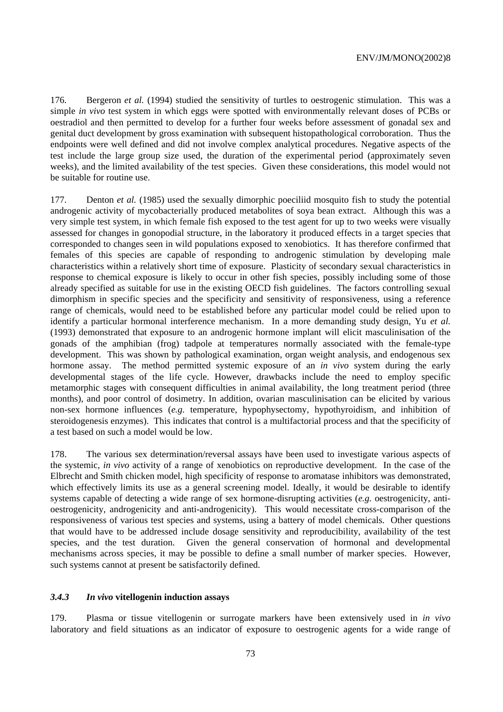176. Bergeron *et al.* (1994) studied the sensitivity of turtles to oestrogenic stimulation. This was a simple *in vivo* test system in which eggs were spotted with environmentally relevant doses of PCBs or oestradiol and then permitted to develop for a further four weeks before assessment of gonadal sex and genital duct development by gross examination with subsequent histopathological corroboration. Thus the endpoints were well defined and did not involve complex analytical procedures. Negative aspects of the test include the large group size used, the duration of the experimental period (approximately seven weeks), and the limited availability of the test species. Given these considerations, this model would not be suitable for routine use.

177. Denton *et al.* (1985) used the sexually dimorphic poeciliid mosquito fish to study the potential androgenic activity of mycobacterially produced metabolites of soya bean extract. Although this was a very simple test system, in which female fish exposed to the test agent for up to two weeks were visually assessed for changes in gonopodial structure, in the laboratory it produced effects in a target species that corresponded to changes seen in wild populations exposed to xenobiotics. It has therefore confirmed that females of this species are capable of responding to androgenic stimulation by developing male characteristics within a relatively short time of exposure. Plasticity of secondary sexual characteristics in response to chemical exposure is likely to occur in other fish species, possibly including some of those already specified as suitable for use in the existing OECD fish guidelines. The factors controlling sexual dimorphism in specific species and the specificity and sensitivity of responsiveness, using a reference range of chemicals, would need to be established before any particular model could be relied upon to identify a particular hormonal interference mechanism. In a more demanding study design, Yu *et al.* (1993) demonstrated that exposure to an androgenic hormone implant will elicit masculinisation of the gonads of the amphibian (frog) tadpole at temperatures normally associated with the female-type development. This was shown by pathological examination, organ weight analysis, and endogenous sex hormone assay. The method permitted systemic exposure of an *in vivo* system during the early developmental stages of the life cycle. However, drawbacks include the need to employ specific metamorphic stages with consequent difficulties in animal availability, the long treatment period (three months), and poor control of dosimetry. In addition, ovarian masculinisation can be elicited by various non-sex hormone influences (*e.g.* temperature, hypophysectomy, hypothyroidism, and inhibition of steroidogenesis enzymes). This indicates that control is a multifactorial process and that the specificity of a test based on such a model would be low.

178. The various sex determination/reversal assays have been used to investigate various aspects of the systemic, *in vivo* activity of a range of xenobiotics on reproductive development. In the case of the Elbrecht and Smith chicken model, high specificity of response to aromatase inhibitors was demonstrated, which effectively limits its use as a general screening model. Ideally, it would be desirable to identify systems capable of detecting a wide range of sex hormone-disrupting activities (*e.g.* oestrogenicity, antioestrogenicity, androgenicity and anti-androgenicity). This would necessitate cross-comparison of the responsiveness of various test species and systems, using a battery of model chemicals. Other questions that would have to be addressed include dosage sensitivity and reproducibility, availability of the test species, and the test duration. Given the general conservation of hormonal and developmental mechanisms across species, it may be possible to define a small number of marker species. However, such systems cannot at present be satisfactorily defined.

# *3.4.3 In vivo* **vitellogenin induction assays**

179. Plasma or tissue vitellogenin or surrogate markers have been extensively used in *in vivo* laboratory and field situations as an indicator of exposure to oestrogenic agents for a wide range of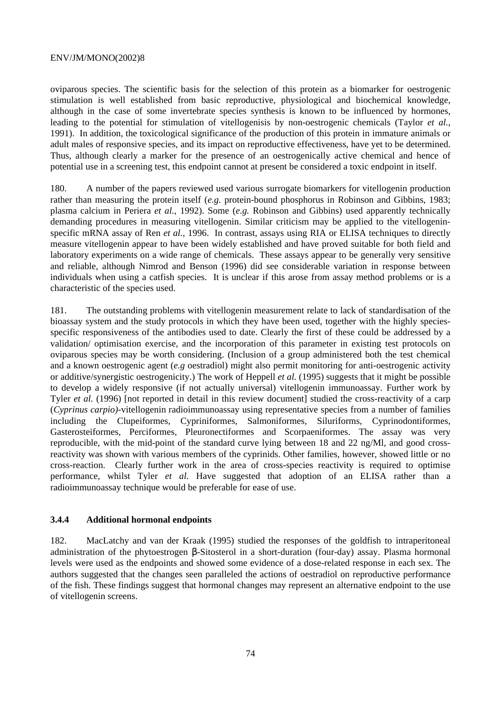oviparous species. The scientific basis for the selection of this protein as a biomarker for oestrogenic stimulation is well established from basic reproductive, physiological and biochemical knowledge, although in the case of some invertebrate species synthesis is known to be influenced by hormones, leading to the potential for stimulation of vitellogenisis by non-oestrogenic chemicals (Taylor *et al.,* 1991). In addition, the toxicological significance of the production of this protein in immature animals or adult males of responsive species, and its impact on reproductive effectiveness, have yet to be determined. Thus, although clearly a marker for the presence of an oestrogenically active chemical and hence of potential use in a screening test, this endpoint cannot at present be considered a toxic endpoint in itself.

180. A number of the papers reviewed used various surrogate biomarkers for vitellogenin production rather than measuring the protein itself (*e.g.* protein-bound phosphorus in Robinson and Gibbins, 1983; plasma calcium in Periera *et al.*, 1992). Some (*e.g.* Robinson and Gibbins) used apparently technically demanding procedures in measuring vitellogenin. Similar criticism may be applied to the vitellogeninspecific mRNA assay of Ren *et al.*, 1996. In contrast, assays using RIA or ELISA techniques to directly measure vitellogenin appear to have been widely established and have proved suitable for both field and laboratory experiments on a wide range of chemicals. These assays appear to be generally very sensitive and reliable, although Nimrod and Benson (1996) did see considerable variation in response between individuals when using a catfish species. It is unclear if this arose from assay method problems or is a characteristic of the species used.

181. The outstanding problems with vitellogenin measurement relate to lack of standardisation of the bioassay system and the study protocols in which they have been used, together with the highly speciesspecific responsiveness of the antibodies used to date. Clearly the first of these could be addressed by a validation/ optimisation exercise, and the incorporation of this parameter in existing test protocols on oviparous species may be worth considering. (Inclusion of a group administered both the test chemical and a known oestrogenic agent (*e.g* oestradiol) might also permit monitoring for anti-oestrogenic activity or additive/synergistic oestrogenicity.) The work of Heppell *et al.* (1995) suggests that it might be possible to develop a widely responsive (if not actually universal) vitellogenin immunoassay. Further work by Tyler *et al.* (1996) [not reported in detail in this review document] studied the cross-reactivity of a carp (*Cyprinus carpio)-*vitellogenin radioimmunoassay using representative species from a number of families including the Clupeiformes, Cypriniformes, Salmoniformes, Siluriforms, Cyprinodontiformes, Gasterosteiformes, Perciformes, Pleuronectiformes and Scorpaeniformes. The assay was very reproducible, with the mid-point of the standard curve lying between 18 and 22 ng/Ml, and good crossreactivity was shown with various members of the cyprinids. Other families, however, showed little or no cross-reaction. Clearly further work in the area of cross-species reactivity is required to optimise performance, whilst Tyler *et al.* Have suggested that adoption of an ELISA rather than a radioimmunoassay technique would be preferable for ease of use.

# **3.4.4 Additional hormonal endpoints**

182. MacLatchy and van der Kraak (1995) studied the responses of the goldfish to intraperitoneal administration of the phytoestrogen β-Sitosterol in a short-duration (four-day) assay. Plasma hormonal levels were used as the endpoints and showed some evidence of a dose-related response in each sex. The authors suggested that the changes seen paralleled the actions of oestradiol on reproductive performance of the fish. These findings suggest that hormonal changes may represent an alternative endpoint to the use of vitellogenin screens.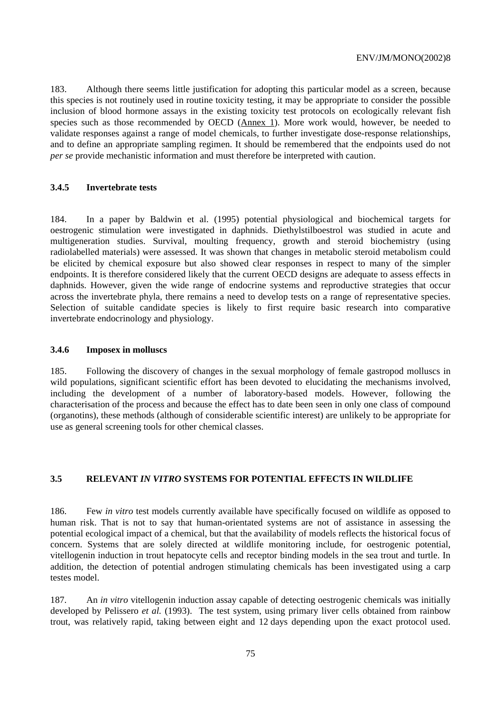183. Although there seems little justification for adopting this particular model as a screen, because this species is not routinely used in routine toxicity testing, it may be appropriate to consider the possible inclusion of blood hormone assays in the existing toxicity test protocols on ecologically relevant fish species such as those recommended by OECD (Annex 1). More work would, however, be needed to validate responses against a range of model chemicals, to further investigate dose-response relationships, and to define an appropriate sampling regimen. It should be remembered that the endpoints used do not *per se* provide mechanistic information and must therefore be interpreted with caution.

## **3.4.5 Invertebrate tests**

184. In a paper by Baldwin et al. (1995) potential physiological and biochemical targets for oestrogenic stimulation were investigated in daphnids. Diethylstilboestrol was studied in acute and multigeneration studies. Survival, moulting frequency, growth and steroid biochemistry (using radiolabelled materials) were assessed. It was shown that changes in metabolic steroid metabolism could be elicited by chemical exposure but also showed clear responses in respect to many of the simpler endpoints. It is therefore considered likely that the current OECD designs are adequate to assess effects in daphnids. However, given the wide range of endocrine systems and reproductive strategies that occur across the invertebrate phyla, there remains a need to develop tests on a range of representative species. Selection of suitable candidate species is likely to first require basic research into comparative invertebrate endocrinology and physiology.

# **3.4.6 Imposex in molluscs**

185. Following the discovery of changes in the sexual morphology of female gastropod molluscs in wild populations, significant scientific effort has been devoted to elucidating the mechanisms involved, including the development of a number of laboratory-based models. However, following the characterisation of the process and because the effect has to date been seen in only one class of compound (organotins), these methods (although of considerable scientific interest) are unlikely to be appropriate for use as general screening tools for other chemical classes.

# **3.5 RELEVANT** *IN VITRO* **SYSTEMS FOR POTENTIAL EFFECTS IN WILDLIFE**

186. Few *in vitro* test models currently available have specifically focused on wildlife as opposed to human risk. That is not to say that human-orientated systems are not of assistance in assessing the potential ecological impact of a chemical, but that the availability of models reflects the historical focus of concern. Systems that are solely directed at wildlife monitoring include, for oestrogenic potential, vitellogenin induction in trout hepatocyte cells and receptor binding models in the sea trout and turtle. In addition, the detection of potential androgen stimulating chemicals has been investigated using a carp testes model.

187. An *in vitro* vitellogenin induction assay capable of detecting oestrogenic chemicals was initially developed by Pelissero *et al.* (1993). The test system, using primary liver cells obtained from rainbow trout, was relatively rapid, taking between eight and 12 days depending upon the exact protocol used.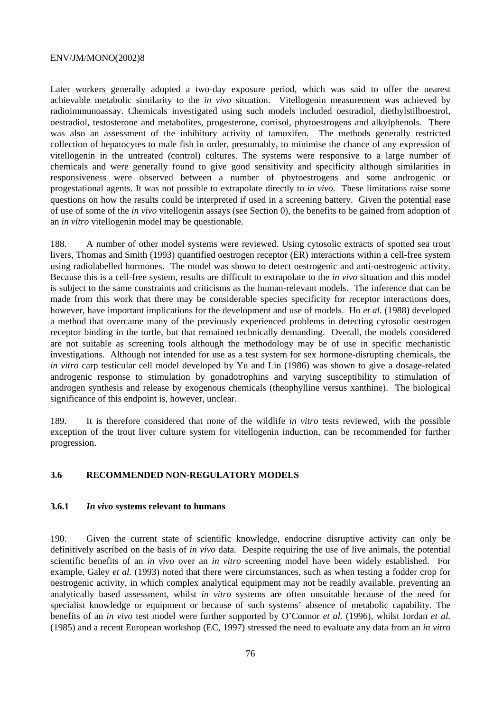Later workers generally adopted a two-day exposure period, which was said to offer the nearest achievable metabolic similarity to the *in vivo* situation. Vitellogenin measurement was achieved by radioimmunoassay. Chemicals investigated using such models included oestradiol, diethylstilboestrol, oestradiol, testosterone and metabolites, progesterone, cortisol, phytoestrogens and alkylphenols. There was also an assessment of the inhibitory activity of tamoxifen. The methods generally restricted collection of hepatocytes to male fish in order, presumably, to minimise the chance of any expression of vitellogenin in the untreated (control) cultures. The systems were responsive to a large number of chemicals and were generally found to give good sensitivity and specificity although similarities in responsiveness were observed between a number of phytoestrogens and some androgenic or progestational agents. It was not possible to extrapolate directly to *in vivo*. These limitations raise some questions on how the results could be interpreted if used in a screening battery. Given the potential ease of use of some of the *in vivo* vitellogenin assays (see Section 0), the benefits to be gained from adoption of an *in vitro* vitellogenin model may be questionable.

188. A number of other model systems were reviewed. Using cytosolic extracts of spotted sea trout livers, Thomas and Smith (1993) quantified oestrogen receptor (ER) interactions within a cell-free system using radiolabelled hormones. The model was shown to detect oestrogenic and anti-oestrogenic activity. Because this is a cell-free system, results are difficult to extrapolate to the *in vivo* situation and this model is subject to the same constraints and criticisms as the human-relevant models. The inference that can be made from this work that there may be considerable species specificity for receptor interactions does, however, have important implications for the development and use of models. Ho *et al.* (1988) developed a method that overcame many of the previously experienced problems in detecting cytosolic oestrogen receptor binding in the turtle, but that remained technically demanding. Overall, the models considered are not suitable as screening tools although the methodology may be of use in specific mechanistic investigations. Although not intended for use as a test system for sex hormone-disrupting chemicals, the *in vitro* carp testicular cell model developed by Yu and Lin (1986) was shown to give a dosage-related androgenic response to stimulation by gonadotrophins and varying susceptibility to stimulation of androgen synthesis and release by exogenous chemicals (theophylline versus xanthine). The biological significance of this endpoint is, however, unclear.

189. It is therefore considered that none of the wildlife *in vitro* tests reviewed, with the possible exception of the trout liver culture system for vitellogenin induction, can be recommended for further progression.

# **3.6 RECOMMENDED NON-REGULATORY MODELS**

# **3.6.1** *In vivo* **systems relevant to humans**

190. Given the current state of scientific knowledge, endocrine disruptive activity can only be definitively ascribed on the basis of *in vivo* data. Despite requiring the use of live animals, the potential scientific benefits of an *in vivo* over an *in vitro* screening model have been widely established. For example, Galey *et al.* (1993) noted that there were circumstances, such as when testing a fodder crop for oestrogenic activity, in which complex analytical equipment may not be readily available, preventing an analytically based assessment, whilst *in vitro* systems are often unsuitable because of the need for specialist knowledge or equipment or because of such systems' absence of metabolic capability. The benefits of an *in vivo* test model were further supported by O'Connor *et al.* (1996), whilst Jordan *et al.* (1985) and a recent European workshop (EC, 1997) stressed the need to evaluate any data from an *in vitro*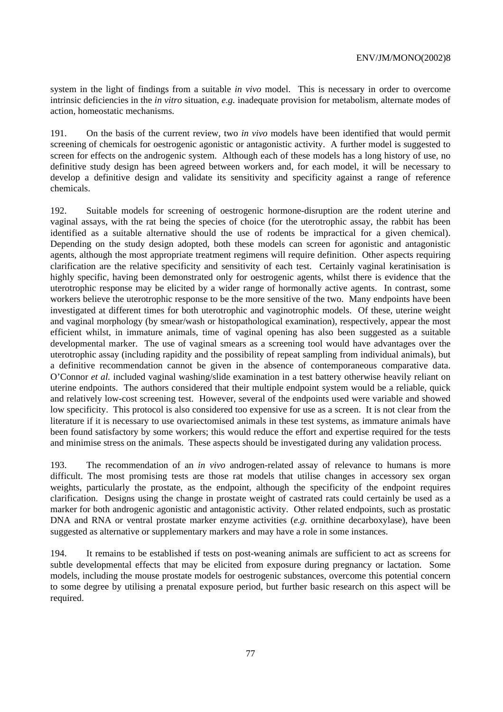system in the light of findings from a suitable *in vivo* model. This is necessary in order to overcome intrinsic deficiencies in the *in vitro* situation, *e.g.* inadequate provision for metabolism, alternate modes of action, homeostatic mechanisms.

191. On the basis of the current review, two *in vivo* models have been identified that would permit screening of chemicals for oestrogenic agonistic or antagonistic activity. A further model is suggested to screen for effects on the androgenic system. Although each of these models has a long history of use, no definitive study design has been agreed between workers and, for each model, it will be necessary to develop a definitive design and validate its sensitivity and specificity against a range of reference chemicals.

192. Suitable models for screening of oestrogenic hormone-disruption are the rodent uterine and vaginal assays, with the rat being the species of choice (for the uterotrophic assay, the rabbit has been identified as a suitable alternative should the use of rodents be impractical for a given chemical). Depending on the study design adopted, both these models can screen for agonistic and antagonistic agents, although the most appropriate treatment regimens will require definition. Other aspects requiring clarification are the relative specificity and sensitivity of each test. Certainly vaginal keratinisation is highly specific, having been demonstrated only for oestrogenic agents, whilst there is evidence that the uterotrophic response may be elicited by a wider range of hormonally active agents. In contrast, some workers believe the uterotrophic response to be the more sensitive of the two. Many endpoints have been investigated at different times for both uterotrophic and vaginotrophic models. Of these, uterine weight and vaginal morphology (by smear/wash or histopathological examination), respectively, appear the most efficient whilst, in immature animals, time of vaginal opening has also been suggested as a suitable developmental marker. The use of vaginal smears as a screening tool would have advantages over the uterotrophic assay (including rapidity and the possibility of repeat sampling from individual animals), but a definitive recommendation cannot be given in the absence of contemporaneous comparative data. O'Connor *et al.* included vaginal washing/slide examination in a test battery otherwise heavily reliant on uterine endpoints. The authors considered that their multiple endpoint system would be a reliable, quick and relatively low-cost screening test. However, several of the endpoints used were variable and showed low specificity. This protocol is also considered too expensive for use as a screen. It is not clear from the literature if it is necessary to use ovariectomised animals in these test systems, as immature animals have been found satisfactory by some workers; this would reduce the effort and expertise required for the tests and minimise stress on the animals. These aspects should be investigated during any validation process.

193. The recommendation of an *in vivo* androgen-related assay of relevance to humans is more difficult. The most promising tests are those rat models that utilise changes in accessory sex organ weights, particularly the prostate, as the endpoint, although the specificity of the endpoint requires clarification. Designs using the change in prostate weight of castrated rats could certainly be used as a marker for both androgenic agonistic and antagonistic activity. Other related endpoints, such as prostatic DNA and RNA or ventral prostate marker enzyme activities (*e.g.* ornithine decarboxylase), have been suggested as alternative or supplementary markers and may have a role in some instances.

194. It remains to be established if tests on post-weaning animals are sufficient to act as screens for subtle developmental effects that may be elicited from exposure during pregnancy or lactation. Some models, including the mouse prostate models for oestrogenic substances, overcome this potential concern to some degree by utilising a prenatal exposure period, but further basic research on this aspect will be required.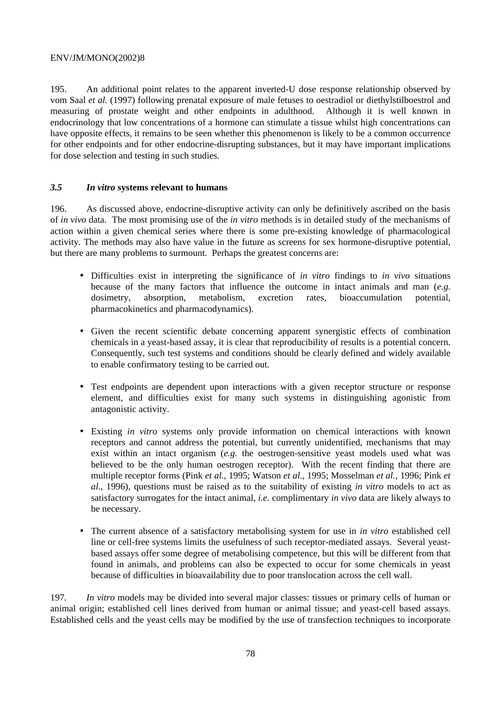195. An additional point relates to the apparent inverted-U dose response relationship observed by vom Saal *et al.* (1997) following prenatal exposure of male fetuses to oestradiol or diethylstilboestrol and measuring of prostate weight and other endpoints in adulthood. Although it is well known in endocrinology that low concentrations of a hormone can stimulate a tissue whilst high concentrations can have opposite effects, it remains to be seen whether this phenomenon is likely to be a common occurrence for other endpoints and for other endocrine-disrupting substances, but it may have important implications for dose selection and testing in such studies.

# *3.5 In vitro* **systems relevant to humans**

196. As discussed above, endocrine-disruptive activity can only be definitively ascribed on the basis of *in vivo* data. The most promising use of the *in vitro* methods is in detailed study of the mechanisms of action within a given chemical series where there is some pre-existing knowledge of pharmacological activity. The methods may also have value in the future as screens for sex hormone-disruptive potential, but there are many problems to surmount. Perhaps the greatest concerns are:

- Difficulties exist in interpreting the significance of *in vitro* findings to *in vivo* situations because of the many factors that influence the outcome in intact animals and man (*e.g.* dosimetry, absorption, metabolism, excretion rates, bioaccumulation potential, pharmacokinetics and pharmacodynamics).
- Given the recent scientific debate concerning apparent synergistic effects of combination chemicals in a yeast-based assay, it is clear that reproducibility of results is a potential concern. Consequently, such test systems and conditions should be clearly defined and widely available to enable confirmatory testing to be carried out.
- Test endpoints are dependent upon interactions with a given receptor structure or response element, and difficulties exist for many such systems in distinguishing agonistic from antagonistic activity.
- Existing *in vitro* systems only provide information on chemical interactions with known receptors and cannot address the potential, but currently unidentified, mechanisms that may exist within an intact organism (*e.g.* the oestrogen-sensitive yeast models used what was believed to be the only human oestrogen receptor). With the recent finding that there are multiple receptor forms (Pink *et al.*, 1995; Watson *et al.*, 1995; Mosselman *et al.,* 1996; Pink *et al.*, 1996), questions must be raised as to the suitability of existing *in vitro* models to act as satisfactory surrogates for the intact animal, *i.e.* complimentary *in vivo* data are likely always to be necessary.
- The current absence of a satisfactory metabolising system for use in *in vitro* established cell line or cell-free systems limits the usefulness of such receptor-mediated assays. Several yeastbased assays offer some degree of metabolising competence, but this will be different from that found in animals, and problems can also be expected to occur for some chemicals in yeast because of difficulties in bioavailability due to poor translocation across the cell wall.

197*. In vitro* models may be divided into several major classes: tissues or primary cells of human or animal origin; established cell lines derived from human or animal tissue; and yeast-cell based assays. Established cells and the yeast cells may be modified by the use of transfection techniques to incorporate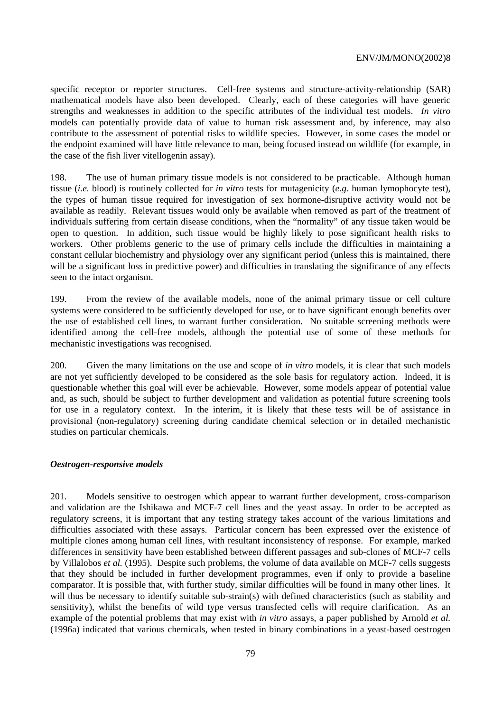specific receptor or reporter structures. Cell-free systems and structure-activity-relationship (SAR) mathematical models have also been developed. Clearly, each of these categories will have generic strengths and weaknesses in addition to the specific attributes of the individual test models. *In vitro* models can potentially provide data of value to human risk assessment and, by inference, may also contribute to the assessment of potential risks to wildlife species. However, in some cases the model or the endpoint examined will have little relevance to man, being focused instead on wildlife (for example, in the case of the fish liver vitellogenin assay).

198. The use of human primary tissue models is not considered to be practicable. Although human tissue (*i.e.* blood) is routinely collected for *in vitro* tests for mutagenicity (*e.g.* human lymophocyte test), the types of human tissue required for investigation of sex hormone-disruptive activity would not be available as readily. Relevant tissues would only be available when removed as part of the treatment of individuals suffering from certain disease conditions, when the "normality" of any tissue taken would be open to question. In addition, such tissue would be highly likely to pose significant health risks to workers. Other problems generic to the use of primary cells include the difficulties in maintaining a constant cellular biochemistry and physiology over any significant period (unless this is maintained, there will be a significant loss in predictive power) and difficulties in translating the significance of any effects seen to the intact organism.

199. From the review of the available models, none of the animal primary tissue or cell culture systems were considered to be sufficiently developed for use, or to have significant enough benefits over the use of established cell lines, to warrant further consideration. No suitable screening methods were identified among the cell-free models, although the potential use of some of these methods for mechanistic investigations was recognised.

200. Given the many limitations on the use and scope of *in vitro* models, it is clear that such models are not yet sufficiently developed to be considered as the sole basis for regulatory action. Indeed, it is questionable whether this goal will ever be achievable. However, some models appear of potential value and, as such, should be subject to further development and validation as potential future screening tools for use in a regulatory context. In the interim, it is likely that these tests will be of assistance in provisional (non-regulatory) screening during candidate chemical selection or in detailed mechanistic studies on particular chemicals.

## *Oestrogen-responsive models*

201. Models sensitive to oestrogen which appear to warrant further development, cross-comparison and validation are the Ishikawa and MCF-7 cell lines and the yeast assay. In order to be accepted as regulatory screens, it is important that any testing strategy takes account of the various limitations and difficulties associated with these assays. Particular concern has been expressed over the existence of multiple clones among human cell lines, with resultant inconsistency of response. For example, marked differences in sensitivity have been established between different passages and sub-clones of MCF-7 cells by Villalobos *et al.* (1995). Despite such problems, the volume of data available on MCF-7 cells suggests that they should be included in further development programmes, even if only to provide a baseline comparator. It is possible that, with further study, similar difficulties will be found in many other lines. It will thus be necessary to identify suitable sub-strain(s) with defined characteristics (such as stability and sensitivity), whilst the benefits of wild type versus transfected cells will require clarification. As an example of the potential problems that may exist with *in vitro* assays, a paper published by Arnold *et al.* (1996a) indicated that various chemicals, when tested in binary combinations in a yeast-based oestrogen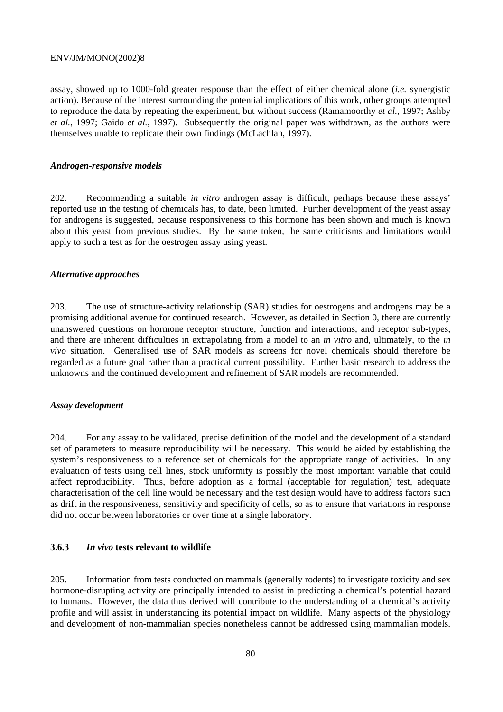assay, showed up to 1000-fold greater response than the effect of either chemical alone (*i.e.* synergistic action). Because of the interest surrounding the potential implications of this work, other groups attempted to reproduce the data by repeating the experiment, but without success (Ramamoorthy *et al.*, 1997; Ashby *et al.*, 1997; Gaido *et al.*, 1997). Subsequently the original paper was withdrawn, as the authors were themselves unable to replicate their own findings (McLachlan, 1997).

#### *Androgen-responsive models*

202. Recommending a suitable *in vitro* androgen assay is difficult, perhaps because these assays' reported use in the testing of chemicals has, to date, been limited. Further development of the yeast assay for androgens is suggested, because responsiveness to this hormone has been shown and much is known about this yeast from previous studies. By the same token, the same criticisms and limitations would apply to such a test as for the oestrogen assay using yeast.

#### *Alternative approaches*

203. The use of structure-activity relationship (SAR) studies for oestrogens and androgens may be a promising additional avenue for continued research. However, as detailed in Section 0, there are currently unanswered questions on hormone receptor structure, function and interactions, and receptor sub-types, and there are inherent difficulties in extrapolating from a model to an *in vitro* and, ultimately, to the *in vivo* situation. Generalised use of SAR models as screens for novel chemicals should therefore be regarded as a future goal rather than a practical current possibility. Further basic research to address the unknowns and the continued development and refinement of SAR models are recommended.

### *Assay development*

204. For any assay to be validated, precise definition of the model and the development of a standard set of parameters to measure reproducibility will be necessary. This would be aided by establishing the system's responsiveness to a reference set of chemicals for the appropriate range of activities. In any evaluation of tests using cell lines, stock uniformity is possibly the most important variable that could affect reproducibility. Thus, before adoption as a formal (acceptable for regulation) test, adequate characterisation of the cell line would be necessary and the test design would have to address factors such as drift in the responsiveness, sensitivity and specificity of cells, so as to ensure that variations in response did not occur between laboratories or over time at a single laboratory.

# **3.6.3** *In vivo* **tests relevant to wildlife**

205. Information from tests conducted on mammals (generally rodents) to investigate toxicity and sex hormone-disrupting activity are principally intended to assist in predicting a chemical's potential hazard to humans. However, the data thus derived will contribute to the understanding of a chemical's activity profile and will assist in understanding its potential impact on wildlife. Many aspects of the physiology and development of non-mammalian species nonetheless cannot be addressed using mammalian models.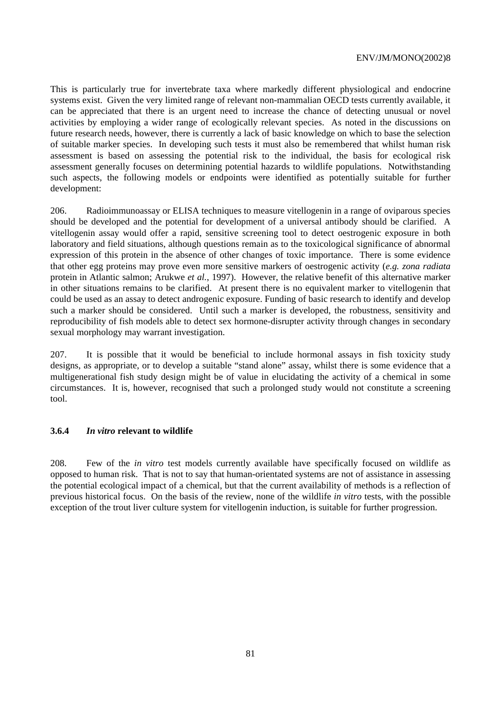This is particularly true for invertebrate taxa where markedly different physiological and endocrine systems exist. Given the very limited range of relevant non-mammalian OECD tests currently available, it can be appreciated that there is an urgent need to increase the chance of detecting unusual or novel activities by employing a wider range of ecologically relevant species. As noted in the discussions on future research needs, however, there is currently a lack of basic knowledge on which to base the selection of suitable marker species. In developing such tests it must also be remembered that whilst human risk assessment is based on assessing the potential risk to the individual, the basis for ecological risk assessment generally focuses on determining potential hazards to wildlife populations. Notwithstanding such aspects, the following models or endpoints were identified as potentially suitable for further development:

206. Radioimmunoassay or ELISA techniques to measure vitellogenin in a range of oviparous species should be developed and the potential for development of a universal antibody should be clarified. A vitellogenin assay would offer a rapid, sensitive screening tool to detect oestrogenic exposure in both laboratory and field situations, although questions remain as to the toxicological significance of abnormal expression of this protein in the absence of other changes of toxic importance. There is some evidence that other egg proteins may prove even more sensitive markers of oestrogenic activity (*e.g. zona radiata* protein in Atlantic salmon; Arukwe *et al.*, 1997). However, the relative benefit of this alternative marker in other situations remains to be clarified. At present there is no equivalent marker to vitellogenin that could be used as an assay to detect androgenic exposure. Funding of basic research to identify and develop such a marker should be considered. Until such a marker is developed, the robustness, sensitivity and reproducibility of fish models able to detect sex hormone-disrupter activity through changes in secondary sexual morphology may warrant investigation.

207. It is possible that it would be beneficial to include hormonal assays in fish toxicity study designs, as appropriate, or to develop a suitable "stand alone" assay, whilst there is some evidence that a multigenerational fish study design might be of value in elucidating the activity of a chemical in some circumstances. It is, however, recognised that such a prolonged study would not constitute a screening tool.

# **3.6.4** *In vitro* **relevant to wildlife**

208. Few of the *in vitro* test models currently available have specifically focused on wildlife as opposed to human risk. That is not to say that human-orientated systems are not of assistance in assessing the potential ecological impact of a chemical, but that the current availability of methods is a reflection of previous historical focus. On the basis of the review, none of the wildlife *in vitro* tests, with the possible exception of the trout liver culture system for vitellogenin induction, is suitable for further progression.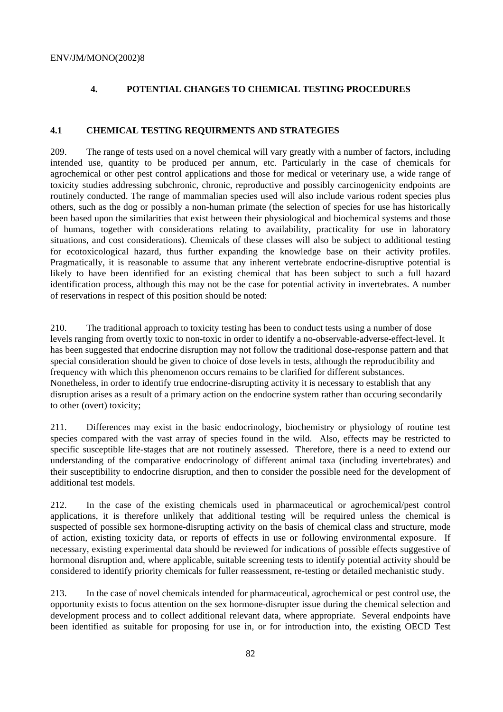# **4. POTENTIAL CHANGES TO CHEMICAL TESTING PROCEDURES**

# **4.1 CHEMICAL TESTING REQUIRMENTS AND STRATEGIES**

209. The range of tests used on a novel chemical will vary greatly with a number of factors, including intended use, quantity to be produced per annum, etc. Particularly in the case of chemicals for agrochemical or other pest control applications and those for medical or veterinary use, a wide range of toxicity studies addressing subchronic, chronic, reproductive and possibly carcinogenicity endpoints are routinely conducted. The range of mammalian species used will also include various rodent species plus others, such as the dog or possibly a non-human primate (the selection of species for use has historically been based upon the similarities that exist between their physiological and biochemical systems and those of humans, together with considerations relating to availability, practicality for use in laboratory situations, and cost considerations). Chemicals of these classes will also be subject to additional testing for ecotoxicological hazard, thus further expanding the knowledge base on their activity profiles. Pragmatically, it is reasonable to assume that any inherent vertebrate endocrine-disruptive potential is likely to have been identified for an existing chemical that has been subject to such a full hazard identification process, although this may not be the case for potential activity in invertebrates. A number of reservations in respect of this position should be noted:

210. The traditional approach to toxicity testing has been to conduct tests using a number of dose levels ranging from overtly toxic to non-toxic in order to identify a no-observable-adverse-effect-level. It has been suggested that endocrine disruption may not follow the traditional dose-response pattern and that special consideration should be given to choice of dose levels in tests, although the reproducibility and frequency with which this phenomenon occurs remains to be clarified for different substances. Nonetheless, in order to identify true endocrine-disrupting activity it is necessary to establish that any disruption arises as a result of a primary action on the endocrine system rather than occuring secondarily to other (overt) toxicity;

211. Differences may exist in the basic endocrinology, biochemistry or physiology of routine test species compared with the vast array of species found in the wild. Also, effects may be restricted to specific susceptible life-stages that are not routinely assessed. Therefore, there is a need to extend our understanding of the comparative endocrinology of different animal taxa (including invertebrates) and their susceptibility to endocrine disruption, and then to consider the possible need for the development of additional test models.

212. In the case of the existing chemicals used in pharmaceutical or agrochemical/pest control applications, it is therefore unlikely that additional testing will be required unless the chemical is suspected of possible sex hormone-disrupting activity on the basis of chemical class and structure, mode of action, existing toxicity data, or reports of effects in use or following environmental exposure. If necessary, existing experimental data should be reviewed for indications of possible effects suggestive of hormonal disruption and, where applicable, suitable screening tests to identify potential activity should be considered to identify priority chemicals for fuller reassessment, re-testing or detailed mechanistic study.

213. In the case of novel chemicals intended for pharmaceutical, agrochemical or pest control use, the opportunity exists to focus attention on the sex hormone-disrupter issue during the chemical selection and development process and to collect additional relevant data, where appropriate. Several endpoints have been identified as suitable for proposing for use in, or for introduction into, the existing OECD Test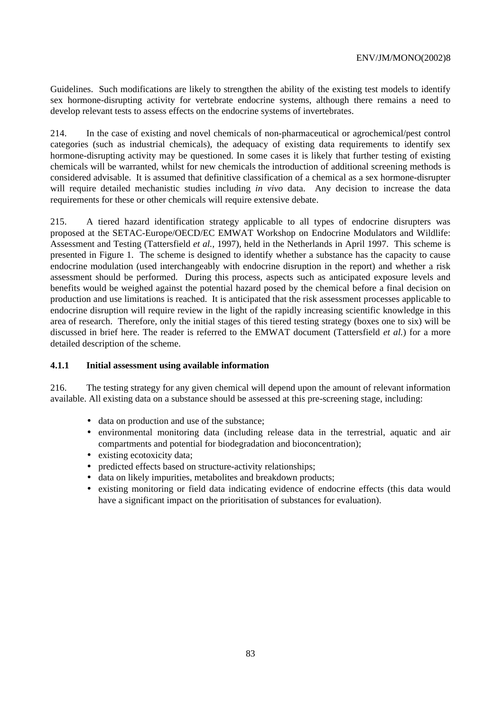Guidelines. Such modifications are likely to strengthen the ability of the existing test models to identify sex hormone-disrupting activity for vertebrate endocrine systems, although there remains a need to develop relevant tests to assess effects on the endocrine systems of invertebrates.

214. In the case of existing and novel chemicals of non-pharmaceutical or agrochemical/pest control categories (such as industrial chemicals), the adequacy of existing data requirements to identify sex hormone-disrupting activity may be questioned. In some cases it is likely that further testing of existing chemicals will be warranted, whilst for new chemicals the introduction of additional screening methods is considered advisable. It is assumed that definitive classification of a chemical as a sex hormone-disrupter will require detailed mechanistic studies including *in vivo* data. Any decision to increase the data requirements for these or other chemicals will require extensive debate.

215. A tiered hazard identification strategy applicable to all types of endocrine disrupters was proposed at the SETAC-Europe/OECD/EC EMWAT Workshop on Endocrine Modulators and Wildlife: Assessment and Testing (Tattersfield *et al.,* 1997), held in the Netherlands in April 1997. This scheme is presented in Figure 1. The scheme is designed to identify whether a substance has the capacity to cause endocrine modulation (used interchangeably with endocrine disruption in the report) and whether a risk assessment should be performed. During this process, aspects such as anticipated exposure levels and benefits would be weighed against the potential hazard posed by the chemical before a final decision on production and use limitations is reached. It is anticipated that the risk assessment processes applicable to endocrine disruption will require review in the light of the rapidly increasing scientific knowledge in this area of research. Therefore, only the initial stages of this tiered testing strategy (boxes one to six) will be discussed in brief here. The reader is referred to the EMWAT document (Tattersfield *et al.*) for a more detailed description of the scheme.

# **4.1.1 Initial assessment using available information**

216. The testing strategy for any given chemical will depend upon the amount of relevant information available. All existing data on a substance should be assessed at this pre-screening stage, including:

- data on production and use of the substance;
- environmental monitoring data (including release data in the terrestrial, aquatic and air compartments and potential for biodegradation and bioconcentration);
- existing ecotoxicity data;
- predicted effects based on structure-activity relationships;
- data on likely impurities, metabolites and breakdown products;
- existing monitoring or field data indicating evidence of endocrine effects (this data would have a significant impact on the prioritisation of substances for evaluation).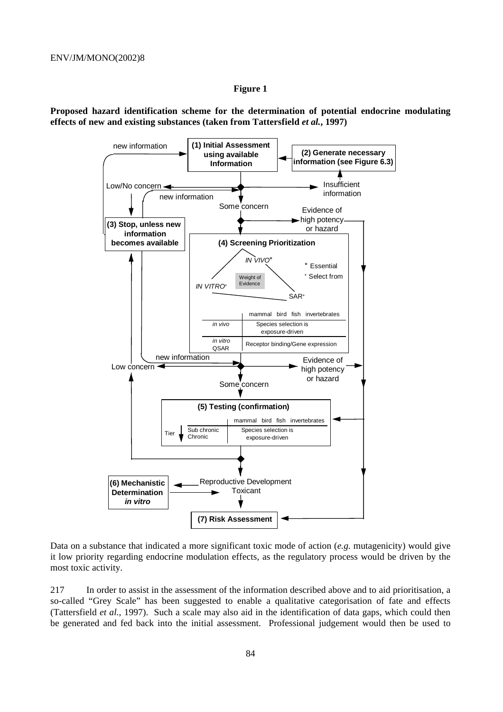#### **Figure 1**

**Proposed hazard identification scheme for the determination of potential endocrine modulating effects of new and existing substances (taken from Tattersfield** *et al.***, 1997)**



Data on a substance that indicated a more significant toxic mode of action (*e.g.* mutagenicity) would give it low priority regarding endocrine modulation effects, as the regulatory process would be driven by the most toxic activity.

217 In order to assist in the assessment of the information described above and to aid prioritisation, a so-called "Grey Scale" has been suggested to enable a qualitative categorisation of fate and effects (Tattersfield *et al.*, 1997). Such a scale may also aid in the identification of data gaps, which could then be generated and fed back into the initial assessment. Professional judgement would then be used to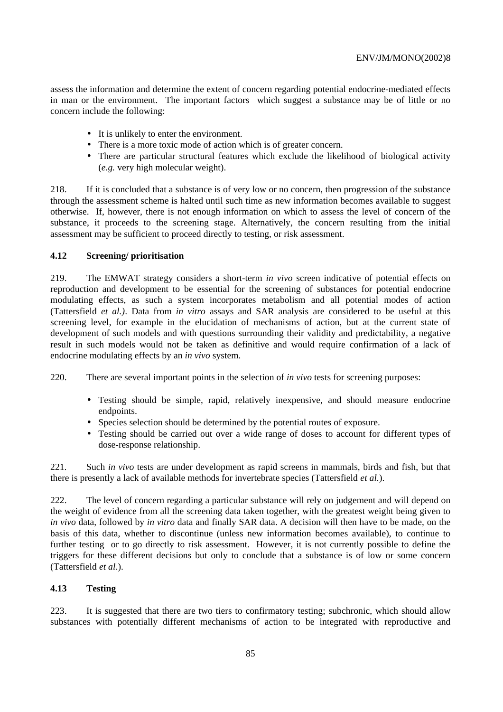assess the information and determine the extent of concern regarding potential endocrine-mediated effects in man or the environment. The important factors which suggest a substance may be of little or no concern include the following:

- It is unlikely to enter the environment.
- There is a more toxic mode of action which is of greater concern.
- There are particular structural features which exclude the likelihood of biological activity (*e.g.* very high molecular weight).

218. If it is concluded that a substance is of very low or no concern, then progression of the substance through the assessment scheme is halted until such time as new information becomes available to suggest otherwise. If, however, there is not enough information on which to assess the level of concern of the substance, it proceeds to the screening stage. Alternatively, the concern resulting from the initial assessment may be sufficient to proceed directly to testing, or risk assessment.

# **4.12 Screening/ prioritisation**

219. The EMWAT strategy considers a short-term *in vivo* screen indicative of potential effects on reproduction and development to be essential for the screening of substances for potential endocrine modulating effects, as such a system incorporates metabolism and all potential modes of action (Tattersfield *et al.)*. Data from *in vitro* assays and SAR analysis are considered to be useful at this screening level, for example in the elucidation of mechanisms of action, but at the current state of development of such models and with questions surrounding their validity and predictability, a negative result in such models would not be taken as definitive and would require confirmation of a lack of endocrine modulating effects by an *in vivo* system.

220. There are several important points in the selection of *in vivo* tests for screening purposes:

- Testing should be simple, rapid, relatively inexpensive, and should measure endocrine endpoints.
- Species selection should be determined by the potential routes of exposure.
- Testing should be carried out over a wide range of doses to account for different types of dose-response relationship.

221. Such *in vivo* tests are under development as rapid screens in mammals, birds and fish, but that there is presently a lack of available methods for invertebrate species (Tattersfield *et al.*).

222. The level of concern regarding a particular substance will rely on judgement and will depend on the weight of evidence from all the screening data taken together, with the greatest weight being given to *in vivo* data, followed by *in vitro* data and finally SAR data. A decision will then have to be made, on the basis of this data, whether to discontinue (unless new information becomes available), to continue to further testing or to go directly to risk assessment. However, it is not currently possible to define the triggers for these different decisions but only to conclude that a substance is of low or some concern (Tattersfield *et al*.).

# **4.13 Testing**

223. It is suggested that there are two tiers to confirmatory testing; subchronic, which should allow substances with potentially different mechanisms of action to be integrated with reproductive and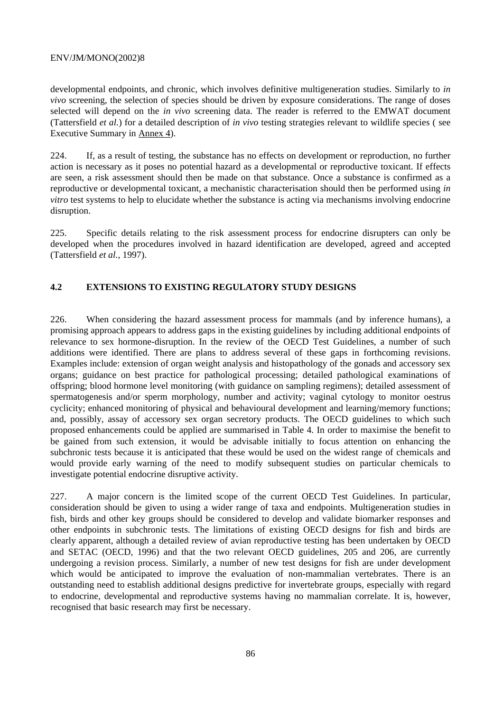developmental endpoints, and chronic, which involves definitive multigeneration studies. Similarly to *in vivo* screening, the selection of species should be driven by exposure considerations. The range of doses selected will depend on the *in vivo* screening data. The reader is referred to the EMWAT document (Tattersfield *et al.*) for a detailed description of *in vivo* testing strategies relevant to wildlife species ( see Executive Summary in Annex 4).

224. If, as a result of testing, the substance has no effects on development or reproduction, no further action is necessary as it poses no potential hazard as a developmental or reproductive toxicant. If effects are seen, a risk assessment should then be made on that substance. Once a substance is confirmed as a reproductive or developmental toxicant, a mechanistic characterisation should then be performed using *in vitro* test systems to help to elucidate whether the substance is acting via mechanisms involving endocrine disruption.

225. Specific details relating to the risk assessment process for endocrine disrupters can only be developed when the procedures involved in hazard identification are developed, agreed and accepted (Tattersfield *et al.*, 1997).

# **4.2 EXTENSIONS TO EXISTING REGULATORY STUDY DESIGNS**

226. When considering the hazard assessment process for mammals (and by inference humans), a promising approach appears to address gaps in the existing guidelines by including additional endpoints of relevance to sex hormone-disruption. In the review of the OECD Test Guidelines, a number of such additions were identified. There are plans to address several of these gaps in forthcoming revisions. Examples include: extension of organ weight analysis and histopathology of the gonads and accessory sex organs; guidance on best practice for pathological processing; detailed pathological examinations of offspring; blood hormone level monitoring (with guidance on sampling regimens); detailed assessment of spermatogenesis and/or sperm morphology, number and activity; vaginal cytology to monitor oestrus cyclicity; enhanced monitoring of physical and behavioural development and learning/memory functions; and, possibly, assay of accessory sex organ secretory products. The OECD guidelines to which such proposed enhancements could be applied are summarised in Table 4. In order to maximise the benefit to be gained from such extension, it would be advisable initially to focus attention on enhancing the subchronic tests because it is anticipated that these would be used on the widest range of chemicals and would provide early warning of the need to modify subsequent studies on particular chemicals to investigate potential endocrine disruptive activity.

227. A major concern is the limited scope of the current OECD Test Guidelines. In particular, consideration should be given to using a wider range of taxa and endpoints. Multigeneration studies in fish, birds and other key groups should be considered to develop and validate biomarker responses and other endpoints in subchronic tests. The limitations of existing OECD designs for fish and birds are clearly apparent, although a detailed review of avian reproductive testing has been undertaken by OECD and SETAC (OECD, 1996) and that the two relevant OECD guidelines, 205 and 206, are currently undergoing a revision process. Similarly, a number of new test designs for fish are under development which would be anticipated to improve the evaluation of non-mammalian vertebrates. There is an outstanding need to establish additional designs predictive for invertebrate groups, especially with regard to endocrine, developmental and reproductive systems having no mammalian correlate. It is, however, recognised that basic research may first be necessary.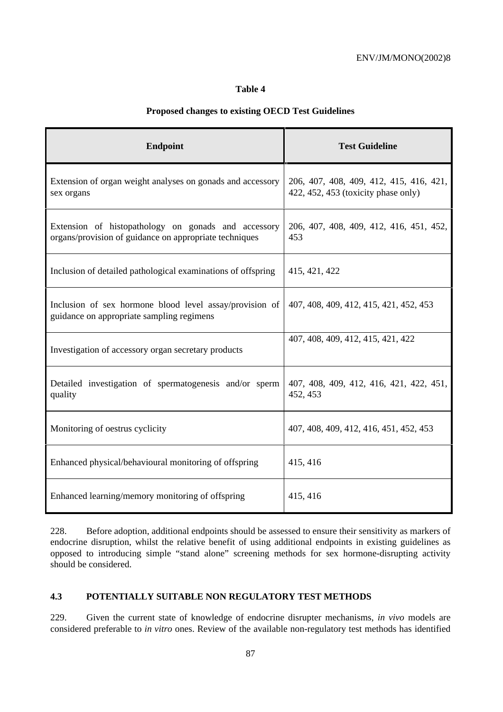# **Table 4**

## **Proposed changes to existing OECD Test Guidelines**

| <b>Endpoint</b>                                                                                               | <b>Test Guideline</b>                                                          |
|---------------------------------------------------------------------------------------------------------------|--------------------------------------------------------------------------------|
| Extension of organ weight analyses on gonads and accessory<br>sex organs                                      | 206, 407, 408, 409, 412, 415, 416, 421,<br>422, 452, 453 (toxicity phase only) |
| Extension of histopathology on gonads and accessory<br>organs/provision of guidance on appropriate techniques | 206, 407, 408, 409, 412, 416, 451, 452,<br>453                                 |
| Inclusion of detailed pathological examinations of offspring                                                  | 415, 421, 422                                                                  |
| Inclusion of sex hormone blood level assay/provision of<br>guidance on appropriate sampling regimens          | 407, 408, 409, 412, 415, 421, 452, 453                                         |
| Investigation of accessory organ secretary products                                                           | 407, 408, 409, 412, 415, 421, 422                                              |
| Detailed investigation of spermatogenesis and/or sperm<br>quality                                             | 407, 408, 409, 412, 416, 421, 422, 451,<br>452, 453                            |
| Monitoring of oestrus cyclicity                                                                               | 407, 408, 409, 412, 416, 451, 452, 453                                         |
| Enhanced physical/behavioural monitoring of offspring                                                         | 415, 416                                                                       |
| Enhanced learning/memory monitoring of offspring                                                              | 415, 416                                                                       |

228. Before adoption, additional endpoints should be assessed to ensure their sensitivity as markers of endocrine disruption, whilst the relative benefit of using additional endpoints in existing guidelines as opposed to introducing simple "stand alone" screening methods for sex hormone-disrupting activity should be considered.

# **4.3 POTENTIALLY SUITABLE NON REGULATORY TEST METHODS**

229. Given the current state of knowledge of endocrine disrupter mechanisms, *in vivo* models are considered preferable to *in vitro* ones. Review of the available non-regulatory test methods has identified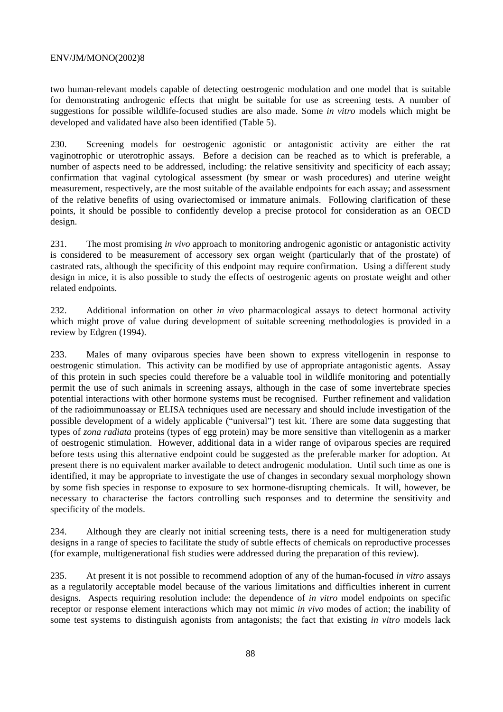two human-relevant models capable of detecting oestrogenic modulation and one model that is suitable for demonstrating androgenic effects that might be suitable for use as screening tests. A number of suggestions for possible wildlife-focused studies are also made. Some *in vitro* models which might be developed and validated have also been identified (Table 5).

230. Screening models for oestrogenic agonistic or antagonistic activity are either the rat vaginotrophic or uterotrophic assays. Before a decision can be reached as to which is preferable, a number of aspects need to be addressed, including: the relative sensitivity and specificity of each assay; confirmation that vaginal cytological assessment (by smear or wash procedures) and uterine weight measurement, respectively, are the most suitable of the available endpoints for each assay; and assessment of the relative benefits of using ovariectomised or immature animals. Following clarification of these points, it should be possible to confidently develop a precise protocol for consideration as an OECD design.

231. The most promising *in vivo* approach to monitoring androgenic agonistic or antagonistic activity is considered to be measurement of accessory sex organ weight (particularly that of the prostate) of castrated rats, although the specificity of this endpoint may require confirmation. Using a different study design in mice, it is also possible to study the effects of oestrogenic agents on prostate weight and other related endpoints.

232. Additional information on other *in vivo* pharmacological assays to detect hormonal activity which might prove of value during development of suitable screening methodologies is provided in a review by Edgren (1994).

233. Males of many oviparous species have been shown to express vitellogenin in response to oestrogenic stimulation. This activity can be modified by use of appropriate antagonistic agents. Assay of this protein in such species could therefore be a valuable tool in wildlife monitoring and potentially permit the use of such animals in screening assays, although in the case of some invertebrate species potential interactions with other hormone systems must be recognised. Further refinement and validation of the radioimmunoassay or ELISA techniques used are necessary and should include investigation of the possible development of a widely applicable ("universal") test kit. There are some data suggesting that types of *zona radiata* proteins (types of egg protein) may be more sensitive than vitellogenin as a marker of oestrogenic stimulation. However, additional data in a wider range of oviparous species are required before tests using this alternative endpoint could be suggested as the preferable marker for adoption. At present there is no equivalent marker available to detect androgenic modulation. Until such time as one is identified, it may be appropriate to investigate the use of changes in secondary sexual morphology shown by some fish species in response to exposure to sex hormone-disrupting chemicals. It will, however, be necessary to characterise the factors controlling such responses and to determine the sensitivity and specificity of the models.

234. Although they are clearly not initial screening tests, there is a need for multigeneration study designs in a range of species to facilitate the study of subtle effects of chemicals on reproductive processes (for example, multigenerational fish studies were addressed during the preparation of this review).

235. At present it is not possible to recommend adoption of any of the human-focused *in vitro* assays as a regulatorily acceptable model because of the various limitations and difficulties inherent in current designs. Aspects requiring resolution include: the dependence of *in vitro* model endpoints on specific receptor or response element interactions which may not mimic *in vivo* modes of action; the inability of some test systems to distinguish agonists from antagonists; the fact that existing *in vitro* models lack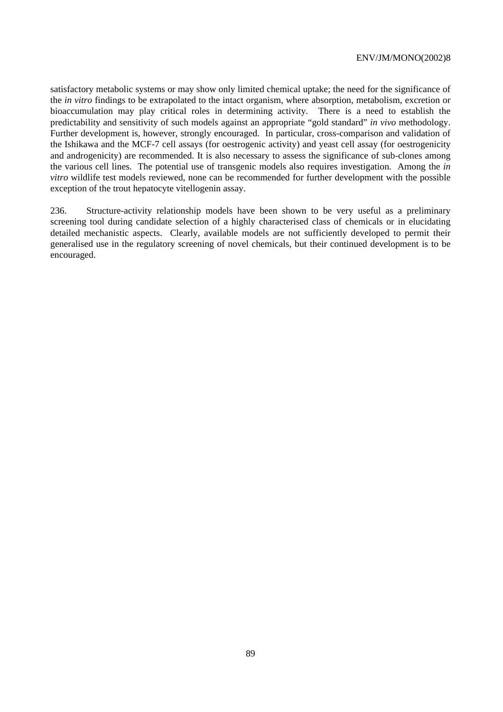satisfactory metabolic systems or may show only limited chemical uptake; the need for the significance of the *in vitro* findings to be extrapolated to the intact organism, where absorption, metabolism, excretion or bioaccumulation may play critical roles in determining activity. There is a need to establish the predictability and sensitivity of such models against an appropriate "gold standard" *in vivo* methodology. Further development is, however, strongly encouraged. In particular, cross-comparison and validation of the Ishikawa and the MCF-7 cell assays (for oestrogenic activity) and yeast cell assay (for oestrogenicity and androgenicity) are recommended. It is also necessary to assess the significance of sub-clones among the various cell lines. The potential use of transgenic models also requires investigation. Among the *in vitro* wildlife test models reviewed, none can be recommended for further development with the possible exception of the trout hepatocyte vitellogenin assay.

236. Structure-activity relationship models have been shown to be very useful as a preliminary screening tool during candidate selection of a highly characterised class of chemicals or in elucidating detailed mechanistic aspects. Clearly, available models are not sufficiently developed to permit their generalised use in the regulatory screening of novel chemicals, but their continued development is to be encouraged.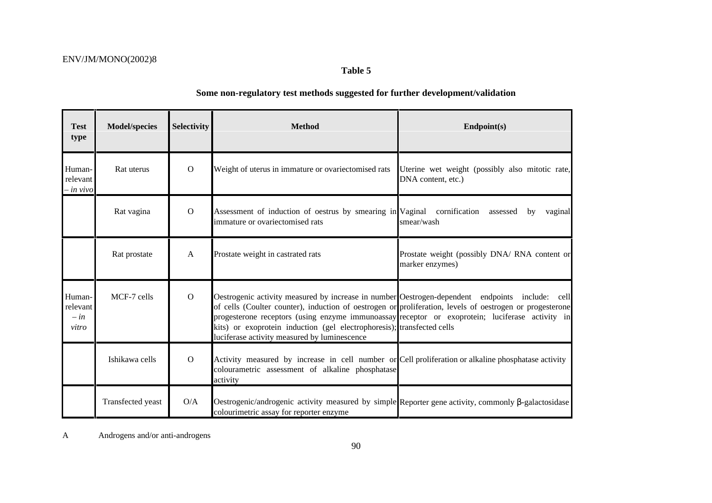**Table 5**

# **Some non-regulatory test methods suggested for further development/validation**

| <b>Test</b><br>type                          | <b>Model/species</b> | <b>Selectivity</b> | <b>Method</b>                                                                                                                                                                                                                                                                                                                                                                                                                            | Endpoint(s)                                                           |
|----------------------------------------------|----------------------|--------------------|------------------------------------------------------------------------------------------------------------------------------------------------------------------------------------------------------------------------------------------------------------------------------------------------------------------------------------------------------------------------------------------------------------------------------------------|-----------------------------------------------------------------------|
| Human-<br>relevant<br><i>in vivo</i>         | Rat uterus           | $\Omega$           | Weight of uterus in immature or ovariectomised rats                                                                                                                                                                                                                                                                                                                                                                                      | Uterine wet weight (possibly also mitotic rate,<br>DNA content, etc.) |
|                                              | Rat vagina           | $\Omega$           | Assessment of induction of oestrus by smearing in Vaginal cornification<br>immature or ovariectomised rats                                                                                                                                                                                                                                                                                                                               | assessed by<br>vaginal<br>smear/wash                                  |
|                                              | Rat prostate         | $\overline{A}$     | Prostate weight in castrated rats                                                                                                                                                                                                                                                                                                                                                                                                        | Prostate weight (possibly DNA/ RNA content or<br>marker enzymes)      |
| Human-<br>relevant<br>$-$ <i>in</i><br>vitro | MCF-7 cells          | $\Omega$           | Oestrogenic activity measured by increase in number Oestrogen-dependent endpoints include: cell<br>of cells (Coulter counter), induction of oestrogen or proliferation, levels of oestrogen or progesterone<br>progesterone receptors (using enzyme immunoassay receptor or exoprotein; luciferase activity in<br>kits) or exoprotein induction (gel electrophoresis); transfected cells<br>luciferase activity measured by luminescence |                                                                       |
|                                              | Ishikawa cells       | $\Omega$           | Activity measured by increase in cell number or Cell proliferation or alkaline phosphatase activity<br>colourametric assessment of alkaline phosphatase<br>activity                                                                                                                                                                                                                                                                      |                                                                       |
|                                              | Transfected yeast    | O/A                | Oestrogenic/androgenic activity measured by simple Reporter gene activity, commonly $\beta$ -galactosidase<br>colourimetric assay for reporter enzyme                                                                                                                                                                                                                                                                                    |                                                                       |

A Androgens and/or anti-androgens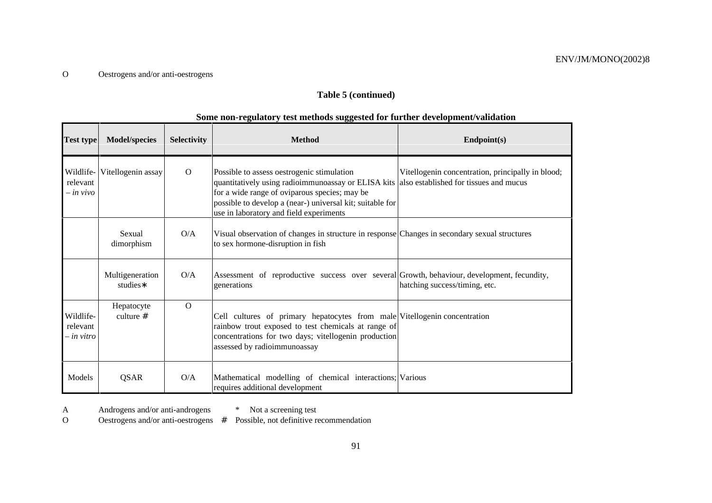# **Table 5 (continued)**

# **Some non-regulatory test methods suggested for further development/validation**

| <b>Test type</b>                         | <b>Model/species</b>        | <b>Selectivity</b> | <b>Method</b>                                                                                                                                                                                                                                                                                     | Endpoint(s)                                       |
|------------------------------------------|-----------------------------|--------------------|---------------------------------------------------------------------------------------------------------------------------------------------------------------------------------------------------------------------------------------------------------------------------------------------------|---------------------------------------------------|
| Wildlife-<br>relevant<br>– in vivo       | Vitellogenin assay          | $\overline{O}$     | Possible to assess oestrogenic stimulation<br>quantitatively using radioimmunoassay or ELISA kits also established for tissues and mucus<br>for a wide range of oviparous species; may be<br>possible to develop a (near-) universal kit; suitable for<br>use in laboratory and field experiments | Vitellogenin concentration, principally in blood; |
|                                          | Sexual<br>dimorphism        | O/A                | Visual observation of changes in structure in response Changes in secondary sexual structures<br>to sex hormone-disruption in fish                                                                                                                                                                |                                                   |
|                                          | Multigeneration<br>studies* | O/A                | Assessment of reproductive success over several Growth, behaviour, development, fecundity,<br>generations                                                                                                                                                                                         | hatching success/timing, etc.                     |
| Wildlife-<br>relevant<br><i>in vitro</i> | Hepatocyte<br>culture #     | $\Omega$           | Cell cultures of primary hepatocytes from male Vitellogenin concentration<br>rainbow trout exposed to test chemicals at range of<br>concentrations for two days; vitellogenin production<br>assessed by radioimmunoassay                                                                          |                                                   |
| Models                                   | QSAR                        | O/A                | Mathematical modelling of chemical interactions; Various<br>requires additional development                                                                                                                                                                                                       |                                                   |

A Androgens and/or anti-androgens \* Not a screening test<br>O Oestrogens and/or anti-oestrogens # Possible, not definitive respectively O Oestrogens and/or anti-oestrogens # Possible, not definitive recommendation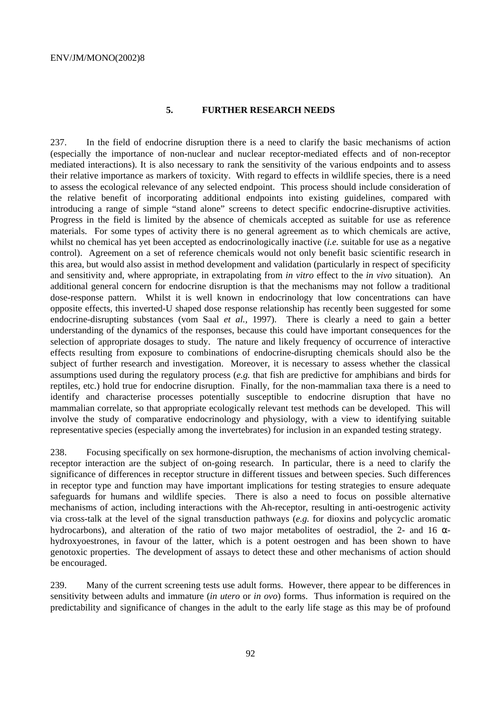# **5. FURTHER RESEARCH NEEDS**

237. In the field of endocrine disruption there is a need to clarify the basic mechanisms of action (especially the importance of non-nuclear and nuclear receptor-mediated effects and of non-receptor mediated interactions). It is also necessary to rank the sensitivity of the various endpoints and to assess their relative importance as markers of toxicity. With regard to effects in wildlife species, there is a need to assess the ecological relevance of any selected endpoint. This process should include consideration of the relative benefit of incorporating additional endpoints into existing guidelines, compared with introducing a range of simple "stand alone" screens to detect specific endocrine-disruptive activities. Progress in the field is limited by the absence of chemicals accepted as suitable for use as reference materials. For some types of activity there is no general agreement as to which chemicals are active, whilst no chemical has yet been accepted as endocrinologically inactive (*i.e.* suitable for use as a negative control). Agreement on a set of reference chemicals would not only benefit basic scientific research in this area, but would also assist in method development and validation (particularly in respect of specificity and sensitivity and, where appropriate, in extrapolating from *in vitro* effect to the *in vivo* situation). An additional general concern for endocrine disruption is that the mechanisms may not follow a traditional dose-response pattern. Whilst it is well known in endocrinology that low concentrations can have opposite effects, this inverted-U shaped dose response relationship has recently been suggested for some endocrine-disrupting substances (vom Saal *et al.,* 1997). There is clearly a need to gain a better understanding of the dynamics of the responses, because this could have important consequences for the selection of appropriate dosages to study. The nature and likely frequency of occurrence of interactive effects resulting from exposure to combinations of endocrine-disrupting chemicals should also be the subject of further research and investigation. Moreover, it is necessary to assess whether the classical assumptions used during the regulatory process (*e.g.* that fish are predictive for amphibians and birds for reptiles, etc*.*) hold true for endocrine disruption. Finally, for the non-mammalian taxa there is a need to identify and characterise processes potentially susceptible to endocrine disruption that have no mammalian correlate, so that appropriate ecologically relevant test methods can be developed. This will involve the study of comparative endocrinology and physiology, with a view to identifying suitable representative species (especially among the invertebrates) for inclusion in an expanded testing strategy.

238. Focusing specifically on sex hormone-disruption, the mechanisms of action involving chemicalreceptor interaction are the subject of on-going research. In particular, there is a need to clarify the significance of differences in receptor structure in different tissues and between species. Such differences in receptor type and function may have important implications for testing strategies to ensure adequate safeguards for humans and wildlife species. There is also a need to focus on possible alternative mechanisms of action, including interactions with the Ah-receptor, resulting in anti-oestrogenic activity via cross-talk at the level of the signal transduction pathways (*e.g.* for dioxins and polycyclic aromatic hydrocarbons), and alteration of the ratio of two major metabolites of oestradiol, the 2- and 16  $\alpha$ hydroxyoestrones, in favour of the latter, which is a potent oestrogen and has been shown to have genotoxic properties. The development of assays to detect these and other mechanisms of action should be encouraged.

239. Many of the current screening tests use adult forms. However, there appear to be differences in sensitivity between adults and immature (*in utero* or *in ovo*) forms. Thus information is required on the predictability and significance of changes in the adult to the early life stage as this may be of profound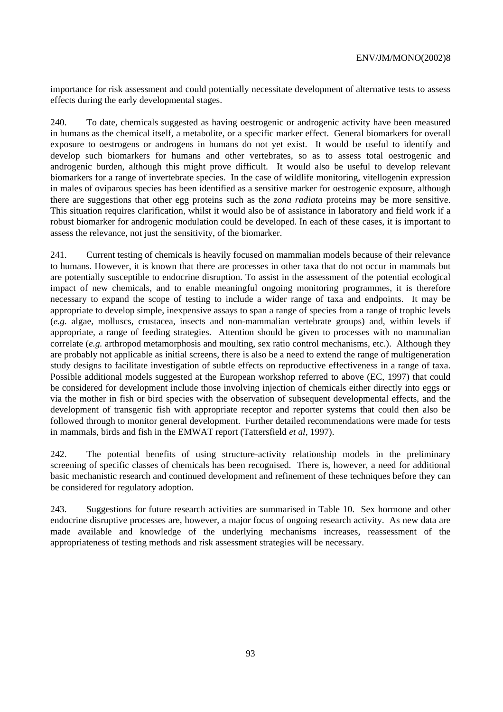importance for risk assessment and could potentially necessitate development of alternative tests to assess effects during the early developmental stages.

240. To date, chemicals suggested as having oestrogenic or androgenic activity have been measured in humans as the chemical itself, a metabolite, or a specific marker effect. General biomarkers for overall exposure to oestrogens or androgens in humans do not yet exist. It would be useful to identify and develop such biomarkers for humans and other vertebrates, so as to assess total oestrogenic and androgenic burden, although this might prove difficult. It would also be useful to develop relevant biomarkers for a range of invertebrate species. In the case of wildlife monitoring, vitellogenin expression in males of oviparous species has been identified as a sensitive marker for oestrogenic exposure, although there are suggestions that other egg proteins such as the *zona radiata* proteins may be more sensitive. This situation requires clarification, whilst it would also be of assistance in laboratory and field work if a robust biomarker for androgenic modulation could be developed. In each of these cases, it is important to assess the relevance, not just the sensitivity, of the biomarker.

241. Current testing of chemicals is heavily focused on mammalian models because of their relevance to humans. However, it is known that there are processes in other taxa that do not occur in mammals but are potentially susceptible to endocrine disruption. To assist in the assessment of the potential ecological impact of new chemicals, and to enable meaningful ongoing monitoring programmes, it is therefore necessary to expand the scope of testing to include a wider range of taxa and endpoints. It may be appropriate to develop simple, inexpensive assays to span a range of species from a range of trophic levels (*e.g.* algae, molluscs, crustacea, insects and non-mammalian vertebrate groups) and, within levels if appropriate, a range of feeding strategies. Attention should be given to processes with no mammalian correlate (*e.g.* arthropod metamorphosis and moulting, sex ratio control mechanisms, etc.). Although they are probably not applicable as initial screens, there is also be a need to extend the range of multigeneration study designs to facilitate investigation of subtle effects on reproductive effectiveness in a range of taxa. Possible additional models suggested at the European workshop referred to above (EC, 1997) that could be considered for development include those involving injection of chemicals either directly into eggs or via the mother in fish or bird species with the observation of subsequent developmental effects, and the development of transgenic fish with appropriate receptor and reporter systems that could then also be followed through to monitor general development. Further detailed recommendations were made for tests in mammals, birds and fish in the EMWAT report (Tattersfield *et al*, 1997).

242. The potential benefits of using structure-activity relationship models in the preliminary screening of specific classes of chemicals has been recognised. There is, however, a need for additional basic mechanistic research and continued development and refinement of these techniques before they can be considered for regulatory adoption.

243. Suggestions for future research activities are summarised in Table 10. Sex hormone and other endocrine disruptive processes are, however, a major focus of ongoing research activity. As new data are made available and knowledge of the underlying mechanisms increases, reassessment of the appropriateness of testing methods and risk assessment strategies will be necessary.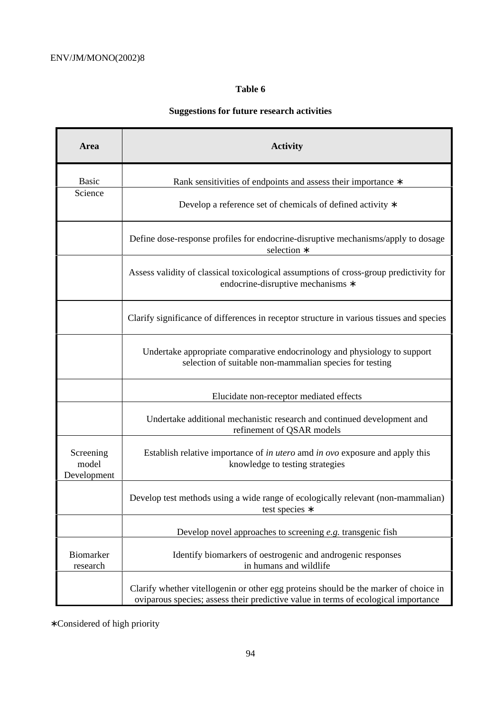# **Table 6**

# **Suggestions for future research activities**

| Area                              | <b>Activity</b>                                                                                                                                                            |  |  |  |
|-----------------------------------|----------------------------------------------------------------------------------------------------------------------------------------------------------------------------|--|--|--|
| <b>Basic</b>                      | Rank sensitivities of endpoints and assess their importance *                                                                                                              |  |  |  |
| Science                           | Develop a reference set of chemicals of defined activity *                                                                                                                 |  |  |  |
|                                   | Define dose-response profiles for endocrine-disruptive mechanisms/apply to dosage<br>selection *                                                                           |  |  |  |
|                                   | Assess validity of classical toxicological assumptions of cross-group predictivity for<br>endocrine-disruptive mechanisms *                                                |  |  |  |
|                                   | Clarify significance of differences in receptor structure in various tissues and species                                                                                   |  |  |  |
|                                   | Undertake appropriate comparative endocrinology and physiology to support<br>selection of suitable non-mammalian species for testing                                       |  |  |  |
|                                   | Elucidate non-receptor mediated effects                                                                                                                                    |  |  |  |
|                                   | Undertake additional mechanistic research and continued development and<br>refinement of QSAR models                                                                       |  |  |  |
| Screening<br>model<br>Development | Establish relative importance of <i>in utero</i> amd <i>in ovo</i> exposure and apply this<br>knowledge to testing strategies                                              |  |  |  |
|                                   | Develop test methods using a wide range of ecologically relevant (non-mammalian)<br>test species *                                                                         |  |  |  |
|                                   | Develop novel approaches to screening e.g. transgenic fish                                                                                                                 |  |  |  |
| Biomarker<br>research             | Identify biomarkers of oestrogenic and androgenic responses<br>in humans and wildlife                                                                                      |  |  |  |
|                                   | Clarify whether vitellogenin or other egg proteins should be the marker of choice in<br>oviparous species; assess their predictive value in terms of ecological importance |  |  |  |

∗ Considered of high priority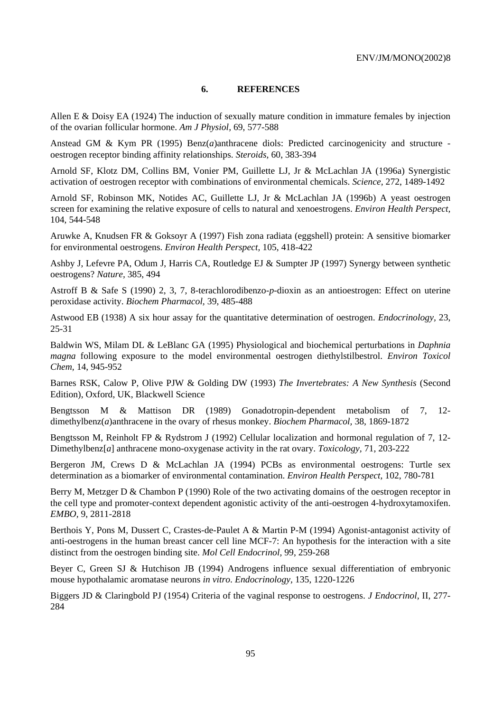# **6. REFERENCES**

Allen E & Doisy EA (1924) The induction of sexually mature condition in immature females by injection of the ovarian follicular hormone. *Am J Physiol,* 69, 577-588

Anstead GM & Kym PR (1995) Benz(*a*)anthracene diols: Predicted carcinogenicity and structure oestrogen receptor binding affinity relationships. *Steroids,* 60, 383-394

Arnold SF, Klotz DM, Collins BM, Vonier PM, Guillette LJ, Jr & McLachlan JA (1996a) Synergistic activation of oestrogen receptor with combinations of environmental chemicals. *Science,* 272, 1489-1492

Arnold SF, Robinson MK, Notides AC, Guillette LJ, Jr & McLachlan JA (1996b) A yeast oestrogen screen for examining the relative exposure of cells to natural and xenoestrogens. *Environ Health Perspect,* 104, 544-548

Aruwke A, Knudsen FR & Goksoyr A (1997) Fish zona radiata (eggshell) protein: A sensitive biomarker for environmental oestrogens. *Environ Health Perspect,* 105, 418-422

Ashby J, Lefevre PA, Odum J, Harris CA, Routledge EJ & Sumpter JP (1997) Synergy between synthetic oestrogens? *Nature,* 385, 494

Astroff B & Safe S (1990) 2, 3, 7, 8-terachlorodibenzo-*p*-dioxin as an antioestrogen: Effect on uterine peroxidase activity. *Biochem Pharmacol,* 39, 485-488

Astwood EB (1938) A six hour assay for the quantitative determination of oestrogen. *Endocrinology,* 23, 25-31

Baldwin WS, Milam DL & LeBlanc GA (1995) Physiological and biochemical perturbations in *Daphnia magna* following exposure to the model environmental oestrogen diethylstilbestrol. *Environ Toxicol Chem,* 14, 945-952

Barnes RSK, Calow P, Olive PJW & Golding DW (1993) *The Invertebrates: A New Synthesis* (Second Edition), Oxford, UK, Blackwell Science

Bengtsson M & Mattison DR (1989) Gonadotropin-dependent metabolism of 7, 12 dimethylbenz(*a*)anthracene in the ovary of rhesus monkey. *Biochem Pharmacol,* 38, 1869-1872

Bengtsson M, Reinholt FP & Rydstrom J (1992) Cellular localization and hormonal regulation of 7, 12- Dimethylbenz[*a*] anthracene mono-oxygenase activity in the rat ovary. *Toxicology,* 71, 203-222

Bergeron JM, Crews D & McLachlan JA (1994) PCBs as environmental oestrogens: Turtle sex determination as a biomarker of environmental contamination. *Environ Health Perspect,* 102, 780-781

Berry M, Metzger D & Chambon P (1990) Role of the two activating domains of the oestrogen receptor in the cell type and promoter-context dependent agonistic activity of the anti-oestrogen 4-hydroxytamoxifen. *EMBO,* 9, 2811-2818

Berthois Y, Pons M, Dussert C, Crastes-de-Paulet A & Martin P-M (1994) Agonist-antagonist activity of anti-oestrogens in the human breast cancer cell line MCF-7: An hypothesis for the interaction with a site distinct from the oestrogen binding site. *Mol Cell Endocrinol,* 99, 259-268

Beyer C, Green SJ & Hutchison JB (1994) Androgens influence sexual differentiation of embryonic mouse hypothalamic aromatase neurons *in vitro*. *Endocrinology,* 135, 1220-1226

Biggers JD & Claringbold PJ (1954) Criteria of the vaginal response to oestrogens. *J Endocrinol,* II, 277- 284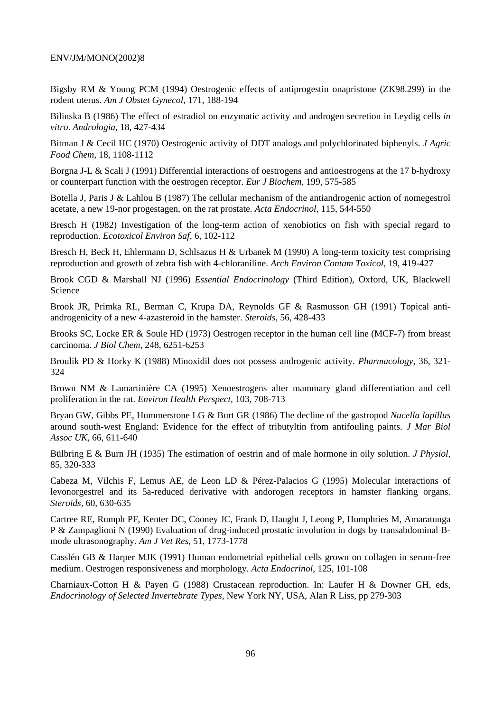Bigsby RM & Young PCM (1994) Oestrogenic effects of antiprogestin onapristone (ZK98.299) in the rodent uterus. *Am J Obstet Gynecol,* 171, 188-194

Bilinska B (1986) The effect of estradiol on enzymatic activity and androgen secretion in Leydig cells *in vitro*. *Andrologia,* 18, 427-434

Bitman J & Cecil HC (1970) Oestrogenic activity of DDT analogs and polychlorinated biphenyls. *J Agric Food Chem,* 18, 1108-1112

Borgna J-L & Scali J (1991) Differential interactions of oestrogens and antioestrogens at the 17 b-hydroxy or counterpart function with the oestrogen receptor. *Eur J Biochem,* 199, 575-585

Botella J, Paris J & Lahlou B (1987) The cellular mechanism of the antiandrogenic action of nomegestrol acetate, a new 19-nor progestagen, on the rat prostate. *Acta Endocrinol,* 115, 544-550

Bresch H (1982) Investigation of the long-term action of xenobiotics on fish with special regard to reproduction. *Ecotoxicol Environ Saf,* 6, 102-112

Bresch H, Beck H, Ehlermann D, Schlsazus H & Urbanek M (1990) A long-term toxicity test comprising reproduction and growth of zebra fish with 4-chloraniline. *Arch Environ Contam Toxicol,* 19, 419-427

Brook CGD & Marshall NJ (1996) *Essential Endocrinology* (Third Edition), Oxford, UK, Blackwell Science

Brook JR, Primka RL, Berman C, Krupa DA, Reynolds GF & Rasmusson GH (1991) Topical antiandrogenicity of a new 4-azasteroid in the hamster. *Steroids,* 56, 428-433

Brooks SC, Locke ER & Soule HD (1973) Oestrogen receptor in the human cell line (MCF-7) from breast carcinoma. *J Biol Chem,* 248, 6251-6253

Broulik PD & Horky K (1988) Minoxidil does not possess androgenic activity. *Pharmacology,* 36, 321- 324

Brown NM & Lamartinière CA (1995) Xenoestrogens alter mammary gland differentiation and cell proliferation in the rat. *Environ Health Perspect,* 103, 708-713

Bryan GW, Gibbs PE, Hummerstone LG & Burt GR (1986) The decline of the gastropod *Nucella lapillus* around south-west England: Evidence for the effect of tributyltin from antifouling paints. *J Mar Biol Assoc UK,* 66, 611-640

Bülbring E & Burn JH (1935) The estimation of oestrin and of male hormone in oily solution. *J Physiol,* 85, 320-333

Cabeza M, Vilchis F, Lemus AE, de Leon LD & Pérez-Palacios G (1995) Molecular interactions of levonorgestrel and its 5a-reduced derivative with andorogen receptors in hamster flanking organs. *Steroids,* 60, 630-635

Cartree RE, Rumph PF, Kenter DC, Cooney JC, Frank D, Haught J, Leong P, Humphries M, Amaratunga P & Zampaglioni N (1990) Evaluation of drug-induced prostatic involution in dogs by transabdominal Bmode ultrasonography. *Am J Vet Res,* 51, 1773-1778

Casslén GB & Harper MJK (1991) Human endometrial epithelial cells grown on collagen in serum-free medium. Oestrogen responsiveness and morphology. *Acta Endocrinol,* 125, 101-108

Charniaux-Cotton H & Payen G (1988) Crustacean reproduction. In: Laufer H & Downer GH, eds, *Endocrinology of Selected Invertebrate Types*, New York NY, USA, Alan R Liss, pp 279-303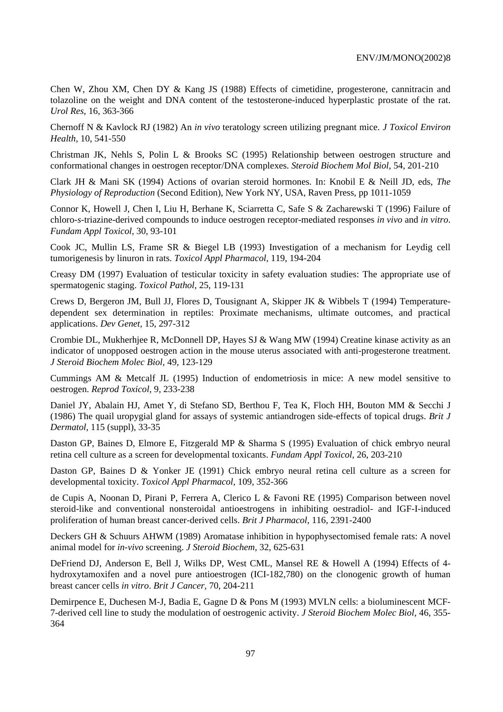Chen W, Zhou XM, Chen DY & Kang JS (1988) Effects of cimetidine, progesterone, cannitracin and tolazoline on the weight and DNA content of the testosterone-induced hyperplastic prostate of the rat. *Urol Res,* 16, 363-366

Chernoff N & Kavlock RJ (1982) An *in vivo* teratology screen utilizing pregnant mice. *J Toxicol Environ Health,* 10, 541-550

Christman JK, Nehls S, Polin L & Brooks SC (1995) Relationship between oestrogen structure and conformational changes in oestrogen receptor/DNA complexes. *Steroid Biochem Mol Biol,* 54, 201-210

Clark JH & Mani SK (1994) Actions of ovarian steroid hormones. In: Knobil E & Neill JD, eds, *The Physiology of Reproduction* (Second Edition), New York NY, USA, Raven Press, pp 1011-1059

Connor K, Howell J, Chen I, Liu H, Berhane K, Sciarretta C, Safe S & Zacharewski T (1996) Failure of chloro-*s*-triazine-derived compounds to induce oestrogen receptor-mediated responses *in vivo* and *in vitro*. *Fundam Appl Toxicol,* 30, 93-101

Cook JC, Mullin LS, Frame SR & Biegel LB (1993) Investigation of a mechanism for Leydig cell tumorigenesis by linuron in rats. *Toxicol Appl Pharmacol,* 119, 194-204

Creasy DM (1997) Evaluation of testicular toxicity in safety evaluation studies: The appropriate use of spermatogenic staging. *Toxicol Pathol,* 25, 119-131

Crews D, Bergeron JM, Bull JJ, Flores D, Tousignant A, Skipper JK & Wibbels T (1994) Temperaturedependent sex determination in reptiles: Proximate mechanisms, ultimate outcomes, and practical applications. *Dev Genet,* 15, 297-312

Crombie DL, Mukherhjee R, McDonnell DP, Hayes SJ & Wang MW (1994) Creatine kinase activity as an indicator of unopposed oestrogen action in the mouse uterus associated with anti-progesterone treatment. *J Steroid Biochem Molec Biol,* 49, 123-129

Cummings AM & Metcalf JL (1995) Induction of endometriosis in mice: A new model sensitive to oestrogen. *Reprod Toxicol,* 9, 233-238

Daniel JY, Abalain HJ, Amet Y, di Stefano SD, Berthou F, Tea K, Floch HH, Bouton MM & Secchi J (1986) The quail uropygial gland for assays of systemic antiandrogen side-effects of topical drugs. *Brit J Dermatol,* 115 (suppl), 33-35

Daston GP, Baines D, Elmore E, Fitzgerald MP & Sharma S (1995) Evaluation of chick embryo neural retina cell culture as a screen for developmental toxicants. *Fundam Appl Toxicol,* 26, 203-210

Daston GP, Baines D & Yonker JE (1991) Chick embryo neural retina cell culture as a screen for developmental toxicity. *Toxicol Appl Pharmacol,* 109, 352-366

de Cupis A, Noonan D, Pirani P, Ferrera A, Clerico L & Favoni RE (1995) Comparison between novel steroid-like and conventional nonsteroidal antioestrogens in inhibiting oestradiol- and IGF-I-induced proliferation of human breast cancer-derived cells. *Brit J Pharmacol,* 116, 2391-2400

Deckers GH & Schuurs AHWM (1989) Aromatase inhibition in hypophysectomised female rats: A novel animal model for *in-vivo* screening. *J Steroid Biochem,* 32, 625-631

DeFriend DJ, Anderson E, Bell J, Wilks DP, West CML, Mansel RE & Howell A (1994) Effects of 4 hydroxytamoxifen and a novel pure antioestrogen (ICI-182,780) on the clonogenic growth of human breast cancer cells *in vitro*. *Brit J Cancer,* 70, 204-211

Demirpence E, Duchesen M-J, Badia E, Gagne D & Pons M (1993) MVLN cells: a bioluminescent MCF-7-derived cell line to study the modulation of oestrogenic activity. *J Steroid Biochem Molec Biol,* 46, 355- 364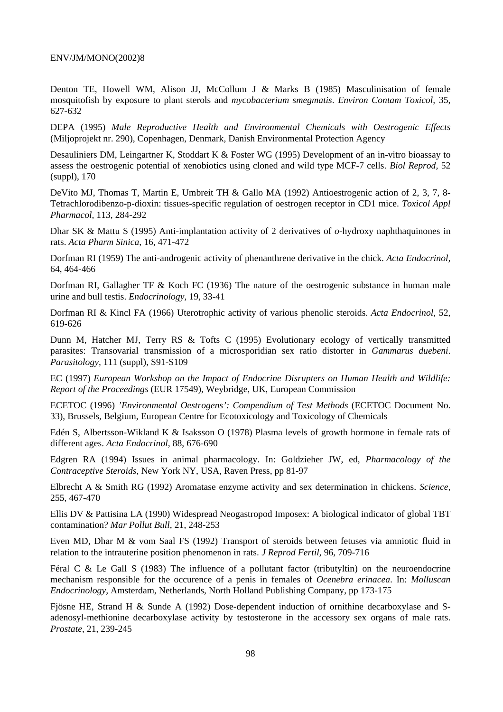Denton TE, Howell WM, Alison JJ, McCollum J & Marks B (1985) Masculinisation of female mosquitofish by exposure to plant sterols and *mycobacterium smegmatis*. *Environ Contam Toxicol,* 35, 627-632

DEPA (1995) *Male Reproductive Health and Environmental Chemicals with Oestrogenic Effects* (Miljoprojekt nr. 290), Copenhagen, Denmark, Danish Environmental Protection Agency

Desauliniers DM, Leingartner K, Stoddart K & Foster WG (1995) Development of an in-vitro bioassay to assess the oestrogenic potential of xenobiotics using cloned and wild type MCF-7 cells. *Biol Reprod,* 52 (suppl), 170

DeVito MJ, Thomas T, Martin E, Umbreit TH & Gallo MA (1992) Antioestrogenic action of 2, 3, 7, 8- Tetrachlorodibenzo-p-dioxin: tissues-specific regulation of oestrogen receptor in CD1 mice. *Toxicol Appl Pharmacol,* 113, 284-292

Dhar SK & Mattu S (1995) Anti-implantation activity of 2 derivatives of *o*-hydroxy naphthaquinones in rats. *Acta Pharm Sinica,* 16, 471-472

Dorfman RI (1959) The anti-androgenic activity of phenanthrene derivative in the chick. *Acta Endocrinol,* 64, 464-466

Dorfman RI, Gallagher TF & Koch FC (1936) The nature of the oestrogenic substance in human male urine and bull testis. *Endocrinology,* 19, 33-41

Dorfman RI & Kincl FA (1966) Uterotrophic activity of various phenolic steroids. *Acta Endocrinol,* 52, 619-626

Dunn M, Hatcher MJ, Terry RS & Tofts C (1995) Evolutionary ecology of vertically transmitted parasites: Transovarial transmission of a microsporidian sex ratio distorter in *Gammarus duebeni*. *Parasitology,* 111 (suppl), S91-S109

EC (1997) *European Workshop on the Impact of Endocrine Disrupters on Human Health and Wildlife: Report of the Proceedings* (EUR 17549), Weybridge, UK, European Commission

ECETOC (1996) *'Environmental Oestrogens': Compendium of Test Methods* (ECETOC Document No. 33), Brussels, Belgium, European Centre for Ecotoxicology and Toxicology of Chemicals

Edén S, Albertsson-Wikland K & Isaksson O (1978) Plasma levels of growth hormone in female rats of different ages. *Acta Endocrinol,* 88, 676-690

Edgren RA (1994) Issues in animal pharmacology. In: Goldzieher JW, ed, *Pharmacology of the Contraceptive Steroids*, New York NY, USA, Raven Press, pp 81-97

Elbrecht A & Smith RG (1992) Aromatase enzyme activity and sex determination in chickens. *Science,* 255, 467-470

Ellis DV & Pattisina LA (1990) Widespread Neogastropod Imposex: A biological indicator of global TBT contamination? *Mar Pollut Bull,* 21, 248-253

Even MD, Dhar M & vom Saal FS (1992) Transport of steroids between fetuses via amniotic fluid in relation to the intrauterine position phenomenon in rats. *J Reprod Fertil,* 96, 709-716

Féral C & Le Gall S (1983) The influence of a pollutant factor (tributyltin) on the neuroendocrine mechanism responsible for the occurence of a penis in females of *Ocenebra erinacea*. In: *Molluscan Endocrinology,* Amsterdam, Netherlands, North Holland Publishing Company, pp 173-175

Fjösne HE, Strand H & Sunde A (1992) Dose-dependent induction of ornithine decarboxylase and Sadenosyl-methionine decarboxylase activity by testosterone in the accessory sex organs of male rats. *Prostate,* 21, 239-245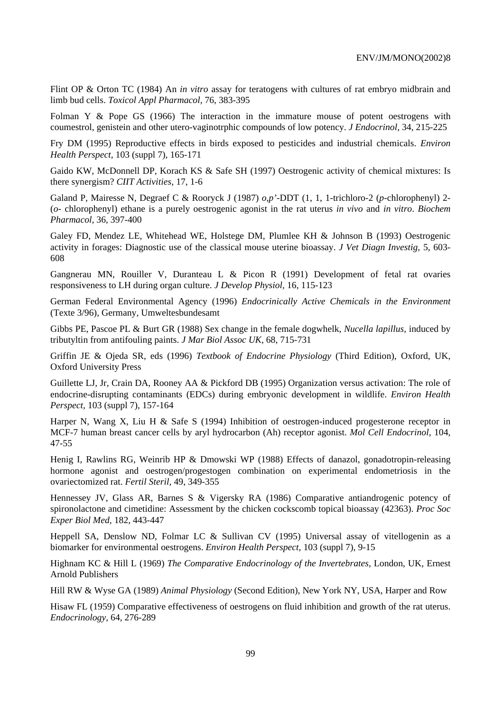Flint OP & Orton TC (1984) An *in vitro* assay for teratogens with cultures of rat embryo midbrain and limb bud cells. *Toxicol Appl Pharmacol,* 76, 383-395

Folman Y & Pope GS (1966) The interaction in the immature mouse of potent oestrogens with coumestrol, genistein and other utero-vaginotrphic compounds of low potency. *J Endocrinol,* 34, 215-225

Fry DM (1995) Reproductive effects in birds exposed to pesticides and industrial chemicals. *Environ Health Perspect,* 103 (suppl 7), 165-171

Gaido KW, McDonnell DP, Korach KS & Safe SH (1997) Oestrogenic activity of chemical mixtures: Is there synergism? *CIIT Activities,* 17, 1-6

Galand P, Mairesse N, Degraef C & Rooryck J (1987) *o,p'*-DDT (1, 1, 1-trichloro-2 (*p*-chlorophenyl) 2- (*o*- chlorophenyl) ethane is a purely oestrogenic agonist in the rat uterus *in vivo* and *in vitro*. *Biochem Pharmacol,* 36, 397-400

Galey FD, Mendez LE, Whitehead WE, Holstege DM, Plumlee KH & Johnson B (1993) Oestrogenic activity in forages: Diagnostic use of the classical mouse uterine bioassay. *J Vet Diagn Investig,* 5, 603- 608

Gangnerau MN, Rouiller V, Duranteau L & Picon R (1991) Development of fetal rat ovaries responsiveness to LH during organ culture. *J Develop Physiol,* 16, 115-123

German Federal Environmental Agency (1996) *Endocrinically Active Chemicals in the Environment* (Texte 3/96), Germany, Umweltesbundesamt

Gibbs PE, Pascoe PL & Burt GR (1988) Sex change in the female dogwhelk, *Nucella lapillus,* induced by tributyltin from antifouling paints. *J Mar Biol Assoc UK,* 68, 715-731

Griffin JE & Ojeda SR, eds (1996) *Textbook of Endocrine Physiology* (Third Edition), Oxford, UK, Oxford University Press

Guillette LJ, Jr, Crain DA, Rooney AA & Pickford DB (1995) Organization versus activation: The role of endocrine-disrupting contaminants (EDCs) during embryonic development in wildlife. *Environ Health Perspect,* 103 (suppl 7), 157-164

Harper N, Wang X, Liu H & Safe S (1994) Inhibition of oestrogen-induced progesterone receptor in MCF-7 human breast cancer cells by aryl hydrocarbon (Ah) receptor agonist. *Mol Cell Endocrinol,* 104, 47-55

Henig I, Rawlins RG, Weinrib HP & Dmowski WP (1988) Effects of danazol, gonadotropin-releasing hormone agonist and oestrogen/progestogen combination on experimental endometriosis in the ovariectomized rat. *Fertil Steril,* 49, 349-355

Hennessey JV, Glass AR, Barnes S & Vigersky RA (1986) Comparative antiandrogenic potency of spironolactone and cimetidine: Assessment by the chicken cockscomb topical bioassay (42363). *Proc Soc Exper Biol Med,* 182, 443-447

Heppell SA, Denslow ND, Folmar LC & Sullivan CV (1995) Universal assay of vitellogenin as a biomarker for environmental oestrogens. *Environ Health Perspect,* 103 (suppl 7), 9-15

Highnam KC & Hill L (1969) *The Comparative Endocrinology of the Invertebrates*, London, UK, Ernest Arnold Publishers

Hill RW & Wyse GA (1989) *Animal Physiology* (Second Edition), New York NY, USA, Harper and Row

Hisaw FL (1959) Comparative effectiveness of oestrogens on fluid inhibition and growth of the rat uterus. *Endocrinology,* 64, 276-289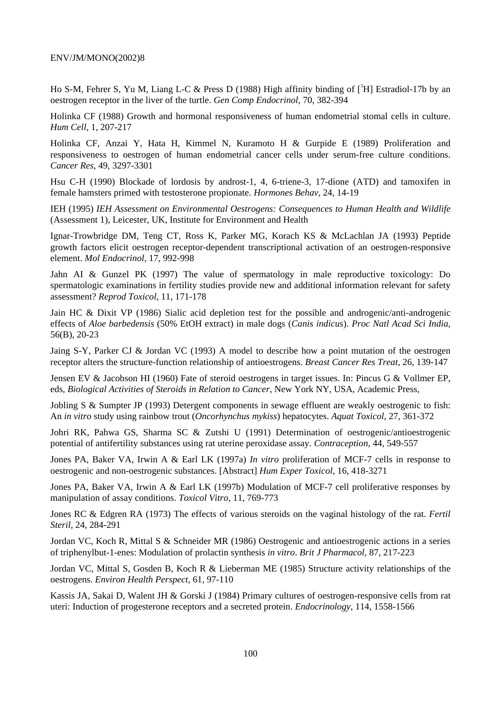Ho S-M, Fehrer S, Yu M, Liang L-C & Press D (1988) High affinity binding of [<sup>3</sup>H] Estradiol-17b by an oestrogen receptor in the liver of the turtle. *Gen Comp Endocrinol,* 70, 382-394

Holinka CF (1988) Growth and hormonal responsiveness of human endometrial stomal cells in culture. *Hum Cell,* 1, 207-217

Holinka CF, Anzai Y, Hata H, Kimmel N, Kuramoto H & Gurpide E (1989) Proliferation and responsiveness to oestrogen of human endometrial cancer cells under serum-free culture conditions. *Cancer Res,* 49, 3297-3301

Hsu C-H (1990) Blockade of lordosis by androst-1, 4, 6-triene-3, 17-dione (ATD) and tamoxifen in female hamsters primed with testosterone propionate. *Hormones Behav,* 24, 14-19

IEH (1995) *IEH Assessment on Environmental Oestrogens: Consequences to Human Health and Wildlife* (Assessment 1), Leicester, UK, Institute for Environment and Health

Ignar-Trowbridge DM, Teng CT, Ross K, Parker MG, Korach KS & McLachlan JA (1993) Peptide growth factors elicit oestrogen receptor-dependent transcriptional activation of an oestrogen-responsive element. *Mol Endocrinol,* 17, 992-998

Jahn AI & Gunzel PK (1997) The value of spermatology in male reproductive toxicology: Do spermatologic examinations in fertility studies provide new and additional information relevant for safety assessment? *Reprod Toxicol,* 11, 171-178

Jain HC & Dixit VP (1986) Sialic acid depletion test for the possible and androgenic/anti-androgenic effects of *Aloe barbedensis* (50% EtOH extract) in male dogs (*Canis indicus*). *Proc Natl Acad Sci India,* 56(B), 20-23

Jaing S-Y, Parker CJ & Jordan VC (1993) A model to describe how a point mutation of the oestrogen receptor alters the structure-function relationship of antioestrogens. *Breast Cancer Res Treat,* 26, 139-147

Jensen EV & Jacobson HI (1960) Fate of steroid oestrogens in target issues. In: Pincus G & Vollmer EP, eds, *Biological Activities of Steroids in Relation to Cancer*, New York NY, USA, Academic Press,

Jobling S & Sumpter JP (1993) Detergent components in sewage effluent are weakly oestrogenic to fish: An *in vitro* study using rainbow trout (*Oncorhynchus mykiss*) hepatocytes. *Aquat Toxicol,* 27, 361-372

Johri RK, Pahwa GS, Sharma SC & Zutshi U (1991) Determination of oestrogenic/antioestrogenic potential of antifertility substances using rat uterine peroxidase assay. *Contraception,* 44, 549-557

Jones PA, Baker VA, Irwin A & Earl LK (1997a) *In vitro* proliferation of MCF-7 cells in response to oestrogenic and non-oestrogenic substances. [Abstract] *Hum Exper Toxicol,* 16, 418-3271

Jones PA, Baker VA, Irwin A & Earl LK (1997b) Modulation of MCF-7 cell proliferative responses by manipulation of assay conditions. *Toxicol Vitro,* 11, 769-773

Jones RC & Edgren RA (1973) The effects of various steroids on the vaginal histology of the rat. *Fertil Steril,* 24, 284-291

Jordan VC, Koch R, Mittal S & Schneider MR (1986) Oestrogenic and antioestrogenic actions in a series of triphenylbut-1-enes: Modulation of prolactin synthesis *in vitro*. *Brit J Pharmacol,* 87, 217-223

Jordan VC, Mittal S, Gosden B, Koch R & Lieberman ME (1985) Structure activity relationships of the oestrogens. *Environ Health Perspect,* 61, 97-110

Kassis JA, Sakai D, Walent JH & Gorski J (1984) Primary cultures of oestrogen-responsive cells from rat uteri: Induction of progesterone receptors and a secreted protein. *Endocrinology,* 114, 1558-1566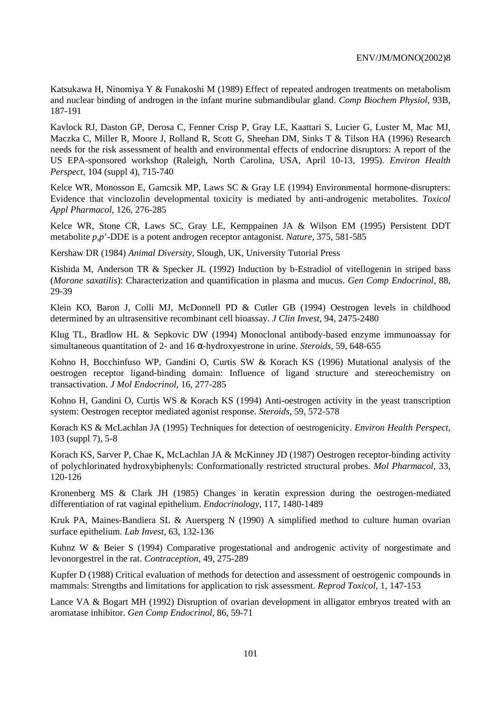Katsukawa H, Ninomiya Y & Funakoshi M (1989) Effect of repeated androgen treatments on metabolism and nuclear binding of androgen in the infant murine submandibular gland. *Comp Biochem Physiol,* 93B, 187-191

Kavlock RJ, Daston GP, Derosa C, Fenner Crisp P, Gray LE, Kaattari S, Lucier G, Luster M, Mac MJ, Maczka C, Miller R, Moore J, Rolland R, Scott G, Sheehan DM, Sinks T & Tilson HA (1996) Research needs for the risk assessment of health and environmental effects of endocrine disruptors: A report of the US EPA-sponsored workshop (Raleigh, North Carolina, USA, April 10-13, 1995). *Environ Health Perspect,* 104 (suppl 4), 715-740

Kelce WR, Monosson E, Gamcsik MP, Laws SC & Gray LE (1994) Environmental hormone-disrupters: Evidence that vinclozolin developmental toxicity is mediated by anti-androgenic metabolites. *Toxicol Appl Pharmacol,* 126, 276-285

Kelce WR, Stone CR, Laws SC, Gray LE, Kemppainen JA & Wilson EM (1995) Persistent DDT metabolite *p,p*'-DDE is a potent androgen receptor antagonist. *Nature,* 375, 581-585

Kershaw DR (1984) *Animal Diversity*, Slough, UK, University Tutorial Press

Kishida M, Anderson TR & Specker JL (1992) Induction by b-Estradiol of vitellogenin in striped bass (*Morone saxatilis*): Characterization and quantification in plasma and mucus. *Gen Comp Endocrinol,* 88, 29-39

Klein KO, Baron J, Colli MJ, McDonnell PD & Cutler GB (1994) Oestrogen levels in childhood determined by an ultrasensitive recombinant cell bioassay. *J Clin Invest,* 94, 2475-2480

Klug TL, Bradlow HL & Sepkovic DW (1994) Monoclonal antibody-based enzyme immunoassay for simultaneous quantitation of 2- and 16 α-hydroxyestrone in urine. *Steroids,* 59, 648-655

Kohno H, Bocchinfuso WP, Gandini O, Curtis SW & Korach KS (1996) Mutational analysis of the oestrogen receptor ligand-binding domain: Influence of ligand structure and stereochemistry on transactivation. *J Mol Endocrinol,* 16, 277-285

Kohno H, Gandini O, Curtis WS & Korach KS (1994) Anti-oestrogen activity in the yeast transcription system: Oestrogen receptor mediated agonist response. *Steroids,* 59, 572-578

Korach KS & McLachlan JA (1995) Techniques for detection of oestrogenicity. *Environ Health Perspect,* 103 (suppl 7), 5-8

Korach KS, Sarver P, Chae K, McLachlan JA & McKinney JD (1987) Oestrogen receptor-binding activity of polychlorinated hydroxybiphenyls: Conformationally restricted structural probes. *Mol Pharmacol,* 33, 120-126

Kronenberg MS & Clark JH (1985) Changes in keratin expression during the oestrogen-mediated differentiation of rat vaginal epithelium. *Endocrinology,* 117, 1480-1489

Kruk PA, Maines-Bandiera SL & Auersperg N (1990) A simplified method to culture human ovarian surface epithelium. *Lab Invest,* 63, 132-136

Kuhnz W & Beier S (1994) Comparative progestational and androgenic activity of norgestimate and levonorgestrel in the rat. *Contraception,* 49, 275-289

Kupfer D (1988) Critical evaluation of methods for detection and assessment of oestrogenic compounds in mammals: Strengths and limitations for application to risk assessment. *Reprod Toxicol,* 1, 147-153

Lance VA & Bogart MH (1992) Disruption of ovarian development in alligator embryos treated with an aromatase inhibitor. *Gen Comp Endocrinol,* 86, 59-71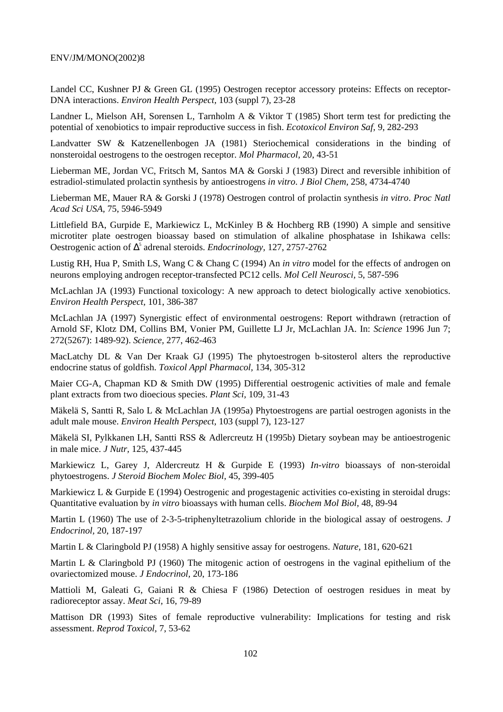Landel CC, Kushner PJ & Green GL (1995) Oestrogen receptor accessory proteins: Effects on receptor-DNA interactions. *Environ Health Perspect,* 103 (suppl 7), 23-28

Landner L, Mielson AH, Sorensen L, Tarnholm A & Viktor T (1985) Short term test for predicting the potential of xenobiotics to impair reproductive success in fish. *Ecotoxicol Environ Saf,* 9, 282-293

Landvatter SW & Katzenellenbogen JA (1981) Steriochemical considerations in the binding of nonsteroidal oestrogens to the oestrogen receptor. *Mol Pharmacol,* 20, 43-51

Lieberman ME, Jordan VC, Fritsch M, Santos MA & Gorski J (1983) Direct and reversible inhibition of estradiol-stimulated prolactin synthesis by antioestrogens *in vitro*. *J Biol Chem,* 258, 4734-4740

Lieberman ME, Mauer RA & Gorski J (1978) Oestrogen control of prolactin synthesis *in vitro*. *Proc Natl Acad Sci USA,* 75, 5946-5949

Littlefield BA, Gurpide E, Markiewicz L, McKinley B & Hochberg RB (1990) A simple and sensitive microtiter plate oestrogen bioassay based on stimulation of alkaline phosphatase in Ishikawa cells: Oestrogenic action of ∆<sup>5</sup> adrenal steroids. *Endocrinology,* 127, 2757-2762

Lustig RH, Hua P, Smith LS, Wang C & Chang C (1994) An *in vitro* model for the effects of androgen on neurons employing androgen receptor-transfected PC12 cells. *Mol Cell Neurosci,* 5, 587-596

McLachlan JA (1993) Functional toxicology: A new approach to detect biologically active xenobiotics. *Environ Health Perspect,* 101, 386-387

McLachlan JA (1997) Synergistic effect of environmental oestrogens: Report withdrawn (retraction of Arnold SF, Klotz DM, Collins BM, Vonier PM, Guillette LJ Jr, McLachlan JA. In: *Science* 1996 Jun 7; 272(5267): 1489-92). *Science,* 277, 462-463

MacLatchy DL & Van Der Kraak GJ (1995) The phytoestrogen b-sitosterol alters the reproductive endocrine status of goldfish. *Toxicol Appl Pharmacol,* 134, 305-312

Maier CG-A, Chapman KD & Smith DW (1995) Differential oestrogenic activities of male and female plant extracts from two dioecious species. *Plant Sci,* 109, 31-43

Mäkelä S, Santti R, Salo L & McLachlan JA (1995a) Phytoestrogens are partial oestrogen agonists in the adult male mouse. *Environ Health Perspect,* 103 (suppl 7), 123-127

Mäkelä SI, Pylkkanen LH, Santti RSS & Adlercreutz H (1995b) Dietary soybean may be antioestrogenic in male mice. *J Nutr,* 125, 437-445

Markiewicz L, Garey J, Aldercreutz H & Gurpide E (1993) *In-vitro* bioassays of non-steroidal phytoestrogens. *J Steroid Biochem Molec Biol,* 45, 399-405

Markiewicz L & Gurpide E (1994) Oestrogenic and progestagenic activities co-existing in steroidal drugs: Quantitative evaluation by *in vitro* bioassays with human cells. *Biochem Mol Biol,* 48, 89-94

Martin L (1960) The use of 2-3-5-triphenyltetrazolium chloride in the biological assay of oestrogens. *J Endocrinol,* 20, 187-197

Martin L & Claringbold PJ (1958) A highly sensitive assay for oestrogens. *Nature,* 181, 620-621

Martin L & Claringbold PJ (1960) The mitogenic action of oestrogens in the vaginal epithelium of the ovariectomized mouse. *J Endocrinol,* 20, 173-186

Mattioli M, Galeati G, Gaiani R & Chiesa F (1986) Detection of oestrogen residues in meat by radioreceptor assay. *Meat Sci,* 16, 79-89

Mattison DR (1993) Sites of female reproductive vulnerability: Implications for testing and risk assessment. *Reprod Toxicol,* 7, 53-62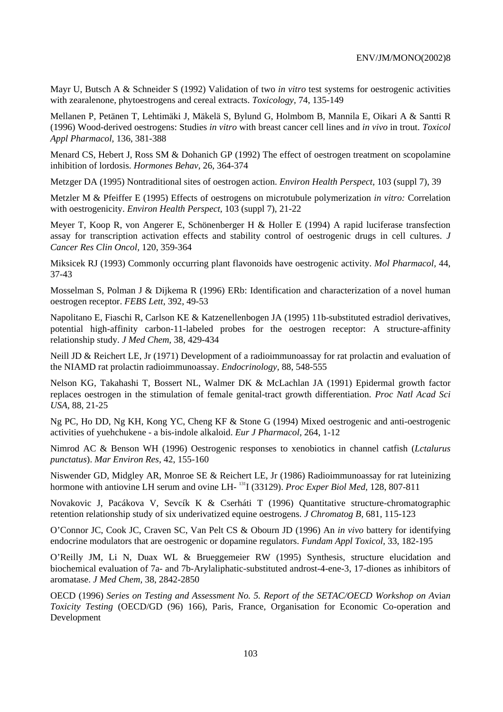Mayr U, Butsch A & Schneider S (1992) Validation of two *in vitro* test systems for oestrogenic activities with zearalenone, phytoestrogens and cereal extracts. *Toxicology,* 74, 135-149

Mellanen P, Petänen T, Lehtimäki J, Mäkelä S, Bylund G, Holmbom B, Mannila E, Oikari A & Santti R (1996) Wood-derived oestrogens: Studies *in vitro* with breast cancer cell lines and *in vivo* in trout. *Toxicol Appl Pharmacol,* 136, 381-388

Menard CS, Hebert J, Ross SM & Dohanich GP (1992) The effect of oestrogen treatment on scopolamine inhibition of lordosis. *Hormones Behav,* 26, 364-374

Metzger DA (1995) Nontraditional sites of oestrogen action. *Environ Health Perspect,* 103 (suppl 7), 39

Metzler M & Pfeiffer E (1995) Effects of oestrogens on microtubule polymerization *in vitro:* Correlation with oestrogenicity. *Environ Health Perspect,* 103 (suppl 7), 21-22

Meyer T, Koop R, von Angerer E, Schönenberger H & Holler E (1994) A rapid luciferase transfection assay for transcription activation effects and stability control of oestrogenic drugs in cell cultures. *J Cancer Res Clin Oncol,* 120, 359-364

Miksicek RJ (1993) Commonly occurring plant flavonoids have oestrogenic activity. *Mol Pharmacol,* 44, 37-43

Mosselman S, Polman J & Dijkema R (1996) ERb: Identification and characterization of a novel human oestrogen receptor. *FEBS Lett,* 392, 49-53

Napolitano E, Fiaschi R, Carlson KE & Katzenellenbogen JA (1995) 11b-substituted estradiol derivatives, potential high-affinity carbon-11-labeled probes for the oestrogen receptor: A structure-affinity relationship study. *J Med Chem,* 38, 429-434

Neill JD & Reichert LE, Jr (1971) Development of a radioimmunoassay for rat prolactin and evaluation of the NIAMD rat prolactin radioimmunoassay. *Endocrinology,* 88, 548-555

Nelson KG, Takahashi T, Bossert NL, Walmer DK & McLachlan JA (1991) Epidermal growth factor replaces oestrogen in the stimulation of female genital-tract growth differentiation. *Proc Natl Acad Sci USA,* 88, 21-25

Ng PC, Ho DD, Ng KH, Kong YC, Cheng KF & Stone G (1994) Mixed oestrogenic and anti-oestrogenic activities of yuehchukene - a bis-indole alkaloid. *Eur J Pharmacol,* 264, 1-12

Nimrod AC & Benson WH (1996) Oestrogenic responses to xenobiotics in channel catfish (*Lctalurus punctatus*). *Mar Environ Res,* 42, 155-160

Niswender GD, Midgley AR, Monroe SE & Reichert LE, Jr (1986) Radioimmunoassay for rat luteinizing hormone with antiovine LH serum and ovine LH-<sup>131</sup>I (33129). *Proc Exper Biol Med*, 128, 807-811

Novakovic J, Pacákova V, Sevcík K & Cserháti T (1996) Quantitative structure-chromatographic retention relationship study of six underivatized equine oestrogens. *J Chromatog B,* 681, 115-123

O'Connor JC, Cook JC, Craven SC, Van Pelt CS & Obourn JD (1996) An *in vivo* battery for identifying endocrine modulators that are oestrogenic or dopamine regulators. *Fundam Appl Toxicol,* 33, 182-195

O'Reilly JM, Li N, Duax WL & Brueggemeier RW (1995) Synthesis, structure elucidation and biochemical evaluation of 7a- and 7b-Arylaliphatic-substituted androst-4-ene-3, 17-diones as inhibitors of aromatase. *J Med Chem,* 38, 2842-2850

OECD (1996) *Series on Testing and Assessment No. 5. Report of the SETAC/OECD Workshop on A*via*n Toxicity Testing* (OECD/GD (96) 166), Paris, France, Organisation for Economic Co-operation and Development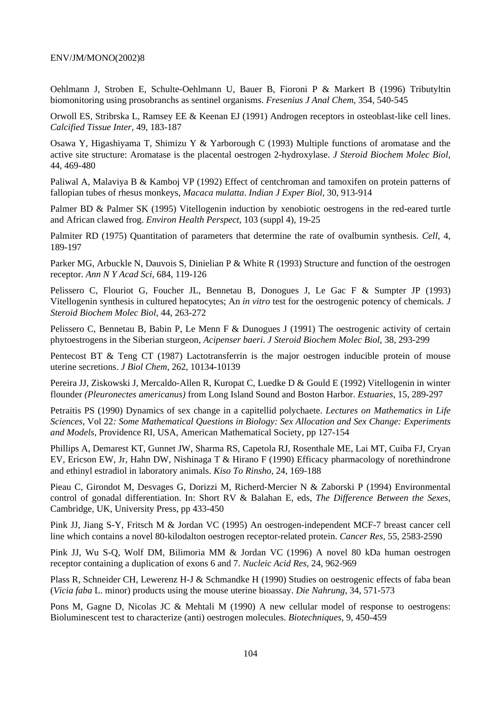Oehlmann J, Stroben E, Schulte-Oehlmann U, Bauer B, Fioroni P & Markert B (1996) Tributyltin biomonitoring using prosobranchs as sentinel organisms. *Fresenius J Anal Chem,* 354, 540-545

Orwoll ES, Stribrska L, Ramsey EE & Keenan EJ (1991) Androgen receptors in osteoblast-like cell lines. *Calcified Tissue Inter,* 49, 183-187

Osawa Y, Higashiyama T, Shimizu Y & Yarborough C (1993) Multiple functions of aromatase and the active site structure: Aromatase is the placental oestrogen 2-hydroxylase. *J Steroid Biochem Molec Biol,* 44, 469-480

Paliwal A, Malaviya B & Kamboj VP (1992) Effect of centchroman and tamoxifen on protein patterns of fallopian tubes of rhesus monkeys, *Macaca mulatta*. *Indian J Exper Biol,* 30, 913-914

Palmer BD & Palmer SK (1995) Vitellogenin induction by xenobiotic oestrogens in the red-eared turtle and African clawed frog. *Environ Health Perspect,* 103 (suppl 4), 19-25

Palmiter RD (1975) Quantitation of parameters that determine the rate of ovalbumin synthesis. *Cell,* 4, 189-197

Parker MG, Arbuckle N, Dauvois S, Dinielian P & White R (1993) Structure and function of the oestrogen receptor. *Ann N Y Acad Sci,* 684, 119-126

Pelissero C, Flouriot G, Foucher JL, Bennetau B, Donogues J, Le Gac F & Sumpter JP (1993) Vitellogenin synthesis in cultured hepatocytes; An *in vitro* test for the oestrogenic potency of chemicals. *J Steroid Biochem Molec Biol,* 44, 263-272

Pelissero C, Bennetau B, Babin P, Le Menn F & Dunogues J (1991) The oestrogenic activity of certain phytoestrogens in the Siberian sturgeon, *Acipenser baeri*. *J Steroid Biochem Molec Biol,* 38, 293-299

Pentecost BT & Teng CT (1987) Lactotransferrin is the major oestrogen inducible protein of mouse uterine secretions. *J Biol Chem,* 262, 10134-10139

Pereira JJ, Ziskowski J, Mercaldo-Allen R, Kuropat C, Luedke D & Gould E (1992) Vitellogenin in winter flounder *(Pleuronectes americanus)* from Long Island Sound and Boston Harbor. *Estuaries,* 15, 289-297

Petraitis PS (1990) Dynamics of sex change in a capitellid polychaete. *Lectures on Mathematics in Life Sciences,* Vol 22*: Some Mathematical Questions in Biology: Sex Allocation and Sex Change: Experiments and Models*, Providence RI, USA, American Mathematical Society, pp 127-154

Phillips A, Demarest KT, Gunnet JW, Sharma RS, Capetola RJ, Rosenthale ME, Lai MT, Cuiba FJ, Cryan EV, Ericson EW, Jr, Hahn DW, Nishinaga T & Hirano F (1990) Efficacy pharmacology of norethindrone and ethinyl estradiol in laboratory animals. *Kiso To Rinsho,* 24, 169-188

Pieau C, Girondot M, Desvages G, Dorizzi M, Richerd-Mercier N & Zaborski P (1994) Environmental control of gonadal differentiation. In: Short RV & Balahan E, eds, *The Difference Between the Sexes*, Cambridge, UK, University Press, pp 433-450

Pink JJ, Jiang S-Y, Fritsch M & Jordan VC (1995) An oestrogen-independent MCF-7 breast cancer cell line which contains a novel 80-kilodalton oestrogen receptor-related protein. *Cancer Res,* 55, 2583-2590

Pink JJ, Wu S-Q, Wolf DM, Bilimoria MM & Jordan VC (1996) A novel 80 kDa human oestrogen receptor containing a duplication of exons 6 and 7. *Nucleic Acid Res,* 24, 962-969

Plass R, Schneider CH, Lewerenz H-J & Schmandke H (1990) Studies on oestrogenic effects of faba bean (*Vicia faba* L. minor) products using the mouse uterine bioassay. *Die Nahrung,* 34, 571-573

Pons M, Gagne D, Nicolas JC & Mehtali M (1990) A new cellular model of response to oestrogens: Bioluminescent test to characterize (anti) oestrogen molecules. *Biotechniques,* 9, 450-459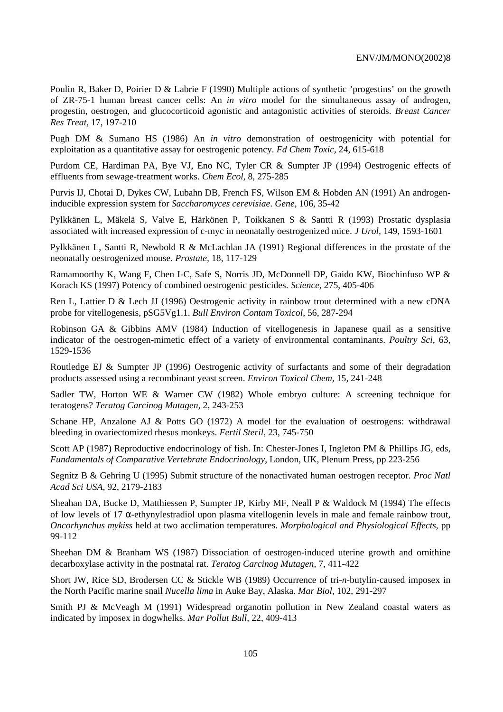Poulin R, Baker D, Poirier D & Labrie F (1990) Multiple actions of synthetic 'progestins' on the growth of ZR-75-1 human breast cancer cells: An *in vitro* model for the simultaneous assay of androgen, progestin, oestrogen, and glucocorticoid agonistic and antagonistic activities of steroids. *Breast Cancer Res Treat,* 17, 197-210

Pugh DM & Sumano HS (1986) An *in vitro* demonstration of oestrogenicity with potential for exploitation as a quantitative assay for oestrogenic potency. *Fd Chem Toxic,* 24, 615-618

Purdom CE, Hardiman PA, Bye VJ, Eno NC, Tyler CR & Sumpter JP (1994) Oestrogenic effects of effluents from sewage-treatment works. *Chem Ecol,* 8, 275-285

Purvis IJ, Chotai D, Dykes CW, Lubahn DB, French FS, Wilson EM & Hobden AN (1991) An androgeninducible expression system for *Saccharomyces cerevisiae*. *Gene,* 106, 35-42

Pylkkänen L, Mäkelä S, Valve E, Härkönen P, Toikkanen S & Santti R (1993) Prostatic dysplasia associated with increased expression of c-myc in neonatally oestrogenized mice. *J Urol,* 149, 1593-1601

Pylkkänen L, Santti R, Newbold R & McLachlan JA (1991) Regional differences in the prostate of the neonatally oestrogenized mouse. *Prostate,* 18, 117-129

Ramamoorthy K, Wang F, Chen I-C, Safe S, Norris JD, McDonnell DP, Gaido KW, Biochinfuso WP & Korach KS (1997) Potency of combined oestrogenic pesticides. *Science,* 275, 405-406

Ren L, Lattier D & Lech JJ (1996) Oestrogenic activity in rainbow trout determined with a new cDNA probe for vitellogenesis, pSG5Vg1.1. *Bull Environ Contam Toxicol,* 56, 287-294

Robinson GA & Gibbins AMV (1984) Induction of vitellogenesis in Japanese quail as a sensitive indicator of the oestrogen-mimetic effect of a variety of environmental contaminants. *Poultry Sci,* 63, 1529-1536

Routledge EJ & Sumpter JP (1996) Oestrogenic activity of surfactants and some of their degradation products assessed using a recombinant yeast screen. *Environ Toxicol Chem,* 15, 241-248

Sadler TW, Horton WE & Warner CW (1982) Whole embryo culture: A screening technique for teratogens? *Teratog Carcinog Mutagen,* 2, 243-253

Schane HP, Anzalone AJ & Potts GO (1972) A model for the evaluation of oestrogens: withdrawal bleeding in ovariectomized rhesus monkeys. *Fertil Steril,* 23, 745-750

Scott AP (1987) Reproductive endocrinology of fish. In: Chester-Jones I, Ingleton PM & Phillips JG, eds, *Fundamentals of Comparative Vertebrate Endocrinology*, London, UK, Plenum Press, pp 223-256

Segnitz B & Gehring U (1995) Submit structure of the nonactivated human oestrogen receptor. *Proc Natl Acad Sci USA,* 92, 2179-2183

Sheahan DA, Bucke D, Matthiessen P, Sumpter JP, Kirby MF, Neall P & Waldock M (1994) The effects of low levels of 17 α-ethynylestradiol upon plasma vitellogenin levels in male and female rainbow trout, *Oncorhynchus mykiss* held at two acclimation temperatures. *Morphological and Physiological Effects*, pp 99-112

Sheehan DM & Branham WS (1987) Dissociation of oestrogen-induced uterine growth and ornithine decarboxylase activity in the postnatal rat. *Teratog Carcinog Mutagen,* 7, 411-422

Short JW, Rice SD, Brodersen CC & Stickle WB (1989) Occurrence of tri-*n*-butylin-caused imposex in the North Pacific marine snail *Nucella lima* in Auke Bay, Alaska. *Mar Biol,* 102, 291-297

Smith PJ & McVeagh M (1991) Widespread organotin pollution in New Zealand coastal waters as indicated by imposex in dogwhelks. *Mar Pollut Bull,* 22, 409-413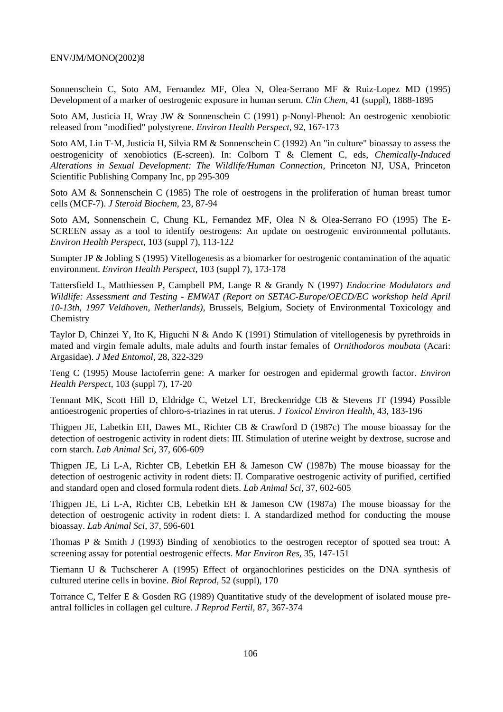Sonnenschein C, Soto AM, Fernandez MF, Olea N, Olea-Serrano MF & Ruiz-Lopez MD (1995) Development of a marker of oestrogenic exposure in human serum. *Clin Chem,* 41 (suppl), 1888-1895

Soto AM, Justicia H, Wray JW & Sonnenschein C (1991) p-Nonyl-Phenol: An oestrogenic xenobiotic released from "modified" polystyrene. *Environ Health Perspect,* 92, 167-173

Soto AM, Lin T-M, Justicia H, Silvia RM & Sonnenschein C (1992) An "in culture" bioassay to assess the oestrogenicity of xenobiotics (E-screen). In: Colborn T & Clement C, eds, *Chemically-Induced Alterations in Sexual Development: The Wildlife/Human Connection*, Princeton NJ, USA, Princeton Scientific Publishing Company Inc, pp 295-309

Soto AM & Sonnenschein C (1985) The role of oestrogens in the proliferation of human breast tumor cells (MCF-7). *J Steroid Biochem,* 23, 87-94

Soto AM, Sonnenschein C, Chung KL, Fernandez MF, Olea N & Olea-Serrano FO (1995) The E-SCREEN assay as a tool to identify oestrogens: An update on oestrogenic environmental pollutants. *Environ Health Perspect,* 103 (suppl 7), 113-122

Sumpter JP & Jobling S (1995) Vitellogenesis as a biomarker for oestrogenic contamination of the aquatic environment. *Environ Health Perspect,* 103 (suppl 7), 173-178

Tattersfield L, Matthiessen P, Campbell PM, Lange R & Grandy N (1997) *Endocrine Modulators and Wildlife: Assessment and Testing - EMWAT (Report on SETAC-Europe/OECD/EC workshop held April 10-13th, 1997 Veldhoven, Netherlands)*, Brussels, Belgium, Society of Environmental Toxicology and **Chemistry** 

Taylor D, Chinzei Y, Ito K, Higuchi N & Ando K (1991) Stimulation of vitellogenesis by pyrethroids in mated and virgin female adults, male adults and fourth instar females of *Ornithodoros moubata* (Acari: Argasidae). *J Med Entomol,* 28, 322-329

Teng C (1995) Mouse lactoferrin gene: A marker for oestrogen and epidermal growth factor. *Environ Health Perspect,* 103 (suppl 7), 17-20

Tennant MK, Scott Hill D, Eldridge C, Wetzel LT, Breckenridge CB & Stevens JT (1994) Possible antioestrogenic properties of chloro-s-triazines in rat uterus. *J Toxicol Environ Health,* 43, 183-196

Thigpen JE, Labetkin EH, Dawes ML, Richter CB & Crawford D (1987c) The mouse bioassay for the detection of oestrogenic activity in rodent diets: III. Stimulation of uterine weight by dextrose, sucrose and corn starch. *Lab Animal Sci,* 37, 606-609

Thigpen JE, Li L-A, Richter CB, Lebetkin EH & Jameson CW (1987b) The mouse bioassay for the detection of oestrogenic activity in rodent diets: II. Comparative oestrogenic activity of purified, certified and standard open and closed formula rodent diets. *Lab Animal Sci,* 37, 602-605

Thigpen JE, Li L-A, Richter CB, Lebetkin EH & Jameson CW (1987a) The mouse bioassay for the detection of oestrogenic activity in rodent diets: I. A standardized method for conducting the mouse bioassay. *Lab Animal Sci,* 37, 596-601

Thomas P & Smith J (1993) Binding of xenobiotics to the oestrogen receptor of spotted sea trout: A screening assay for potential oestrogenic effects. *Mar Environ Res,* 35, 147-151

Tiemann U & Tuchscherer A (1995) Effect of organochlorines pesticides on the DNA synthesis of cultured uterine cells in bovine. *Biol Reprod,* 52 (suppl), 170

Torrance C, Telfer E & Gosden RG (1989) Quantitative study of the development of isolated mouse preantral follicles in collagen gel culture. *J Reprod Fertil,* 87, 367-374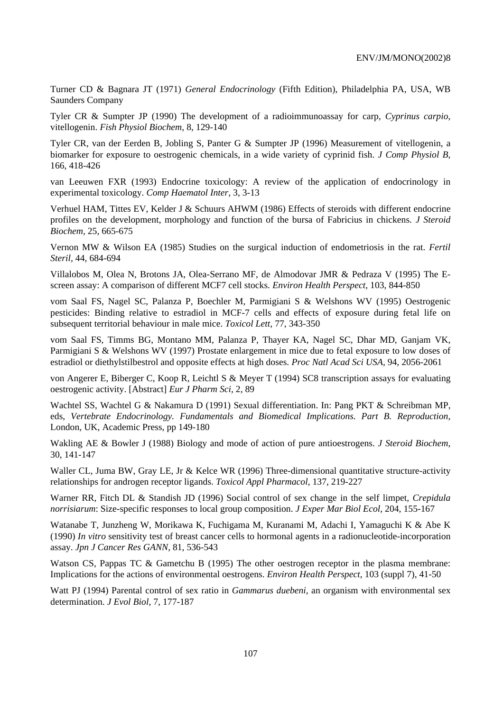Turner CD & Bagnara JT (1971) *General Endocrinology* (Fifth Edition), Philadelphia PA, USA, WB Saunders Company

Tyler CR & Sumpter JP (1990) The development of a radioimmunoassay for carp, *Cyprinus carpio*, vitellogenin. *Fish Physiol Biochem,* 8, 129-140

Tyler CR, van der Eerden B, Jobling S, Panter G & Sumpter JP (1996) Measurement of vitellogenin, a biomarker for exposure to oestrogenic chemicals, in a wide variety of cyprinid fish. *J Comp Physiol B,* 166, 418-426

van Leeuwen FXR (1993) Endocrine toxicology: A review of the application of endocrinology in experimental toxicology. *Comp Haematol Inter,* 3, 3-13

Verhuel HAM, Tittes EV, Kelder J & Schuurs AHWM (1986) Effects of steroids with different endocrine profiles on the development, morphology and function of the bursa of Fabricius in chickens. *J Steroid Biochem,* 25, 665-675

Vernon MW & Wilson EA (1985) Studies on the surgical induction of endometriosis in the rat. *Fertil Steril,* 44, 684-694

Villalobos M, Olea N, Brotons JA, Olea-Serrano MF, de Almodovar JMR & Pedraza V (1995) The Escreen assay: A comparison of different MCF7 cell stocks. *Environ Health Perspect,* 103, 844-850

vom Saal FS, Nagel SC, Palanza P, Boechler M, Parmigiani S & Welshons WV (1995) Oestrogenic pesticides: Binding relative to estradiol in MCF-7 cells and effects of exposure during fetal life on subsequent territorial behaviour in male mice. *Toxicol Lett,* 77, 343-350

vom Saal FS, Timms BG, Montano MM, Palanza P, Thayer KA, Nagel SC, Dhar MD, Ganjam VK, Parmigiani S & Welshons WV (1997) Prostate enlargement in mice due to fetal exposure to low doses of estradiol or diethylstilbestrol and opposite effects at high doses. *Proc Natl Acad Sci USA,* 94, 2056-2061

von Angerer E, Biberger C, Koop R, Leichtl S & Meyer T (1994) SC8 transcription assays for evaluating oestrogenic activity. [Abstract] *Eur J Pharm Sci,* 2, 89

Wachtel SS, Wachtel G & Nakamura D (1991) Sexual differentiation. In: Pang PKT & Schreibman MP, eds, *Vertebrate Endocrinology. Fundamentals and Biomedical Implications. Part B. Reproduction*, London, UK, Academic Press, pp 149-180

Wakling AE & Bowler J (1988) Biology and mode of action of pure antioestrogens. *J Steroid Biochem,* 30, 141-147

Waller CL, Juma BW, Gray LE, Jr & Kelce WR (1996) Three-dimensional quantitative structure-activity relationships for androgen receptor ligands. *Toxicol Appl Pharmacol,* 137, 219-227

Warner RR, Fitch DL & Standish JD (1996) Social control of sex change in the self limpet, *Crepidula norrisiarum*: Size-specific responses to local group composition. *J Exper Mar Biol Ecol,* 204, 155-167

Watanabe T, Junzheng W, Morikawa K, Fuchigama M, Kuranami M, Adachi I, Yamaguchi K & Abe K (1990) *In vitro* sensitivity test of breast cancer cells to hormonal agents in a radionucleotide-incorporation assay. *Jpn J Cancer Res GANN,* 81, 536-543

Watson CS, Pappas TC & Gametchu B (1995) The other oestrogen receptor in the plasma membrane: Implications for the actions of environmental oestrogens. *Environ Health Perspect,* 103 (suppl 7), 41-50

Watt PJ (1994) Parental control of sex ratio in *Gammarus duebeni,* an organism with environmental sex determination. *J Evol Biol,* 7, 177-187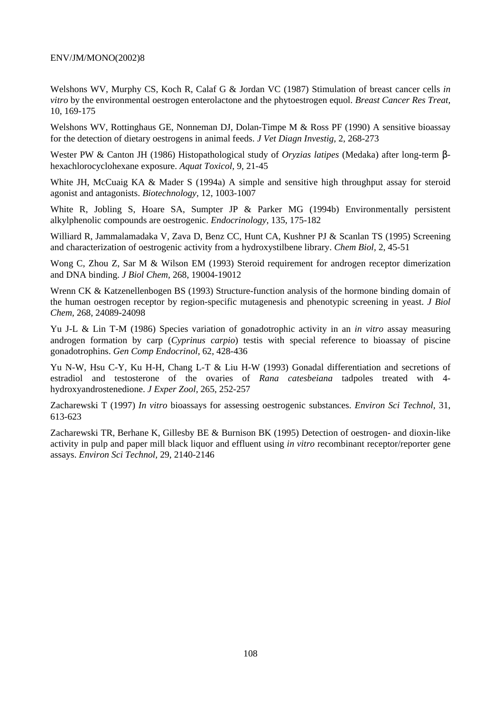Welshons WV, Murphy CS, Koch R, Calaf G & Jordan VC (1987) Stimulation of breast cancer cells *in vitro* by the environmental oestrogen enterolactone and the phytoestrogen equol. *Breast Cancer Res Treat,* 10, 169-175

Welshons WV, Rottinghaus GE, Nonneman DJ, Dolan-Timpe M & Ross PF (1990) A sensitive bioassay for the detection of dietary oestrogens in animal feeds. *J Vet Diagn Investig,* 2, 268-273

Wester PW & Canton JH (1986) Histopathological study of *Oryzias latipes* (Medaka) after long-term βhexachlorocyclohexane exposure. *Aquat Toxicol,* 9, 21-45

White JH, McCuaig KA & Mader S (1994a) A simple and sensitive high throughput assay for steroid agonist and antagonists. *Biotechnology,* 12, 1003-1007

White R, Jobling S, Hoare SA, Sumpter JP & Parker MG (1994b) Environmentally persistent alkylphenolic compounds are oestrogenic. *Endocrinology,* 135, 175-182

Williard R, Jammalamadaka V, Zava D, Benz CC, Hunt CA, Kushner PJ & Scanlan TS (1995) Screening and characterization of oestrogenic activity from a hydroxystilbene library. *Chem Biol,* 2, 45-51

Wong C, Zhou Z, Sar M & Wilson EM (1993) Steroid requirement for androgen receptor dimerization and DNA binding. *J Biol Chem,* 268, 19004-19012

Wrenn CK & Katzenellenbogen BS (1993) Structure-function analysis of the hormone binding domain of the human oestrogen receptor by region-specific mutagenesis and phenotypic screening in yeast. *J Biol Chem,* 268, 24089-24098

Yu J-L & Lin T-M (1986) Species variation of gonadotrophic activity in an *in vitro* assay measuring androgen formation by carp (*Cyprinus carpio*) testis with special reference to bioassay of piscine gonadotrophins. *Gen Comp Endocrinol,* 62, 428-436

Yu N-W, Hsu C-Y, Ku H-H, Chang L-T & Liu H-W (1993) Gonadal differentiation and secretions of estradiol and testosterone of the ovaries of *Rana catesbeiana* tadpoles treated with 4 hydroxyandrostenedione. *J Exper Zool,* 265, 252-257

Zacharewski T (1997) *In vitro* bioassays for assessing oestrogenic substances. *Environ Sci Technol,* 31, 613-623

Zacharewski TR, Berhane K, Gillesby BE & Burnison BK (1995) Detection of oestrogen- and dioxin-like activity in pulp and paper mill black liquor and effluent using *in vitro* recombinant receptor/reporter gene assays. *Environ Sci Technol,* 29, 2140-2146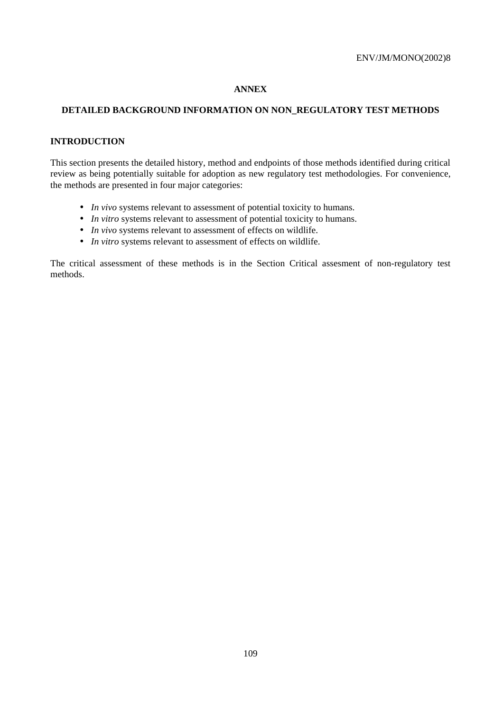## **ANNEX**

# **DETAILED BACKGROUND INFORMATION ON NON\_REGULATORY TEST METHODS**

# **INTRODUCTION**

This section presents the detailed history, method and endpoints of those methods identified during critical review as being potentially suitable for adoption as new regulatory test methodologies. For convenience, the methods are presented in four major categories:

- *In vivo* systems relevant to assessment of potential toxicity to humans.
- *In vitro* systems relevant to assessment of potential toxicity to humans.
- *In vivo* systems relevant to assessment of effects on wildlife.
- *In vitro* systems relevant to assessment of effects on wildlife.

The critical assessment of these methods is in the Section Critical assesment of non-regulatory test methods.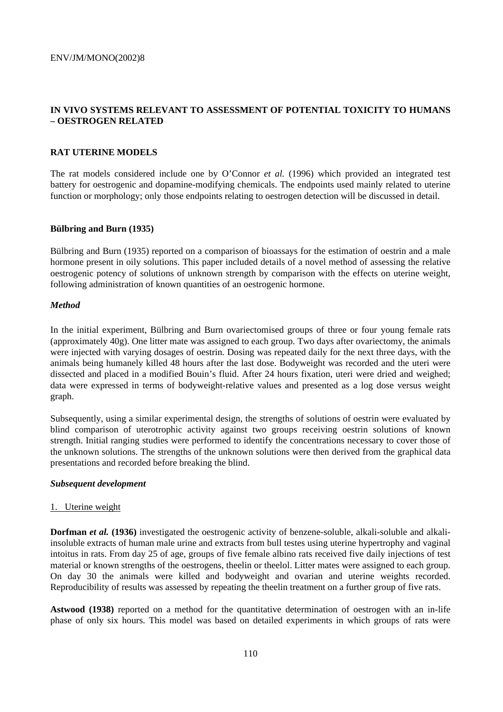# **IN VIVO SYSTEMS RELEVANT TO ASSESSMENT OF POTENTIAL TOXICITY TO HUMANS – OESTROGEN RELATED**

## **RAT UTERINE MODELS**

The rat models considered include one by O'Connor *et al.* (1996) which provided an integrated test battery for oestrogenic and dopamine-modifying chemicals. The endpoints used mainly related to uterine function or morphology; only those endpoints relating to oestrogen detection will be discussed in detail.

### **Bülbring and Burn (1935)**

Bülbring and Burn (1935) reported on a comparison of bioassays for the estimation of oestrin and a male hormone present in oily solutions. This paper included details of a novel method of assessing the relative oestrogenic potency of solutions of unknown strength by comparison with the effects on uterine weight, following administration of known quantities of an oestrogenic hormone.

## *Method*

In the initial experiment, Bülbring and Burn ovariectomised groups of three or four young female rats (approximately 40g). One litter mate was assigned to each group. Two days after ovariectomy, the animals were injected with varying dosages of oestrin. Dosing was repeated daily for the next three days, with the animals being humanely killed 48 hours after the last dose. Bodyweight was recorded and the uteri were dissected and placed in a modified Bouin's fluid. After 24 hours fixation, uteri were dried and weighed; data were expressed in terms of bodyweight-relative values and presented as a log dose versus weight graph.

Subsequently, using a similar experimental design, the strengths of solutions of oestrin were evaluated by blind comparison of uterotrophic activity against two groups receiving oestrin solutions of known strength. Initial ranging studies were performed to identify the concentrations necessary to cover those of the unknown solutions. The strengths of the unknown solutions were then derived from the graphical data presentations and recorded before breaking the blind.

#### *Subsequent development*

#### 1. Uterine weight

**Dorfman** *et al.* (1936) investigated the oestrogenic activity of benzene-soluble, alkali-soluble and alkaliinsoluble extracts of human male urine and extracts from bull testes using uterine hypertrophy and vaginal intoitus in rats. From day 25 of age, groups of five female albino rats received five daily injections of test material or known strengths of the oestrogens, theelin or theelol. Litter mates were assigned to each group. On day 30 the animals were killed and bodyweight and ovarian and uterine weights recorded. Reproducibility of results was assessed by repeating the theelin treatment on a further group of five rats.

**Astwood (1938)** reported on a method for the quantitative determination of oestrogen with an in-life phase of only six hours. This model was based on detailed experiments in which groups of rats were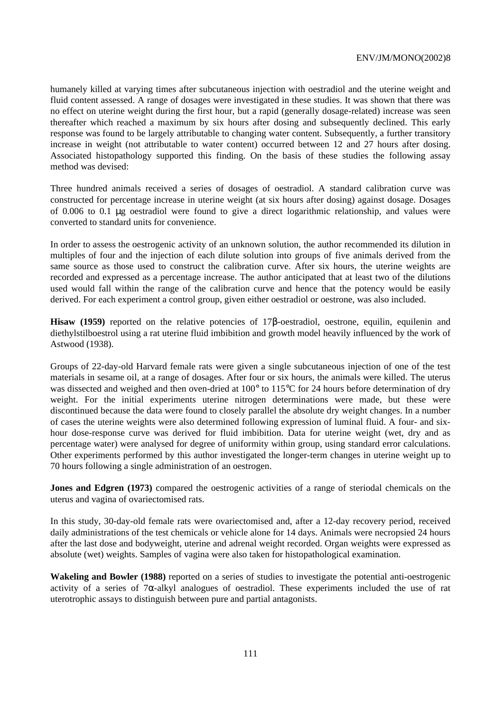humanely killed at varying times after subcutaneous injection with oestradiol and the uterine weight and fluid content assessed. A range of dosages were investigated in these studies. It was shown that there was no effect on uterine weight during the first hour, but a rapid (generally dosage-related) increase was seen thereafter which reached a maximum by six hours after dosing and subsequently declined. This early response was found to be largely attributable to changing water content. Subsequently, a further transitory increase in weight (not attributable to water content) occurred between 12 and 27 hours after dosing. Associated histopathology supported this finding. On the basis of these studies the following assay method was devised:

Three hundred animals received a series of dosages of oestradiol. A standard calibration curve was constructed for percentage increase in uterine weight (at six hours after dosing) against dosage. Dosages of 0.006 to 0.1 µg oestradiol were found to give a direct logarithmic relationship, and values were converted to standard units for convenience.

In order to assess the oestrogenic activity of an unknown solution, the author recommended its dilution in multiples of four and the injection of each dilute solution into groups of five animals derived from the same source as those used to construct the calibration curve. After six hours, the uterine weights are recorded and expressed as a percentage increase. The author anticipated that at least two of the dilutions used would fall within the range of the calibration curve and hence that the potency would be easily derived. For each experiment a control group, given either oestradiol or oestrone, was also included.

**Hisaw (1959)** reported on the relative potencies of 17β-oestradiol, oestrone, equilin, equilenin and diethylstilboestrol using a rat uterine fluid imbibition and growth model heavily influenced by the work of Astwood (1938).

Groups of 22-day-old Harvard female rats were given a single subcutaneous injection of one of the test materials in sesame oil, at a range of dosages. After four or six hours, the animals were killed. The uterus was dissected and weighed and then oven-dried at 100° to 115°C for 24 hours before determination of dry weight. For the initial experiments uterine nitrogen determinations were made, but these were discontinued because the data were found to closely parallel the absolute dry weight changes. In a number of cases the uterine weights were also determined following expression of luminal fluid. A four- and sixhour dose-response curve was derived for fluid imbibition. Data for uterine weight (wet, dry and as percentage water) were analysed for degree of uniformity within group, using standard error calculations. Other experiments performed by this author investigated the longer-term changes in uterine weight up to 70 hours following a single administration of an oestrogen.

**Jones and Edgren (1973)** compared the oestrogenic activities of a range of steriodal chemicals on the uterus and vagina of ovariectomised rats.

In this study, 30-day-old female rats were ovariectomised and, after a 12-day recovery period, received daily administrations of the test chemicals or vehicle alone for 14 days. Animals were necropsied 24 hours after the last dose and bodyweight, uterine and adrenal weight recorded. Organ weights were expressed as absolute (wet) weights. Samples of vagina were also taken for histopathological examination.

**Wakeling and Bowler (1988)** reported on a series of studies to investigate the potential anti-oestrogenic activity of a series of  $7\alpha$ -alkyl analogues of oestradiol. These experiments included the use of rat uterotrophic assays to distinguish between pure and partial antagonists.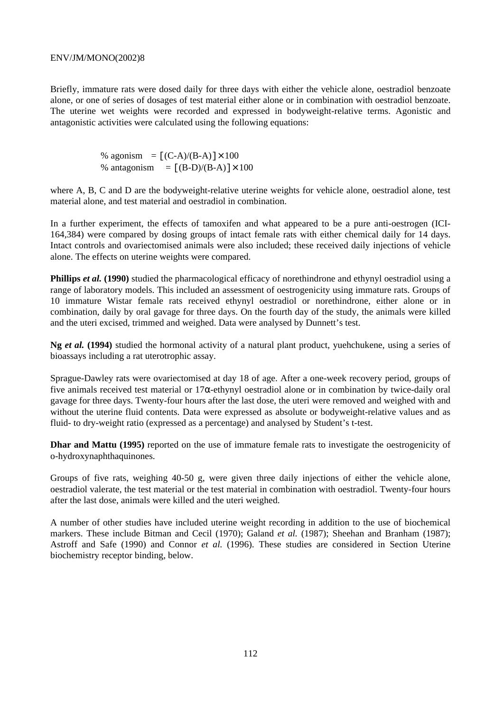Briefly, immature rats were dosed daily for three days with either the vehicle alone, oestradiol benzoate alone, or one of series of dosages of test material either alone or in combination with oestradiol benzoate. The uterine wet weights were recorded and expressed in bodyweight-relative terms. Agonistic and antagonistic activities were calculated using the following equations:

> % agonism =  $[(C-A)/(B-A)] \times 100$ % antagonism  $= [(B-D)/(B-A)] \times 100$

where A, B, C and D are the bodyweight-relative uterine weights for vehicle alone, oestradiol alone, test material alone, and test material and oestradiol in combination.

In a further experiment, the effects of tamoxifen and what appeared to be a pure anti-oestrogen (ICI-164,384) were compared by dosing groups of intact female rats with either chemical daily for 14 days. Intact controls and ovariectomised animals were also included; these received daily injections of vehicle alone. The effects on uterine weights were compared.

**Phillips** *et al.* (1990) studied the pharmacological efficacy of norethindrone and ethynyl oestradiol using a range of laboratory models. This included an assessment of oestrogenicity using immature rats. Groups of 10 immature Wistar female rats received ethynyl oestradiol or norethindrone, either alone or in combination, daily by oral gavage for three days. On the fourth day of the study, the animals were killed and the uteri excised, trimmed and weighed. Data were analysed by Dunnett's test.

**Ng** *et al.* **(1994)** studied the hormonal activity of a natural plant product, yuehchukene, using a series of bioassays including a rat uterotrophic assay.

Sprague-Dawley rats were ovariectomised at day 18 of age. After a one-week recovery period, groups of five animals received test material or 17α-ethynyl oestradiol alone or in combination by twice-daily oral gavage for three days. Twenty-four hours after the last dose, the uteri were removed and weighed with and without the uterine fluid contents. Data were expressed as absolute or bodyweight-relative values and as fluid- to dry-weight ratio (expressed as a percentage) and analysed by Student's t-test.

**Dhar and Mattu (1995)** reported on the use of immature female rats to investigate the oestrogenicity of o-hydroxynaphthaquinones.

Groups of five rats, weighing 40-50 g, were given three daily injections of either the vehicle alone, oestradiol valerate, the test material or the test material in combination with oestradiol. Twenty-four hours after the last dose, animals were killed and the uteri weighed.

A number of other studies have included uterine weight recording in addition to the use of biochemical markers. These include Bitman and Cecil (1970); Galand *et al.* (1987); Sheehan and Branham (1987); Astroff and Safe (1990) and Connor *et al.* (1996). These studies are considered in Section Uterine biochemistry receptor binding, below.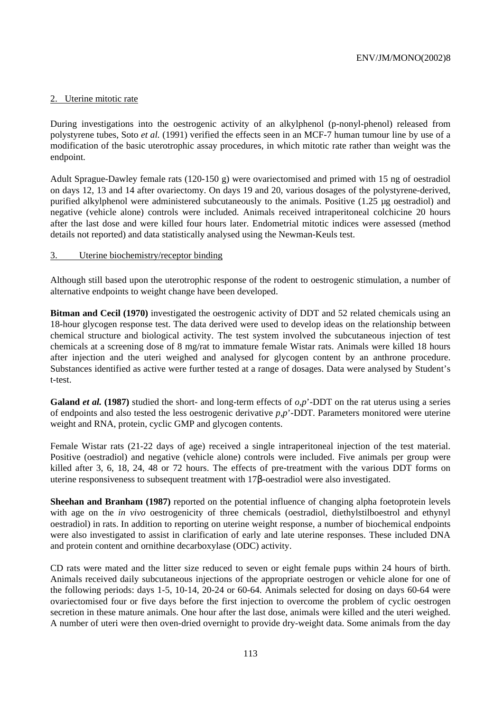### 2. Uterine mitotic rate

During investigations into the oestrogenic activity of an alkylphenol (p-nonyl-phenol) released from polystyrene tubes, Soto *et al.* (1991) verified the effects seen in an MCF-7 human tumour line by use of a modification of the basic uterotrophic assay procedures, in which mitotic rate rather than weight was the endpoint.

Adult Sprague-Dawley female rats (120-150 g) were ovariectomised and primed with 15 ng of oestradiol on days 12, 13 and 14 after ovariectomy. On days 19 and 20, various dosages of the polystyrene-derived, purified alkylphenol were administered subcutaneously to the animals. Positive (1.25 µg oestradiol) and negative (vehicle alone) controls were included. Animals received intraperitoneal colchicine 20 hours after the last dose and were killed four hours later. Endometrial mitotic indices were assessed (method details not reported) and data statistically analysed using the Newman-Keuls test.

#### 3. Uterine biochemistry/receptor binding

Although still based upon the uterotrophic response of the rodent to oestrogenic stimulation, a number of alternative endpoints to weight change have been developed.

**Bitman and Cecil (1970)** investigated the oestrogenic activity of DDT and 52 related chemicals using an 18-hour glycogen response test. The data derived were used to develop ideas on the relationship between chemical structure and biological activity. The test system involved the subcutaneous injection of test chemicals at a screening dose of 8 mg/rat to immature female Wistar rats. Animals were killed 18 hours after injection and the uteri weighed and analysed for glycogen content by an anthrone procedure. Substances identified as active were further tested at a range of dosages. Data were analysed by Student's t-test.

**Galand** *et al.* **(1987)** studied the short- and long-term effects of *o,p*'-DDT on the rat uterus using a series of endpoints and also tested the less oestrogenic derivative *p,p*'-DDT. Parameters monitored were uterine weight and RNA, protein, cyclic GMP and glycogen contents.

Female Wistar rats (21-22 days of age) received a single intraperitoneal injection of the test material. Positive (oestradiol) and negative (vehicle alone) controls were included. Five animals per group were killed after 3, 6, 18, 24, 48 or 72 hours. The effects of pre-treatment with the various DDT forms on uterine responsiveness to subsequent treatment with 17β-oestradiol were also investigated.

**Sheehan and Branham (1987)** reported on the potential influence of changing alpha foetoprotein levels with age on the *in vivo* oestrogenicity of three chemicals (oestradiol, diethylstilboestrol and ethynyl oestradiol) in rats. In addition to reporting on uterine weight response, a number of biochemical endpoints were also investigated to assist in clarification of early and late uterine responses. These included DNA and protein content and ornithine decarboxylase (ODC) activity.

CD rats were mated and the litter size reduced to seven or eight female pups within 24 hours of birth. Animals received daily subcutaneous injections of the appropriate oestrogen or vehicle alone for one of the following periods: days 1-5, 10-14, 20-24 or 60-64. Animals selected for dosing on days 60-64 were ovariectomised four or five days before the first injection to overcome the problem of cyclic oestrogen secretion in these mature animals. One hour after the last dose, animals were killed and the uteri weighed. A number of uteri were then oven-dried overnight to provide dry-weight data. Some animals from the day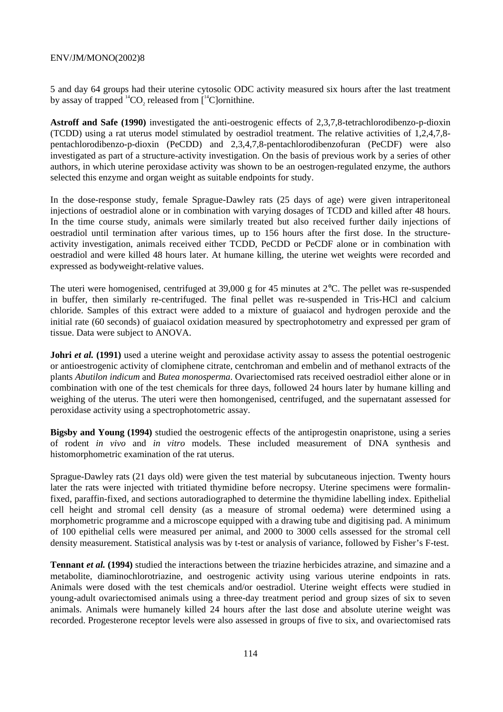5 and day 64 groups had their uterine cytosolic ODC activity measured six hours after the last treatment by assay of trapped  ${}^{14}CO_2$  released from  $[{}^{14}C]$ ornithine.

**Astroff and Safe (1990)** investigated the anti-oestrogenic effects of 2,3,7,8-tetrachlorodibenzo-p-dioxin (TCDD) using a rat uterus model stimulated by oestradiol treatment. The relative activities of 1,2,4,7,8 pentachlorodibenzo-p-dioxin (PeCDD) and 2,3,4,7,8-pentachlorodibenzofuran (PeCDF) were also investigated as part of a structure-activity investigation. On the basis of previous work by a series of other authors, in which uterine peroxidase activity was shown to be an oestrogen-regulated enzyme, the authors selected this enzyme and organ weight as suitable endpoints for study.

In the dose-response study, female Sprague-Dawley rats (25 days of age) were given intraperitoneal injections of oestradiol alone or in combination with varying dosages of TCDD and killed after 48 hours. In the time course study, animals were similarly treated but also received further daily injections of oestradiol until termination after various times, up to 156 hours after the first dose. In the structureactivity investigation, animals received either TCDD, PeCDD or PeCDF alone or in combination with oestradiol and were killed 48 hours later. At humane killing, the uterine wet weights were recorded and expressed as bodyweight-relative values.

The uteri were homogenised, centrifuged at 39,000 g for 45 minutes at  $2^{\circ}$ C. The pellet was re-suspended in buffer, then similarly re-centrifuged. The final pellet was re-suspended in Tris-HCl and calcium chloride. Samples of this extract were added to a mixture of guaiacol and hydrogen peroxide and the initial rate (60 seconds) of guaiacol oxidation measured by spectrophotometry and expressed per gram of tissue. Data were subject to ANOVA.

**Johri** et al. (1991) used a uterine weight and peroxidase activity assay to assess the potential oestrogenic or antioestrogenic activity of clomiphene citrate, centchroman and embelin and of methanol extracts of the plants *Abutilon indicum* and *Butea monosperma*. Ovariectomised rats received oestradiol either alone or in combination with one of the test chemicals for three days, followed 24 hours later by humane killing and weighing of the uterus. The uteri were then homongenised, centrifuged, and the supernatant assessed for peroxidase activity using a spectrophotometric assay.

**Bigsby and Young (1994)** studied the oestrogenic effects of the antiprogestin onapristone, using a series of rodent *in vivo* and *in vitro* models. These included measurement of DNA synthesis and histomorphometric examination of the rat uterus.

Sprague-Dawley rats (21 days old) were given the test material by subcutaneous injection. Twenty hours later the rats were injected with tritiated thymidine before necropsy. Uterine specimens were formalinfixed, paraffin-fixed, and sections autoradiographed to determine the thymidine labelling index. Epithelial cell height and stromal cell density (as a measure of stromal oedema) were determined using a morphometric programme and a microscope equipped with a drawing tube and digitising pad. A minimum of 100 epithelial cells were measured per animal, and 2000 to 3000 cells assessed for the stromal cell density measurement. Statistical analysis was by t-test or analysis of variance, followed by Fisher's F-test.

**Tennant** *et al.* **(1994)** studied the interactions between the triazine herbicides atrazine, and simazine and a metabolite, diaminochlorotriazine, and oestrogenic activity using various uterine endpoints in rats. Animals were dosed with the test chemicals and/or oestradiol. Uterine weight effects were studied in young-adult ovariectomised animals using a three-day treatment period and group sizes of six to seven animals. Animals were humanely killed 24 hours after the last dose and absolute uterine weight was recorded. Progesterone receptor levels were also assessed in groups of five to six, and ovariectomised rats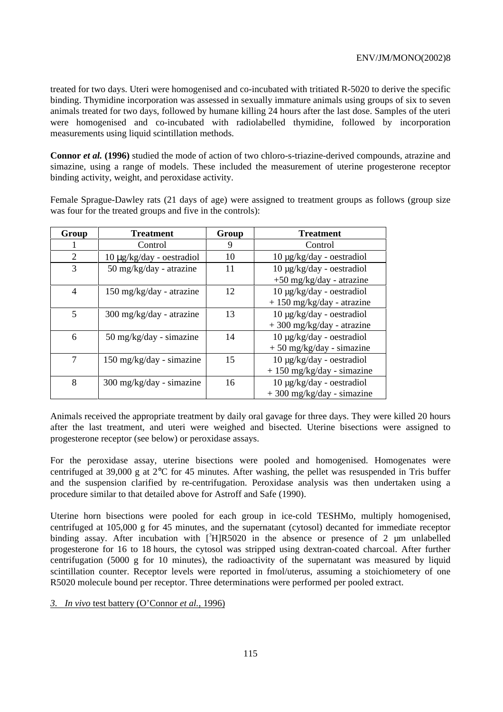treated for two days. Uteri were homogenised and co-incubated with tritiated R-5020 to derive the specific binding. Thymidine incorporation was assessed in sexually immature animals using groups of six to seven animals treated for two days, followed by humane killing 24 hours after the last dose. Samples of the uteri were homogenised and co-incubated with radiolabelled thymidine, followed by incorporation measurements using liquid scintillation methods.

**Connor** *et al.* **(1996)** studied the mode of action of two chloro-s-triazine-derived compounds, atrazine and simazine, using a range of models. These included the measurement of uterine progesterone receptor binding activity, weight, and peroxidase activity.

Female Sprague-Dawley rats (21 days of age) were assigned to treatment groups as follows (group size was four for the treated groups and five in the controls):

| Group          | <b>Treatment</b>               | Group | <b>Treatment</b>               |
|----------------|--------------------------------|-------|--------------------------------|
|                | Control                        | 9     | Control                        |
| $\overline{2}$ | $10 \mu g/kg/day$ - oestradiol | 10    | $10 \mu g/kg/day - costradio1$ |
| 3              | 50 mg/kg/day - atrazine        | 11    | 10 μg/kg/day - oestradiol      |
|                |                                |       | $+50$ mg/kg/day - atrazine     |
| $\overline{4}$ | 150 mg/kg/day - atrazine       | 12    | 10 μg/kg/day - oestradiol      |
|                |                                |       | $+150$ mg/kg/day - atrazine    |
| 5              | 300 mg/kg/day - atrazine       | 13    | 10 µg/kg/day - oestradiol      |
|                |                                |       | $+300$ mg/kg/day - atrazine    |
| 6              | 50 mg/kg/day - simazine        | 14    | 10 μg/kg/day - oestradiol      |
|                |                                |       | $+50$ mg/kg/day - simazine     |
| $\overline{7}$ | 150 mg/kg/day - simazine       | 15    | 10 µg/kg/day - oestradiol      |
|                |                                |       | $+150$ mg/kg/day - simazine    |
| 8              | 300 mg/kg/day - simazine       | 16    | 10 μg/kg/day - oestradiol      |
|                |                                |       | $+300$ mg/kg/day - simazine    |

Animals received the appropriate treatment by daily oral gavage for three days. They were killed 20 hours after the last treatment, and uteri were weighed and bisected. Uterine bisections were assigned to progesterone receptor (see below) or peroxidase assays.

For the peroxidase assay, uterine bisections were pooled and homogenised. Homogenates were centrifuged at 39,000 g at 2°C for 45 minutes. After washing, the pellet was resuspended in Tris buffer and the suspension clarified by re-centrifugation. Peroxidase analysis was then undertaken using a procedure similar to that detailed above for Astroff and Safe (1990).

Uterine horn bisections were pooled for each group in ice-cold TESHMo, multiply homogenised, centrifuged at 105,000 g for 45 minutes, and the supernatant (cytosol) decanted for immediate receptor binding assay. After incubation with  $[3H]R5020$  in the absence or presence of 2  $\mu$ m unlabelled progesterone for 16 to 18 hours, the cytosol was stripped using dextran-coated charcoal. After further centrifugation (5000 g for 10 minutes), the radioactivity of the supernatant was measured by liquid scintillation counter. Receptor levels were reported in fmol/uterus, assuming a stoichiometery of one R5020 molecule bound per receptor. Three determinations were performed per pooled extract.

## *3. In vivo* test battery (O'Connor *et al.*, 1996)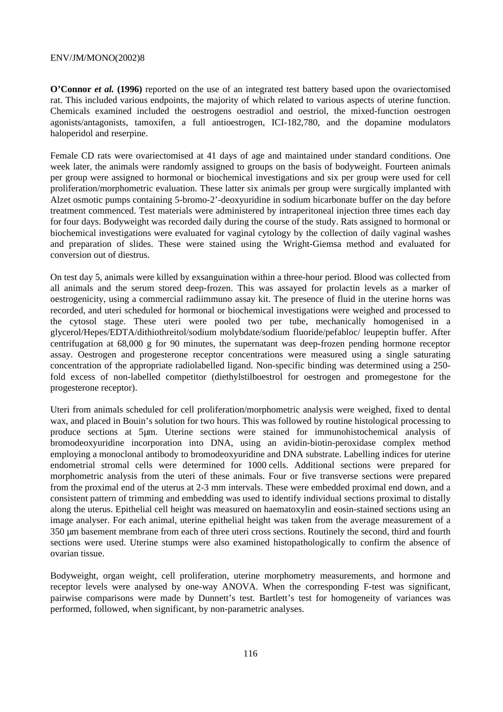**O'Connor** *et al.* (1996) reported on the use of an integrated test battery based upon the ovariectomised rat. This included various endpoints, the majority of which related to various aspects of uterine function. Chemicals examined included the oestrogens oestradiol and oestriol, the mixed-function oestrogen agonists/antagonists, tamoxifen, a full antioestrogen, ICI-182,780, and the dopamine modulators haloperidol and reserpine.

Female CD rats were ovariectomised at 41 days of age and maintained under standard conditions. One week later, the animals were randomly assigned to groups on the basis of bodyweight. Fourteen animals per group were assigned to hormonal or biochemical investigations and six per group were used for cell proliferation/morphometric evaluation. These latter six animals per group were surgically implanted with Alzet osmotic pumps containing 5-bromo-2'-deoxyuridine in sodium bicarbonate buffer on the day before treatment commenced. Test materials were administered by intraperitoneal injection three times each day for four days. Bodyweight was recorded daily during the course of the study. Rats assigned to hormonal or biochemical investigations were evaluated for vaginal cytology by the collection of daily vaginal washes and preparation of slides. These were stained using the Wright-Giemsa method and evaluated for conversion out of diestrus.

On test day 5, animals were killed by exsanguination within a three-hour period. Blood was collected from all animals and the serum stored deep-frozen. This was assayed for prolactin levels as a marker of oestrogenicity, using a commercial radiimmuno assay kit. The presence of fluid in the uterine horns was recorded, and uteri scheduled for hormonal or biochemical investigations were weighed and processed to the cytosol stage. These uteri were pooled two per tube, mechanically homogenised in a glycerol/Hepes/EDTA/dithiothreitol/sodium molybdate/sodium fluoride/pefabloc/ leupeptin buffer. After centrifugation at 68,000 g for 90 minutes, the supernatant was deep-frozen pending hormone receptor assay. Oestrogen and progesterone receptor concentrations were measured using a single saturating concentration of the appropriate radiolabelled ligand. Non-specific binding was determined using a 250 fold excess of non-labelled competitor (diethylstilboestrol for oestrogen and promegestone for the progesterone receptor).

Uteri from animals scheduled for cell proliferation/morphometric analysis were weighed, fixed to dental wax, and placed in Bouin's solution for two hours. This was followed by routine histological processing to produce sections at 5µm. Uterine sections were stained for immunohistochemical analysis of bromodeoxyuridine incorporation into DNA, using an avidin-biotin-peroxidase complex method employing a monoclonal antibody to bromodeoxyuridine and DNA substrate. Labelling indices for uterine endometrial stromal cells were determined for 1000 cells. Additional sections were prepared for morphometric analysis from the uteri of these animals. Four or five transverse sections were prepared from the proximal end of the uterus at 2-3 mm intervals. These were embedded proximal end down, and a consistent pattern of trimming and embedding was used to identify individual sections proximal to distally along the uterus. Epithelial cell height was measured on haematoxylin and eosin-stained sections using an image analyser. For each animal, uterine epithelial height was taken from the average measurement of a 350 µm basement membrane from each of three uteri cross sections. Routinely the second, third and fourth sections were used. Uterine stumps were also examined histopathologically to confirm the absence of ovarian tissue.

Bodyweight, organ weight, cell proliferation, uterine morphometry measurements, and hormone and receptor levels were analysed by one-way ANOVA. When the corresponding F-test was significant, pairwise comparisons were made by Dunnett's test. Bartlett's test for homogeneity of variances was performed, followed, when significant, by non-parametric analyses.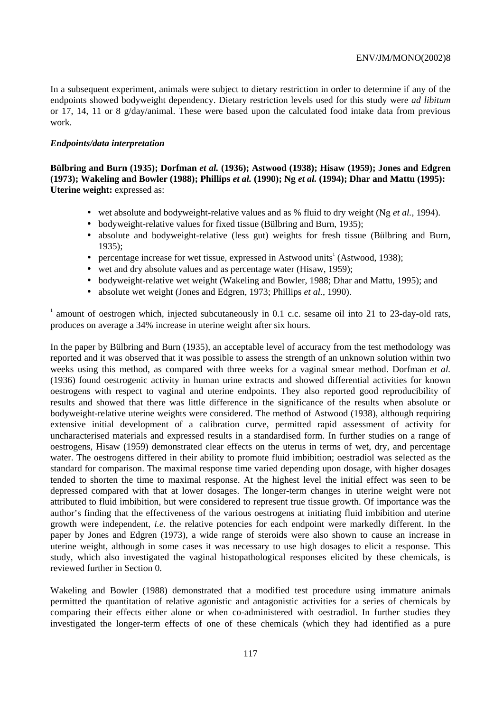In a subsequent experiment, animals were subject to dietary restriction in order to determine if any of the endpoints showed bodyweight dependency. Dietary restriction levels used for this study were *ad libitum* or 17, 14, 11 or 8 g/day/animal. These were based upon the calculated food intake data from previous work.

### *Endpoints/data interpretation*

**Bülbring and Burn (1935); Dorfman** *et al.* **(1936); Astwood (1938); Hisaw (1959); Jones and Edgren (1973); Wakeling and Bowler (1988); Phillips** *et al.* **(1990); Ng** *et al.* **(1994); Dhar and Mattu (1995): Uterine weight:** expressed as:

- wet absolute and bodyweight-relative values and as % fluid to dry weight (Ng *et al.*, 1994).
- bodyweight-relative values for fixed tissue (Bülbring and Burn, 1935);
- absolute and bodyweight-relative (less gut) weights for fresh tissue (Bülbring and Burn, 1935);
- percentage increase for wet tissue, expressed in Astwood units<sup>1</sup> (Astwood, 1938);
- wet and dry absolute values and as percentage water (Hisaw, 1959);
- bodyweight-relative wet weight (Wakeling and Bowler, 1988; Dhar and Mattu, 1995); and
- absolute wet weight (Jones and Edgren, 1973; Phillips *et al.*, 1990).

<sup>1</sup> amount of oestrogen which, injected subcutaneously in 0.1 c.c. sesame oil into 21 to 23-day-old rats, produces on average a 34% increase in uterine weight after six hours.

In the paper by Bülbring and Burn (1935), an acceptable level of accuracy from the test methodology was reported and it was observed that it was possible to assess the strength of an unknown solution within two weeks using this method, as compared with three weeks for a vaginal smear method. Dorfman *et al.* (1936) found oestrogenic activity in human urine extracts and showed differential activities for known oestrogens with respect to vaginal and uterine endpoints. They also reported good reproducibility of results and showed that there was little difference in the significance of the results when absolute or bodyweight-relative uterine weights were considered. The method of Astwood (1938), although requiring extensive initial development of a calibration curve, permitted rapid assessment of activity for uncharacterised materials and expressed results in a standardised form. In further studies on a range of oestrogens, Hisaw (1959) demonstrated clear effects on the uterus in terms of wet, dry, and percentage water. The oestrogens differed in their ability to promote fluid imbibition; oestradiol was selected as the standard for comparison. The maximal response time varied depending upon dosage, with higher dosages tended to shorten the time to maximal response. At the highest level the initial effect was seen to be depressed compared with that at lower dosages. The longer-term changes in uterine weight were not attributed to fluid imbibition, but were considered to represent true tissue growth. Of importance was the author's finding that the effectiveness of the various oestrogens at initiating fluid imbibition and uterine growth were independent, *i.e.* the relative potencies for each endpoint were markedly different. In the paper by Jones and Edgren (1973), a wide range of steroids were also shown to cause an increase in uterine weight, although in some cases it was necessary to use high dosages to elicit a response. This study, which also investigated the vaginal histopathological responses elicited by these chemicals, is reviewed further in Section 0.

Wakeling and Bowler (1988) demonstrated that a modified test procedure using immature animals permitted the quantitation of relative agonistic and antagonistic activities for a series of chemicals by comparing their effects either alone or when co-administered with oestradiol. In further studies they investigated the longer-term effects of one of these chemicals (which they had identified as a pure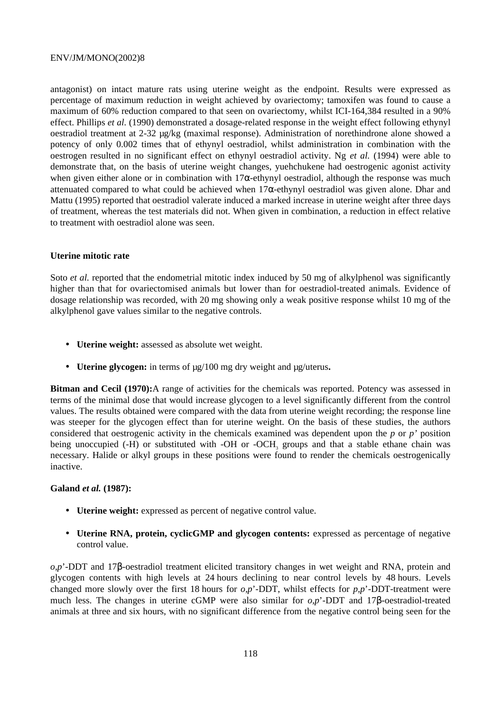antagonist) on intact mature rats using uterine weight as the endpoint. Results were expressed as percentage of maximum reduction in weight achieved by ovariectomy; tamoxifen was found to cause a maximum of 60% reduction compared to that seen on ovariectomy, whilst ICI-164,384 resulted in a 90% effect. Phillips *et al.* (1990) demonstrated a dosage-related response in the weight effect following ethynyl oestradiol treatment at 2-32 µg/kg (maximal response). Administration of norethindrone alone showed a potency of only 0.002 times that of ethynyl oestradiol, whilst administration in combination with the oestrogen resulted in no significant effect on ethynyl oestradiol activity. Ng *et al.* (1994) were able to demonstrate that, on the basis of uterine weight changes, yuehchukene had oestrogenic agonist activity when given either alone or in combination with 17α-ethynyl oestradiol, although the response was much attenuated compared to what could be achieved when  $17\alpha$ -ethynyl oestradiol was given alone. Dhar and Mattu (1995) reported that oestradiol valerate induced a marked increase in uterine weight after three days of treatment, whereas the test materials did not. When given in combination, a reduction in effect relative to treatment with oestradiol alone was seen.

### **Uterine mitotic rate**

Soto *et al.* reported that the endometrial mitotic index induced by 50 mg of alkylphenol was significantly higher than that for ovariectomised animals but lower than for oestradiol-treated animals. Evidence of dosage relationship was recorded, with 20 mg showing only a weak positive response whilst 10 mg of the alkylphenol gave values similar to the negative controls.

- **Uterine weight:** assessed as absolute wet weight.
- **Uterine glycogen:** in terms of µg/100 mg dry weight and µg/uterus**.**

**Bitman and Cecil (1970):**A range of activities for the chemicals was reported. Potency was assessed in terms of the minimal dose that would increase glycogen to a level significantly different from the control values. The results obtained were compared with the data from uterine weight recording; the response line was steeper for the glycogen effect than for uterine weight. On the basis of these studies, the authors considered that oestrogenic activity in the chemicals examined was dependent upon the *p* or *p'* position being unoccupied (-H) or substituted with -OH or -OCH<sub>3</sub> groups and that a stable ethane chain was necessary. Halide or alkyl groups in these positions were found to render the chemicals oestrogenically inactive.

## **Galand** *et al.* **(1987):**

- **Uterine weight:** expressed as percent of negative control value.
- **Uterine RNA, protein, cyclicGMP and glycogen contents:** expressed as percentage of negative control value.

*o,p*'-DDT and 17β-oestradiol treatment elicited transitory changes in wet weight and RNA, protein and glycogen contents with high levels at 24 hours declining to near control levels by 48 hours. Levels changed more slowly over the first 18 hours for *o,p*'-DDT, whilst effects for *p,p*'-DDT-treatment were much less. The changes in uterine cGMP were also similar for *o,p*'-DDT and 17β-oestradiol-treated animals at three and six hours, with no significant difference from the negative control being seen for the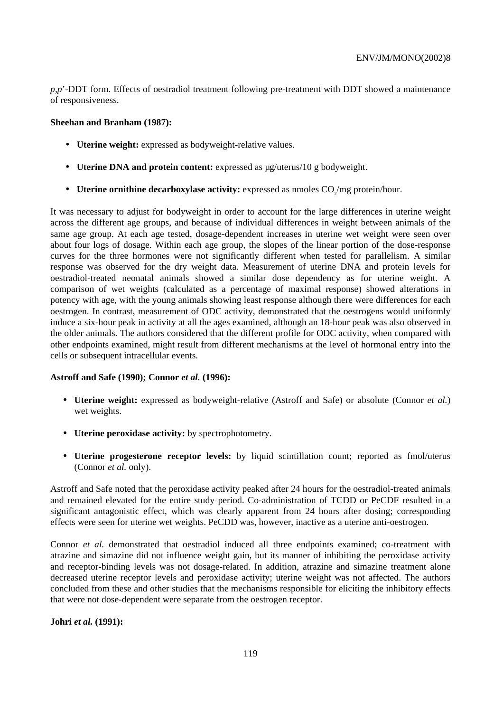*p,p*'-DDT form. Effects of oestradiol treatment following pre-treatment with DDT showed a maintenance of responsiveness.

### **Sheehan and Branham (1987):**

- **Uterine weight:** expressed as bodyweight-relative values.
- **Uterine DNA and protein content:** expressed as  $\mu$ g/uterus/10 g bodyweight.
- Uterine ornithine decarboxylase activity: expressed as nmoles  $CO_{\nu}/mg$  protein/hour.

It was necessary to adjust for bodyweight in order to account for the large differences in uterine weight across the different age groups, and because of individual differences in weight between animals of the same age group. At each age tested, dosage-dependent increases in uterine wet weight were seen over about four logs of dosage. Within each age group, the slopes of the linear portion of the dose-response curves for the three hormones were not significantly different when tested for parallelism. A similar response was observed for the dry weight data. Measurement of uterine DNA and protein levels for oestradiol-treated neonatal animals showed a similar dose dependency as for uterine weight. A comparison of wet weights (calculated as a percentage of maximal response) showed alterations in potency with age, with the young animals showing least response although there were differences for each oestrogen. In contrast, measurement of ODC activity, demonstrated that the oestrogens would uniformly induce a six-hour peak in activity at all the ages examined, although an 18-hour peak was also observed in the older animals. The authors considered that the different profile for ODC activity, when compared with other endpoints examined, might result from different mechanisms at the level of hormonal entry into the cells or subsequent intracellular events.

#### **Astroff and Safe (1990); Connor** *et al.* **(1996):**

- **Uterine weight:** expressed as bodyweight-relative (Astroff and Safe) or absolute (Connor *et al.*) wet weights.
- **Uterine peroxidase activity:** by spectrophotometry.
- **Uterine progesterone receptor levels:** by liquid scintillation count; reported as fmol/uterus (Connor *et al.* only).

Astroff and Safe noted that the peroxidase activity peaked after 24 hours for the oestradiol-treated animals and remained elevated for the entire study period. Co-administration of TCDD or PeCDF resulted in a significant antagonistic effect, which was clearly apparent from 24 hours after dosing; corresponding effects were seen for uterine wet weights. PeCDD was, however, inactive as a uterine anti-oestrogen.

Connor *et al.* demonstrated that oestradiol induced all three endpoints examined; co-treatment with atrazine and simazine did not influence weight gain, but its manner of inhibiting the peroxidase activity and receptor-binding levels was not dosage-related. In addition, atrazine and simazine treatment alone decreased uterine receptor levels and peroxidase activity; uterine weight was not affected. The authors concluded from these and other studies that the mechanisms responsible for eliciting the inhibitory effects that were not dose-dependent were separate from the oestrogen receptor.

## **Johri** *et al.* **(1991):**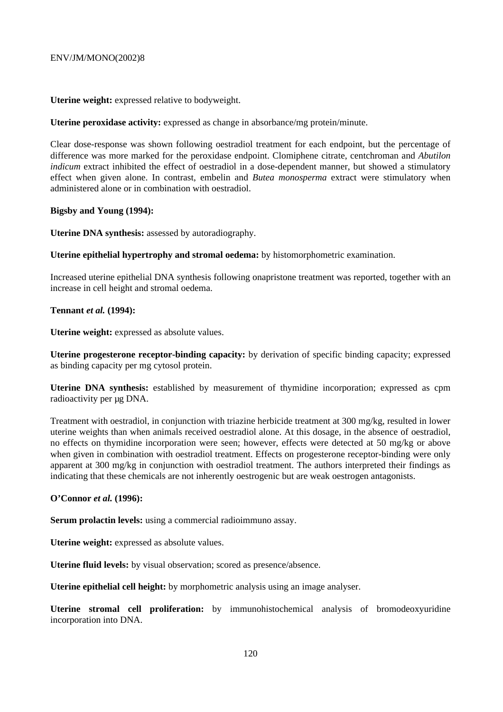**Uterine weight:** expressed relative to bodyweight.

**Uterine peroxidase activity:** expressed as change in absorbance/mg protein/minute.

Clear dose-response was shown following oestradiol treatment for each endpoint, but the percentage of difference was more marked for the peroxidase endpoint. Clomiphene citrate, centchroman and *Abutilon indicum* extract inhibited the effect of oestradiol in a dose-dependent manner, but showed a stimulatory effect when given alone. In contrast, embelin and *Butea monosperma* extract were stimulatory when administered alone or in combination with oestradiol.

### **Bigsby and Young (1994):**

**Uterine DNA synthesis:** assessed by autoradiography.

**Uterine epithelial hypertrophy and stromal oedema:** by histomorphometric examination.

Increased uterine epithelial DNA synthesis following onapristone treatment was reported, together with an increase in cell height and stromal oedema.

### **Tennant** *et al.* **(1994):**

**Uterine weight:** expressed as absolute values.

**Uterine progesterone receptor-binding capacity:** by derivation of specific binding capacity; expressed as binding capacity per mg cytosol protein.

**Uterine DNA synthesis:** established by measurement of thymidine incorporation; expressed as cpm radioactivity per ug DNA.

Treatment with oestradiol, in conjunction with triazine herbicide treatment at 300 mg/kg, resulted in lower uterine weights than when animals received oestradiol alone. At this dosage, in the absence of oestradiol, no effects on thymidine incorporation were seen; however, effects were detected at 50 mg/kg or above when given in combination with oestradiol treatment. Effects on progesterone receptor-binding were only apparent at 300 mg/kg in conjunction with oestradiol treatment. The authors interpreted their findings as indicating that these chemicals are not inherently oestrogenic but are weak oestrogen antagonists.

## **O'Connor** *et al.* **(1996):**

**Serum prolactin levels:** using a commercial radioimmuno assay.

**Uterine weight:** expressed as absolute values.

**Uterine fluid levels:** by visual observation; scored as presence/absence.

**Uterine epithelial cell height:** by morphometric analysis using an image analyser.

**Uterine stromal cell proliferation:** by immunohistochemical analysis of bromodeoxyuridine incorporation into DNA.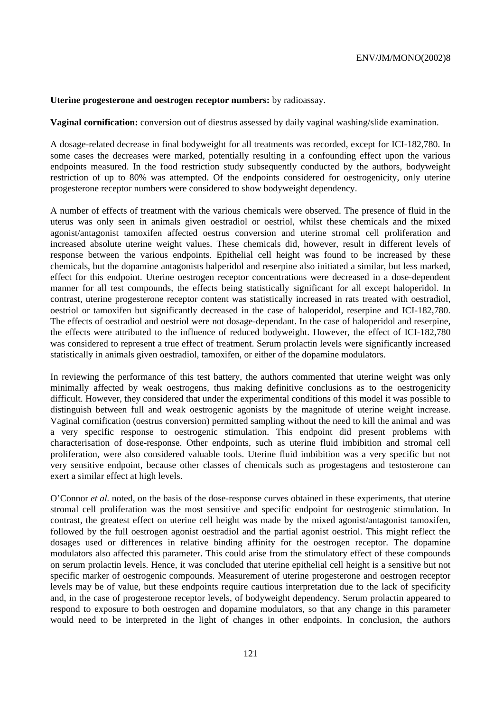#### **Uterine progesterone and oestrogen receptor numbers:** by radioassay.

**Vaginal cornification:** conversion out of diestrus assessed by daily vaginal washing/slide examination.

A dosage-related decrease in final bodyweight for all treatments was recorded, except for ICI-182,780. In some cases the decreases were marked, potentially resulting in a confounding effect upon the various endpoints measured. In the food restriction study subsequently conducted by the authors, bodyweight restriction of up to 80% was attempted. Of the endpoints considered for oestrogenicity, only uterine progesterone receptor numbers were considered to show bodyweight dependency.

A number of effects of treatment with the various chemicals were observed. The presence of fluid in the uterus was only seen in animals given oestradiol or oestriol, whilst these chemicals and the mixed agonist/antagonist tamoxifen affected oestrus conversion and uterine stromal cell proliferation and increased absolute uterine weight values. These chemicals did, however, result in different levels of response between the various endpoints. Epithelial cell height was found to be increased by these chemicals, but the dopamine antagonists halperidol and reserpine also initiated a similar, but less marked, effect for this endpoint. Uterine oestrogen receptor concentrations were decreased in a dose-dependent manner for all test compounds, the effects being statistically significant for all except haloperidol. In contrast, uterine progesterone receptor content was statistically increased in rats treated with oestradiol, oestriol or tamoxifen but significantly decreased in the case of haloperidol, reserpine and ICI-182,780. The effects of oestradiol and oestriol were not dosage-dependant. In the case of haloperidol and reserpine, the effects were attributed to the influence of reduced bodyweight. However, the effect of ICI-182,780 was considered to represent a true effect of treatment. Serum prolactin levels were significantly increased statistically in animals given oestradiol, tamoxifen, or either of the dopamine modulators.

In reviewing the performance of this test battery, the authors commented that uterine weight was only minimally affected by weak oestrogens, thus making definitive conclusions as to the oestrogenicity difficult. However, they considered that under the experimental conditions of this model it was possible to distinguish between full and weak oestrogenic agonists by the magnitude of uterine weight increase. Vaginal cornification (oestrus conversion) permitted sampling without the need to kill the animal and was a very specific response to oestrogenic stimulation. This endpoint did present problems with characterisation of dose-response. Other endpoints, such as uterine fluid imbibition and stromal cell proliferation, were also considered valuable tools. Uterine fluid imbibition was a very specific but not very sensitive endpoint, because other classes of chemicals such as progestagens and testosterone can exert a similar effect at high levels.

O'Connor *et al.* noted, on the basis of the dose-response curves obtained in these experiments, that uterine stromal cell proliferation was the most sensitive and specific endpoint for oestrogenic stimulation. In contrast, the greatest effect on uterine cell height was made by the mixed agonist/antagonist tamoxifen, followed by the full oestrogen agonist oestradiol and the partial agonist oestriol. This might reflect the dosages used or differences in relative binding affinity for the oestrogen receptor. The dopamine modulators also affected this parameter. This could arise from the stimulatory effect of these compounds on serum prolactin levels. Hence, it was concluded that uterine epithelial cell height is a sensitive but not specific marker of oestrogenic compounds. Measurement of uterine progesterone and oestrogen receptor levels may be of value, but these endpoints require cautious interpretation due to the lack of specificity and, in the case of progesterone receptor levels, of bodyweight dependency. Serum prolactin appeared to respond to exposure to both oestrogen and dopamine modulators, so that any change in this parameter would need to be interpreted in the light of changes in other endpoints. In conclusion, the authors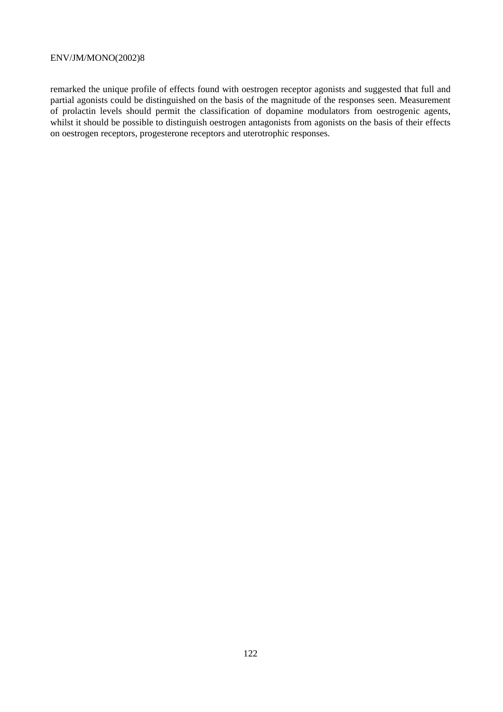remarked the unique profile of effects found with oestrogen receptor agonists and suggested that full and partial agonists could be distinguished on the basis of the magnitude of the responses seen. Measurement of prolactin levels should permit the classification of dopamine modulators from oestrogenic agents, whilst it should be possible to distinguish oestrogen antagonists from agonists on the basis of their effects on oestrogen receptors, progesterone receptors and uterotrophic responses.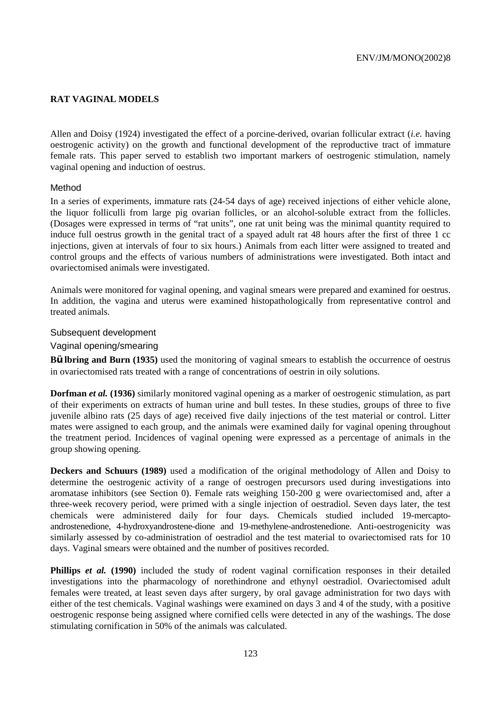## **RAT VAGINAL MODELS**

Allen and Doisy (1924) investigated the effect of a porcine-derived, ovarian follicular extract (*i.e.* having oestrogenic activity) on the growth and functional development of the reproductive tract of immature female rats. This paper served to establish two important markers of oestrogenic stimulation, namely vaginal opening and induction of oestrus.

#### Method

In a series of experiments, immature rats (24-54 days of age) received injections of either vehicle alone, the liquor folliculli from large pig ovarian follicles, or an alcohol-soluble extract from the follicles. (Dosages were expressed in terms of "rat units", one rat unit being was the minimal quantity required to induce full oestrus growth in the genital tract of a spayed adult rat 48 hours after the first of three 1 cc injections, given at intervals of four to six hours.) Animals from each litter were assigned to treated and control groups and the effects of various numbers of administrations were investigated. Both intact and ovariectomised animals were investigated.

Animals were monitored for vaginal opening, and vaginal smears were prepared and examined for oestrus. In addition, the vagina and uterus were examined histopathologically from representative control and treated animals.

Subsequent development

Vaginal opening/smearing

**Bülbring and Burn (1935)** used the monitoring of vaginal smears to establish the occurrence of oestrus in ovariectomised rats treated with a range of concentrations of oestrin in oily solutions.

**Dorfman** *et al.* **(1936)** similarly monitored vaginal opening as a marker of oestrogenic stimulation, as part of their experiments on extracts of human urine and bull testes. In these studies, groups of three to five juvenile albino rats (25 days of age) received five daily injections of the test material or control. Litter mates were assigned to each group, and the animals were examined daily for vaginal opening throughout the treatment period. Incidences of vaginal opening were expressed as a percentage of animals in the group showing opening.

**Deckers and Schuurs (1989)** used a modification of the original methodology of Allen and Doisy to determine the oestrogenic activity of a range of oestrogen precursors used during investigations into aromatase inhibitors (see Section 0). Female rats weighing 150-200 g were ovariectomised and, after a three-week recovery period, were primed with a single injection of oestradiol. Seven days later, the test chemicals were administered daily for four days. Chemicals studied included 19-mercaptoandrostenedione, 4-hydroxyandrostene-dione and 19-methylene-androstenedione. Anti-oestrogenicity was similarly assessed by co-administration of oestradiol and the test material to ovariectomised rats for 10 days. Vaginal smears were obtained and the number of positives recorded.

**Phillips** *et al.* **(1990)** included the study of rodent vaginal cornification responses in their detailed investigations into the pharmacology of norethindrone and ethynyl oestradiol. Ovariectomised adult females were treated, at least seven days after surgery, by oral gavage administration for two days with either of the test chemicals. Vaginal washings were examined on days 3 and 4 of the study, with a positive oestrogenic response being assigned where cornified cells were detected in any of the washings. The dose stimulating cornification in 50% of the animals was calculated.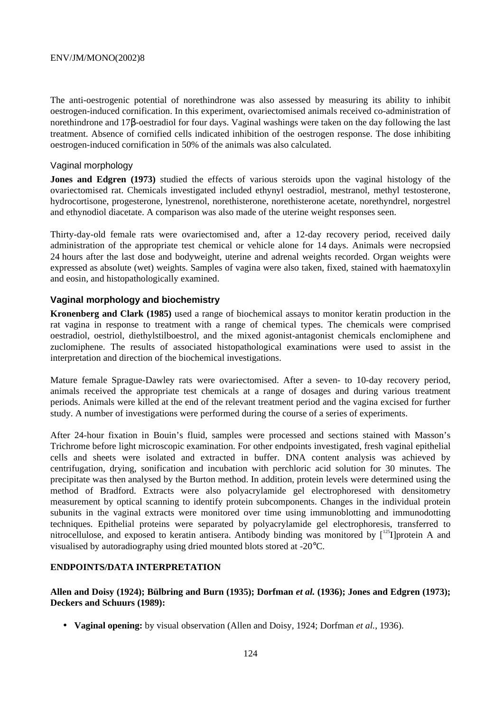The anti-oestrogenic potential of norethindrone was also assessed by measuring its ability to inhibit oestrogen-induced cornification. In this experiment, ovariectomised animals received co-administration of norethindrone and 17β-oestradiol for four days. Vaginal washings were taken on the day following the last treatment. Absence of cornified cells indicated inhibition of the oestrogen response. The dose inhibiting oestrogen-induced cornification in 50% of the animals was also calculated.

## Vaginal morphology

**Jones and Edgren (1973)** studied the effects of various steroids upon the vaginal histology of the ovariectomised rat. Chemicals investigated included ethynyl oestradiol, mestranol, methyl testosterone, hydrocortisone, progesterone, lynestrenol, norethisterone, norethisterone acetate, norethyndrel, norgestrel and ethynodiol diacetate. A comparison was also made of the uterine weight responses seen.

Thirty-day-old female rats were ovariectomised and, after a 12-day recovery period, received daily administration of the appropriate test chemical or vehicle alone for 14 days. Animals were necropsied 24 hours after the last dose and bodyweight, uterine and adrenal weights recorded. Organ weights were expressed as absolute (wet) weights. Samples of vagina were also taken, fixed, stained with haematoxylin and eosin, and histopathologically examined.

## **Vaginal morphology and biochemistry**

**Kronenberg and Clark (1985)** used a range of biochemical assays to monitor keratin production in the rat vagina in response to treatment with a range of chemical types. The chemicals were comprised oestradiol, oestriol, diethylstilboestrol, and the mixed agonist-antagonist chemicals enclomiphene and zuclomiphene. The results of associated histopathological examinations were used to assist in the interpretation and direction of the biochemical investigations.

Mature female Sprague-Dawley rats were ovariectomised. After a seven- to 10-day recovery period, animals received the appropriate test chemicals at a range of dosages and during various treatment periods. Animals were killed at the end of the relevant treatment period and the vagina excised for further study. A number of investigations were performed during the course of a series of experiments.

After 24-hour fixation in Bouin's fluid, samples were processed and sections stained with Masson's Trichrome before light microscopic examination. For other endpoints investigated, fresh vaginal epithelial cells and sheets were isolated and extracted in buffer. DNA content analysis was achieved by centrifugation, drying, sonification and incubation with perchloric acid solution for 30 minutes. The precipitate was then analysed by the Burton method. In addition, protein levels were determined using the method of Bradford. Extracts were also polyacrylamide gel electrophoresed with densitometry measurement by optical scanning to identify protein subcomponents. Changes in the individual protein subunits in the vaginal extracts were monitored over time using immunoblotting and immunodotting techniques. Epithelial proteins were separated by polyacrylamide gel electrophoresis, transferred to nitrocellulose, and exposed to keratin antisera. Antibody binding was monitored by  $\int^{125}$ I]protein A and visualised by autoradiography using dried mounted blots stored at -20°C.

#### **ENDPOINTS/DATA INTERPRETATION**

# **Allen and Doisy (1924); Bülbring and Burn (1935); Dorfman** *et al.* **(1936); Jones and Edgren (1973); Deckers and Schuurs (1989):**

• **Vaginal opening:** by visual observation (Allen and Doisy, 1924; Dorfman *et al.*, 1936).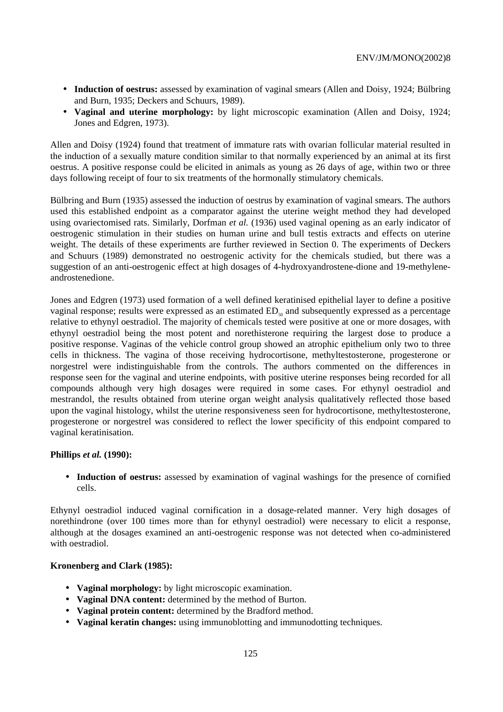- **Induction of oestrus:** assessed by examination of vaginal smears (Allen and Doisy, 1924; Bülbring and Burn, 1935; Deckers and Schuurs, 1989).
- **Vaginal and uterine morphology:** by light microscopic examination (Allen and Doisy, 1924; Jones and Edgren, 1973).

Allen and Doisy (1924) found that treatment of immature rats with ovarian follicular material resulted in the induction of a sexually mature condition similar to that normally experienced by an animal at its first oestrus. A positive response could be elicited in animals as young as 26 days of age, within two or three days following receipt of four to six treatments of the hormonally stimulatory chemicals.

Bülbring and Burn (1935) assessed the induction of oestrus by examination of vaginal smears. The authors used this established endpoint as a comparator against the uterine weight method they had developed using ovariectomised rats. Similarly, Dorfman *et al.* (1936) used vaginal opening as an early indicator of oestrogenic stimulation in their studies on human urine and bull testis extracts and effects on uterine weight. The details of these experiments are further reviewed in Section 0. The experiments of Deckers and Schuurs (1989) demonstrated no oestrogenic activity for the chemicals studied, but there was a suggestion of an anti-oestrogenic effect at high dosages of 4-hydroxyandrostene-dione and 19-methyleneandrostenedione.

Jones and Edgren (1973) used formation of a well defined keratinised epithelial layer to define a positive vaginal response; results were expressed as an estimated  $ED<sub>60</sub>$  and subsequently expressed as a percentage relative to ethynyl oestradiol. The majority of chemicals tested were positive at one or more dosages, with ethynyl oestradiol being the most potent and norethisterone requiring the largest dose to produce a positive response. Vaginas of the vehicle control group showed an atrophic epithelium only two to three cells in thickness. The vagina of those receiving hydrocortisone, methyltestosterone, progesterone or norgestrel were indistinguishable from the controls. The authors commented on the differences in response seen for the vaginal and uterine endpoints, with positive uterine responses being recorded for all compounds although very high dosages were required in some cases. For ethynyl oestradiol and mestrandol, the results obtained from uterine organ weight analysis qualitatively reflected those based upon the vaginal histology, whilst the uterine responsiveness seen for hydrocortisone, methyltestosterone, progesterone or norgestrel was considered to reflect the lower specificity of this endpoint compared to vaginal keratinisation.

## **Phillips** *et al.* **(1990):**

• **Induction of oestrus:** assessed by examination of vaginal washings for the presence of cornified cells.

Ethynyl oestradiol induced vaginal cornification in a dosage-related manner. Very high dosages of norethindrone (over 100 times more than for ethynyl oestradiol) were necessary to elicit a response, although at the dosages examined an anti-oestrogenic response was not detected when co-administered with oestradiol.

#### **Kronenberg and Clark (1985):**

- **Vaginal morphology:** by light microscopic examination.
- **Vaginal DNA content:** determined by the method of Burton.
- **Vaginal protein content:** determined by the Bradford method.
- **Vaginal keratin changes:** using immunoblotting and immunodotting techniques.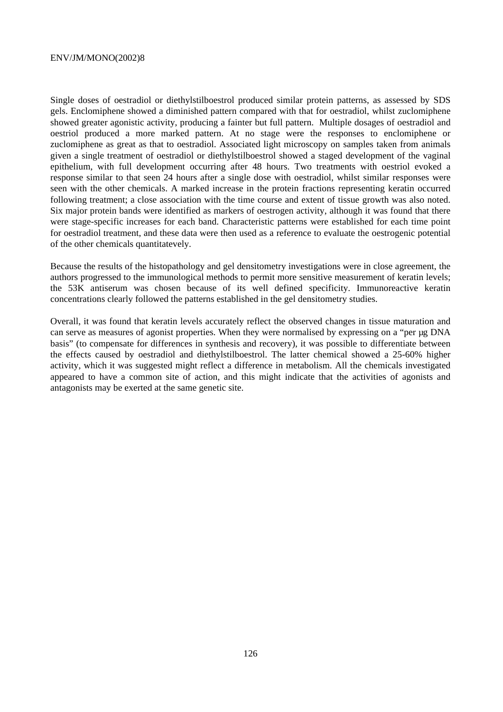Single doses of oestradiol or diethylstilboestrol produced similar protein patterns, as assessed by SDS gels. Enclomiphene showed a diminished pattern compared with that for oestradiol, whilst zuclomiphene showed greater agonistic activity, producing a fainter but full pattern. Multiple dosages of oestradiol and oestriol produced a more marked pattern. At no stage were the responses to enclomiphene or zuclomiphene as great as that to oestradiol. Associated light microscopy on samples taken from animals given a single treatment of oestradiol or diethylstilboestrol showed a staged development of the vaginal epithelium, with full development occurring after 48 hours. Two treatments with oestriol evoked a response similar to that seen 24 hours after a single dose with oestradiol, whilst similar responses were seen with the other chemicals. A marked increase in the protein fractions representing keratin occurred following treatment; a close association with the time course and extent of tissue growth was also noted. Six major protein bands were identified as markers of oestrogen activity, although it was found that there were stage-specific increases for each band. Characteristic patterns were established for each time point for oestradiol treatment, and these data were then used as a reference to evaluate the oestrogenic potential of the other chemicals quantitatevely.

Because the results of the histopathology and gel densitometry investigations were in close agreement, the authors progressed to the immunological methods to permit more sensitive measurement of keratin levels; the 53K antiserum was chosen because of its well defined specificity. Immunoreactive keratin concentrations clearly followed the patterns established in the gel densitometry studies.

Overall, it was found that keratin levels accurately reflect the observed changes in tissue maturation and can serve as measures of agonist properties. When they were normalised by expressing on a "per µg DNA" basis" (to compensate for differences in synthesis and recovery), it was possible to differentiate between the effects caused by oestradiol and diethylstilboestrol. The latter chemical showed a 25-60% higher activity, which it was suggested might reflect a difference in metabolism. All the chemicals investigated appeared to have a common site of action, and this might indicate that the activities of agonists and antagonists may be exerted at the same genetic site.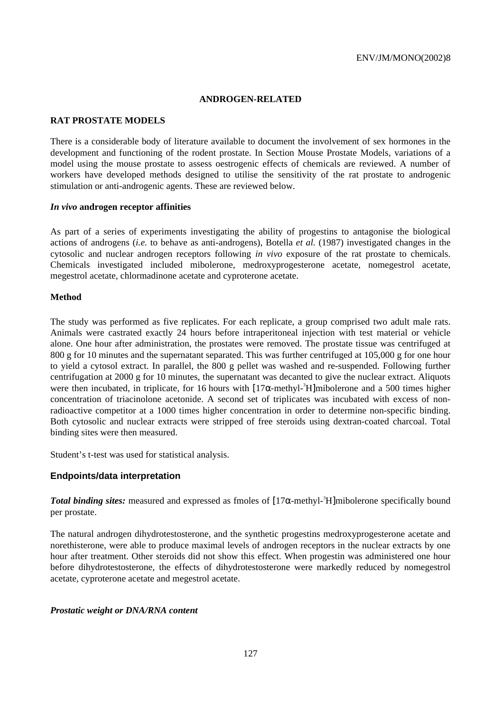## **ANDROGEN-RELATED**

#### **RAT PROSTATE MODELS**

There is a considerable body of literature available to document the involvement of sex hormones in the development and functioning of the rodent prostate. In Section Mouse Prostate Models, variations of a model using the mouse prostate to assess oestrogenic effects of chemicals are reviewed. A number of workers have developed methods designed to utilise the sensitivity of the rat prostate to androgenic stimulation or anti-androgenic agents. These are reviewed below.

#### *In vivo* **androgen receptor affinities**

As part of a series of experiments investigating the ability of progestins to antagonise the biological actions of androgens (*i.e.* to behave as anti-androgens), Botella *et al.* (1987) investigated changes in the cytosolic and nuclear androgen receptors following *in vivo* exposure of the rat prostate to chemicals. Chemicals investigated included mibolerone, medroxyprogesterone acetate, nomegestrol acetate, megestrol acetate, chlormadinone acetate and cyproterone acetate.

#### **Method**

The study was performed as five replicates. For each replicate, a group comprised two adult male rats. Animals were castrated exactly 24 hours before intraperitoneal injection with test material or vehicle alone. One hour after administration, the prostates were removed. The prostate tissue was centrifuged at 800 g for 10 minutes and the supernatant separated. This was further centrifuged at 105,000 g for one hour to yield a cytosol extract. In parallel, the 800 g pellet was washed and re-suspended. Following further centrifugation at 2000 g for 10 minutes, the supernatant was decanted to give the nuclear extract. Aliquots were then incubated, in triplicate, for 16 hours with  $[17\alpha$ -methyl- ${}^{3}H$ ]mibolerone and a 500 times higher concentration of triacinolone acetonide. A second set of triplicates was incubated with excess of nonradioactive competitor at a 1000 times higher concentration in order to determine non-specific binding. Both cytosolic and nuclear extracts were stripped of free steroids using dextran-coated charcoal. Total binding sites were then measured.

Student's t-test was used for statistical analysis.

## **Endpoints/data interpretation**

Total binding sites: measured and expressed as fmoles of [17α-methyl-3H]mibolerone specifically bound per prostate.

The natural androgen dihydrotestosterone, and the synthetic progestins medroxyprogesterone acetate and norethisterone, were able to produce maximal levels of androgen receptors in the nuclear extracts by one hour after treatment. Other steroids did not show this effect. When progestin was administered one hour before dihydrotestosterone, the effects of dihydrotestosterone were markedly reduced by nomegestrol acetate, cyproterone acetate and megestrol acetate.

### *Prostatic weight or DNA/RNA content*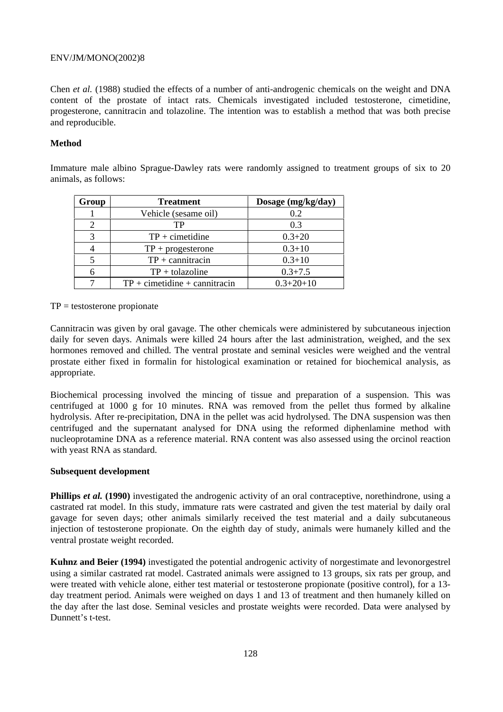Chen *et al.* (1988) studied the effects of a number of anti-androgenic chemicals on the weight and DNA content of the prostate of intact rats. Chemicals investigated included testosterone, cimetidine, progesterone, cannitracin and tolazoline. The intention was to establish a method that was both precise and reproducible.

## **Method**

Immature male albino Sprague-Dawley rats were randomly assigned to treatment groups of six to 20 animals, as follows:

| Group | <b>Treatment</b>                | Dosage (mg/kg/day) |
|-------|---------------------------------|--------------------|
|       | Vehicle (sesame oil)            | 0.2                |
|       | TP                              | 0.3                |
| 3     | $TP +$ cimetidine               | $0.3 + 20$         |
|       | $TP +$ progesterone             | $0.3 + 10$         |
|       | $TP + cannitracin$              | $0.3 + 10$         |
|       | $TP + tolazoline$               | $0.3 + 7.5$        |
|       | $TP +$ cimetidine + cannitracin | $0.3 + 20 + 10$    |

 $TP = testosterone$  propionate

Cannitracin was given by oral gavage. The other chemicals were administered by subcutaneous injection daily for seven days. Animals were killed 24 hours after the last administration, weighed, and the sex hormones removed and chilled. The ventral prostate and seminal vesicles were weighed and the ventral prostate either fixed in formalin for histological examination or retained for biochemical analysis, as appropriate.

Biochemical processing involved the mincing of tissue and preparation of a suspension. This was centrifuged at 1000 g for 10 minutes. RNA was removed from the pellet thus formed by alkaline hydrolysis. After re-precipitation, DNA in the pellet was acid hydrolysed. The DNA suspension was then centrifuged and the supernatant analysed for DNA using the reformed diphenlamine method with nucleoprotamine DNA as a reference material. RNA content was also assessed using the orcinol reaction with yeast RNA as standard.

#### **Subsequent development**

**Phillips** *et al.* (1990) investigated the androgenic activity of an oral contraceptive, norethindrone, using a castrated rat model. In this study, immature rats were castrated and given the test material by daily oral gavage for seven days; other animals similarly received the test material and a daily subcutaneous injection of testosterone propionate. On the eighth day of study, animals were humanely killed and the ventral prostate weight recorded.

**Kuhnz and Beier (1994)** investigated the potential androgenic activity of norgestimate and levonorgestrel using a similar castrated rat model. Castrated animals were assigned to 13 groups, six rats per group, and were treated with vehicle alone, either test material or testosterone propionate (positive control), for a 13 day treatment period. Animals were weighed on days 1 and 13 of treatment and then humanely killed on the day after the last dose. Seminal vesicles and prostate weights were recorded. Data were analysed by Dunnett's t-test.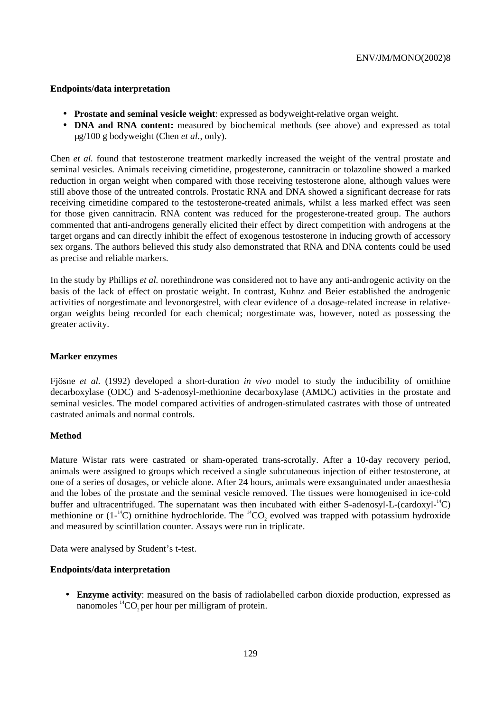### **Endpoints/data interpretation**

- **Prostate and seminal vesicle weight**: expressed as bodyweight-relative organ weight.
- **DNA and RNA content:** measured by biochemical methods (see above) and expressed as total µg/100 g bodyweight (Chen *et al.*, only).

Chen *et al.* found that testosterone treatment markedly increased the weight of the ventral prostate and seminal vesicles. Animals receiving cimetidine, progesterone, cannitracin or tolazoline showed a marked reduction in organ weight when compared with those receiving testosterone alone, although values were still above those of the untreated controls. Prostatic RNA and DNA showed a significant decrease for rats receiving cimetidine compared to the testosterone-treated animals, whilst a less marked effect was seen for those given cannitracin. RNA content was reduced for the progesterone-treated group. The authors commented that anti-androgens generally elicited their effect by direct competition with androgens at the target organs and can directly inhibit the effect of exogenous testosterone in inducing growth of accessory sex organs. The authors believed this study also demonstrated that RNA and DNA contents could be used as precise and reliable markers.

In the study by Phillips *et al.* norethindrone was considered not to have any anti-androgenic activity on the basis of the lack of effect on prostatic weight. In contrast, Kuhnz and Beier established the androgenic activities of norgestimate and levonorgestrel, with clear evidence of a dosage-related increase in relativeorgan weights being recorded for each chemical; norgestimate was, however, noted as possessing the greater activity.

## **Marker enzymes**

Fjösne *et al.* (1992) developed a short-duration *in vivo* model to study the inducibility of ornithine decarboxylase (ODC) and S-adenosyl-methionine decarboxylase (AMDC) activities in the prostate and seminal vesicles. The model compared activities of androgen-stimulated castrates with those of untreated castrated animals and normal controls.

## **Method**

Mature Wistar rats were castrated or sham-operated trans-scrotally. After a 10-day recovery period, animals were assigned to groups which received a single subcutaneous injection of either testosterone, at one of a series of dosages, or vehicle alone. After 24 hours, animals were exsanguinated under anaesthesia and the lobes of the prostate and the seminal vesicle removed. The tissues were homogenised in ice-cold buffer and ultracentrifuged. The supernatant was then incubated with either S-adenosyl-L- $(cardoxyl<sup>-14</sup>C)$ methionine or  $(1^{-14}C)$  ornithine hydrochloride. The  ${}^{14}CO_2$  evolved was trapped with potassium hydroxide and measured by scintillation counter. Assays were run in triplicate.

Data were analysed by Student's t-test.

## **Endpoints/data interpretation**

• **Enzyme activity**: measured on the basis of radiolabelled carbon dioxide production, expressed as nanomoles  ${}^{14}CO$ , per hour per milligram of protein.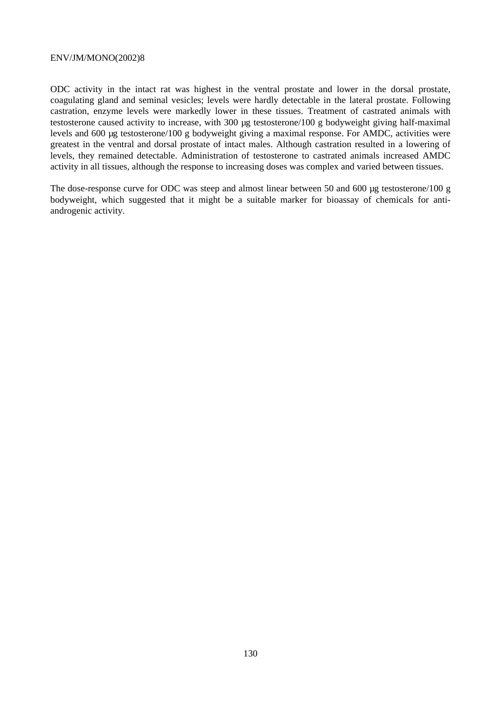ODC activity in the intact rat was highest in the ventral prostate and lower in the dorsal prostate, coagulating gland and seminal vesicles; levels were hardly detectable in the lateral prostate. Following castration, enzyme levels were markedly lower in these tissues. Treatment of castrated animals with testosterone caused activity to increase, with 300 µg testosterone/100 g bodyweight giving half-maximal levels and 600 µg testosterone/100 g bodyweight giving a maximal response. For AMDC, activities were greatest in the ventral and dorsal prostate of intact males. Although castration resulted in a lowering of levels, they remained detectable. Administration of testosterone to castrated animals increased AMDC activity in all tissues, although the response to increasing doses was complex and varied between tissues.

The dose-response curve for ODC was steep and almost linear between 50 and 600 µg testosterone/100 g bodyweight, which suggested that it might be a suitable marker for bioassay of chemicals for antiandrogenic activity.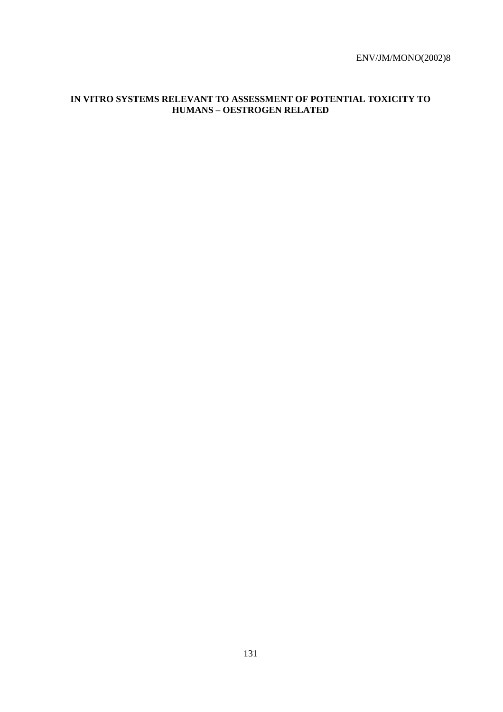# **IN VITRO SYSTEMS RELEVANT TO ASSESSMENT OF POTENTIAL TOXICITY TO HUMANS – OESTROGEN RELATED**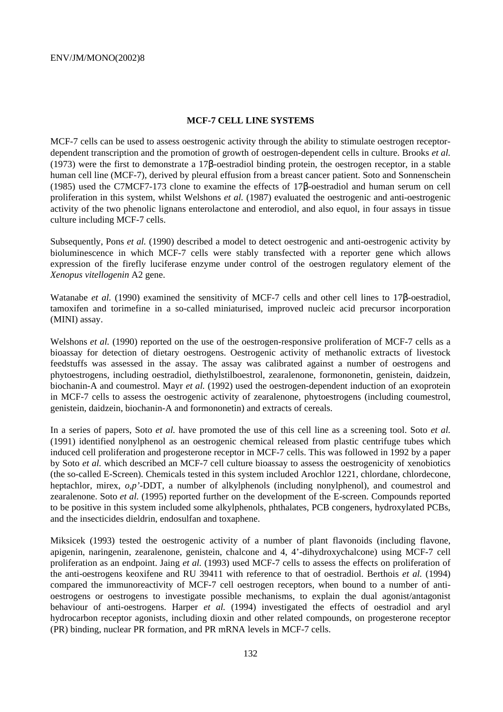### **MCF-7 CELL LINE SYSTEMS**

MCF-7 cells can be used to assess oestrogenic activity through the ability to stimulate oestrogen receptordependent transcription and the promotion of growth of oestrogen-dependent cells in culture. Brooks *et al.* (1973) were the first to demonstrate a 17β-oestradiol binding protein, the oestrogen receptor, in a stable human cell line (MCF-7), derived by pleural effusion from a breast cancer patient. Soto and Sonnenschein (1985) used the C7MCF7-173 clone to examine the effects of 17β-oestradiol and human serum on cell proliferation in this system, whilst Welshons *et al.* (1987) evaluated the oestrogenic and anti-oestrogenic activity of the two phenolic lignans enterolactone and enterodiol, and also equol, in four assays in tissue culture including MCF-7 cells.

Subsequently, Pons *et al.* (1990) described a model to detect oestrogenic and anti-oestrogenic activity by bioluminescence in which MCF-7 cells were stably transfected with a reporter gene which allows expression of the firefly luciferase enzyme under control of the oestrogen regulatory element of the *Xenopus vitellogenin* A2 gene.

Watanabe *et al.* (1990) examined the sensitivity of MCF-7 cells and other cell lines to 17β-oestradiol, tamoxifen and torimefine in a so-called miniaturised, improved nucleic acid precursor incorporation (MINI) assay.

Welshons *et al.* (1990) reported on the use of the oestrogen-responsive proliferation of MCF-7 cells as a bioassay for detection of dietary oestrogens. Oestrogenic activity of methanolic extracts of livestock feedstuffs was assessed in the assay. The assay was calibrated against a number of oestrogens and phytoestrogens, including oestradiol, diethylstilboestrol, zearalenone, formononetin, genistein, daidzein, biochanin-A and coumestrol. Mayr *et al.* (1992) used the oestrogen-dependent induction of an exoprotein in MCF-7 cells to assess the oestrogenic activity of zearalenone, phytoestrogens (including coumestrol, genistein, daidzein, biochanin-A and formononetin) and extracts of cereals.

In a series of papers, Soto *et al.* have promoted the use of this cell line as a screening tool. Soto *et al.* (1991) identified nonylphenol as an oestrogenic chemical released from plastic centrifuge tubes which induced cell proliferation and progesterone receptor in MCF-7 cells. This was followed in 1992 by a paper by Soto *et al.* which described an MCF-7 cell culture bioassay to assess the oestrogenicity of xenobiotics (the so-called E-Screen). Chemicals tested in this system included Arochlor 1221, chlordane, chlordecone, heptachlor, mirex, *o,p'*-DDT, a number of alkylphenols (including nonylphenol), and coumestrol and zearalenone. Soto *et al.* (1995) reported further on the development of the E-screen. Compounds reported to be positive in this system included some alkylphenols, phthalates, PCB congeners, hydroxylated PCBs, and the insecticides dieldrin, endosulfan and toxaphene.

Miksicek (1993) tested the oestrogenic activity of a number of plant flavonoids (including flavone, apigenin, naringenin, zearalenone, genistein, chalcone and 4, 4'-dihydroxychalcone) using MCF-7 cell proliferation as an endpoint. Jaing *et al.* (1993) used MCF-7 cells to assess the effects on proliferation of the anti-oestrogens keoxifene and RU 39411 with reference to that of oestradiol. Berthois *et al.* (1994) compared the immunoreactivity of MCF-7 cell oestrogen receptors, when bound to a number of antioestrogens or oestrogens to investigate possible mechanisms, to explain the dual agonist/antagonist behaviour of anti-oestrogens. Harper *et al.* (1994) investigated the effects of oestradiol and aryl hydrocarbon receptor agonists, including dioxin and other related compounds, on progesterone receptor (PR) binding, nuclear PR formation, and PR mRNA levels in MCF-7 cells.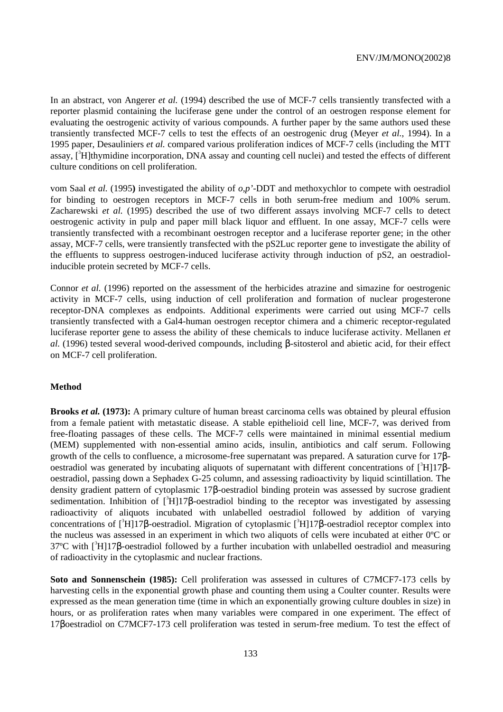In an abstract, von Angerer et al. (1994) described the use of MCF-7 cells transiently transfected with a reporter plasmid containing the luciferase gene under the control of an oestrogen response element for evaluating the oestrogenic activity of various compounds. A further paper by the same authors used these transiently transfected MCF-7 cells to test the effects of an oestrogenic drug (Meyer *et al.*, 1994). In a 1995 paper, Desauliniers *et al.* compared various proliferation indices of MCF-7 cells (including the MTT assay, [<sup>3</sup>H]thymidine incorporation, DNA assay and counting cell nuclei) and tested the effects of different culture conditions on cell proliferation.

vom Saal *et al.* (1995**)** investigated the ability of *o,p'*-DDT and methoxychlor to compete with oestradiol for binding to oestrogen receptors in MCF-7 cells in both serum-free medium and 100% serum. Zacharewski *et al.* (1995) described the use of two different assays involving MCF-7 cells to detect oestrogenic activity in pulp and paper mill black liquor and effluent. In one assay, MCF-7 cells were transiently transfected with a recombinant oestrogen receptor and a luciferase reporter gene; in the other assay, MCF-7 cells, were transiently transfected with the pS2Luc reporter gene to investigate the ability of the effluents to suppress oestrogen-induced luciferase activity through induction of pS2, an oestradiolinducible protein secreted by MCF-7 cells.

Connor *et al.* (1996) reported on the assessment of the herbicides atrazine and simazine for oestrogenic activity in MCF-7 cells, using induction of cell proliferation and formation of nuclear progesterone receptor-DNA complexes as endpoints. Additional experiments were carried out using MCF-7 cells transiently transfected with a Gal4-human oestrogen receptor chimera and a chimeric receptor-regulated luciferase reporter gene to assess the ability of these chemicals to induce luciferase activity. Mellanen *et al.* (1996) tested several wood-derived compounds, including β-sitosterol and abietic acid, for their effect on MCF-7 cell proliferation.

#### **Method**

**Brooks** *et al.* **(1973):** A primary culture of human breast carcinoma cells was obtained by pleural effusion from a female patient with metastatic disease. A stable epithelioid cell line, MCF-7, was derived from free-floating passages of these cells. The MCF-7 cells were maintained in minimal essential medium (MEM) supplemented with non-essential amino acids, insulin, antibiotics and calf serum. Following growth of the cells to confluence, a microsome-free supernatant was prepared. A saturation curve for 17βoestradiol was generated by incubating aliquots of supernatant with different concentrations of [3H]17βoestradiol, passing down a Sephadex G-25 column, and assessing radioactivity by liquid scintillation. The density gradient pattern of cytoplasmic 17β-oestradiol binding protein was assessed by sucrose gradient sedimentation. Inhibition of [<sup>3</sup>H]17β-oestradiol binding to the receptor was investigated by assessing radioactivity of aliquots incubated with unlabelled oestradiol followed by addition of varying concentrations of [<sup>3</sup>H]17β-oestradiol. Migration of cytoplasmic [<sup>3</sup>H]17β-oestradiol receptor complex into the nucleus was assessed in an experiment in which two aliquots of cells were incubated at either 0ºC or 37°C with  $[$ <sup>3</sup>H]17β-oestradiol followed by a further incubation with unlabelled oestradiol and measuring of radioactivity in the cytoplasmic and nuclear fractions.

**Soto and Sonnenschein (1985):** Cell proliferation was assessed in cultures of C7MCF7-173 cells by harvesting cells in the exponential growth phase and counting them using a Coulter counter. Results were expressed as the mean generation time (time in which an exponentially growing culture doubles in size) in hours, or as proliferation rates when many variables were compared in one experiment. The effect of 17βoestradiol on C7MCF7-173 cell proliferation was tested in serum-free medium. To test the effect of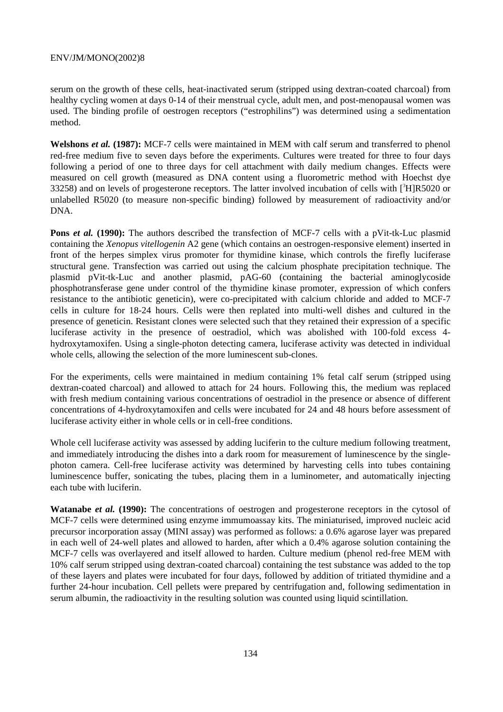serum on the growth of these cells, heat-inactivated serum (stripped using dextran-coated charcoal) from healthy cycling women at days 0-14 of their menstrual cycle, adult men, and post-menopausal women was used. The binding profile of oestrogen receptors ("estrophilins") was determined using a sedimentation method.

**Welshons** *et al.* **(1987):** MCF-7 cells were maintained in MEM with calf serum and transferred to phenol red-free medium five to seven days before the experiments. Cultures were treated for three to four days following a period of one to three days for cell attachment with daily medium changes. Effects were measured on cell growth (measured as DNA content using a fluorometric method with Hoechst dye 33258) and on levels of progesterone receptors. The latter involved incubation of cells with [3H]R5020 or unlabelled R5020 (to measure non-specific binding) followed by measurement of radioactivity and/or DNA.

**Pons** *et al.* (1990): The authors described the transfection of MCF-7 cells with a pVit-tk-Luc plasmid containing the *Xenopus vitellogenin* A2 gene (which contains an oestrogen-responsive element) inserted in front of the herpes simplex virus promoter for thymidine kinase, which controls the firefly luciferase structural gene. Transfection was carried out using the calcium phosphate precipitation technique. The plasmid pVit-tk-Luc and another plasmid, pAG-60 (containing the bacterial aminoglycoside phosphotransferase gene under control of the thymidine kinase promoter, expression of which confers resistance to the antibiotic geneticin), were co-precipitated with calcium chloride and added to MCF-7 cells in culture for 18-24 hours. Cells were then replated into multi-well dishes and cultured in the presence of geneticin. Resistant clones were selected such that they retained their expression of a specific luciferase activity in the presence of oestradiol, which was abolished with 100-fold excess 4 hydroxytamoxifen. Using a single-photon detecting camera, luciferase activity was detected in individual whole cells, allowing the selection of the more luminescent sub-clones.

For the experiments, cells were maintained in medium containing 1% fetal calf serum (stripped using dextran-coated charcoal) and allowed to attach for 24 hours. Following this, the medium was replaced with fresh medium containing various concentrations of oestradiol in the presence or absence of different concentrations of 4-hydroxytamoxifen and cells were incubated for 24 and 48 hours before assessment of luciferase activity either in whole cells or in cell-free conditions.

Whole cell luciferase activity was assessed by adding luciferin to the culture medium following treatment, and immediately introducing the dishes into a dark room for measurement of luminescence by the singlephoton camera. Cell-free luciferase activity was determined by harvesting cells into tubes containing luminescence buffer, sonicating the tubes, placing them in a luminometer, and automatically injecting each tube with luciferin.

**Watanabe** *et al.* (1990): The concentrations of oestrogen and progesterone receptors in the cytosol of MCF-7 cells were determined using enzyme immumoassay kits. The miniaturised, improved nucleic acid precursor incorporation assay (MINI assay) was performed as follows: a 0.6% agarose layer was prepared in each well of 24-well plates and allowed to harden, after which a 0.4% agarose solution containing the MCF-7 cells was overlayered and itself allowed to harden. Culture medium (phenol red-free MEM with 10% calf serum stripped using dextran-coated charcoal) containing the test substance was added to the top of these layers and plates were incubated for four days, followed by addition of tritiated thymidine and a further 24-hour incubation. Cell pellets were prepared by centrifugation and, following sedimentation in serum albumin, the radioactivity in the resulting solution was counted using liquid scintillation.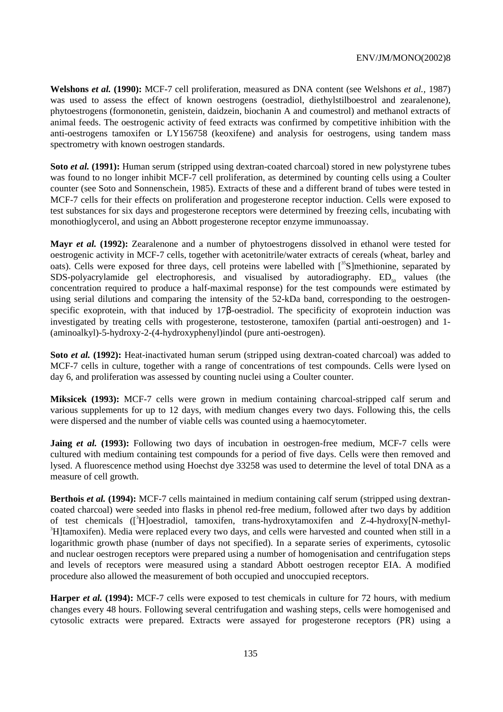**Welshons** *et al.* **(1990):** MCF-7 cell proliferation, measured as DNA content (see Welshons *et al.,* 1987) was used to assess the effect of known oestrogens (oestradiol, diethylstilboestrol and zearalenone), phytoestrogens (formononetin, genistein, daidzein, biochanin A and coumestrol) and methanol extracts of animal feeds. The oestrogenic activity of feed extracts was confirmed by competitive inhibition with the anti-oestrogens tamoxifen or LY156758 (keoxifene) and analysis for oestrogens, using tandem mass spectrometry with known oestrogen standards.

**Soto** *et al.* (1991): Human serum (stripped using dextran-coated charcoal) stored in new polystyrene tubes was found to no longer inhibit MCF-7 cell proliferation, as determined by counting cells using a Coulter counter (see Soto and Sonnenschein, 1985). Extracts of these and a different brand of tubes were tested in MCF-7 cells for their effects on proliferation and progesterone receptor induction. Cells were exposed to test substances for six days and progesterone receptors were determined by freezing cells, incubating with monothioglycerol, and using an Abbott progesterone receptor enzyme immunoassay.

**Mayr** *et al.* **(1992):** Zearalenone and a number of phytoestrogens dissolved in ethanol were tested for oestrogenic activity in MCF-7 cells, together with acetonitrile/water extracts of cereals (wheat, barley and oats). Cells were exposed for three days, cell proteins were labelled with [<sup>35</sup>S]methionine, separated by SDS-polyacrylamide gel electrophoresis, and visualised by autoradiography.  $ED_{50}$  values (the concentration required to produce a half-maximal response) for the test compounds were estimated by using serial dilutions and comparing the intensity of the 52-kDa band, corresponding to the oestrogenspecific exoprotein, with that induced by 17β-oestradiol. The specificity of exoprotein induction was investigated by treating cells with progesterone, testosterone, tamoxifen (partial anti-oestrogen) and 1- (aminoalkyl)-5-hydroxy-2-(4-hydroxyphenyl)indol (pure anti-oestrogen).

**Soto** *et al.* (1992): Heat-inactivated human serum (stripped using dextran-coated charcoal) was added to MCF-7 cells in culture, together with a range of concentrations of test compounds. Cells were lysed on day 6, and proliferation was assessed by counting nuclei using a Coulter counter.

**Miksicek (1993):** MCF-7 cells were grown in medium containing charcoal-stripped calf serum and various supplements for up to 12 days, with medium changes every two days. Following this, the cells were dispersed and the number of viable cells was counted using a haemocytometer.

**Jaing** *et al.* (1993): Following two days of incubation in oestrogen-free medium, MCF-7 cells were cultured with medium containing test compounds for a period of five days. Cells were then removed and lysed. A fluorescence method using Hoechst dye 33258 was used to determine the level of total DNA as a measure of cell growth.

**Berthois** *et al.* **(1994):** MCF-7 cells maintained in medium containing calf serum (stripped using dextrancoated charcoal) were seeded into flasks in phenol red-free medium, followed after two days by addition of test chemicals ([<sup>3</sup>H]oestradiol, tamoxifen, trans-hydroxytamoxifen and Z-4-hydroxy[N-methyl-<sup>3</sup>H]tamoxifen). Media were replaced every two days, and cells were harvested and counted when still in a logarithmic growth phase (number of days not specified). In a separate series of experiments, cytosolic and nuclear oestrogen receptors were prepared using a number of homogenisation and centrifugation steps and levels of receptors were measured using a standard Abbott oestrogen receptor EIA. A modified procedure also allowed the measurement of both occupied and unoccupied receptors.

**Harper** *et al.* (1994): MCF-7 cells were exposed to test chemicals in culture for 72 hours, with medium changes every 48 hours. Following several centrifugation and washing steps, cells were homogenised and cytosolic extracts were prepared. Extracts were assayed for progesterone receptors (PR) using a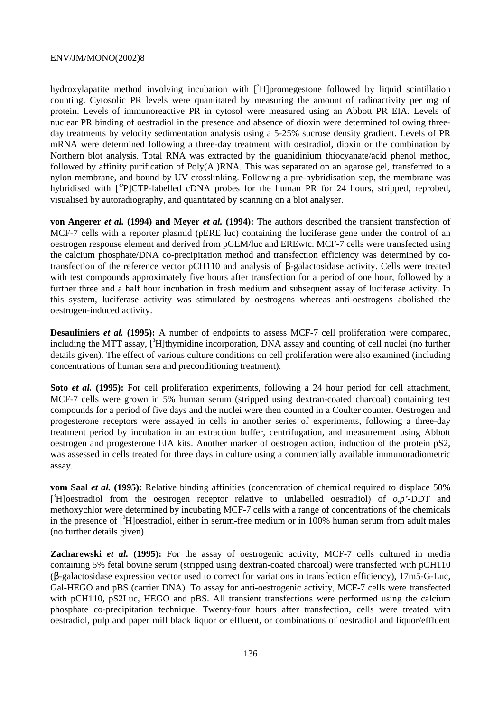hydroxylapatite method involving incubation with [<sup>3</sup>H]promegestone followed by liquid scintillation counting. Cytosolic PR levels were quantitated by measuring the amount of radioactivity per mg of protein. Levels of immunoreactive PR in cytosol were measured using an Abbott PR EIA. Levels of nuclear PR binding of oestradiol in the presence and absence of dioxin were determined following threeday treatments by velocity sedimentation analysis using a 5-25% sucrose density gradient. Levels of PR mRNA were determined following a three-day treatment with oestradiol, dioxin or the combination by Northern blot analysis. Total RNA was extracted by the guanidinium thiocyanate/acid phenol method, followed by affinity purification of  $Poly(A^+)RNA$ . This was separated on an agarose gel, transferred to a nylon membrane, and bound by UV crosslinking. Following a pre-hybridisation step, the membrane was hybridised with  $[^{32}P]$ CTP-labelled cDNA probes for the human PR for 24 hours, stripped, reprobed, visualised by autoradiography, and quantitated by scanning on a blot analyser.

**von Angerer** *et al.* **(1994) and Meyer** *et al.* **(1994):** The authors described the transient transfection of MCF-7 cells with a reporter plasmid (pERE luc) containing the luciferase gene under the control of an oestrogen response element and derived from pGEM/luc and EREwtc. MCF-7 cells were transfected using the calcium phosphate/DNA co-precipitation method and transfection efficiency was determined by cotransfection of the reference vector pCH110 and analysis of β-galactosidase activity. Cells were treated with test compounds approximately five hours after transfection for a period of one hour, followed by a further three and a half hour incubation in fresh medium and subsequent assay of luciferase activity. In this system, luciferase activity was stimulated by oestrogens whereas anti-oestrogens abolished the oestrogen-induced activity.

**Desauliniers** *et al.* **(1995):** A number of endpoints to assess MCF-7 cell proliferation were compared, including the MTT assay, [<sup>3</sup>H]thymidine incorporation, DNA assay and counting of cell nuclei (no further details given). The effect of various culture conditions on cell proliferation were also examined (including concentrations of human sera and preconditioning treatment).

**Soto** *et al.* (1995): For cell proliferation experiments, following a 24 hour period for cell attachment, MCF-7 cells were grown in 5% human serum (stripped using dextran-coated charcoal) containing test compounds for a period of five days and the nuclei were then counted in a Coulter counter. Oestrogen and progesterone receptors were assayed in cells in another series of experiments, following a three-day treatment period by incubation in an extraction buffer, centrifugation, and measurement using Abbott oestrogen and progesterone EIA kits. Another marker of oestrogen action, induction of the protein pS2, was assessed in cells treated for three days in culture using a commercially available immunoradiometric assay.

**vom Saal** *et al.* (1995): Relative binding affinities (concentration of chemical required to displace 50%  $[^3H]$ oestradiol from the oestrogen receptor relative to unlabelled oestradiol) of  $o, p'$ -DDT and methoxychlor were determined by incubating MCF-7 cells with a range of concentrations of the chemicals in the presence of [<sup>3</sup>H]oestradiol, either in serum-free medium or in 100% human serum from adult males (no further details given).

**Zacharewski** *et al.* (1995): For the assay of oestrogenic activity, MCF-7 cells cultured in media containing 5% fetal bovine serum (stripped using dextran-coated charcoal) were transfected with pCH110 (β-galactosidase expression vector used to correct for variations in transfection efficiency), 17m5-G-Luc, Gal-HEGO and pBS (carrier DNA). To assay for anti-oestrogenic activity, MCF-7 cells were transfected with pCH110, pS2Luc, HEGO and pBS. All transient transfections were performed using the calcium phosphate co-precipitation technique. Twenty-four hours after transfection, cells were treated with oestradiol, pulp and paper mill black liquor or effluent, or combinations of oestradiol and liquor/effluent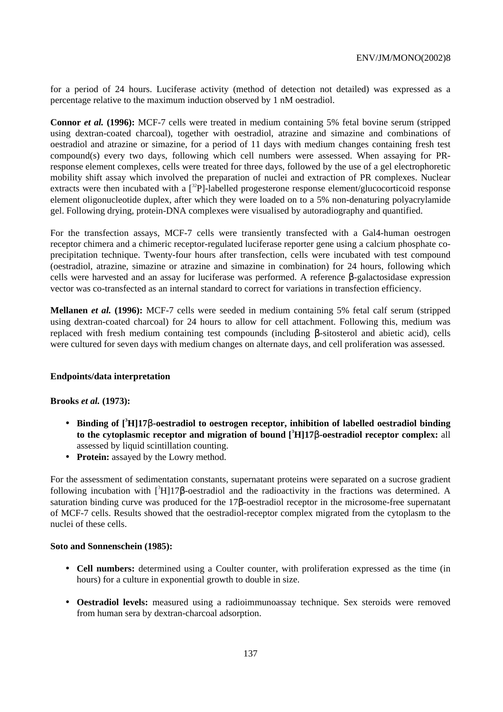for a period of 24 hours. Luciferase activity (method of detection not detailed) was expressed as a percentage relative to the maximum induction observed by 1 nM oestradiol.

**Connor** *et al.* (1996): MCF-7 cells were treated in medium containing 5% fetal bovine serum (stripped using dextran-coated charcoal), together with oestradiol, atrazine and simazine and combinations of oestradiol and atrazine or simazine, for a period of 11 days with medium changes containing fresh test compound(s) every two days, following which cell numbers were assessed. When assaying for PRresponse element complexes, cells were treated for three days, followed by the use of a gel electrophoretic mobility shift assay which involved the preparation of nuclei and extraction of PR complexes. Nuclear extracts were then incubated with a  $\int^3 P$ ]-labelled progesterone response element/glucocorticoid response element oligonucleotide duplex, after which they were loaded on to a 5% non-denaturing polyacrylamide gel. Following drying, protein-DNA complexes were visualised by autoradiography and quantified.

For the transfection assays, MCF-7 cells were transiently transfected with a Gal4-human oestrogen receptor chimera and a chimeric receptor-regulated luciferase reporter gene using a calcium phosphate coprecipitation technique. Twenty-four hours after transfection, cells were incubated with test compound (oestradiol, atrazine, simazine or atrazine and simazine in combination) for 24 hours, following which cells were harvested and an assay for luciferase was performed. A reference β-galactosidase expression vector was co-transfected as an internal standard to correct for variations in transfection efficiency.

**Mellanen** *et al.* (1996): MCF-7 cells were seeded in medium containing 5% fetal calf serum (stripped using dextran-coated charcoal) for 24 hours to allow for cell attachment. Following this, medium was replaced with fresh medium containing test compounds (including β-sitosterol and abietic acid), cells were cultured for seven days with medium changes on alternate days, and cell proliferation was assessed.

## **Endpoints/data interpretation**

#### **Brooks** *et al.* **(1973):**

- **Binding of [<sup>3</sup> H]17**β**-oestradiol to oestrogen receptor, inhibition of labelled oestradiol binding to the cytoplasmic receptor and migration of bound [<sup>3</sup> H]17**β**-oestradiol receptor complex:** all assessed by liquid scintillation counting.
- **Protein:** assayed by the Lowry method.

For the assessment of sedimentation constants, supernatant proteins were separated on a sucrose gradient following incubation with [<sup>3</sup> H]17β-oestradiol and the radioactivity in the fractions was determined. A saturation binding curve was produced for the 17β-oestradiol receptor in the microsome-free supernatant of MCF-7 cells. Results showed that the oestradiol-receptor complex migrated from the cytoplasm to the nuclei of these cells.

#### **Soto and Sonnenschein (1985):**

- **Cell numbers:** determined using a Coulter counter, with proliferation expressed as the time (in hours) for a culture in exponential growth to double in size.
- **Oestradiol levels:** measured using a radioimmunoassay technique. Sex steroids were removed from human sera by dextran-charcoal adsorption.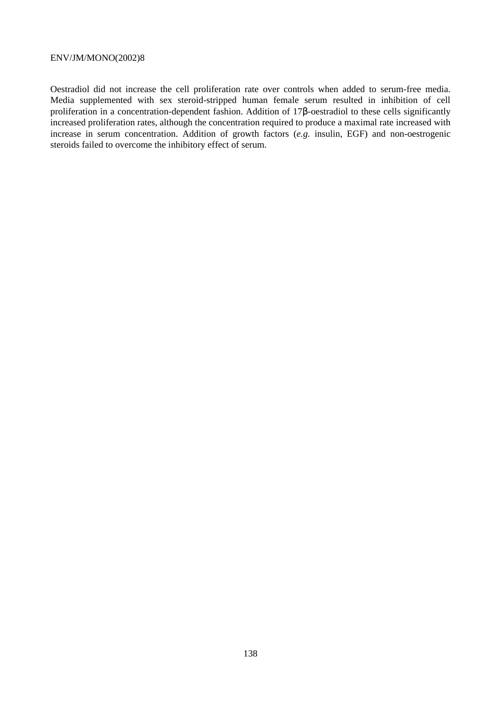Oestradiol did not increase the cell proliferation rate over controls when added to serum-free media. Media supplemented with sex steroid-stripped human female serum resulted in inhibition of cell proliferation in a concentration-dependent fashion. Addition of 17β-oestradiol to these cells significantly increased proliferation rates, although the concentration required to produce a maximal rate increased with increase in serum concentration. Addition of growth factors (*e.g.* insulin, EGF) and non-oestrogenic steroids failed to overcome the inhibitory effect of serum.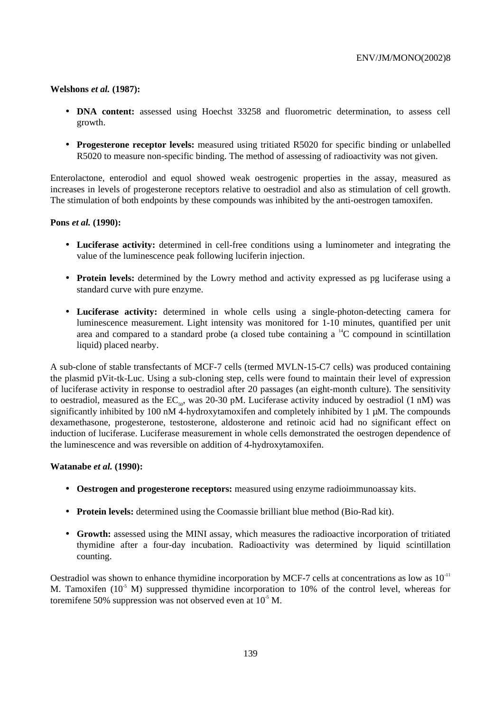## **Welshons** *et al.* **(1987):**

- **DNA content:** assessed using Hoechst 33258 and fluorometric determination, to assess cell growth.
- **Progesterone receptor levels:** measured using tritiated R5020 for specific binding or unlabelled R5020 to measure non-specific binding. The method of assessing of radioactivity was not given.

Enterolactone, enterodiol and equol showed weak oestrogenic properties in the assay, measured as increases in levels of progesterone receptors relative to oestradiol and also as stimulation of cell growth. The stimulation of both endpoints by these compounds was inhibited by the anti-oestrogen tamoxifen.

## **Pons** *et al.* **(1990):**

- **Luciferase activity:** determined in cell-free conditions using a luminometer and integrating the value of the luminescence peak following luciferin injection.
- **Protein levels:** determined by the Lowry method and activity expressed as pg luciferase using a standard curve with pure enzyme.
- **Luciferase activity:** determined in whole cells using a single-photon-detecting camera for luminescence measurement. Light intensity was monitored for 1-10 minutes, quantified per unit area and compared to a standard probe (a closed tube containing a  ${}^{14}C$  compound in scintillation liquid) placed nearby.

A sub-clone of stable transfectants of MCF-7 cells (termed MVLN-15-C7 cells) was produced containing the plasmid pVit-tk-Luc. Using a sub-cloning step, cells were found to maintain their level of expression of luciferase activity in response to oestradiol after 20 passages (an eight-month culture). The sensitivity to oestradiol, measured as the  $EC_{50}$ , was 20-30 pM. Luciferase activity induced by oestradiol (1 nM) was significantly inhibited by 100 nM 4-hydroxytamoxifen and completely inhibited by 1 µM. The compounds dexamethasone, progesterone, testosterone, aldosterone and retinoic acid had no significant effect on induction of luciferase. Luciferase measurement in whole cells demonstrated the oestrogen dependence of the luminescence and was reversible on addition of 4-hydroxytamoxifen.

## **Watanabe** *et al.* **(1990):**

- **Oestrogen and progesterone receptors:** measured using enzyme radioimmunoassay kits.
- **Protein levels:** determined using the Coomassie brilliant blue method (Bio-Rad kit).
- **Growth:** assessed using the MINI assay, which measures the radioactive incorporation of tritiated thymidine after a four-day incubation. Radioactivity was determined by liquid scintillation counting.

Oestradiol was shown to enhance thymidine incorporation by MCF-7 cells at concentrations as low as  $10^{-11}$ M. Tamoxifen  $(10^5 \text{ M})$  suppressed thymidine incorporation to 10% of the control level, whereas for toremifene 50% suppression was not observed even at  $10^{-5}$  M.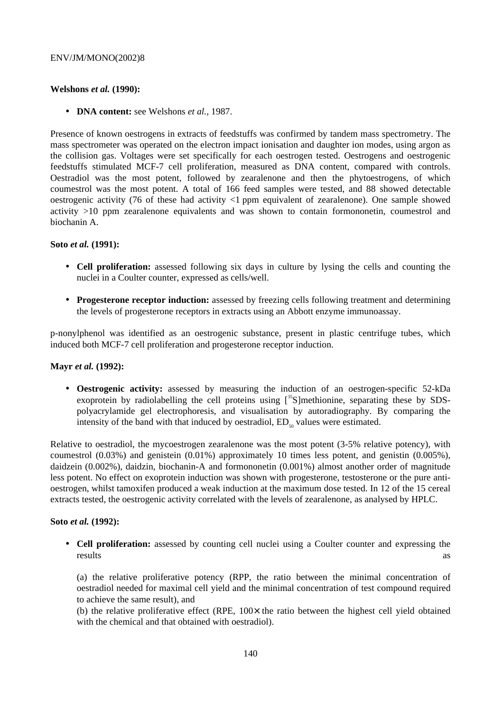## **Welshons** *et al.* **(1990):**

• **DNA content:** see Welshons *et al.,* 1987.

Presence of known oestrogens in extracts of feedstuffs was confirmed by tandem mass spectrometry. The mass spectrometer was operated on the electron impact ionisation and daughter ion modes, using argon as the collision gas. Voltages were set specifically for each oestrogen tested. Oestrogens and oestrogenic feedstuffs stimulated MCF-7 cell proliferation, measured as DNA content, compared with controls. Oestradiol was the most potent, followed by zearalenone and then the phytoestrogens, of which coumestrol was the most potent. A total of 166 feed samples were tested, and 88 showed detectable oestrogenic activity (76 of these had activity <1 ppm equivalent of zearalenone). One sample showed activity >10 ppm zearalenone equivalents and was shown to contain formononetin, coumestrol and biochanin A.

## **Soto** *et al.* **(1991):**

- **Cell proliferation:** assessed following six days in culture by lysing the cells and counting the nuclei in a Coulter counter, expressed as cells/well.
- **Progesterone receptor induction:** assessed by freezing cells following treatment and determining the levels of progesterone receptors in extracts using an Abbott enzyme immunoassay.

p-nonylphenol was identified as an oestrogenic substance, present in plastic centrifuge tubes, which induced both MCF-7 cell proliferation and progesterone receptor induction.

## **Mayr** *et al.* **(1992):**

• **Oestrogenic activity:** assessed by measuring the induction of an oestrogen-specific 52-kDa exoprotein by radiolabelling the cell proteins using  $\int_{0}^{35} S \$ ] methionine, separating these by SDSpolyacrylamide gel electrophoresis, and visualisation by autoradiography. By comparing the intensity of the band with that induced by oestradiol,  $ED_{so}$  values were estimated.

Relative to oestradiol, the mycoestrogen zearalenone was the most potent (3-5% relative potency), with coumestrol (0.03%) and genistein (0.01%) approximately 10 times less potent, and genistin (0.005%), daidzein (0.002%), daidzin, biochanin-A and formononetin (0.001%) almost another order of magnitude less potent. No effect on exoprotein induction was shown with progesterone, testosterone or the pure antioestrogen, whilst tamoxifen produced a weak induction at the maximum dose tested. In 12 of the 15 cereal extracts tested, the oestrogenic activity correlated with the levels of zearalenone, as analysed by HPLC.

## **Soto** *et al.* **(1992):**

• **Cell proliferation:** assessed by counting cell nuclei using a Coulter counter and expressing the results as

(a) the relative proliferative potency (RPP, the ratio between the minimal concentration of oestradiol needed for maximal cell yield and the minimal concentration of test compound required to achieve the same result), and

(b) the relative proliferative effect (RPE,  $100\times$  the ratio between the highest cell yield obtained with the chemical and that obtained with oestradiol).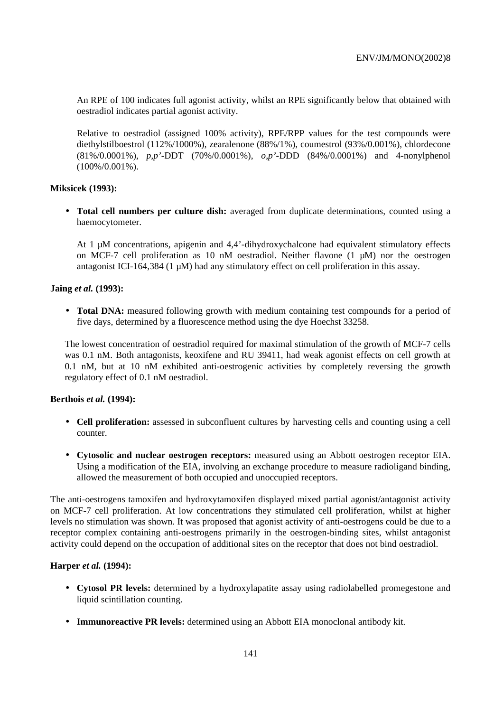An RPE of 100 indicates full agonist activity, whilst an RPE significantly below that obtained with oestradiol indicates partial agonist activity.

Relative to oestradiol (assigned 100% activity), RPE/RPP values for the test compounds were diethylstilboestrol (112%/1000%), zearalenone (88%/1%), coumestrol (93%/0.001%), chlordecone (81%/0.0001%), *p,p'*-DDT (70%/0.0001%), *o,p'*-DDD (84%/0.0001%) and 4-nonylphenol (100%/0.001%).

## **Miksicek (1993):**

• **Total cell numbers per culture dish:** averaged from duplicate determinations, counted using a haemocytometer.

At 1 µM concentrations, apigenin and 4,4'-dihydroxychalcone had equivalent stimulatory effects on MCF-7 cell proliferation as 10 nM oestradiol. Neither flavone (1 µM) nor the oestrogen antagonist ICI-164,384 (1 µM) had any stimulatory effect on cell proliferation in this assay.

# **Jaing** *et al.* **(1993):**

• **Total DNA:** measured following growth with medium containing test compounds for a period of five days, determined by a fluorescence method using the dye Hoechst 33258.

The lowest concentration of oestradiol required for maximal stimulation of the growth of MCF-7 cells was 0.1 nM. Both antagonists, keoxifene and RU 39411, had weak agonist effects on cell growth at 0.1 nM, but at 10 nM exhibited anti-oestrogenic activities by completely reversing the growth regulatory effect of 0.1 nM oestradiol.

## **Berthois** *et al.* **(1994):**

- **Cell proliferation:** assessed in subconfluent cultures by harvesting cells and counting using a cell counter.
- **Cytosolic and nuclear oestrogen receptors:** measured using an Abbott oestrogen receptor EIA. Using a modification of the EIA, involving an exchange procedure to measure radioligand binding, allowed the measurement of both occupied and unoccupied receptors.

The anti-oestrogens tamoxifen and hydroxytamoxifen displayed mixed partial agonist/antagonist activity on MCF-7 cell proliferation. At low concentrations they stimulated cell proliferation, whilst at higher levels no stimulation was shown. It was proposed that agonist activity of anti-oestrogens could be due to a receptor complex containing anti-oestrogens primarily in the oestrogen-binding sites, whilst antagonist activity could depend on the occupation of additional sites on the receptor that does not bind oestradiol.

# **Harper** *et al.* **(1994):**

- **Cytosol PR levels:** determined by a hydroxylapatite assay using radiolabelled promegestone and liquid scintillation counting.
- **Immunoreactive PR levels:** determined using an Abbott EIA monoclonal antibody kit.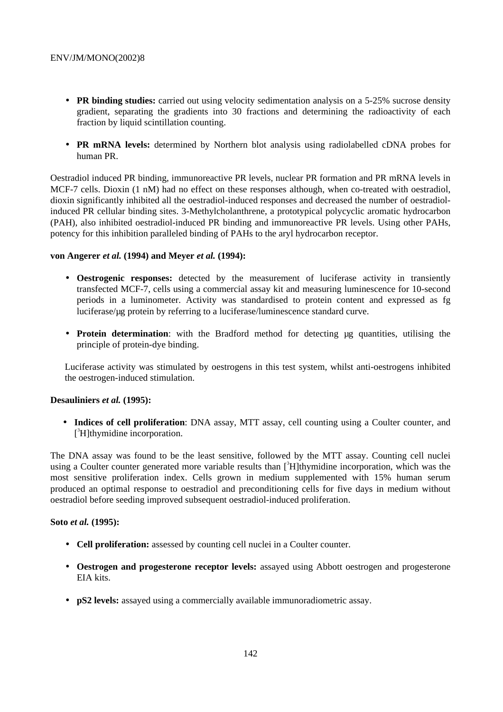- **PR binding studies:** carried out using velocity sedimentation analysis on a 5-25% sucrose density gradient, separating the gradients into 30 fractions and determining the radioactivity of each fraction by liquid scintillation counting.
- **PR mRNA levels:** determined by Northern blot analysis using radiolabelled cDNA probes for human PR.

Oestradiol induced PR binding, immunoreactive PR levels, nuclear PR formation and PR mRNA levels in MCF-7 cells. Dioxin (1 nM) had no effect on these responses although, when co-treated with oestradiol, dioxin significantly inhibited all the oestradiol-induced responses and decreased the number of oestradiolinduced PR cellular binding sites. 3-Methylcholanthrene, a prototypical polycyclic aromatic hydrocarbon (PAH), also inhibited oestradiol-induced PR binding and immunoreactive PR levels. Using other PAHs, potency for this inhibition paralleled binding of PAHs to the aryl hydrocarbon receptor.

### **von Angerer** *et al.* **(1994) and Meyer** *et al.* **(1994):**

- **Oestrogenic responses:** detected by the measurement of luciferase activity in transiently transfected MCF-7, cells using a commercial assay kit and measuring luminescence for 10-second periods in a luminometer. Activity was standardised to protein content and expressed as fg luciferase/µg protein by referring to a luciferase/luminescence standard curve.
- **Protein determination**: with the Bradford method for detecting ug quantities, utilising the principle of protein-dye binding.

Luciferase activity was stimulated by oestrogens in this test system, whilst anti-oestrogens inhibited the oestrogen-induced stimulation.

## **Desauliniers** *et al.* **(1995):**

• **Indices of cell proliferation**: DNA assay, MTT assay, cell counting using a Coulter counter, and [<sup>3</sup>H]thymidine incorporation.

The DNA assay was found to be the least sensitive, followed by the MTT assay. Counting cell nuclei using a Coulter counter generated more variable results than [<sup>3</sup>H]thymidine incorporation, which was the most sensitive proliferation index. Cells grown in medium supplemented with 15% human serum produced an optimal response to oestradiol and preconditioning cells for five days in medium without oestradiol before seeding improved subsequent oestradiol-induced proliferation.

## **Soto** *et al.* **(1995):**

- **Cell proliferation:** assessed by counting cell nuclei in a Coulter counter.
- **Oestrogen and progesterone receptor levels:** assayed using Abbott oestrogen and progesterone EIA kits.
- **pS2 levels:** assayed using a commercially available immunoradiometric assay.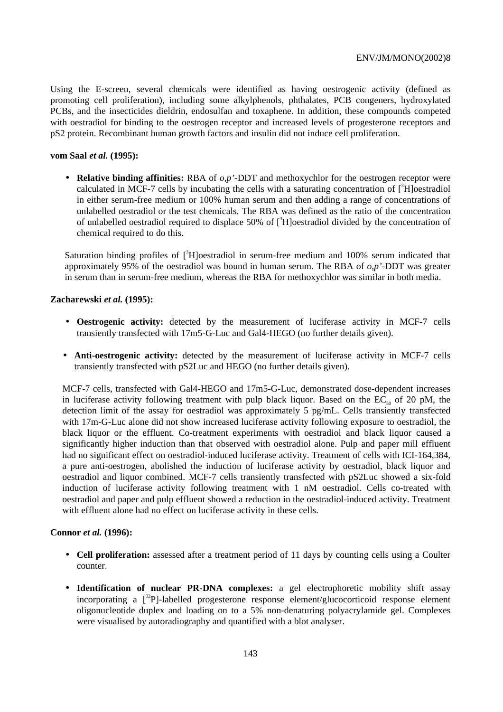Using the E-screen, several chemicals were identified as having oestrogenic activity (defined as promoting cell proliferation), including some alkylphenols, phthalates, PCB congeners, hydroxylated PCBs, and the insecticides dieldrin, endosulfan and toxaphene. In addition, these compounds competed with oestradiol for binding to the oestrogen receptor and increased levels of progesterone receptors and pS2 protein. Recombinant human growth factors and insulin did not induce cell proliferation.

### **vom Saal** *et al.* **(1995):**

• **Relative binding affinities:** RBA of *o,p'*-DDT and methoxychlor for the oestrogen receptor were calculated in MCF-7 cells by incubating the cells with a saturating concentration of [3H]oestradiol in either serum-free medium or 100% human serum and then adding a range of concentrations of unlabelled oestradiol or the test chemicals. The RBA was defined as the ratio of the concentration of unlabelled oestradiol required to displace 50% of [<sup>3</sup>H]oestradiol divided by the concentration of chemical required to do this.

Saturation binding profiles of [<sup>3</sup>H]oestradiol in serum-free medium and 100% serum indicated that approximately 95% of the oestradiol was bound in human serum. The RBA of *o,p'*-DDT was greater in serum than in serum-free medium, whereas the RBA for methoxychlor was similar in both media.

#### **Zacharewski** *et al.* **(1995):**

- **Oestrogenic activity:** detected by the measurement of luciferase activity in MCF-7 cells transiently transfected with 17m5-G-Luc and Gal4-HEGO (no further details given).
- **Anti-oestrogenic activity:** detected by the measurement of luciferase activity in MCF-7 cells transiently transfected with pS2Luc and HEGO (no further details given).

MCF-7 cells, transfected with Gal4-HEGO and 17m5-G-Luc, demonstrated dose-dependent increases in luciferase activity following treatment with pulp black liquor. Based on the  $EC_{so}$  of 20 pM, the detection limit of the assay for oestradiol was approximately 5 pg/mL. Cells transiently transfected with 17m-G-Luc alone did not show increased luciferase activity following exposure to oestradiol, the black liquor or the effluent. Co-treatment experiments with oestradiol and black liquor caused a significantly higher induction than that observed with oestradiol alone. Pulp and paper mill effluent had no significant effect on oestradiol-induced luciferase activity. Treatment of cells with ICI-164,384, a pure anti-oestrogen, abolished the induction of luciferase activity by oestradiol, black liquor and oestradiol and liquor combined. MCF-7 cells transiently transfected with pS2Luc showed a six-fold induction of luciferase activity following treatment with 1 nM oestradiol. Cells co-treated with oestradiol and paper and pulp effluent showed a reduction in the oestradiol-induced activity. Treatment with effluent alone had no effect on luciferase activity in these cells.

## **Connor** *et al.* **(1996):**

- **Cell proliferation:** assessed after a treatment period of 11 days by counting cells using a Coulter counter.
- **Identification of nuclear PR-DNA complexes:** a gel electrophoretic mobility shift assay incorporating a  $\lceil$ <sup>32</sup>P]-labelled progesterone response element/glucocorticoid response element oligonucleotide duplex and loading on to a 5% non-denaturing polyacrylamide gel. Complexes were visualised by autoradiography and quantified with a blot analyser.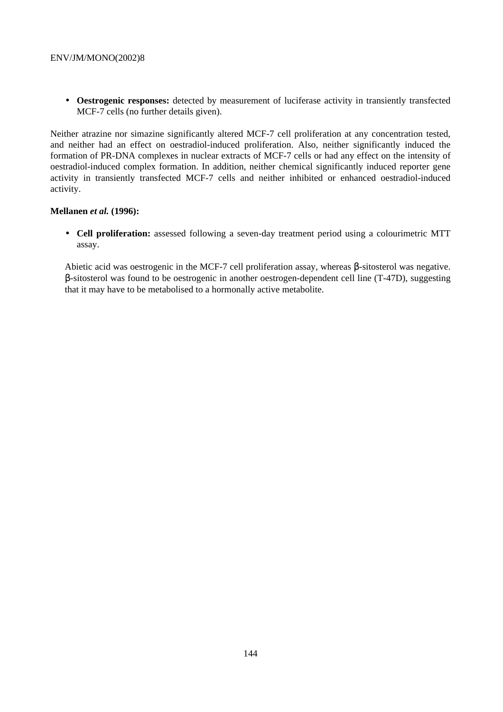• **Oestrogenic responses:** detected by measurement of luciferase activity in transiently transfected MCF-7 cells (no further details given).

Neither atrazine nor simazine significantly altered MCF-7 cell proliferation at any concentration tested, and neither had an effect on oestradiol-induced proliferation. Also, neither significantly induced the formation of PR-DNA complexes in nuclear extracts of MCF-7 cells or had any effect on the intensity of oestradiol-induced complex formation. In addition, neither chemical significantly induced reporter gene activity in transiently transfected MCF-7 cells and neither inhibited or enhanced oestradiol-induced activity.

### **Mellanen** *et al.* **(1996):**

• **Cell proliferation:** assessed following a seven-day treatment period using a colourimetric MTT assay.

Abietic acid was oestrogenic in the MCF-7 cell proliferation assay, whereas β-sitosterol was negative. β-sitosterol was found to be oestrogenic in another oestrogen-dependent cell line (T-47D), suggesting that it may have to be metabolised to a hormonally active metabolite.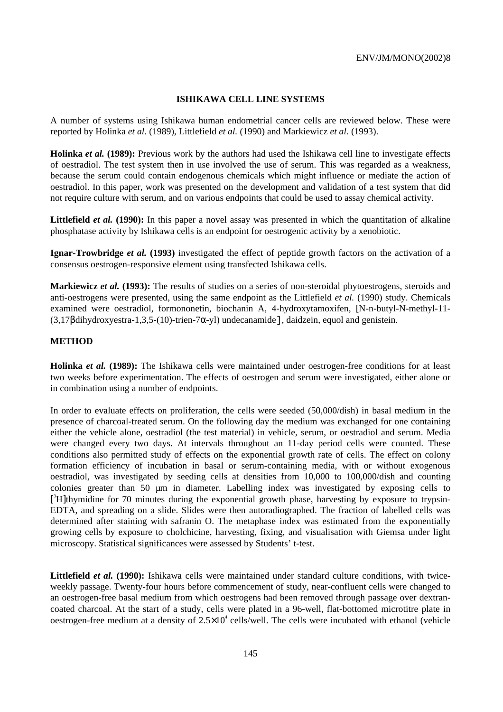### **ISHIKAWA CELL LINE SYSTEMS**

A number of systems using Ishikawa human endometrial cancer cells are reviewed below. These were reported by Holinka *et al.* (1989), Littlefield *et al.* (1990) and Markiewicz *et al.* (1993).

**Holinka** *et al.* **(1989):** Previous work by the authors had used the Ishikawa cell line to investigate effects of oestradiol. The test system then in use involved the use of serum. This was regarded as a weakness, because the serum could contain endogenous chemicals which might influence or mediate the action of oestradiol. In this paper, work was presented on the development and validation of a test system that did not require culture with serum, and on various endpoints that could be used to assay chemical activity.

Littlefield *et al.* (1990): In this paper a novel assay was presented in which the quantitation of alkaline phosphatase activity by Ishikawa cells is an endpoint for oestrogenic activity by a xenobiotic.

**Ignar-Trowbridge** *et al.* **(1993)** investigated the effect of peptide growth factors on the activation of a consensus oestrogen-responsive element using transfected Ishikawa cells.

**Markiewicz** et al. (1993): The results of studies on a series of non-steroidal phytoestrogens, steroids and anti-oestrogens were presented, using the same endpoint as the Littlefield *et al.* (1990) study. Chemicals examined were oestradiol, formononetin, biochanin A, 4-hydroxytamoxifen, [N-n-butyl-N-methyl-11-  $(3.178$ dihydroxyestra-1,3,5- $(10)$ -trien-7 $\alpha$ -yl) undecanamide l, daidzein, equol and genistein.

### **METHOD**

**Holinka** *et al.* **(1989):** The Ishikawa cells were maintained under oestrogen-free conditions for at least two weeks before experimentation. The effects of oestrogen and serum were investigated, either alone or in combination using a number of endpoints.

In order to evaluate effects on proliferation, the cells were seeded (50,000/dish) in basal medium in the presence of charcoal-treated serum. On the following day the medium was exchanged for one containing either the vehicle alone, oestradiol (the test material) in vehicle, serum, or oestradiol and serum. Media were changed every two days. At intervals throughout an 11-day period cells were counted. These conditions also permitted study of effects on the exponential growth rate of cells. The effect on colony formation efficiency of incubation in basal or serum-containing media, with or without exogenous oestradiol, was investigated by seeding cells at densities from 10,000 to 100,000/dish and counting colonies greater than 50 µm in diameter. Labelling index was investigated by exposing cells to [<sup>3</sup>H]thymidine for 70 minutes during the exponential growth phase, harvesting by exposure to trypsin-EDTA, and spreading on a slide. Slides were then autoradiographed. The fraction of labelled cells was determined after staining with safranin O. The metaphase index was estimated from the exponentially growing cells by exposure to cholchicine, harvesting, fixing, and visualisation with Giemsa under light microscopy. Statistical significances were assessed by Students' t-test.

Littlefield *et al.* (1990): Ishikawa cells were maintained under standard culture conditions, with twiceweekly passage. Twenty-four hours before commencement of study, near-confluent cells were changed to an oestrogen-free basal medium from which oestrogens had been removed through passage over dextrancoated charcoal. At the start of a study, cells were plated in a 96-well, flat-bottomed microtitre plate in oestrogen-free medium at a density of  $2.5 \times 10^4$  cells/well. The cells were incubated with ethanol (vehicle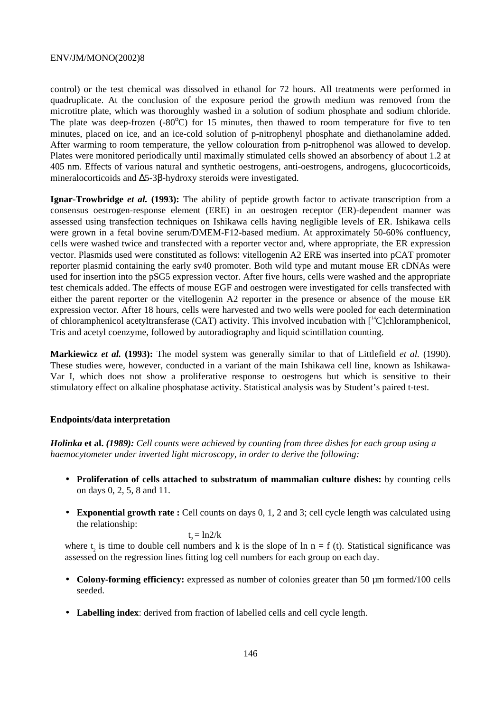control) or the test chemical was dissolved in ethanol for 72 hours. All treatments were performed in quadruplicate. At the conclusion of the exposure period the growth medium was removed from the microtitre plate, which was thoroughly washed in a solution of sodium phosphate and sodium chloride. The plate was deep-frozen  $(-80^{\circ}C)$  for 15 minutes, then thawed to room temperature for five to ten minutes, placed on ice, and an ice-cold solution of p-nitrophenyl phosphate and diethanolamine added. After warming to room temperature, the yellow colouration from p-nitrophenol was allowed to develop. Plates were monitored periodically until maximally stimulated cells showed an absorbency of about 1.2 at 405 nm. Effects of various natural and synthetic oestrogens, anti-oestrogens, androgens, glucocorticoids, mineralocorticoids and ∆5-3β-hydroxy steroids were investigated.

**Ignar-Trowbridge** *et al.* **(1993):** The ability of peptide growth factor to activate transcription from a consensus oestrogen-response element (ERE) in an oestrogen receptor (ER)-dependent manner was assessed using transfection techniques on Ishikawa cells having negligible levels of ER. Ishikawa cells were grown in a fetal bovine serum/DMEM-F12-based medium. At approximately 50-60% confluency, cells were washed twice and transfected with a reporter vector and, where appropriate, the ER expression vector. Plasmids used were constituted as follows: vitellogenin A2 ERE was inserted into pCAT promoter reporter plasmid containing the early sv40 promoter. Both wild type and mutant mouse ER cDNAs were used for insertion into the pSG5 expression vector. After five hours, cells were washed and the appropriate test chemicals added. The effects of mouse EGF and oestrogen were investigated for cells transfected with either the parent reporter or the vitellogenin A2 reporter in the presence or absence of the mouse ER expression vector. After 18 hours, cells were harvested and two wells were pooled for each determination of chloramphenicol acetyltransferase (CAT) activity. This involved incubation with  $\int_{0}^{14}C$  chloramphenicol, Tris and acetyl coenzyme, followed by autoradiography and liquid scintillation counting.

**Markiewicz** *et al.* **(1993):** The model system was generally similar to that of Littlefield *et al.* (1990). These studies were, however, conducted in a variant of the main Ishikawa cell line, known as Ishikawa-Var I, which does not show a proliferative response to oestrogens but which is sensitive to their stimulatory effect on alkaline phosphatase activity. Statistical analysis was by Student's paired t-test.

### **Endpoints/data interpretation**

*Holinka* **et al.** *(1989): Cell counts were achieved by counting from three dishes for each group using a haemocytometer under inverted light microscopy, in order to derive the following:*

- **Proliferation of cells attached to substratum of mammalian culture dishes:** by counting cells on days 0, 2, 5, 8 and 11.
- **Exponential growth rate :** Cell counts on days 0, 1, 2 and 3; cell cycle length was calculated using the relationship:

 $t_2 = \ln 2/k$ 

where  $t_2$  is time to double cell numbers and k is the slope of ln n = f (t). Statistical significance was assessed on the regression lines fitting log cell numbers for each group on each day.

- **Colony-forming efficiency:** expressed as number of colonies greater than 50 µm formed/100 cells seeded.
- **Labelling index**: derived from fraction of labelled cells and cell cycle length.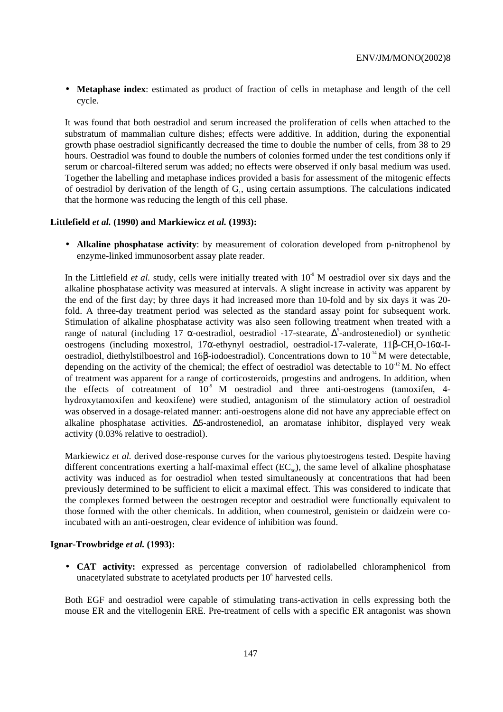• **Metaphase index**: estimated as product of fraction of cells in metaphase and length of the cell cycle.

It was found that both oestradiol and serum increased the proliferation of cells when attached to the substratum of mammalian culture dishes; effects were additive. In addition, during the exponential growth phase oestradiol significantly decreased the time to double the number of cells, from 38 to 29 hours. Oestradiol was found to double the numbers of colonies formed under the test conditions only if serum or charcoal-filtered serum was added; no effects were observed if only basal medium was used. Together the labelling and metaphase indices provided a basis for assessment of the mitogenic effects of oestradiol by derivation of the length of  $G<sub>1</sub>$ , using certain assumptions. The calculations indicated that the hormone was reducing the length of this cell phase.

## **Littlefield** *et al.* **(1990) and Markiewicz** *et al.* **(1993):**

• **Alkaline phosphatase activity**: by measurement of coloration developed from p-nitrophenol by enzyme-linked immunosorbent assay plate reader.

In the Littlefield *et al.* study, cells were initially treated with 10<sup>9</sup> M oestradiol over six days and the alkaline phosphatase activity was measured at intervals. A slight increase in activity was apparent by the end of the first day; by three days it had increased more than 10-fold and by six days it was 20 fold. A three-day treatment period was selected as the standard assay point for subsequent work. Stimulation of alkaline phosphatase activity was also seen following treatment when treated with a range of natural (including 17 α-oestradiol, oestradiol -17-stearate,  $Δ^5$ -androstenediol) or synthetic oestrogens (including moxestrol, 17α-ethynyl oestradiol, oestradiol-17-valerate, 11β-CH<sub>3</sub>O-16α-Ioestradiol, diethylstilboestrol and 16β-iodoestradiol). Concentrations down to 10<sup>-14</sup> M were detectable. depending on the activity of the chemical; the effect of oestradiol was detectable to  $10^{-12}$  M. No effect of treatment was apparent for a range of corticosteroids, progestins and androgens. In addition, when the effects of cotreatment of  $10<sup>9</sup>$  M oestradiol and three anti-oestrogens (tamoxifen, 4hydroxytamoxifen and keoxifene) were studied, antagonism of the stimulatory action of oestradiol was observed in a dosage-related manner: anti-oestrogens alone did not have any appreciable effect on alkaline phosphatase activities. ∆5-androstenediol, an aromatase inhibitor, displayed very weak activity (0.03% relative to oestradiol).

Markiewicz *et al.* derived dose-response curves for the various phytoestrogens tested. Despite having different concentrations exerting a half-maximal effect  $(EC_{\epsilon_0})$ , the same level of alkaline phosphatase activity was induced as for oestradiol when tested simultaneously at concentrations that had been previously determined to be sufficient to elicit a maximal effect. This was considered to indicate that the complexes formed between the oestrogen receptor and oestradiol were functionally equivalent to those formed with the other chemicals. In addition, when coumestrol, genistein or daidzein were coincubated with an anti-oestrogen, clear evidence of inhibition was found.

## **Ignar-Trowbridge** *et al.* **(1993):**

• **CAT activity:** expressed as percentage conversion of radiolabelled chloramphenicol from unacetylated substrate to acetylated products per  $10<sup>6</sup>$  harvested cells.

Both EGF and oestradiol were capable of stimulating trans-activation in cells expressing both the mouse ER and the vitellogenin ERE. Pre-treatment of cells with a specific ER antagonist was shown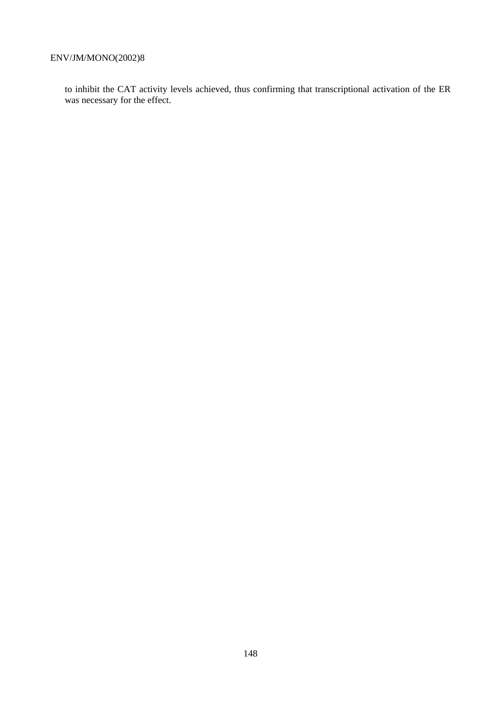to inhibit the CAT activity levels achieved, thus confirming that transcriptional activation of the ER was necessary for the effect.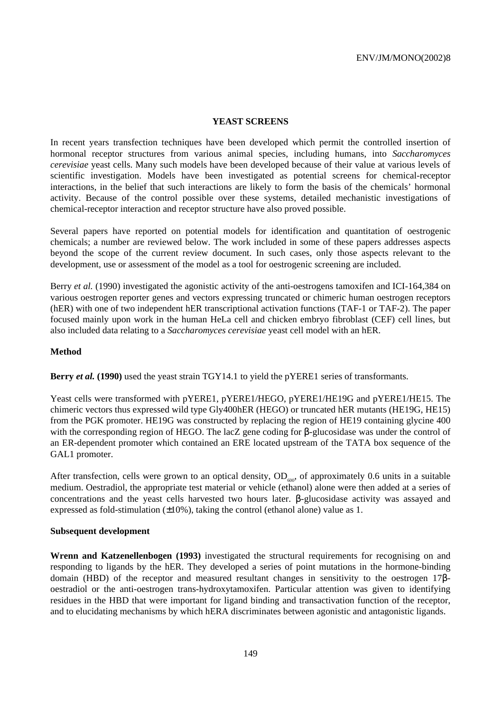### **YEAST SCREENS**

In recent years transfection techniques have been developed which permit the controlled insertion of hormonal receptor structures from various animal species, including humans, into *Saccharomyces cerevisiae* yeast cells. Many such models have been developed because of their value at various levels of scientific investigation. Models have been investigated as potential screens for chemical-receptor interactions, in the belief that such interactions are likely to form the basis of the chemicals' hormonal activity. Because of the control possible over these systems, detailed mechanistic investigations of chemical-receptor interaction and receptor structure have also proved possible.

Several papers have reported on potential models for identification and quantitation of oestrogenic chemicals; a number are reviewed below. The work included in some of these papers addresses aspects beyond the scope of the current review document. In such cases, only those aspects relevant to the development, use or assessment of the model as a tool for oestrogenic screening are included.

Berry *et al.* (1990) investigated the agonistic activity of the anti-oestrogens tamoxifen and ICI-164,384 on various oestrogen reporter genes and vectors expressing truncated or chimeric human oestrogen receptors (hER) with one of two independent hER transcriptional activation functions (TAF-1 or TAF-2). The paper focused mainly upon work in the human HeLa cell and chicken embryo fibroblast (CEF) cell lines, but also included data relating to a *Saccharomyces cerevisiae* yeast cell model with an hER.

## **Method**

**Berry** *et al.* (1990) used the yeast strain TGY14.1 to yield the pYERE1 series of transformants.

Yeast cells were transformed with pYERE1, pYERE1/HEGO, pYERE1/HE19G and pYERE1/HE15. The chimeric vectors thus expressed wild type Gly400hER (HEGO) or truncated hER mutants (HE19G, HE15) from the PGK promoter. HE19G was constructed by replacing the region of HE19 containing glycine 400 with the corresponding region of HEGO. The lacZ gene coding for β-glucosidase was under the control of an ER-dependent promoter which contained an ERE located upstream of the TATA box sequence of the GAL1 promoter.

After transfection, cells were grown to an optical density,  $OD<sub>600</sub>$ , of approximately 0.6 units in a suitable medium. Oestradiol, the appropriate test material or vehicle (ethanol) alone were then added at a series of concentrations and the yeast cells harvested two hours later. β-glucosidase activity was assayed and expressed as fold-stimulation  $(\pm 10\%)$ , taking the control (ethanol alone) value as 1.

### **Subsequent development**

**Wrenn and Katzenellenbogen** (1993) investigated the structural requirements for recognising on and responding to ligands by the hER. They developed a series of point mutations in the hormone-binding domain (HBD) of the receptor and measured resultant changes in sensitivity to the oestrogen 17βoestradiol or the anti-oestrogen trans-hydroxytamoxifen. Particular attention was given to identifying residues in the HBD that were important for ligand binding and transactivation function of the receptor, and to elucidating mechanisms by which hERA discriminates between agonistic and antagonistic ligands.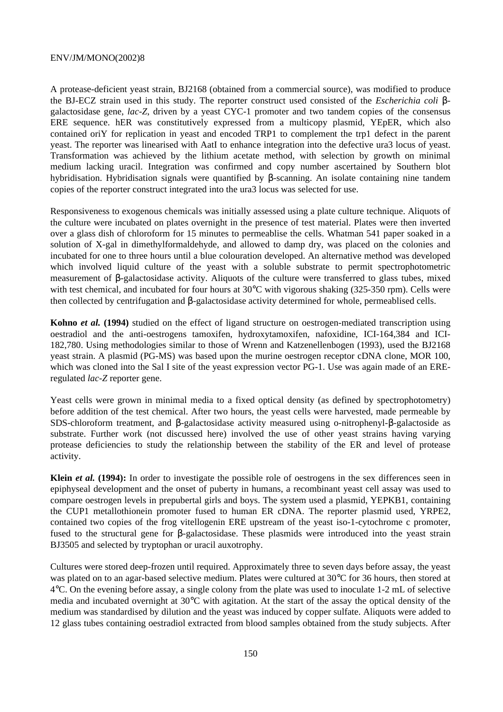A protease-deficient yeast strain, BJ2168 (obtained from a commercial source), was modified to produce the BJ-ECZ strain used in this study. The reporter construct used consisted of the *Escherichia coli* βgalactosidase gene, *lac-Z*, driven by a yeast CYC-1 promoter and two tandem copies of the consensus ERE sequence. hER was constitutively expressed from a multicopy plasmid, YEpER, which also contained oriY for replication in yeast and encoded TRP1 to complement the trp1 defect in the parent yeast. The reporter was linearised with AatI to enhance integration into the defective ura3 locus of yeast. Transformation was achieved by the lithium acetate method, with selection by growth on minimal medium lacking uracil. Integration was confirmed and copy number ascertained by Southern blot hybridisation. Hybridisation signals were quantified by β-scanning. An isolate containing nine tandem copies of the reporter construct integrated into the ura3 locus was selected for use.

Responsiveness to exogenous chemicals was initially assessed using a plate culture technique. Aliquots of the culture were incubated on plates overnight in the presence of test material. Plates were then inverted over a glass dish of chloroform for 15 minutes to permeablise the cells. Whatman 541 paper soaked in a solution of X-gal in dimethylformaldehyde, and allowed to damp dry, was placed on the colonies and incubated for one to three hours until a blue colouration developed. An alternative method was developed which involved liquid culture of the yeast with a soluble substrate to permit spectrophotometric measurement of β-galactosidase activity. Aliquots of the culture were transferred to glass tubes, mixed with test chemical, and incubated for four hours at  $30^{\circ}$ C with vigorous shaking (325-350 rpm). Cells were then collected by centrifugation and β-galactosidase activity determined for whole, permeablised cells.

**Kohno** *et al.* **(1994)** studied on the effect of ligand structure on oestrogen-mediated transcription using oestradiol and the anti-oestrogens tamoxifen, hydroxytamoxifen, nafoxidine, ICI-164,384 and ICI-182,780. Using methodologies similar to those of Wrenn and Katzenellenbogen (1993), used the BJ2168 yeast strain. A plasmid (PG-MS) was based upon the murine oestrogen receptor cDNA clone, MOR 100, which was cloned into the Sal I site of the yeast expression vector PG-1. Use was again made of an EREregulated *lac-Z* reporter gene.

Yeast cells were grown in minimal media to a fixed optical density (as defined by spectrophotometry) before addition of the test chemical. After two hours, the yeast cells were harvested, made permeable by SDS-chloroform treatment, and β-galactosidase activity measured using o-nitrophenyl-β-galactoside as substrate. Further work (not discussed here) involved the use of other yeast strains having varying protease deficiencies to study the relationship between the stability of the ER and level of protease activity.

**Klein** *et al.* (1994): In order to investigate the possible role of oestrogens in the sex differences seen in epiphyseal development and the onset of puberty in humans, a recombinant yeast cell assay was used to compare oestrogen levels in prepubertal girls and boys. The system used a plasmid, YEPKB1, containing the CUP1 metallothionein promoter fused to human ER cDNA. The reporter plasmid used, YRPE2, contained two copies of the frog vitellogenin ERE upstream of the yeast iso-1-cytochrome c promoter, fused to the structural gene for β-galactosidase. These plasmids were introduced into the yeast strain BJ3505 and selected by tryptophan or uracil auxotrophy.

Cultures were stored deep-frozen until required. Approximately three to seven days before assay, the yeast was plated on to an agar-based selective medium. Plates were cultured at 30°C for 36 hours, then stored at 4°C. On the evening before assay, a single colony from the plate was used to inoculate 1-2 mL of selective media and incubated overnight at 30°C with agitation. At the start of the assay the optical density of the medium was standardised by dilution and the yeast was induced by copper sulfate. Aliquots were added to 12 glass tubes containing oestradiol extracted from blood samples obtained from the study subjects. After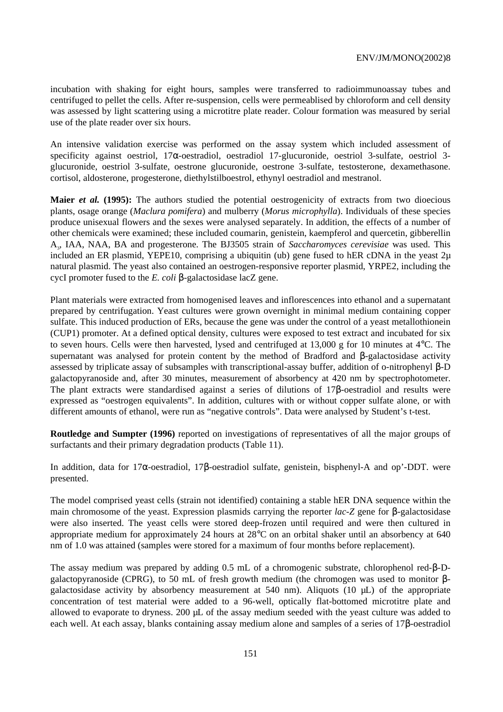incubation with shaking for eight hours, samples were transferred to radioimmunoassay tubes and centrifuged to pellet the cells. After re-suspension, cells were permeablised by chloroform and cell density was assessed by light scattering using a microtitre plate reader. Colour formation was measured by serial use of the plate reader over six hours.

An intensive validation exercise was performed on the assay system which included assessment of specificity against oestriol, 17α-oestradiol, oestradiol 17-glucuronide, oestriol 3-sulfate, oestriol 3 glucuronide, oestriol 3-sulfate, oestrone glucuronide, oestrone 3-sulfate, testosterone, dexamethasone. cortisol, aldosterone, progesterone, diethylstilboestrol, ethynyl oestradiol and mestranol.

**Maier** *et al.* (1995): The authors studied the potential oestrogenicity of extracts from two dioecious plants, osage orange (*Maclura pomifera*) and mulberry (*Morus microphylla*). Individuals of these species produce unisexual flowers and the sexes were analysed separately. In addition, the effects of a number of other chemicals were examined; these included coumarin, genistein, kaempferol and quercetin, gibberellin A3 , IAA, NAA, BA and progesterone. The BJ3505 strain of *Saccharomyces cerevisiae* was used. This included an ER plasmid, YEPE10, comprising a ubiquitin (ub) gene fused to hER cDNA in the yeast 2µ natural plasmid. The yeast also contained an oestrogen-responsive reporter plasmid, YRPE2, including the cycI promoter fused to the *E. coli* β-galactosidase lacZ gene.

Plant materials were extracted from homogenised leaves and inflorescences into ethanol and a supernatant prepared by centrifugation. Yeast cultures were grown overnight in minimal medium containing copper sulfate. This induced production of ERs, because the gene was under the control of a yeast metallothionein (CUP1) promoter. At a defined optical density, cultures were exposed to test extract and incubated for six to seven hours. Cells were then harvested, lysed and centrifuged at 13,000 g for 10 minutes at 4°C. The supernatant was analysed for protein content by the method of Bradford and β-galactosidase activity assessed by triplicate assay of subsamples with transcriptional-assay buffer, addition of o-nitrophenyl β-D galactopyranoside and, after 30 minutes, measurement of absorbency at 420 nm by spectrophotometer. The plant extracts were standardised against a series of dilutions of 17β-oestradiol and results were expressed as "oestrogen equivalents". In addition, cultures with or without copper sulfate alone, or with different amounts of ethanol, were run as "negative controls". Data were analysed by Student's t-test.

**Routledge and Sumpter (1996)** reported on investigations of representatives of all the major groups of surfactants and their primary degradation products (Table 11).

In addition, data for 17α-oestradiol, 17β-oestradiol sulfate, genistein, bisphenyl-A and op'-DDT. were presented.

The model comprised yeast cells (strain not identified) containing a stable hER DNA sequence within the main chromosome of the yeast. Expression plasmids carrying the reporter *lac-Z* gene for β-galactosidase were also inserted. The yeast cells were stored deep-frozen until required and were then cultured in appropriate medium for approximately 24 hours at 28°C on an orbital shaker until an absorbency at 640 nm of 1.0 was attained (samples were stored for a maximum of four months before replacement).

The assay medium was prepared by adding 0.5 mL of a chromogenic substrate, chlorophenol red-β-Dgalactopyranoside (CPRG), to 50 mL of fresh growth medium (the chromogen was used to monitor βgalactosidase activity by absorbency measurement at 540 nm). Aliquots (10 µL) of the appropriate concentration of test material were added to a 96-well, optically flat-bottomed microtitre plate and allowed to evaporate to dryness. 200 µL of the assay medium seeded with the yeast culture was added to each well. At each assay, blanks containing assay medium alone and samples of a series of 17β-oestradiol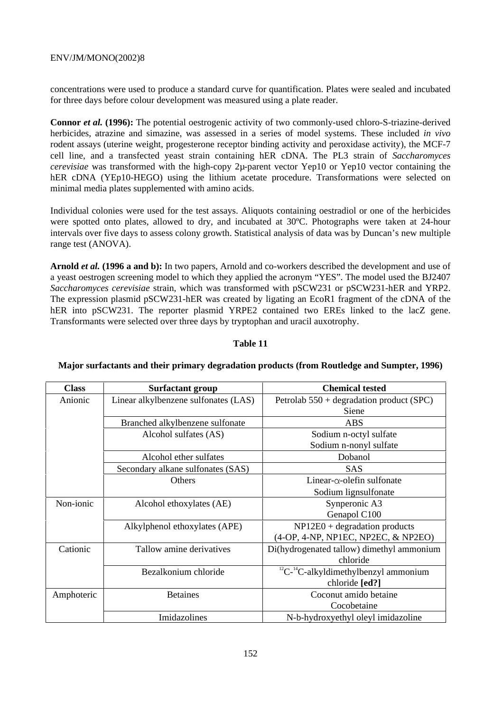concentrations were used to produce a standard curve for quantification. Plates were sealed and incubated for three days before colour development was measured using a plate reader.

**Connor** *et al.* **(1996):** The potential oestrogenic activity of two commonly-used chloro-S-triazine-derived herbicides, atrazine and simazine, was assessed in a series of model systems. These included *in vivo* rodent assays (uterine weight, progesterone receptor binding activity and peroxidase activity), the MCF-7 cell line, and a transfected yeast strain containing hER cDNA. The PL3 strain of *Saccharomyces cerevisiae* was transformed with the high-copy 2µ-parent vector Yep10 or Yep10 vector containing the hER cDNA (YEp10-HEGO) using the lithium acetate procedure. Transformations were selected on minimal media plates supplemented with amino acids.

Individual colonies were used for the test assays. Aliquots containing oestradiol or one of the herbicides were spotted onto plates, allowed to dry, and incubated at 30ºC. Photographs were taken at 24-hour intervals over five days to assess colony growth. Statistical analysis of data was by Duncan's new multiple range test (ANOVA).

**Arnold** *et al.* **(1996 a and b):** In two papers, Arnold and co-workers described the development and use of a yeast oestrogen screening model to which they applied the acronym "YES". The model used the BJ2407 *Saccharomyces cerevisiae* strain, which was transformed with pSCW231 or pSCW231-hER and YRP2. The expression plasmid pSCW231-hER was created by ligating an EcoR1 fragment of the cDNA of the hER into pSCW231. The reporter plasmid YRPE2 contained two EREs linked to the lacZ gene. Transformants were selected over three days by tryptophan and uracil auxotrophy.

| <b>Class</b> | <b>Surfactant group</b>              | <b>Chemical tested</b>                                |  |
|--------------|--------------------------------------|-------------------------------------------------------|--|
| Anionic      | Linear alkylbenzene sulfonates (LAS) | Petrolab $550 +$ degradation product (SPC)            |  |
|              |                                      | Siene                                                 |  |
|              | Branched alkylbenzene sulfonate      | <b>ABS</b>                                            |  |
|              | Alcohol sulfates (AS)                | Sodium n-octyl sulfate                                |  |
|              |                                      | Sodium n-nonyl sulfate                                |  |
|              | Alcohol ether sulfates               | Dobanol                                               |  |
|              | Secondary alkane sulfonates (SAS)    | <b>SAS</b>                                            |  |
|              | Others                               | Linear- $\alpha$ -olefin sulfonate                    |  |
|              |                                      | Sodium lignsulfonate                                  |  |
| Non-ionic    | Alcohol ethoxylates (AE)             | Synperonic A3                                         |  |
|              |                                      | Genapol C100                                          |  |
|              | Alkylphenol ethoxylates (APE)        | $NP12E0 + degradation products$                       |  |
|              |                                      | (4-OP, 4-NP, NP1EC, NP2EC, & NP2EO)                   |  |
| Cationic     | Tallow amine derivatives             | Di(hydrogenated tallow) dimethyl ammonium             |  |
|              |                                      | chloride                                              |  |
|              | Bezalkonium chloride                 | ${}^{12}C$ - ${}^{14}C$ -alkyldimethylbenzyl ammonium |  |
|              |                                      | chloride [ed?]                                        |  |
| Amphoteric   | <b>Betaines</b>                      | Coconut amido betaine                                 |  |
|              |                                      | Cocobetaine                                           |  |
|              | Imidazolines                         | N-b-hydroxyethyl oleyl imidazoline                    |  |

# **Table 11**

## **Major surfactants and their primary degradation products (from Routledge and Sumpter, 1996)**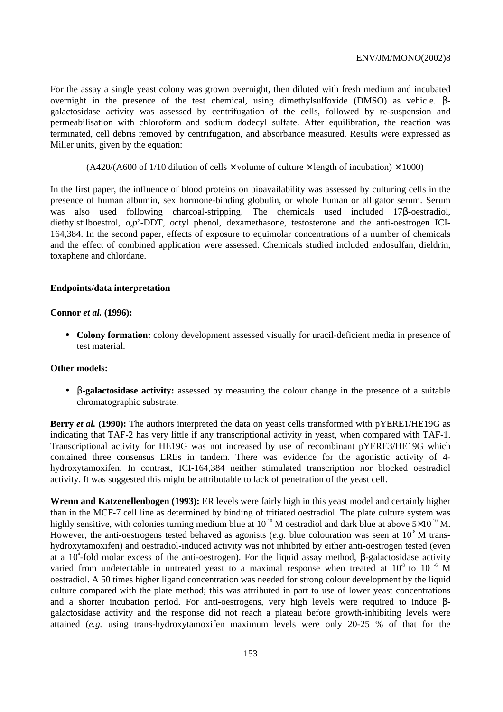For the assay a single yeast colony was grown overnight, then diluted with fresh medium and incubated overnight in the presence of the test chemical, using dimethylsulfoxide (DMSO) as vehicle. βgalactosidase activity was assessed by centrifugation of the cells, followed by re-suspension and permeabilisation with chloroform and sodium dodecyl sulfate. After equilibration, the reaction was terminated, cell debris removed by centrifugation, and absorbance measured. Results were expressed as Miller units, given by the equation:

 $(A420/(A600 \text{ of } 1/10 \text{ dilution of cells} \times \text{volume of culture} \times \text{length of incubation}) \times 1000)$ 

In the first paper, the influence of blood proteins on bioavailability was assessed by culturing cells in the presence of human albumin, sex hormone-binding globulin, or whole human or alligator serum. Serum was also used following charcoal-stripping. The chemicals used included 17β-oestradiol, diethylstilboestrol, *o,p*'-DDT, octyl phenol, dexamethasone, testosterone and the anti-oestrogen ICI-164,384. In the second paper, effects of exposure to equimolar concentrations of a number of chemicals and the effect of combined application were assessed. Chemicals studied included endosulfan, dieldrin, toxaphene and chlordane.

## **Endpoints/data interpretation**

### **Connor** *et al.* **(1996):**

• **Colony formation:** colony development assessed visually for uracil-deficient media in presence of test material.

## **Other models:**

• β**-galactosidase activity:** assessed by measuring the colour change in the presence of a suitable chromatographic substrate.

**Berry** *et al.* (1990): The authors interpreted the data on yeast cells transformed with pYERE1/HE19G as indicating that TAF-2 has very little if any transcriptional activity in yeast, when compared with TAF-1. Transcriptional activity for HE19G was not increased by use of recombinant pYERE3/HE19G which contained three consensus EREs in tandem. There was evidence for the agonistic activity of 4 hydroxytamoxifen. In contrast, ICI-164,384 neither stimulated transcription nor blocked oestradiol activity. It was suggested this might be attributable to lack of penetration of the yeast cell.

**Wrenn and Katzenellenbogen (1993):** ER levels were fairly high in this yeast model and certainly higher than in the MCF-7 cell line as determined by binding of tritiated oestradiol. The plate culture system was highly sensitive, with colonies turning medium blue at  $10^{-10}$  M oestradiol and dark blue at above  $5\times10^{-10}$  M. However, the anti-oestrogens tested behaved as agonists (*e.g.* blue colouration was seen at  $10^8$  M transhydroxytamoxifen) and oestradiol-induced activity was not inhibited by either anti-oestrogen tested (even at a 10<sup>4</sup>-fold molar excess of the anti-oestrogen). For the liquid assay method, β-galactosidase activity varied from undetectable in untreated yeast to a maximal response when treated at  $10^8$  to  $10^{-6}$  M oestradiol. A 50 times higher ligand concentration was needed for strong colour development by the liquid culture compared with the plate method; this was attributed in part to use of lower yeast concentrations and a shorter incubation period. For anti-oestrogens, very high levels were required to induce βgalactosidase activity and the response did not reach a plateau before growth-inhibiting levels were attained (*e.g.* using trans-hydroxytamoxifen maximum levels were only 20-25 % of that for the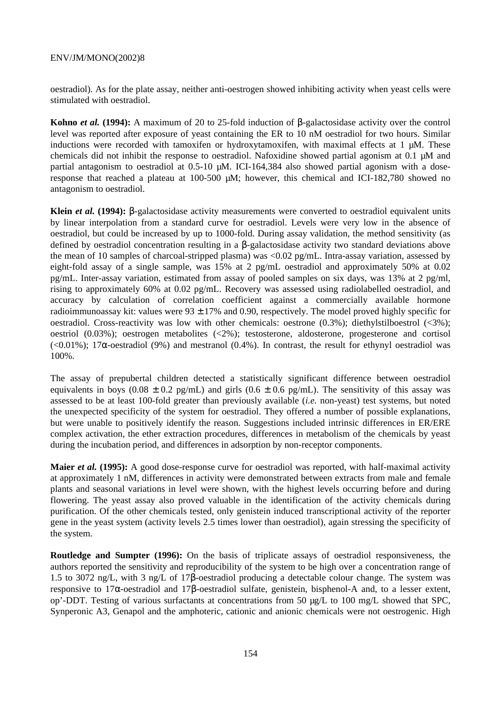oestradiol). As for the plate assay, neither anti-oestrogen showed inhibiting activity when yeast cells were stimulated with oestradiol.

**Kohno** *et al.* **(1994):** A maximum of 20 to 25-fold induction of β-galactosidase activity over the control level was reported after exposure of yeast containing the ER to 10 nM oestradiol for two hours. Similar inductions were recorded with tamoxifen or hydroxytamoxifen, with maximal effects at 1  $\mu$ M. These chemicals did not inhibit the response to oestradiol. Nafoxidine showed partial agonism at 0.1 µM and partial antagonism to oestradiol at 0.5-10  $\mu$ M. ICI-164,384 also showed partial agonism with a doseresponse that reached a plateau at 100-500 µM; however, this chemical and ICI-182,780 showed no antagonism to oestradiol.

**Klein** *et al.* **(1994):** β-galactosidase activity measurements were converted to oestradiol equivalent units by linear interpolation from a standard curve for oestradiol. Levels were very low in the absence of oestradiol, but could be increased by up to 1000-fold. During assay validation, the method sensitivity (as defined by oestradiol concentration resulting in a β-galactosidase activity two standard deviations above the mean of 10 samples of charcoal-stripped plasma) was <0.02 pg/mL. Intra-assay variation, assessed by eight-fold assay of a single sample, was 15% at 2 pg/mL oestradiol and approximately 50% at 0.02 pg/mL. Inter-assay variation, estimated from assay of pooled samples on six days, was 13% at 2 pg/ml, rising to approximately 60% at 0.02 pg/mL. Recovery was assessed using radiolabelled oestradiol, and accuracy by calculation of correlation coefficient against a commercially available hormone radioimmunoassay kit: values were  $93 \pm 17$ % and 0.90, respectively. The model proved highly specific for oestradiol. Cross-reactivity was low with other chemicals: oestrone (0.3%); diethylstilboestrol (<3%); oestriol (0.03%); oestrogen metabolites (<2%); testosterone, aldosterone, progesterone and cortisol (<0.01%); 17 $\alpha$ -oestradiol (9%) and mestranol (0.4%). In contrast, the result for ethynyl oestradiol was 100%.

The assay of prepubertal children detected a statistically significant difference between oestradiol equivalents in boys (0.08  $\pm$  0.2 pg/mL) and girls (0.6  $\pm$  0.6 pg/mL). The sensitivity of this assay was assessed to be at least 100-fold greater than previously available (*i.e.* non-yeast) test systems, but noted the unexpected specificity of the system for oestradiol. They offered a number of possible explanations, but were unable to positively identify the reason. Suggestions included intrinsic differences in ER/ERE complex activation, the ether extraction procedures, differences in metabolism of the chemicals by yeast during the incubation period, and differences in adsorption by non-receptor components.

**Maier** *et al.* **(1995):** A good dose-response curve for oestradiol was reported, with half-maximal activity at approximately 1 nM, differences in activity were demonstrated between extracts from male and female plants and seasonal variations in level were shown, with the highest levels occurring before and during flowering. The yeast assay also proved valuable in the identification of the activity chemicals during purification. Of the other chemicals tested, only genistein induced transcriptional activity of the reporter gene in the yeast system (activity levels 2.5 times lower than oestradiol), again stressing the specificity of the system.

**Routledge and Sumpter (1996):** On the basis of triplicate assays of oestradiol responsiveness, the authors reported the sensitivity and reproducibility of the system to be high over a concentration range of 1.5 to 3072 ng/L, with 3 ng/L of 17β-oestradiol producing a detectable colour change. The system was responsive to 17α-oestradiol and 17β-oestradiol sulfate, genistein, bisphenol-A and, to a lesser extent, op'-DDT. Testing of various surfactants at concentrations from 50  $\mu$ g/L to 100 mg/L showed that SPC, Synperonic A3, Genapol and the amphoteric, cationic and anionic chemicals were not oestrogenic. High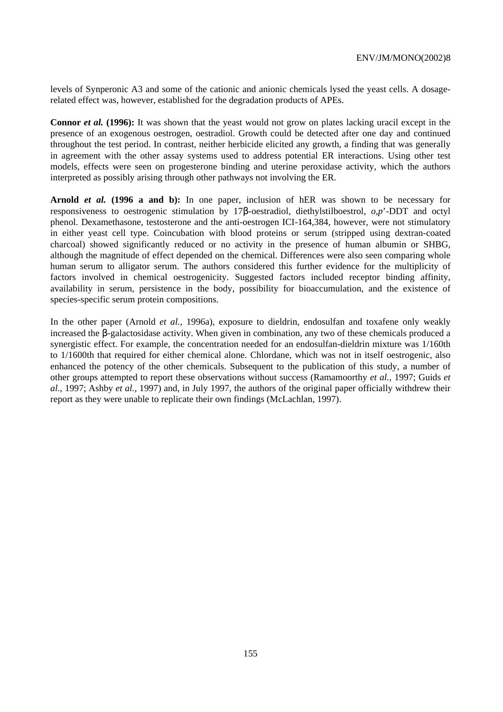levels of Synperonic A3 and some of the cationic and anionic chemicals lysed the yeast cells. A dosagerelated effect was, however, established for the degradation products of APEs.

**Connor** *et al.* **(1996):** It was shown that the yeast would not grow on plates lacking uracil except in the presence of an exogenous oestrogen, oestradiol. Growth could be detected after one day and continued throughout the test period. In contrast, neither herbicide elicited any growth, a finding that was generally in agreement with the other assay systems used to address potential ER interactions. Using other test models, effects were seen on progesterone binding and uterine peroxidase activity, which the authors interpreted as possibly arising through other pathways not involving the ER.

**Arnold** *et al.* **(1996 a and b):** In one paper, inclusion of hER was shown to be necessary for responsiveness to oestrogenic stimulation by 17β-oestradiol, diethylstilboestrol, *o,p*'-DDT and octyl phenol. Dexamethasone, testosterone and the anti-oestrogen ICI-164,384, however, were not stimulatory in either yeast cell type. Coincubation with blood proteins or serum (stripped using dextran-coated charcoal) showed significantly reduced or no activity in the presence of human albumin or SHBG, although the magnitude of effect depended on the chemical. Differences were also seen comparing whole human serum to alligator serum. The authors considered this further evidence for the multiplicity of factors involved in chemical oestrogenicity. Suggested factors included receptor binding affinity, availability in serum, persistence in the body, possibility for bioaccumulation, and the existence of species-specific serum protein compositions.

In the other paper (Arnold *et al.,* 1996a), exposure to dieldrin, endosulfan and toxafene only weakly increased the β-galactosidase activity. When given in combination, any two of these chemicals produced a synergistic effect. For example, the concentration needed for an endosulfan-dieldrin mixture was 1/160th to 1/1600th that required for either chemical alone. Chlordane, which was not in itself oestrogenic, also enhanced the potency of the other chemicals. Subsequent to the publication of this study, a number of other groups attempted to report these observations without success (Ramamoorthy *et al.,* 1997; Guids *et al.,* 1997; Ashby *et al.,* 1997) and, in July 1997, the authors of the original paper officially withdrew their report as they were unable to replicate their own findings (McLachlan, 1997).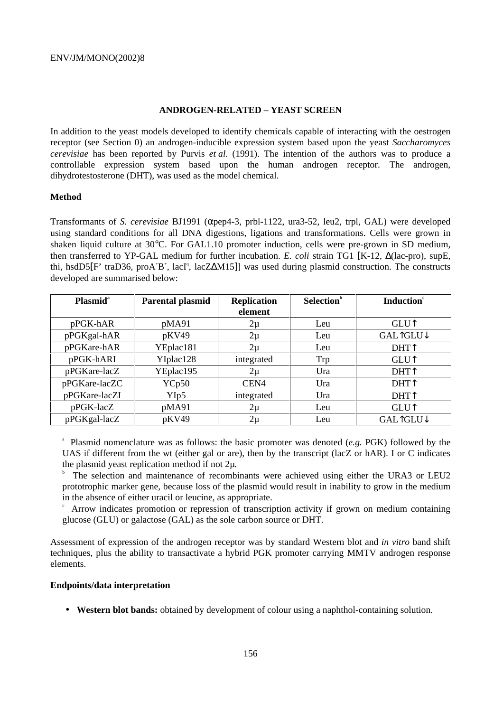## **ANDROGEN-RELATED – YEAST SCREEN**

In addition to the yeast models developed to identify chemicals capable of interacting with the oestrogen receptor (see Section 0) an androgen-inducible expression system based upon the yeast *Saccharomyces cerevisiae* has been reported by Purvis *et al.* (1991). The intention of the authors was to produce a controllable expression system based upon the human androgen receptor. The androgen, dihydrotestosterone (DHT), was used as the model chemical.

## **Method**

Transformants of *S. cerevisiae* BJ1991 (αpep4-3, prbl-1122, ura3-52, leu2, trpl, GAL) were developed using standard conditions for all DNA digestions, ligations and transformations. Cells were grown in shaken liquid culture at 30°C. For GAL1.10 promoter induction, cells were pre-grown in SD medium, then transferred to YP-GAL medium for further incubation. *E. coli* strain TG1 [K-12, ∆(lac-pro), supE, thi, hsdD5[F' traD36, proA<sup>+</sup>B<sup>+</sup>, lacI<sup>q</sup>, lacZ∆M15]] was used during plasmid construction. The constructs developed are summarised below:

| <b>Plasmid</b> <sup>ª</sup> | <b>Parental plasmid</b> | <b>Replication</b> | Selection <sup>b</sup> | <b>Induction</b> <sup>c</sup> |
|-----------------------------|-------------------------|--------------------|------------------------|-------------------------------|
|                             |                         | element            |                        |                               |
| pPGK-hAR                    | pMA91                   | $2\mu$             | Leu                    | <b>GLU</b>                    |
| pPGKgal-hAR                 | pKV49                   | $2\mu$             | Leu                    | GAL↑GLU↓                      |
| pPGKare-hAR                 | YEplac181               | $2\mu$             | Leu                    | <b>DHT</b> <sup>1</sup>       |
| pPGK-hARI                   | YIplac128               | integrated         | Trp                    | <b>GLU</b> <sup>1</sup>       |
| pPGKare-lacZ                | YEplac195               | $2\mu$             | Ura                    | <b>DHT</b> <sup>1</sup>       |
| pPGKare-lacZC               | YCp50                   | CEN4               | Ura                    | <b>DHT</b> <sup>1</sup>       |
| pPGKare-lacZI               | YIp5                    | integrated         | Ura                    | <b>DHT</b> <sup>1</sup>       |
| pPGK-lacZ                   | pMA91                   | $2\mu$             | Leu                    | <b>GLU</b> <sup>1</sup>       |
| pPGKgal-lacZ                | pKV49                   | $2\mu$             | Leu                    | GAL↑GLU↓                      |

<sup>a</sup> Plasmid nomenclature was as follows: the basic promoter was denoted (e.g. PGK) followed by the UAS if different from the wt (either gal or are), then by the transcript (lacZ or hAR). I or C indicates the plasmid yeast replication method if not 2µ.

The selection and maintenance of recombinants were achieved using either the URA3 or LEU2 prototrophic marker gene, because loss of the plasmid would result in inability to grow in the medium in the absence of either uracil or leucine, as appropriate.

c Arrow indicates promotion or repression of transcription activity if grown on medium containing glucose (GLU) or galactose (GAL) as the sole carbon source or DHT.

Assessment of expression of the androgen receptor was by standard Western blot and *in vitro* band shift techniques, plus the ability to transactivate a hybrid PGK promoter carrying MMTV androgen response elements.

### **Endpoints/data interpretation**

• **Western blot bands:** obtained by development of colour using a naphthol-containing solution.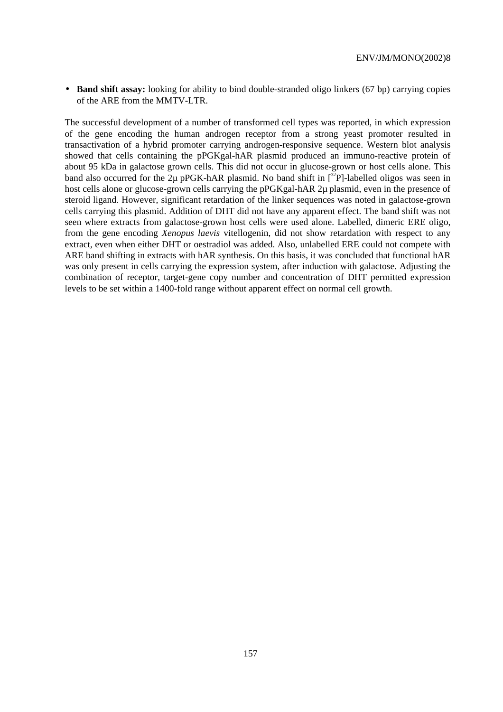• **Band shift assay:** looking for ability to bind double-stranded oligo linkers (67 bp) carrying copies of the ARE from the MMTV-LTR.

The successful development of a number of transformed cell types was reported, in which expression of the gene encoding the human androgen receptor from a strong yeast promoter resulted in transactivation of a hybrid promoter carrying androgen-responsive sequence. Western blot analysis showed that cells containing the pPGKgal-hAR plasmid produced an immuno-reactive protein of about 95 kDa in galactose grown cells. This did not occur in glucose-grown or host cells alone. This band also occurred for the 2 $\mu$  pPGK-hAR plasmid. No band shift in  $\int^{32}P$ ]-labelled oligos was seen in host cells alone or glucose-grown cells carrying the pPGKgal-hAR 2µ plasmid, even in the presence of steroid ligand. However, significant retardation of the linker sequences was noted in galactose-grown cells carrying this plasmid. Addition of DHT did not have any apparent effect. The band shift was not seen where extracts from galactose-grown host cells were used alone. Labelled, dimeric ERE oligo, from the gene encoding *Xenopus laevis* vitellogenin, did not show retardation with respect to any extract, even when either DHT or oestradiol was added. Also, unlabelled ERE could not compete with ARE band shifting in extracts with hAR synthesis. On this basis, it was concluded that functional hAR was only present in cells carrying the expression system, after induction with galactose. Adjusting the combination of receptor, target-gene copy number and concentration of DHT permitted expression levels to be set within a 1400-fold range without apparent effect on normal cell growth.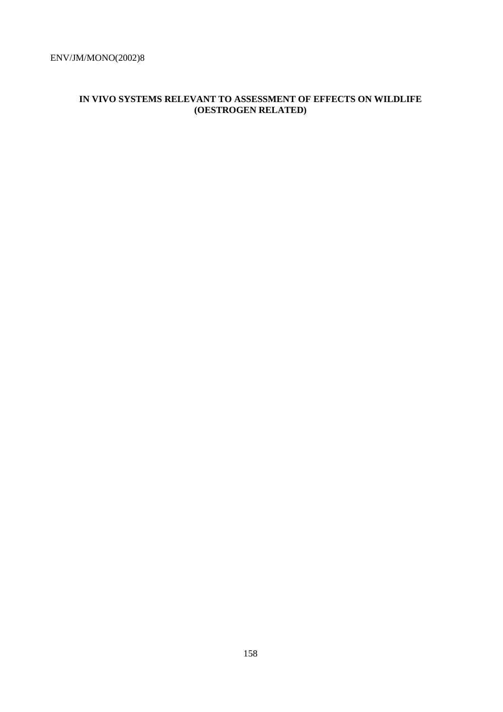# **IN VIVO SYSTEMS RELEVANT TO ASSESSMENT OF EFFECTS ON WILDLIFE (OESTROGEN RELATED)**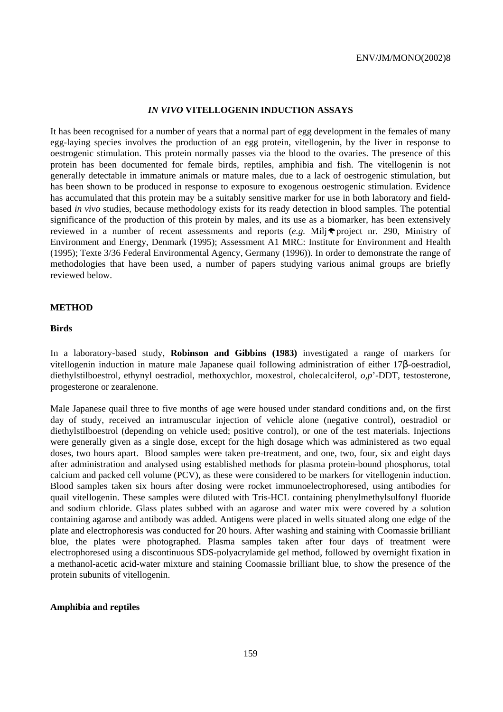## *IN VIVO* **VITELLOGENIN INDUCTION ASSAYS**

It has been recognised for a number of years that a normal part of egg development in the females of many egg-laying species involves the production of an egg protein, vitellogenin, by the liver in response to oestrogenic stimulation. This protein normally passes via the blood to the ovaries. The presence of this protein has been documented for female birds, reptiles, amphibia and fish. The vitellogenin is not generally detectable in immature animals or mature males, due to a lack of oestrogenic stimulation, but has been shown to be produced in response to exposure to exogenous oestrogenic stimulation. Evidence has accumulated that this protein may be a suitably sensitive marker for use in both laboratory and fieldbased *in vivo* studies, because methodology exists for its ready detection in blood samples. The potential significance of the production of this protein by males, and its use as a biomarker, has been extensively reviewed in a number of recent assessments and reports (e.g. Milj $\hat{\tau}$ project nr. 290, Ministry of Environment and Energy, Denmark (1995); Assessment A1 MRC: Institute for Environment and Health (1995); Texte 3/36 Federal Environmental Agency, Germany (1996)). In order to demonstrate the range of methodologies that have been used, a number of papers studying various animal groups are briefly reviewed below.

#### **METHOD**

## **Birds**

In a laboratory-based study, **Robinson and Gibbins (1983)** investigated a range of markers for vitellogenin induction in mature male Japanese quail following administration of either 17β-oestradiol, diethylstilboestrol, ethynyl oestradiol, methoxychlor, moxestrol, cholecalciferol, *o,p*'-DDT, testosterone, progesterone or zearalenone.

Male Japanese quail three to five months of age were housed under standard conditions and, on the first day of study, received an intramuscular injection of vehicle alone (negative control), oestradiol or diethylstilboestrol (depending on vehicle used; positive control), or one of the test materials. Injections were generally given as a single dose, except for the high dosage which was administered as two equal doses, two hours apart. Blood samples were taken pre-treatment, and one, two, four, six and eight days after administration and analysed using established methods for plasma protein-bound phosphorus, total calcium and packed cell volume (PCV), as these were considered to be markers for vitellogenin induction. Blood samples taken six hours after dosing were rocket immunoelectrophoresed, using antibodies for quail vitellogenin. These samples were diluted with Tris-HCL containing phenylmethylsulfonyl fluoride and sodium chloride. Glass plates subbed with an agarose and water mix were covered by a solution containing agarose and antibody was added. Antigens were placed in wells situated along one edge of the plate and electrophoresis was conducted for 20 hours. After washing and staining with Coomassie brilliant blue, the plates were photographed. Plasma samples taken after four days of treatment were electrophoresed using a discontinuous SDS-polyacrylamide gel method, followed by overnight fixation in a methanol-acetic acid-water mixture and staining Coomassie brilliant blue, to show the presence of the protein subunits of vitellogenin.

### **Amphibia and reptiles**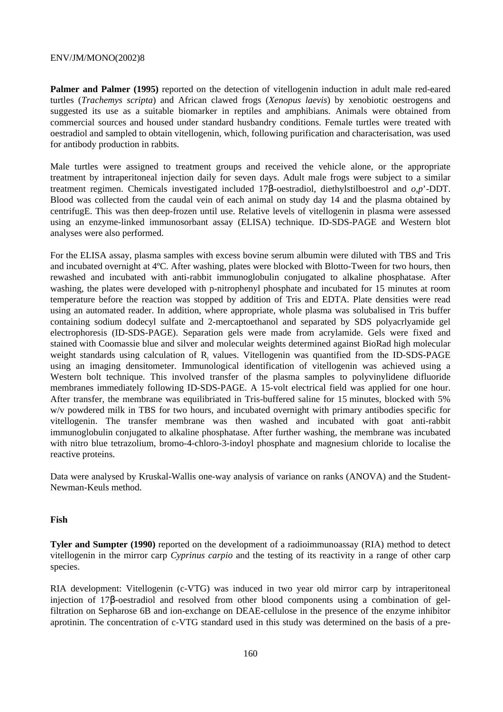**Palmer and Palmer (1995)** reported on the detection of vitellogenin induction in adult male red-eared turtles (*Trachemys scripta*) and African clawed frogs (*Xenopus laevis*) by xenobiotic oestrogens and suggested its use as a suitable biomarker in reptiles and amphibians. Animals were obtained from commercial sources and housed under standard husbandry conditions. Female turtles were treated with oestradiol and sampled to obtain vitellogenin, which, following purification and characterisation, was used for antibody production in rabbits.

Male turtles were assigned to treatment groups and received the vehicle alone, or the appropriate treatment by intraperitoneal injection daily for seven days. Adult male frogs were subject to a similar treatment regimen. Chemicals investigated included 17β-oestradiol, diethylstilboestrol and *o,p*'-DDT. Blood was collected from the caudal vein of each animal on study day 14 and the plasma obtained by centrifugE. This was then deep-frozen until use. Relative levels of vitellogenin in plasma were assessed using an enzyme-linked immunosorbant assay (ELISA) technique. ID-SDS-PAGE and Western blot analyses were also performed.

For the ELISA assay, plasma samples with excess bovine serum albumin were diluted with TBS and Tris and incubated overnight at 4ºC. After washing, plates were blocked with Blotto-Tween for two hours, then rewashed and incubated with anti-rabbit immunoglobulin conjugated to alkaline phosphatase. After washing, the plates were developed with p-nitrophenyl phosphate and incubated for 15 minutes at room temperature before the reaction was stopped by addition of Tris and EDTA. Plate densities were read using an automated reader. In addition, where appropriate, whole plasma was solubalised in Tris buffer containing sodium dodecyl sulfate and 2-mercaptoethanol and separated by SDS polyacrlyamide gel electrophoresis (ID-SDS-PAGE). Separation gels were made from acrylamide. Gels were fixed and stained with Coomassie blue and silver and molecular weights determined against BioRad high molecular weight standards using calculation of  $R_f$  values. Vitellogenin was quantified from the ID-SDS-PAGE using an imaging densitometer. Immunological identification of vitellogenin was achieved using a Western bolt technique. This involved transfer of the plasma samples to polyvinylidene difluoride membranes immediately following ID-SDS-PAGE. A 15-volt electrical field was applied for one hour. After transfer, the membrane was equilibriated in Tris-buffered saline for 15 minutes, blocked with 5% w/v powdered milk in TBS for two hours, and incubated overnight with primary antibodies specific for vitellogenin. The transfer membrane was then washed and incubated with goat anti-rabbit immunoglobulin conjugated to alkaline phosphatase. After further washing, the membrane was incubated with nitro blue tetrazolium, bromo-4-chloro-3-indoyl phosphate and magnesium chloride to localise the reactive proteins.

Data were analysed by Kruskal-Wallis one-way analysis of variance on ranks (ANOVA) and the Student-Newman-Keuls method.

#### **Fish**

**Tyler and Sumpter (1990)** reported on the development of a radioimmunoassay (RIA) method to detect vitellogenin in the mirror carp *Cyprinus carpio* and the testing of its reactivity in a range of other carp species.

RIA development: Vitellogenin (c-VTG) was induced in two year old mirror carp by intraperitoneal injection of 17β-oestradiol and resolved from other blood components using a combination of gelfiltration on Sepharose 6B and ion-exchange on DEAE-cellulose in the presence of the enzyme inhibitor aprotinin. The concentration of c-VTG standard used in this study was determined on the basis of a pre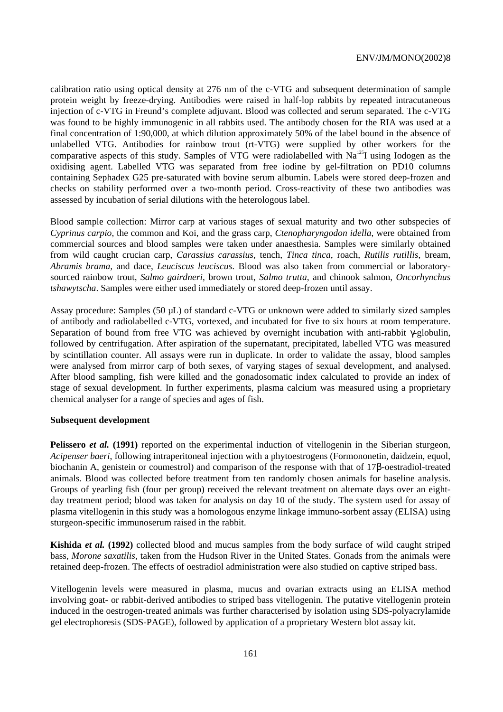calibration ratio using optical density at 276 nm of the c-VTG and subsequent determination of sample protein weight by freeze-drying. Antibodies were raised in half-lop rabbits by repeated intracutaneous injection of c-VTG in Freund's complete adjuvant. Blood was collected and serum separated. The c-VTG was found to be highly immunogenic in all rabbits used. The antibody chosen for the RIA was used at a final concentration of 1:90,000, at which dilution approximately 50% of the label bound in the absence of unlabelled VTG. Antibodies for rainbow trout (rt-VTG) were supplied by other workers for the comparative aspects of this study. Samples of VTG were radiolabelled with Na<sup>125</sup>I using Iodogen as the oxidising agent. Labelled VTG was separated from free iodine by gel-filtration on PD10 columns containing Sephadex G25 pre-saturated with bovine serum albumin. Labels were stored deep-frozen and checks on stability performed over a two-month period. Cross-reactivity of these two antibodies was assessed by incubation of serial dilutions with the heterologous label.

Blood sample collection: Mirror carp at various stages of sexual maturity and two other subspecies of *Cyprinus carpio*, the common and Koi, and the grass carp, *Ctenopharyngodon idella*, were obtained from commercial sources and blood samples were taken under anaesthesia. Samples were similarly obtained from wild caught crucian carp, *Carassius carassius*, tench, *Tinca tinca*, roach, *Rutilis rutillis*, bream, *Abramis brama,* and dace, *Leuciscus leuciscus*. Blood was also taken from commercial or laboratorysourced rainbow trout, *Salmo gairdneri*, brown trout, *Salmo trutta*, and chinook salmon, *Oncorhynchus tshawytscha*. Samples were either used immediately or stored deep-frozen until assay.

Assay procedure: Samples (50 µL) of standard c-VTG or unknown were added to similarly sized samples of antibody and radiolabelled c-VTG, vortexed, and incubated for five to six hours at room temperature. Separation of bound from free VTG was achieved by overnight incubation with anti-rabbit γ-globulin, followed by centrifugation. After aspiration of the supernatant, precipitated, labelled VTG was measured by scintillation counter. All assays were run in duplicate. In order to validate the assay, blood samples were analysed from mirror carp of both sexes, of varying stages of sexual development, and analysed. After blood sampling, fish were killed and the gonadosomatic index calculated to provide an index of stage of sexual development. In further experiments, plasma calcium was measured using a proprietary chemical analyser for a range of species and ages of fish.

### **Subsequent development**

Pelissero *et al.* (1991) reported on the experimental induction of vitellogenin in the Siberian sturgeon, *Acipenser baeri*, following intraperitoneal injection with a phytoestrogens (Formononetin, daidzein, equol, biochanin A, genistein or coumestrol) and comparison of the response with that of 17β-oestradiol-treated animals. Blood was collected before treatment from ten randomly chosen animals for baseline analysis. Groups of yearling fish (four per group) received the relevant treatment on alternate days over an eightday treatment period; blood was taken for analysis on day 10 of the study. The system used for assay of plasma vitellogenin in this study was a homologous enzyme linkage immuno-sorbent assay (ELISA) using sturgeon-specific immunoserum raised in the rabbit.

**Kishida** *et al.* **(1992)** collected blood and mucus samples from the body surface of wild caught striped bass, *Morone saxatilis*, taken from the Hudson River in the United States. Gonads from the animals were retained deep-frozen. The effects of oestradiol administration were also studied on captive striped bass.

Vitellogenin levels were measured in plasma, mucus and ovarian extracts using an ELISA method involving goat- or rabbit-derived antibodies to striped bass vitellogenin. The putative vitellogenin protein induced in the oestrogen-treated animals was further characterised by isolation using SDS-polyacrylamide gel electrophoresis (SDS-PAGE), followed by application of a proprietary Western blot assay kit.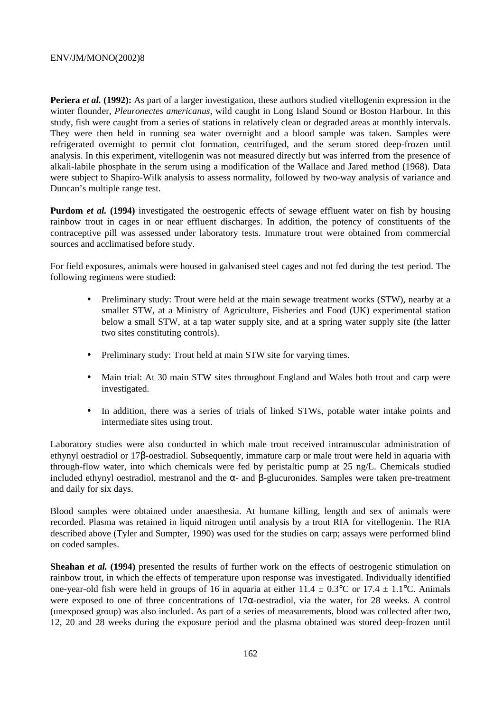**Periera** *et al.* (1992): As part of a larger investigation, these authors studied vitellogenin expression in the winter flounder, *Pleuronectes americanus*, wild caught in Long Island Sound or Boston Harbour. In this study, fish were caught from a series of stations in relatively clean or degraded areas at monthly intervals. They were then held in running sea water overnight and a blood sample was taken. Samples were refrigerated overnight to permit clot formation, centrifuged, and the serum stored deep-frozen until analysis. In this experiment, vitellogenin was not measured directly but was inferred from the presence of alkali-labile phosphate in the serum using a modification of the Wallace and Jared method (1968). Data were subject to Shapiro-Wilk analysis to assess normality, followed by two-way analysis of variance and Duncan's multiple range test.

**Purdom** *et al.* **(1994)** investigated the oestrogenic effects of sewage effluent water on fish by housing rainbow trout in cages in or near effluent discharges. In addition, the potency of constituents of the contraceptive pill was assessed under laboratory tests. Immature trout were obtained from commercial sources and acclimatised before study.

For field exposures, animals were housed in galvanised steel cages and not fed during the test period. The following regimens were studied:

- Preliminary study: Trout were held at the main sewage treatment works (STW), nearby at a smaller STW, at a Ministry of Agriculture, Fisheries and Food (UK) experimental station below a small STW, at a tap water supply site, and at a spring water supply site (the latter two sites constituting controls).
- Preliminary study: Trout held at main STW site for varying times.
- Main trial: At 30 main STW sites throughout England and Wales both trout and carp were investigated.
- In addition, there was a series of trials of linked STWs, potable water intake points and intermediate sites using trout.

Laboratory studies were also conducted in which male trout received intramuscular administration of ethynyl oestradiol or 17β-oestradiol. Subsequently, immature carp or male trout were held in aquaria with through-flow water, into which chemicals were fed by peristaltic pump at 25 ng/L. Chemicals studied included ethynyl oestradiol, mestranol and the α- and β-glucuronides. Samples were taken pre-treatment and daily for six days.

Blood samples were obtained under anaesthesia. At humane killing, length and sex of animals were recorded. Plasma was retained in liquid nitrogen until analysis by a trout RIA for vitellogenin. The RIA described above (Tyler and Sumpter, 1990) was used for the studies on carp; assays were performed blind on coded samples.

**Sheahan** *et al.* **(1994)** presented the results of further work on the effects of oestrogenic stimulation on rainbow trout, in which the effects of temperature upon response was investigated. Individually identified one-year-old fish were held in groups of 16 in aquaria at either  $11.4 \pm 0.3^{\circ}$ C or  $17.4 \pm 1.1^{\circ}$ C. Animals were exposed to one of three concentrations of 17α-oestradiol, via the water, for 28 weeks. A control (unexposed group) was also included. As part of a series of measurements, blood was collected after two, 12, 20 and 28 weeks during the exposure period and the plasma obtained was stored deep-frozen until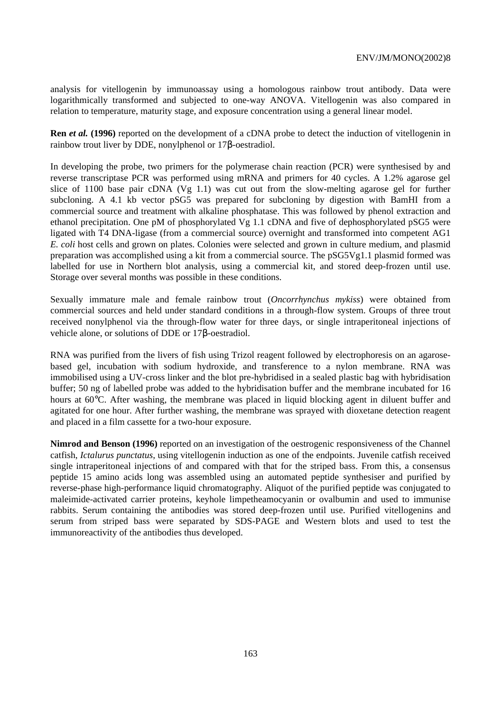analysis for vitellogenin by immunoassay using a homologous rainbow trout antibody. Data were logarithmically transformed and subjected to one-way ANOVA. Vitellogenin was also compared in relation to temperature, maturity stage, and exposure concentration using a general linear model.

**Ren** et al. (1996) reported on the development of a cDNA probe to detect the induction of vitellogenin in rainbow trout liver by DDE, nonylphenol or 17β-oestradiol.

In developing the probe, two primers for the polymerase chain reaction (PCR) were synthesised by and reverse transcriptase PCR was performed using mRNA and primers for 40 cycles. A 1.2% agarose gel slice of 1100 base pair cDNA (Vg 1.1) was cut out from the slow-melting agarose gel for further subcloning. A 4.1 kb vector pSG5 was prepared for subcloning by digestion with BamHI from a commercial source and treatment with alkaline phosphatase. This was followed by phenol extraction and ethanol precipitation. One pM of phosphorylated Vg 1.1 cDNA and five of dephosphorylated pSG5 were ligated with T4 DNA-ligase (from a commercial source) overnight and transformed into competent AG1 *E. coli* host cells and grown on plates. Colonies were selected and grown in culture medium, and plasmid preparation was accomplished using a kit from a commercial source. The pSG5Vg1.1 plasmid formed was labelled for use in Northern blot analysis, using a commercial kit, and stored deep-frozen until use. Storage over several months was possible in these conditions.

Sexually immature male and female rainbow trout (*Oncorrhynchus mykiss*) were obtained from commercial sources and held under standard conditions in a through-flow system. Groups of three trout received nonylphenol via the through-flow water for three days, or single intraperitoneal injections of vehicle alone, or solutions of DDE or 17β-oestradiol.

RNA was purified from the livers of fish using Trizol reagent followed by electrophoresis on an agarosebased gel, incubation with sodium hydroxide, and transference to a nylon membrane. RNA was immobilised using a UV-cross linker and the blot pre-hybridised in a sealed plastic bag with hybridisation buffer; 50 ng of labelled probe was added to the hybridisation buffer and the membrane incubated for 16 hours at 60°C. After washing, the membrane was placed in liquid blocking agent in diluent buffer and agitated for one hour. After further washing, the membrane was sprayed with dioxetane detection reagent and placed in a film cassette for a two-hour exposure.

**Nimrod and Benson (1996)** reported on an investigation of the oestrogenic responsiveness of the Channel catfish, *Ictalurus punctatus*, using vitellogenin induction as one of the endpoints. Juvenile catfish received single intraperitoneal injections of and compared with that for the striped bass. From this, a consensus peptide 15 amino acids long was assembled using an automated peptide synthesiser and purified by reverse-phase high-performance liquid chromatography. Aliquot of the purified peptide was conjugated to maleimide-activated carrier proteins, keyhole limpetheamocyanin or ovalbumin and used to immunise rabbits. Serum containing the antibodies was stored deep-frozen until use. Purified vitellogenins and serum from striped bass were separated by SDS-PAGE and Western blots and used to test the immunoreactivity of the antibodies thus developed.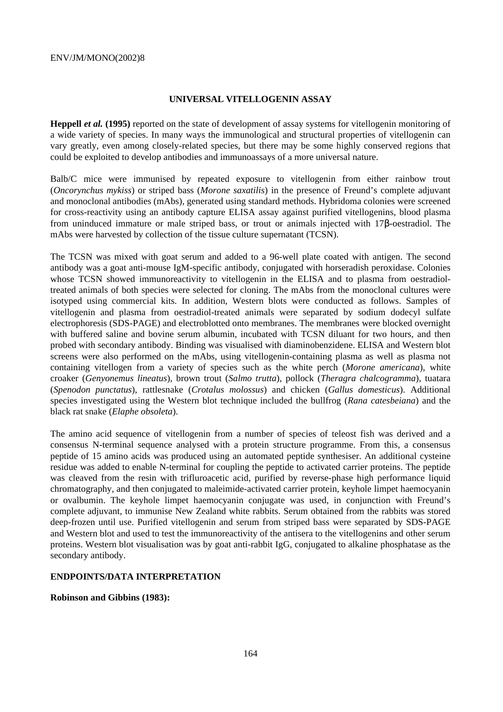## **UNIVERSAL VITELLOGENIN ASSAY**

**Heppell** *et al.* **(1995)** reported on the state of development of assay systems for vitellogenin monitoring of a wide variety of species. In many ways the immunological and structural properties of vitellogenin can vary greatly, even among closely-related species, but there may be some highly conserved regions that could be exploited to develop antibodies and immunoassays of a more universal nature.

Balb/C mice were immunised by repeated exposure to vitellogenin from either rainbow trout (*Oncorynchus mykiss*) or striped bass (*Morone saxatilis*) in the presence of Freund's complete adjuvant and monoclonal antibodies (mAbs), generated using standard methods. Hybridoma colonies were screened for cross-reactivity using an antibody capture ELISA assay against purified vitellogenins, blood plasma from uninduced immature or male striped bass, or trout or animals injected with 17β-oestradiol. The mAbs were harvested by collection of the tissue culture supernatant (TCSN).

The TCSN was mixed with goat serum and added to a 96-well plate coated with antigen. The second antibody was a goat anti-mouse IgM-specific antibody, conjugated with horseradish peroxidase. Colonies whose TCSN showed immunoreactivity to vitellogenin in the ELISA and to plasma from oestradioltreated animals of both species were selected for cloning. The mAbs from the monoclonal cultures were isotyped using commercial kits. In addition, Western blots were conducted as follows. Samples of vitellogenin and plasma from oestradiol-treated animals were separated by sodium dodecyl sulfate electrophoresis (SDS-PAGE) and electroblotted onto membranes. The membranes were blocked overnight with buffered saline and bovine serum albumin, incubated with TCSN diluant for two hours, and then probed with secondary antibody. Binding was visualised with diaminobenzidene. ELISA and Western blot screens were also performed on the mAbs, using vitellogenin-containing plasma as well as plasma not containing vitellogen from a variety of species such as the white perch (*Morone americana*), white croaker (*Genyonemus lineatus*), brown trout (*Salmo trutta*), pollock (*Theragra chalcogramma*), tuatara (*Spenodon punctatus*), rattlesnake (*Crotalus molossus*) and chicken (*Gallus domesticus*). Additional species investigated using the Western blot technique included the bullfrog (*Rana catesbeiana*) and the black rat snake (*Elaphe obsoleta*).

The amino acid sequence of vitellogenin from a number of species of teleost fish was derived and a consensus N-terminal sequence analysed with a protein structure programme. From this, a consensus peptide of 15 amino acids was produced using an automated peptide synthesiser. An additional cysteine residue was added to enable N-terminal for coupling the peptide to activated carrier proteins. The peptide was cleaved from the resin with trifluroacetic acid, purified by reverse-phase high performance liquid chromatography, and then conjugated to maleimide-activated carrier protein, keyhole limpet haemocyanin or ovalbumin. The keyhole limpet haemocyanin conjugate was used, in conjunction with Freund's complete adjuvant, to immunise New Zealand white rabbits. Serum obtained from the rabbits was stored deep-frozen until use. Purified vitellogenin and serum from striped bass were separated by SDS-PAGE and Western blot and used to test the immunoreactivity of the antisera to the vitellogenins and other serum proteins. Western blot visualisation was by goat anti-rabbit IgG, conjugated to alkaline phosphatase as the secondary antibody.

## **ENDPOINTS/DATA INTERPRETATION**

### **Robinson and Gibbins (1983):**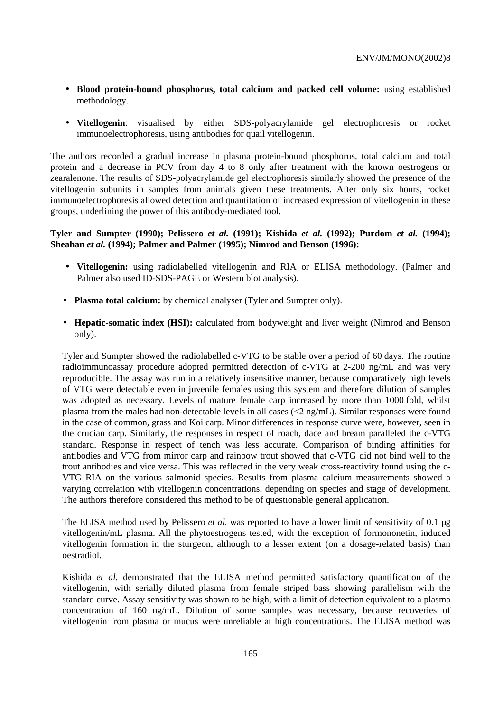- **Blood protein-bound phosphorus, total calcium and packed cell volume:** using established methodology.
- **Vitellogenin**: visualised by either SDS-polyacrylamide gel electrophoresis or rocket immunoelectrophoresis, using antibodies for quail vitellogenin.

The authors recorded a gradual increase in plasma protein-bound phosphorus, total calcium and total protein and a decrease in PCV from day 4 to 8 only after treatment with the known oestrogens or zearalenone. The results of SDS-polyacrylamide gel electrophoresis similarly showed the presence of the vitellogenin subunits in samples from animals given these treatments. After only six hours, rocket immunoelectrophoresis allowed detection and quantitation of increased expression of vitellogenin in these groups, underlining the power of this antibody-mediated tool.

## **Tyler and Sumpter (1990); Pelissero** *et al.* **(1991); Kishida** *et al.* **(1992); Purdom** *et al.* **(1994); Sheahan** *et al.* **(1994); Palmer and Palmer (1995); Nimrod and Benson (1996):**

- **Vitellogenin:** using radiolabelled vitellogenin and RIA or ELISA methodology. (Palmer and Palmer also used ID-SDS-PAGE or Western blot analysis).
- **Plasma total calcium:** by chemical analyser (Tyler and Sumpter only).
- **Hepatic-somatic index (HSI):** calculated from bodyweight and liver weight (Nimrod and Benson only).

Tyler and Sumpter showed the radiolabelled c-VTG to be stable over a period of 60 days. The routine radioimmunoassay procedure adopted permitted detection of c-VTG at 2-200 ng/mL and was very reproducible. The assay was run in a relatively insensitive manner, because comparatively high levels of VTG were detectable even in juvenile females using this system and therefore dilution of samples was adopted as necessary. Levels of mature female carp increased by more than 1000 fold, whilst plasma from the males had non-detectable levels in all cases (<2 ng/mL). Similar responses were found in the case of common, grass and Koi carp. Minor differences in response curve were, however, seen in the crucian carp. Similarly, the responses in respect of roach, dace and bream paralleled the c-VTG standard. Response in respect of tench was less accurate. Comparison of binding affinities for antibodies and VTG from mirror carp and rainbow trout showed that c-VTG did not bind well to the trout antibodies and vice versa. This was reflected in the very weak cross-reactivity found using the c-VTG RIA on the various salmonid species. Results from plasma calcium measurements showed a varying correlation with vitellogenin concentrations, depending on species and stage of development. The authors therefore considered this method to be of questionable general application.

The ELISA method used by Pelissero *et al.* was reported to have a lower limit of sensitivity of 0.1 µg vitellogenin/mL plasma. All the phytoestrogens tested, with the exception of formononetin, induced vitellogenin formation in the sturgeon, although to a lesser extent (on a dosage-related basis) than oestradiol.

Kishida *et al.* demonstrated that the ELISA method permitted satisfactory quantification of the vitellogenin, with serially diluted plasma from female striped bass showing parallelism with the standard curve. Assay sensitivity was shown to be high, with a limit of detection equivalent to a plasma concentration of 160 ng/mL. Dilution of some samples was necessary, because recoveries of vitellogenin from plasma or mucus were unreliable at high concentrations. The ELISA method was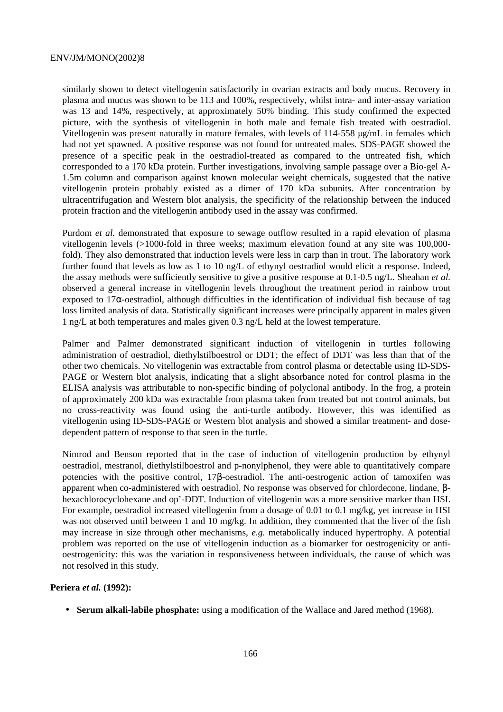similarly shown to detect vitellogenin satisfactorily in ovarian extracts and body mucus. Recovery in plasma and mucus was shown to be 113 and 100%, respectively, whilst intra- and inter-assay variation was 13 and 14%, respectively, at approximately 50% binding. This study confirmed the expected picture, with the synthesis of vitellogenin in both male and female fish treated with oestradiol. Vitellogenin was present naturally in mature females, with levels of 114-558  $\mu$ g/mL in females which had not yet spawned. A positive response was not found for untreated males. SDS-PAGE showed the presence of a specific peak in the oestradiol-treated as compared to the untreated fish, which corresponded to a 170 kDa protein. Further investigations, involving sample passage over a Bio-gel A-1.5m column and comparison against known molecular weight chemicals, suggested that the native vitellogenin protein probably existed as a dimer of 170 kDa subunits. After concentration by ultracentrifugation and Western blot analysis, the specificity of the relationship between the induced protein fraction and the vitellogenin antibody used in the assay was confirmed.

Purdom *et al.* demonstrated that exposure to sewage outflow resulted in a rapid elevation of plasma vitellogenin levels (>1000-fold in three weeks; maximum elevation found at any site was 100,000 fold). They also demonstrated that induction levels were less in carp than in trout. The laboratory work further found that levels as low as 1 to 10 ng/L of ethynyl oestradiol would elicit a response. Indeed, the assay methods were sufficiently sensitive to give a positive response at 0.1-0.5 ng/L. Sheahan *et al.* observed a general increase in vitellogenin levels throughout the treatment period in rainbow trout exposed to 17 $\alpha$ -oestradiol, although difficulties in the identification of individual fish because of tag loss limited analysis of data. Statistically significant increases were principally apparent in males given 1 ng/L at both temperatures and males given 0.3 ng/L held at the lowest temperature.

Palmer and Palmer demonstrated significant induction of vitellogenin in turtles following administration of oestradiol, diethylstilboestrol or DDT; the effect of DDT was less than that of the other two chemicals. No vitellogenin was extractable from control plasma or detectable using ID-SDS-PAGE or Western blot analysis, indicating that a slight absorbance noted for control plasma in the ELISA analysis was attributable to non-specific binding of polyclonal antibody. In the frog, a protein of approximately 200 kDa was extractable from plasma taken from treated but not control animals, but no cross-reactivity was found using the anti-turtle antibody. However, this was identified as vitellogenin using ID-SDS-PAGE or Western blot analysis and showed a similar treatment- and dosedependent pattern of response to that seen in the turtle.

Nimrod and Benson reported that in the case of induction of vitellogenin production by ethynyl oestradiol, mestranol, diethylstilboestrol and p-nonylphenol, they were able to quantitatively compare potencies with the positive control, 17β-oestradiol. The anti-oestrogenic action of tamoxifen was apparent when co-administered with oestradiol. No response was observed for chlordecone, lindane, βhexachlorocyclohexane and op'-DDT. Induction of vitellogenin was a more sensitive marker than HSI. For example, oestradiol increased vitellogenin from a dosage of 0.01 to 0.1 mg/kg, yet increase in HSI was not observed until between 1 and 10 mg/kg. In addition, they commented that the liver of the fish may increase in size through other mechanisms, *e.g.* metabolically induced hypertrophy. A potential problem was reported on the use of vitellogenin induction as a biomarker for oestrogenicity or antioestrogenicity: this was the variation in responsiveness between individuals, the cause of which was not resolved in this study.

## **Periera** *et al.* **(1992):**

• **Serum alkali-labile phosphate:** using a modification of the Wallace and Jared method (1968).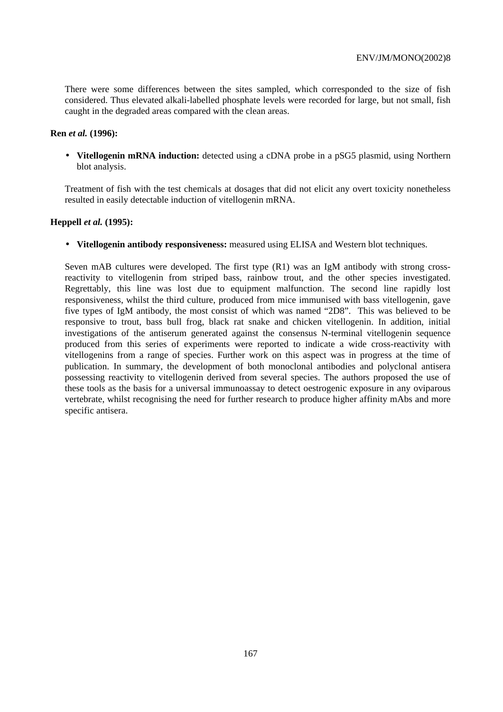There were some differences between the sites sampled, which corresponded to the size of fish considered. Thus elevated alkali-labelled phosphate levels were recorded for large, but not small, fish caught in the degraded areas compared with the clean areas.

## **Ren** *et al.* **(1996):**

• **Vitellogenin mRNA induction:** detected using a cDNA probe in a pSG5 plasmid, using Northern blot analysis.

Treatment of fish with the test chemicals at dosages that did not elicit any overt toxicity nonetheless resulted in easily detectable induction of vitellogenin mRNA.

## **Heppell** *et al.* **(1995):**

• **Vitellogenin antibody responsiveness:** measured using ELISA and Western blot techniques.

Seven mAB cultures were developed. The first type (R1) was an IgM antibody with strong crossreactivity to vitellogenin from striped bass, rainbow trout, and the other species investigated. Regrettably, this line was lost due to equipment malfunction. The second line rapidly lost responsiveness, whilst the third culture, produced from mice immunised with bass vitellogenin, gave five types of IgM antibody, the most consist of which was named "2D8". This was believed to be responsive to trout, bass bull frog, black rat snake and chicken vitellogenin. In addition, initial investigations of the antiserum generated against the consensus N-terminal vitellogenin sequence produced from this series of experiments were reported to indicate a wide cross-reactivity with vitellogenins from a range of species. Further work on this aspect was in progress at the time of publication. In summary, the development of both monoclonal antibodies and polyclonal antisera possessing reactivity to vitellogenin derived from several species. The authors proposed the use of these tools as the basis for a universal immunoassay to detect oestrogenic exposure in any oviparous vertebrate, whilst recognising the need for further research to produce higher affinity mAbs and more specific antisera.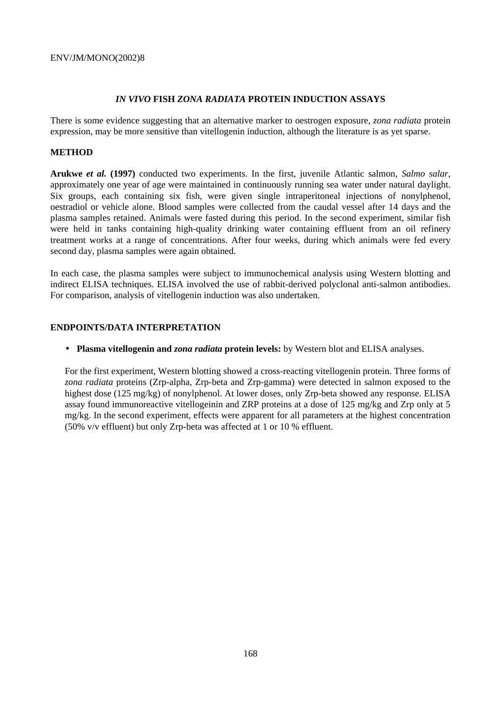## *IN VIVO* **FISH** *ZONA RADIATA* **PROTEIN INDUCTION ASSAYS**

There is some evidence suggesting that an alternative marker to oestrogen exposure, *zona radiata* protein expression, may be more sensitive than vitellogenin induction, although the literature is as yet sparse.

## **METHOD**

**Arukwe** *et al.* **(1997)** conducted two experiments. In the first, juvenile Atlantic salmon, *Salmo salar*, approximately one year of age were maintained in continuously running sea water under natural daylight. Six groups, each containing six fish, were given single intraperitoneal injections of nonylphenol, oestradiol or vehicle alone. Blood samples were collected from the caudal vessel after 14 days and the plasma samples retained. Animals were fasted during this period. In the second experiment, similar fish were held in tanks containing high-quality drinking water containing effluent from an oil refinery treatment works at a range of concentrations. After four weeks, during which animals were fed every second day, plasma samples were again obtained.

In each case, the plasma samples were subject to immunochemical analysis using Western blotting and indirect ELISA techniques. ELISA involved the use of rabbit-derived polyclonal anti-salmon antibodies. For comparison, analysis of vitellogenin induction was also undertaken.

## **ENDPOINTS/DATA INTERPRETATION**

• **Plasma vitellogenin and** *zona radiata* **protein levels:** by Western blot and ELISA analyses.

For the first experiment, Western blotting showed a cross-reacting vitellogenin protein. Three forms of *zona radiata* proteins (Zrp-alpha, Zrp-beta and Zrp-gamma) were detected in salmon exposed to the highest dose (125 mg/kg) of nonylphenol. At lower doses, only Zrp-beta showed any response. ELISA assay found immunoreactive vitellogeinin and ZRP proteins at a dose of 125 mg/kg and Zrp only at 5 mg/kg. In the second experiment, effects were apparent for all parameters at the highest concentration (50% v/v effluent) but only Zrp-beta was affected at 1 or 10 % effluent.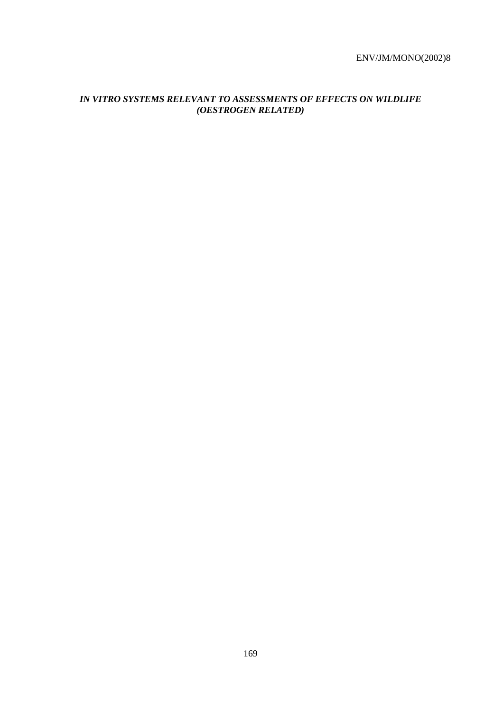# *IN VITRO SYSTEMS RELEVANT TO ASSESSMENTS OF EFFECTS ON WILDLIFE (OESTROGEN RELATED)*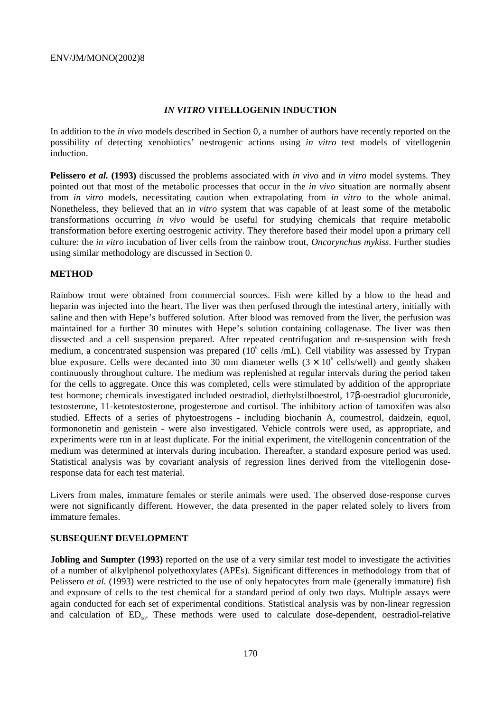### *IN VITRO* **VITELLOGENIN INDUCTION**

In addition to the *in vivo* models described in Section 0, a number of authors have recently reported on the possibility of detecting xenobiotics' oestrogenic actions using *in vitro* test models of vitellogenin induction.

**Pelissero** *et al.* **(1993)** discussed the problems associated with *in vivo* and *in vitro* model systems. They pointed out that most of the metabolic processes that occur in the *in vivo* situation are normally absent from *in vitro* models, necessitating caution when extrapolating from *in vitro* to the whole animal. Nonetheless, they believed that an *in vitro* system that was capable of at least some of the metabolic transformations occurring *in vivo* would be useful for studying chemicals that require metabolic transformation before exerting oestrogenic activity. They therefore based their model upon a primary cell culture: the *in vitro* incubation of liver cells from the rainbow trout, *Oncorynchus mykiss*. Further studies using similar methodology are discussed in Section 0.

### **METHOD**

Rainbow trout were obtained from commercial sources. Fish were killed by a blow to the head and heparin was injected into the heart. The liver was then perfused through the intestinal artery, initially with saline and then with Hepe's buffered solution. After blood was removed from the liver, the perfusion was maintained for a further 30 minutes with Hepe's solution containing collagenase. The liver was then dissected and a cell suspension prepared. After repeated centrifugation and re-suspension with fresh medium, a concentrated suspension was prepared  $(10^6 \text{ cells } / \text{mL})$ . Cell viability was assessed by Trypan blue exposure. Cells were decanted into 30 mm diameter wells  $(3 \times 10^6 \text{ cells/well})$  and gently shaken continuously throughout culture. The medium was replenished at regular intervals during the period taken for the cells to aggregate. Once this was completed, cells were stimulated by addition of the appropriate test hormone; chemicals investigated included oestradiol, diethylstilboestrol, 17β-oestradiol glucuronide, testosterone, 11-ketotestosterone, progesterone and cortisol. The inhibitory action of tamoxifen was also studied. Effects of a series of phytoestrogens - including biochanin A, coumestrol, daidzein, equol, formononetin and genistein - were also investigated. Vehicle controls were used, as appropriate, and experiments were run in at least duplicate. For the initial experiment, the vitellogenin concentration of the medium was determined at intervals during incubation. Thereafter, a standard exposure period was used. Statistical analysis was by covariant analysis of regression lines derived from the vitellogenin doseresponse data for each test material.

Livers from males, immature females or sterile animals were used. The observed dose-response curves were not significantly different. However, the data presented in the paper related solely to livers from immature females.

#### **SUBSEQUENT DEVELOPMENT**

**Jobling and Sumpter (1993)** reported on the use of a very similar test model to investigate the activities of a number of alkylphenol polyethoxylates (APEs). Significant differences in methodology from that of Pelissero *et al.* (1993) were restricted to the use of only hepatocytes from male (generally immature) fish and exposure of cells to the test chemical for a standard period of only two days. Multiple assays were again conducted for each set of experimental conditions. Statistical analysis was by non-linear regression and calculation of  $ED_{so}$ . These methods were used to calculate dose-dependent, oestradiol-relative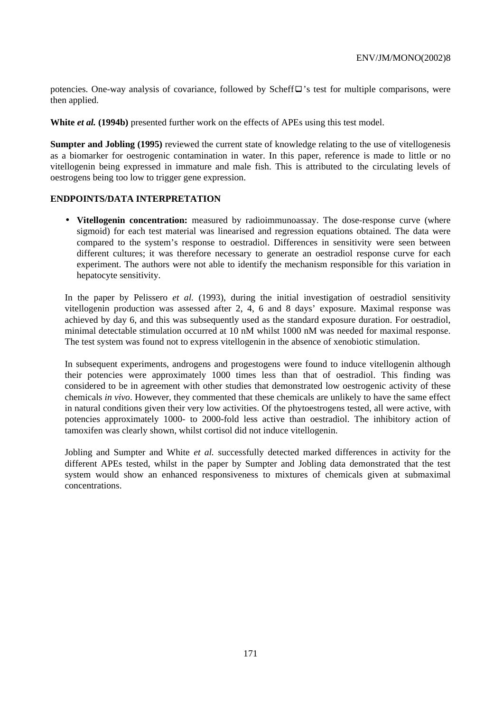potencies. One-way analysis of covariance, followed by Scheff $\Box$ 's test for multiple comparisons, were then applied.

**White** *et al.* (1994b) presented further work on the effects of APEs using this test model.

**Sumpter and Jobling (1995)** reviewed the current state of knowledge relating to the use of vitellogenesis as a biomarker for oestrogenic contamination in water. In this paper, reference is made to little or no vitellogenin being expressed in immature and male fish. This is attributed to the circulating levels of oestrogens being too low to trigger gene expression.

## **ENDPOINTS/DATA INTERPRETATION**

• **Vitellogenin concentration:** measured by radioimmunoassay. The dose-response curve (where sigmoid) for each test material was linearised and regression equations obtained. The data were compared to the system's response to oestradiol. Differences in sensitivity were seen between different cultures; it was therefore necessary to generate an oestradiol response curve for each experiment. The authors were not able to identify the mechanism responsible for this variation in hepatocyte sensitivity.

In the paper by Pelissero *et al.* (1993), during the initial investigation of oestradiol sensitivity vitellogenin production was assessed after 2, 4, 6 and 8 days' exposure. Maximal response was achieved by day 6, and this was subsequently used as the standard exposure duration. For oestradiol, minimal detectable stimulation occurred at 10 nM whilst 1000 nM was needed for maximal response. The test system was found not to express vitellogenin in the absence of xenobiotic stimulation.

In subsequent experiments, androgens and progestogens were found to induce vitellogenin although their potencies were approximately 1000 times less than that of oestradiol. This finding was considered to be in agreement with other studies that demonstrated low oestrogenic activity of these chemicals *in vivo*. However, they commented that these chemicals are unlikely to have the same effect in natural conditions given their very low activities. Of the phytoestrogens tested, all were active, with potencies approximately 1000- to 2000-fold less active than oestradiol. The inhibitory action of tamoxifen was clearly shown, whilst cortisol did not induce vitellogenin.

Jobling and Sumpter and White *et al.* successfully detected marked differences in activity for the different APEs tested, whilst in the paper by Sumpter and Jobling data demonstrated that the test system would show an enhanced responsiveness to mixtures of chemicals given at submaximal concentrations.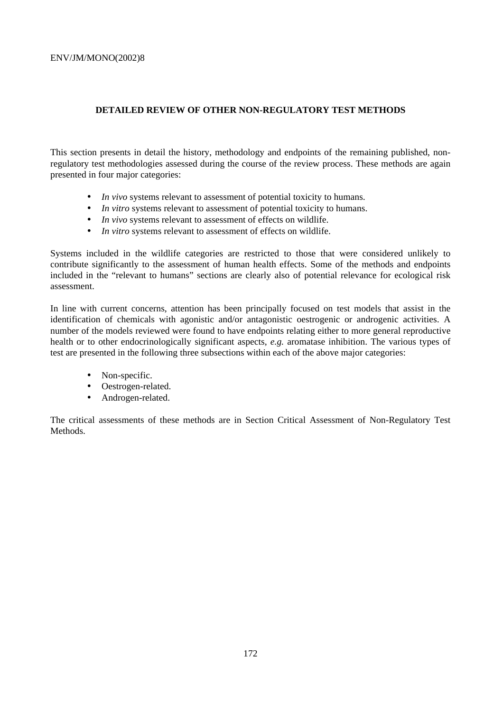## **DETAILED REVIEW OF OTHER NON-REGULATORY TEST METHODS**

This section presents in detail the history, methodology and endpoints of the remaining published, nonregulatory test methodologies assessed during the course of the review process. These methods are again presented in four major categories:

- *In vivo* systems relevant to assessment of potential toxicity to humans.
- *In vitro* systems relevant to assessment of potential toxicity to humans.
- *In vivo* systems relevant to assessment of effects on wildlife.
- *In vitro* systems relevant to assessment of effects on wildlife.

Systems included in the wildlife categories are restricted to those that were considered unlikely to contribute significantly to the assessment of human health effects. Some of the methods and endpoints included in the "relevant to humans" sections are clearly also of potential relevance for ecological risk assessment.

In line with current concerns, attention has been principally focused on test models that assist in the identification of chemicals with agonistic and/or antagonistic oestrogenic or androgenic activities. A number of the models reviewed were found to have endpoints relating either to more general reproductive health or to other endocrinologically significant aspects, *e.g.* aromatase inhibition. The various types of test are presented in the following three subsections within each of the above major categories:

- Non-specific.
- Oestrogen-related.
- Androgen-related.

The critical assessments of these methods are in Section Critical Assessment of Non-Regulatory Test Methods.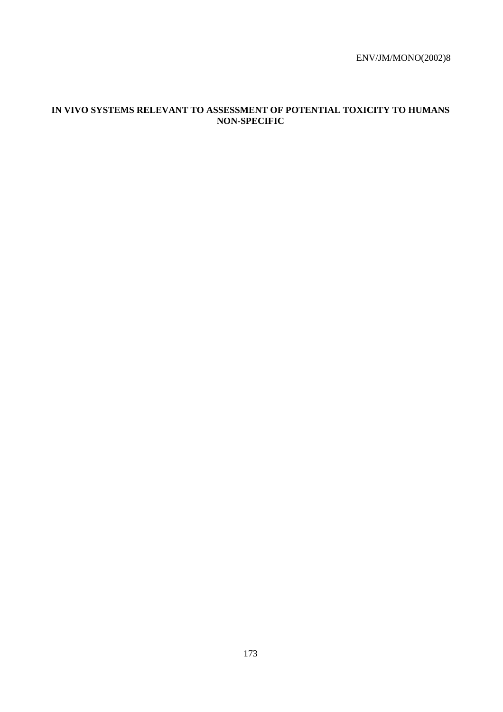# **IN VIVO SYSTEMS RELEVANT TO ASSESSMENT OF POTENTIAL TOXICITY TO HUMANS NON-SPECIFIC**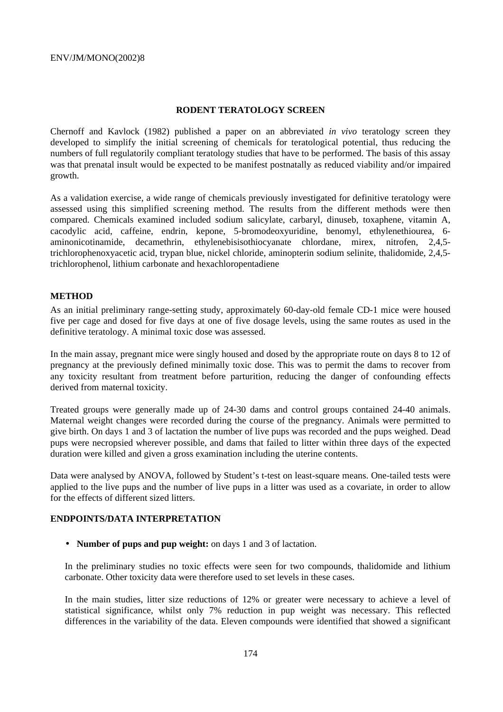### **RODENT TERATOLOGY SCREEN**

Chernoff and Kavlock (1982) published a paper on an abbreviated *in vivo* teratology screen they developed to simplify the initial screening of chemicals for teratological potential, thus reducing the numbers of full regulatorily compliant teratology studies that have to be performed. The basis of this assay was that prenatal insult would be expected to be manifest postnatally as reduced viability and/or impaired growth.

As a validation exercise, a wide range of chemicals previously investigated for definitive teratology were assessed using this simplified screening method. The results from the different methods were then compared. Chemicals examined included sodium salicylate, carbaryl, dinuseb, toxaphene, vitamin A, cacodylic acid, caffeine, endrin, kepone, 5-bromodeoxyuridine, benomyl, ethylenethiourea, 6 aminonicotinamide, decamethrin, ethylenebisisothiocyanate chlordane, mirex, nitrofen, 2,4,5 trichlorophenoxyacetic acid, trypan blue, nickel chloride, aminopterin sodium selinite, thalidomide, 2,4,5 trichlorophenol, lithium carbonate and hexachloropentadiene

#### **METHOD**

As an initial preliminary range-setting study, approximately 60-day-old female CD-1 mice were housed five per cage and dosed for five days at one of five dosage levels, using the same routes as used in the definitive teratology. A minimal toxic dose was assessed.

In the main assay, pregnant mice were singly housed and dosed by the appropriate route on days 8 to 12 of pregnancy at the previously defined minimally toxic dose. This was to permit the dams to recover from any toxicity resultant from treatment before parturition, reducing the danger of confounding effects derived from maternal toxicity.

Treated groups were generally made up of 24-30 dams and control groups contained 24-40 animals. Maternal weight changes were recorded during the course of the pregnancy. Animals were permitted to give birth. On days 1 and 3 of lactation the number of live pups was recorded and the pups weighed. Dead pups were necropsied wherever possible, and dams that failed to litter within three days of the expected duration were killed and given a gross examination including the uterine contents.

Data were analysed by ANOVA, followed by Student's t-test on least-square means. One-tailed tests were applied to the live pups and the number of live pups in a litter was used as a covariate, in order to allow for the effects of different sized litters.

### **ENDPOINTS/DATA INTERPRETATION**

• **Number of pups and pup weight:** on days 1 and 3 of lactation.

In the preliminary studies no toxic effects were seen for two compounds, thalidomide and lithium carbonate. Other toxicity data were therefore used to set levels in these cases.

In the main studies, litter size reductions of 12% or greater were necessary to achieve a level of statistical significance, whilst only 7% reduction in pup weight was necessary. This reflected differences in the variability of the data. Eleven compounds were identified that showed a significant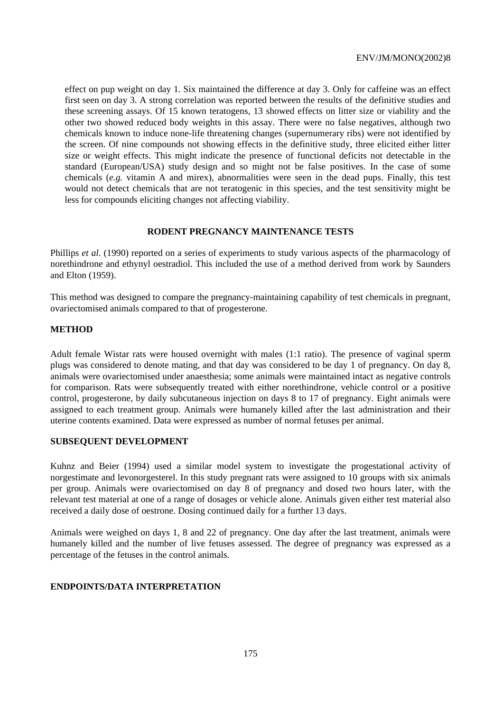effect on pup weight on day 1. Six maintained the difference at day 3. Only for caffeine was an effect first seen on day 3. A strong correlation was reported between the results of the definitive studies and these screening assays. Of 15 known teratogens, 13 showed effects on litter size or viability and the other two showed reduced body weights in this assay. There were no false negatives, although two chemicals known to induce none-life threatening changes (supernumerary ribs) were not identified by the screen. Of nine compounds not showing effects in the definitive study, three elicited either litter size or weight effects. This might indicate the presence of functional deficits not detectable in the standard (European/USA) study design and so might not be false positives. In the case of some chemicals (*e.g.* vitamin A and mirex), abnormalities were seen in the dead pups. Finally, this test would not detect chemicals that are not teratogenic in this species, and the test sensitivity might be less for compounds eliciting changes not affecting viability.

## **RODENT PREGNANCY MAINTENANCE TESTS**

Phillips *et al.* (1990) reported on a series of experiments to study various aspects of the pharmacology of norethindrone and ethynyl oestradiol. This included the use of a method derived from work by Saunders and Elton (1959).

This method was designed to compare the pregnancy-maintaining capability of test chemicals in pregnant, ovariectomised animals compared to that of progesterone.

## **METHOD**

Adult female Wistar rats were housed overnight with males (1:1 ratio). The presence of vaginal sperm plugs was considered to denote mating, and that day was considered to be day 1 of pregnancy. On day 8, animals were ovariectomised under anaesthesia; some animals were maintained intact as negative controls for comparison. Rats were subsequently treated with either norethindrone, vehicle control or a positive control, progesterone, by daily subcutaneous injection on days 8 to 17 of pregnancy. Eight animals were assigned to each treatment group. Animals were humanely killed after the last administration and their uterine contents examined. Data were expressed as number of normal fetuses per animal.

## **SUBSEQUENT DEVELOPMENT**

Kuhnz and Beier (1994) used a similar model system to investigate the progestational activity of norgestimate and levonorgesterel. In this study pregnant rats were assigned to 10 groups with six animals per group. Animals were ovariectomised on day 8 of pregnancy and dosed two hours later, with the relevant test material at one of a range of dosages or vehicle alone. Animals given either test material also received a daily dose of oestrone. Dosing continued daily for a further 13 days.

Animals were weighed on days 1, 8 and 22 of pregnancy. One day after the last treatment, animals were humanely killed and the number of live fetuses assessed. The degree of pregnancy was expressed as a percentage of the fetuses in the control animals.

## **ENDPOINTS/DATA INTERPRETATION**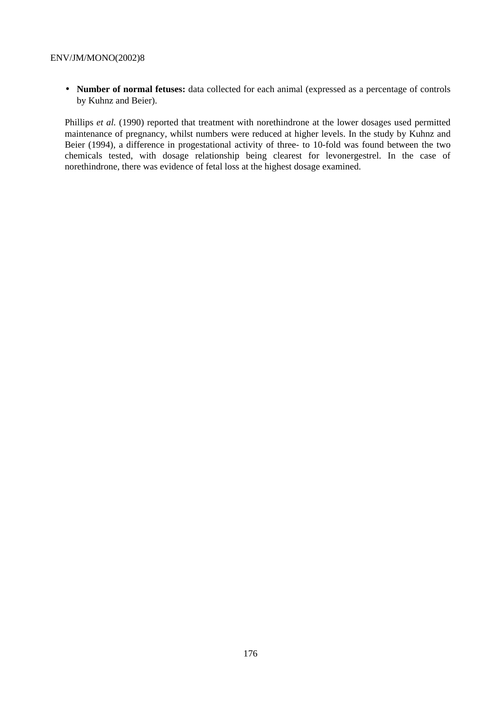• **Number of normal fetuses:** data collected for each animal (expressed as a percentage of controls by Kuhnz and Beier).

Phillips et al. (1990) reported that treatment with norethindrone at the lower dosages used permitted maintenance of pregnancy, whilst numbers were reduced at higher levels. In the study by Kuhnz and Beier (1994), a difference in progestational activity of three- to 10-fold was found between the two chemicals tested, with dosage relationship being clearest for levonergestrel. In the case of norethindrone, there was evidence of fetal loss at the highest dosage examined.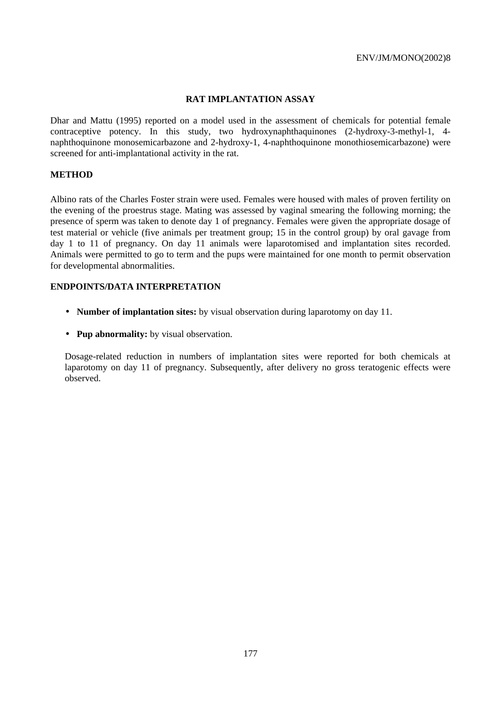## **RAT IMPLANTATION ASSAY**

Dhar and Mattu (1995) reported on a model used in the assessment of chemicals for potential female contraceptive potency. In this study, two hydroxynaphthaquinones (2-hydroxy-3-methyl-1, 4 naphthoquinone monosemicarbazone and 2-hydroxy-1, 4-naphthoquinone monothiosemicarbazone) were screened for anti-implantational activity in the rat.

# **METHOD**

Albino rats of the Charles Foster strain were used. Females were housed with males of proven fertility on the evening of the proestrus stage. Mating was assessed by vaginal smearing the following morning; the presence of sperm was taken to denote day 1 of pregnancy. Females were given the appropriate dosage of test material or vehicle (five animals per treatment group; 15 in the control group) by oral gavage from day 1 to 11 of pregnancy. On day 11 animals were laparotomised and implantation sites recorded. Animals were permitted to go to term and the pups were maintained for one month to permit observation for developmental abnormalities.

## **ENDPOINTS/DATA INTERPRETATION**

- **Number of implantation sites:** by visual observation during laparotomy on day 11.
- **Pup abnormality:** by visual observation.

Dosage-related reduction in numbers of implantation sites were reported for both chemicals at laparotomy on day 11 of pregnancy. Subsequently, after delivery no gross teratogenic effects were observed.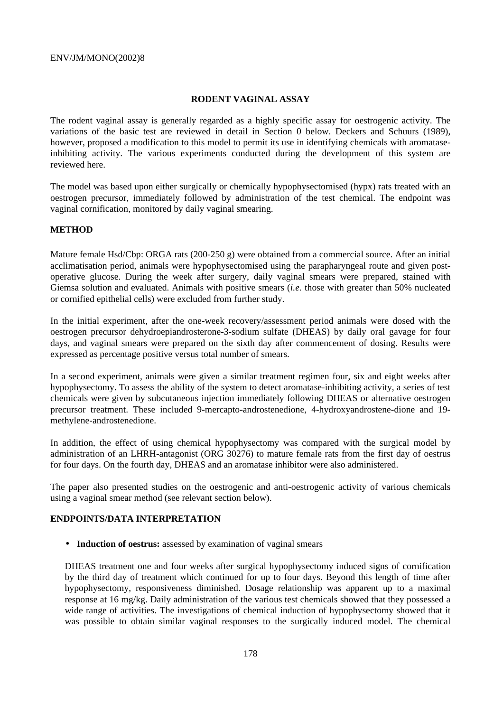## **RODENT VAGINAL ASSAY**

The rodent vaginal assay is generally regarded as a highly specific assay for oestrogenic activity. The variations of the basic test are reviewed in detail in Section 0 below. Deckers and Schuurs (1989), however, proposed a modification to this model to permit its use in identifying chemicals with aromataseinhibiting activity. The various experiments conducted during the development of this system are reviewed here.

The model was based upon either surgically or chemically hypophysectomised (hypx) rats treated with an oestrogen precursor, immediately followed by administration of the test chemical. The endpoint was vaginal cornification, monitored by daily vaginal smearing.

## **METHOD**

Mature female Hsd/Cbp: ORGA rats (200-250 g) were obtained from a commercial source. After an initial acclimatisation period, animals were hypophysectomised using the parapharyngeal route and given postoperative glucose. During the week after surgery, daily vaginal smears were prepared, stained with Giemsa solution and evaluated. Animals with positive smears (*i.e.* those with greater than 50% nucleated or cornified epithelial cells) were excluded from further study.

In the initial experiment, after the one-week recovery/assessment period animals were dosed with the oestrogen precursor dehydroepiandrosterone-3-sodium sulfate (DHEAS) by daily oral gavage for four days, and vaginal smears were prepared on the sixth day after commencement of dosing. Results were expressed as percentage positive versus total number of smears.

In a second experiment, animals were given a similar treatment regimen four, six and eight weeks after hypophysectomy. To assess the ability of the system to detect aromatase-inhibiting activity, a series of test chemicals were given by subcutaneous injection immediately following DHEAS or alternative oestrogen precursor treatment. These included 9-mercapto-androstenedione, 4-hydroxyandrostene-dione and 19 methylene-androstenedione.

In addition, the effect of using chemical hypophysectomy was compared with the surgical model by administration of an LHRH-antagonist (ORG 30276) to mature female rats from the first day of oestrus for four days. On the fourth day, DHEAS and an aromatase inhibitor were also administered.

The paper also presented studies on the oestrogenic and anti-oestrogenic activity of various chemicals using a vaginal smear method (see relevant section below).

## **ENDPOINTS/DATA INTERPRETATION**

• **Induction of oestrus:** assessed by examination of vaginal smears

DHEAS treatment one and four weeks after surgical hypophysectomy induced signs of cornification by the third day of treatment which continued for up to four days. Beyond this length of time after hypophysectomy, responsiveness diminished. Dosage relationship was apparent up to a maximal response at 16 mg/kg. Daily administration of the various test chemicals showed that they possessed a wide range of activities. The investigations of chemical induction of hypophysectomy showed that it was possible to obtain similar vaginal responses to the surgically induced model. The chemical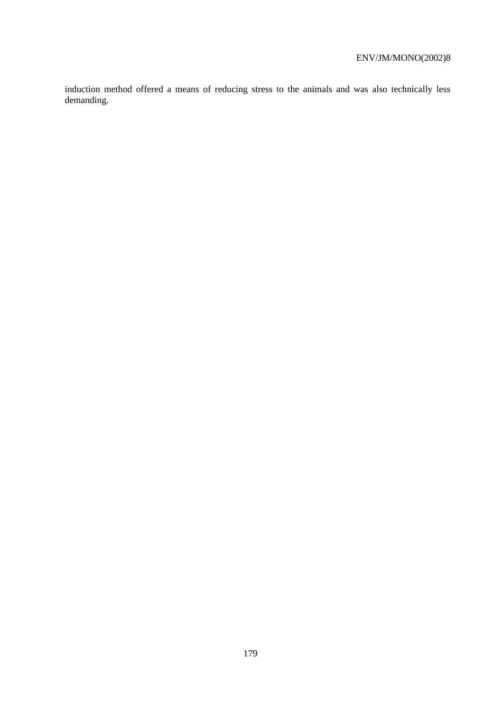induction method offered a means of reducing stress to the animals and was also technically less demanding.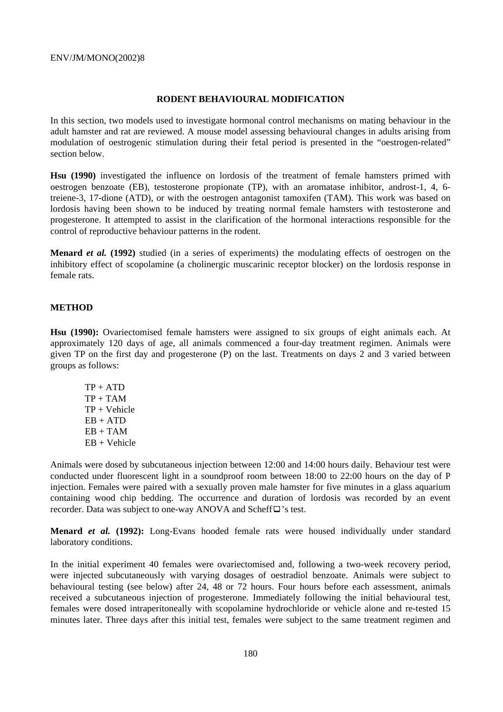### **RODENT BEHAVIOURAL MODIFICATION**

In this section, two models used to investigate hormonal control mechanisms on mating behaviour in the adult hamster and rat are reviewed. A mouse model assessing behavioural changes in adults arising from modulation of oestrogenic stimulation during their fetal period is presented in the "oestrogen-related" section below.

**Hsu (1990)** investigated the influence on lordosis of the treatment of female hamsters primed with oestrogen benzoate (EB), testosterone propionate (TP), with an aromatase inhibitor, androst-1, 4, 6 treiene-3, 17-dione (ATD), or with the oestrogen antagonist tamoxifen (TAM). This work was based on lordosis having been shown to be induced by treating normal female hamsters with testosterone and progesterone. It attempted to assist in the clarification of the hormonal interactions responsible for the control of reproductive behaviour patterns in the rodent.

**Menard** *et al.* **(1992)** studied (in a series of experiments) the modulating effects of oestrogen on the inhibitory effect of scopolamine (a cholinergic muscarinic receptor blocker) on the lordosis response in female rats.

### **METHOD**

**Hsu (1990):** Ovariectomised female hamsters were assigned to six groups of eight animals each. At approximately 120 days of age, all animals commenced a four-day treatment regimen. Animals were given TP on the first day and progesterone (P) on the last. Treatments on days 2 and 3 varied between groups as follows:

 $TP + ATP$  $TP + TAM$ TP + Vehicle  $EB + ATP$  $EB + TAM$ EB + Vehicle

Animals were dosed by subcutaneous injection between 12:00 and 14:00 hours daily. Behaviour test were conducted under fluorescent light in a soundproof room between 18:00 to 22:00 hours on the day of P injection. Females were paired with a sexually proven male hamster for five minutes in a glass aquarium containing wood chip bedding. The occurrence and duration of lordosis was recorded by an event recorder. Data was subject to one-way ANOVA and Scheff $\square$ 's test.

**Menard** *et al.* **(1992):** Long-Evans hooded female rats were housed individually under standard laboratory conditions.

In the initial experiment 40 females were ovariectomised and, following a two-week recovery period, were injected subcutaneously with varying dosages of oestradiol benzoate. Animals were subject to behavioural testing (see below) after 24, 48 or 72 hours. Four hours before each assessment, animals received a subcutaneous injection of progesterone. Immediately following the initial behavioural test, females were dosed intraperitoneally with scopolamine hydrochloride or vehicle alone and re-tested 15 minutes later. Three days after this initial test, females were subject to the same treatment regimen and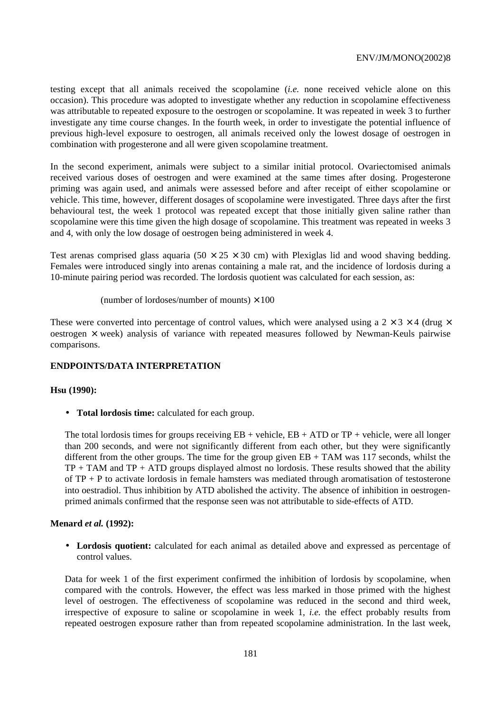testing except that all animals received the scopolamine (*i.e.* none received vehicle alone on this occasion). This procedure was adopted to investigate whether any reduction in scopolamine effectiveness was attributable to repeated exposure to the oestrogen or scopolamine. It was repeated in week 3 to further investigate any time course changes. In the fourth week, in order to investigate the potential influence of previous high-level exposure to oestrogen, all animals received only the lowest dosage of oestrogen in combination with progesterone and all were given scopolamine treatment.

In the second experiment, animals were subject to a similar initial protocol. Ovariectomised animals received various doses of oestrogen and were examined at the same times after dosing. Progesterone priming was again used, and animals were assessed before and after receipt of either scopolamine or vehicle. This time, however, different dosages of scopolamine were investigated. Three days after the first behavioural test, the week 1 protocol was repeated except that those initially given saline rather than scopolamine were this time given the high dosage of scopolamine. This treatment was repeated in weeks 3 and 4, with only the low dosage of oestrogen being administered in week 4.

Test arenas comprised glass aquaria  $(50 \times 25 \times 30 \text{ cm})$  with Plexiglas lid and wood shaving bedding. Females were introduced singly into arenas containing a male rat, and the incidence of lordosis during a 10-minute pairing period was recorded. The lordosis quotient was calculated for each session, as:

(number of lordoses/number of mounts)  $\times$  100

These were converted into percentage of control values, which were analysed using a  $2 \times 3 \times 4$  (drug  $\times$ oestrogen  $\times$  week) analysis of variance with repeated measures followed by Newman-Keuls pairwise comparisons.

### **ENDPOINTS/DATA INTERPRETATION**

#### **Hsu (1990):**

• **Total lordosis time:** calculated for each group.

The total lordosis times for groups receiving  $EB$  + vehicle,  $EB$  + ATD or  $TP$  + vehicle, were all longer than 200 seconds, and were not significantly different from each other, but they were significantly different from the other groups. The time for the group given  $EB + TAM$  was 117 seconds, whilst the  $TP + TAM$  and  $TP + ATP$  groups displayed almost no lordosis. These results showed that the ability of TP + P to activate lordosis in female hamsters was mediated through aromatisation of testosterone into oestradiol. Thus inhibition by ATD abolished the activity. The absence of inhibition in oestrogenprimed animals confirmed that the response seen was not attributable to side-effects of ATD.

### **Menard** *et al.* **(1992):**

• **Lordosis quotient:** calculated for each animal as detailed above and expressed as percentage of control values.

Data for week 1 of the first experiment confirmed the inhibition of lordosis by scopolamine, when compared with the controls. However, the effect was less marked in those primed with the highest level of oestrogen. The effectiveness of scopolamine was reduced in the second and third week, irrespective of exposure to saline or scopolamine in week 1, *i.e.* the effect probably results from repeated oestrogen exposure rather than from repeated scopolamine administration. In the last week,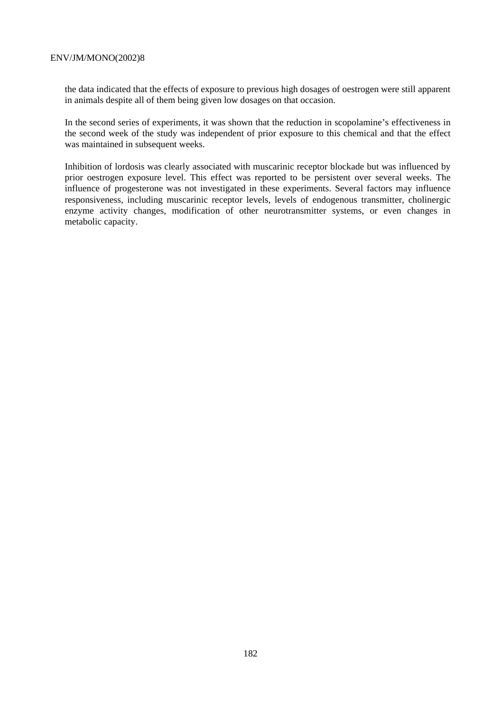the data indicated that the effects of exposure to previous high dosages of oestrogen were still apparent in animals despite all of them being given low dosages on that occasion.

In the second series of experiments, it was shown that the reduction in scopolamine's effectiveness in the second week of the study was independent of prior exposure to this chemical and that the effect was maintained in subsequent weeks.

Inhibition of lordosis was clearly associated with muscarinic receptor blockade but was influenced by prior oestrogen exposure level. This effect was reported to be persistent over several weeks. The influence of progesterone was not investigated in these experiments. Several factors may influence responsiveness, including muscarinic receptor levels, levels of endogenous transmitter, cholinergic enzyme activity changes, modification of other neurotransmitter systems, or even changes in metabolic capacity.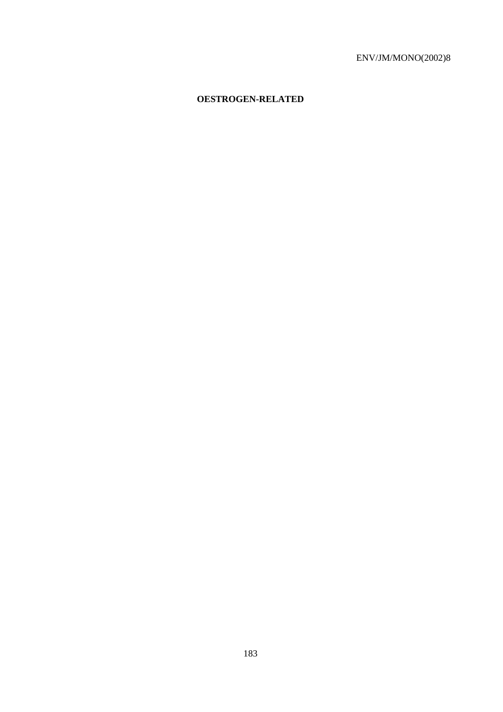# **OESTROGEN-RELATED**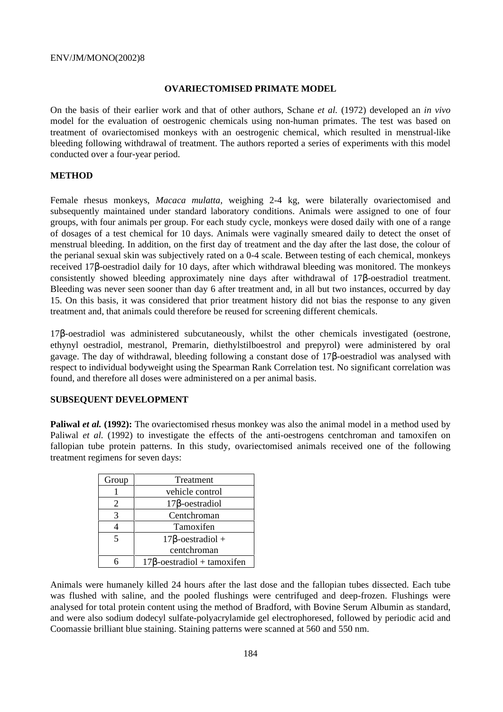#### **OVARIECTOMISED PRIMATE MODEL**

On the basis of their earlier work and that of other authors, Schane *et al.* (1972) developed an *in vivo* model for the evaluation of oestrogenic chemicals using non-human primates. The test was based on treatment of ovariectomised monkeys with an oestrogenic chemical, which resulted in menstrual-like bleeding following withdrawal of treatment. The authors reported a series of experiments with this model conducted over a four-year period.

#### **METHOD**

Female rhesus monkeys, *Macaca mulatta*, weighing 2-4 kg, were bilaterally ovariectomised and subsequently maintained under standard laboratory conditions. Animals were assigned to one of four groups, with four animals per group. For each study cycle, monkeys were dosed daily with one of a range of dosages of a test chemical for 10 days. Animals were vaginally smeared daily to detect the onset of menstrual bleeding. In addition, on the first day of treatment and the day after the last dose, the colour of the perianal sexual skin was subjectively rated on a 0-4 scale. Between testing of each chemical, monkeys received 17β-oestradiol daily for 10 days, after which withdrawal bleeding was monitored. The monkeys consistently showed bleeding approximately nine days after withdrawal of 17β-oestradiol treatment. Bleeding was never seen sooner than day 6 after treatment and, in all but two instances, occurred by day 15. On this basis, it was considered that prior treatment history did not bias the response to any given treatment and, that animals could therefore be reused for screening different chemicals.

17β-oestradiol was administered subcutaneously, whilst the other chemicals investigated (oestrone, ethynyl oestradiol, mestranol, Premarin, diethylstilboestrol and prepyrol) were administered by oral gavage. The day of withdrawal, bleeding following a constant dose of 17β-oestradiol was analysed with respect to individual bodyweight using the Spearman Rank Correlation test. No significant correlation was found, and therefore all doses were administered on a per animal basis.

### **SUBSEQUENT DEVELOPMENT**

**Paliwal** et al. (1992): The ovariectomised rhesus monkey was also the animal model in a method used by Paliwal *et al.* (1992) to investigate the effects of the anti-oestrogens centchroman and tamoxifen on fallopian tube protein patterns. In this study, ovariectomised animals received one of the following treatment regimens for seven days:

| Group | Treatment                         |  |
|-------|-----------------------------------|--|
|       | vehicle control                   |  |
|       | $17\beta$ -oestradiol             |  |
|       | Centchroman                       |  |
|       | Tamoxifen                         |  |
|       | $17\beta$ -oestradiol +           |  |
|       | centchroman                       |  |
|       | $17\beta$ -oestradiol + tamoxifen |  |

Animals were humanely killed 24 hours after the last dose and the fallopian tubes dissected. Each tube was flushed with saline, and the pooled flushings were centrifuged and deep-frozen. Flushings were analysed for total protein content using the method of Bradford, with Bovine Serum Albumin as standard, and were also sodium dodecyl sulfate-polyacrylamide gel electrophoresed, followed by periodic acid and Coomassie brilliant blue staining. Staining patterns were scanned at 560 and 550 nm.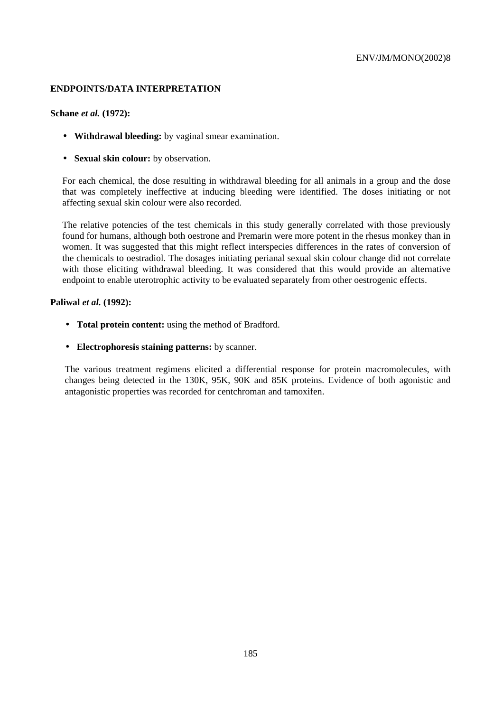# **ENDPOINTS/DATA INTERPRETATION**

### **Schane** *et al.* **(1972):**

- **Withdrawal bleeding:** by vaginal smear examination.
- **Sexual skin colour:** by observation.

For each chemical, the dose resulting in withdrawal bleeding for all animals in a group and the dose that was completely ineffective at inducing bleeding were identified. The doses initiating or not affecting sexual skin colour were also recorded.

The relative potencies of the test chemicals in this study generally correlated with those previously found for humans, although both oestrone and Premarin were more potent in the rhesus monkey than in women. It was suggested that this might reflect interspecies differences in the rates of conversion of the chemicals to oestradiol. The dosages initiating perianal sexual skin colour change did not correlate with those eliciting withdrawal bleeding. It was considered that this would provide an alternative endpoint to enable uterotrophic activity to be evaluated separately from other oestrogenic effects.

# **Paliwal** *et al.* **(1992):**

- **Total protein content:** using the method of Bradford.
- **Electrophoresis staining patterns:** by scanner.

The various treatment regimens elicited a differential response for protein macromolecules, with changes being detected in the 130K, 95K, 90K and 85K proteins. Evidence of both agonistic and antagonistic properties was recorded for centchroman and tamoxifen.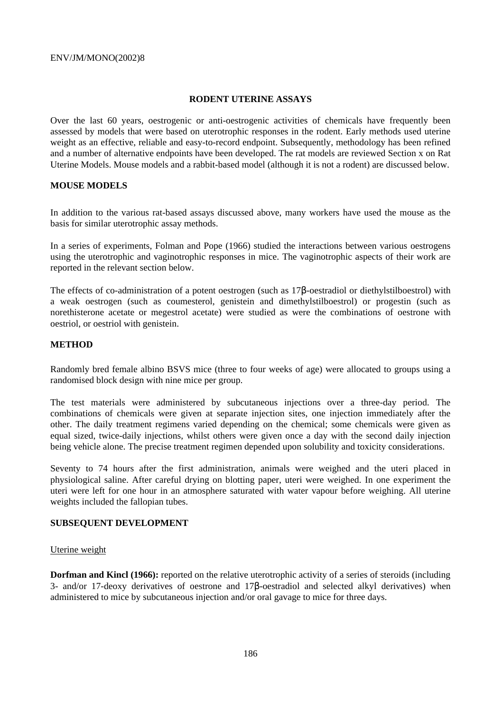### **RODENT UTERINE ASSAYS**

Over the last 60 years, oestrogenic or anti-oestrogenic activities of chemicals have frequently been assessed by models that were based on uterotrophic responses in the rodent. Early methods used uterine weight as an effective, reliable and easy-to-record endpoint. Subsequently, methodology has been refined and a number of alternative endpoints have been developed. The rat models are reviewed Section x on Rat Uterine Models. Mouse models and a rabbit-based model (although it is not a rodent) are discussed below.

# **MOUSE MODELS**

In addition to the various rat-based assays discussed above, many workers have used the mouse as the basis for similar uterotrophic assay methods.

In a series of experiments, Folman and Pope (1966) studied the interactions between various oestrogens using the uterotrophic and vaginotrophic responses in mice. The vaginotrophic aspects of their work are reported in the relevant section below.

The effects of co-administration of a potent oestrogen (such as 17β-oestradiol or diethylstilboestrol) with a weak oestrogen (such as coumesterol, genistein and dimethylstilboestrol) or progestin (such as norethisterone acetate or megestrol acetate) were studied as were the combinations of oestrone with oestriol, or oestriol with genistein.

### **METHOD**

Randomly bred female albino BSVS mice (three to four weeks of age) were allocated to groups using a randomised block design with nine mice per group.

The test materials were administered by subcutaneous injections over a three-day period. The combinations of chemicals were given at separate injection sites, one injection immediately after the other. The daily treatment regimens varied depending on the chemical; some chemicals were given as equal sized, twice-daily injections, whilst others were given once a day with the second daily injection being vehicle alone. The precise treatment regimen depended upon solubility and toxicity considerations.

Seventy to 74 hours after the first administration, animals were weighed and the uteri placed in physiological saline. After careful drying on blotting paper, uteri were weighed. In one experiment the uteri were left for one hour in an atmosphere saturated with water vapour before weighing. All uterine weights included the fallopian tubes.

### **SUBSEQUENT DEVELOPMENT**

#### Uterine weight

**Dorfman and Kincl (1966):** reported on the relative uterotrophic activity of a series of steroids (including 3- and/or 17-deoxy derivatives of oestrone and 17β-oestradiol and selected alkyl derivatives) when administered to mice by subcutaneous injection and/or oral gavage to mice for three days.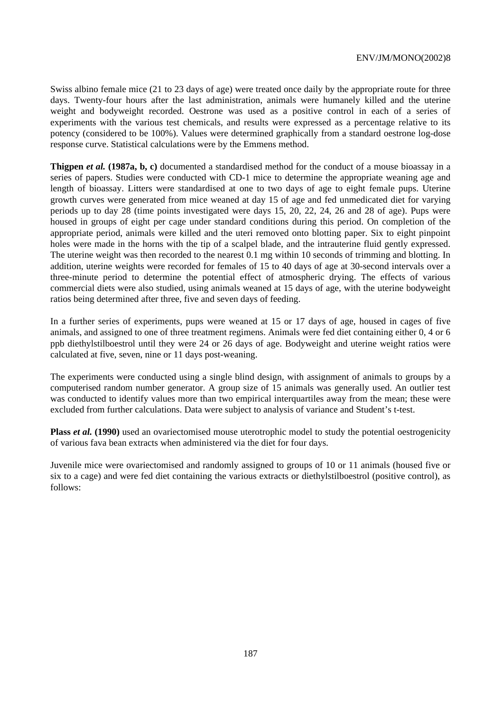Swiss albino female mice (21 to 23 days of age) were treated once daily by the appropriate route for three days. Twenty-four hours after the last administration, animals were humanely killed and the uterine weight and bodyweight recorded. Oestrone was used as a positive control in each of a series of experiments with the various test chemicals, and results were expressed as a percentage relative to its potency (considered to be 100%). Values were determined graphically from a standard oestrone log-dose response curve. Statistical calculations were by the Emmens method.

**Thigpen** *et al.* **(1987a, b, c)** documented a standardised method for the conduct of a mouse bioassay in a series of papers. Studies were conducted with CD-1 mice to determine the appropriate weaning age and length of bioassay. Litters were standardised at one to two days of age to eight female pups. Uterine growth curves were generated from mice weaned at day 15 of age and fed unmedicated diet for varying periods up to day 28 (time points investigated were days 15, 20, 22, 24, 26 and 28 of age). Pups were housed in groups of eight per cage under standard conditions during this period. On completion of the appropriate period, animals were killed and the uteri removed onto blotting paper. Six to eight pinpoint holes were made in the horns with the tip of a scalpel blade, and the intrauterine fluid gently expressed. The uterine weight was then recorded to the nearest 0.1 mg within 10 seconds of trimming and blotting. In addition, uterine weights were recorded for females of 15 to 40 days of age at 30-second intervals over a three-minute period to determine the potential effect of atmospheric drying. The effects of various commercial diets were also studied, using animals weaned at 15 days of age, with the uterine bodyweight ratios being determined after three, five and seven days of feeding.

In a further series of experiments, pups were weaned at 15 or 17 days of age, housed in cages of five animals, and assigned to one of three treatment regimens. Animals were fed diet containing either 0, 4 or 6 ppb diethylstilboestrol until they were 24 or 26 days of age. Bodyweight and uterine weight ratios were calculated at five, seven, nine or 11 days post-weaning.

The experiments were conducted using a single blind design, with assignment of animals to groups by a computerised random number generator. A group size of 15 animals was generally used. An outlier test was conducted to identify values more than two empirical interquartiles away from the mean; these were excluded from further calculations. Data were subject to analysis of variance and Student's t-test.

**Plass** *et al.* **(1990)** used an ovariectomised mouse uterotrophic model to study the potential oestrogenicity of various fava bean extracts when administered via the diet for four days.

Juvenile mice were ovariectomised and randomly assigned to groups of 10 or 11 animals (housed five or six to a cage) and were fed diet containing the various extracts or diethylstilboestrol (positive control), as follows: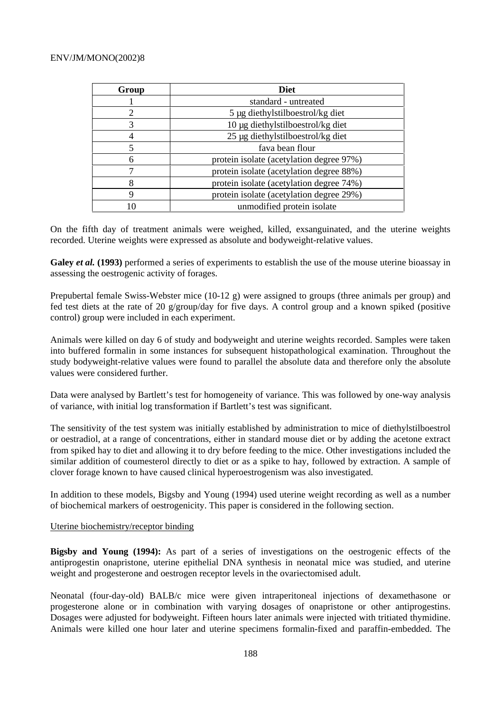| Group | <b>Diet</b>                              |  |
|-------|------------------------------------------|--|
|       | standard - untreated                     |  |
|       | 5 µg diethylstilboestrol/kg diet         |  |
| 3     | 10 µg diethylstilboestrol/kg diet        |  |
|       | 25 µg diethylstilboestrol/kg diet        |  |
| 5     | fava bean flour                          |  |
| 6     | protein isolate (acetylation degree 97%) |  |
|       | protein isolate (acetylation degree 88%) |  |
| 8     | protein isolate (acetylation degree 74%) |  |
| 9     | protein isolate (acetylation degree 29%) |  |
| 10    | unmodified protein isolate               |  |

On the fifth day of treatment animals were weighed, killed, exsanguinated, and the uterine weights recorded. Uterine weights were expressed as absolute and bodyweight-relative values.

**Galey** *et al.* **(1993)** performed a series of experiments to establish the use of the mouse uterine bioassay in assessing the oestrogenic activity of forages.

Prepubertal female Swiss-Webster mice (10-12 g) were assigned to groups (three animals per group) and fed test diets at the rate of 20 g/group/day for five days. A control group and a known spiked (positive control) group were included in each experiment.

Animals were killed on day 6 of study and bodyweight and uterine weights recorded. Samples were taken into buffered formalin in some instances for subsequent histopathological examination. Throughout the study bodyweight-relative values were found to parallel the absolute data and therefore only the absolute values were considered further.

Data were analysed by Bartlett's test for homogeneity of variance. This was followed by one-way analysis of variance, with initial log transformation if Bartlett's test was significant.

The sensitivity of the test system was initially established by administration to mice of diethylstilboestrol or oestradiol, at a range of concentrations, either in standard mouse diet or by adding the acetone extract from spiked hay to diet and allowing it to dry before feeding to the mice. Other investigations included the similar addition of coumesterol directly to diet or as a spike to hay, followed by extraction. A sample of clover forage known to have caused clinical hyperoestrogenism was also investigated.

In addition to these models, Bigsby and Young (1994) used uterine weight recording as well as a number of biochemical markers of oestrogenicity. This paper is considered in the following section.

#### Uterine biochemistry/receptor binding

**Bigsby and Young (1994):** As part of a series of investigations on the oestrogenic effects of the antiprogestin onapristone, uterine epithelial DNA synthesis in neonatal mice was studied, and uterine weight and progesterone and oestrogen receptor levels in the ovariectomised adult.

Neonatal (four-day-old) BALB/c mice were given intraperitoneal injections of dexamethasone or progesterone alone or in combination with varying dosages of onapristone or other antiprogestins. Dosages were adjusted for bodyweight. Fifteen hours later animals were injected with tritiated thymidine. Animals were killed one hour later and uterine specimens formalin-fixed and paraffin-embedded. The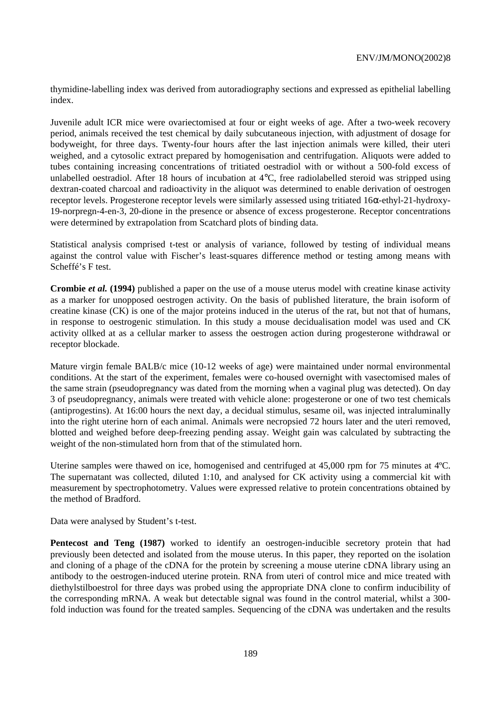thymidine-labelling index was derived from autoradiography sections and expressed as epithelial labelling index.

Juvenile adult ICR mice were ovariectomised at four or eight weeks of age. After a two-week recovery period, animals received the test chemical by daily subcutaneous injection, with adjustment of dosage for bodyweight, for three days. Twenty-four hours after the last injection animals were killed, their uteri weighed, and a cytosolic extract prepared by homogenisation and centrifugation. Aliquots were added to tubes containing increasing concentrations of tritiated oestradiol with or without a 500-fold excess of unlabelled oestradiol. After 18 hours of incubation at 4°C, free radiolabelled steroid was stripped using dextran-coated charcoal and radioactivity in the aliquot was determined to enable derivation of oestrogen receptor levels. Progesterone receptor levels were similarly assessed using tritiated 16α-ethyl-21-hydroxy-19-norpregn-4-en-3, 20-dione in the presence or absence of excess progesterone. Receptor concentrations were determined by extrapolation from Scatchard plots of binding data.

Statistical analysis comprised t-test or analysis of variance, followed by testing of individual means against the control value with Fischer's least-squares difference method or testing among means with Scheffé's F test.

**Crombie** *et al.* (1994) published a paper on the use of a mouse uterus model with creatine kinase activity as a marker for unopposed oestrogen activity. On the basis of published literature, the brain isoform of creatine kinase (CK) is one of the major proteins induced in the uterus of the rat, but not that of humans, in response to oestrogenic stimulation. In this study a mouse decidualisation model was used and CK activity ollked at as a cellular marker to assess the oestrogen action during progesterone withdrawal or receptor blockade.

Mature virgin female BALB/c mice (10-12 weeks of age) were maintained under normal environmental conditions. At the start of the experiment, females were co-housed overnight with vasectomised males of the same strain (pseudopregnancy was dated from the morning when a vaginal plug was detected). On day 3 of pseudopregnancy, animals were treated with vehicle alone: progesterone or one of two test chemicals (antiprogestins). At 16:00 hours the next day, a decidual stimulus, sesame oil, was injected intraluminally into the right uterine horn of each animal. Animals were necropsied 72 hours later and the uteri removed, blotted and weighed before deep-freezing pending assay. Weight gain was calculated by subtracting the weight of the non-stimulated horn from that of the stimulated horn.

Uterine samples were thawed on ice, homogenised and centrifuged at 45,000 rpm for 75 minutes at 4ºC. The supernatant was collected, diluted 1:10, and analysed for CK activity using a commercial kit with measurement by spectrophotometry. Values were expressed relative to protein concentrations obtained by the method of Bradford.

Data were analysed by Student's t-test.

**Pentecost and Teng (1987)** worked to identify an oestrogen-inducible secretory protein that had previously been detected and isolated from the mouse uterus. In this paper, they reported on the isolation and cloning of a phage of the cDNA for the protein by screening a mouse uterine cDNA library using an antibody to the oestrogen-induced uterine protein. RNA from uteri of control mice and mice treated with diethylstilboestrol for three days was probed using the appropriate DNA clone to confirm inducibility of the corresponding mRNA. A weak but detectable signal was found in the control material, whilst a 300 fold induction was found for the treated samples. Sequencing of the cDNA was undertaken and the results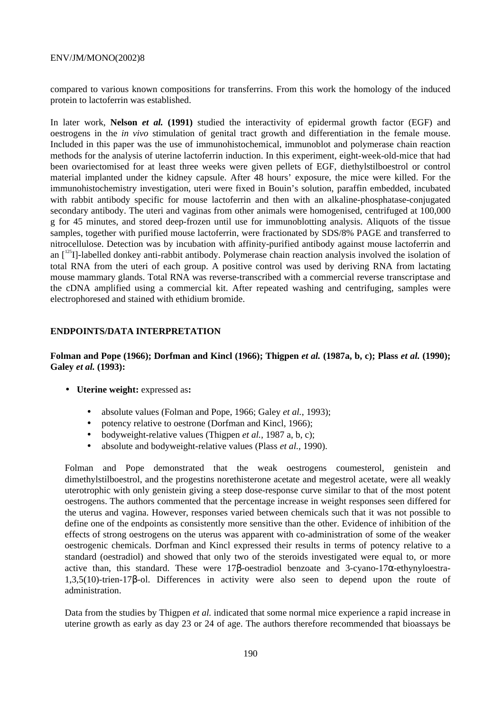compared to various known compositions for transferrins. From this work the homology of the induced protein to lactoferrin was established.

In later work, **Nelson** *et al.* **(1991)** studied the interactivity of epidermal growth factor (EGF) and oestrogens in the *in vivo* stimulation of genital tract growth and differentiation in the female mouse. Included in this paper was the use of immunohistochemical, immunoblot and polymerase chain reaction methods for the analysis of uterine lactoferrin induction. In this experiment, eight-week-old-mice that had been ovariectomised for at least three weeks were given pellets of EGF, diethylstilboestrol or control material implanted under the kidney capsule. After 48 hours' exposure, the mice were killed. For the immunohistochemistry investigation, uteri were fixed in Bouin's solution, paraffin embedded, incubated with rabbit antibody specific for mouse lactoferrin and then with an alkaline-phosphatase-conjugated secondary antibody. The uteri and vaginas from other animals were homogenised, centrifuged at 100,000 g for 45 minutes, and stored deep-frozen until use for immunoblotting analysis. Aliquots of the tissue samples, together with purified mouse lactoferrin, were fractionated by SDS/8% PAGE and transferred to nitrocellulose. Detection was by incubation with affinity-purified antibody against mouse lactoferrin and an  $\int^{125}$ I]-labelled donkey anti-rabbit antibody. Polymerase chain reaction analysis involved the isolation of total RNA from the uteri of each group. A positive control was used by deriving RNA from lactating mouse mammary glands. Total RNA was reverse-transcribed with a commercial reverse transcriptase and the cDNA amplified using a commercial kit. After repeated washing and centrifuging, samples were electrophoresed and stained with ethidium bromide.

# **ENDPOINTS/DATA INTERPRETATION**

# **Folman and Pope (1966); Dorfman and Kincl (1966); Thigpen** *et al.* **(1987a, b, c); Plass** *et al.* **(1990); Galey** *et al.* **(1993):**

- **Uterine weight:** expressed as**:**
	- absolute values (Folman and Pope, 1966; Galey *et al.*, 1993);
	- potency relative to oestrone (Dorfman and Kincl, 1966);
	- bodyweight-relative values (Thigpen *et al.,* 1987 a, b, c);
	- absolute and bodyweight-relative values (Plass *et al.,* 1990).

Folman and Pope demonstrated that the weak oestrogens coumesterol, genistein and dimethylstilboestrol, and the progestins norethisterone acetate and megestrol acetate, were all weakly uterotrophic with only genistein giving a steep dose-response curve similar to that of the most potent oestrogens. The authors commented that the percentage increase in weight responses seen differed for the uterus and vagina. However, responses varied between chemicals such that it was not possible to define one of the endpoints as consistently more sensitive than the other. Evidence of inhibition of the effects of strong oestrogens on the uterus was apparent with co-administration of some of the weaker oestrogenic chemicals. Dorfman and Kincl expressed their results in terms of potency relative to a standard (oestradiol) and showed that only two of the steroids investigated were equal to, or more active than, this standard. These were 17β-oestradiol benzoate and 3-cyano-17α-ethynyloestra-1,3,5(10)-trien-17β-ol. Differences in activity were also seen to depend upon the route of administration.

Data from the studies by Thigpen *et al.* indicated that some normal mice experience a rapid increase in uterine growth as early as day 23 or 24 of age. The authors therefore recommended that bioassays be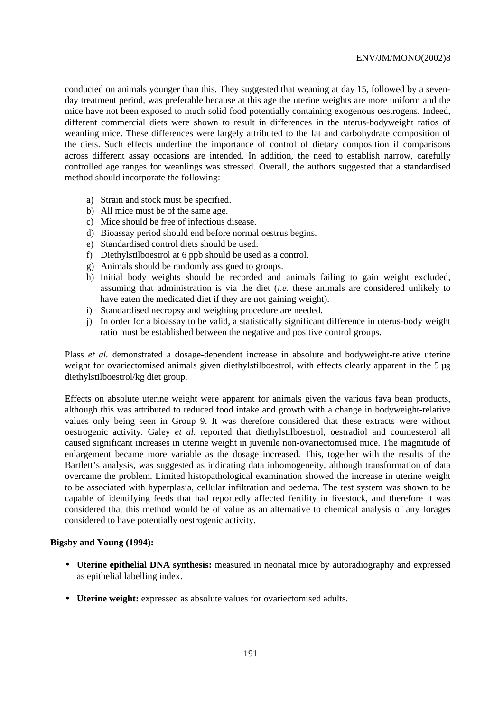conducted on animals younger than this. They suggested that weaning at day 15, followed by a sevenday treatment period, was preferable because at this age the uterine weights are more uniform and the mice have not been exposed to much solid food potentially containing exogenous oestrogens. Indeed, different commercial diets were shown to result in differences in the uterus-bodyweight ratios of weanling mice. These differences were largely attributed to the fat and carbohydrate composition of the diets. Such effects underline the importance of control of dietary composition if comparisons across different assay occasions are intended. In addition, the need to establish narrow, carefully controlled age ranges for weanlings was stressed. Overall, the authors suggested that a standardised method should incorporate the following:

- a) Strain and stock must be specified.
- b) All mice must be of the same age.
- c) Mice should be free of infectious disease.
- d) Bioassay period should end before normal oestrus begins.
- e) Standardised control diets should be used.
- f) Diethylstilboestrol at 6 ppb should be used as a control.
- g) Animals should be randomly assigned to groups.
- h) Initial body weights should be recorded and animals failing to gain weight excluded, assuming that administration is via the diet (*i.e.* these animals are considered unlikely to have eaten the medicated diet if they are not gaining weight).
- i) Standardised necropsy and weighing procedure are needed.
- j) In order for a bioassay to be valid, a statistically significant difference in uterus-body weight ratio must be established between the negative and positive control groups.

Plass *et al.* demonstrated a dosage-dependent increase in absolute and bodyweight-relative uterine weight for ovariectomised animals given diethylstilboestrol, with effects clearly apparent in the 5 µg diethylstilboestrol/kg diet group.

Effects on absolute uterine weight were apparent for animals given the various fava bean products, although this was attributed to reduced food intake and growth with a change in bodyweight-relative values only being seen in Group 9. It was therefore considered that these extracts were without oestrogenic activity. Galey *et al.* reported that diethylstilboestrol, oestradiol and coumesterol all caused significant increases in uterine weight in juvenile non-ovariectomised mice. The magnitude of enlargement became more variable as the dosage increased. This, together with the results of the Bartlett's analysis, was suggested as indicating data inhomogeneity, although transformation of data overcame the problem. Limited histopathological examination showed the increase in uterine weight to be associated with hyperplasia, cellular infiltration and oedema. The test system was shown to be capable of identifying feeds that had reportedly affected fertility in livestock, and therefore it was considered that this method would be of value as an alternative to chemical analysis of any forages considered to have potentially oestrogenic activity.

#### **Bigsby and Young (1994):**

- **Uterine epithelial DNA synthesis:** measured in neonatal mice by autoradiography and expressed as epithelial labelling index.
- **Uterine weight:** expressed as absolute values for ovariectomised adults.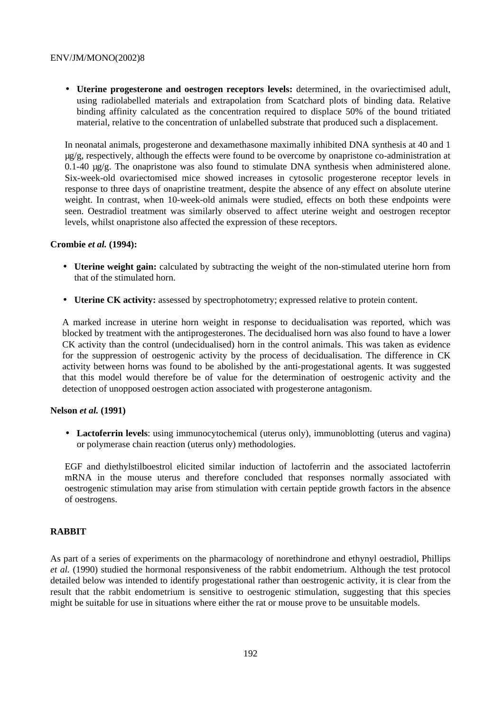• **Uterine progesterone and oestrogen receptors levels:** determined, in the ovariectimised adult, using radiolabelled materials and extrapolation from Scatchard plots of binding data. Relative binding affinity calculated as the concentration required to displace 50% of the bound tritiated material, relative to the concentration of unlabelled substrate that produced such a displacement.

In neonatal animals, progesterone and dexamethasone maximally inhibited DNA synthesis at 40 and 1  $\mu$ g/g, respectively, although the effects were found to be overcome by onapristone co-administration at 0.1-40 µg/g. The onapristone was also found to stimulate DNA synthesis when administered alone. Six-week-old ovariectomised mice showed increases in cytosolic progesterone receptor levels in response to three days of onapristine treatment, despite the absence of any effect on absolute uterine weight. In contrast, when 10-week-old animals were studied, effects on both these endpoints were seen. Oestradiol treatment was similarly observed to affect uterine weight and oestrogen receptor levels, whilst onapristone also affected the expression of these receptors.

### **Crombie** *et al.* **(1994):**

- **Uterine weight gain:** calculated by subtracting the weight of the non-stimulated uterine horn from that of the stimulated horn.
- **Uterine CK activity:** assessed by spectrophotometry; expressed relative to protein content.

A marked increase in uterine horn weight in response to decidualisation was reported, which was blocked by treatment with the antiprogesterones. The decidualised horn was also found to have a lower CK activity than the control (undecidualised) horn in the control animals. This was taken as evidence for the suppression of oestrogenic activity by the process of decidualisation. The difference in CK activity between horns was found to be abolished by the anti-progestational agents. It was suggested that this model would therefore be of value for the determination of oestrogenic activity and the detection of unopposed oestrogen action associated with progesterone antagonism.

#### **Nelson** *et al.* **(1991)**

• **Lactoferrin levels**: using immunocytochemical (uterus only), immunoblotting (uterus and vagina) or polymerase chain reaction (uterus only) methodologies.

EGF and diethylstilboestrol elicited similar induction of lactoferrin and the associated lactoferrin mRNA in the mouse uterus and therefore concluded that responses normally associated with oestrogenic stimulation may arise from stimulation with certain peptide growth factors in the absence of oestrogens.

#### **RABBIT**

As part of a series of experiments on the pharmacology of norethindrone and ethynyl oestradiol, Phillips *et al.* (1990) studied the hormonal responsiveness of the rabbit endometrium. Although the test protocol detailed below was intended to identify progestational rather than oestrogenic activity, it is clear from the result that the rabbit endometrium is sensitive to oestrogenic stimulation, suggesting that this species might be suitable for use in situations where either the rat or mouse prove to be unsuitable models.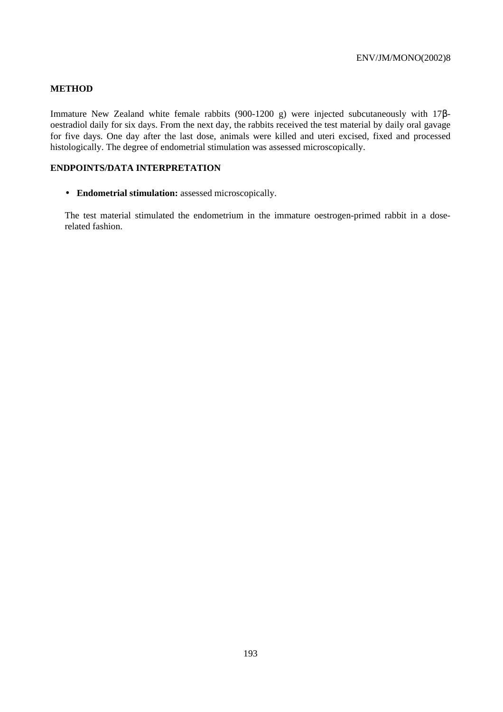# **METHOD**

Immature New Zealand white female rabbits (900-1200 g) were injected subcutaneously with 17βoestradiol daily for six days. From the next day, the rabbits received the test material by daily oral gavage for five days. One day after the last dose, animals were killed and uteri excised, fixed and processed histologically. The degree of endometrial stimulation was assessed microscopically.

# **ENDPOINTS/DATA INTERPRETATION**

• **Endometrial stimulation:** assessed microscopically.

The test material stimulated the endometrium in the immature oestrogen-primed rabbit in a doserelated fashion.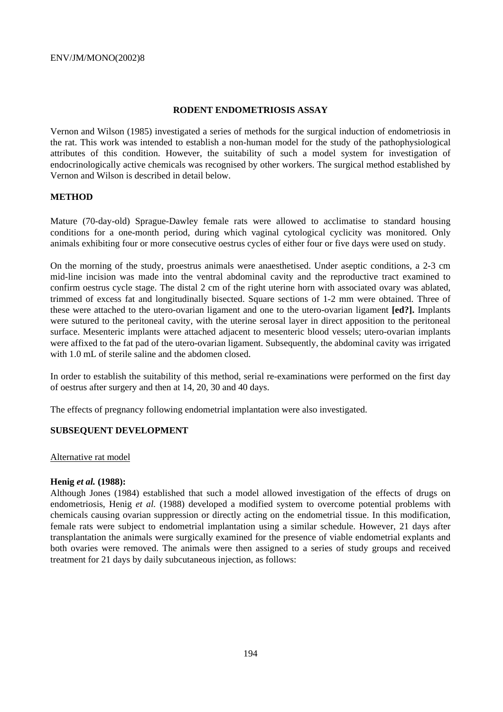#### **RODENT ENDOMETRIOSIS ASSAY**

Vernon and Wilson (1985) investigated a series of methods for the surgical induction of endometriosis in the rat. This work was intended to establish a non-human model for the study of the pathophysiological attributes of this condition. However, the suitability of such a model system for investigation of endocrinologically active chemicals was recognised by other workers. The surgical method established by Vernon and Wilson is described in detail below.

### **METHOD**

Mature (70-day-old) Sprague-Dawley female rats were allowed to acclimatise to standard housing conditions for a one-month period, during which vaginal cytological cyclicity was monitored. Only animals exhibiting four or more consecutive oestrus cycles of either four or five days were used on study.

On the morning of the study, proestrus animals were anaesthetised. Under aseptic conditions, a 2-3 cm mid-line incision was made into the ventral abdominal cavity and the reproductive tract examined to confirm oestrus cycle stage. The distal 2 cm of the right uterine horn with associated ovary was ablated, trimmed of excess fat and longitudinally bisected. Square sections of 1-2 mm were obtained. Three of these were attached to the utero-ovarian ligament and one to the utero-ovarian ligament **[ed?].** Implants were sutured to the peritoneal cavity, with the uterine serosal layer in direct apposition to the peritoneal surface. Mesenteric implants were attached adjacent to mesenteric blood vessels; utero-ovarian implants were affixed to the fat pad of the utero-ovarian ligament. Subsequently, the abdominal cavity was irrigated with 1.0 mL of sterile saline and the abdomen closed.

In order to establish the suitability of this method, serial re-examinations were performed on the first day of oestrus after surgery and then at 14, 20, 30 and 40 days.

The effects of pregnancy following endometrial implantation were also investigated.

# **SUBSEQUENT DEVELOPMENT**

#### Alternative rat model

#### **Henig** *et al.* **(1988):**

Although Jones (1984) established that such a model allowed investigation of the effects of drugs on endometriosis, Henig *et al.* (1988) developed a modified system to overcome potential problems with chemicals causing ovarian suppression or directly acting on the endometrial tissue. In this modification, female rats were subject to endometrial implantation using a similar schedule. However, 21 days after transplantation the animals were surgically examined for the presence of viable endometrial explants and both ovaries were removed. The animals were then assigned to a series of study groups and received treatment for 21 days by daily subcutaneous injection, as follows: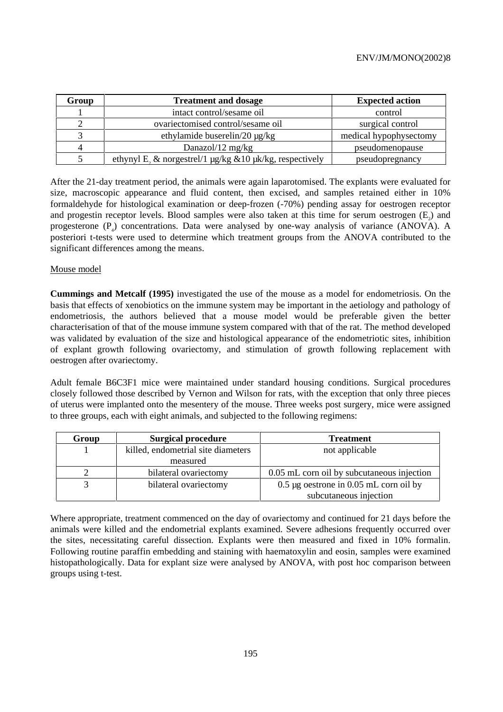| Group | <b>Treatment and dosage</b>                                              | <b>Expected action</b> |  |
|-------|--------------------------------------------------------------------------|------------------------|--|
|       | intact control/sesame oil                                                | control                |  |
|       | ovariectomised control/sesame oil                                        | surgical control       |  |
|       | ethylamide buserelin/20 µg/kg                                            | medical hypophysectomy |  |
| 4     | Danazol/12 mg/kg                                                         | pseudomenopause        |  |
|       | ethynyl E, $\&$ norgestrel/1 $\mu$ g/kg $\&$ 10 $\mu$ k/kg, respectively | pseudopregnancy        |  |

After the 21-day treatment period, the animals were again laparotomised. The explants were evaluated for size, macroscopic appearance and fluid content, then excised, and samples retained either in 10% formaldehyde for histological examination or deep-frozen (-70%) pending assay for oestrogen receptor and progestin receptor levels. Blood samples were also taken at this time for serum oestrogen  $(E_2)$  and progesterone  $(P_4)$  concentrations. Data were analysed by one-way analysis of variance (ANOVA). A posteriori t-tests were used to determine which treatment groups from the ANOVA contributed to the significant differences among the means.

# Mouse model

**Cummings and Metcalf (1995)** investigated the use of the mouse as a model for endometriosis. On the basis that effects of xenobiotics on the immune system may be important in the aetiology and pathology of endometriosis, the authors believed that a mouse model would be preferable given the better characterisation of that of the mouse immune system compared with that of the rat. The method developed was validated by evaluation of the size and histological appearance of the endometriotic sites, inhibition of explant growth following ovariectomy, and stimulation of growth following replacement with oestrogen after ovariectomy.

Adult female B6C3F1 mice were maintained under standard housing conditions. Surgical procedures closely followed those described by Vernon and Wilson for rats, with the exception that only three pieces of uterus were implanted onto the mesentery of the mouse. Three weeks post surgery, mice were assigned to three groups, each with eight animals, and subjected to the following regimens:

| Group | <b>Surgical procedure</b>          | <b>Treatment</b>                            |
|-------|------------------------------------|---------------------------------------------|
|       | killed, endometrial site diameters | not applicable                              |
|       | measured                           |                                             |
|       | bilateral ovariectomy              | 0.05 mL corn oil by subcutaneous injection  |
|       | bilateral ovariectomy              | $0.5 \mu$ g oestrone in 0.05 mL corn oil by |
|       |                                    | subcutaneous injection                      |

Where appropriate, treatment commenced on the day of ovariectomy and continued for 21 days before the animals were killed and the endometrial explants examined. Severe adhesions frequently occurred over the sites, necessitating careful dissection. Explants were then measured and fixed in 10% formalin. Following routine paraffin embedding and staining with haematoxylin and eosin, samples were examined histopathologically. Data for explant size were analysed by ANOVA, with post hoc comparison between groups using t-test.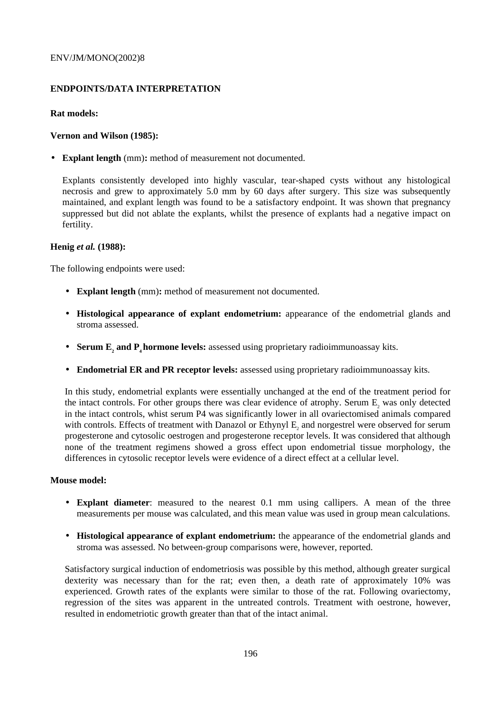# **ENDPOINTS/DATA INTERPRETATION**

### **Rat models:**

### **Vernon and Wilson (1985):**

• **Explant length** (mm)**:** method of measurement not documented.

Explants consistently developed into highly vascular, tear-shaped cysts without any histological necrosis and grew to approximately 5.0 mm by 60 days after surgery. This size was subsequently maintained, and explant length was found to be a satisfactory endpoint. It was shown that pregnancy suppressed but did not ablate the explants, whilst the presence of explants had a negative impact on fertility.

### **Henig** *et al.* **(1988):**

The following endpoints were used:

- **Explant length** (mm)**:** method of measurement not documented.
- **Histological appearance of explant endometrium:** appearance of the endometrial glands and stroma assessed.
- **Serum E<sub>2</sub>** and P<sub>4</sub> hormone levels: assessed using proprietary radioimmunoassay kits.
- **Endometrial ER and PR receptor levels:** assessed using proprietary radioimmunoassay kits.

In this study, endometrial explants were essentially unchanged at the end of the treatment period for the intact controls. For other groups there was clear evidence of atrophy. Serum  $E_2$  was only detected in the intact controls, whist serum P4 was significantly lower in all ovariectomised animals compared with controls. Effects of treatment with Danazol or Ethynyl  $E_2$  and norgestrel were observed for serum progesterone and cytosolic oestrogen and progesterone receptor levels. It was considered that although none of the treatment regimens showed a gross effect upon endometrial tissue morphology, the differences in cytosolic receptor levels were evidence of a direct effect at a cellular level.

### **Mouse model:**

- **Explant diameter**: measured to the nearest 0.1 mm using callipers. A mean of the three measurements per mouse was calculated, and this mean value was used in group mean calculations.
- **Histological appearance of explant endometrium:** the appearance of the endometrial glands and stroma was assessed. No between-group comparisons were, however, reported.

Satisfactory surgical induction of endometriosis was possible by this method, although greater surgical dexterity was necessary than for the rat; even then, a death rate of approximately 10% was experienced. Growth rates of the explants were similar to those of the rat. Following ovariectomy, regression of the sites was apparent in the untreated controls. Treatment with oestrone, however, resulted in endometriotic growth greater than that of the intact animal.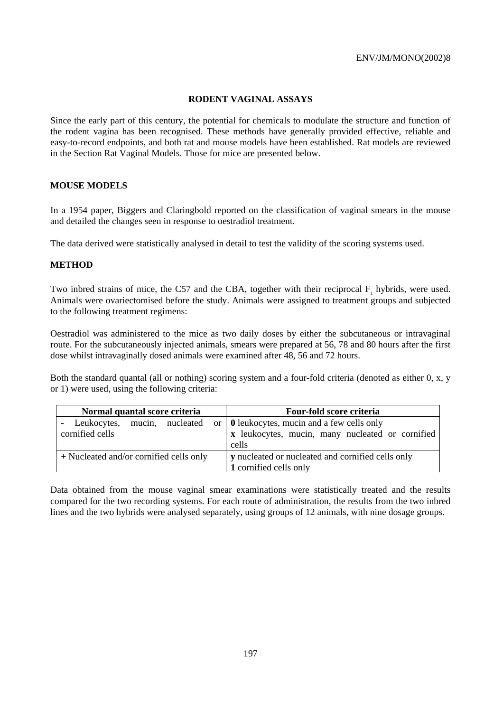# **RODENT VAGINAL ASSAYS**

Since the early part of this century, the potential for chemicals to modulate the structure and function of the rodent vagina has been recognised. These methods have generally provided effective, reliable and easy-to-record endpoints, and both rat and mouse models have been established. Rat models are reviewed in the Section Rat Vaginal Models. Those for mice are presented below.

# **MOUSE MODELS**

In a 1954 paper, Biggers and Claringbold reported on the classification of vaginal smears in the mouse and detailed the changes seen in response to oestradiol treatment.

The data derived were statistically analysed in detail to test the validity of the scoring systems used.

# **METHOD**

Two inbred strains of mice, the C57 and the CBA, together with their reciprocal  $F_1$  hybrids, were used. Animals were ovariectomised before the study. Animals were assigned to treatment groups and subjected to the following treatment regimens:

Oestradiol was administered to the mice as two daily doses by either the subcutaneous or intravaginal route. For the subcutaneously injected animals, smears were prepared at 56, 78 and 80 hours after the first dose whilst intravaginally dosed animals were examined after 48, 56 and 72 hours.

Both the standard quantal (all or nothing) scoring system and a four-fold criteria (denoted as either 0, x, y or 1) were used, using the following criteria:

| Normal quantal score criteria           | Four-fold score criteria                            |  |
|-----------------------------------------|-----------------------------------------------------|--|
| mucin, nucleated<br>- Leukocytes,       | or $\vert$ 0 leukocytes, mucin and a few cells only |  |
| cornified cells                         | x leukocytes, mucin, many nucleated or cornified    |  |
|                                         | cells                                               |  |
| + Nucleated and/or cornified cells only | y nucleated or nucleated and cornified cells only   |  |
|                                         | 1 cornified cells only                              |  |

Data obtained from the mouse vaginal smear examinations were statistically treated and the results compared for the two recording systems. For each route of administration, the results from the two inbred lines and the two hybrids were analysed separately, using groups of 12 animals, with nine dosage groups.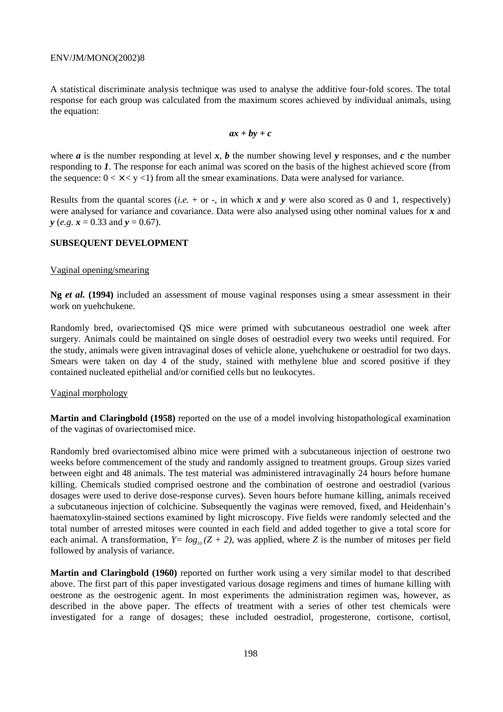A statistical discriminate analysis technique was used to analyse the additive four-fold scores. The total response for each group was calculated from the maximum scores achieved by individual animals, using the equation:

$$
ax + by + c
$$

where  $\boldsymbol{a}$  is the number responding at level  $\boldsymbol{x}$ ,  $\boldsymbol{b}$  the number showing level  $\boldsymbol{y}$  responses, and  $\boldsymbol{c}$  the number responding to *1*. The response for each animal was scored on the basis of the highest achieved score (from the sequence:  $0 < x < y < 1$ ) from all the smear examinations. Data were analysed for variance.

Results from the quantal scores (*i.e.* + or -, in which *x* and *y* were also scored as 0 and 1, respectively) were analysed for variance and covariance. Data were also analysed using other nominal values for *x* and *y* (*e.g. x* = 0.33 and *y* = 0.67).

#### **SUBSEQUENT DEVELOPMENT**

#### Vaginal opening/smearing

**Ng** *et al.* **(1994)** included an assessment of mouse vaginal responses using a smear assessment in their work on yuehchukene.

Randomly bred, ovariectomised QS mice were primed with subcutaneous oestradiol one week after surgery. Animals could be maintained on single doses of oestradiol every two weeks until required. For the study, animals were given intravaginal doses of vehicle alone, yuehchukene or oestradiol for two days. Smears were taken on day 4 of the study, stained with methylene blue and scored positive if they contained nucleated epithelial and/or cornified cells but no leukocytes.

#### Vaginal morphology

**Martin and Claringbold (1958)** reported on the use of a model involving histopathological examination of the vaginas of ovariectomised mice.

Randomly bred ovariectomised albino mice were primed with a subcutaneous injection of oestrone two weeks before commencement of the study and randomly assigned to treatment groups. Group sizes varied between eight and 48 animals. The test material was administered intravaginally 24 hours before humane killing. Chemicals studied comprised oestrone and the combination of oestrone and oestradiol (various dosages were used to derive dose-response curves). Seven hours before humane killing, animals received a subcutaneous injection of colchicine. Subsequently the vaginas were removed, fixed, and Heidenhain's haematoxylin-stained sections examined by light microscopy. Five fields were randomly selected and the total number of arrested mitoses were counted in each field and added together to give a total score for each animal. A transformation,  $Y = log_{10}(Z + 2)$ , was applied, where Z is the number of mitoses per field followed by analysis of variance.

**Martin and Claringbold (1960)** reported on further work using a very similar model to that described above. The first part of this paper investigated various dosage regimens and times of humane killing with oestrone as the oestrogenic agent. In most experiments the administration regimen was, however, as described in the above paper. The effects of treatment with a series of other test chemicals were investigated for a range of dosages; these included oestradiol, progesterone, cortisone, cortisol,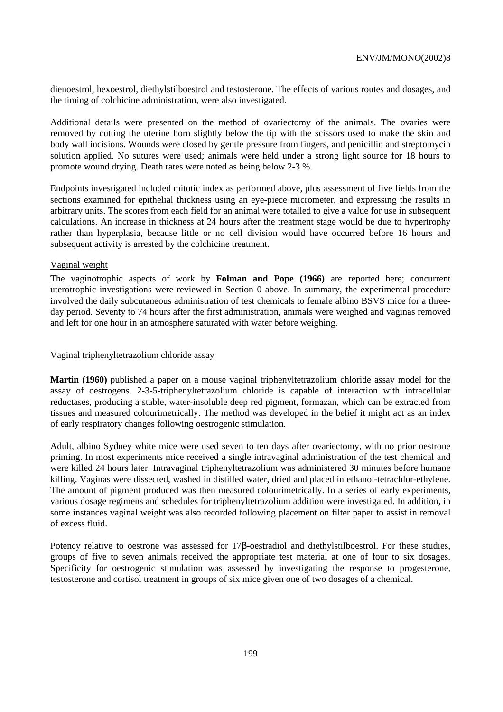dienoestrol, hexoestrol, diethylstilboestrol and testosterone. The effects of various routes and dosages, and the timing of colchicine administration, were also investigated.

Additional details were presented on the method of ovariectomy of the animals. The ovaries were removed by cutting the uterine horn slightly below the tip with the scissors used to make the skin and body wall incisions. Wounds were closed by gentle pressure from fingers, and penicillin and streptomycin solution applied. No sutures were used; animals were held under a strong light source for 18 hours to promote wound drying. Death rates were noted as being below 2-3 %.

Endpoints investigated included mitotic index as performed above, plus assessment of five fields from the sections examined for epithelial thickness using an eye-piece micrometer, and expressing the results in arbitrary units. The scores from each field for an animal were totalled to give a value for use in subsequent calculations. An increase in thickness at 24 hours after the treatment stage would be due to hypertrophy rather than hyperplasia, because little or no cell division would have occurred before 16 hours and subsequent activity is arrested by the colchicine treatment.

# Vaginal weight

The vaginotrophic aspects of work by **Folman and Pope (1966)** are reported here; concurrent uterotrophic investigations were reviewed in Section 0 above. In summary, the experimental procedure involved the daily subcutaneous administration of test chemicals to female albino BSVS mice for a threeday period. Seventy to 74 hours after the first administration, animals were weighed and vaginas removed and left for one hour in an atmosphere saturated with water before weighing.

### Vaginal triphenyltetrazolium chloride assay

**Martin (1960)** published a paper on a mouse vaginal triphenyltetrazolium chloride assay model for the assay of oestrogens. 2-3-5-triphenyltetrazolium chloride is capable of interaction with intracellular reductases, producing a stable, water-insoluble deep red pigment, formazan, which can be extracted from tissues and measured colourimetrically. The method was developed in the belief it might act as an index of early respiratory changes following oestrogenic stimulation.

Adult, albino Sydney white mice were used seven to ten days after ovariectomy, with no prior oestrone priming. In most experiments mice received a single intravaginal administration of the test chemical and were killed 24 hours later. Intravaginal triphenyltetrazolium was administered 30 minutes before humane killing. Vaginas were dissected, washed in distilled water, dried and placed in ethanol-tetrachlor-ethylene. The amount of pigment produced was then measured colourimetrically. In a series of early experiments, various dosage regimens and schedules for triphenyltetrazolium addition were investigated. In addition, in some instances vaginal weight was also recorded following placement on filter paper to assist in removal of excess fluid.

Potency relative to oestrone was assessed for 17β-oestradiol and diethylstilboestrol. For these studies, groups of five to seven animals received the appropriate test material at one of four to six dosages. Specificity for oestrogenic stimulation was assessed by investigating the response to progesterone, testosterone and cortisol treatment in groups of six mice given one of two dosages of a chemical.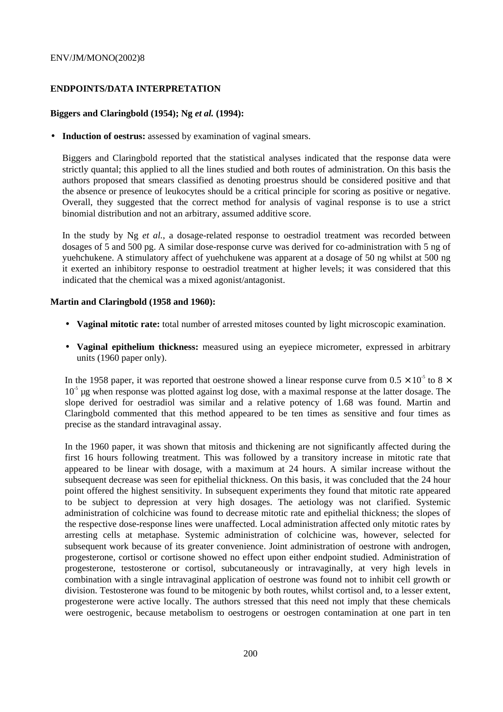# **ENDPOINTS/DATA INTERPRETATION**

### **Biggers and Claringbold (1954); Ng** *et al.* **(1994):**

• **Induction of oestrus:** assessed by examination of vaginal smears.

Biggers and Claringbold reported that the statistical analyses indicated that the response data were strictly quantal; this applied to all the lines studied and both routes of administration. On this basis the authors proposed that smears classified as denoting proestrus should be considered positive and that the absence or presence of leukocytes should be a critical principle for scoring as positive or negative. Overall, they suggested that the correct method for analysis of vaginal response is to use a strict binomial distribution and not an arbitrary, assumed additive score.

In the study by Ng *et al.*, a dosage-related response to oestradiol treatment was recorded between dosages of 5 and 500 pg. A similar dose-response curve was derived for co-administration with 5 ng of yuehchukene. A stimulatory affect of yuehchukene was apparent at a dosage of 50 ng whilst at 500 ng it exerted an inhibitory response to oestradiol treatment at higher levels; it was considered that this indicated that the chemical was a mixed agonist/antagonist.

### **Martin and Claringbold (1958 and 1960):**

- **Vaginal mitotic rate:** total number of arrested mitoses counted by light microscopic examination.
- **Vaginal epithelium thickness:** measured using an eyepiece micrometer, expressed in arbitrary units (1960 paper only).

In the 1958 paper, it was reported that oestrone showed a linear response curve from  $0.5 \times 10^5$  to  $8 \times$  $10<sup>5</sup>$  µg when response was plotted against log dose, with a maximal response at the latter dosage. The slope derived for oestradiol was similar and a relative potency of 1.68 was found. Martin and Claringbold commented that this method appeared to be ten times as sensitive and four times as precise as the standard intravaginal assay.

In the 1960 paper, it was shown that mitosis and thickening are not significantly affected during the first 16 hours following treatment. This was followed by a transitory increase in mitotic rate that appeared to be linear with dosage, with a maximum at 24 hours. A similar increase without the subsequent decrease was seen for epithelial thickness. On this basis, it was concluded that the 24 hour point offered the highest sensitivity. In subsequent experiments they found that mitotic rate appeared to be subject to depression at very high dosages. The aetiology was not clarified. Systemic administration of colchicine was found to decrease mitotic rate and epithelial thickness; the slopes of the respective dose-response lines were unaffected. Local administration affected only mitotic rates by arresting cells at metaphase. Systemic administration of colchicine was, however, selected for subsequent work because of its greater convenience. Joint administration of oestrone with androgen, progesterone, cortisol or cortisone showed no effect upon either endpoint studied. Administration of progesterone, testosterone or cortisol, subcutaneously or intravaginally, at very high levels in combination with a single intravaginal application of oestrone was found not to inhibit cell growth or division. Testosterone was found to be mitogenic by both routes, whilst cortisol and, to a lesser extent, progesterone were active locally. The authors stressed that this need not imply that these chemicals were oestrogenic, because metabolism to oestrogens or oestrogen contamination at one part in ten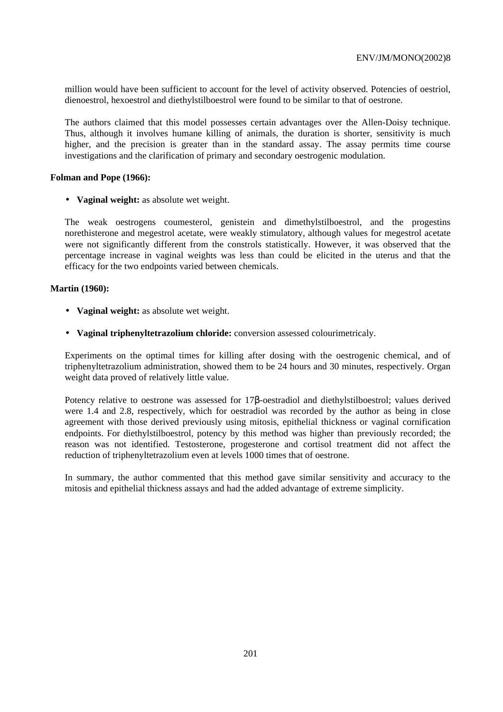million would have been sufficient to account for the level of activity observed. Potencies of oestriol, dienoestrol, hexoestrol and diethylstilboestrol were found to be similar to that of oestrone.

The authors claimed that this model possesses certain advantages over the Allen-Doisy technique. Thus, although it involves humane killing of animals, the duration is shorter, sensitivity is much higher, and the precision is greater than in the standard assay. The assay permits time course investigations and the clarification of primary and secondary oestrogenic modulation.

# **Folman and Pope (1966):**

• **Vaginal weight:** as absolute wet weight.

The weak oestrogens coumesterol, genistein and dimethylstilboestrol, and the progestins norethisterone and megestrol acetate, were weakly stimulatory, although values for megestrol acetate were not significantly different from the constrols statistically. However, it was observed that the percentage increase in vaginal weights was less than could be elicited in the uterus and that the efficacy for the two endpoints varied between chemicals.

### **Martin (1960):**

- **Vaginal weight:** as absolute wet weight.
- **Vaginal triphenyltetrazolium chloride:** conversion assessed colourimetricaly.

Experiments on the optimal times for killing after dosing with the oestrogenic chemical, and of triphenyltetrazolium administration, showed them to be 24 hours and 30 minutes, respectively. Organ weight data proved of relatively little value.

Potency relative to oestrone was assessed for 17β-oestradiol and diethylstilboestrol; values derived were 1.4 and 2.8, respectively, which for oestradiol was recorded by the author as being in close agreement with those derived previously using mitosis, epithelial thickness or vaginal cornification endpoints. For diethylstilboestrol, potency by this method was higher than previously recorded; the reason was not identified. Testosterone, progesterone and cortisol treatment did not affect the reduction of triphenyltetrazolium even at levels 1000 times that of oestrone.

In summary, the author commented that this method gave similar sensitivity and accuracy to the mitosis and epithelial thickness assays and had the added advantage of extreme simplicity.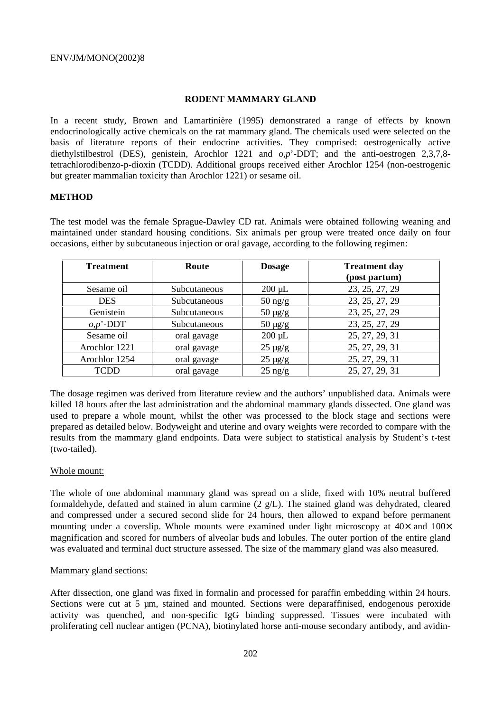### **RODENT MAMMARY GLAND**

In a recent study, Brown and Lamartinière (1995) demonstrated a range of effects by known endocrinologically active chemicals on the rat mammary gland. The chemicals used were selected on the basis of literature reports of their endocrine activities. They comprised: oestrogenically active diethylstilbestrol (DES), genistein, Arochlor 1221 and *o,p*'-DDT; and the anti-oestrogen 2,3,7,8 tetrachlorodibenzo-p-dioxin (TCDD). Additional groups received either Arochlor 1254 (non-oestrogenic but greater mammalian toxicity than Arochlor 1221) or sesame oil.

### **METHOD**

The test model was the female Sprague-Dawley CD rat. Animals were obtained following weaning and maintained under standard housing conditions. Six animals per group were treated once daily on four occasions, either by subcutaneous injection or oral gavage, according to the following regimen:

| <b>Treatment</b><br>Route |              | <b>Dosage</b> | <b>Treatment day</b><br>(post partum) |
|---------------------------|--------------|---------------|---------------------------------------|
| Sesame oil                | Subcutaneous | $200 \mu L$   | 23, 25, 27, 29                        |
| <b>DES</b>                | Subcutaneous | $50$ ng/g     | 23, 25, 27, 29                        |
| Genistein                 | Subcutaneous | $50 \mu g/g$  | 23, 25, 27, 29                        |
| $o, p'$ -DDT              | Subcutaneous | $50 \mu g/g$  | 23, 25, 27, 29                        |
| Sesame oil                | oral gavage  | $200 \mu L$   | 25, 27, 29, 31                        |
| Arochlor 1221             | oral gavage  | $25 \mu g/g$  | 25, 27, 29, 31                        |
| Arochlor 1254             | oral gavage  | $25 \mu g/g$  | 25, 27, 29, 31                        |
| <b>TCDD</b>               | oral gavage  | $25$ ng/g     | 25, 27, 29, 31                        |

The dosage regimen was derived from literature review and the authors' unpublished data. Animals were killed 18 hours after the last administration and the abdominal mammary glands dissected. One gland was used to prepare a whole mount, whilst the other was processed to the block stage and sections were prepared as detailed below. Bodyweight and uterine and ovary weights were recorded to compare with the results from the mammary gland endpoints. Data were subject to statistical analysis by Student's t-test (two-tailed).

# Whole mount:

The whole of one abdominal mammary gland was spread on a slide, fixed with 10% neutral buffered formaldehyde, defatted and stained in alum carmine (2 g/L). The stained gland was dehydrated, cleared and compressed under a secured second slide for 24 hours, then allowed to expand before permanent mounting under a coverslip. Whole mounts were examined under light microscopy at  $40\times$  and  $100\times$ magnification and scored for numbers of alveolar buds and lobules. The outer portion of the entire gland was evaluated and terminal duct structure assessed. The size of the mammary gland was also measured.

### Mammary gland sections:

After dissection, one gland was fixed in formalin and processed for paraffin embedding within 24 hours. Sections were cut at 5  $\mu$ m, stained and mounted. Sections were deparaffinised, endogenous peroxide activity was quenched, and non-specific IgG binding suppressed. Tissues were incubated with proliferating cell nuclear antigen (PCNA), biotinylated horse anti-mouse secondary antibody, and avidin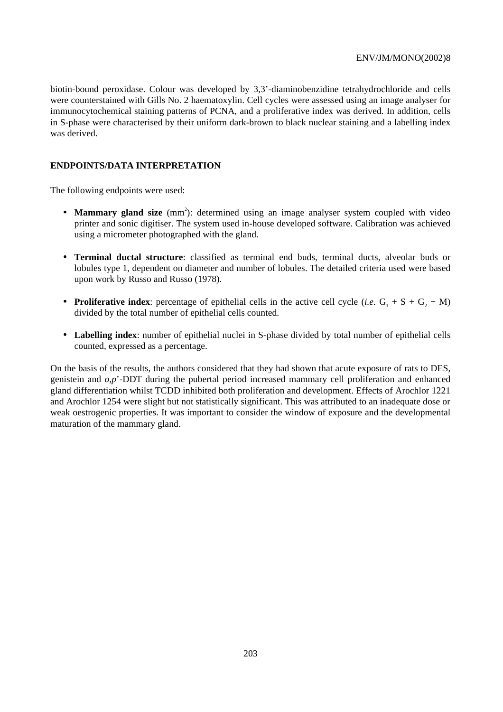biotin-bound peroxidase. Colour was developed by 3,3'-diaminobenzidine tetrahydrochloride and cells were counterstained with Gills No. 2 haematoxylin. Cell cycles were assessed using an image analyser for immunocytochemical staining patterns of PCNA, and a proliferative index was derived. In addition, cells in S-phase were characterised by their uniform dark-brown to black nuclear staining and a labelling index was derived.

### **ENDPOINTS/DATA INTERPRETATION**

The following endpoints were used:

- Mammary gland size (mm<sup>2</sup>): determined using an image analyser system coupled with video printer and sonic digitiser. The system used in-house developed software. Calibration was achieved using a micrometer photographed with the gland.
- **Terminal ductal structure**: classified as terminal end buds, terminal ducts, alveolar buds or lobules type 1, dependent on diameter and number of lobules. The detailed criteria used were based upon work by Russo and Russo (1978).
- **Proliferative index**: percentage of epithelial cells in the active cell cycle (*i.e.*  $G_1 + S + G_2 + M$ ) divided by the total number of epithelial cells counted.
- **Labelling index**: number of epithelial nuclei in S-phase divided by total number of epithelial cells counted, expressed as a percentage.

On the basis of the results, the authors considered that they had shown that acute exposure of rats to DES, genistein and *o,p*'-DDT during the pubertal period increased mammary cell proliferation and enhanced gland differentiation whilst TCDD inhibited both proliferation and development. Effects of Arochlor 1221 and Arochlor 1254 were slight but not statistically significant. This was attributed to an inadequate dose or weak oestrogenic properties. It was important to consider the window of exposure and the developmental maturation of the mammary gland.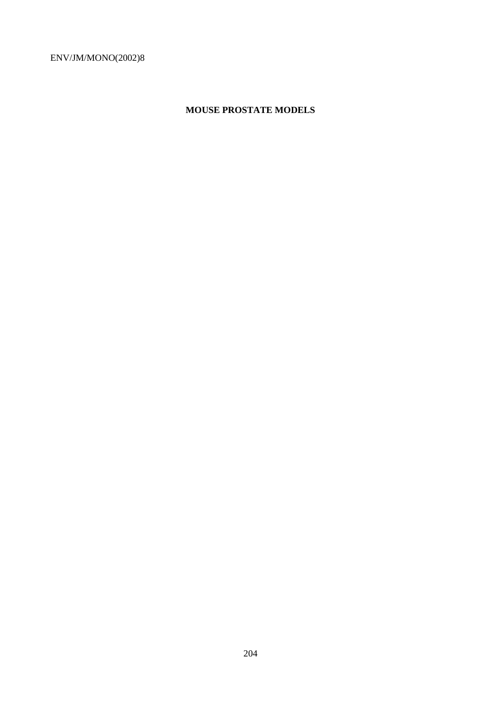# **MOUSE PROSTATE MODELS**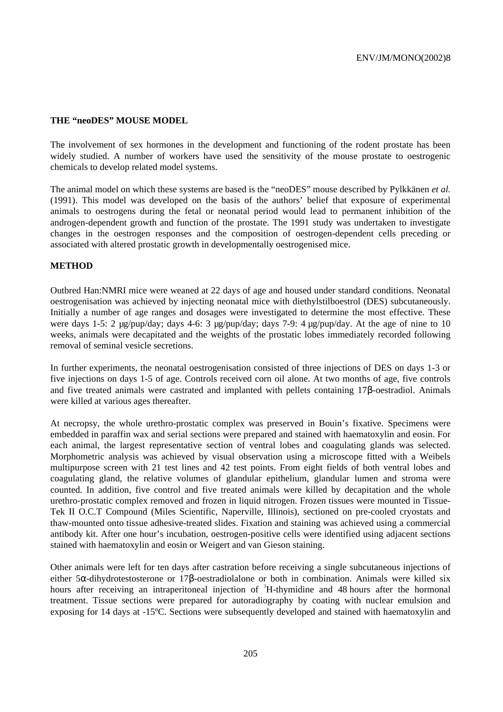#### **THE "neoDES" MOUSE MODEL**

The involvement of sex hormones in the development and functioning of the rodent prostate has been widely studied. A number of workers have used the sensitivity of the mouse prostate to oestrogenic chemicals to develop related model systems.

The animal model on which these systems are based is the "neoDES" mouse described by Pylkkänen *et al.* (1991). This model was developed on the basis of the authors' belief that exposure of experimental animals to oestrogens during the fetal or neonatal period would lead to permanent inhibition of the androgen-dependent growth and function of the prostate. The 1991 study was undertaken to investigate changes in the oestrogen responses and the composition of oestrogen-dependent cells preceding or associated with altered prostatic growth in developmentally oestrogenised mice.

### **METHOD**

Outbred Han:NMRI mice were weaned at 22 days of age and housed under standard conditions. Neonatal oestrogenisation was achieved by injecting neonatal mice with diethylstilboestrol (DES) subcutaneously. Initially a number of age ranges and dosages were investigated to determine the most effective. These were days 1-5: 2  $\mu$ g/pup/day; days 4-6: 3  $\mu$ g/pup/day; days 7-9: 4  $\mu$ g/pup/day. At the age of nine to 10 weeks, animals were decapitated and the weights of the prostatic lobes immediately recorded following removal of seminal vesicle secretions.

In further experiments, the neonatal oestrogenisation consisted of three injections of DES on days 1-3 or five injections on days 1-5 of age. Controls received corn oil alone. At two months of age, five controls and five treated animals were castrated and implanted with pellets containing 17β-oestradiol. Animals were killed at various ages thereafter.

At necropsy, the whole urethro-prostatic complex was preserved in Bouin's fixative. Specimens were embedded in paraffin wax and serial sections were prepared and stained with haematoxylin and eosin. For each animal, the largest representative section of ventral lobes and coagulating glands was selected. Morphometric analysis was achieved by visual observation using a microscope fitted with a Weibels multipurpose screen with 21 test lines and 42 test points. From eight fields of both ventral lobes and coagulating gland, the relative volumes of glandular epithelium, glandular lumen and stroma were counted. In addition, five control and five treated animals were killed by decapitation and the whole urethro-prostatic complex removed and frozen in liquid nitrogen. Frozen tissues were mounted in Tissue-Tek II O.C.T Compound (Miles Scientific, Naperville, Illinois), sectioned on pre-cooled cryostats and thaw-mounted onto tissue adhesive-treated slides. Fixation and staining was achieved using a commercial antibody kit. After one hour's incubation, oestrogen-positive cells were identified using adjacent sections stained with haematoxylin and eosin or Weigert and van Gieson staining.

Other animals were left for ten days after castration before receiving a single subcutaneous injections of either 5α-dihydrotestosterone or 17β-oestradiolalone or both in combination. Animals were killed six hours after receiving an intraperitoneal injection of <sup>3</sup>H-thymidine and 48 hours after the hormonal treatment. Tissue sections were prepared for autoradiography by coating with nuclear emulsion and exposing for 14 days at -15ºC. Sections were subsequently developed and stained with haematoxylin and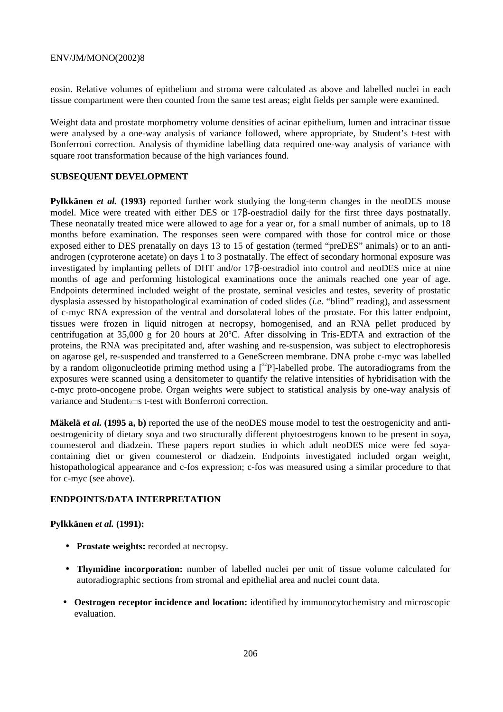eosin. Relative volumes of epithelium and stroma were calculated as above and labelled nuclei in each tissue compartment were then counted from the same test areas; eight fields per sample were examined.

Weight data and prostate morphometry volume densities of acinar epithelium, lumen and intracinar tissue were analysed by a one-way analysis of variance followed, where appropriate, by Student's t-test with Bonferroni correction. Analysis of thymidine labelling data required one-way analysis of variance with square root transformation because of the high variances found.

# **SUBSEQUENT DEVELOPMENT**

**Pylkkänen** *et al.* **(1993)** reported further work studying the long-term changes in the neoDES mouse model. Mice were treated with either DES or 17β-oestradiol daily for the first three days postnatally. These neonatally treated mice were allowed to age for a year or, for a small number of animals, up to 18 months before examination. The responses seen were compared with those for control mice or those exposed either to DES prenatally on days 13 to 15 of gestation (termed "preDES" animals) or to an antiandrogen (cyproterone acetate) on days 1 to 3 postnatally. The effect of secondary hormonal exposure was investigated by implanting pellets of DHT and/or 17β-oestradiol into control and neoDES mice at nine months of age and performing histological examinations once the animals reached one year of age. Endpoints determined included weight of the prostate, seminal vesicles and testes, severity of prostatic dysplasia assessed by histopathological examination of coded slides (*i.e.* "blind" reading), and assessment of c-myc RNA expression of the ventral and dorsolateral lobes of the prostate. For this latter endpoint, tissues were frozen in liquid nitrogen at necropsy, homogenised, and an RNA pellet produced by centrifugation at 35,000 g for 20 hours at 20ºC. After dissolving in Tris-EDTA and extraction of the proteins, the RNA was precipitated and, after washing and re-suspension, was subject to electrophoresis on agarose gel, re-suspended and transferred to a GeneScreen membrane. DNA probe c-myc was labelled by a random oligonucleotide priming method using a  $[3^3P]$ -labelled probe. The autoradiograms from the exposures were scanned using a densitometer to quantify the relative intensities of hybridisation with the c-myc proto-oncogene probe. Organ weights were subject to statistical analysis by one-way analysis of variance and Students t-test with Bonferroni correction.

**Mäkelä** *et al.* **(1995 a, b)** reported the use of the neoDES mouse model to test the oestrogenicity and antioestrogenicity of dietary soya and two structurally different phytoestrogens known to be present in soya, coumesterol and diadzein. These papers report studies in which adult neoDES mice were fed soyacontaining diet or given coumesterol or diadzein. Endpoints investigated included organ weight, histopathological appearance and c-fos expression; c-fos was measured using a similar procedure to that for c-myc (see above).

# **ENDPOINTS/DATA INTERPRETATION**

# **Pylkkänen** *et al.* **(1991):**

- **Prostate weights:** recorded at necropsy.
- **Thymidine incorporation:** number of labelled nuclei per unit of tissue volume calculated for autoradiographic sections from stromal and epithelial area and nuclei count data.
- **Oestrogen receptor incidence and location:** identified by immunocytochemistry and microscopic evaluation.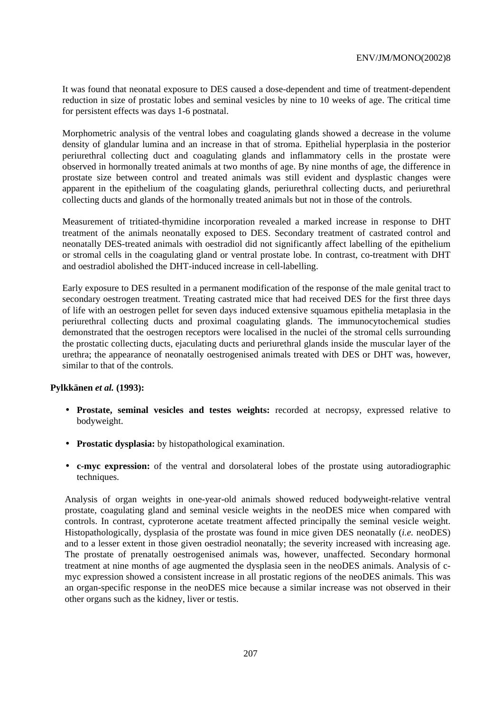It was found that neonatal exposure to DES caused a dose-dependent and time of treatment-dependent reduction in size of prostatic lobes and seminal vesicles by nine to 10 weeks of age. The critical time for persistent effects was days 1-6 postnatal.

Morphometric analysis of the ventral lobes and coagulating glands showed a decrease in the volume density of glandular lumina and an increase in that of stroma. Epithelial hyperplasia in the posterior periurethral collecting duct and coagulating glands and inflammatory cells in the prostate were observed in hormonally treated animals at two months of age. By nine months of age, the difference in prostate size between control and treated animals was still evident and dysplastic changes were apparent in the epithelium of the coagulating glands, periurethral collecting ducts, and periurethral collecting ducts and glands of the hormonally treated animals but not in those of the controls.

Measurement of tritiated-thymidine incorporation revealed a marked increase in response to DHT treatment of the animals neonatally exposed to DES. Secondary treatment of castrated control and neonatally DES-treated animals with oestradiol did not significantly affect labelling of the epithelium or stromal cells in the coagulating gland or ventral prostate lobe. In contrast, co-treatment with DHT and oestradiol abolished the DHT-induced increase in cell-labelling.

Early exposure to DES resulted in a permanent modification of the response of the male genital tract to secondary oestrogen treatment. Treating castrated mice that had received DES for the first three days of life with an oestrogen pellet for seven days induced extensive squamous epithelia metaplasia in the periurethral collecting ducts and proximal coagulating glands. The immunocytochemical studies demonstrated that the oestrogen receptors were localised in the nuclei of the stromal cells surrounding the prostatic collecting ducts, ejaculating ducts and periurethral glands inside the muscular layer of the urethra; the appearance of neonatally oestrogenised animals treated with DES or DHT was, however, similar to that of the controls.

# **Pylkkänen** *et al.* **(1993):**

- **Prostate, seminal vesicles and testes weights:** recorded at necropsy, expressed relative to bodyweight.
- **Prostatic dysplasia:** by histopathological examination.
- **c-myc expression:** of the ventral and dorsolateral lobes of the prostate using autoradiographic techniques.

Analysis of organ weights in one-year-old animals showed reduced bodyweight-relative ventral prostate, coagulating gland and seminal vesicle weights in the neoDES mice when compared with controls. In contrast, cyproterone acetate treatment affected principally the seminal vesicle weight. Histopathologically, dysplasia of the prostate was found in mice given DES neonatally (*i.e.* neoDES) and to a lesser extent in those given oestradiol neonatally; the severity increased with increasing age. The prostate of prenatally oestrogenised animals was, however, unaffected. Secondary hormonal treatment at nine months of age augmented the dysplasia seen in the neoDES animals. Analysis of cmyc expression showed a consistent increase in all prostatic regions of the neoDES animals. This was an organ-specific response in the neoDES mice because a similar increase was not observed in their other organs such as the kidney, liver or testis.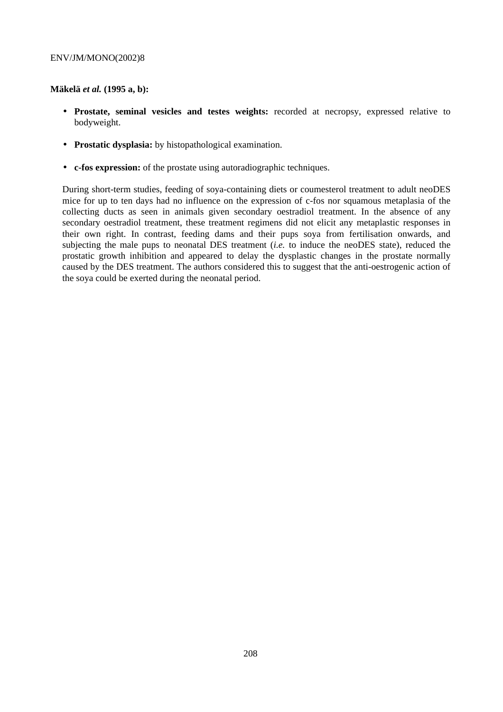# **Mäkelä** *et al.* **(1995 a, b):**

- **Prostate, seminal vesicles and testes weights:** recorded at necropsy, expressed relative to bodyweight.
- **Prostatic dysplasia:** by histopathological examination.
- **c-fos expression:** of the prostate using autoradiographic techniques.

During short-term studies, feeding of soya-containing diets or coumesterol treatment to adult neoDES mice for up to ten days had no influence on the expression of c-fos nor squamous metaplasia of the collecting ducts as seen in animals given secondary oestradiol treatment. In the absence of any secondary oestradiol treatment, these treatment regimens did not elicit any metaplastic responses in their own right. In contrast, feeding dams and their pups soya from fertilisation onwards, and subjecting the male pups to neonatal DES treatment (*i.e.* to induce the neoDES state), reduced the prostatic growth inhibition and appeared to delay the dysplastic changes in the prostate normally caused by the DES treatment. The authors considered this to suggest that the anti-oestrogenic action of the soya could be exerted during the neonatal period.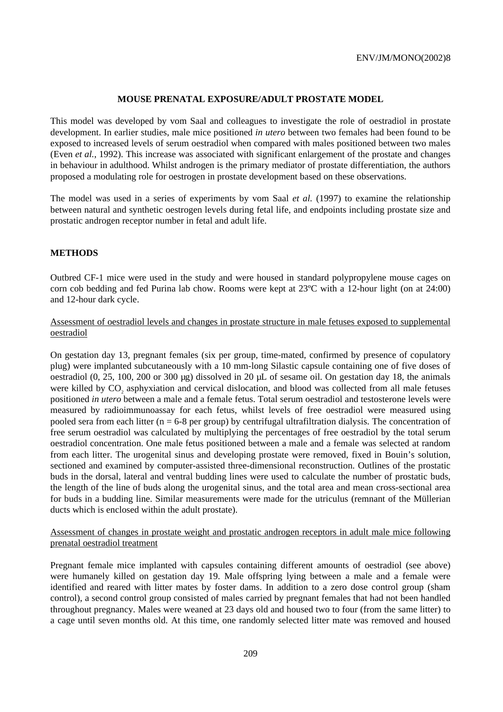### **MOUSE PRENATAL EXPOSURE/ADULT PROSTATE MODEL**

This model was developed by vom Saal and colleagues to investigate the role of oestradiol in prostate development. In earlier studies, male mice positioned *in utero* between two females had been found to be exposed to increased levels of serum oestradiol when compared with males positioned between two males (Even *et al.*, 1992). This increase was associated with significant enlargement of the prostate and changes in behaviour in adulthood. Whilst androgen is the primary mediator of prostate differentiation, the authors proposed a modulating role for oestrogen in prostate development based on these observations.

The model was used in a series of experiments by vom Saal *et al.* (1997) to examine the relationship between natural and synthetic oestrogen levels during fetal life, and endpoints including prostate size and prostatic androgen receptor number in fetal and adult life.

### **METHODS**

Outbred CF-1 mice were used in the study and were housed in standard polypropylene mouse cages on corn cob bedding and fed Purina lab chow. Rooms were kept at 23ºC with a 12-hour light (on at 24:00) and 12-hour dark cycle.

# Assessment of oestradiol levels and changes in prostate structure in male fetuses exposed to supplemental oestradiol

On gestation day 13, pregnant females (six per group, time-mated, confirmed by presence of copulatory plug) were implanted subcutaneously with a 10 mm-long Silastic capsule containing one of five doses of oestradiol (0, 25, 100, 200 or 300 µg) dissolved in 20 µL of sesame oil. On gestation day 18, the animals were killed by  $CO_2$  asphyxiation and cervical dislocation, and blood was collected from all male fetuses positioned *in utero* between a male and a female fetus. Total serum oestradiol and testosterone levels were measured by radioimmunoassay for each fetus, whilst levels of free oestradiol were measured using pooled sera from each litter ( $n = 6-8$  per group) by centrifugal ultrafiltration dialysis. The concentration of free serum oestradiol was calculated by multiplying the percentages of free oestradiol by the total serum oestradiol concentration. One male fetus positioned between a male and a female was selected at random from each litter. The urogenital sinus and developing prostate were removed, fixed in Bouin's solution, sectioned and examined by computer-assisted three-dimensional reconstruction. Outlines of the prostatic buds in the dorsal, lateral and ventral budding lines were used to calculate the number of prostatic buds, the length of the line of buds along the urogenital sinus, and the total area and mean cross-sectional area for buds in a budding line. Similar measurements were made for the utriculus (remnant of the Müllerian ducts which is enclosed within the adult prostate).

# Assessment of changes in prostate weight and prostatic androgen receptors in adult male mice following prenatal oestradiol treatment

Pregnant female mice implanted with capsules containing different amounts of oestradiol (see above) were humanely killed on gestation day 19. Male offspring lying between a male and a female were identified and reared with litter mates by foster dams. In addition to a zero dose control group (sham control), a second control group consisted of males carried by pregnant females that had not been handled throughout pregnancy. Males were weaned at 23 days old and housed two to four (from the same litter) to a cage until seven months old. At this time, one randomly selected litter mate was removed and housed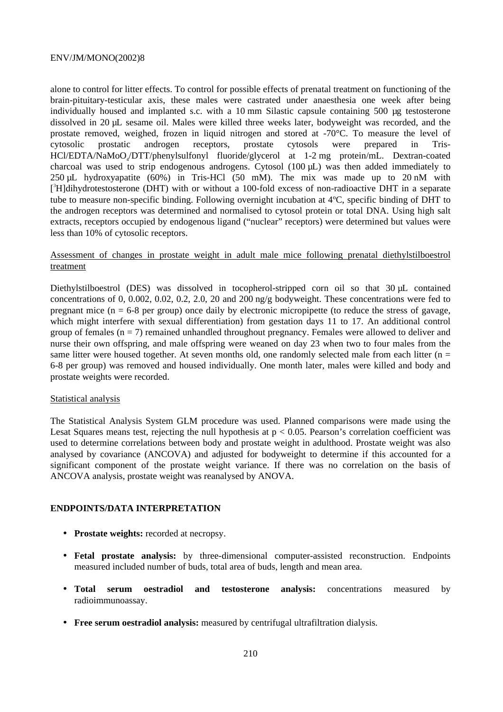alone to control for litter effects. To control for possible effects of prenatal treatment on functioning of the brain-pituitary-testicular axis, these males were castrated under anaesthesia one week after being individually housed and implanted s.c. with a 10 mm Silastic capsule containing 500 ug testosterone dissolved in 20 µL sesame oil. Males were killed three weeks later, bodyweight was recorded, and the prostate removed, weighed, frozen in liquid nitrogen and stored at -70°C. To measure the level of cytosolic prostatic androgen receptors, prostate cytosols were prepared in Tris-HCl/EDTA/NaMoO<sub>4</sub>/DTT/phenylsulfonyl fluoride/glycerol at 1-2 mg protein/mL. Dextran-coated charcoal was used to strip endogenous androgens. Cytosol (100 µL) was then added immediately to 250 µL hydroxyapatite (60%) in Tris-HCl (50 mM). The mix was made up to 20 nM with [<sup>3</sup>H]dihydrotestosterone (DHT) with or without a 100-fold excess of non-radioactive DHT in a separate tube to measure non-specific binding. Following overnight incubation at 4ºC, specific binding of DHT to the androgen receptors was determined and normalised to cytosol protein or total DNA. Using high salt extracts, receptors occupied by endogenous ligand ("nuclear" receptors) were determined but values were less than 10% of cytosolic receptors.

# Assessment of changes in prostate weight in adult male mice following prenatal diethylstilboestrol treatment

Diethylstilboestrol (DES) was dissolved in tocopherol-stripped corn oil so that 30 µL contained concentrations of 0, 0.002, 0.02, 0.2, 2.0, 20 and 200 ng/g bodyweight. These concentrations were fed to pregnant mice ( $n = 6-8$  per group) once daily by electronic micropipette (to reduce the stress of gavage, which might interfere with sexual differentiation) from gestation days 11 to 17. An additional control group of females  $(n = 7)$  remained unhandled throughout pregnancy. Females were allowed to deliver and nurse their own offspring, and male offspring were weaned on day 23 when two to four males from the same litter were housed together. At seven months old, one randomly selected male from each litter ( $n =$ 6-8 per group) was removed and housed individually. One month later, males were killed and body and prostate weights were recorded.

# Statistical analysis

The Statistical Analysis System GLM procedure was used. Planned comparisons were made using the Lesat Squares means test, rejecting the null hypothesis at  $p < 0.05$ . Pearson's correlation coefficient was used to determine correlations between body and prostate weight in adulthood. Prostate weight was also analysed by covariance (ANCOVA) and adjusted for bodyweight to determine if this accounted for a significant component of the prostate weight variance. If there was no correlation on the basis of ANCOVA analysis, prostate weight was reanalysed by ANOVA.

# **ENDPOINTS/DATA INTERPRETATION**

- **Prostate weights:** recorded at necropsy.
- **Fetal prostate analysis:** by three-dimensional computer-assisted reconstruction. Endpoints measured included number of buds, total area of buds, length and mean area.
- **Total serum oestradiol and testosterone analysis:** concentrations measured by radioimmunoassay.
- **Free serum oestradiol analysis:** measured by centrifugal ultrafiltration dialysis.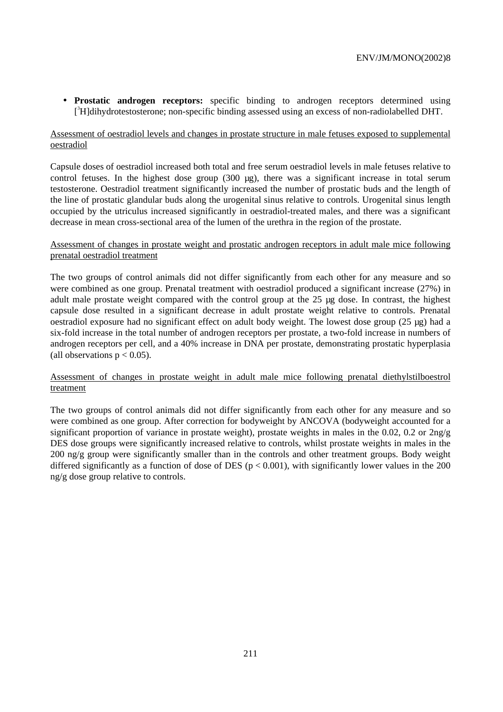• **Prostatic androgen receptors:** specific binding to androgen receptors determined using [<sup>3</sup>H]dihydrotestosterone; non-specific binding assessed using an excess of non-radiolabelled DHT.

# Assessment of oestradiol levels and changes in prostate structure in male fetuses exposed to supplemental oestradiol

Capsule doses of oestradiol increased both total and free serum oestradiol levels in male fetuses relative to control fetuses. In the highest dose group (300 µg), there was a significant increase in total serum testosterone. Oestradiol treatment significantly increased the number of prostatic buds and the length of the line of prostatic glandular buds along the urogenital sinus relative to controls. Urogenital sinus length occupied by the utriculus increased significantly in oestradiol-treated males, and there was a significant decrease in mean cross-sectional area of the lumen of the urethra in the region of the prostate.

# Assessment of changes in prostate weight and prostatic androgen receptors in adult male mice following prenatal oestradiol treatment

The two groups of control animals did not differ significantly from each other for any measure and so were combined as one group. Prenatal treatment with oestradiol produced a significant increase (27%) in adult male prostate weight compared with the control group at the 25 µg dose. In contrast, the highest capsule dose resulted in a significant decrease in adult prostate weight relative to controls. Prenatal oestradiol exposure had no significant effect on adult body weight. The lowest dose group (25 µg) had a six-fold increase in the total number of androgen receptors per prostate, a two-fold increase in numbers of androgen receptors per cell, and a 40% increase in DNA per prostate, demonstrating prostatic hyperplasia (all observations  $p < 0.05$ ).

# Assessment of changes in prostate weight in adult male mice following prenatal diethylstilboestrol treatment

The two groups of control animals did not differ significantly from each other for any measure and so were combined as one group. After correction for bodyweight by ANCOVA (bodyweight accounted for a significant proportion of variance in prostate weight), prostate weights in males in the 0.02, 0.2 or 2ng/g DES dose groups were significantly increased relative to controls, whilst prostate weights in males in the 200 ng/g group were significantly smaller than in the controls and other treatment groups. Body weight differed significantly as a function of dose of DES ( $p < 0.001$ ), with significantly lower values in the 200 ng/g dose group relative to controls.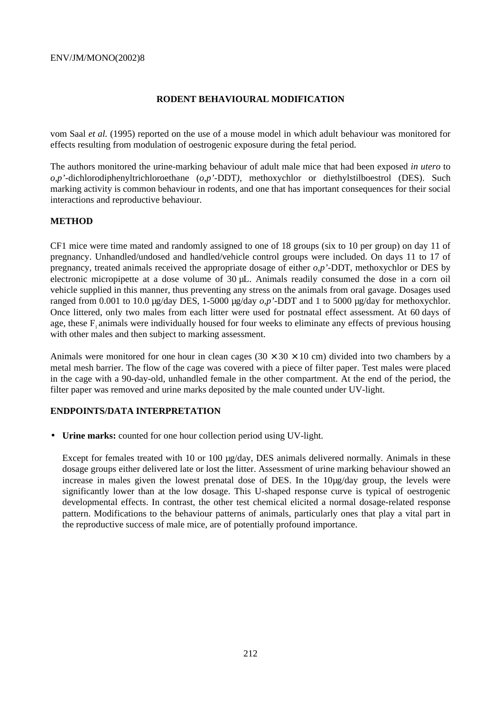# **RODENT BEHAVIOURAL MODIFICATION**

vom Saal *et al.* (1995) reported on the use of a mouse model in which adult behaviour was monitored for effects resulting from modulation of oestrogenic exposure during the fetal period.

The authors monitored the urine-marking behaviour of adult male mice that had been exposed *in utero* to *o,p'-*dichlorodiphenyltrichloroethane (*o,p'*-DDT*),* methoxychlor or diethylstilboestrol (DES). Such marking activity is common behaviour in rodents, and one that has important consequences for their social interactions and reproductive behaviour.

# **METHOD**

CF1 mice were time mated and randomly assigned to one of 18 groups (six to 10 per group) on day 11 of pregnancy. Unhandled/undosed and handled/vehicle control groups were included. On days 11 to 17 of pregnancy, treated animals received the appropriate dosage of either *o,p'*-DDT*,* methoxychlor or DES by electronic micropipette at a dose volume of 30 µL. Animals readily consumed the dose in a corn oil vehicle supplied in this manner, thus preventing any stress on the animals from oral gavage. Dosages used ranged from 0.001 to 10.0 µg/day DES, 1-5000 µg/day *o,p'*-DDT and 1 to 5000 µg/day for methoxychlor. Once littered, only two males from each litter were used for postnatal effect assessment. At 60 days of age, these F<sub>1</sub> animals were individually housed for four weeks to eliminate any effects of previous housing with other males and then subject to marking assessment.

Animals were monitored for one hour in clean cages ( $30 \times 30 \times 10$  cm) divided into two chambers by a metal mesh barrier. The flow of the cage was covered with a piece of filter paper. Test males were placed in the cage with a 90-day-old, unhandled female in the other compartment. At the end of the period, the filter paper was removed and urine marks deposited by the male counted under UV-light.

# **ENDPOINTS/DATA INTERPRETATION**

• **Urine marks:** counted for one hour collection period using UV-light.

Except for females treated with 10 or 100  $\mu$ g/day, DES animals delivered normally. Animals in these dosage groups either delivered late or lost the litter. Assessment of urine marking behaviour showed an increase in males given the lowest prenatal dose of DES. In the 10µg/day group, the levels were significantly lower than at the low dosage. This U-shaped response curve is typical of oestrogenic developmental effects. In contrast, the other test chemical elicited a normal dosage-related response pattern. Modifications to the behaviour patterns of animals, particularly ones that play a vital part in the reproductive success of male mice, are of potentially profound importance.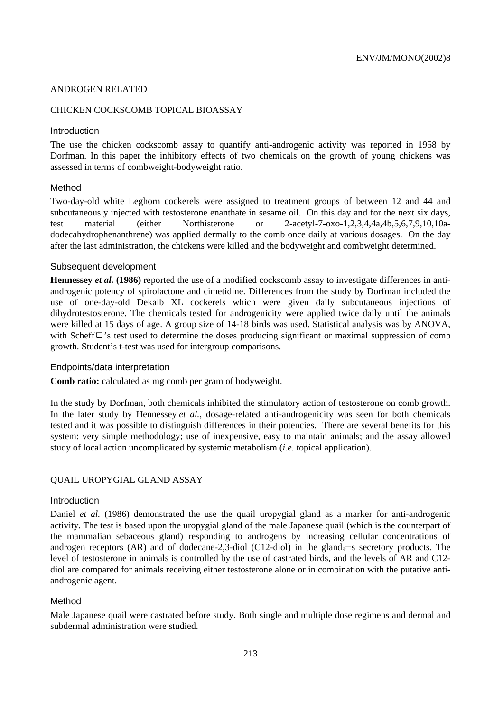#### ANDROGEN RELATED

# CHICKEN COCKSCOMB TOPICAL BIOASSAY

#### **Introduction**

The use the chicken cockscomb assay to quantify anti-androgenic activity was reported in 1958 by Dorfman. In this paper the inhibitory effects of two chemicals on the growth of young chickens was assessed in terms of combweight-bodyweight ratio.

### Method

Two-day-old white Leghorn cockerels were assigned to treatment groups of between 12 and 44 and subcutaneously injected with testosterone enanthate in sesame oil. On this day and for the next six days, test material (either Northisterone or 2-acetyl-7-oxo-1,2,3,4,4a,4b,5,6,7,9,10,10adodecahydrophenanthrene) was applied dermally to the comb once daily at various dosages. On the day after the last administration, the chickens were killed and the bodyweight and combweight determined.

#### Subsequent development

**Hennessey** *et al.* (1986) reported the use of a modified cockscomb assay to investigate differences in antiandrogenic potency of spirolactone and cimetidine. Differences from the study by Dorfman included the use of one-day-old Dekalb XL cockerels which were given daily subcutaneous injections of dihydrotestosterone. The chemicals tested for androgenicity were applied twice daily until the animals were killed at 15 days of age. A group size of 14-18 birds was used. Statistical analysis was by ANOVA, with Scheff $\square$ 's test used to determine the doses producing significant or maximal suppression of comb growth. Student's t-test was used for intergroup comparisons.

#### Endpoints/data interpretation

**Comb ratio:** calculated as mg comb per gram of bodyweight.

In the study by Dorfman, both chemicals inhibited the stimulatory action of testosterone on comb growth. In the later study by Hennessey *et al.,* dosage-related anti-androgenicity was seen for both chemicals tested and it was possible to distinguish differences in their potencies. There are several benefits for this system: very simple methodology; use of inexpensive, easy to maintain animals; and the assay allowed study of local action uncomplicated by systemic metabolism (*i.e.* topical application).

# QUAIL UROPYGIAL GLAND ASSAY

#### Introduction

Daniel *et al.* (1986) demonstrated the use the quail uropygial gland as a marker for anti-androgenic activity. The test is based upon the uropygial gland of the male Japanese quail (which is the counterpart of the mammalian sebaceous gland) responding to androgens by increasing cellular concentrations of androgen receptors  $(AR)$  and of dodecane-2,3-diol  $(C12$ -diol) in the gland s secretory products. The level of testosterone in animals is controlled by the use of castrated birds, and the levels of AR and C12 diol are compared for animals receiving either testosterone alone or in combination with the putative antiandrogenic agent.

# Method

Male Japanese quail were castrated before study. Both single and multiple dose regimens and dermal and subdermal administration were studied.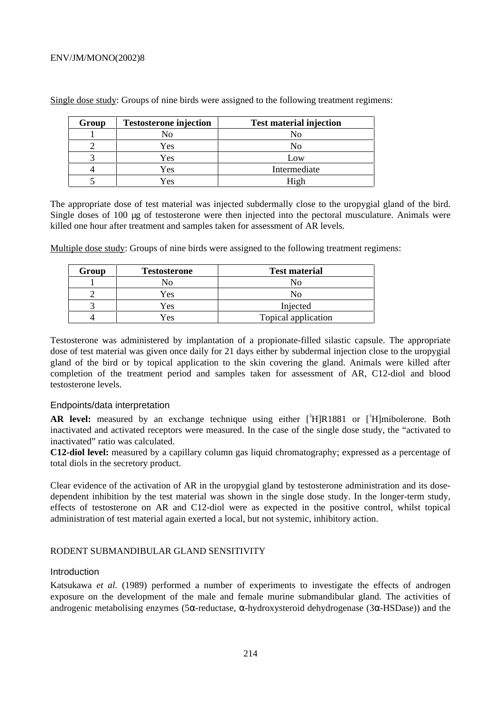| Group | <b>Testosterone injection</b> | <b>Test material injection</b> |
|-------|-------------------------------|--------------------------------|
|       | No                            | No                             |
|       | Yes                           | No                             |
|       | Yes                           | Low                            |
|       | Yes                           | Intermediate                   |
|       | Yes                           | High                           |

Single dose study: Groups of nine birds were assigned to the following treatment regimens:

The appropriate dose of test material was injected subdermally close to the uropygial gland of the bird. Single doses of 100 µg of testosterone were then injected into the pectoral musculature. Animals were killed one hour after treatment and samples taken for assessment of AR levels.

Multiple dose study: Groups of nine birds were assigned to the following treatment regimens:

| Group | <b>Testosterone</b> | <b>Test material</b> |
|-------|---------------------|----------------------|
|       |                     |                      |
|       | Yes                 |                      |
|       | Yes                 | Injected             |
|       | Yes                 | Topical application  |

Testosterone was administered by implantation of a propionate-filled silastic capsule. The appropriate dose of test material was given once daily for 21 days either by subdermal injection close to the uropygial gland of the bird or by topical application to the skin covering the gland. Animals were killed after completion of the treatment period and samples taken for assessment of AR, C12-diol and blood testosterone levels.

# Endpoints/data interpretation

AR level: measured by an exchange technique using either [<sup>3</sup>H]R1881 or [<sup>3</sup>H]mibolerone. Both inactivated and activated receptors were measured. In the case of the single dose study, the "activated to inactivated" ratio was calculated.

**C12-diol level:** measured by a capillary column gas liquid chromatography; expressed as a percentage of total diols in the secretory product.

Clear evidence of the activation of AR in the uropygial gland by testosterone administration and its dosedependent inhibition by the test material was shown in the single dose study. In the longer-term study, effects of testosterone on AR and C12-diol were as expected in the positive control, whilst topical administration of test material again exerted a local, but not systemic, inhibitory action.

# RODENT SUBMANDIBULAR GLAND SENSITIVITY

#### **Introduction**

Katsukawa *et al.* (1989) performed a number of experiments to investigate the effects of androgen exposure on the development of the male and female murine submandibular gland. The activities of androgenic metabolising enzymes (5α-reductase, α-hydroxysteroid dehydrogenase (3α-HSDase)) and the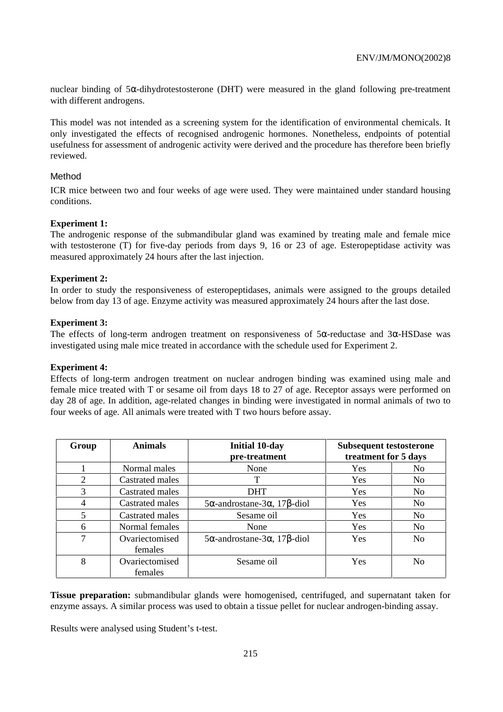nuclear binding of  $5\alpha$ -dihydrotestosterone (DHT) were measured in the gland following pre-treatment with different androgens.

This model was not intended as a screening system for the identification of environmental chemicals. It only investigated the effects of recognised androgenic hormones. Nonetheless, endpoints of potential usefulness for assessment of androgenic activity were derived and the procedure has therefore been briefly reviewed.

# Method

ICR mice between two and four weeks of age were used. They were maintained under standard housing conditions.

# **Experiment 1:**

The androgenic response of the submandibular gland was examined by treating male and female mice with testosterone (T) for five-day periods from days 9, 16 or 23 of age. Esteropeptidase activity was measured approximately 24 hours after the last injection.

# **Experiment 2:**

In order to study the responsiveness of esteropeptidases, animals were assigned to the groups detailed below from day 13 of age. Enzyme activity was measured approximately 24 hours after the last dose.

# **Experiment 3:**

The effects of long-term androgen treatment on responsiveness of 5α-reductase and 3α-HSDase was investigated using male mice treated in accordance with the schedule used for Experiment 2.

# **Experiment 4:**

Effects of long-term androgen treatment on nuclear androgen binding was examined using male and female mice treated with T or sesame oil from days 18 to 27 of age. Receptor assays were performed on day 28 of age. In addition, age-related changes in binding were investigated in normal animals of two to four weeks of age. All animals were treated with T two hours before assay.

| Group | <b>Animals</b>  | <b>Initial 10-day</b>                               | <b>Subsequent testosterone</b> |                |
|-------|-----------------|-----------------------------------------------------|--------------------------------|----------------|
|       |                 | pre-treatment                                       | treatment for 5 days           |                |
|       | Normal males    | None                                                | <b>Yes</b>                     | N <sub>0</sub> |
| 2     | Castrated males | Т                                                   | Yes                            | No.            |
| 3     | Castrated males | DHT                                                 | <b>Yes</b>                     | No.            |
| 4     | Castrated males | $5\alpha$ -androstane- $3\alpha$ , 17 $\beta$ -diol | <b>Yes</b>                     | No.            |
| 5     | Castrated males | Sesame oil                                          | Yes                            | N <sub>0</sub> |
| 6     | Normal females  | None                                                | <b>Yes</b>                     | No.            |
| 7     | Ovariectomised  | $5\alpha$ -androstane- $3\alpha$ , 17 $\beta$ -diol | <b>Yes</b>                     | N <sub>0</sub> |
|       | females         |                                                     |                                |                |
| 8     | Ovariectomised  | Sesame oil                                          | Yes                            | N <sub>0</sub> |
|       | females         |                                                     |                                |                |

**Tissue preparation:** submandibular glands were homogenised, centrifuged, and supernatant taken for enzyme assays. A similar process was used to obtain a tissue pellet for nuclear androgen-binding assay.

Results were analysed using Student's t-test.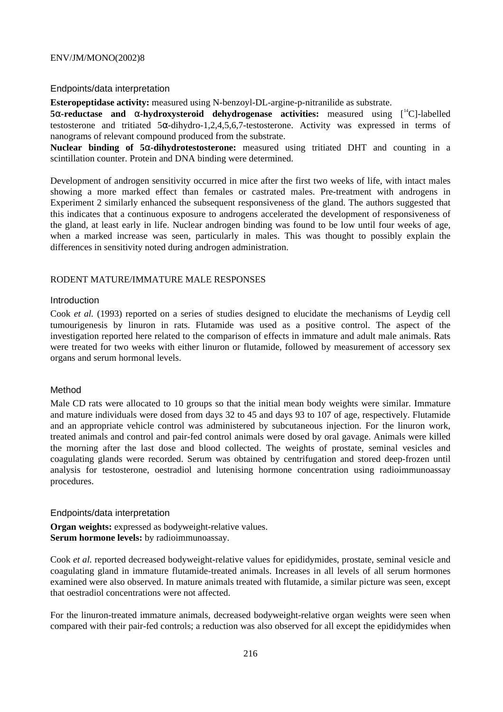#### Endpoints/data interpretation

**Esteropeptidase activity:** measured using N-benzoyl-DL-argine-p-nitranilide as substrate.

**5**α**-reductase and** α**-hydroxysteroid dehydrogenase activities:** measured using [14C]-labelled testosterone and tritiated 5α-dihydro-1,2,4,5,6,7-testosterone. Activity was expressed in terms of nanograms of relevant compound produced from the substrate.

**Nuclear binding of 5**α**-dihydrotestosterone:** measured using tritiated DHT and counting in a scintillation counter. Protein and DNA binding were determined.

Development of androgen sensitivity occurred in mice after the first two weeks of life, with intact males showing a more marked effect than females or castrated males. Pre-treatment with androgens in Experiment 2 similarly enhanced the subsequent responsiveness of the gland. The authors suggested that this indicates that a continuous exposure to androgens accelerated the development of responsiveness of the gland, at least early in life. Nuclear androgen binding was found to be low until four weeks of age, when a marked increase was seen, particularly in males. This was thought to possibly explain the differences in sensitivity noted during androgen administration.

# RODENT MATURE/IMMATURE MALE RESPONSES

#### Introduction

Cook et al. (1993) reported on a series of studies designed to elucidate the mechanisms of Leydig cell tumourigenesis by linuron in rats. Flutamide was used as a positive control. The aspect of the investigation reported here related to the comparison of effects in immature and adult male animals. Rats were treated for two weeks with either linuron or flutamide, followed by measurement of accessory sex organs and serum hormonal levels.

# Method

Male CD rats were allocated to 10 groups so that the initial mean body weights were similar. Immature and mature individuals were dosed from days 32 to 45 and days 93 to 107 of age, respectively. Flutamide and an appropriate vehicle control was administered by subcutaneous injection. For the linuron work, treated animals and control and pair-fed control animals were dosed by oral gavage. Animals were killed the morning after the last dose and blood collected. The weights of prostate, seminal vesicles and coagulating glands were recorded. Serum was obtained by centrifugation and stored deep-frozen until analysis for testosterone, oestradiol and lutenising hormone concentration using radioimmunoassay procedures.

# Endpoints/data interpretation

**Organ weights:** expressed as bodyweight-relative values. **Serum hormone levels:** by radioimmunoassay.

Cook et al. reported decreased bodyweight-relative values for epididymides, prostate, seminal vesicle and coagulating gland in immature flutamide-treated animals. Increases in all levels of all serum hormones examined were also observed. In mature animals treated with flutamide, a similar picture was seen, except that oestradiol concentrations were not affected.

For the linuron-treated immature animals, decreased bodyweight-relative organ weights were seen when compared with their pair-fed controls; a reduction was also observed for all except the epididymides when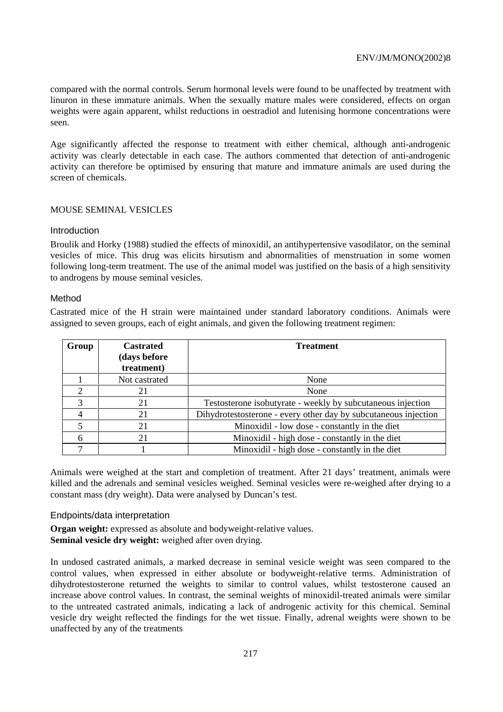compared with the normal controls. Serum hormonal levels were found to be unaffected by treatment with linuron in these immature animals. When the sexually mature males were considered, effects on organ weights were again apparent, whilst reductions in oestradiol and lutenising hormone concentrations were seen.

Age significantly affected the response to treatment with either chemical, although anti-androgenic activity was clearly detectable in each case. The authors commented that detection of anti-androgenic activity can therefore be optimised by ensuring that mature and immature animals are used during the screen of chemicals.

# MOUSE SEMINAL VESICLES

# **Introduction**

Broulik and Horky (1988) studied the effects of minoxidil, an antihypertensive vasodilator, on the seminal vesicles of mice. This drug was elicits hirsutism and abnormalities of menstruation in some women following long-term treatment. The use of the animal model was justified on the basis of a high sensitivity to androgens by mouse seminal vesicles.

# Method

Castrated mice of the H strain were maintained under standard laboratory conditions. Animals were assigned to seven groups, each of eight animals, and given the following treatment regimen:

| Group                       | <b>Castrated</b><br>(days before<br>treatment) | <b>Treatment</b>                                                |  |
|-----------------------------|------------------------------------------------|-----------------------------------------------------------------|--|
|                             | Not castrated                                  | None                                                            |  |
| $\mathcal{D}_{\mathcal{A}}$ | 21                                             | None                                                            |  |
|                             | 21                                             | Testosterone isobutyrate - weekly by subcutaneous injection     |  |
|                             | 21                                             | Dihydrotestosterone - every other day by subcutaneous injection |  |
|                             | 21                                             | Minoxidil - low dose - constantly in the diet                   |  |
| 6                           | 21                                             | Minoxidil - high dose - constantly in the diet                  |  |
|                             |                                                | Minoxidil - high dose - constantly in the diet                  |  |

Animals were weighed at the start and completion of treatment. After 21 days' treatment, animals were killed and the adrenals and seminal vesicles weighed. Seminal vesicles were re-weighed after drying to a constant mass (dry weight). Data were analysed by Duncan's test.

# Endpoints/data interpretation

**Organ weight:** expressed as absolute and bodyweight-relative values. **Seminal vesicle dry weight:** weighed after oven drying.

In undosed castrated animals, a marked decrease in seminal vesicle weight was seen compared to the control values, when expressed in either absolute or bodyweight-relative terms. Administration of dihydrotestosterone returned the weights to similar to control values, whilst testosterone caused an increase above control values. In contrast, the seminal weights of minoxidil-treated animals were similar to the untreated castrated animals, indicating a lack of androgenic activity for this chemical. Seminal vesicle dry weight reflected the findings for the wet tissue. Finally, adrenal weights were shown to be unaffected by any of the treatments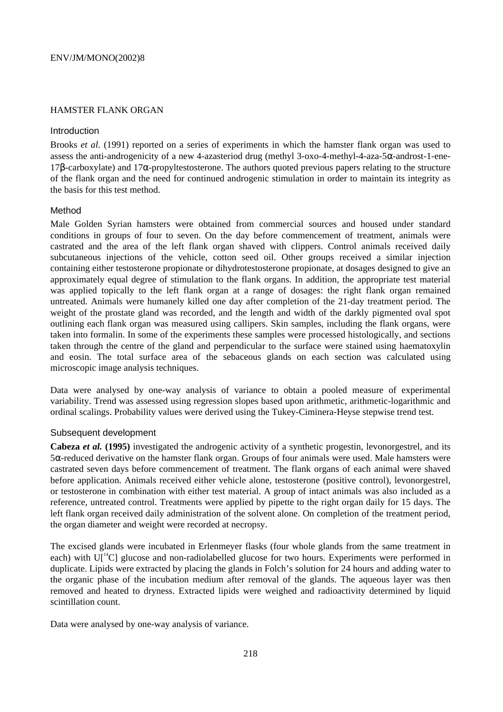# HAMSTER FLANK ORGAN

# Introduction

Brooks *et al.* (1991) reported on a series of experiments in which the hamster flank organ was used to assess the anti-androgenicity of a new 4-azasteriod drug (methyl 3-oxo-4-methyl-4-aza-5α-androst-1-ene-17β-carboxylate) and 17α-propyltestosterone. The authors quoted previous papers relating to the structure of the flank organ and the need for continued androgenic stimulation in order to maintain its integrity as the basis for this test method.

# Method

Male Golden Syrian hamsters were obtained from commercial sources and housed under standard conditions in groups of four to seven. On the day before commencement of treatment, animals were castrated and the area of the left flank organ shaved with clippers. Control animals received daily subcutaneous injections of the vehicle, cotton seed oil. Other groups received a similar injection containing either testosterone propionate or dihydrotestosterone propionate, at dosages designed to give an approximately equal degree of stimulation to the flank organs. In addition, the appropriate test material was applied topically to the left flank organ at a range of dosages: the right flank organ remained untreated. Animals were humanely killed one day after completion of the 21-day treatment period. The weight of the prostate gland was recorded, and the length and width of the darkly pigmented oval spot outlining each flank organ was measured using callipers. Skin samples, including the flank organs, were taken into formalin. In some of the experiments these samples were processed histologically, and sections taken through the centre of the gland and perpendicular to the surface were stained using haematoxylin and eosin. The total surface area of the sebaceous glands on each section was calculated using microscopic image analysis techniques.

Data were analysed by one-way analysis of variance to obtain a pooled measure of experimental variability. Trend was assessed using regression slopes based upon arithmetic, arithmetic-logarithmic and ordinal scalings. Probability values were derived using the Tukey-Ciminera-Heyse stepwise trend test.

# Subsequent development

**Cabeza** *et al.* **(1995)** investigated the androgenic activity of a synthetic progestin, levonorgestrel, and its 5α-reduced derivative on the hamster flank organ. Groups of four animals were used. Male hamsters were castrated seven days before commencement of treatment. The flank organs of each animal were shaved before application. Animals received either vehicle alone, testosterone (positive control), levonorgestrel, or testosterone in combination with either test material. A group of intact animals was also included as a reference, untreated control. Treatments were applied by pipette to the right organ daily for 15 days. The left flank organ received daily administration of the solvent alone. On completion of the treatment period, the organ diameter and weight were recorded at necropsy.

The excised glands were incubated in Erlenmeyer flasks (four whole glands from the same treatment in each) with  $U^{14}C$  glucose and non-radiolabelled glucose for two hours. Experiments were performed in duplicate. Lipids were extracted by placing the glands in Folch's solution for 24 hours and adding water to the organic phase of the incubation medium after removal of the glands. The aqueous layer was then removed and heated to dryness. Extracted lipids were weighed and radioactivity determined by liquid scintillation count.

Data were analysed by one-way analysis of variance.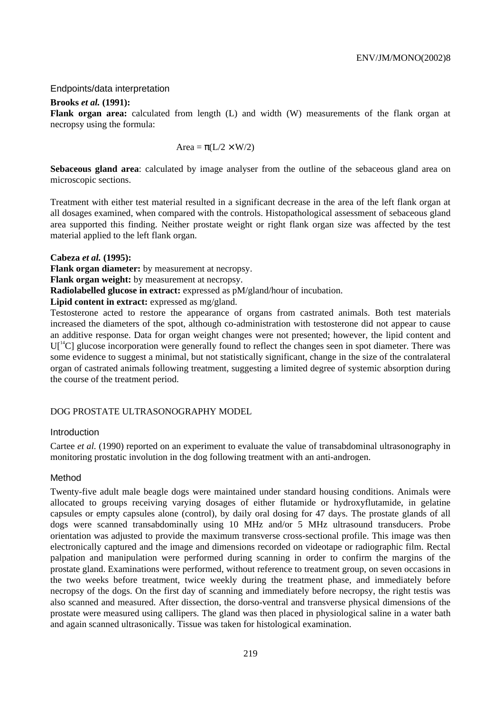### Endpoints/data interpretation

#### **Brooks** *et al.* **(1991):**

**Flank organ area:** calculated from length (L) and width (W) measurements of the flank organ at necropsy using the formula:

$$
Area = \pi(L/2 \times W/2)
$$

**Sebaceous gland area**: calculated by image analyser from the outline of the sebaceous gland area on microscopic sections.

Treatment with either test material resulted in a significant decrease in the area of the left flank organ at all dosages examined, when compared with the controls. Histopathological assessment of sebaceous gland area supported this finding. Neither prostate weight or right flank organ size was affected by the test material applied to the left flank organ.

### **Cabeza** *et al.* **(1995):**

**Flank organ diameter:** by measurement at necropsy.

**Flank organ weight:** by measurement at necropsy.

**Radiolabelled glucose in extract:** expressed as pM/gland/hour of incubation.

### **Lipid content in extract:** expressed as mg/gland.

Testosterone acted to restore the appearance of organs from castrated animals. Both test materials increased the diameters of the spot, although co-administration with testosterone did not appear to cause an additive response. Data for organ weight changes were not presented; however, the lipid content and  $U^{14}C$ ] glucose incorporation were generally found to reflect the changes seen in spot diameter. There was some evidence to suggest a minimal, but not statistically significant, change in the size of the contralateral organ of castrated animals following treatment, suggesting a limited degree of systemic absorption during the course of the treatment period.

# DOG PROSTATE ULTRASONOGRAPHY MODEL

# **Introduction**

Cartee *et al.* (1990) reported on an experiment to evaluate the value of transabdominal ultrasonography in monitoring prostatic involution in the dog following treatment with an anti-androgen.

# Method

Twenty-five adult male beagle dogs were maintained under standard housing conditions. Animals were allocated to groups receiving varying dosages of either flutamide or hydroxyflutamide, in gelatine capsules or empty capsules alone (control), by daily oral dosing for 47 days. The prostate glands of all dogs were scanned transabdominally using 10 MHz and/or 5 MHz ultrasound transducers. Probe orientation was adjusted to provide the maximum transverse cross-sectional profile. This image was then electronically captured and the image and dimensions recorded on videotape or radiographic film. Rectal palpation and manipulation were performed during scanning in order to confirm the margins of the prostate gland. Examinations were performed, without reference to treatment group, on seven occasions in the two weeks before treatment, twice weekly during the treatment phase, and immediately before necropsy of the dogs. On the first day of scanning and immediately before necropsy, the right testis was also scanned and measured. After dissection, the dorso-ventral and transverse physical dimensions of the prostate were measured using callipers. The gland was then placed in physiological saline in a water bath and again scanned ultrasonically. Tissue was taken for histological examination.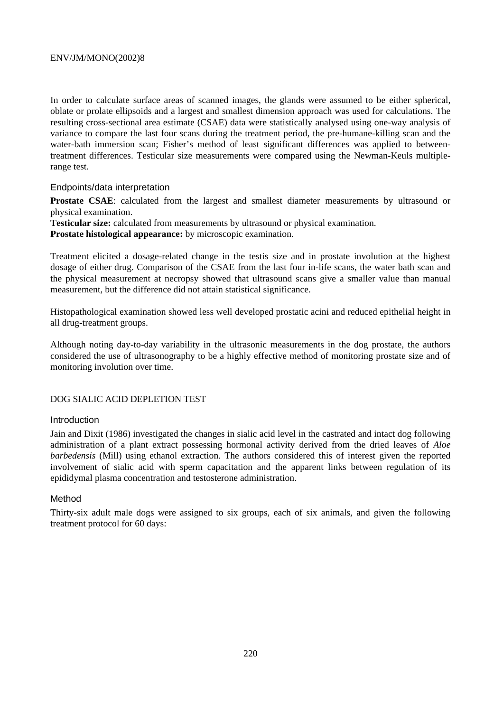In order to calculate surface areas of scanned images, the glands were assumed to be either spherical, oblate or prolate ellipsoids and a largest and smallest dimension approach was used for calculations. The resulting cross-sectional area estimate (CSAE) data were statistically analysed using one-way analysis of variance to compare the last four scans during the treatment period, the pre-humane-killing scan and the water-bath immersion scan; Fisher's method of least significant differences was applied to betweentreatment differences. Testicular size measurements were compared using the Newman-Keuls multiplerange test.

Endpoints/data interpretation

**Prostate CSAE**: calculated from the largest and smallest diameter measurements by ultrasound or physical examination.

**Testicular size:** calculated from measurements by ultrasound or physical examination.

**Prostate histological appearance:** by microscopic examination.

Treatment elicited a dosage-related change in the testis size and in prostate involution at the highest dosage of either drug. Comparison of the CSAE from the last four in-life scans, the water bath scan and the physical measurement at necropsy showed that ultrasound scans give a smaller value than manual measurement, but the difference did not attain statistical significance.

Histopathological examination showed less well developed prostatic acini and reduced epithelial height in all drug-treatment groups.

Although noting day-to-day variability in the ultrasonic measurements in the dog prostate, the authors considered the use of ultrasonography to be a highly effective method of monitoring prostate size and of monitoring involution over time.

# DOG SIALIC ACID DEPLETION TEST

# Introduction

Jain and Dixit (1986) investigated the changes in sialic acid level in the castrated and intact dog following administration of a plant extract possessing hormonal activity derived from the dried leaves of *Aloe barbedensis* (Mill) using ethanol extraction. The authors considered this of interest given the reported involvement of sialic acid with sperm capacitation and the apparent links between regulation of its epididymal plasma concentration and testosterone administration.

# Method

Thirty-six adult male dogs were assigned to six groups, each of six animals, and given the following treatment protocol for 60 days: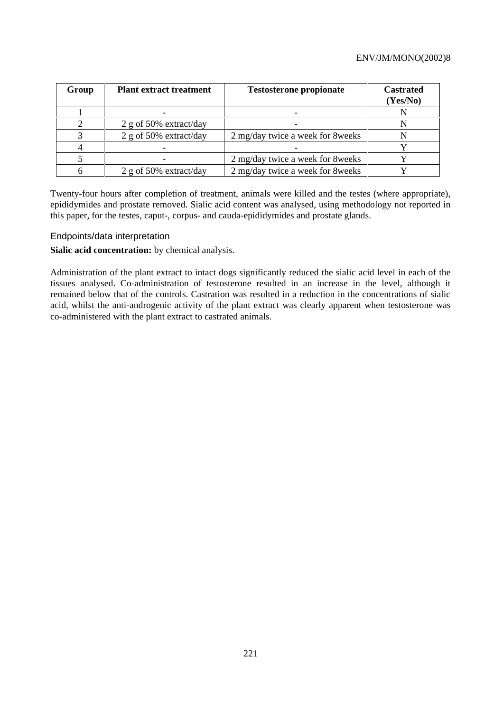| Group | <b>Plant extract treatment</b> | <b>Testosterone propionate</b>    | <b>Castrated</b><br>(Yes/No) |
|-------|--------------------------------|-----------------------------------|------------------------------|
|       |                                |                                   |                              |
|       | $2$ g of 50% extract/day       |                                   |                              |
|       | $2$ g of 50% extract/day       | 2 mg/day twice a week for 8 weeks |                              |
|       |                                |                                   |                              |
|       |                                | 2 mg/day twice a week for 8 weeks |                              |
|       | $2$ g of 50% extract/day       | 2 mg/day twice a week for 8weeks  |                              |

Twenty-four hours after completion of treatment, animals were killed and the testes (where appropriate), epididymides and prostate removed. Sialic acid content was analysed, using methodology not reported in this paper, for the testes, caput-, corpus- and cauda-epididymides and prostate glands.

# Endpoints/data interpretation

**Sialic acid concentration:** by chemical analysis.

Administration of the plant extract to intact dogs significantly reduced the sialic acid level in each of the tissues analysed. Co-administration of testosterone resulted in an increase in the level, although it remained below that of the controls. Castration was resulted in a reduction in the concentrations of sialic acid, whilst the anti-androgenic activity of the plant extract was clearly apparent when testosterone was co-administered with the plant extract to castrated animals.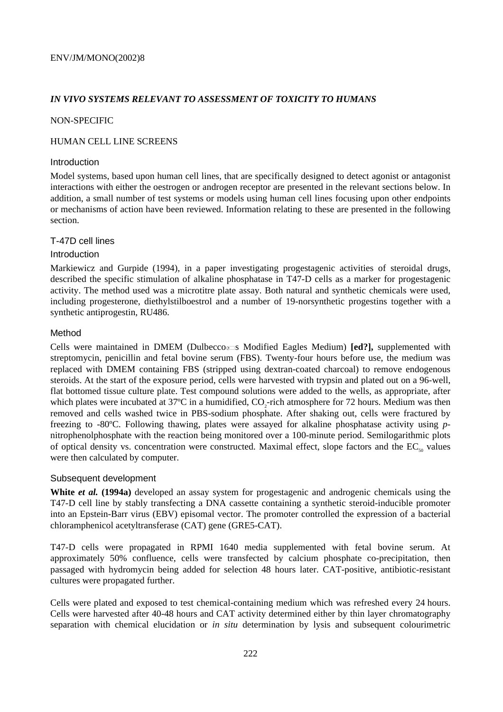# *IN VIVO SYSTEMS RELEVANT TO ASSESSMENT OF TOXICITY TO HUMANS*

### NON-SPECIFIC

# HUMAN CELL LINE SCREENS

### Introduction

Model systems, based upon human cell lines, that are specifically designed to detect agonist or antagonist interactions with either the oestrogen or androgen receptor are presented in the relevant sections below. In addition, a small number of test systems or models using human cell lines focusing upon other endpoints or mechanisms of action have been reviewed. Information relating to these are presented in the following section.

### T-47D cell lines

### Introduction

Markiewicz and Gurpide (1994), in a paper investigating progestagenic activities of steroidal drugs, described the specific stimulation of alkaline phosphatase in T47-D cells as a marker for progestagenic activity. The method used was a microtitre plate assay. Both natural and synthetic chemicals were used, including progesterone, diethylstilboestrol and a number of 19-norsynthetic progestins together with a synthetic antiprogestin, RU486.

### Method

Cells were maintained in DMEM (Dulbeccos Modified Eagles Medium) [ed?], supplemented with streptomycin, penicillin and fetal bovine serum (FBS). Twenty-four hours before use, the medium was replaced with DMEM containing FBS (stripped using dextran-coated charcoal) to remove endogenous steroids. At the start of the exposure period, cells were harvested with trypsin and plated out on a 96-well, flat bottomed tissue culture plate. Test compound solutions were added to the wells, as appropriate, after which plates were incubated at 37°C in a humidified,  $CO_2$ -rich atmosphere for 72 hours. Medium was then removed and cells washed twice in PBS-sodium phosphate. After shaking out, cells were fractured by freezing to -80ºC. Following thawing, plates were assayed for alkaline phosphatase activity using *p*nitrophenolphosphate with the reaction being monitored over a 100-minute period. Semilogarithmic plots of optical density vs. concentration were constructed. Maximal effect, slope factors and the  $EC_{50}$  values were then calculated by computer.

# Subsequent development

White *et al.* (1994a) developed an assay system for progestagenic and androgenic chemicals using the T47-D cell line by stably transfecting a DNA cassette containing a synthetic steroid-inducible promoter into an Epstein-Barr virus (EBV) episomal vector. The promoter controlled the expression of a bacterial chloramphenicol acetyltransferase (CAT) gene (GRE5-CAT).

T47-D cells were propagated in RPMI 1640 media supplemented with fetal bovine serum. At approximately 50% confluence, cells were transfected by calcium phosphate co-precipitation, then passaged with hydromycin being added for selection 48 hours later. CAT-positive, antibiotic-resistant cultures were propagated further.

Cells were plated and exposed to test chemical-containing medium which was refreshed every 24 hours. Cells were harvested after 40-48 hours and CAT activity determined either by thin layer chromatography separation with chemical elucidation or *in situ* determination by lysis and subsequent colourimetric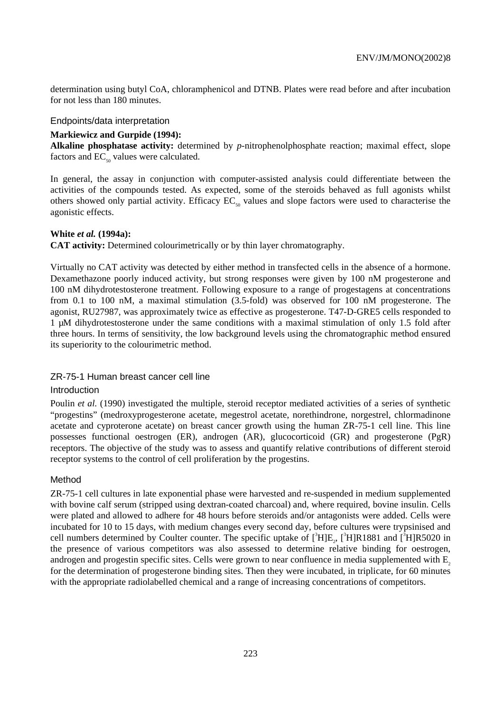determination using butyl CoA, chloramphenicol and DTNB. Plates were read before and after incubation for not less than 180 minutes.

# Endpoints/data interpretation

# **Markiewicz and Gurpide (1994):**

**Alkaline phosphatase activity:** determined by *p*-nitrophenolphosphate reaction; maximal effect, slope factors and  $EC_{50}$  values were calculated.

In general, the assay in conjunction with computer-assisted analysis could differentiate between the activities of the compounds tested. As expected, some of the steroids behaved as full agonists whilst others showed only partial activity. Efficacy  $EC<sub>50</sub>$  values and slope factors were used to characterise the agonistic effects.

# **White** *et al.* **(1994a):**

**CAT activity:** Determined colourimetrically or by thin layer chromatography.

Virtually no CAT activity was detected by either method in transfected cells in the absence of a hormone. Dexamethazone poorly induced activity, but strong responses were given by 100 nM progesterone and 100 nM dihydrotestosterone treatment. Following exposure to a range of progestagens at concentrations from 0.1 to 100 nM, a maximal stimulation (3.5-fold) was observed for 100 nM progesterone. The agonist, RU27987, was approximately twice as effective as progesterone. T47-D-GRE5 cells responded to 1 µM dihydrotestosterone under the same conditions with a maximal stimulation of only 1.5 fold after three hours. In terms of sensitivity, the low background levels using the chromatographic method ensured its superiority to the colourimetric method.

# ZR-75-1 Human breast cancer cell line

# Introduction

Poulin *et al.* (1990) investigated the multiple, steroid receptor mediated activities of a series of synthetic "progestins" (medroxyprogesterone acetate, megestrol acetate, norethindrone, norgestrel, chlormadinone acetate and cyproterone acetate) on breast cancer growth using the human ZR-75-1 cell line. This line possesses functional oestrogen (ER), androgen (AR), glucocorticoid (GR) and progesterone (PgR) receptors. The objective of the study was to assess and quantify relative contributions of different steroid receptor systems to the control of cell proliferation by the progestins.

# Method

ZR-75-1 cell cultures in late exponential phase were harvested and re-suspended in medium supplemented with bovine calf serum (stripped using dextran-coated charcoal) and, where required, bovine insulin. Cells were plated and allowed to adhere for 48 hours before steroids and/or antagonists were added. Cells were incubated for 10 to 15 days, with medium changes every second day, before cultures were trypsinised and cell numbers determined by Coulter counter. The specific uptake of  $[^{3}H]E_2$ ,  $[^{3}H]R1881$  and  $[^{3}H]R5020$  in the presence of various competitors was also assessed to determine relative binding for oestrogen, androgen and progestin specific sites. Cells were grown to near confluence in media supplemented with  $E<sub>z</sub>$ for the determination of progesterone binding sites. Then they were incubated, in triplicate, for 60 minutes with the appropriate radiolabelled chemical and a range of increasing concentrations of competitors.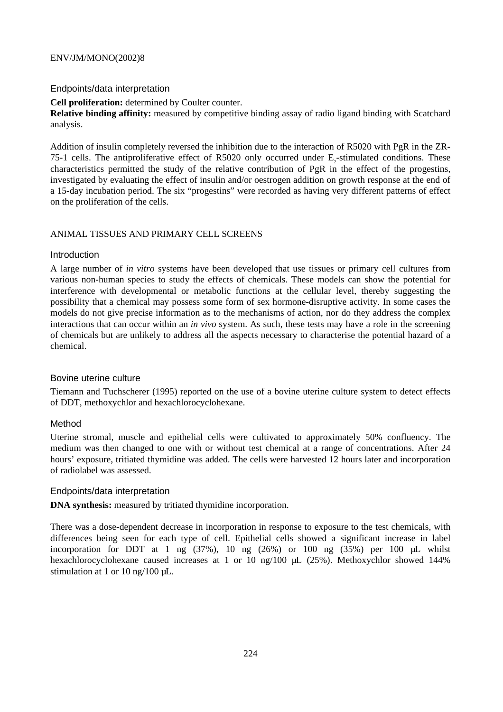# Endpoints/data interpretation

**Cell proliferation:** determined by Coulter counter.

**Relative binding affinity:** measured by competitive binding assay of radio ligand binding with Scatchard analysis.

Addition of insulin completely reversed the inhibition due to the interaction of R5020 with PgR in the ZR-75-1 cells. The antiproliferative effect of R5020 only occurred under  $E_2$ -stimulated conditions. These characteristics permitted the study of the relative contribution of PgR in the effect of the progestins, investigated by evaluating the effect of insulin and/or oestrogen addition on growth response at the end of a 15-day incubation period. The six "progestins" were recorded as having very different patterns of effect on the proliferation of the cells.

# ANIMAL TISSUES AND PRIMARY CELL SCREENS

# Introduction

A large number of *in vitro* systems have been developed that use tissues or primary cell cultures from various non-human species to study the effects of chemicals. These models can show the potential for interference with developmental or metabolic functions at the cellular level, thereby suggesting the possibility that a chemical may possess some form of sex hormone-disruptive activity. In some cases the models do not give precise information as to the mechanisms of action, nor do they address the complex interactions that can occur within an *in vivo* system. As such, these tests may have a role in the screening of chemicals but are unlikely to address all the aspects necessary to characterise the potential hazard of a chemical.

# Bovine uterine culture

Tiemann and Tuchscherer (1995) reported on the use of a bovine uterine culture system to detect effects of DDT, methoxychlor and hexachlorocyclohexane.

# Method

Uterine stromal, muscle and epithelial cells were cultivated to approximately 50% confluency. The medium was then changed to one with or without test chemical at a range of concentrations. After 24 hours' exposure, tritiated thymidine was added. The cells were harvested 12 hours later and incorporation of radiolabel was assessed.

# Endpoints/data interpretation

**DNA synthesis:** measured by tritiated thymidine incorporation.

There was a dose-dependent decrease in incorporation in response to exposure to the test chemicals, with differences being seen for each type of cell. Epithelial cells showed a significant increase in label incorporation for DDT at 1 ng  $(37\%)$ , 10 ng  $(26\%)$  or 100 ng  $(35\%)$  per 100 µL whilst hexachlorocyclohexane caused increases at 1 or 10 ng/100  $\mu$  (25%). Methoxychlor showed 144% stimulation at 1 or 10 ng/100 µL.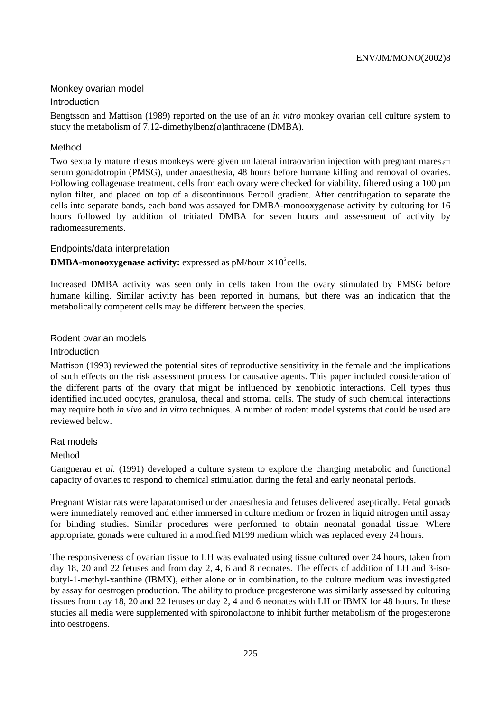# Monkey ovarian model

# Introduction

Bengtsson and Mattison (1989) reported on the use of an *in vitro* monkey ovarian cell culture system to study the metabolism of 7,12-dimethylbenz(*a*)anthracene (DMBA).

# Method

Two sexually mature rhesus monkeys were given unilateral intraovarian injection with pregnant mares serum gonadotropin (PMSG), under anaesthesia, 48 hours before humane killing and removal of ovaries. Following collagenase treatment, cells from each ovary were checked for viability, filtered using a 100 µm nylon filter, and placed on top of a discontinuous Percoll gradient. After centrifugation to separate the cells into separate bands, each band was assayed for DMBA-monooxygenase activity by culturing for 16 hours followed by addition of tritiated DMBA for seven hours and assessment of activity by radiomeasurements.

# Endpoints/data interpretation

**DMBA-monooxygenase activity:** expressed as  $pM/hour \times 10^6$  cells.

Increased DMBA activity was seen only in cells taken from the ovary stimulated by PMSG before humane killing. Similar activity has been reported in humans, but there was an indication that the metabolically competent cells may be different between the species.

# Rodent ovarian models

# Introduction

Mattison (1993) reviewed the potential sites of reproductive sensitivity in the female and the implications of such effects on the risk assessment process for causative agents. This paper included consideration of the different parts of the ovary that might be influenced by xenobiotic interactions. Cell types thus identified included oocytes, granulosa, thecal and stromal cells. The study of such chemical interactions may require both *in vivo* and *in vitro* techniques. A number of rodent model systems that could be used are reviewed below.

# Rat models

# Method

Gangnerau *et al.* (1991) developed a culture system to explore the changing metabolic and functional capacity of ovaries to respond to chemical stimulation during the fetal and early neonatal periods.

Pregnant Wistar rats were laparatomised under anaesthesia and fetuses delivered aseptically. Fetal gonads were immediately removed and either immersed in culture medium or frozen in liquid nitrogen until assay for binding studies. Similar procedures were performed to obtain neonatal gonadal tissue. Where appropriate, gonads were cultured in a modified M199 medium which was replaced every 24 hours.

The responsiveness of ovarian tissue to LH was evaluated using tissue cultured over 24 hours, taken from day 18, 20 and 22 fetuses and from day 2, 4, 6 and 8 neonates. The effects of addition of LH and 3-isobutyl-1-methyl-xanthine (IBMX), either alone or in combination, to the culture medium was investigated by assay for oestrogen production. The ability to produce progesterone was similarly assessed by culturing tissues from day 18, 20 and 22 fetuses or day 2, 4 and 6 neonates with LH or IBMX for 48 hours. In these studies all media were supplemented with spironolactone to inhibit further metabolism of the progesterone into oestrogens.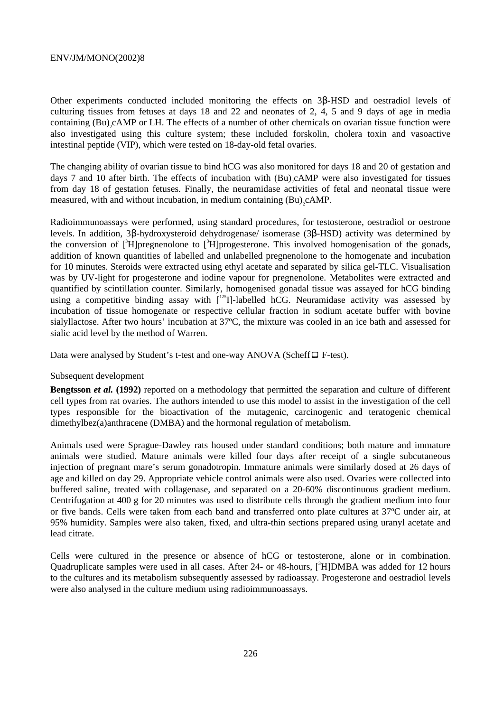Other experiments conducted included monitoring the effects on 3β-HSD and oestradiol levels of culturing tissues from fetuses at days 18 and 22 and neonates of 2, 4, 5 and 9 days of age in media containing  $(Bu)_{2}c$ AMP or LH. The effects of a number of other chemicals on ovarian tissue function were also investigated using this culture system; these included forskolin, cholera toxin and vasoactive intestinal peptide (VIP), which were tested on 18-day-old fetal ovaries.

The changing ability of ovarian tissue to bind hCG was also monitored for days 18 and 20 of gestation and days 7 and 10 after birth. The effects of incubation with  $(Bu)_{2}cAMP$  were also investigated for tissues from day 18 of gestation fetuses. Finally, the neuramidase activities of fetal and neonatal tissue were measured, with and without incubation, in medium containing  $(Bu)_{2}cAMP$ .

Radioimmunoassays were performed, using standard procedures, for testosterone, oestradiol or oestrone levels. In addition, 3β-hydroxysteroid dehydrogenase/ isomerase (3β-HSD) activity was determined by the conversion of  $[{}^3H]$ pregnenolone to  $[{}^3H]$ progesterone. This involved homogenisation of the gonads, addition of known quantities of labelled and unlabelled pregnenolone to the homogenate and incubation for 10 minutes. Steroids were extracted using ethyl acetate and separated by silica gel-TLC. Visualisation was by UV-light for progesterone and iodine vapour for pregnenolone. Metabolites were extracted and quantified by scintillation counter. Similarly, homogenised gonadal tissue was assayed for hCG binding using a competitive binding assay with  $[125]$ -labelled hCG. Neuramidase activity was assessed by incubation of tissue homogenate or respective cellular fraction in sodium acetate buffer with bovine sialyllactose. After two hours' incubation at 37ºC, the mixture was cooled in an ice bath and assessed for sialic acid level by the method of Warren.

Data were analysed by Student's t-test and one-way ANOVA (Scheff□ F-test).

#### Subsequent development

**Bengtsson** *et al.* **(1992)** reported on a methodology that permitted the separation and culture of different cell types from rat ovaries. The authors intended to use this model to assist in the investigation of the cell types responsible for the bioactivation of the mutagenic, carcinogenic and teratogenic chemical dimethylbez(a)anthracene (DMBA) and the hormonal regulation of metabolism.

Animals used were Sprague-Dawley rats housed under standard conditions; both mature and immature animals were studied. Mature animals were killed four days after receipt of a single subcutaneous injection of pregnant mare's serum gonadotropin. Immature animals were similarly dosed at 26 days of age and killed on day 29. Appropriate vehicle control animals were also used. Ovaries were collected into buffered saline, treated with collagenase, and separated on a 20-60% discontinuous gradient medium. Centrifugation at 400 g for 20 minutes was used to distribute cells through the gradient medium into four or five bands. Cells were taken from each band and transferred onto plate cultures at 37ºC under air, at 95% humidity. Samples were also taken, fixed, and ultra-thin sections prepared using uranyl acetate and lead citrate.

Cells were cultured in the presence or absence of hCG or testosterone, alone or in combination. Quadruplicate samples were used in all cases. After 24- or 48-hours, [<sup>3</sup>H]DMBA was added for 12 hours to the cultures and its metabolism subsequently assessed by radioassay. Progesterone and oestradiol levels were also analysed in the culture medium using radioimmunoassays.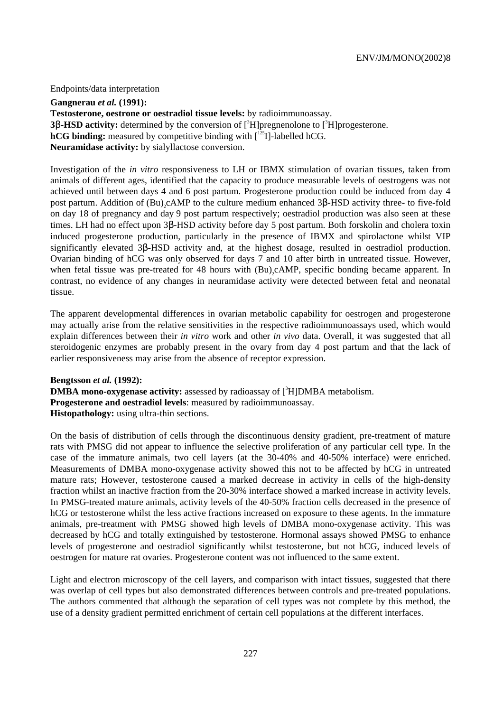#### Endpoints/data interpretation

**Gangnerau** *et al.* **(1991): Testosterone, oestrone or oestradiol tissue levels:** by radioimmunoassay. **3β-HSD activity:** determined by the conversion of [<sup>3</sup>H]pregnenolone to [<sup>3</sup>H]progesterone. **hCG binding:** measured by competitive binding with  $\int^{125}$ []-labelled hCG. **Neuramidase activity:** by sialyllactose conversion.

Investigation of the *in vitro* responsiveness to LH or IBMX stimulation of ovarian tissues, taken from animals of different ages, identified that the capacity to produce measurable levels of oestrogens was not achieved until between days 4 and 6 post partum. Progesterone production could be induced from day 4 post partum. Addition of (Bu)<sub>2</sub>cAMP to the culture medium enhanced 3β-HSD activity three- to five-fold on day 18 of pregnancy and day 9 post partum respectively; oestradiol production was also seen at these times. LH had no effect upon 3β-HSD activity before day 5 post partum*.* Both forskolin and cholera toxin induced progesterone production, particularly in the presence of IBMX and spirolactone whilst VIP significantly elevated 3β-HSD activity and, at the highest dosage, resulted in oestradiol production. Ovarian binding of hCG was only observed for days 7 and 10 after birth in untreated tissue. However, when fetal tissue was pre-treated for 48 hours with (Bu)<sub>2</sub>cAMP, specific bonding became apparent. In contrast, no evidence of any changes in neuramidase activity were detected between fetal and neonatal tissue.

The apparent developmental differences in ovarian metabolic capability for oestrogen and progesterone may actually arise from the relative sensitivities in the respective radioimmunoassays used, which would explain differences between their *in vitro* work and other *in vivo* data. Overall, it was suggested that all steroidogenic enzymes are probably present in the ovary from day 4 post partum and that the lack of earlier responsiveness may arise from the absence of receptor expression.

#### **Bengtsson** *et al.* **(1992):**

**DMBA mono-oxygenase activity:** assessed by radioassay of [<sup>3</sup>H]DMBA metabolism. **Progesterone and oestradiol levels**: measured by radioimmunoassay. **Histopathology:** using ultra-thin sections.

On the basis of distribution of cells through the discontinuous density gradient, pre-treatment of mature rats with PMSG did not appear to influence the selective proliferation of any particular cell type. In the case of the immature animals, two cell layers (at the 30-40% and 40-50% interface) were enriched. Measurements of DMBA mono-oxygenase activity showed this not to be affected by hCG in untreated mature rats; However, testosterone caused a marked decrease in activity in cells of the high-density fraction whilst an inactive fraction from the 20-30% interface showed a marked increase in activity levels. In PMSG-treated mature animals, activity levels of the 40-50% fraction cells decreased in the presence of hCG or testosterone whilst the less active fractions increased on exposure to these agents. In the immature animals, pre-treatment with PMSG showed high levels of DMBA mono-oxygenase activity. This was decreased by hCG and totally extinguished by testosterone. Hormonal assays showed PMSG to enhance levels of progesterone and oestradiol significantly whilst testosterone, but not hCG, induced levels of oestrogen for mature rat ovaries. Progesterone content was not influenced to the same extent.

Light and electron microscopy of the cell layers, and comparison with intact tissues, suggested that there was overlap of cell types but also demonstrated differences between controls and pre-treated populations. The authors commented that although the separation of cell types was not complete by this method, the use of a density gradient permitted enrichment of certain cell populations at the different interfaces.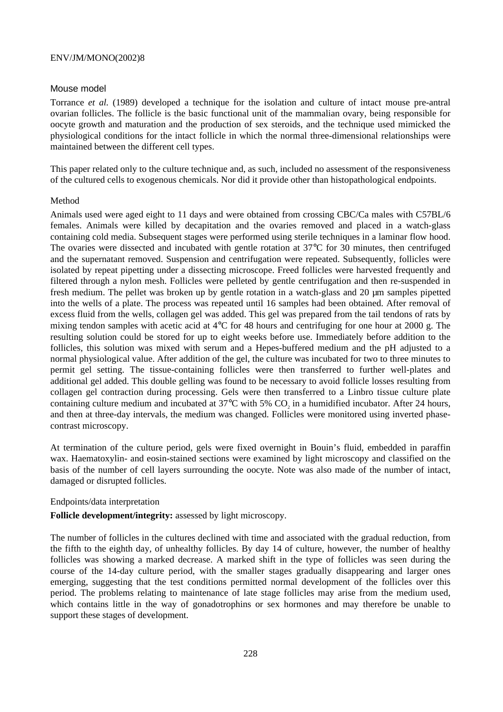### Mouse model

Torrance *et al.* (1989) developed a technique for the isolation and culture of intact mouse pre-antral ovarian follicles. The follicle is the basic functional unit of the mammalian ovary, being responsible for oocyte growth and maturation and the production of sex steroids, and the technique used mimicked the physiological conditions for the intact follicle in which the normal three-dimensional relationships were maintained between the different cell types.

This paper related only to the culture technique and, as such, included no assessment of the responsiveness of the cultured cells to exogenous chemicals. Nor did it provide other than histopathological endpoints.

### Method

Animals used were aged eight to 11 days and were obtained from crossing CBC/Ca males with C57BL/6 females. Animals were killed by decapitation and the ovaries removed and placed in a watch-glass containing cold media. Subsequent stages were performed using sterile techniques in a laminar flow hood. The ovaries were dissected and incubated with gentle rotation at 37°C for 30 minutes, then centrifuged and the supernatant removed. Suspension and centrifugation were repeated. Subsequently, follicles were isolated by repeat pipetting under a dissecting microscope. Freed follicles were harvested frequently and filtered through a nylon mesh. Follicles were pelleted by gentle centrifugation and then re-suspended in fresh medium. The pellet was broken up by gentle rotation in a watch-glass and 20 µm samples pipetted into the wells of a plate. The process was repeated until 16 samples had been obtained. After removal of excess fluid from the wells, collagen gel was added. This gel was prepared from the tail tendons of rats by mixing tendon samples with acetic acid at 4°C for 48 hours and centrifuging for one hour at 2000 g. The resulting solution could be stored for up to eight weeks before use. Immediately before addition to the follicles, this solution was mixed with serum and a Hepes-buffered medium and the pH adjusted to a normal physiological value. After addition of the gel, the culture was incubated for two to three minutes to permit gel setting. The tissue-containing follicles were then transferred to further well-plates and additional gel added. This double gelling was found to be necessary to avoid follicle losses resulting from collagen gel contraction during processing. Gels were then transferred to a Linbro tissue culture plate containing culture medium and incubated at 37 $^{\circ}$ C with 5% CO<sub>2</sub> in a humidified incubator. After 24 hours, and then at three-day intervals, the medium was changed. Follicles were monitored using inverted phasecontrast microscopy.

At termination of the culture period, gels were fixed overnight in Bouin's fluid, embedded in paraffin wax. Haematoxylin- and eosin-stained sections were examined by light microscopy and classified on the basis of the number of cell layers surrounding the oocyte. Note was also made of the number of intact, damaged or disrupted follicles.

#### Endpoints/data interpretation

**Follicle development/integrity:** assessed by light microscopy.

The number of follicles in the cultures declined with time and associated with the gradual reduction, from the fifth to the eighth day, of unhealthy follicles. By day 14 of culture, however, the number of healthy follicles was showing a marked decrease. A marked shift in the type of follicles was seen during the course of the 14-day culture period, with the smaller stages gradually disappearing and larger ones emerging, suggesting that the test conditions permitted normal development of the follicles over this period. The problems relating to maintenance of late stage follicles may arise from the medium used, which contains little in the way of gonadotrophins or sex hormones and may therefore be unable to support these stages of development.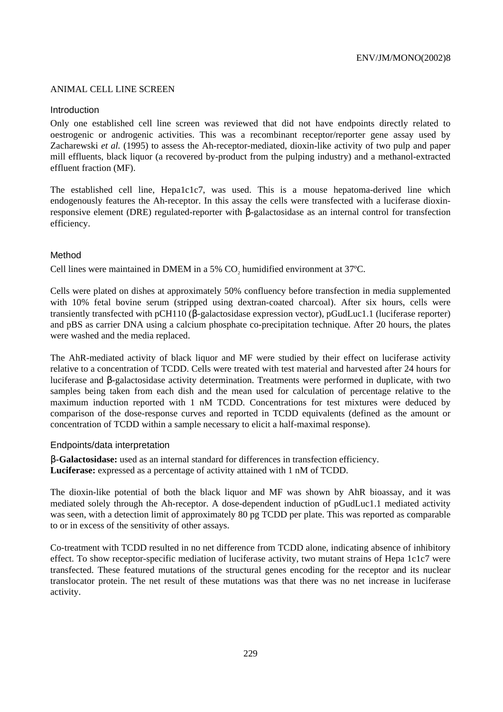#### ANIMAL CELL LINE SCREEN

#### **Introduction**

Only one established cell line screen was reviewed that did not have endpoints directly related to oestrogenic or androgenic activities. This was a recombinant receptor/reporter gene assay used by Zacharewski *et al.* (1995) to assess the Ah-receptor-mediated, dioxin-like activity of two pulp and paper mill effluents, black liquor (a recovered by-product from the pulping industry) and a methanol-extracted effluent fraction (MF).

The established cell line, Hepa1c1c7, was used. This is a mouse hepatoma-derived line which endogenously features the Ah-receptor. In this assay the cells were transfected with a luciferase dioxinresponsive element (DRE) regulated-reporter with β-galactosidase as an internal control for transfection efficiency.

# Method

Cell lines were maintained in DMEM in a 5%  $CO_2$  humidified environment at 37°C.

Cells were plated on dishes at approximately 50% confluency before transfection in media supplemented with 10% fetal bovine serum (stripped using dextran-coated charcoal). After six hours, cells were transiently transfected with pCH110 (β-galactosidase expression vector), pGudLuc1.1 (luciferase reporter) and pBS as carrier DNA using a calcium phosphate co-precipitation technique. After 20 hours, the plates were washed and the media replaced.

The AhR-mediated activity of black liquor and MF were studied by their effect on luciferase activity relative to a concentration of TCDD. Cells were treated with test material and harvested after 24 hours for luciferase and β-galactosidase activity determination. Treatments were performed in duplicate, with two samples being taken from each dish and the mean used for calculation of percentage relative to the maximum induction reported with 1 nM TCDD. Concentrations for test mixtures were deduced by comparison of the dose-response curves and reported in TCDD equivalents (defined as the amount or concentration of TCDD within a sample necessary to elicit a half-maximal response).

#### Endpoints/data interpretation

β**-Galactosidase:** used as an internal standard for differences in transfection efficiency. **Luciferase:** expressed as a percentage of activity attained with 1 nM of TCDD.

The dioxin-like potential of both the black liquor and MF was shown by AhR bioassay, and it was mediated solely through the Ah-receptor. A dose-dependent induction of pGudLuc1.1 mediated activity was seen, with a detection limit of approximately 80 pg TCDD per plate. This was reported as comparable to or in excess of the sensitivity of other assays.

Co-treatment with TCDD resulted in no net difference from TCDD alone, indicating absence of inhibitory effect. To show receptor-specific mediation of luciferase activity, two mutant strains of Hepa 1c1c7 were transfected. These featured mutations of the structural genes encoding for the receptor and its nuclear translocator protein. The net result of these mutations was that there was no net increase in luciferase activity.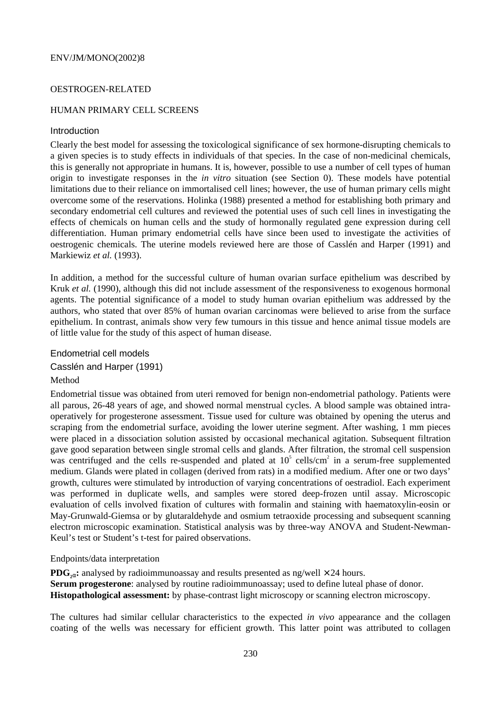### OESTROGEN-RELATED

# HUMAN PRIMARY CELL SCREENS

#### Introduction

Clearly the best model for assessing the toxicological significance of sex hormone-disrupting chemicals to a given species is to study effects in individuals of that species. In the case of non-medicinal chemicals, this is generally not appropriate in humans. It is, however, possible to use a number of cell types of human origin to investigate responses in the *in vitro* situation (see Section 0). These models have potential limitations due to their reliance on immortalised cell lines; however, the use of human primary cells might overcome some of the reservations. Holinka (1988) presented a method for establishing both primary and secondary endometrial cell cultures and reviewed the potential uses of such cell lines in investigating the effects of chemicals on human cells and the study of hormonally regulated gene expression during cell differentiation. Human primary endometrial cells have since been used to investigate the activities of oestrogenic chemicals. The uterine models reviewed here are those of Casslén and Harper (1991) and Markiewiz *et al.* (1993).

In addition, a method for the successful culture of human ovarian surface epithelium was described by Kruk *et al.* (1990), although this did not include assessment of the responsiveness to exogenous hormonal agents. The potential significance of a model to study human ovarian epithelium was addressed by the authors, who stated that over 85% of human ovarian carcinomas were believed to arise from the surface epithelium. In contrast, animals show very few tumours in this tissue and hence animal tissue models are of little value for the study of this aspect of human disease.

#### Endometrial cell models

Casslén and Harper (1991)

#### Method

Endometrial tissue was obtained from uteri removed for benign non-endometrial pathology. Patients were all parous, 26-48 years of age, and showed normal menstrual cycles. A blood sample was obtained intraoperatively for progesterone assessment. Tissue used for culture was obtained by opening the uterus and scraping from the endometrial surface, avoiding the lower uterine segment. After washing, 1 mm pieces were placed in a dissociation solution assisted by occasional mechanical agitation. Subsequent filtration gave good separation between single stromal cells and glands. After filtration, the stromal cell suspension was centrifuged and the cells re-suspended and plated at  $10<sup>5</sup>$  cells/cm<sup>2</sup> in a serum-free supplemented medium. Glands were plated in collagen (derived from rats) in a modified medium. After one or two days' growth, cultures were stimulated by introduction of varying concentrations of oestradiol. Each experiment was performed in duplicate wells, and samples were stored deep-frozen until assay. Microscopic evaluation of cells involved fixation of cultures with formalin and staining with haematoxylin-eosin or May-Grunwald-Giemsa or by glutaraldehyde and osmium tetraoxide processing and subsequent scanning electron microscopic examination. Statistical analysis was by three-way ANOVA and Student-Newman-Keul's test or Student's t-test for paired observations.

#### Endpoints/data interpretation

**PDG**<sub>20</sub>**:** analysed by radioimmunoassay and results presented as ng/well  $\times$  24 hours. **Serum progesterone**: analysed by routine radioimmunoassay; used to define luteal phase of donor. **Histopathological assessment:** by phase-contrast light microscopy or scanning electron microscopy.

The cultures had similar cellular characteristics to the expected *in vivo* appearance and the collagen coating of the wells was necessary for efficient growth. This latter point was attributed to collagen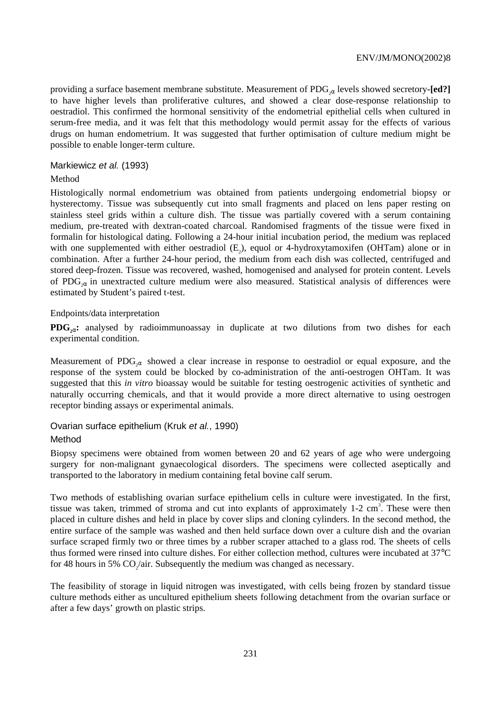providing a surface basement membrane substitute. Measurement of PDG<sub>2α</sub> levels showed secretory-[ed?] to have higher levels than proliferative cultures, and showed a clear dose-response relationship to oestradiol. This confirmed the hormonal sensitivity of the endometrial epithelial cells when cultured in serum-free media, and it was felt that this methodology would permit assay for the effects of various drugs on human endometrium. It was suggested that further optimisation of culture medium might be possible to enable longer-term culture.

### Markiewicz et al. (1993)

### Method

Histologically normal endometrium was obtained from patients undergoing endometrial biopsy or hysterectomy. Tissue was subsequently cut into small fragments and placed on lens paper resting on stainless steel grids within a culture dish. The tissue was partially covered with a serum containing medium, pre-treated with dextran-coated charcoal. Randomised fragments of the tissue were fixed in formalin for histological dating. Following a 24-hour initial incubation period, the medium was replaced with one supplemented with either oestradiol  $(E_2)$ , equol or 4-hydroxytamoxifen (OHTam) alone or in combination. After a further 24-hour period, the medium from each dish was collected, centrifuged and stored deep-frozen. Tissue was recovered, washed, homogenised and analysed for protein content. Levels of PDG<sub>2</sub> $\alpha$  in unextracted culture medium were also measured. Statistical analysis of differences were estimated by Student's paired t-test.

### Endpoints/data interpretation

**PDG**<sub>2</sub>α**:** analysed by radioimmunoassay in duplicate at two dilutions from two dishes for each experimental condition.

Measurement of  $PDG_{\alpha\alpha}$  showed a clear increase in response to oestradiol or equal exposure, and the response of the system could be blocked by co-administration of the anti-oestrogen OHTam. It was suggested that this *in vitro* bioassay would be suitable for testing oestrogenic activities of synthetic and naturally occurring chemicals, and that it would provide a more direct alternative to using oestrogen receptor binding assays or experimental animals.

Ovarian surface epithelium (Kruk et al., 1990)

# Method

Biopsy specimens were obtained from women between 20 and 62 years of age who were undergoing surgery for non-malignant gynaecological disorders. The specimens were collected aseptically and transported to the laboratory in medium containing fetal bovine calf serum.

Two methods of establishing ovarian surface epithelium cells in culture were investigated. In the first, tissue was taken, trimmed of stroma and cut into explants of approximately  $1-2$  cm<sup>3</sup>. These were then placed in culture dishes and held in place by cover slips and cloning cylinders. In the second method, the entire surface of the sample was washed and then held surface down over a culture dish and the ovarian surface scraped firmly two or three times by a rubber scraper attached to a glass rod. The sheets of cells thus formed were rinsed into culture dishes. For either collection method, cultures were incubated at 37°C for 48 hours in 5%  $CO_2/air$ . Subsequently the medium was changed as necessary.

The feasibility of storage in liquid nitrogen was investigated, with cells being frozen by standard tissue culture methods either as uncultured epithelium sheets following detachment from the ovarian surface or after a few days' growth on plastic strips.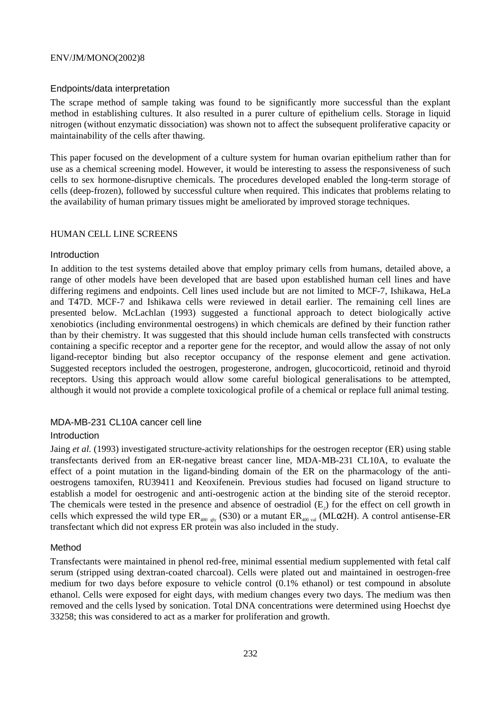#### Endpoints/data interpretation

The scrape method of sample taking was found to be significantly more successful than the explant method in establishing cultures. It also resulted in a purer culture of epithelium cells. Storage in liquid nitrogen (without enzymatic dissociation) was shown not to affect the subsequent proliferative capacity or maintainability of the cells after thawing.

This paper focused on the development of a culture system for human ovarian epithelium rather than for use as a chemical screening model. However, it would be interesting to assess the responsiveness of such cells to sex hormone-disruptive chemicals. The procedures developed enabled the long-term storage of cells (deep-frozen), followed by successful culture when required. This indicates that problems relating to the availability of human primary tissues might be ameliorated by improved storage techniques.

#### HUMAN CELL LINE SCREENS

#### Introduction

In addition to the test systems detailed above that employ primary cells from humans, detailed above, a range of other models have been developed that are based upon established human cell lines and have differing regimens and endpoints. Cell lines used include but are not limited to MCF-7, Ishikawa, HeLa and T47D. MCF-7 and Ishikawa cells were reviewed in detail earlier. The remaining cell lines are presented below. McLachlan (1993) suggested a functional approach to detect biologically active xenobiotics (including environmental oestrogens) in which chemicals are defined by their function rather than by their chemistry. It was suggested that this should include human cells transfected with constructs containing a specific receptor and a reporter gene for the receptor, and would allow the assay of not only ligand-receptor binding but also receptor occupancy of the response element and gene activation. Suggested receptors included the oestrogen, progesterone, androgen, glucocorticoid, retinoid and thyroid receptors. Using this approach would allow some careful biological generalisations to be attempted, although it would not provide a complete toxicological profile of a chemical or replace full animal testing.

# MDA-MB-231 CL10A cancer cell line

#### Introduction

Jaing *et al.* (1993) investigated structure-activity relationships for the oestrogen receptor (ER) using stable transfectants derived from an ER-negative breast cancer line, MDA-MB-231 CL10A, to evaluate the effect of a point mutation in the ligand-binding domain of the ER on the pharmacology of the antioestrogens tamoxifen, RU39411 and Keoxifenein. Previous studies had focused on ligand structure to establish a model for oestrogenic and anti-oestrogenic action at the binding site of the steroid receptor. The chemicals were tested in the presence and absence of oestradiol  $(E_2)$  for the effect on cell growth in cells which expressed the wild type  $ER_{400 \text{ gly}}$  (S30) or a mutant  $ER_{400 \text{ val}}$  (ML $\alpha$ 2H). A control antisense-ER transfectant which did not express ER protein was also included in the study.

#### Method

Transfectants were maintained in phenol red-free, minimal essential medium supplemented with fetal calf serum (stripped using dextran-coated charcoal). Cells were plated out and maintained in oestrogen-free medium for two days before exposure to vehicle control (0.1% ethanol) or test compound in absolute ethanol. Cells were exposed for eight days, with medium changes every two days. The medium was then removed and the cells lysed by sonication. Total DNA concentrations were determined using Hoechst dye 33258; this was considered to act as a marker for proliferation and growth.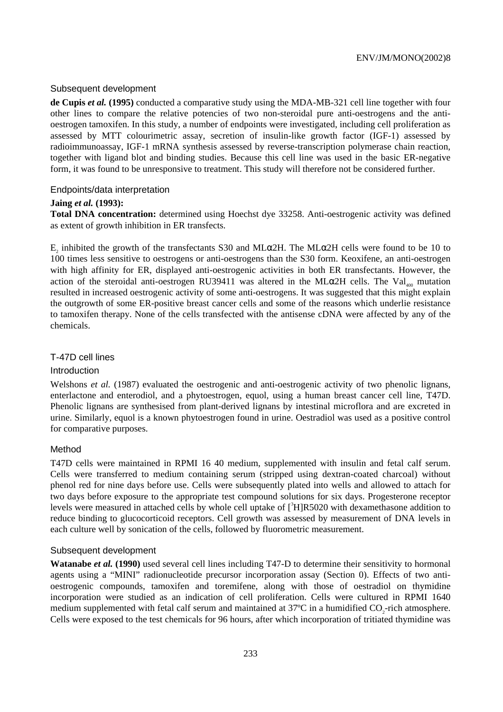### Subsequent development

**de Cupis** *et al.* **(1995)** conducted a comparative study using the MDA-MB-321 cell line together with four other lines to compare the relative potencies of two non-steroidal pure anti-oestrogens and the antioestrogen tamoxifen. In this study, a number of endpoints were investigated, including cell proliferation as assessed by MTT colourimetric assay, secretion of insulin-like growth factor (IGF-1) assessed by radioimmunoassay, IGF-1 mRNA synthesis assessed by reverse-transcription polymerase chain reaction, together with ligand blot and binding studies. Because this cell line was used in the basic ER-negative form, it was found to be unresponsive to treatment. This study will therefore not be considered further.

#### Endpoints/data interpretation

#### **Jaing** *et al.* **(1993):**

**Total DNA concentration:** determined using Hoechst dye 33258. Anti-oestrogenic activity was defined as extent of growth inhibition in ER transfects.

 $E_2$  inhibited the growth of the transfectants S30 and MLα2H. The MLα2H cells were found to be 10 to 100 times less sensitive to oestrogens or anti-oestrogens than the S30 form. Keoxifene, an anti-oestrogen with high affinity for ER, displayed anti-oestrogenic activities in both ER transfectants. However, the action of the steroidal anti-oestrogen RU39411 was altered in the ML $\alpha$ 2H cells. The Val<sub>400</sub> mutation resulted in increased oestrogenic activity of some anti-oestrogens. It was suggested that this might explain the outgrowth of some ER-positive breast cancer cells and some of the reasons which underlie resistance to tamoxifen therapy. None of the cells transfected with the antisense cDNA were affected by any of the chemicals.

### T-47D cell lines

#### Introduction

Welshons *et al.* (1987) evaluated the oestrogenic and anti-oestrogenic activity of two phenolic lignans, enterlactone and enterodiol, and a phytoestrogen, equol, using a human breast cancer cell line, T47D. Phenolic lignans are synthesised from plant-derived lignans by intestinal microflora and are excreted in urine. Similarly, equol is a known phytoestrogen found in urine. Oestradiol was used as a positive control for comparative purposes.

#### Method

T47D cells were maintained in RPMI 16 40 medium, supplemented with insulin and fetal calf serum. Cells were transferred to medium containing serum (stripped using dextran-coated charcoal) without phenol red for nine days before use. Cells were subsequently plated into wells and allowed to attach for two days before exposure to the appropriate test compound solutions for six days. Progesterone receptor levels were measured in attached cells by whole cell uptake of [<sup>3</sup>H]R5020 with dexamethasone addition to reduce binding to glucocorticoid receptors. Cell growth was assessed by measurement of DNA levels in each culture well by sonication of the cells, followed by fluorometric measurement.

#### Subsequent development

**Watanabe** *et al.* (1990) used several cell lines including T47-D to determine their sensitivity to hormonal agents using a "MINI" radionucleotide precursor incorporation assay (Section 0). Effects of two antioestrogenic compounds, tamoxifen and toremifene, along with those of oestradiol on thymidine incorporation were studied as an indication of cell proliferation. Cells were cultured in RPMI 1640 medium supplemented with fetal calf serum and maintained at  $37^{\circ}$ C in a humidified  $CO_2$ -rich atmosphere. Cells were exposed to the test chemicals for 96 hours, after which incorporation of tritiated thymidine was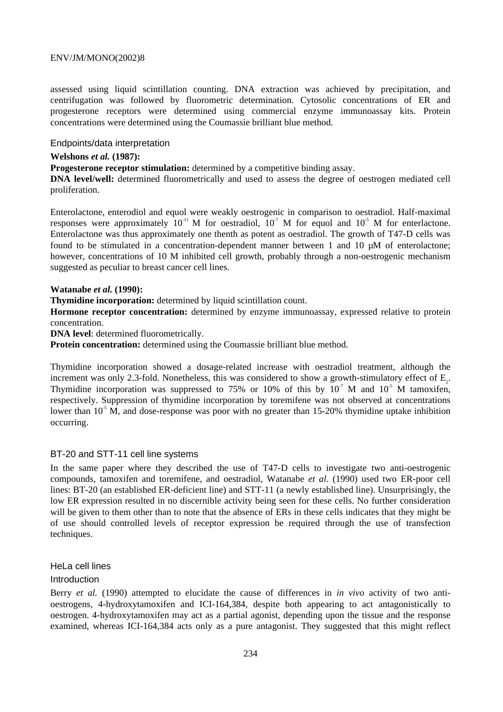assessed using liquid scintillation counting. DNA extraction was achieved by precipitation, and centrifugation was followed by fluorometric determination. Cytosolic concentrations of ER and progesterone receptors were determined using commercial enzyme immunoassay kits. Protein concentrations were determined using the Coumassie brilliant blue method.

### Endpoints/data interpretation

### **Welshons** *et al.* **(1987):**

**Progesterone receptor stimulation:** determined by a competitive binding assay.

**DNA level/well:** determined fluorometrically and used to assess the degree of oestrogen mediated cell proliferation.

Enterolactone, enterodiol and equol were weakly oestrogenic in comparison to oestradiol. Half-maximal responses were approximately  $10^{-11}$  M for oestradiol,  $10^{-7}$  M for equol and  $10^{-5}$  M for enterlactone. Enterolactone was thus approximately one thenth as potent as oestradiol. The growth of T47-D cells was found to be stimulated in a concentration-dependent manner between 1 and 10 µM of enterolactone; however, concentrations of 10 M inhibited cell growth, probably through a non-oestrogenic mechanism suggested as peculiar to breast cancer cell lines.

### **Watanabe** *et al.* **(1990):**

**Thymidine incorporation:** determined by liquid scintillation count.

**Hormone receptor concentration:** determined by enzyme immunoassay, expressed relative to protein concentration.

**DNA level**: determined fluorometrically.

**Protein concentration:** determined using the Coumassie brilliant blue method.

Thymidine incorporation showed a dosage-related increase with oestradiol treatment, although the increment was only 2.3-fold. Nonetheless, this was considered to show a growth-stimulatory effect of  $E_2$ . Thymidine incorporation was suppressed to 75% or 10% of this by  $10^7$  M and  $10^5$  M tamoxifen, respectively. Suppression of thymidine incorporation by toremifene was not observed at concentrations lower than  $10<sup>5</sup>$  M, and dose-response was poor with no greater than 15-20% thymidine uptake inhibition occurring.

# BT-20 and STT-11 cell line systems

In the same paper where they described the use of T47-D cells to investigate two anti-oestrogenic compounds, tamoxifen and toremifene, and oestradiol, Watanabe *et al.* (1990) used two ER-poor cell lines: BT-20 (an established ER-deficient line) and STT-11 (a newly established line). Unsurprisingly, the low ER expression resulted in no discernible activity being seen for these cells. No further consideration will be given to them other than to note that the absence of ERs in these cells indicates that they might be of use should controlled levels of receptor expression be required through the use of transfection techniques.

# HeLa cell lines

### Introduction

Berry *et al.* (1990) attempted to elucidate the cause of differences in *in vivo* activity of two antioestrogens, 4-hydroxytamoxifen and ICI-164,384, despite both appearing to act antagonistically to oestrogen. 4-hydroxytamoxifen may act as a partial agonist, depending upon the tissue and the response examined, whereas ICI-164,384 acts only as a pure antagonist. They suggested that this might reflect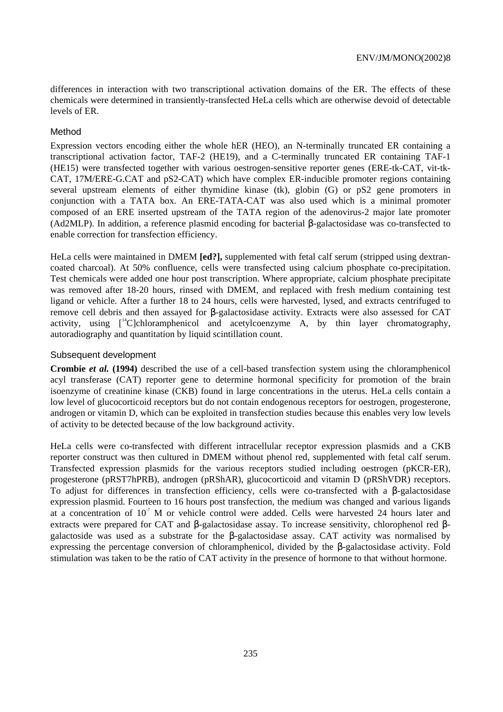differences in interaction with two transcriptional activation domains of the ER. The effects of these chemicals were determined in transiently-transfected HeLa cells which are otherwise devoid of detectable levels of ER.

# Method

Expression vectors encoding either the whole hER (HEO), an N-terminally truncated ER containing a transcriptional activation factor, TAF-2 (HE19), and a C-terminally truncated ER containing TAF-1 (HE15) were transfected together with various oestrogen-sensitive reporter genes (ERE-tk-CAT, vit-tk-CAT, 17M/ERE-G.CAT and pS2-CAT) which have complex ER-inducible promoter regions containing several upstream elements of either thymidine kinase (tk), globin (G) or pS2 gene promoters in conjunction with a TATA box. An ERE-TATA-CAT was also used which is a minimal promoter composed of an ERE inserted upstream of the TATA region of the adenovirus-2 major late promoter (Ad2MLP). In addition, a reference plasmid encoding for bacterial β-galactosidase was co-transfected to enable correction for transfection efficiency.

HeLa cells were maintained in DMEM **[ed?],** supplemented with fetal calf serum (stripped using dextrancoated charcoal). At 50% confluence, cells were transfected using calcium phosphate co-precipitation. Test chemicals were added one hour post transcription. Where appropriate, calcium phosphate precipitate was removed after 18-20 hours, rinsed with DMEM, and replaced with fresh medium containing test ligand or vehicle. After a further 18 to 24 hours, cells were harvested, lysed, and extracts centrifuged to remove cell debris and then assayed for β-galactosidase activity. Extracts were also assessed for CAT activity, using  $\int_0^1 C |c$ hloramphenicol and acetylcoenzyme A, by thin layer chromatography, autoradiography and quantitation by liquid scintillation count.

# Subsequent development

**Crombie** *et al.* **(1994)** described the use of a cell-based transfection system using the chloramphenicol acyl transferase (CAT) reporter gene to determine hormonal specificity for promotion of the brain isoenzyme of creatinine kinase (CKB) found in large concentrations in the uterus. HeLa cells contain a low level of glucocorticoid receptors but do not contain endogenous receptors for oestrogen, progesterone, androgen or vitamin D, which can be exploited in transfection studies because this enables very low levels of activity to be detected because of the low background activity.

HeLa cells were co-transfected with different intracellular receptor expression plasmids and a CKB reporter construct was then cultured in DMEM without phenol red, supplemented with fetal calf serum. Transfected expression plasmids for the various receptors studied including oestrogen (pKCR-ER), progesterone (pRST7hPRB), androgen (pRShAR), glucocorticoid and vitamin D (pRShVDR) receptors. To adjust for differences in transfection efficiency, cells were co-transfected with a β-galactosidase expression plasmid. Fourteen to 16 hours post transfection, the medium was changed and various ligands at a concentration of  $10^7$  M or vehicle control were added. Cells were harvested 24 hours later and extracts were prepared for CAT and β-galactosidase assay. To increase sensitivity, chlorophenol red βgalactoside was used as a substrate for the β-galactosidase assay. CAT activity was normalised by expressing the percentage conversion of chloramphenicol, divided by the β-galactosidase activity. Fold stimulation was taken to be the ratio of CAT activity in the presence of hormone to that without hormone.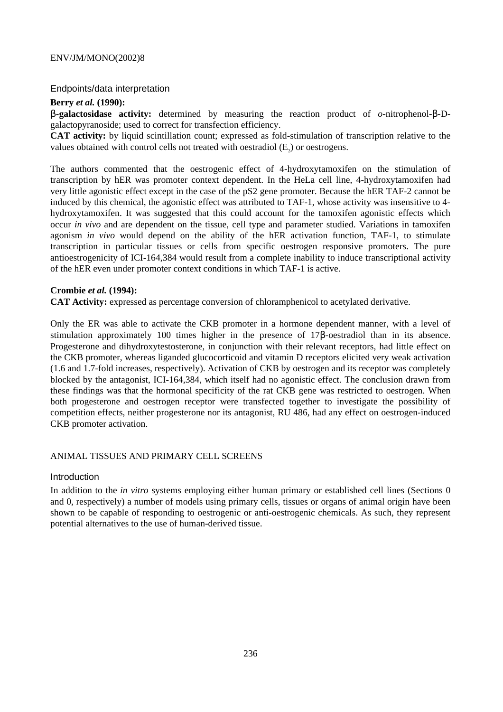### Endpoints/data interpretation

# **Berry** *et al.* **(1990):**

β**-galactosidase activity:** determined by measuring the reaction product of *o*-nitrophenol-β-Dgalactopyranoside; used to correct for transfection efficiency.

**CAT activity:** by liquid scintillation count; expressed as fold-stimulation of transcription relative to the values obtained with control cells not treated with oestradiol  $(E_2)$  or oestrogens.

The authors commented that the oestrogenic effect of 4-hydroxytamoxifen on the stimulation of transcription by hER was promoter context dependent. In the HeLa cell line, 4-hydroxytamoxifen had very little agonistic effect except in the case of the pS2 gene promoter. Because the hER TAF-2 cannot be induced by this chemical, the agonistic effect was attributed to TAF-1, whose activity was insensitive to 4 hydroxytamoxifen. It was suggested that this could account for the tamoxifen agonistic effects which occur *in vivo* and are dependent on the tissue, cell type and parameter studied. Variations in tamoxifen agonism *in vivo* would depend on the ability of the hER activation function, TAF-1, to stimulate transcription in particular tissues or cells from specific oestrogen responsive promoters. The pure antioestrogenicity of ICI-164,384 would result from a complete inability to induce transcriptional activity of the hER even under promoter context conditions in which TAF-1 is active.

### **Crombie** *et al.* **(1994):**

**CAT Activity:** expressed as percentage conversion of chloramphenicol to acetylated derivative.

Only the ER was able to activate the CKB promoter in a hormone dependent manner, with a level of stimulation approximately 100 times higher in the presence of 17β-oestradiol than in its absence. Progesterone and dihydroxytestosterone, in conjunction with their relevant receptors, had little effect on the CKB promoter, whereas liganded glucocorticoid and vitamin D receptors elicited very weak activation (1.6 and 1.7-fold increases, respectively). Activation of CKB by oestrogen and its receptor was completely blocked by the antagonist, ICI-164,384, which itself had no agonistic effect. The conclusion drawn from these findings was that the hormonal specificity of the rat CKB gene was restricted to oestrogen. When both progesterone and oestrogen receptor were transfected together to investigate the possibility of competition effects, neither progesterone nor its antagonist, RU 486, had any effect on oestrogen-induced CKB promoter activation.

# ANIMAL TISSUES AND PRIMARY CELL SCREENS

#### Introduction

In addition to the *in vitro* systems employing either human primary or established cell lines (Sections 0 and 0, respectively) a number of models using primary cells, tissues or organs of animal origin have been shown to be capable of responding to oestrogenic or anti-oestrogenic chemicals. As such, they represent potential alternatives to the use of human-derived tissue.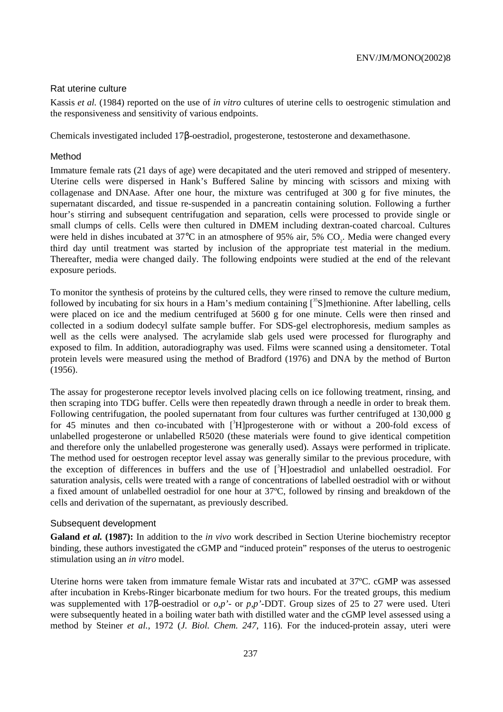### Rat uterine culture

Kassis *et al.* (1984) reported on the use of *in vitro* cultures of uterine cells to oestrogenic stimulation and the responsiveness and sensitivity of various endpoints.

Chemicals investigated included 17β-oestradiol, progesterone, testosterone and dexamethasone.

### Method

Immature female rats (21 days of age) were decapitated and the uteri removed and stripped of mesentery. Uterine cells were dispersed in Hank's Buffered Saline by mincing with scissors and mixing with collagenase and DNAase. After one hour, the mixture was centrifuged at 300 g for five minutes, the supernatant discarded, and tissue re-suspended in a pancreatin containing solution. Following a further hour's stirring and subsequent centrifugation and separation, cells were processed to provide single or small clumps of cells. Cells were then cultured in DMEM including dextran-coated charcoal. Cultures were held in dishes incubated at  $37^{\circ}\text{C}$  in an atmosphere of 95% air, 5% CO<sub>2</sub>. Media were changed every third day until treatment was started by inclusion of the appropriate test material in the medium. Thereafter, media were changed daily. The following endpoints were studied at the end of the relevant exposure periods.

To monitor the synthesis of proteins by the cultured cells, they were rinsed to remove the culture medium, followed by incubating for six hours in a Ham's medium containing  $\int_{0}^{35}S$ ]methionine. After labelling, cells were placed on ice and the medium centrifuged at 5600 g for one minute. Cells were then rinsed and collected in a sodium dodecyl sulfate sample buffer. For SDS-gel electrophoresis, medium samples as well as the cells were analysed. The acrylamide slab gels used were processed for flurography and exposed to film. In addition, autoradiography was used. Films were scanned using a densitometer. Total protein levels were measured using the method of Bradford (1976) and DNA by the method of Burton (1956).

The assay for progesterone receptor levels involved placing cells on ice following treatment, rinsing, and then scraping into TDG buffer. Cells were then repeatedly drawn through a needle in order to break them. Following centrifugation, the pooled supernatant from four cultures was further centrifuged at 130,000 g for 45 minutes and then co-incubated with  $[$ <sup>3</sup>H]progesterone with or without a 200-fold excess of unlabelled progesterone or unlabelled R5020 (these materials were found to give identical competition and therefore only the unlabelled progesterone was generally used). Assays were performed in triplicate. The method used for oestrogen receptor level assay was generally similar to the previous procedure, with the exception of differences in buffers and the use of [<sup>3</sup>H]oestradiol and unlabelled oestradiol. For saturation analysis, cells were treated with a range of concentrations of labelled oestradiol with or without a fixed amount of unlabelled oestradiol for one hour at 37ºC, followed by rinsing and breakdown of the cells and derivation of the supernatant, as previously described.

### Subsequent development

**Galand** *et al.* **(1987):** In addition to the *in vivo* work described in Section Uterine biochemistry receptor binding, these authors investigated the cGMP and "induced protein" responses of the uterus to oestrogenic stimulation using an *in vitro* model.

Uterine horns were taken from immature female Wistar rats and incubated at 37ºC. cGMP was assessed after incubation in Krebs-Ringer bicarbonate medium for two hours. For the treated groups, this medium was supplemented with 17β-oestradiol or *o,p'-* or *p,p'-*DDT. Group sizes of 25 to 27 were used. Uteri were subsequently heated in a boiling water bath with distilled water and the cGMP level assessed using a method by Steiner *et al.,* 1972 (*J. Biol. Chem. 247,* 116). For the induced-protein assay, uteri were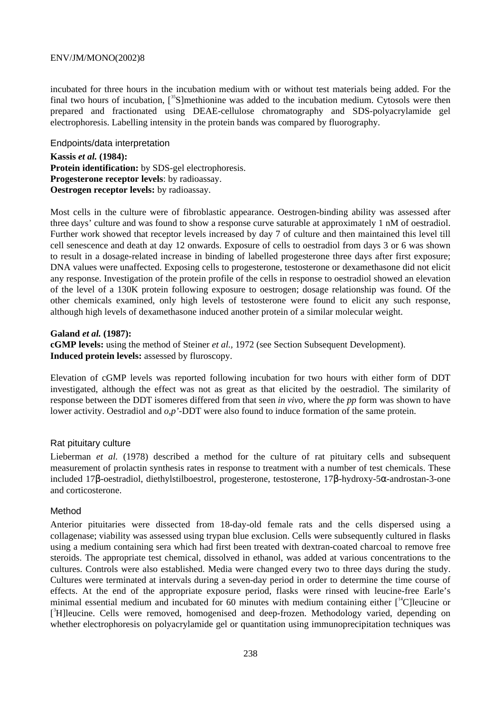incubated for three hours in the incubation medium with or without test materials being added. For the final two hours of incubation,  $\int_{0}^{35} S \$ ]methionine was added to the incubation medium. Cytosols were then prepared and fractionated using DEAE-cellulose chromatography and SDS-polyacrylamide gel electrophoresis. Labelling intensity in the protein bands was compared by fluorography.

Endpoints/data interpretation **Kassis** *et al.* **(1984): Protein identification:** by SDS-gel electrophoresis. **Progesterone receptor levels**: by radioassay. **Oestrogen receptor levels:** by radioassay.

Most cells in the culture were of fibroblastic appearance. Oestrogen-binding ability was assessed after three days' culture and was found to show a response curve saturable at approximately 1 nM of oestradiol. Further work showed that receptor levels increased by day 7 of culture and then maintained this level till cell senescence and death at day 12 onwards. Exposure of cells to oestradiol from days 3 or 6 was shown to result in a dosage-related increase in binding of labelled progesterone three days after first exposure; DNA values were unaffected. Exposing cells to progesterone, testosterone or dexamethasone did not elicit any response. Investigation of the protein profile of the cells in response to oestradiol showed an elevation of the level of a 130K protein following exposure to oestrogen; dosage relationship was found. Of the other chemicals examined, only high levels of testosterone were found to elicit any such response, although high levels of dexamethasone induced another protein of a similar molecular weight.

#### **Galand** *et al.* **(1987):**

**cGMP levels:** using the method of Steiner *et al.,* 1972 (see Section Subsequent Development). **Induced protein levels:** assessed by fluroscopy.

Elevation of cGMP levels was reported following incubation for two hours with either form of DDT investigated, although the effect was not as great as that elicited by the oestradiol. The similarity of response between the DDT isomeres differed from that seen *in vivo,* where the *pp* form was shown to have lower activity. Oestradiol and *o,p'-*DDT were also found to induce formation of the same protein.

#### Rat pituitary culture

Lieberman *et al.* (1978) described a method for the culture of rat pituitary cells and subsequent measurement of prolactin synthesis rates in response to treatment with a number of test chemicals. These included 17β-oestradiol, diethylstilboestrol, progesterone, testosterone, 17β-hydroxy-5α-androstan-3-one and corticosterone.

#### Method

Anterior pituitaries were dissected from 18-day-old female rats and the cells dispersed using a collagenase; viability was assessed using trypan blue exclusion. Cells were subsequently cultured in flasks using a medium containing sera which had first been treated with dextran-coated charcoal to remove free steroids. The appropriate test chemical, dissolved in ethanol, was added at various concentrations to the cultures. Controls were also established. Media were changed every two to three days during the study. Cultures were terminated at intervals during a seven-day period in order to determine the time course of effects. At the end of the appropriate exposure period, flasks were rinsed with leucine-free Earle's minimal essential medium and incubated for 60 minutes with medium containing either  $\int_1^1 C$  [leucine or [<sup>3</sup>H]leucine. Cells were removed, homogenised and deep-frozen. Methodology varied, depending on whether electrophoresis on polyacrylamide gel or quantitation using immunoprecipitation techniques was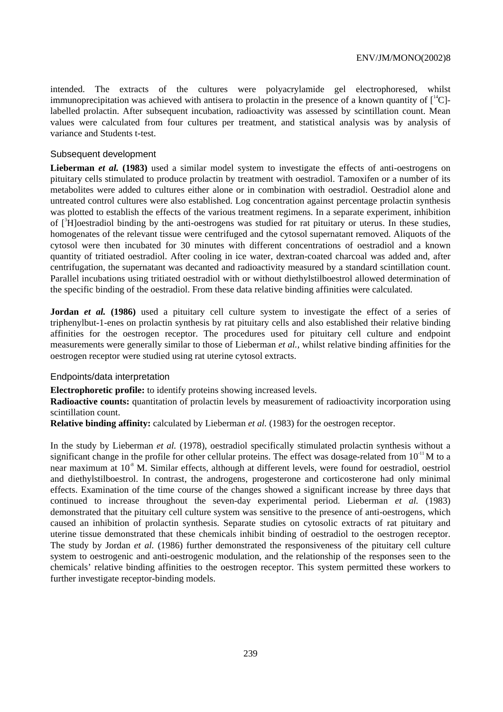intended. The extracts of the cultures were polyacrylamide gel electrophoresed, whilst immunoprecipitation was achieved with antisera to prolactin in the presence of a known quantity of  $\lceil \frac{14}{\cdot} \mathbf{C} \rceil$ labelled prolactin. After subsequent incubation, radioactivity was assessed by scintillation count. Mean values were calculated from four cultures per treatment, and statistical analysis was by analysis of variance and Students t-test.

#### Subsequent development

**Lieberman** *et al.* (1983) used a similar model system to investigate the effects of anti-oestrogens on pituitary cells stimulated to produce prolactin by treatment with oestradiol. Tamoxifen or a number of its metabolites were added to cultures either alone or in combination with oestradiol. Oestradiol alone and untreated control cultures were also established. Log concentration against percentage prolactin synthesis was plotted to establish the effects of the various treatment regimens. In a separate experiment, inhibition of [<sup>3</sup>H]oestradiol binding by the anti-oestrogens was studied for rat pituitary or uterus. In these studies, homogenates of the relevant tissue were centrifuged and the cytosol supernatant removed. Aliquots of the cytosol were then incubated for 30 minutes with different concentrations of oestradiol and a known quantity of tritiated oestradiol. After cooling in ice water, dextran-coated charcoal was added and, after centrifugation, the supernatant was decanted and radioactivity measured by a standard scintillation count. Parallel incubations using tritiated oestradiol with or without diethylstilboestrol allowed determination of the specific binding of the oestradiol. From these data relative binding affinities were calculated.

**Jordan** et al. (1986) used a pituitary cell culture system to investigate the effect of a series of triphenylbut-1-enes on prolactin synthesis by rat pituitary cells and also established their relative binding affinities for the oestrogen receptor. The procedures used for pituitary cell culture and endpoint measurements were generally similar to those of Lieberman *et al.,* whilst relative binding affinities for the oestrogen receptor were studied using rat uterine cytosol extracts.

#### Endpoints/data interpretation

**Electrophoretic profile:** to identify proteins showing increased levels.

**Radioactive counts:** quantitation of prolactin levels by measurement of radioactivity incorporation using scintillation count.

**Relative binding affinity:** calculated by Lieberman *et al.* (1983) for the oestrogen receptor.

In the study by Lieberman *et al.* (1978), oestradiol specifically stimulated prolactin synthesis without a significant change in the profile for other cellular proteins. The effect was dosage-related from  $10^{-11}$  M to a near maximum at 10<sup>-8</sup> M. Similar effects, although at different levels, were found for oestradiol, oestriol and diethylstilboestrol. In contrast, the androgens, progesterone and corticosterone had only minimal effects. Examination of the time course of the changes showed a significant increase by three days that continued to increase throughout the seven-day experimental period. Lieberman *et al.* (1983) demonstrated that the pituitary cell culture system was sensitive to the presence of anti-oestrogens, which caused an inhibition of prolactin synthesis. Separate studies on cytosolic extracts of rat pituitary and uterine tissue demonstrated that these chemicals inhibit binding of oestradiol to the oestrogen receptor. The study by Jordan *et al.* (1986) further demonstrated the responsiveness of the pituitary cell culture system to oestrogenic and anti-oestrogenic modulation, and the relationship of the responses seen to the chemicals' relative binding affinities to the oestrogen receptor. This system permitted these workers to further investigate receptor-binding models.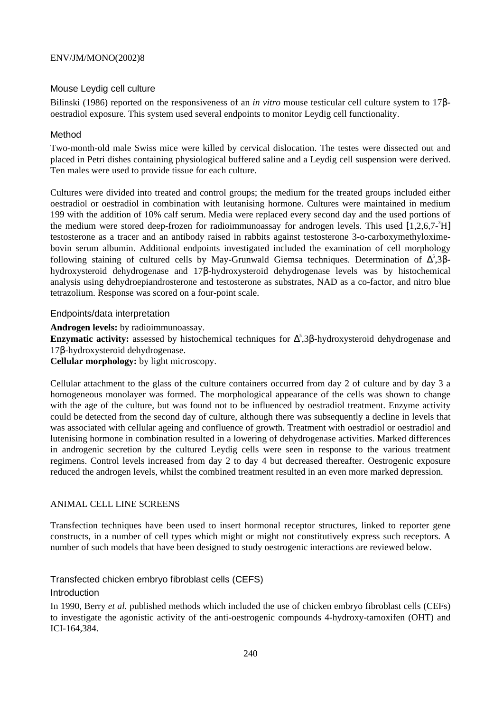### Mouse Leydig cell culture

Bilinski (1986) reported on the responsiveness of an *in vitro* mouse testicular cell culture system to 17βoestradiol exposure. This system used several endpoints to monitor Leydig cell functionality.

### Method

Two-month-old male Swiss mice were killed by cervical dislocation. The testes were dissected out and placed in Petri dishes containing physiological buffered saline and a Leydig cell suspension were derived. Ten males were used to provide tissue for each culture.

Cultures were divided into treated and control groups; the medium for the treated groups included either oestradiol or oestradiol in combination with leutanising hormone. Cultures were maintained in medium 199 with the addition of 10% calf serum. Media were replaced every second day and the used portions of the medium were stored deep-frozen for radioimmunoassay for androgen levels. This used [1,2,6,7-3H] testosterone as a tracer and an antibody raised in rabbits against testosterone 3-o-carboxymethyloximebovin serum albumin. Additional endpoints investigated included the examination of cell morphology following staining of cultured cells by May-Grunwald Giemsa techniques. Determination of  $Δ<sup>5</sup>,3β$ hydroxysteroid dehydrogenase and 17β-hydroxysteroid dehydrogenase levels was by histochemical analysis using dehydroepiandrosterone and testosterone as substrates, NAD as a co-factor, and nitro blue tetrazolium. Response was scored on a four-point scale.

# Endpoints/data interpretation

**Androgen levels:** by radioimmunoassay.

**Enzymatic activity:** assessed by histochemical techniques for ∆<sup>5</sup> ,3β-hydroxysteroid dehydrogenase and 17β-hydroxysteroid dehydrogenase.

**Cellular morphology:** by light microscopy.

Cellular attachment to the glass of the culture containers occurred from day 2 of culture and by day 3 a homogeneous monolayer was formed. The morphological appearance of the cells was shown to change with the age of the culture, but was found not to be influenced by oestradiol treatment. Enzyme activity could be detected from the second day of culture, although there was subsequently a decline in levels that was associated with cellular ageing and confluence of growth. Treatment with oestradiol or oestradiol and lutenising hormone in combination resulted in a lowering of dehydrogenase activities. Marked differences in androgenic secretion by the cultured Leydig cells were seen in response to the various treatment regimens. Control levels increased from day 2 to day 4 but decreased thereafter. Oestrogenic exposure reduced the androgen levels, whilst the combined treatment resulted in an even more marked depression.

### ANIMAL CELL LINE SCREENS

Transfection techniques have been used to insert hormonal receptor structures, linked to reporter gene constructs, in a number of cell types which might or might not constitutively express such receptors. A number of such models that have been designed to study oestrogenic interactions are reviewed below.

# Transfected chicken embryo fibroblast cells (CEFS)

# **Introduction**

In 1990, Berry *et al.* published methods which included the use of chicken embryo fibroblast cells (CEFs) to investigate the agonistic activity of the anti-oestrogenic compounds 4-hydroxy-tamoxifen (OHT) and ICI-164,384.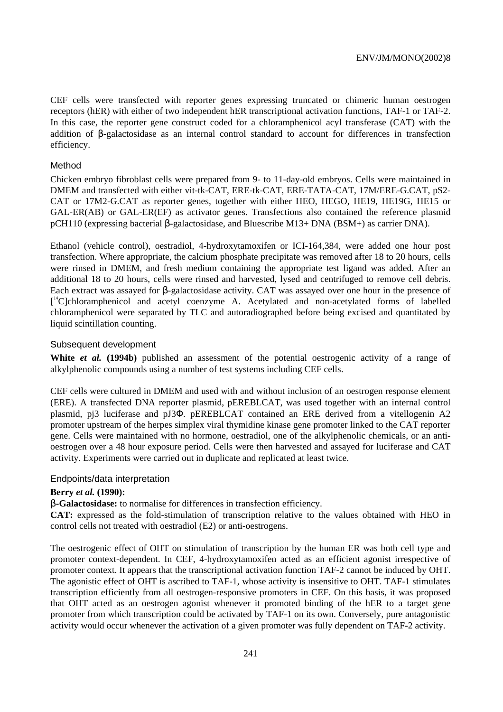CEF cells were transfected with reporter genes expressing truncated or chimeric human oestrogen receptors (hER) with either of two independent hER transcriptional activation functions, TAF-1 or TAF-2. In this case, the reporter gene construct coded for a chloramphenicol acyl transferase (CAT) with the addition of β-galactosidase as an internal control standard to account for differences in transfection efficiency.

### Method

Chicken embryo fibroblast cells were prepared from 9- to 11-day-old embryos. Cells were maintained in DMEM and transfected with either vit-tk-CAT, ERE-tk-CAT, ERE-TATA-CAT, 17M/ERE-G.CAT, pS2- CAT or 17M2-G.CAT as reporter genes, together with either HEO, HEGO, HE19, HE19G, HE15 or GAL-ER(AB) or GAL-ER(EF) as activator genes. Transfections also contained the reference plasmid pCH110 (expressing bacterial β-galactosidase, and Bluescribe M13+ DNA (BSM+) as carrier DNA).

Ethanol (vehicle control), oestradiol, 4-hydroxytamoxifen or ICI-164,384, were added one hour post transfection. Where appropriate, the calcium phosphate precipitate was removed after 18 to 20 hours, cells were rinsed in DMEM, and fresh medium containing the appropriate test ligand was added. After an additional 18 to 20 hours, cells were rinsed and harvested, lysed and centrifuged to remove cell debris. Each extract was assayed for β-galactosidase activity. CAT was assayed over one hour in the presence of [<sup>14</sup>C]chloramphenicol and acetyl coenzyme A. Acetylated and non-acetylated forms of labelled chloramphenicol were separated by TLC and autoradiographed before being excised and quantitated by liquid scintillation counting.

#### Subsequent development

**White** *et al.* (1994b) published an assessment of the potential oestrogenic activity of a range of alkylphenolic compounds using a number of test systems including CEF cells.

CEF cells were cultured in DMEM and used with and without inclusion of an oestrogen response element (ERE). A transfected DNA reporter plasmid, pEREBLCAT, was used together with an internal control plasmid, pj3 luciferase and pJ3Φ. pEREBLCAT contained an ERE derived from a vitellogenin A2 promoter upstream of the herpes simplex viral thymidine kinase gene promoter linked to the CAT reporter gene. Cells were maintained with no hormone, oestradiol, one of the alkylphenolic chemicals, or an antioestrogen over a 48 hour exposure period. Cells were then harvested and assayed for luciferase and CAT activity. Experiments were carried out in duplicate and replicated at least twice.

#### Endpoints/data interpretation

#### **Berry** *et al.* **(1990):**

β**-Galactosidase:** to normalise for differences in transfection efficiency.

**CAT:** expressed as the fold-stimulation of transcription relative to the values obtained with HEO in control cells not treated with oestradiol (E2) or anti-oestrogens.

The oestrogenic effect of OHT on stimulation of transcription by the human ER was both cell type and promoter context-dependent. In CEF, 4-hydroxytamoxifen acted as an efficient agonist irrespective of promoter context. It appears that the transcriptional activation function TAF-2 cannot be induced by OHT. The agonistic effect of OHT is ascribed to TAF-1, whose activity is insensitive to OHT. TAF-1 stimulates transcription efficiently from all oestrogen-responsive promoters in CEF. On this basis, it was proposed that OHT acted as an oestrogen agonist whenever it promoted binding of the hER to a target gene promoter from which transcription could be activated by TAF-1 on its own. Conversely, pure antagonistic activity would occur whenever the activation of a given promoter was fully dependent on TAF-2 activity.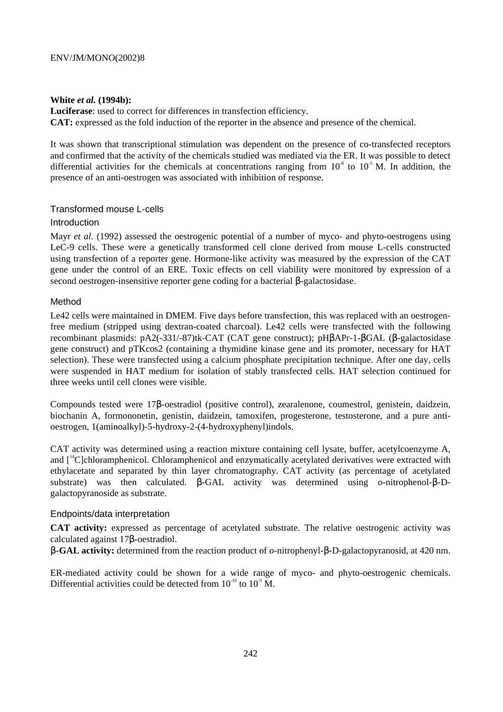### **White** *et al.* **(1994b):**

**Luciferase**: used to correct for differences in transfection efficiency. **CAT:** expressed as the fold induction of the reporter in the absence and presence of the chemical.

It was shown that transcriptional stimulation was dependent on the presence of co-transfected receptors and confirmed that the activity of the chemicals studied was mediated via the ER. It was possible to detect differential activities for the chemicals at concentrations ranging from  $10^3$  to  $10^5$  M. In addition, the presence of an anti-oestrogen was associated with inhibition of response.

# Transformed mouse L-cells

# Introduction

Mayr *et al.* (1992) assessed the oestrogenic potential of a number of myco- and phyto-oestrogens using LeC-9 cells. These were a genetically transformed cell clone derived from mouse L-cells constructed using transfection of a reporter gene. Hormone-like activity was measured by the expression of the CAT gene under the control of an ERE. Toxic effects on cell viability were monitored by expression of a second oestrogen-insensitive reporter gene coding for a bacterial β-galactosidase.

# Method

Le42 cells were maintained in DMEM. Five days before transfection, this was replaced with an oestrogenfree medium (stripped using dextran-coated charcoal). Le42 cells were transfected with the following recombinant plasmids: pA2(-331/-87)tk-CAT (CAT gene construct); pHβAPr-1-βGAL (β-galactosidase gene construct) and pTKcos2 (containing a thymidine kinase gene and its promoter, necessary for HAT selection). These were transfected using a calcium phosphate precipitation technique. After one day, cells were suspended in HAT medium for isolation of stably transfected cells. HAT selection continued for three weeks until cell clones were visible.

Compounds tested were 17β-oestradiol (positive control), zearalenone, coumestrol, genistein, daidzein, biochanin A, formononetin, genistin, daidzein, tamoxifen, progesterone, testosterone, and a pure antioestrogen, 1(aminoalkyl)-5-hydroxy-2-(4-hydroxyphenyl)indols.

CAT activity was determined using a reaction mixture containing cell lysate, buffer, acetylcoenzyme A, and  $I^4$ C]chloramphenicol. Chloramphenicol and enzymatically acetylated derivatives were extracted with ethylacetate and separated by thin layer chromatography. CAT activity (as percentage of acetylated substrate) was then calculated. β-GAL activity was determined using *o*-nitrophenol-β-Dgalactopyranoside as substrate.

# Endpoints/data interpretation

**CAT activity:** expressed as percentage of acetylated substrate. The relative oestrogenic activity was calculated against 17β-oestradiol.

β**-GAL activity:** determined from the reaction product of *o-*nitrophenyl-β-D-galactopyranosid, at 420 nm.

ER-mediated activity could be shown for a wide range of myco- and phyto-oestrogenic chemicals. Differential activities could be detected from  $10^{-10}$  to  $10^{-5}$  M.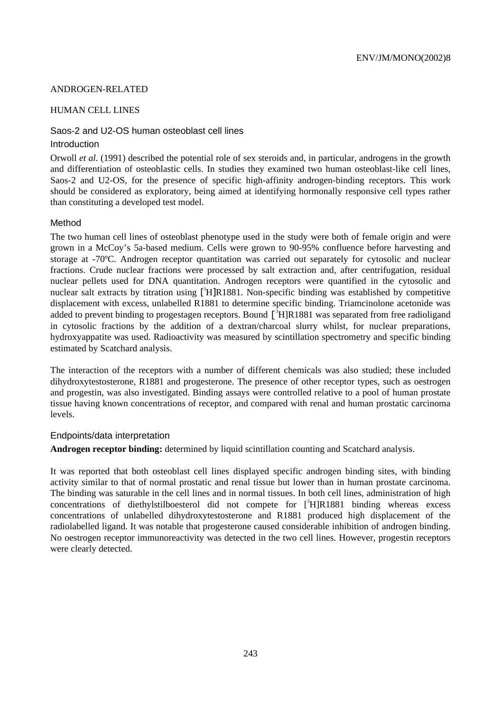# ANDROGEN-RELATED

### HUMAN CELL LINES

### Saos-2 and U2-OS human osteoblast cell lines

### **Introduction**

Orwoll *et al.* (1991) described the potential role of sex steroids and, in particular, androgens in the growth and differentiation of osteoblastic cells. In studies they examined two human osteoblast-like cell lines, Saos-2 and U2-OS, for the presence of specific high-affinity androgen-binding receptors. This work should be considered as exploratory, being aimed at identifying hormonally responsive cell types rather than constituting a developed test model.

### Method

The two human cell lines of osteoblast phenotype used in the study were both of female origin and were grown in a McCoy's 5a-based medium. Cells were grown to 90-95% confluence before harvesting and storage at -70ºC. Androgen receptor quantitation was carried out separately for cytosolic and nuclear fractions. Crude nuclear fractions were processed by salt extraction and, after centrifugation, residual nuclear pellets used for DNA quantitation. Androgen receptors were quantified in the cytosolic and nuclear salt extracts by titration using [3H]R1881. Non-specific binding was established by competitive displacement with excess, unlabelled R1881 to determine specific binding. Triamcinolone acetonide was added to prevent binding to progestagen receptors. Bound  $[^3H]R1881$  was separated from free radioligand in cytosolic fractions by the addition of a dextran/charcoal slurry whilst, for nuclear preparations, hydroxyappatite was used. Radioactivity was measured by scintillation spectrometry and specific binding estimated by Scatchard analysis.

The interaction of the receptors with a number of different chemicals was also studied; these included dihydroxytestosterone, R1881 and progesterone. The presence of other receptor types, such as oestrogen and progestin, was also investigated. Binding assays were controlled relative to a pool of human prostate tissue having known concentrations of receptor, and compared with renal and human prostatic carcinoma levels.

# Endpoints/data interpretation

**Androgen receptor binding:** determined by liquid scintillation counting and Scatchard analysis.

It was reported that both osteoblast cell lines displayed specific androgen binding sites, with binding activity similar to that of normal prostatic and renal tissue but lower than in human prostate carcinoma. The binding was saturable in the cell lines and in normal tissues. In both cell lines, administration of high concentrations of diethylstilboesterol did not compete for [3H]R1881 binding whereas excess concentrations of unlabelled dihydroxytestosterone and R1881 produced high displacement of the radiolabelled ligand. It was notable that progesterone caused considerable inhibition of androgen binding. No oestrogen receptor immunoreactivity was detected in the two cell lines. However, progestin receptors were clearly detected.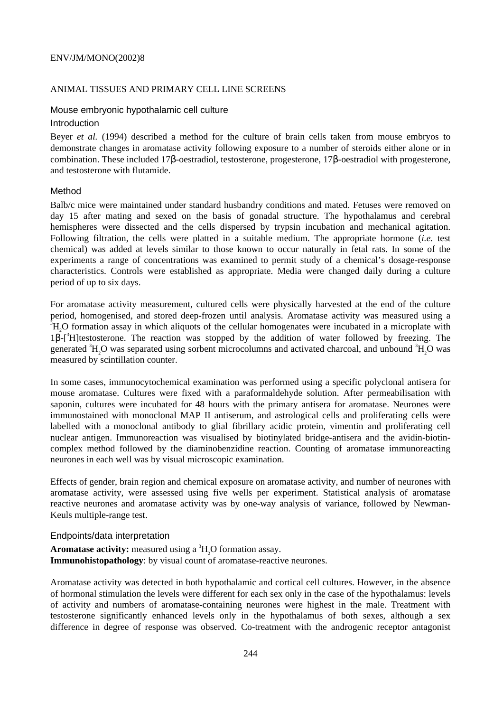# ANIMAL TISSUES AND PRIMARY CELL LINE SCREENS

# Mouse embryonic hypothalamic cell culture

#### **Introduction**

Beyer *et al.* (1994) described a method for the culture of brain cells taken from mouse embryos to demonstrate changes in aromatase activity following exposure to a number of steroids either alone or in combination. These included 17β-oestradiol, testosterone, progesterone, 17β-oestradiol with progesterone, and testosterone with flutamide.

# Method

Balb/c mice were maintained under standard husbandry conditions and mated. Fetuses were removed on day 15 after mating and sexed on the basis of gonadal structure. The hypothalamus and cerebral hemispheres were dissected and the cells dispersed by trypsin incubation and mechanical agitation. Following filtration, the cells were platted in a suitable medium. The appropriate hormone (*i.e.* test chemical) was added at levels similar to those known to occur naturally in fetal rats. In some of the experiments a range of concentrations was examined to permit study of a chemical's dosage-response characteristics. Controls were established as appropriate. Media were changed daily during a culture period of up to six days.

For aromatase activity measurement, cultured cells were physically harvested at the end of the culture period, homogenised, and stored deep-frozen until analysis. Aromatase activity was measured using a <sup>3</sup>H<sub>2</sub>O formation assay in which aliquots of the cellular homogenates were incubated in a microplate with 1β-[ ${}^{3}$ H]testosterone. The reaction was stopped by the addition of water followed by freezing. The generated  ${}^{3}H_{2}O$  was separated using sorbent microcolumns and activated charcoal, and unbound  ${}^{3}H_{2}O$  was measured by scintillation counter.

In some cases, immunocytochemical examination was performed using a specific polyclonal antisera for mouse aromatase. Cultures were fixed with a paraformaldehyde solution. After permeabilisation with saponin, cultures were incubated for 48 hours with the primary antisera for aromatase. Neurones were immunostained with monoclonal MAP II antiserum, and astrological cells and proliferating cells were labelled with a monoclonal antibody to glial fibrillary acidic protein, vimentin and proliferating cell nuclear antigen. Immunoreaction was visualised by biotinylated bridge-antisera and the avidin-biotincomplex method followed by the diaminobenzidine reaction. Counting of aromatase immunoreacting neurones in each well was by visual microscopic examination.

Effects of gender, brain region and chemical exposure on aromatase activity, and number of neurones with aromatase activity, were assessed using five wells per experiment. Statistical analysis of aromatase reactive neurones and aromatase activity was by one-way analysis of variance, followed by Newman-Keuls multiple-range test.

# Endpoints/data interpretation

**Aromatase activity:** measured using a  ${}^{3}H_{2}O$  formation assay. **Immunohistopathology**: by visual count of aromatase-reactive neurones.

Aromatase activity was detected in both hypothalamic and cortical cell cultures. However, in the absence of hormonal stimulation the levels were different for each sex only in the case of the hypothalamus: levels of activity and numbers of aromatase-containing neurones were highest in the male. Treatment with testosterone significantly enhanced levels only in the hypothalamus of both sexes, although a sex difference in degree of response was observed. Co-treatment with the androgenic receptor antagonist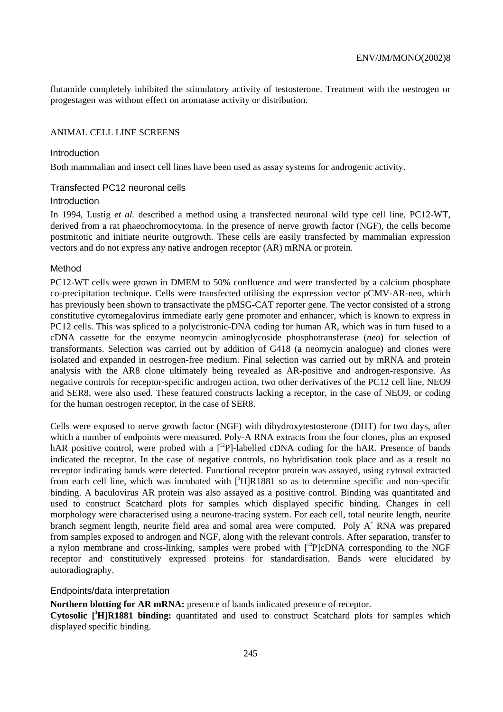flutamide completely inhibited the stimulatory activity of testosterone. Treatment with the oestrogen or progestagen was without effect on aromatase activity or distribution.

### ANIMAL CELL LINE SCREENS

#### **Introduction**

Both mammalian and insect cell lines have been used as assay systems for androgenic activity.

### Transfected PC12 neuronal cells

# **Introduction**

In 1994, Lustig *et al.* described a method using a transfected neuronal wild type cell line, PC12-WT, derived from a rat phaeochromocytoma. In the presence of nerve growth factor (NGF), the cells become postmitotic and initiate neurite outgrowth. These cells are easily transfected by mammalian expression vectors and do not express any native androgen receptor (AR) mRNA or protein.

### Method

PC12-WT cells were grown in DMEM to 50% confluence and were transfected by a calcium phosphate co-precipitation technique. Cells were transfected utilising the expression vector pCMV-AR-neo, which has previously been shown to transactivate the pMSG-CAT reporter gene. The vector consisted of a strong constitutive cytomegalovirus immediate early gene promoter and enhancer, which is known to express in PC12 cells. This was spliced to a polycistronic-DNA coding for human AR, which was in turn fused to a cDNA cassette for the enzyme neomycin aminoglycoside phosphotransferase (*neo*) for selection of transformants. Selection was carried out by addition of G418 (a neomycin analogue) and clones were isolated and expanded in oestrogen-free medium. Final selection was carried out by mRNA and protein analysis with the AR8 clone ultimately being revealed as AR-positive and androgen-responsive. As negative controls for receptor-specific androgen action, two other derivatives of the PC12 cell line, NEO9 and SER8, were also used. These featured constructs lacking a receptor, in the case of NEO9, or coding for the human oestrogen receptor, in the case of SER8.

Cells were exposed to nerve growth factor (NGF) with dihydroxytestosterone (DHT) for two days, after which a number of endpoints were measured. Poly-A RNA extracts from the four clones, plus an exposed hAR positive control, were probed with a  $\int_{0}^{32}P$ ]-labelled cDNA coding for the hAR. Presence of bands indicated the receptor. In the case of negative controls, no hybridisation took place and as a result no receptor indicating bands were detected. Functional receptor protein was assayed, using cytosol extracted from each cell line, which was incubated with [3H]R1881 so as to determine specific and non-specific binding. A baculovirus AR protein was also assayed as a positive control. Binding was quantitated and used to construct Scatchard plots for samples which displayed specific binding. Changes in cell morphology were characterised using a neurone-tracing system. For each cell, total neurite length, neurite branch segment length, neurite field area and somal area were computed. Poly  $A^+$  RNA was prepared from samples exposed to androgen and NGF, along with the relevant controls. After separation, transfer to a nylon membrane and cross-linking, samples were probed with  $\int_{0}^{3}P$ ]cDNA corresponding to the NGF receptor and constitutively expressed proteins for standardisation. Bands were elucidated by autoradiography.

#### Endpoints/data interpretation

**Northern blotting for AR mRNA:** presence of bands indicated presence of receptor.

**Cytosolic [<sup>3</sup> H]R1881 binding:** quantitated and used to construct Scatchard plots for samples which displayed specific binding.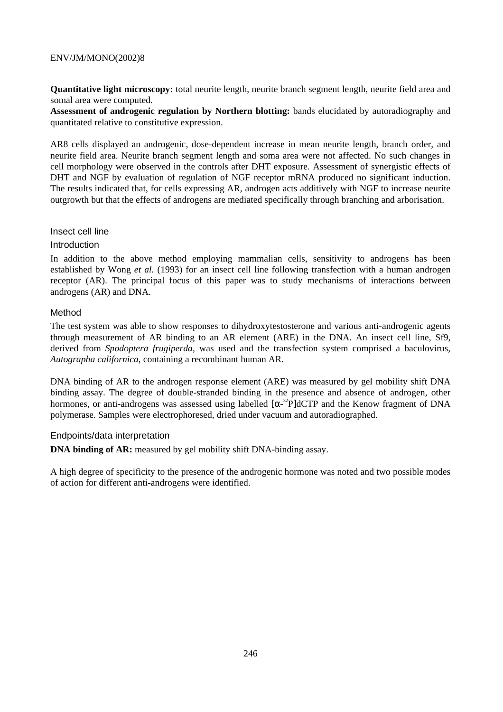**Quantitative light microscopy:** total neurite length, neurite branch segment length, neurite field area and somal area were computed.

**Assessment of androgenic regulation by Northern blotting:** bands elucidated by autoradiography and quantitated relative to constitutive expression.

AR8 cells displayed an androgenic, dose-dependent increase in mean neurite length, branch order, and neurite field area. Neurite branch segment length and soma area were not affected. No such changes in cell morphology were observed in the controls after DHT exposure. Assessment of synergistic effects of DHT and NGF by evaluation of regulation of NGF receptor mRNA produced no significant induction. The results indicated that, for cells expressing AR, androgen acts additively with NGF to increase neurite outgrowth but that the effects of androgens are mediated specifically through branching and arborisation.

# Insect cell line

# Introduction

In addition to the above method employing mammalian cells, sensitivity to androgens has been established by Wong *et al.* (1993) for an insect cell line following transfection with a human androgen receptor (AR). The principal focus of this paper was to study mechanisms of interactions between androgens (AR) and DNA.

# Method

The test system was able to show responses to dihydroxytestosterone and various anti-androgenic agents through measurement of AR binding to an AR element (ARE) in the DNA. An insect cell line, Sf9, derived from *Spodoptera frugiperda,* was used and the transfection system comprised a baculovirus, *Autographa californica*, containing a recombinant human AR.

DNA binding of AR to the androgen response element (ARE) was measured by gel mobility shift DNA binding assay. The degree of double-stranded binding in the presence and absence of androgen, other hormones, or anti-androgens was assessed using labelled  $[\alpha^{-32}P]$ dCTP and the Kenow fragment of DNA polymerase. Samples were electrophoresed, dried under vacuum and autoradiographed.

# Endpoints/data interpretation

**DNA binding of AR:** measured by gel mobility shift DNA-binding assay.

A high degree of specificity to the presence of the androgenic hormone was noted and two possible modes of action for different anti-androgens were identified.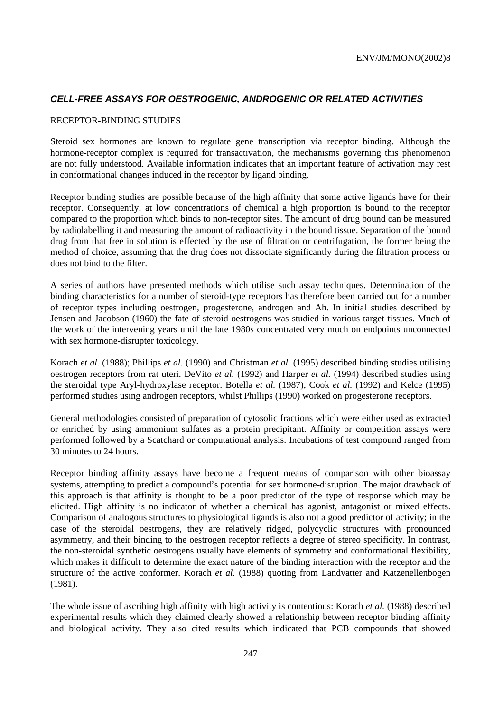# **CELL-FREE ASSAYS FOR OESTROGENIC, ANDROGENIC OR RELATED ACTIVITIES**

#### RECEPTOR-BINDING STUDIES

Steroid sex hormones are known to regulate gene transcription via receptor binding. Although the hormone-receptor complex is required for transactivation, the mechanisms governing this phenomenon are not fully understood. Available information indicates that an important feature of activation may rest in conformational changes induced in the receptor by ligand binding.

Receptor binding studies are possible because of the high affinity that some active ligands have for their receptor. Consequently, at low concentrations of chemical a high proportion is bound to the receptor compared to the proportion which binds to non-receptor sites. The amount of drug bound can be measured by radiolabelling it and measuring the amount of radioactivity in the bound tissue. Separation of the bound drug from that free in solution is effected by the use of filtration or centrifugation, the former being the method of choice, assuming that the drug does not dissociate significantly during the filtration process or does not bind to the filter.

A series of authors have presented methods which utilise such assay techniques. Determination of the binding characteristics for a number of steroid-type receptors has therefore been carried out for a number of receptor types including oestrogen, progesterone, androgen and Ah. In initial studies described by Jensen and Jacobson (1960) the fate of steroid oestrogens was studied in various target tissues. Much of the work of the intervening years until the late 1980s concentrated very much on endpoints unconnected with sex hormone-disrupter toxicology.

Korach *et al.* (1988); Phillips *et al.* (1990) and Christman *et al.* (1995) described binding studies utilising oestrogen receptors from rat uteri. DeVito *et al.* (1992) and Harper *et al.* (1994) described studies using the steroidal type Aryl-hydroxylase receptor. Botella *et al.* (1987), Cook *et al.* (1992) and Kelce (1995) performed studies using androgen receptors, whilst Phillips (1990) worked on progesterone receptors.

General methodologies consisted of preparation of cytosolic fractions which were either used as extracted or enriched by using ammonium sulfates as a protein precipitant. Affinity or competition assays were performed followed by a Scatchard or computational analysis. Incubations of test compound ranged from 30 minutes to 24 hours.

Receptor binding affinity assays have become a frequent means of comparison with other bioassay systems, attempting to predict a compound's potential for sex hormone-disruption. The major drawback of this approach is that affinity is thought to be a poor predictor of the type of response which may be elicited. High affinity is no indicator of whether a chemical has agonist, antagonist or mixed effects. Comparison of analogous structures to physiological ligands is also not a good predictor of activity; in the case of the steroidal oestrogens, they are relatively ridged, polycyclic structures with pronounced asymmetry, and their binding to the oestrogen receptor reflects a degree of stereo specificity. In contrast, the non-steroidal synthetic oestrogens usually have elements of symmetry and conformational flexibility, which makes it difficult to determine the exact nature of the binding interaction with the receptor and the structure of the active conformer. Korach *et al.* (1988) quoting from Landvatter and Katzenellenbogen (1981).

The whole issue of ascribing high affinity with high activity is contentious: Korach *et al.* (1988) described experimental results which they claimed clearly showed a relationship between receptor binding affinity and biological activity. They also cited results which indicated that PCB compounds that showed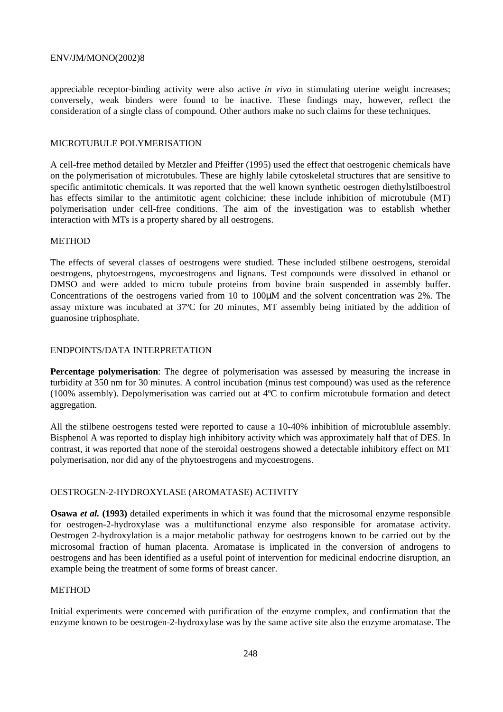appreciable receptor-binding activity were also active *in vivo* in stimulating uterine weight increases; conversely, weak binders were found to be inactive. These findings may, however, reflect the consideration of a single class of compound. Other authors make no such claims for these techniques.

### MICROTUBULE POLYMERISATION

A cell-free method detailed by Metzler and Pfeiffer (1995) used the effect that oestrogenic chemicals have on the polymerisation of microtubules. These are highly labile cytoskeletal structures that are sensitive to specific antimitotic chemicals. It was reported that the well known synthetic oestrogen diethylstilboestrol has effects similar to the antimitotic agent colchicine; these include inhibition of microtubule (MT) polymerisation under cell-free conditions. The aim of the investigation was to establish whether interaction with MTs is a property shared by all oestrogens.

### **METHOD**

The effects of several classes of oestrogens were studied. These included stilbene oestrogens, steroidal oestrogens, phytoestrogens, mycoestrogens and lignans. Test compounds were dissolved in ethanol or DMSO and were added to micro tubule proteins from bovine brain suspended in assembly buffer. Concentrations of the oestrogens varied from 10 to 100µM and the solvent concentration was 2%. The assay mixture was incubated at 37ºC for 20 minutes, MT assembly being initiated by the addition of guanosine triphosphate.

# ENDPOINTS/DATA INTERPRETATION

**Percentage polymerisation**: The degree of polymerisation was assessed by measuring the increase in turbidity at 350 nm for 30 minutes. A control incubation (minus test compound) was used as the reference (100% assembly). Depolymerisation was carried out at 4ºC to confirm microtubule formation and detect aggregation.

All the stilbene oestrogens tested were reported to cause a 10-40% inhibition of microtublule assembly. Bisphenol A was reported to display high inhibitory activity which was approximately half that of DES. In contrast, it was reported that none of the steroidal oestrogens showed a detectable inhibitory effect on MT polymerisation, nor did any of the phytoestrogens and mycoestrogens.

# OESTROGEN-2-HYDROXYLASE (AROMATASE) ACTIVITY

**Osawa** *et al.* (1993) detailed experiments in which it was found that the microsomal enzyme responsible for oestrogen-2-hydroxylase was a multifunctional enzyme also responsible for aromatase activity. Oestrogen 2-hydroxylation is a major metabolic pathway for oestrogens known to be carried out by the microsomal fraction of human placenta. Aromatase is implicated in the conversion of androgens to oestrogens and has been identified as a useful point of intervention for medicinal endocrine disruption, an example being the treatment of some forms of breast cancer.

# **METHOD**

Initial experiments were concerned with purification of the enzyme complex, and confirmation that the enzyme known to be oestrogen-2-hydroxylase was by the same active site also the enzyme aromatase. The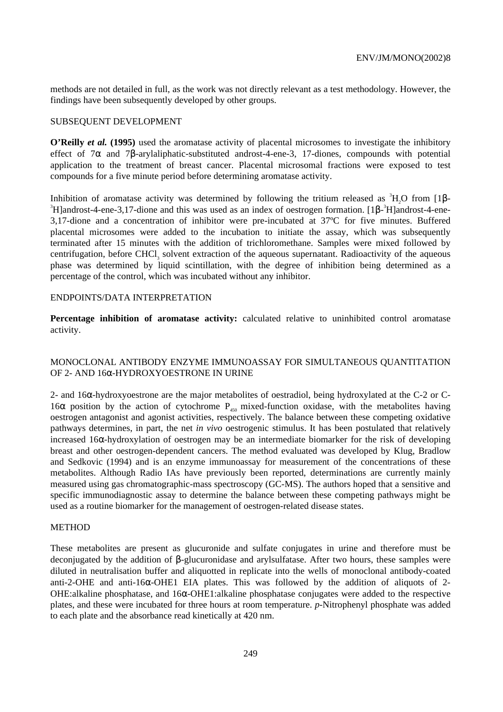methods are not detailed in full, as the work was not directly relevant as a test methodology. However, the findings have been subsequently developed by other groups.

#### SUBSEQUENT DEVELOPMENT

**O'Reilly** *et al.* (1995) used the aromatase activity of placental microsomes to investigate the inhibitory effect of 7α and 7β-arylaliphatic-substituted androst-4-ene-3, 17-diones, compounds with potential application to the treatment of breast cancer. Placental microsomal fractions were exposed to test compounds for a five minute period before determining aromatase activity.

Inhibition of aromatase activity was determined by following the tritium released as  ${}^{3}H_{2}O$  from [1β-<sup>3</sup>H]androst-4-ene-3,17-dione and this was used as an index of oestrogen formation. [1β- ${}^{3}$ H]androst-4-ene-3,17-dione and a concentration of inhibitor were pre-incubated at 37ºC for five minutes. Buffered placental microsomes were added to the incubation to initiate the assay, which was subsequently terminated after 15 minutes with the addition of trichloromethane. Samples were mixed followed by centrifugation, before CHCl<sub>3</sub> solvent extraction of the aqueous supernatant. Radioactivity of the aqueous phase was determined by liquid scintillation, with the degree of inhibition being determined as a percentage of the control, which was incubated without any inhibitor.

#### ENDPOINTS/DATA INTERPRETATION

Percentage inhibition of aromatase activity: calculated relative to uninhibited control aromatase activity.

# MONOCLONAL ANTIBODY ENZYME IMMUNOASSAY FOR SIMULTANEOUS QUANTITATION OF 2- AND 16α-HYDROXYOESTRONE IN URINE

2- and 16α-hydroxyoestrone are the major metabolites of oestradiol, being hydroxylated at the C-2 or C-16 $\alpha$  position by the action of cytochrome P<sub>450</sub> mixed-function oxidase, with the metabolites having oestrogen antagonist and agonist activities, respectively. The balance between these competing oxidative pathways determines, in part, the net *in vivo* oestrogenic stimulus. It has been postulated that relatively increased 16α-hydroxylation of oestrogen may be an intermediate biomarker for the risk of developing breast and other oestrogen-dependent cancers. The method evaluated was developed by Klug, Bradlow and Sedkovic (1994) and is an enzyme immunoassay for measurement of the concentrations of these metabolites. Although Radio IAs have previously been reported, determinations are currently mainly measured using gas chromatographic-mass spectroscopy (GC-MS). The authors hoped that a sensitive and specific immunodiagnostic assay to determine the balance between these competing pathways might be used as a routine biomarker for the management of oestrogen-related disease states.

#### **METHOD**

These metabolites are present as glucuronide and sulfate conjugates in urine and therefore must be deconjugated by the addition of β-glucuronidase and arylsulfatase. After two hours, these samples were diluted in neutralisation buffer and aliquotted in replicate into the wells of monoclonal antibody-coated anti-2-OHE and anti-16α-OHE1 EIA plates. This was followed by the addition of aliquots of 2- OHE:alkaline phosphatase, and 16α-OHE1:alkaline phosphatase conjugates were added to the respective plates, and these were incubated for three hours at room temperature. *p*-Nitrophenyl phosphate was added to each plate and the absorbance read kinetically at 420 nm.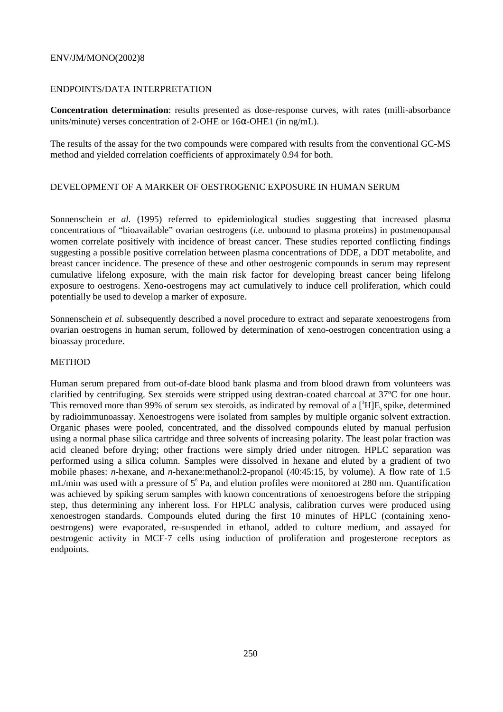# ENDPOINTS/DATA INTERPRETATION

**Concentration determination**: results presented as dose-response curves, with rates (milli-absorbance units/minute) verses concentration of 2-OHE or  $16\alpha$ -OHE1 (in ng/mL).

The results of the assay for the two compounds were compared with results from the conventional GC-MS method and yielded correlation coefficients of approximately 0.94 for both.

### DEVELOPMENT OF A MARKER OF OESTROGENIC EXPOSURE IN HUMAN SERUM

Sonnenschein *et al.* (1995) referred to epidemiological studies suggesting that increased plasma concentrations of "bioavailable" ovarian oestrogens (*i.e.* unbound to plasma proteins) in postmenopausal women correlate positively with incidence of breast cancer. These studies reported conflicting findings suggesting a possible positive correlation between plasma concentrations of DDE, a DDT metabolite, and breast cancer incidence. The presence of these and other oestrogenic compounds in serum may represent cumulative lifelong exposure, with the main risk factor for developing breast cancer being lifelong exposure to oestrogens. Xeno-oestrogens may act cumulatively to induce cell proliferation, which could potentially be used to develop a marker of exposure.

Sonnenschein *et al.* subsequently described a novel procedure to extract and separate xenoestrogens from ovarian oestrogens in human serum, followed by determination of xeno-oestrogen concentration using a bioassay procedure.

### **METHOD**

Human serum prepared from out-of-date blood bank plasma and from blood drawn from volunteers was clarified by centrifuging. Sex steroids were stripped using dextran-coated charcoal at 37ºC for one hour. This removed more than 99% of serum sex steroids, as indicated by removal of a  $[^{3}H]E_{2}$  spike, determined by radioimmunoassay. Xenoestrogens were isolated from samples by multiple organic solvent extraction. Organic phases were pooled, concentrated, and the dissolved compounds eluted by manual perfusion using a normal phase silica cartridge and three solvents of increasing polarity. The least polar fraction was acid cleaned before drying; other fractions were simply dried under nitrogen. HPLC separation was performed using a silica column. Samples were dissolved in hexane and eluted by a gradient of two mobile phases: *n*-hexane, and *n*-hexane:methanol:2-propanol (40:45:15, by volume). A flow rate of 1.5 mL/min was used with a pressure of 5<sup>6</sup> Pa, and elution profiles were monitored at 280 nm. Quantification was achieved by spiking serum samples with known concentrations of xenoestrogens before the stripping step, thus determining any inherent loss. For HPLC analysis, calibration curves were produced using xenoestrogen standards. Compounds eluted during the first 10 minutes of HPLC (containing xenooestrogens) were evaporated, re-suspended in ethanol, added to culture medium, and assayed for oestrogenic activity in MCF-7 cells using induction of proliferation and progesterone receptors as endpoints.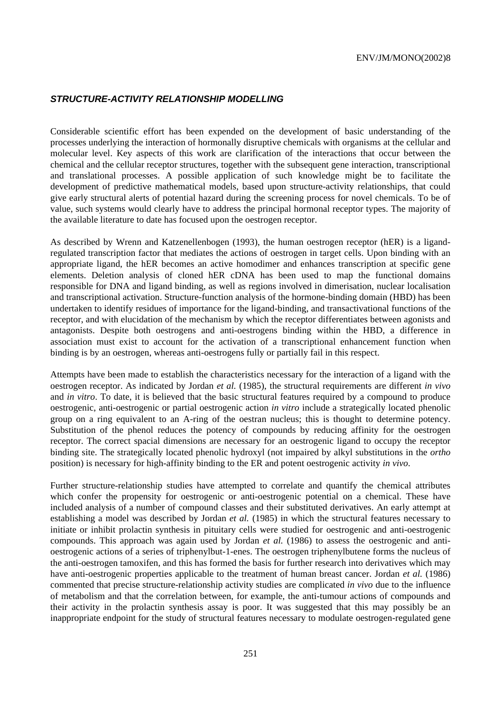# **STRUCTURE-ACTIVITY RELATIONSHIP MODELLING**

Considerable scientific effort has been expended on the development of basic understanding of the processes underlying the interaction of hormonally disruptive chemicals with organisms at the cellular and molecular level. Key aspects of this work are clarification of the interactions that occur between the chemical and the cellular receptor structures, together with the subsequent gene interaction, transcriptional and translational processes. A possible application of such knowledge might be to facilitate the development of predictive mathematical models, based upon structure-activity relationships, that could give early structural alerts of potential hazard during the screening process for novel chemicals. To be of value, such systems would clearly have to address the principal hormonal receptor types. The majority of the available literature to date has focused upon the oestrogen receptor.

As described by Wrenn and Katzenellenbogen (1993), the human oestrogen receptor (hER) is a ligandregulated transcription factor that mediates the actions of oestrogen in target cells. Upon binding with an appropriate ligand, the hER becomes an active homodimer and enhances transcription at specific gene elements. Deletion analysis of cloned hER cDNA has been used to map the functional domains responsible for DNA and ligand binding, as well as regions involved in dimerisation, nuclear localisation and transcriptional activation. Structure-function analysis of the hormone-binding domain (HBD) has been undertaken to identify residues of importance for the ligand-binding, and transactivational functions of the receptor, and with elucidation of the mechanism by which the receptor differentiates between agonists and antagonists. Despite both oestrogens and anti-oestrogens binding within the HBD, a difference in association must exist to account for the activation of a transcriptional enhancement function when binding is by an oestrogen, whereas anti-oestrogens fully or partially fail in this respect.

Attempts have been made to establish the characteristics necessary for the interaction of a ligand with the oestrogen receptor. As indicated by Jordan *et al.* (1985), the structural requirements are different *in vivo* and *in vitro*. To date, it is believed that the basic structural features required by a compound to produce oestrogenic, anti-oestrogenic or partial oestrogenic action *in vitro* include a strategically located phenolic group on a ring equivalent to an A-ring of the oestran nucleus; this is thought to determine potency. Substitution of the phenol reduces the potency of compounds by reducing affinity for the oestrogen receptor. The correct spacial dimensions are necessary for an oestrogenic ligand to occupy the receptor binding site. The strategically located phenolic hydroxyl (not impaired by alkyl substitutions in the *ortho* position) is necessary for high-affinity binding to the ER and potent oestrogenic activity *in vivo*.

Further structure-relationship studies have attempted to correlate and quantify the chemical attributes which confer the propensity for oestrogenic or anti-oestrogenic potential on a chemical. These have included analysis of a number of compound classes and their substituted derivatives. An early attempt at establishing a model was described by Jordan *et al.* (1985) in which the structural features necessary to initiate or inhibit prolactin synthesis in pituitary cells were studied for oestrogenic and anti-oestrogenic compounds. This approach was again used by Jordan *et al.* (1986) to assess the oestrogenic and antioestrogenic actions of a series of triphenylbut-1-enes. The oestrogen triphenylbutene forms the nucleus of the anti-oestrogen tamoxifen, and this has formed the basis for further research into derivatives which may have anti-oestrogenic properties applicable to the treatment of human breast cancer. Jordan *et al.* (1986) commented that precise structure-relationship activity studies are complicated *in vivo* due to the influence of metabolism and that the correlation between, for example, the anti-tumour actions of compounds and their activity in the prolactin synthesis assay is poor. It was suggested that this may possibly be an inappropriate endpoint for the study of structural features necessary to modulate oestrogen-regulated gene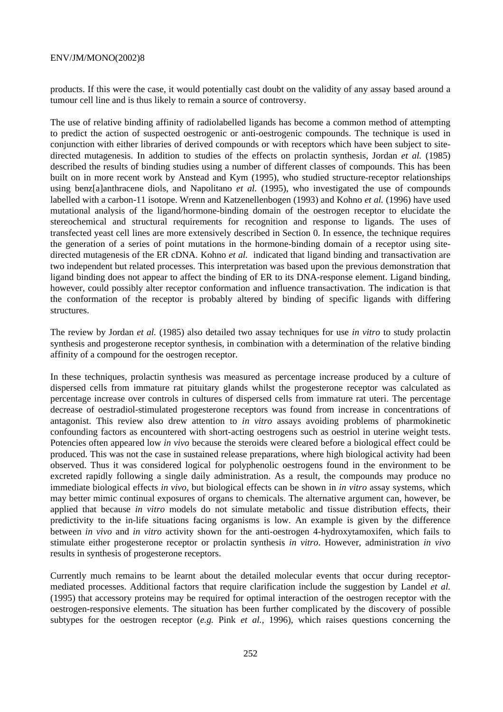products. If this were the case, it would potentially cast doubt on the validity of any assay based around a tumour cell line and is thus likely to remain a source of controversy.

The use of relative binding affinity of radiolabelled ligands has become a common method of attempting to predict the action of suspected oestrogenic or anti-oestrogenic compounds. The technique is used in conjunction with either libraries of derived compounds or with receptors which have been subject to sitedirected mutagenesis. In addition to studies of the effects on prolactin synthesis, Jordan *et al.* (1985) described the results of binding studies using a number of different classes of compounds. This has been built on in more recent work by Anstead and Kym (1995), who studied structure-receptor relationships using benz[a]anthracene diols, and Napolitano *et al.* (1995), who investigated the use of compounds labelled with a carbon-11 isotope. Wrenn and Katzenellenbogen (1993) and Kohno *et al.* (1996) have used mutational analysis of the ligand/hormone-binding domain of the oestrogen receptor to elucidate the stereochemical and structural requirements for recognition and response to ligands. The uses of transfected yeast cell lines are more extensively described in Section 0. In essence, the technique requires the generation of a series of point mutations in the hormone-binding domain of a receptor using sitedirected mutagenesis of the ER cDNA. Kohno *et al.* indicated that ligand binding and transactivation are two independent but related processes. This interpretation was based upon the previous demonstration that ligand binding does not appear to affect the binding of ER to its DNA-response element. Ligand binding, however, could possibly alter receptor conformation and influence transactivation. The indication is that the conformation of the receptor is probably altered by binding of specific ligands with differing structures.

The review by Jordan *et al.* (1985) also detailed two assay techniques for use *in vitro* to study prolactin synthesis and progesterone receptor synthesis, in combination with a determination of the relative binding affinity of a compound for the oestrogen receptor.

In these techniques, prolactin synthesis was measured as percentage increase produced by a culture of dispersed cells from immature rat pituitary glands whilst the progesterone receptor was calculated as percentage increase over controls in cultures of dispersed cells from immature rat uteri. The percentage decrease of oestradiol-stimulated progesterone receptors was found from increase in concentrations of antagonist. This review also drew attention to *in vitro* assays avoiding problems of pharmokinetic confounding factors as encountered with short-acting oestrogens such as oestriol in uterine weight tests. Potencies often appeared low *in vivo* because the steroids were cleared before a biological effect could be produced. This was not the case in sustained release preparations, where high biological activity had been observed. Thus it was considered logical for polyphenolic oestrogens found in the environment to be excreted rapidly following a single daily administration. As a result, the compounds may produce no immediate biological effects *in vivo,* but biological effects can be shown in *in vitro* assay systems, which may better mimic continual exposures of organs to chemicals. The alternative argument can, however, be applied that because *in vitro* models do not simulate metabolic and tissue distribution effects, their predictivity to the in-life situations facing organisms is low. An example is given by the difference between *in vivo* and *in vitro* activity shown for the anti-oestrogen 4-hydroxytamoxifen, which fails to stimulate either progesterone receptor or prolactin synthesis *in vitro*. However, administration *in vivo* results in synthesis of progesterone receptors.

Currently much remains to be learnt about the detailed molecular events that occur during receptormediated processes. Additional factors that require clarification include the suggestion by Landel *et al.* (1995) that accessory proteins may be required for optimal interaction of the oestrogen receptor with the oestrogen-responsive elements. The situation has been further complicated by the discovery of possible subtypes for the oestrogen receptor (*e.g.* Pink *et al.,* 1996), which raises questions concerning the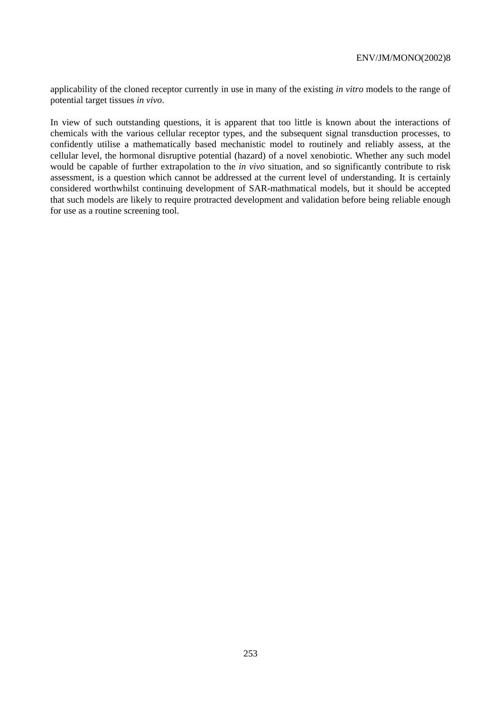applicability of the cloned receptor currently in use in many of the existing *in vitro* models to the range of potential target tissues *in vivo*.

In view of such outstanding questions, it is apparent that too little is known about the interactions of chemicals with the various cellular receptor types, and the subsequent signal transduction processes, to confidently utilise a mathematically based mechanistic model to routinely and reliably assess, at the cellular level, the hormonal disruptive potential (hazard) of a novel xenobiotic. Whether any such model would be capable of further extrapolation to the *in vivo* situation, and so significantly contribute to risk assessment, is a question which cannot be addressed at the current level of understanding. It is certainly considered worthwhilst continuing development of SAR-mathmatical models, but it should be accepted that such models are likely to require protracted development and validation before being reliable enough for use as a routine screening tool.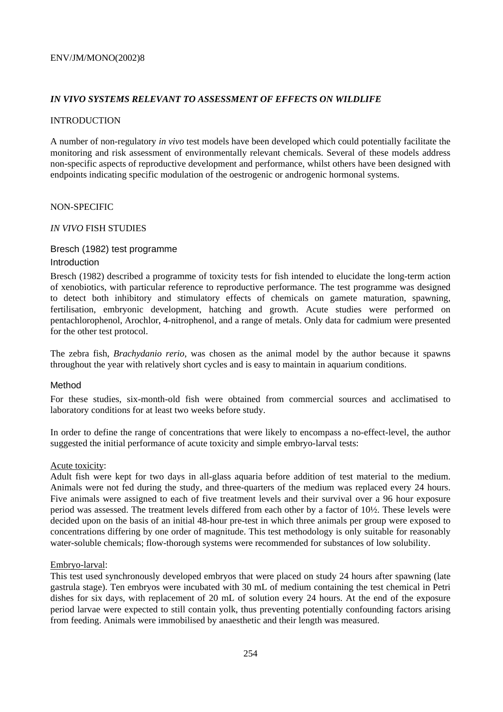## *IN VIVO SYSTEMS RELEVANT TO ASSESSMENT OF EFFECTS ON WILDLIFE*

### INTRODUCTION

A number of non-regulatory *in vivo* test models have been developed which could potentially facilitate the monitoring and risk assessment of environmentally relevant chemicals. Several of these models address non-specific aspects of reproductive development and performance, whilst others have been designed with endpoints indicating specific modulation of the oestrogenic or androgenic hormonal systems.

#### NON-SPECIFIC

### *IN VIVO* FISH STUDIES

## Bresch (1982) test programme

#### Introduction

Bresch (1982) described a programme of toxicity tests for fish intended to elucidate the long-term action of xenobiotics, with particular reference to reproductive performance. The test programme was designed to detect both inhibitory and stimulatory effects of chemicals on gamete maturation, spawning, fertilisation, embryonic development, hatching and growth. Acute studies were performed on pentachlorophenol, Arochlor, 4-nitrophenol, and a range of metals. Only data for cadmium were presented for the other test protocol.

The zebra fish, *Brachydanio rerio*, was chosen as the animal model by the author because it spawns throughout the year with relatively short cycles and is easy to maintain in aquarium conditions.

#### Method

For these studies, six-month-old fish were obtained from commercial sources and acclimatised to laboratory conditions for at least two weeks before study.

In order to define the range of concentrations that were likely to encompass a no-effect-level, the author suggested the initial performance of acute toxicity and simple embryo-larval tests:

#### Acute toxicity:

Adult fish were kept for two days in all-glass aquaria before addition of test material to the medium. Animals were not fed during the study, and three-quarters of the medium was replaced every 24 hours. Five animals were assigned to each of five treatment levels and their survival over a 96 hour exposure period was assessed. The treatment levels differed from each other by a factor of 10½. These levels were decided upon on the basis of an initial 48-hour pre-test in which three animals per group were exposed to concentrations differing by one order of magnitude. This test methodology is only suitable for reasonably water-soluble chemicals; flow-thorough systems were recommended for substances of low solubility.

### Embryo-larval:

This test used synchronously developed embryos that were placed on study 24 hours after spawning (late gastrula stage). Ten embryos were incubated with 30 mL of medium containing the test chemical in Petri dishes for six days, with replacement of 20 mL of solution every 24 hours. At the end of the exposure period larvae were expected to still contain yolk, thus preventing potentially confounding factors arising from feeding. Animals were immobilised by anaesthetic and their length was measured.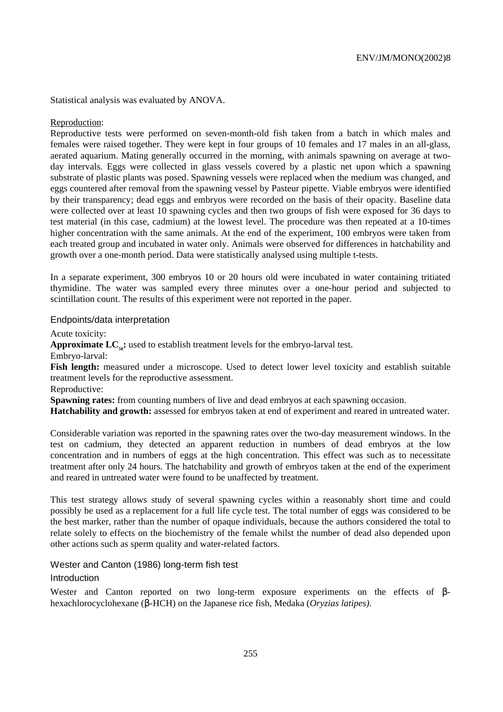Statistical analysis was evaluated by ANOVA.

### Reproduction:

Reproductive tests were performed on seven-month-old fish taken from a batch in which males and females were raised together. They were kept in four groups of 10 females and 17 males in an all-glass, aerated aquarium. Mating generally occurred in the morning, with animals spawning on average at twoday intervals. Eggs were collected in glass vessels covered by a plastic net upon which a spawning substrate of plastic plants was posed. Spawning vessels were replaced when the medium was changed, and eggs countered after removal from the spawning vessel by Pasteur pipette. Viable embryos were identified by their transparency; dead eggs and embryos were recorded on the basis of their opacity. Baseline data were collected over at least 10 spawning cycles and then two groups of fish were exposed for 36 days to test material (in this case, cadmium) at the lowest level. The procedure was then repeated at a 10-times higher concentration with the same animals. At the end of the experiment, 100 embryos were taken from each treated group and incubated in water only. Animals were observed for differences in hatchability and growth over a one-month period. Data were statistically analysed using multiple t-tests.

In a separate experiment, 300 embryos 10 or 20 hours old were incubated in water containing tritiated thymidine. The water was sampled every three minutes over a one-hour period and subjected to scintillation count. The results of this experiment were not reported in the paper.

#### Endpoints/data interpretation

Acute toxicity:

**Approximate**  $LC_{\text{ss}}$ **:** used to establish treatment levels for the embryo-larval test.

Embryo-larval:

**Fish length:** measured under a microscope. Used to detect lower level toxicity and establish suitable treatment levels for the reproductive assessment.

Reproductive:

**Spawning rates:** from counting numbers of live and dead embryos at each spawning occasion.

**Hatchability and growth:** assessed for embryos taken at end of experiment and reared in untreated water.

Considerable variation was reported in the spawning rates over the two-day measurement windows. In the test on cadmium, they detected an apparent reduction in numbers of dead embryos at the low concentration and in numbers of eggs at the high concentration. This effect was such as to necessitate treatment after only 24 hours. The hatchability and growth of embryos taken at the end of the experiment and reared in untreated water were found to be unaffected by treatment.

This test strategy allows study of several spawning cycles within a reasonably short time and could possibly be used as a replacement for a full life cycle test. The total number of eggs was considered to be the best marker, rather than the number of opaque individuals, because the authors considered the total to relate solely to effects on the biochemistry of the female whilst the number of dead also depended upon other actions such as sperm quality and water-related factors.

## Wester and Canton (1986) long-term fish test

## **Introduction**

Wester and Canton reported on two long-term exposure experiments on the effects of βhexachlorocyclohexane (β-HCH) on the Japanese rice fish, Medaka (*Oryzias latipes).*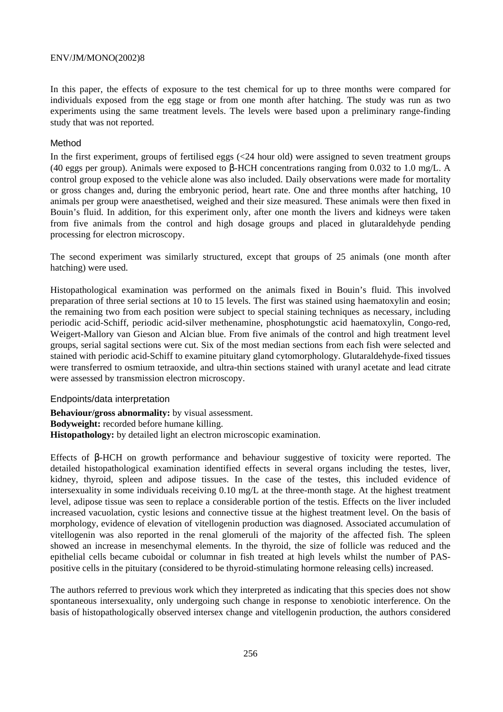In this paper, the effects of exposure to the test chemical for up to three months were compared for individuals exposed from the egg stage or from one month after hatching. The study was run as two experiments using the same treatment levels. The levels were based upon a preliminary range-finding study that was not reported.

#### Method

In the first experiment, groups of fertilised eggs (<24 hour old) were assigned to seven treatment groups (40 eggs per group). Animals were exposed to β-HCH concentrations ranging from 0.032 to 1.0 mg/L. A control group exposed to the vehicle alone was also included. Daily observations were made for mortality or gross changes and, during the embryonic period, heart rate. One and three months after hatching, 10 animals per group were anaesthetised, weighed and their size measured. These animals were then fixed in Bouin's fluid. In addition, for this experiment only, after one month the livers and kidneys were taken from five animals from the control and high dosage groups and placed in glutaraldehyde pending processing for electron microscopy.

The second experiment was similarly structured, except that groups of 25 animals (one month after hatching) were used.

Histopathological examination was performed on the animals fixed in Bouin's fluid. This involved preparation of three serial sections at 10 to 15 levels. The first was stained using haematoxylin and eosin; the remaining two from each position were subject to special staining techniques as necessary, including periodic acid-Schiff, periodic acid-silver methenamine, phosphotungstic acid haematoxylin, Congo-red, Weigert-Mallory van Gieson and Alcian blue. From five animals of the control and high treatment level groups, serial sagital sections were cut. Six of the most median sections from each fish were selected and stained with periodic acid-Schiff to examine pituitary gland cytomorphology. Glutaraldehyde-fixed tissues were transferred to osmium tetraoxide, and ultra-thin sections stained with uranyl acetate and lead citrate were assessed by transmission electron microscopy.

#### Endpoints/data interpretation

**Behaviour/gross abnormality:** by visual assessment. **Bodyweight:** recorded before humane killing. **Histopathology:** by detailed light an electron microscopic examination.

Effects of β-HCH on growth performance and behaviour suggestive of toxicity were reported. The detailed histopathological examination identified effects in several organs including the testes, liver, kidney, thyroid, spleen and adipose tissues. In the case of the testes, this included evidence of intersexuality in some individuals receiving 0.10 mg/L at the three-month stage. At the highest treatment level, adipose tissue was seen to replace a considerable portion of the testis. Effects on the liver included increased vacuolation, cystic lesions and connective tissue at the highest treatment level. On the basis of morphology, evidence of elevation of vitellogenin production was diagnosed. Associated accumulation of vitellogenin was also reported in the renal glomeruli of the majority of the affected fish. The spleen showed an increase in mesenchymal elements. In the thyroid, the size of follicle was reduced and the epithelial cells became cuboidal or columnar in fish treated at high levels whilst the number of PASpositive cells in the pituitary (considered to be thyroid-stimulating hormone releasing cells) increased.

The authors referred to previous work which they interpreted as indicating that this species does not show spontaneous intersexuality, only undergoing such change in response to xenobiotic interference. On the basis of histopathologically observed intersex change and vitellogenin production, the authors considered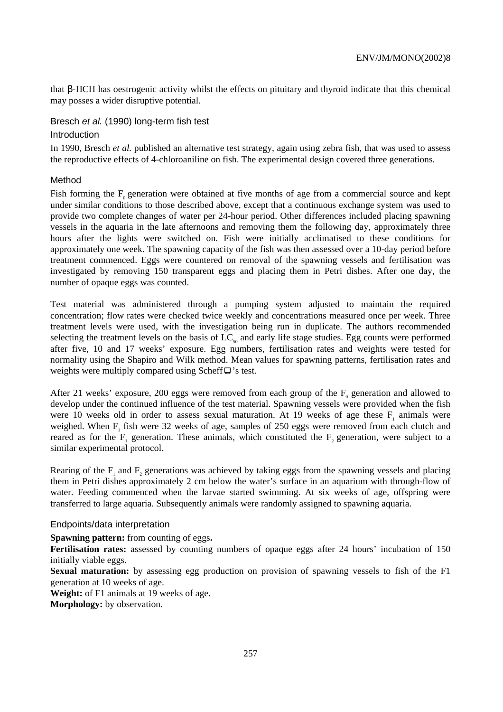that β-HCH has oestrogenic activity whilst the effects on pituitary and thyroid indicate that this chemical may posses a wider disruptive potential.

## Bresch et al. (1990) long-term fish test

## Introduction

In 1990, Bresch *et al.* published an alternative test strategy, again using zebra fish, that was used to assess the reproductive effects of 4-chloroaniline on fish. The experimental design covered three generations.

## Method

Fish forming the  $F_0$  generation were obtained at five months of age from a commercial source and kept under similar conditions to those described above, except that a continuous exchange system was used to provide two complete changes of water per 24-hour period. Other differences included placing spawning vessels in the aquaria in the late afternoons and removing them the following day, approximately three hours after the lights were switched on. Fish were initially acclimatised to these conditions for approximately one week. The spawning capacity of the fish was then assessed over a 10-day period before treatment commenced. Eggs were countered on removal of the spawning vessels and fertilisation was investigated by removing 150 transparent eggs and placing them in Petri dishes. After one day, the number of opaque eggs was counted.

Test material was administered through a pumping system adjusted to maintain the required concentration; flow rates were checked twice weekly and concentrations measured once per week. Three treatment levels were used, with the investigation being run in duplicate. The authors recommended selecting the treatment levels on the basis of  $LC_{\rm so}$  and early life stage studies. Egg counts were performed after five, 10 and 17 weeks' exposure. Egg numbers, fertilisation rates and weights were tested for normality using the Shapiro and Wilk method. Mean values for spawning patterns, fertilisation rates and weights were multiply compared using Scheff $\Box$ 's test.

After 21 weeks' exposure, 200 eggs were removed from each group of the  $F_0$  generation and allowed to develop under the continued influence of the test material. Spawning vessels were provided when the fish were 10 weeks old in order to assess sexual maturation. At 19 weeks of age these  $F_1$  animals were weighed. When  $F_1$  fish were 32 weeks of age, samples of 250 eggs were removed from each clutch and reared as for the  $F_1$  generation. These animals, which constituted the  $F_2$  generation, were subject to a similar experimental protocol.

Rearing of the  $F_1$  and  $F_2$  generations was achieved by taking eggs from the spawning vessels and placing them in Petri dishes approximately 2 cm below the water's surface in an aquarium with through-flow of water. Feeding commenced when the larvae started swimming. At six weeks of age, offspring were transferred to large aquaria. Subsequently animals were randomly assigned to spawning aquaria.

## Endpoints/data interpretation

**Spawning pattern:** from counting of eggs**.**

**Fertilisation rates:** assessed by counting numbers of opaque eggs after 24 hours' incubation of 150 initially viable eggs.

**Sexual maturation:** by assessing egg production on provision of spawning vessels to fish of the F1 generation at 10 weeks of age.

**Weight:** of F1 animals at 19 weeks of age.

**Morphology:** by observation.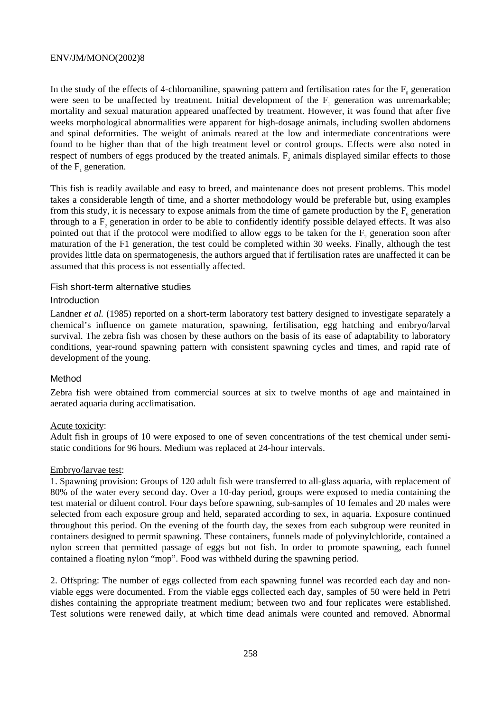In the study of the effects of 4-chloroaniline, spawning pattern and fertilisation rates for the  $F_0$  generation were seen to be unaffected by treatment. Initial development of the  $F_1$  generation was unremarkable; mortality and sexual maturation appeared unaffected by treatment. However, it was found that after five weeks morphological abnormalities were apparent for high-dosage animals, including swollen abdomens and spinal deformities. The weight of animals reared at the low and intermediate concentrations were found to be higher than that of the high treatment level or control groups. Effects were also noted in respect of numbers of eggs produced by the treated animals.  $F_2$  animals displayed similar effects to those of the  $F_1$  generation.

This fish is readily available and easy to breed, and maintenance does not present problems. This model takes a considerable length of time, and a shorter methodology would be preferable but, using examples from this study, it is necessary to expose animals from the time of gamete production by the  $F_0$  generation through to a  $F_2$  generation in order to be able to confidently identify possible delayed effects. It was also pointed out that if the protocol were modified to allow eggs to be taken for the  $F_2$  generation soon after maturation of the F1 generation, the test could be completed within 30 weeks. Finally, although the test provides little data on spermatogenesis, the authors argued that if fertilisation rates are unaffected it can be assumed that this process is not essentially affected.

## Fish short-term alternative studies

## Introduction

Landner *et al.* (1985) reported on a short-term laboratory test battery designed to investigate separately a chemical's influence on gamete maturation, spawning, fertilisation, egg hatching and embryo/larval survival. The zebra fish was chosen by these authors on the basis of its ease of adaptability to laboratory conditions, year-round spawning pattern with consistent spawning cycles and times, and rapid rate of development of the young.

#### Method

Zebra fish were obtained from commercial sources at six to twelve months of age and maintained in aerated aquaria during acclimatisation.

#### Acute toxicity:

Adult fish in groups of 10 were exposed to one of seven concentrations of the test chemical under semistatic conditions for 96 hours. Medium was replaced at 24-hour intervals.

#### Embryo/larvae test:

1. Spawning provision: Groups of 120 adult fish were transferred to all-glass aquaria, with replacement of 80% of the water every second day. Over a 10-day period, groups were exposed to media containing the test material or diluent control. Four days before spawning, sub-samples of 10 females and 20 males were selected from each exposure group and held, separated according to sex, in aquaria. Exposure continued throughout this period. On the evening of the fourth day, the sexes from each subgroup were reunited in containers designed to permit spawning. These containers, funnels made of polyvinylchloride, contained a nylon screen that permitted passage of eggs but not fish. In order to promote spawning, each funnel contained a floating nylon "mop". Food was withheld during the spawning period.

2. Offspring: The number of eggs collected from each spawning funnel was recorded each day and nonviable eggs were documented. From the viable eggs collected each day, samples of 50 were held in Petri dishes containing the appropriate treatment medium; between two and four replicates were established. Test solutions were renewed daily, at which time dead animals were counted and removed. Abnormal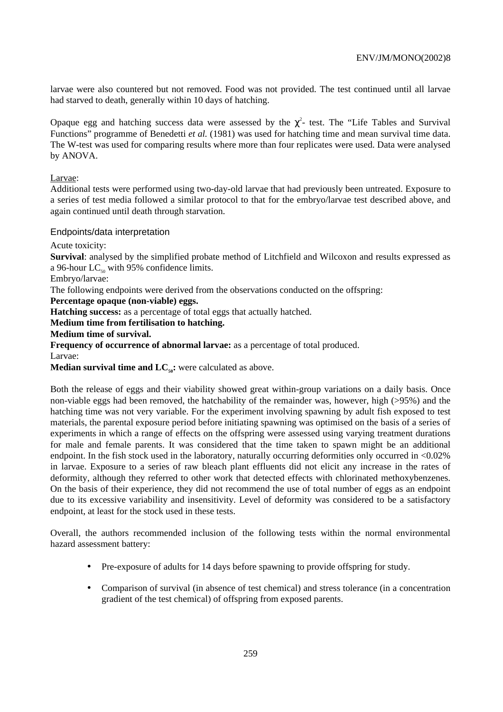larvae were also countered but not removed. Food was not provided. The test continued until all larvae had starved to death, generally within 10 days of hatching.

Opaque egg and hatching success data were assessed by the  $\chi^2$ - test. The "Life Tables and Survival Functions" programme of Benedetti et al. (1981) was used for hatching time and mean survival time data. The W-test was used for comparing results where more than four replicates were used. Data were analysed by ANOVA.

## Larvae:

Additional tests were performed using two-day-old larvae that had previously been untreated. Exposure to a series of test media followed a similar protocol to that for the embryo/larvae test described above, and again continued until death through starvation.

## Endpoints/data interpretation

Acute toxicity:

**Survival**: analysed by the simplified probate method of Litchfield and Wilcoxon and results expressed as a 96-hour  $LC_{\rm so}$  with 95% confidence limits.

Embryo/larvae:

The following endpoints were derived from the observations conducted on the offspring:

**Percentage opaque (non-viable) eggs.**

**Hatching success:** as a percentage of total eggs that actually hatched.

**Medium time from fertilisation to hatching.**

**Medium time of survival.**

**Frequency of occurrence of abnormal larvae:** as a percentage of total produced.

Larvae:

**Median survival time and**  $LC_{\text{so}}$ **:** were calculated as above.

Both the release of eggs and their viability showed great within-group variations on a daily basis. Once non-viable eggs had been removed, the hatchability of the remainder was, however, high (>95%) and the hatching time was not very variable. For the experiment involving spawning by adult fish exposed to test materials, the parental exposure period before initiating spawning was optimised on the basis of a series of experiments in which a range of effects on the offspring were assessed using varying treatment durations for male and female parents. It was considered that the time taken to spawn might be an additional endpoint. In the fish stock used in the laboratory, naturally occurring deformities only occurred in <0.02% in larvae. Exposure to a series of raw bleach plant effluents did not elicit any increase in the rates of deformity, although they referred to other work that detected effects with chlorinated methoxybenzenes. On the basis of their experience, they did not recommend the use of total number of eggs as an endpoint due to its excessive variability and insensitivity. Level of deformity was considered to be a satisfactory endpoint, at least for the stock used in these tests.

Overall, the authors recommended inclusion of the following tests within the normal environmental hazard assessment battery:

- Pre-exposure of adults for 14 days before spawning to provide offspring for study.
- Comparison of survival (in absence of test chemical) and stress tolerance (in a concentration gradient of the test chemical) of offspring from exposed parents.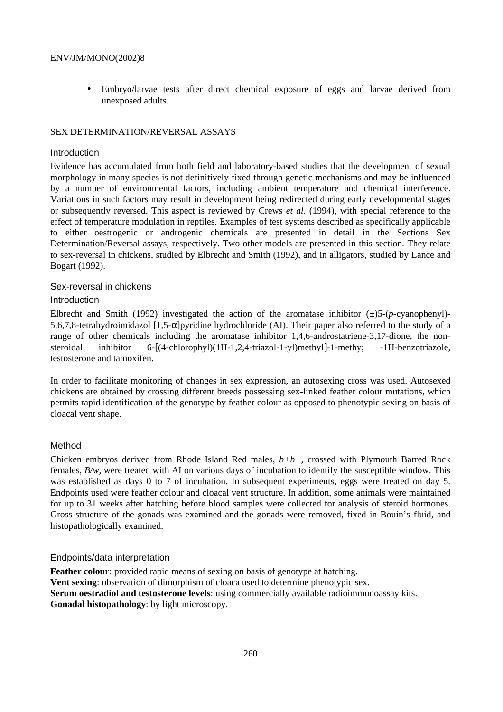• Embryo/larvae tests after direct chemical exposure of eggs and larvae derived from unexposed adults.

## SEX DETERMINATION/REVERSAL ASSAYS

### **Introduction**

Evidence has accumulated from both field and laboratory-based studies that the development of sexual morphology in many species is not definitively fixed through genetic mechanisms and may be influenced by a number of environmental factors, including ambient temperature and chemical interference. Variations in such factors may result in development being redirected during early developmental stages or subsequently reversed. This aspect is reviewed by Crews *et al.* (1994), with special reference to the effect of temperature modulation in reptiles. Examples of test systems described as specifically applicable to either oestrogenic or androgenic chemicals are presented in detail in the Sections Sex Determination/Reversal assays, respectively. Two other models are presented in this section. They relate to sex-reversal in chickens, studied by Elbrecht and Smith (1992), and in alligators, studied by Lance and Bogart (1992).

#### Sex-reversal in chickens

## Introduction

Elbrecht and Smith (1992) investigated the action of the aromatase inhibitor  $(\pm)$ 5-(*p*-cyanophenyl)-5,6,7,8-tetrahydroimidazol [1,5- $\alpha$ ] pyridine hydrochloride (AI). Their paper also referred to the study of a range of other chemicals including the aromatase inhibitor 1,4,6-androstatriene-3,17-dione, the nonsteroidal inhibitor 6-[(4-chlorophyl)(1H-1,2,4-triazol-1-yl)methyl]-1-methy; -1H-benzotriazole, testosterone and tamoxifen.

In order to facilitate monitoring of changes in sex expression, an autosexing cross was used. Autosexed chickens are obtained by crossing different breeds possessing sex-linked feather colour mutations, which permits rapid identification of the genotype by feather colour as opposed to phenotypic sexing on basis of cloacal vent shape.

## Method

Chicken embryos derived from Rhode Island Red males, *b+b+,* crossed with Plymouth Barred Rock females, *B/w*, were treated with AI on various days of incubation to identify the susceptible window. This was established as days 0 to 7 of incubation. In subsequent experiments, eggs were treated on day 5. Endpoints used were feather colour and cloacal vent structure. In addition, some animals were maintained for up to 31 weeks after hatching before blood samples were collected for analysis of steroid hormones. Gross structure of the gonads was examined and the gonads were removed, fixed in Bouin's fluid, and histopathologically examined.

## Endpoints/data interpretation

**Feather colour**: provided rapid means of sexing on basis of genotype at hatching. **Vent sexing**: observation of dimorphism of cloaca used to determine phenotypic sex. **Serum oestradiol and testosterone levels**: using commercially available radioimmunoassay kits. **Gonadal histopathology**: by light microscopy.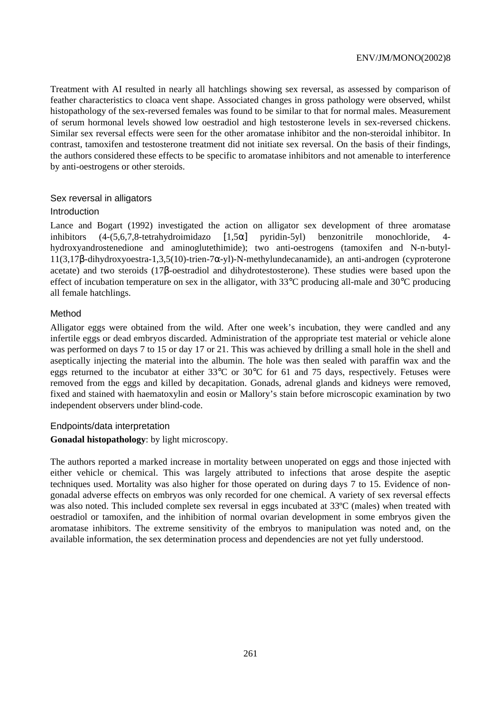Treatment with AI resulted in nearly all hatchlings showing sex reversal, as assessed by comparison of feather characteristics to cloaca vent shape. Associated changes in gross pathology were observed, whilst histopathology of the sex-reversed females was found to be similar to that for normal males. Measurement of serum hormonal levels showed low oestradiol and high testosterone levels in sex-reversed chickens. Similar sex reversal effects were seen for the other aromatase inhibitor and the non-steroidal inhibitor. In contrast, tamoxifen and testosterone treatment did not initiate sex reversal. On the basis of their findings, the authors considered these effects to be specific to aromatase inhibitors and not amenable to interference by anti-oestrogens or other steroids.

#### Sex reversal in alligators

#### **Introduction**

Lance and Bogart (1992) investigated the action on alligator sex development of three aromatase inhibitors  $(4-(5.6.7.8-tetrahvdroimidazo \quad [1.5\alpha] \quad vvridin-5v)$  benzonitrile monochloride, hydroxyandrostenedione and aminoglutethimide); two anti-oestrogens (tamoxifen and N-n-butyl-11(3,17β-dihydroxyoestra-1,3,5(10)-trien-7α-yl)-N-methylundecanamide), an anti-androgen (cyproterone acetate) and two steroids (17β-oestradiol and dihydrotestosterone). These studies were based upon the effect of incubation temperature on sex in the alligator, with 33°C producing all-male and 30°C producing all female hatchlings.

#### Method

Alligator eggs were obtained from the wild. After one week's incubation, they were candled and any infertile eggs or dead embryos discarded. Administration of the appropriate test material or vehicle alone was performed on days 7 to 15 or day 17 or 21. This was achieved by drilling a small hole in the shell and aseptically injecting the material into the albumin. The hole was then sealed with paraffin wax and the eggs returned to the incubator at either 33°C or 30°C for 61 and 75 days, respectively. Fetuses were removed from the eggs and killed by decapitation. Gonads, adrenal glands and kidneys were removed, fixed and stained with haematoxylin and eosin or Mallory's stain before microscopic examination by two independent observers under blind-code.

#### Endpoints/data interpretation

#### **Gonadal histopathology**: by light microscopy.

The authors reported a marked increase in mortality between unoperated on eggs and those injected with either vehicle or chemical. This was largely attributed to infections that arose despite the aseptic techniques used. Mortality was also higher for those operated on during days 7 to 15. Evidence of nongonadal adverse effects on embryos was only recorded for one chemical. A variety of sex reversal effects was also noted. This included complete sex reversal in eggs incubated at 33ºC (males) when treated with oestradiol or tamoxifen, and the inhibition of normal ovarian development in some embryos given the aromatase inhibitors. The extreme sensitivity of the embryos to manipulation was noted and, on the available information, the sex determination process and dependencies are not yet fully understood.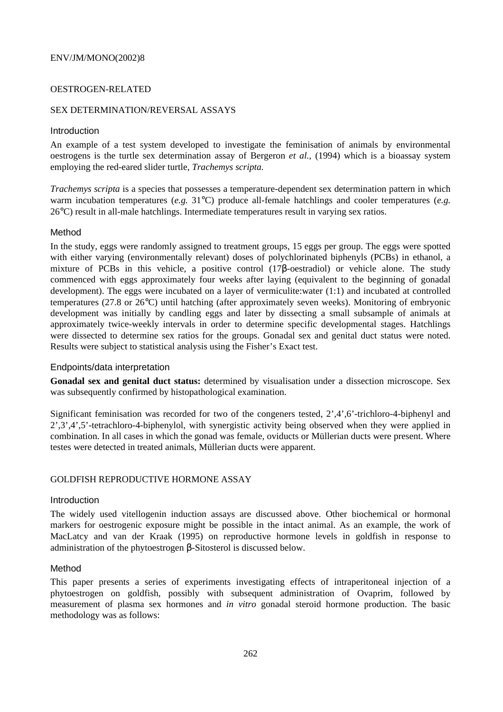#### OESTROGEN-RELATED

## SEX DETERMINATION/REVERSAL ASSAYS

### **Introduction**

An example of a test system developed to investigate the feminisation of animals by environmental oestrogens is the turtle sex determination assay of Bergeron *et al.,* (1994) which is a bioassay system employing the red-eared slider turtle, *Trachemys scripta.*

*Trachemys scripta* is a species that possesses a temperature-dependent sex determination pattern in which warm incubation temperatures (*e.g.* 31°C) produce all-female hatchlings and cooler temperatures (*e.g.* 26°C) result in all-male hatchlings. Intermediate temperatures result in varying sex ratios.

#### Method

In the study, eggs were randomly assigned to treatment groups, 15 eggs per group. The eggs were spotted with either varying (environmentally relevant) doses of polychlorinated biphenyls (PCBs) in ethanol, a mixture of PCBs in this vehicle, a positive control (17β-oestradiol) or vehicle alone. The study commenced with eggs approximately four weeks after laying (equivalent to the beginning of gonadal development). The eggs were incubated on a layer of vermiculite:water (1:1) and incubated at controlled temperatures (27.8 or 26°C) until hatching (after approximately seven weeks). Monitoring of embryonic development was initially by candling eggs and later by dissecting a small subsample of animals at approximately twice-weekly intervals in order to determine specific developmental stages. Hatchlings were dissected to determine sex ratios for the groups. Gonadal sex and genital duct status were noted. Results were subject to statistical analysis using the Fisher's Exact test.

## Endpoints/data interpretation

**Gonadal sex and genital duct status:** determined by visualisation under a dissection microscope. Sex was subsequently confirmed by histopathological examination.

Significant feminisation was recorded for two of the congeners tested, 2',4',6'-trichloro-4-biphenyl and 2',3',4',5'-tetrachloro-4-biphenylol, with synergistic activity being observed when they were applied in combination. In all cases in which the gonad was female, oviducts or Müllerian ducts were present. Where testes were detected in treated animals, Müllerian ducts were apparent.

## GOLDFISH REPRODUCTIVE HORMONE ASSAY

#### Introduction

The widely used vitellogenin induction assays are discussed above. Other biochemical or hormonal markers for oestrogenic exposure might be possible in the intact animal. As an example, the work of MacLatcy and van der Kraak (1995) on reproductive hormone levels in goldfish in response to administration of the phytoestrogen β-Sitosterol is discussed below.

#### Method

This paper presents a series of experiments investigating effects of intraperitoneal injection of a phytoestrogen on goldfish, possibly with subsequent administration of Ovaprim, followed by measurement of plasma sex hormones and *in vitro* gonadal steroid hormone production. The basic methodology was as follows: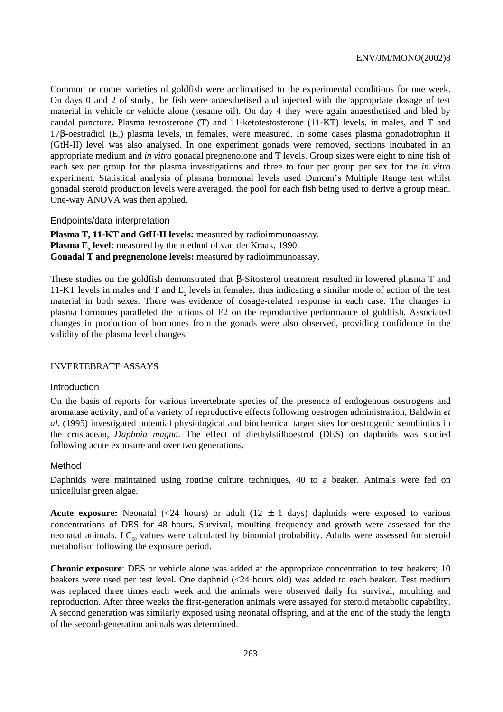Common or comet varieties of goldfish were acclimatised to the experimental conditions for one week. On days 0 and 2 of study, the fish were anaesthetised and injected with the appropriate dosage of test material in vehicle or vehicle alone (sesame oil). On day 4 they were again anaesthetised and bled by caudal puncture. Plasma testosterone (T) and 11-ketotestosterone (11-KT) levels, in males, and T and 17β-oestradiol (E<sub>2</sub>) plasma levels, in females, were measured. In some cases plasma gonadotrophin II (GtH-II) level was also analysed. In one experiment gonads were removed, sections incubated in an appropriate medium and *in vitro* gonadal pregnenolone and T levels. Group sizes were eight to nine fish of each sex per group for the plasma investigations and three to four per group per sex for the *in vitro* experiment. Statistical analysis of plasma hormonal levels used Duncan's Multiple Range test whilst gonadal steroid production levels were averaged, the pool for each fish being used to derive a group mean. One-way ANOVA was then applied.

#### Endpoints/data interpretation

**Plasma T, 11-KT and GtH-II levels:** measured by radioimmunoassay. **Plasma E<sub>2</sub>** level: measured by the method of van der Kraak, 1990. **Gonadal T and pregnenolone levels:** measured by radioimmunoassay.

These studies on the goldfish demonstrated that β-Sitosterol treatment resulted in lowered plasma T and 11-KT levels in males and T and  $E_2$  levels in females, thus indicating a similar mode of action of the test material in both sexes. There was evidence of dosage-related response in each case. The changes in plasma hormones paralleled the actions of E2 on the reproductive performance of goldfish. Associated changes in production of hormones from the gonads were also observed, providing confidence in the validity of the plasma level changes.

### INVERTEBRATE ASSAYS

#### Introduction

On the basis of reports for various invertebrate species of the presence of endogenous oestrogens and aromatase activity, and of a variety of reproductive effects following oestrogen administration, Baldwin *et al.* (1995) investigated potential physiological and biochemical target sites for oestrogenic xenobiotics in the crustacean, *Daphnia magna.* The effect of diethylstilboestrol (DES) on daphnids was studied following acute exposure and over two generations.

#### Method

Daphnids were maintained using routine culture techniques, 40 to a beaker. Animals were fed on unicellular green algae.

**Acute exposure:** Neonatal ( $\langle 24 \text{ hours} \rangle$  or adult ( $12 \pm 1$  days) daphnids were exposed to various concentrations of DES for 48 hours. Survival, moulting frequency and growth were assessed for the neonatal animals.  $LC_{50}$  values were calculated by binomial probability. Adults were assessed for steroid metabolism following the exposure period.

**Chronic exposure**: DES or vehicle alone was added at the appropriate concentration to test beakers; 10 beakers were used per test level. One daphnid (<24 hours old) was added to each beaker. Test medium was replaced three times each week and the animals were observed daily for survival, moulting and reproduction. After three weeks the first-generation animals were assayed for steroid metabolic capability. A second generation was similarly exposed using neonatal offspring, and at the end of the study the length of the second-generation animals was determined.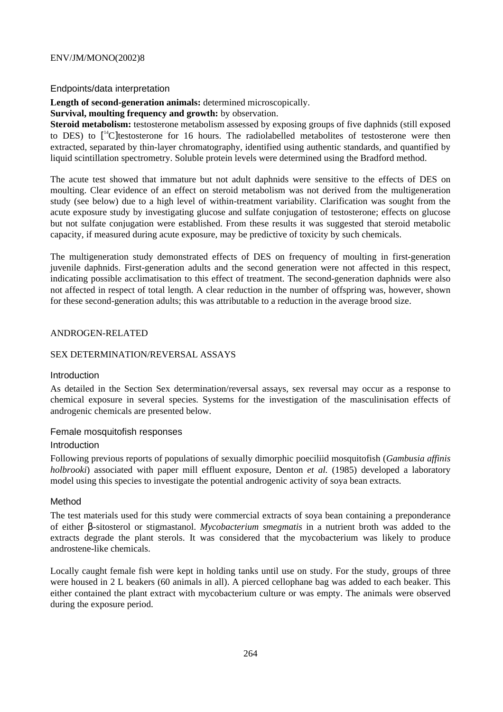### Endpoints/data interpretation

**Length of second-generation animals:** determined microscopically.

### **Survival, moulting frequency and growth:** by observation.

**Steroid metabolism:** testosterone metabolism assessed by exposing groups of five daphnids (still exposed to DES) to  $[^{14}C]$ testosterone for 16 hours. The radiolabelled metabolites of testosterone were then extracted, separated by thin-layer chromatography, identified using authentic standards, and quantified by liquid scintillation spectrometry. Soluble protein levels were determined using the Bradford method.

The acute test showed that immature but not adult daphnids were sensitive to the effects of DES on moulting. Clear evidence of an effect on steroid metabolism was not derived from the multigeneration study (see below) due to a high level of within-treatment variability. Clarification was sought from the acute exposure study by investigating glucose and sulfate conjugation of testosterone; effects on glucose but not sulfate conjugation were established. From these results it was suggested that steroid metabolic capacity, if measured during acute exposure, may be predictive of toxicity by such chemicals.

The multigeneration study demonstrated effects of DES on frequency of moulting in first-generation juvenile daphnids. First-generation adults and the second generation were not affected in this respect, indicating possible acclimatisation to this effect of treatment. The second-generation daphnids were also not affected in respect of total length. A clear reduction in the number of offspring was, however, shown for these second-generation adults; this was attributable to a reduction in the average brood size.

#### ANDROGEN-RELATED

### SEX DETERMINATION/REVERSAL ASSAYS

#### **Introduction**

As detailed in the Section Sex determination/reversal assays, sex reversal may occur as a response to chemical exposure in several species. Systems for the investigation of the masculinisation effects of androgenic chemicals are presented below.

#### Female mosquitofish responses

#### Introduction

Following previous reports of populations of sexually dimorphic poeciliid mosquitofish (*Gambusia affinis holbrooki*) associated with paper mill effluent exposure, Denton *et al.* (1985) developed a laboratory model using this species to investigate the potential androgenic activity of soya bean extracts.

## Method

The test materials used for this study were commercial extracts of soya bean containing a preponderance of either β-sitosterol or stigmastanol. *Mycobacterium smegmatis* in a nutrient broth was added to the extracts degrade the plant sterols. It was considered that the mycobacterium was likely to produce androstene-like chemicals.

Locally caught female fish were kept in holding tanks until use on study. For the study, groups of three were housed in 2 L beakers (60 animals in all). A pierced cellophane bag was added to each beaker. This either contained the plant extract with mycobacterium culture or was empty. The animals were observed during the exposure period.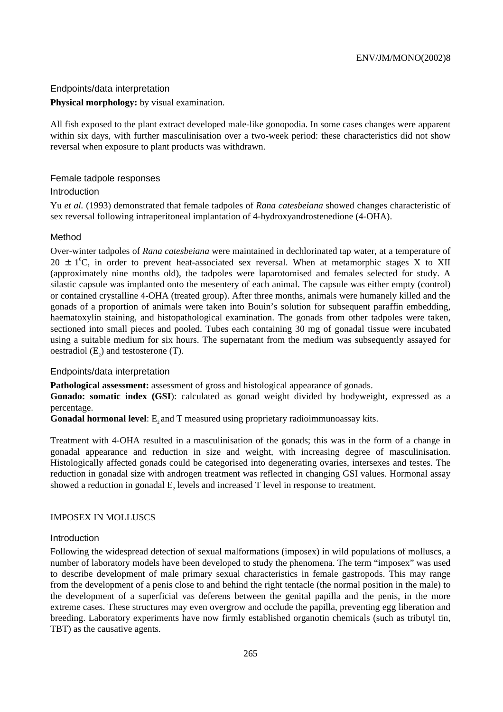#### Endpoints/data interpretation

**Physical morphology:** by visual examination.

All fish exposed to the plant extract developed male-like gonopodia. In some cases changes were apparent within six days, with further masculinisation over a two-week period: these characteristics did not show reversal when exposure to plant products was withdrawn.

#### Female tadpole responses

#### Introduction

Yu *et al.* (1993) demonstrated that female tadpoles of *Rana catesbeiana* showed changes characteristic of sex reversal following intraperitoneal implantation of 4-hydroxyandrostenedione (4-OHA).

## Method

Over-winter tadpoles of *Rana catesbeiana* were maintained in dechlorinated tap water, at a temperature of  $20 \pm 1\degree$ C, in order to prevent heat-associated sex reversal. When at metamorphic stages X to XII (approximately nine months old), the tadpoles were laparotomised and females selected for study. A silastic capsule was implanted onto the mesentery of each animal. The capsule was either empty (control) or contained crystalline 4-OHA (treated group). After three months, animals were humanely killed and the gonads of a proportion of animals were taken into Bouin's solution for subsequent paraffin embedding, haematoxylin staining, and histopathological examination. The gonads from other tadpoles were taken, sectioned into small pieces and pooled. Tubes each containing 30 mg of gonadal tissue were incubated using a suitable medium for six hours. The supernatant from the medium was subsequently assayed for oestradiol  $(E_2)$  and testosterone (T).

## Endpoints/data interpretation

**Pathological assessment:** assessment of gross and histological appearance of gonads.

**Gonado: somatic index (GSI**): calculated as gonad weight divided by bodyweight, expressed as a percentage.

**Gonadal hormonal level**: E<sub>2</sub> and T measured using proprietary radioimmunoassay kits.

Treatment with 4-OHA resulted in a masculinisation of the gonads; this was in the form of a change in gonadal appearance and reduction in size and weight, with increasing degree of masculinisation. Histologically affected gonads could be categorised into degenerating ovaries, intersexes and testes. The reduction in gonadal size with androgen treatment was reflected in changing GSI values. Hormonal assay showed a reduction in gonadal  $E_2$  levels and increased T level in response to treatment.

## IMPOSEX IN MOLLUSCS

#### **Introduction**

Following the widespread detection of sexual malformations (imposex) in wild populations of molluscs, a number of laboratory models have been developed to study the phenomena. The term "imposex" was used to describe development of male primary sexual characteristics in female gastropods. This may range from the development of a penis close to and behind the right tentacle (the normal position in the male) to the development of a superficial vas deferens between the genital papilla and the penis, in the more extreme cases. These structures may even overgrow and occlude the papilla, preventing egg liberation and breeding. Laboratory experiments have now firmly established organotin chemicals (such as tributyl tin, TBT) as the causative agents.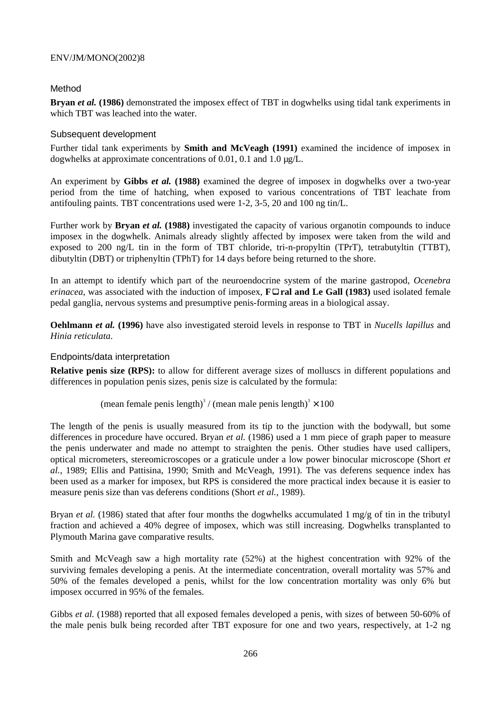## Method

**Bryan** *et al.* **(1986)** demonstrated the imposex effect of TBT in dogwhelks using tidal tank experiments in which TBT was leached into the water.

## Subsequent development

Further tidal tank experiments by **Smith and McVeagh (1991)** examined the incidence of imposex in dogwhelks at approximate concentrations of 0.01, 0.1 and 1.0 µg/L.

An experiment by **Gibbs** *et al.* **(1988)** examined the degree of imposex in dogwhelks over a two-year period from the time of hatching, when exposed to various concentrations of TBT leachate from antifouling paints. TBT concentrations used were 1-2, 3-5, 20 and 100 ng tin/L.

Further work by **Bryan** *et al.* **(1988)** investigated the capacity of various organotin compounds to induce imposex in the dogwhelk. Animals already slightly affected by imposex were taken from the wild and exposed to 200 ng/L tin in the form of TBT chloride, tri-n-propyltin (TPrT), tetrabutyltin (TTBT), dibutyltin (DBT) or triphenyltin (TPhT) for 14 days before being returned to the shore.

In an attempt to identify which part of the neuroendocrine system of the marine gastropod, *Ocenebra erinacea*, was associated with the induction of imposex,  $\mathbf{F}\Box \mathbf{r}$  and Le Gall (1983) used isolated female pedal ganglia, nervous systems and presumptive penis-forming areas in a biological assay.

**Oehlmann** *et al.* **(1996)** have also investigated steroid levels in response to TBT in *Nucells lapillus* and *Hinia reticulata*.

## Endpoints/data interpretation

**Relative penis size (RPS):** to allow for different average sizes of molluscs in different populations and differences in population penis sizes, penis size is calculated by the formula:

(mean female penis length)<sup>3</sup> / (mean male penis length)<sup>3</sup>  $\times$  100

The length of the penis is usually measured from its tip to the junction with the bodywall, but some differences in procedure have occured. Bryan *et al.* (1986) used a 1 mm piece of graph paper to measure the penis underwater and made no attempt to straighten the penis. Other studies have used callipers, optical micrometers, stereomicroscopes or a graticule under a low power binocular microscope (Short *et al.*, 1989; Ellis and Pattisina, 1990; Smith and McVeagh, 1991). The vas deferens sequence index has been used as a marker for imposex, but RPS is considered the more practical index because it is easier to measure penis size than vas deferens conditions (Short *et al.*, 1989).

Bryan *et al.* (1986) stated that after four months the dogwhelks accumulated 1 mg/g of tin in the tributyl fraction and achieved a 40% degree of imposex, which was still increasing. Dogwhelks transplanted to Plymouth Marina gave comparative results.

Smith and McVeagh saw a high mortality rate (52%) at the highest concentration with 92% of the surviving females developing a penis. At the intermediate concentration, overall mortality was 57% and 50% of the females developed a penis, whilst for the low concentration mortality was only 6% but imposex occurred in 95% of the females.

Gibbs *et al.* (1988) reported that all exposed females developed a penis, with sizes of between 50-60% of the male penis bulk being recorded after TBT exposure for one and two years, respectively, at 1-2 ng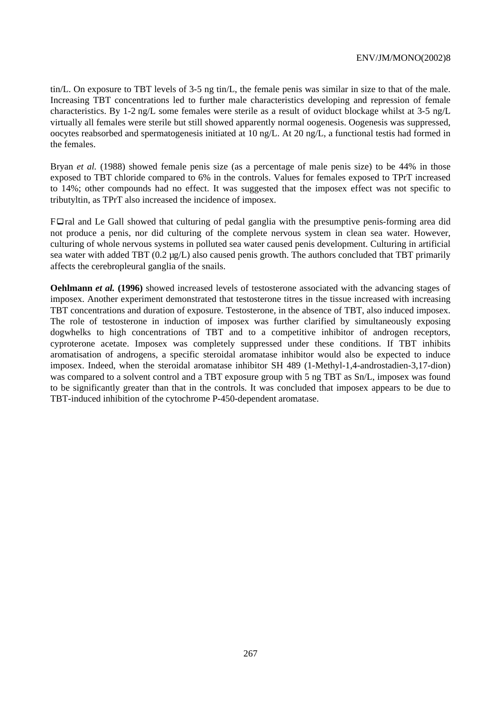tin/L. On exposure to TBT levels of 3-5 ng tin/L, the female penis was similar in size to that of the male. Increasing TBT concentrations led to further male characteristics developing and repression of female characteristics. By 1-2 ng/L some females were sterile as a result of oviduct blockage whilst at 3-5 ng/L virtually all females were sterile but still showed apparently normal oogenesis. Oogenesis was suppressed, oocytes reabsorbed and spermatogenesis initiated at 10 ng/L. At 20 ng/L, a functional testis had formed in the females.

Bryan et al. (1988) showed female penis size (as a percentage of male penis size) to be 44% in those exposed to TBT chloride compared to 6% in the controls. Values for females exposed to TPrT increased to 14%; other compounds had no effect. It was suggested that the imposex effect was not specific to tributyltin, as TPrT also increased the incidence of imposex.

FUral and Le Gall showed that culturing of pedal ganglia with the presumptive penis-forming area did not produce a penis, nor did culturing of the complete nervous system in clean sea water. However, culturing of whole nervous systems in polluted sea water caused penis development. Culturing in artificial sea water with added TBT (0.2 µg/L) also caused penis growth. The authors concluded that TBT primarily affects the cerebropleural ganglia of the snails.

**Oehlmann** et al. (1996) showed increased levels of testosterone associated with the advancing stages of imposex. Another experiment demonstrated that testosterone titres in the tissue increased with increasing TBT concentrations and duration of exposure. Testosterone, in the absence of TBT, also induced imposex. The role of testosterone in induction of imposex was further clarified by simultaneously exposing dogwhelks to high concentrations of TBT and to a competitive inhibitor of androgen receptors, cyproterone acetate. Imposex was completely suppressed under these conditions. If TBT inhibits aromatisation of androgens, a specific steroidal aromatase inhibitor would also be expected to induce imposex. Indeed, when the steroidal aromatase inhibitor SH 489 (1-Methyl-1,4-androstadien-3,17-dion) was compared to a solvent control and a TBT exposure group with 5 ng TBT as Sn/L, imposex was found to be significantly greater than that in the controls. It was concluded that imposex appears to be due to TBT-induced inhibition of the cytochrome P-450-dependent aromatase.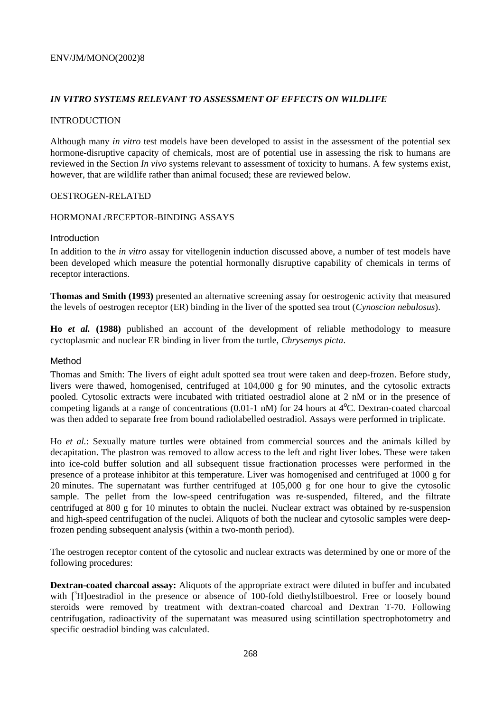## *IN VITRO SYSTEMS RELEVANT TO ASSESSMENT OF EFFECTS ON WILDLIFE*

### INTRODUCTION

Although many *in vitro* test models have been developed to assist in the assessment of the potential sex hormone-disruptive capacity of chemicals, most are of potential use in assessing the risk to humans are reviewed in the Section *In vivo* systems relevant to assessment of toxicity to humans. A few systems exist, however, that are wildlife rather than animal focused; these are reviewed below.

#### OESTROGEN-RELATED

## HORMONAL/RECEPTOR-BINDING ASSAYS

#### Introduction

In addition to the *in vitro* assay for vitellogenin induction discussed above, a number of test models have been developed which measure the potential hormonally disruptive capability of chemicals in terms of receptor interactions.

**Thomas and Smith (1993)** presented an alternative screening assay for oestrogenic activity that measured the levels of oestrogen receptor (ER) binding in the liver of the spotted sea trout (*Cynoscion nebulosus*).

**Ho** *et al.* **(1988)** published an account of the development of reliable methodology to measure cyctoplasmic and nuclear ER binding in liver from the turtle, *Chrysemys picta*.

### Method

Thomas and Smith: The livers of eight adult spotted sea trout were taken and deep-frozen. Before study, livers were thawed, homogenised, centrifuged at 104,000 g for 90 minutes, and the cytosolic extracts pooled. Cytosolic extracts were incubated with tritiated oestradiol alone at 2 nM or in the presence of competing ligands at a range of concentrations (0.01-1 nM) for 24 hours at 4°C. Dextran-coated charcoal was then added to separate free from bound radiolabelled oestradiol. Assays were performed in triplicate.

Ho *et al.*: Sexually mature turtles were obtained from commercial sources and the animals killed by decapitation. The plastron was removed to allow access to the left and right liver lobes. These were taken into ice-cold buffer solution and all subsequent tissue fractionation processes were performed in the presence of a protease inhibitor at this temperature. Liver was homogenised and centrifuged at 1000 g for 20 minutes. The supernatant was further centrifuged at 105,000 g for one hour to give the cytosolic sample. The pellet from the low-speed centrifugation was re-suspended, filtered, and the filtrate centrifuged at 800 g for 10 minutes to obtain the nuclei. Nuclear extract was obtained by re-suspension and high-speed centrifugation of the nuclei. Aliquots of both the nuclear and cytosolic samples were deepfrozen pending subsequent analysis (within a two-month period).

The oestrogen receptor content of the cytosolic and nuclear extracts was determined by one or more of the following procedures:

**Dextran-coated charcoal assay:** Aliquots of the appropriate extract were diluted in buffer and incubated with [3H]oestradiol in the presence or absence of 100-fold diethylstilboestrol. Free or loosely bound steroids were removed by treatment with dextran-coated charcoal and Dextran T-70. Following centrifugation, radioactivity of the supernatant was measured using scintillation spectrophotometry and specific oestradiol binding was calculated.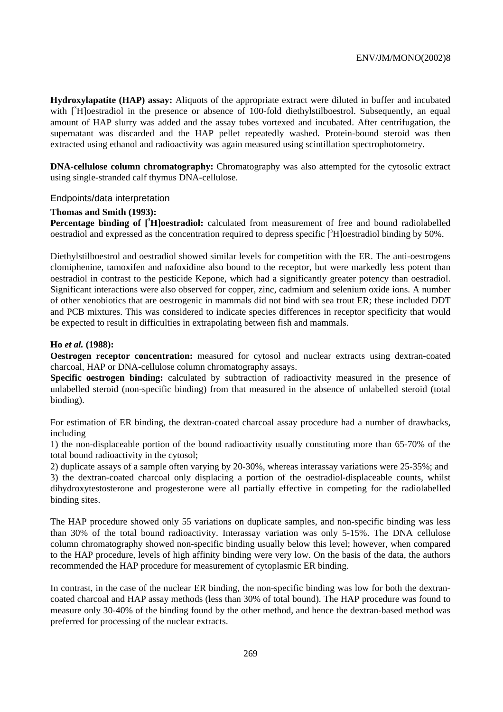**Hydroxylapatite (HAP) assay:** Aliquots of the appropriate extract were diluted in buffer and incubated with [<sup>3</sup>H]oestradiol in the presence or absence of 100-fold diethylstilboestrol. Subsequently, an equal amount of HAP slurry was added and the assay tubes vortexed and incubated. After centrifugation, the supernatant was discarded and the HAP pellet repeatedly washed. Protein-bound steroid was then extracted using ethanol and radioactivity was again measured using scintillation spectrophotometry.

**DNA-cellulose column chromatography:** Chromatography was also attempted for the cytosolic extract using single-stranded calf thymus DNA-cellulose.

Endpoints/data interpretation

#### **Thomas and Smith (1993):**

**Percentage binding of [<sup>3</sup> H]oestradiol:** calculated from measurement of free and bound radiolabelled oestradiol and expressed as the concentration required to depress specific  $[^{3}H]$ oestradiol binding by 50%.

Diethylstilboestrol and oestradiol showed similar levels for competition with the ER. The anti-oestrogens clomiphenine, tamoxifen and nafoxidine also bound to the receptor, but were markedly less potent than oestradiol in contrast to the pesticide Kepone, which had a significantly greater potency than oestradiol. Significant interactions were also observed for copper, zinc, cadmium and selenium oxide ions. A number of other xenobiotics that are oestrogenic in mammals did not bind with sea trout ER; these included DDT and PCB mixtures. This was considered to indicate species differences in receptor specificity that would be expected to result in difficulties in extrapolating between fish and mammals.

#### **Ho** *et al.* **(1988):**

**Oestrogen receptor concentration:** measured for cytosol and nuclear extracts using dextran-coated charcoal, HAP or DNA-cellulose column chromatography assays.

**Specific oestrogen binding:** calculated by subtraction of radioactivity measured in the presence of unlabelled steroid (non-specific binding) from that measured in the absence of unlabelled steroid (total binding).

For estimation of ER binding, the dextran-coated charcoal assay procedure had a number of drawbacks, including

1) the non-displaceable portion of the bound radioactivity usually constituting more than 65-70% of the total bound radioactivity in the cytosol;

2) duplicate assays of a sample often varying by 20-30%, whereas interassay variations were 25-35%; and 3) the dextran-coated charcoal only displacing a portion of the oestradiol-displaceable counts, whilst dihydroxytestosterone and progesterone were all partially effective in competing for the radiolabelled binding sites.

The HAP procedure showed only 55 variations on duplicate samples, and non-specific binding was less than 30% of the total bound radioactivity. Interassay variation was only 5-15%. The DNA cellulose column chromatography showed non-specific binding usually below this level; however, when compared to the HAP procedure, levels of high affinity binding were very low. On the basis of the data, the authors recommended the HAP procedure for measurement of cytoplasmic ER binding.

In contrast, in the case of the nuclear ER binding, the non-specific binding was low for both the dextrancoated charcoal and HAP assay methods (less than 30% of total bound). The HAP procedure was found to measure only 30-40% of the binding found by the other method, and hence the dextran-based method was preferred for processing of the nuclear extracts.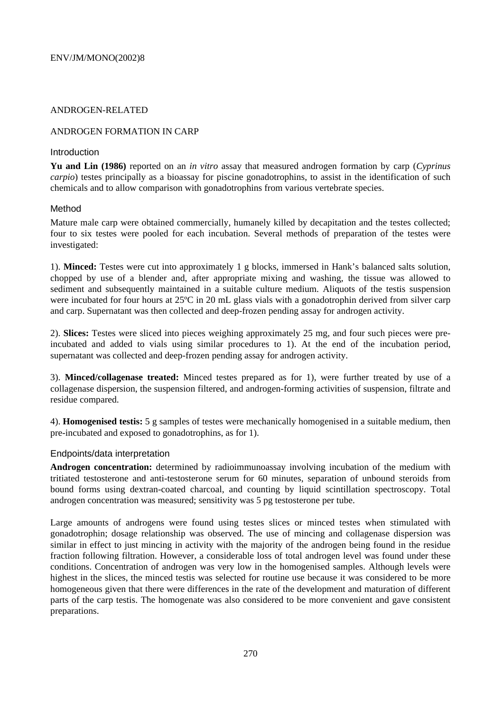### ANDROGEN-RELATED

### ANDROGEN FORMATION IN CARP

#### Introduction

**Yu and Lin (1986)** reported on an *in vitro* assay that measured androgen formation by carp (*Cyprinus carpio*) testes principally as a bioassay for piscine gonadotrophins, to assist in the identification of such chemicals and to allow comparison with gonadotrophins from various vertebrate species.

#### Method

Mature male carp were obtained commercially, humanely killed by decapitation and the testes collected; four to six testes were pooled for each incubation. Several methods of preparation of the testes were investigated:

1). **Minced:** Testes were cut into approximately 1 g blocks, immersed in Hank's balanced salts solution, chopped by use of a blender and, after appropriate mixing and washing, the tissue was allowed to sediment and subsequently maintained in a suitable culture medium. Aliquots of the testis suspension were incubated for four hours at 25°C in 20 mL glass vials with a gonadotrophin derived from silver carp and carp. Supernatant was then collected and deep-frozen pending assay for androgen activity.

2). **Slices:** Testes were sliced into pieces weighing approximately 25 mg, and four such pieces were preincubated and added to vials using similar procedures to 1). At the end of the incubation period, supernatant was collected and deep-frozen pending assay for androgen activity.

3). **Minced/collagenase treated:** Minced testes prepared as for 1), were further treated by use of a collagenase dispersion, the suspension filtered, and androgen-forming activities of suspension, filtrate and residue compared.

4). **Homogenised testis:** 5 g samples of testes were mechanically homogenised in a suitable medium, then pre-incubated and exposed to gonadotrophins, as for 1).

## Endpoints/data interpretation

**Androgen concentration:** determined by radioimmunoassay involving incubation of the medium with tritiated testosterone and anti-testosterone serum for 60 minutes, separation of unbound steroids from bound forms using dextran-coated charcoal, and counting by liquid scintillation spectroscopy. Total androgen concentration was measured; sensitivity was 5 pg testosterone per tube.

Large amounts of androgens were found using testes slices or minced testes when stimulated with gonadotrophin; dosage relationship was observed. The use of mincing and collagenase dispersion was similar in effect to just mincing in activity with the majority of the androgen being found in the residue fraction following filtration. However, a considerable loss of total androgen level was found under these conditions. Concentration of androgen was very low in the homogenised samples. Although levels were highest in the slices, the minced testis was selected for routine use because it was considered to be more homogeneous given that there were differences in the rate of the development and maturation of different parts of the carp testis. The homogenate was also considered to be more convenient and gave consistent preparations.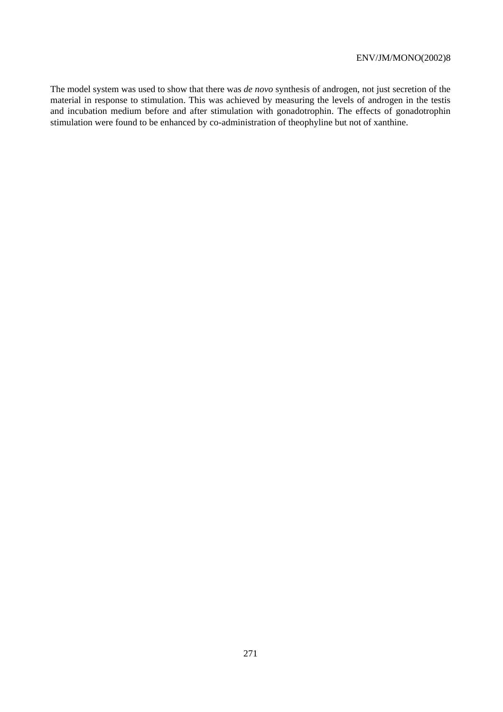The model system was used to show that there was *de novo* synthesis of androgen, not just secretion of the material in response to stimulation. This was achieved by measuring the levels of androgen in the testis and incubation medium before and after stimulation with gonadotrophin. The effects of gonadotrophin stimulation were found to be enhanced by co-administration of theophyline but not of xanthine.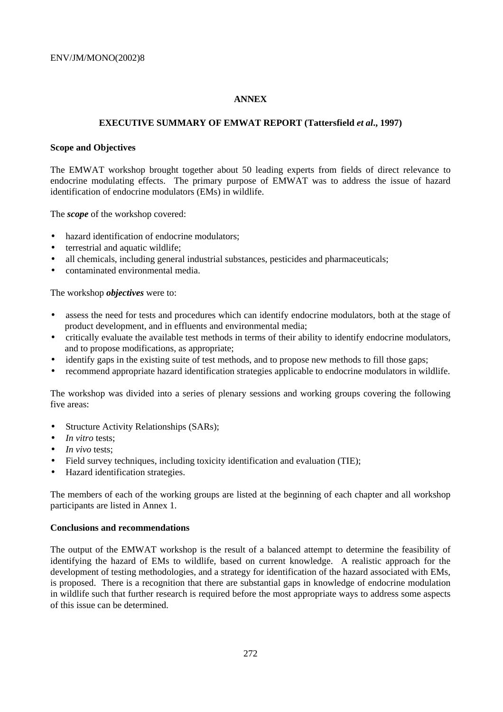## **ANNEX**

## **EXECUTIVE SUMMARY OF EMWAT REPORT (Tattersfield** *et al***., 1997)**

#### **Scope and Objectives**

The EMWAT workshop brought together about 50 leading experts from fields of direct relevance to endocrine modulating effects. The primary purpose of EMWAT was to address the issue of hazard identification of endocrine modulators (EMs) in wildlife.

The *scope* of the workshop covered:

- hazard identification of endocrine modulators;
- terrestrial and aquatic wildlife;
- all chemicals, including general industrial substances, pesticides and pharmaceuticals;
- contaminated environmental media.

The workshop *objectives* were to:

- assess the need for tests and procedures which can identify endocrine modulators, both at the stage of product development, and in effluents and environmental media;
- critically evaluate the available test methods in terms of their ability to identify endocrine modulators, and to propose modifications, as appropriate;
- identify gaps in the existing suite of test methods, and to propose new methods to fill those gaps;
- recommend appropriate hazard identification strategies applicable to endocrine modulators in wildlife.

The workshop was divided into a series of plenary sessions and working groups covering the following five areas:

- Structure Activity Relationships (SARs);
- *In vitro* tests;
- *In vivo* tests:
- Field survey techniques, including toxicity identification and evaluation (TIE);
- Hazard identification strategies.

The members of each of the working groups are listed at the beginning of each chapter and all workshop participants are listed in Annex 1.

#### **Conclusions and recommendations**

The output of the EMWAT workshop is the result of a balanced attempt to determine the feasibility of identifying the hazard of EMs to wildlife, based on current knowledge. A realistic approach for the development of testing methodologies, and a strategy for identification of the hazard associated with EMs, is proposed. There is a recognition that there are substantial gaps in knowledge of endocrine modulation in wildlife such that further research is required before the most appropriate ways to address some aspects of this issue can be determined.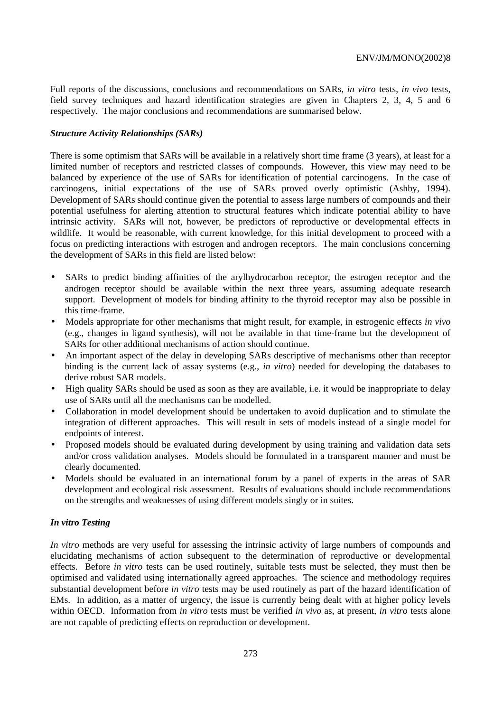Full reports of the discussions, conclusions and recommendations on SARs, *in vitro* tests, *in vivo* tests, field survey techniques and hazard identification strategies are given in Chapters 2, 3, 4, 5 and 6 respectively. The major conclusions and recommendations are summarised below.

#### *Structure Activity Relationships (SARs)*

There is some optimism that SARs will be available in a relatively short time frame (3 years), at least for a limited number of receptors and restricted classes of compounds. However, this view may need to be balanced by experience of the use of SARs for identification of potential carcinogens. In the case of carcinogens, initial expectations of the use of SARs proved overly optimistic (Ashby, 1994). Development of SARs should continue given the potential to assess large numbers of compounds and their potential usefulness for alerting attention to structural features which indicate potential ability to have intrinsic activity. SARs will not, however, be predictors of reproductive or developmental effects in wildlife. It would be reasonable, with current knowledge, for this initial development to proceed with a focus on predicting interactions with estrogen and androgen receptors. The main conclusions concerning the development of SARs in this field are listed below:

- SARs to predict binding affinities of the arylhydrocarbon receptor, the estrogen receptor and the androgen receptor should be available within the next three years, assuming adequate research support. Development of models for binding affinity to the thyroid receptor may also be possible in this time-frame.
- Models appropriate for other mechanisms that might result, for example, in estrogenic effects *in vivo* (e.g., changes in ligand synthesis), will not be available in that time-frame but the development of SARs for other additional mechanisms of action should continue.
- An important aspect of the delay in developing SARs descriptive of mechanisms other than receptor binding is the current lack of assay systems (e.g., *in vitro*) needed for developing the databases to derive robust SAR models.
- High quality SARs should be used as soon as they are available, i.e. it would be inappropriate to delay use of SARs until all the mechanisms can be modelled.
- Collaboration in model development should be undertaken to avoid duplication and to stimulate the integration of different approaches. This will result in sets of models instead of a single model for endpoints of interest.
- Proposed models should be evaluated during development by using training and validation data sets and/or cross validation analyses. Models should be formulated in a transparent manner and must be clearly documented.
- Models should be evaluated in an international forum by a panel of experts in the areas of SAR development and ecological risk assessment. Results of evaluations should include recommendations on the strengths and weaknesses of using different models singly or in suites.

## *In vitro Testing*

*In vitro* methods are very useful for assessing the intrinsic activity of large numbers of compounds and elucidating mechanisms of action subsequent to the determination of reproductive or developmental effects. Before *in vitro* tests can be used routinely, suitable tests must be selected, they must then be optimised and validated using internationally agreed approaches. The science and methodology requires substantial development before *in vitro* tests may be used routinely as part of the hazard identification of EMs. In addition, as a matter of urgency, the issue is currently being dealt with at higher policy levels within OECD. Information from *in vitro* tests must be verified *in vivo* as, at present, *in vitro* tests alone are not capable of predicting effects on reproduction or development.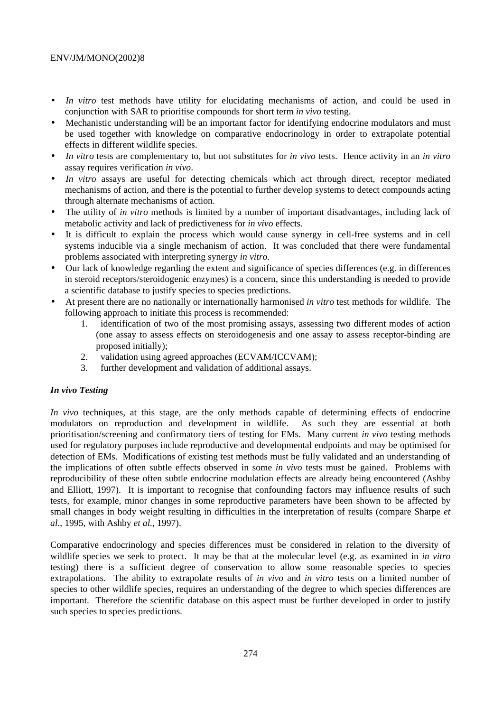- *In vitro* test methods have utility for elucidating mechanisms of action, and could be used in conjunction with SAR to prioritise compounds for short term *in vivo* testing.
- Mechanistic understanding will be an important factor for identifying endocrine modulators and must be used together with knowledge on comparative endocrinology in order to extrapolate potential effects in different wildlife species.
- *In vitro* tests are complementary to, but not substitutes for *in vivo* tests. Hence activity in an *in vitro* assay requires verification *in vivo*.
- *In vitro* assays are useful for detecting chemicals which act through direct, receptor mediated mechanisms of action, and there is the potential to further develop systems to detect compounds acting through alternate mechanisms of action.
- The utility of *in vitro* methods is limited by a number of important disadvantages, including lack of metabolic activity and lack of predictiveness for *in vivo* effects.
- It is difficult to explain the process which would cause synergy in cell-free systems and in cell systems inducible via a single mechanism of action. It was concluded that there were fundamental problems associated with interpreting synergy *in vitro*.
- Our lack of knowledge regarding the extent and significance of species differences (e.g. in differences in steroid receptors/steroidogenic enzymes) is a concern, since this understanding is needed to provide a scientific database to justify species to species predictions.
- At present there are no nationally or internationally harmonised *in vitro* test methods for wildlife. The following approach to initiate this process is recommended:
	- 1. identification of two of the most promising assays, assessing two different modes of action (one assay to assess effects on steroidogenesis and one assay to assess receptor-binding are proposed initially);
	- 2. validation using agreed approaches (ECVAM/ICCVAM);
	- 3. further development and validation of additional assays.

## *In vivo Testing*

*In vivo* techniques, at this stage, are the only methods capable of determining effects of endocrine modulators on reproduction and development in wildlife. As such they are essential at both prioritisation/screening and confirmatory tiers of testing for EMs. Many current *in vivo* testing methods used for regulatory purposes include reproductive and developmental endpoints and may be optimised for detection of EMs. Modifications of existing test methods must be fully validated and an understanding of the implications of often subtle effects observed in some *in vivo* tests must be gained. Problems with reproducibility of these often subtle endocrine modulation effects are already being encountered (Ashby and Elliott, 1997). It is important to recognise that confounding factors may influence results of such tests, for example, minor changes in some reproductive parameters have been shown to be affected by small changes in body weight resulting in difficulties in the interpretation of results (compare Sharpe *et al.*, 1995, with Ashby *et al.*, 1997).

Comparative endocrinology and species differences must be considered in relation to the diversity of wildlife species we seek to protect. It may be that at the molecular level (e.g. as examined in *in vitro* testing) there is a sufficient degree of conservation to allow some reasonable species to species extrapolations. The ability to extrapolate results of *in vivo* and *in vitro* tests on a limited number of species to other wildlife species, requires an understanding of the degree to which species differences are important. Therefore the scientific database on this aspect must be further developed in order to justify such species to species predictions.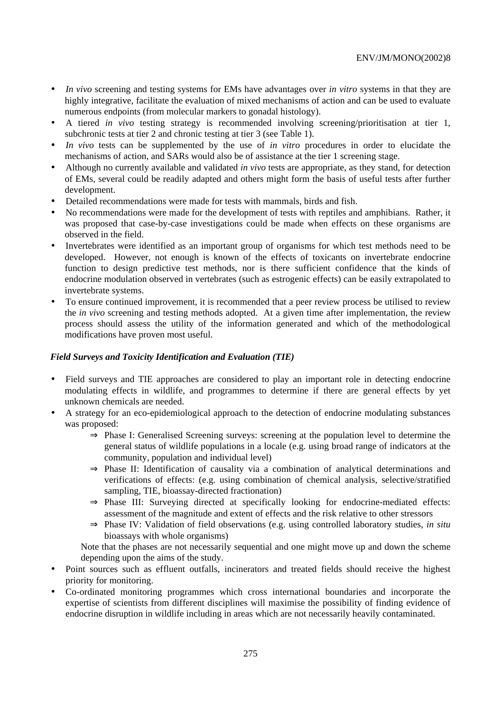- *In vivo* screening and testing systems for EMs have advantages over *in vitro* systems in that they are highly integrative, facilitate the evaluation of mixed mechanisms of action and can be used to evaluate numerous endpoints (from molecular markers to gonadal histology).
- A tiered *in vivo* testing strategy is recommended involving screening/prioritisation at tier 1, subchronic tests at tier 2 and chronic testing at tier 3 (see Table 1).
- *In vivo* tests can be supplemented by the use of *in vitro* procedures in order to elucidate the mechanisms of action, and SARs would also be of assistance at the tier 1 screening stage.
- Although no currently available and validated *in vivo* tests are appropriate, as they stand, for detection of EMs, several could be readily adapted and others might form the basis of useful tests after further development.
- Detailed recommendations were made for tests with mammals, birds and fish.
- No recommendations were made for the development of tests with reptiles and amphibians. Rather, it was proposed that case-by-case investigations could be made when effects on these organisms are observed in the field.
- Invertebrates were identified as an important group of organisms for which test methods need to be developed. However, not enough is known of the effects of toxicants on invertebrate endocrine function to design predictive test methods, nor is there sufficient confidence that the kinds of endocrine modulation observed in vertebrates (such as estrogenic effects) can be easily extrapolated to invertebrate systems.
- To ensure continued improvement, it is recommended that a peer review process be utilised to review the *in vivo* screening and testing methods adopted. At a given time after implementation, the review process should assess the utility of the information generated and which of the methodological modifications have proven most useful.

## *Field Surveys and Toxicity Identification and Evaluation (TIE)*

- Field surveys and TIE approaches are considered to play an important role in detecting endocrine modulating effects in wildlife, and programmes to determine if there are general effects by yet unknown chemicals are needed.
- A strategy for an eco-epidemiological approach to the detection of endocrine modulating substances was proposed:
	- ⇒ Phase I: Generalised Screening surveys: screening at the population level to determine the general status of wildlife populations in a locale (e.g. using broad range of indicators at the community, population and individual level)
	- ⇒ Phase II: Identification of causality via a combination of analytical determinations and verifications of effects: (e.g. using combination of chemical analysis, selective/stratified sampling, TIE, bioassay-directed fractionation)
	- ⇒ Phase III: Surveying directed at specifically looking for endocrine-mediated effects: assessment of the magnitude and extent of effects and the risk relative to other stressors
	- ⇒ Phase IV: Validation of field observations (e.g. using controlled laboratory studies, *in situ* bioassays with whole organisms)

Note that the phases are not necessarily sequential and one might move up and down the scheme depending upon the aims of the study.

- Point sources such as effluent outfalls, incinerators and treated fields should receive the highest priority for monitoring.
- Co-ordinated monitoring programmes which cross international boundaries and incorporate the expertise of scientists from different disciplines will maximise the possibility of finding evidence of endocrine disruption in wildlife including in areas which are not necessarily heavily contaminated.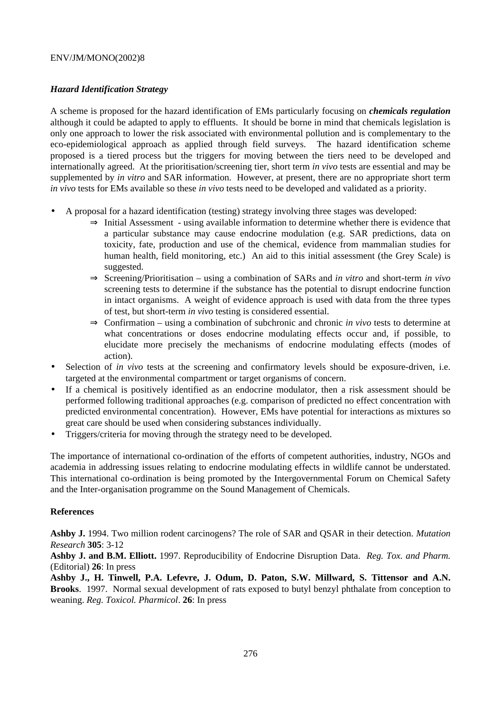## *Hazard Identification Strategy*

A scheme is proposed for the hazard identification of EMs particularly focusing on *chemicals regulation* although it could be adapted to apply to effluents. It should be borne in mind that chemicals legislation is only one approach to lower the risk associated with environmental pollution and is complementary to the eco-epidemiological approach as applied through field surveys. The hazard identification scheme proposed is a tiered process but the triggers for moving between the tiers need to be developed and internationally agreed. At the prioritisation/screening tier, short term *in vivo* tests are essential and may be supplemented by *in vitro* and SAR information. However, at present, there are no appropriate short term *in vivo* tests for EMs available so these *in vivo* tests need to be developed and validated as a priority.

- A proposal for a hazard identification (testing) strategy involving three stages was developed:
	- $\Rightarrow$  Initial Assessment using available information to determine whether there is evidence that a particular substance may cause endocrine modulation (e.g. SAR predictions, data on toxicity, fate, production and use of the chemical, evidence from mammalian studies for human health, field monitoring, etc.) An aid to this initial assessment (the Grey Scale) is suggested.
	- ⇒ Screening/Prioritisation using a combination of SARs and *in vitro* and short-term *in vivo* screening tests to determine if the substance has the potential to disrupt endocrine function in intact organisms. A weight of evidence approach is used with data from the three types of test, but short-term *in vivo* testing is considered essential.
	- ⇒ Confirmation using a combination of subchronic and chronic *in vivo* tests to determine at what concentrations or doses endocrine modulating effects occur and, if possible, to elucidate more precisely the mechanisms of endocrine modulating effects (modes of action).
- Selection of *in vivo* tests at the screening and confirmatory levels should be exposure-driven, i.e. targeted at the environmental compartment or target organisms of concern.
- If a chemical is positively identified as an endocrine modulator, then a risk assessment should be performed following traditional approaches (e.g. comparison of predicted no effect concentration with predicted environmental concentration). However, EMs have potential for interactions as mixtures so great care should be used when considering substances individually.
- Triggers/criteria for moving through the strategy need to be developed.

The importance of international co-ordination of the efforts of competent authorities, industry, NGOs and academia in addressing issues relating to endocrine modulating effects in wildlife cannot be understated. This international co-ordination is being promoted by the Intergovernmental Forum on Chemical Safety and the Inter-organisation programme on the Sound Management of Chemicals.

## **References**

**Ashby J.** 1994. Two million rodent carcinogens? The role of SAR and QSAR in their detection. *Mutation Research* **305**: 3-12

**Ashby J. and B.M. Elliott.** 1997. Reproducibility of Endocrine Disruption Data. *Reg. Tox. and Pharm.* (Editorial) **26**: In press

**Ashby J., H. Tinwell, P.A. Lefevre, J. Odum, D. Paton, S.W. Millward, S. Tittensor and A.N. Brooks**. 1997. Normal sexual development of rats exposed to butyl benzyl phthalate from conception to weaning. *Reg. Toxicol. Pharmicol*. **26**: In press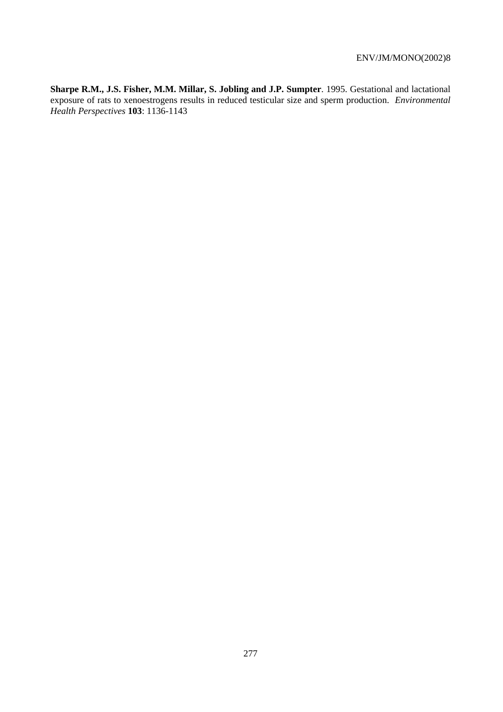**Sharpe R.M., J.S. Fisher, M.M. Millar, S. Jobling and J.P. Sumpter**. 1995. Gestational and lactational exposure of rats to xenoestrogens results in reduced testicular size and sperm production. *Environmental Health Perspectives* **103**: 1136-1143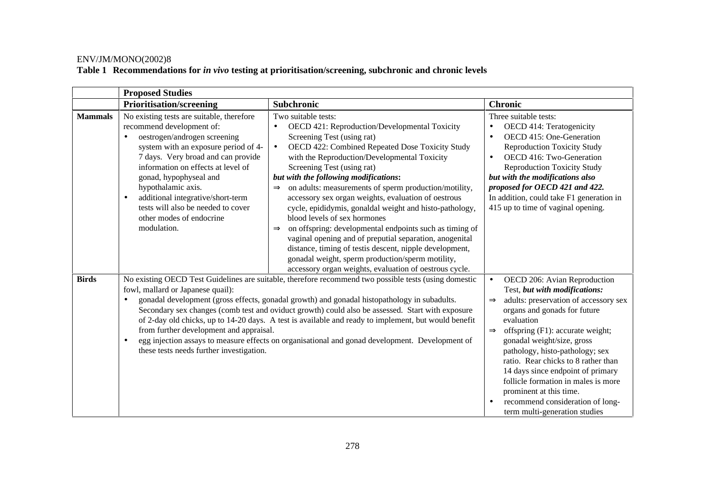## ENV/JM/MONO(2002)8 **Table 1 Recommendations for** *in vivo* **testing at prioritisation/screening, subchronic and chronic levels**

|                | <b>Proposed Studies</b>                                                                                                                                                                                                                                                                                                                                                                                                    |                                                                                                                                                                                                                                                                                                                                                                                                                                                                                                                                                                                                                                                                                                                                                                                                                      |                                                                                                                                                                                                                                                                                                                                                                                                                                                                                                                             |
|----------------|----------------------------------------------------------------------------------------------------------------------------------------------------------------------------------------------------------------------------------------------------------------------------------------------------------------------------------------------------------------------------------------------------------------------------|----------------------------------------------------------------------------------------------------------------------------------------------------------------------------------------------------------------------------------------------------------------------------------------------------------------------------------------------------------------------------------------------------------------------------------------------------------------------------------------------------------------------------------------------------------------------------------------------------------------------------------------------------------------------------------------------------------------------------------------------------------------------------------------------------------------------|-----------------------------------------------------------------------------------------------------------------------------------------------------------------------------------------------------------------------------------------------------------------------------------------------------------------------------------------------------------------------------------------------------------------------------------------------------------------------------------------------------------------------------|
|                | <b>Prioritisation/screening</b>                                                                                                                                                                                                                                                                                                                                                                                            | <b>Subchronic</b>                                                                                                                                                                                                                                                                                                                                                                                                                                                                                                                                                                                                                                                                                                                                                                                                    | <b>Chronic</b>                                                                                                                                                                                                                                                                                                                                                                                                                                                                                                              |
| <b>Mammals</b> | No existing tests are suitable, therefore<br>recommend development of:<br>oestrogen/androgen screening<br>$\bullet$<br>system with an exposure period of 4-<br>7 days. Very broad and can provide<br>information on effects at level of<br>gonad, hypophyseal and<br>hypothalamic axis.<br>additional integrative/short-term<br>$\bullet$<br>tests will also be needed to cover<br>other modes of endocrine<br>modulation. | Two suitable tests:<br>OECD 421: Reproduction/Developmental Toxicity<br>Screening Test (using rat)<br>OECD 422: Combined Repeated Dose Toxicity Study<br>$\bullet$<br>with the Reproduction/Developmental Toxicity<br>Screening Test (using rat)<br>but with the following modifications:<br>on adults: measurements of sperm production/motility,<br>accessory sex organ weights, evaluation of oestrous<br>cycle, epididymis, gonaldal weight and histo-pathology,<br>blood levels of sex hormones<br>on offspring: developmental endpoints such as timing of<br>$\Rightarrow$<br>vaginal opening and of preputial separation, anogenital<br>distance, timing of testis descent, nipple development,<br>gonadal weight, sperm production/sperm motility,<br>accessory organ weights, evaluation of oestrous cycle. | Three suitable tests:<br>OECD 414: Teratogenicity<br>OECD 415: One-Generation<br><b>Reproduction Toxicity Study</b><br>OECD 416: Two-Generation<br>$\bullet$<br><b>Reproduction Toxicity Study</b><br>but with the modifications also<br>proposed for OECD 421 and 422.<br>In addition, could take F1 generation in<br>415 up to time of vaginal opening.                                                                                                                                                                   |
| <b>Birds</b>   | fowl, mallard or Japanese quail):<br>$\bullet$<br>from further development and appraisal.<br>$\bullet$<br>these tests needs further investigation.                                                                                                                                                                                                                                                                         | No existing OECD Test Guidelines are suitable, therefore recommend two possible tests (using domestic<br>gonadal development (gross effects, gonadal growth) and gonadal histopathology in subadults.<br>Secondary sex changes (comb test and oviduct growth) could also be assessed. Start with exposure<br>of 2-day old chicks, up to 14-20 days. A test is available and ready to implement, but would benefit<br>egg injection assays to measure effects on organisational and gonad development. Development of                                                                                                                                                                                                                                                                                                 | OECD 206: Avian Reproduction<br>$\bullet$<br>Test, but with modifications:<br>adults: preservation of accessory sex<br>$\Rightarrow$<br>organs and gonads for future<br>evaluation<br>offspring (F1): accurate weight;<br>$\Rightarrow$<br>gonadal weight/size, gross<br>pathology, histo-pathology; sex<br>ratio. Rear chicks to 8 rather than<br>14 days since endpoint of primary<br>follicle formation in males is more<br>prominent at this time.<br>recommend consideration of long-<br>term multi-generation studies |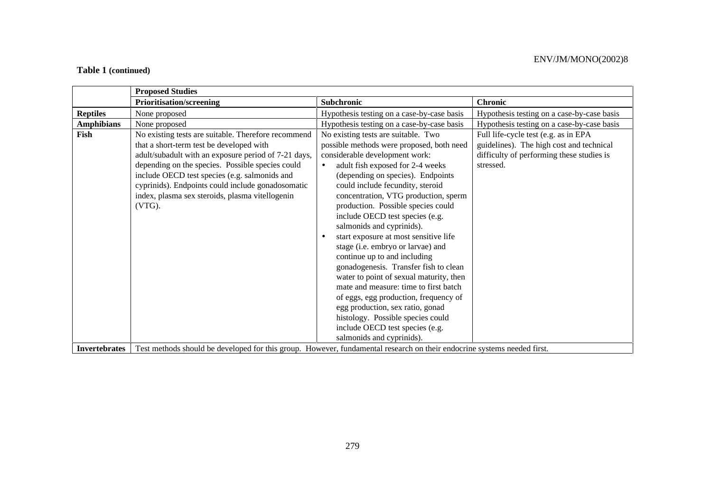## **Table 1 (continued)**

|                      | <b>Proposed Studies</b>                                                                                                                                                                                                                                                                                                                                                           |                                                                                                                                                                                                                                                                                                                                                                                                                                                                                                                                                                                                                                                                                                                                                                                                                 |                                                                                                                                            |
|----------------------|-----------------------------------------------------------------------------------------------------------------------------------------------------------------------------------------------------------------------------------------------------------------------------------------------------------------------------------------------------------------------------------|-----------------------------------------------------------------------------------------------------------------------------------------------------------------------------------------------------------------------------------------------------------------------------------------------------------------------------------------------------------------------------------------------------------------------------------------------------------------------------------------------------------------------------------------------------------------------------------------------------------------------------------------------------------------------------------------------------------------------------------------------------------------------------------------------------------------|--------------------------------------------------------------------------------------------------------------------------------------------|
|                      | <b>Prioritisation/screening</b>                                                                                                                                                                                                                                                                                                                                                   | <b>Subchronic</b>                                                                                                                                                                                                                                                                                                                                                                                                                                                                                                                                                                                                                                                                                                                                                                                               | <b>Chronic</b>                                                                                                                             |
| <b>Reptiles</b>      | None proposed                                                                                                                                                                                                                                                                                                                                                                     | Hypothesis testing on a case-by-case basis                                                                                                                                                                                                                                                                                                                                                                                                                                                                                                                                                                                                                                                                                                                                                                      | Hypothesis testing on a case-by-case basis                                                                                                 |
| <b>Amphibians</b>    | None proposed                                                                                                                                                                                                                                                                                                                                                                     | Hypothesis testing on a case-by-case basis                                                                                                                                                                                                                                                                                                                                                                                                                                                                                                                                                                                                                                                                                                                                                                      | Hypothesis testing on a case-by-case basis                                                                                                 |
| Fish                 | No existing tests are suitable. Therefore recommend<br>that a short-term test be developed with<br>adult/subadult with an exposure period of 7-21 days,<br>depending on the species. Possible species could<br>include OECD test species (e.g. salmonids and<br>cyprinids). Endpoints could include gonadosomatic<br>index, plasma sex steroids, plasma vitellogenin<br>$(VTG)$ . | No existing tests are suitable. Two<br>possible methods were proposed, both need<br>considerable development work:<br>adult fish exposed for 2-4 weeks<br>(depending on species). Endpoints<br>could include fecundity, steroid<br>concentration, VTG production, sperm<br>production. Possible species could<br>include OECD test species (e.g.<br>salmonids and cyprinids).<br>start exposure at most sensitive life<br>٠<br>stage (i.e. embryo or larvae) and<br>continue up to and including<br>gonadogenesis. Transfer fish to clean<br>water to point of sexual maturity, then<br>mate and measure: time to first batch<br>of eggs, egg production, frequency of<br>egg production, sex ratio, gonad<br>histology. Possible species could<br>include OECD test species (e.g.<br>salmonids and cyprinids). | Full life-cycle test (e.g. as in EPA<br>guidelines). The high cost and technical<br>difficulty of performing these studies is<br>stressed. |
| <b>Invertebrates</b> | Test methods should be developed for this group. However, fundamental research on their endocrine systems needed first.                                                                                                                                                                                                                                                           |                                                                                                                                                                                                                                                                                                                                                                                                                                                                                                                                                                                                                                                                                                                                                                                                                 |                                                                                                                                            |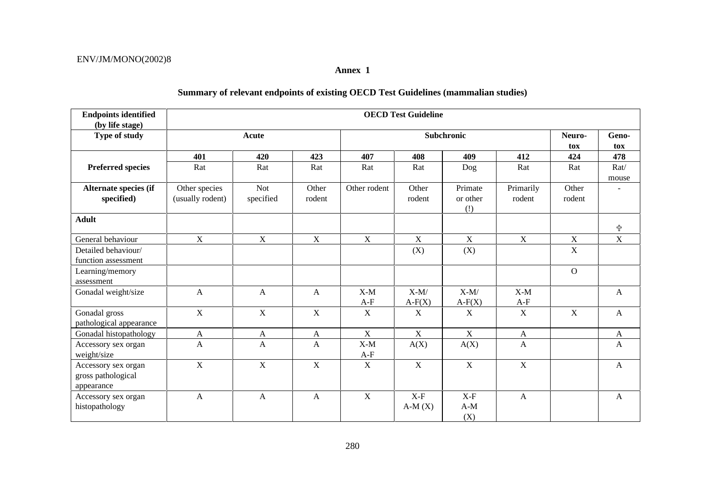#### **Annex 1**

| <b>Endpoints identified</b><br>(by life stage)          |                                   | <b>OECD Test Guideline</b> |                 |                                         |                    |                                                     |                     |                 |                |  |  |  |  |
|---------------------------------------------------------|-----------------------------------|----------------------------|-----------------|-----------------------------------------|--------------------|-----------------------------------------------------|---------------------|-----------------|----------------|--|--|--|--|
| Type of study                                           |                                   | Acute                      |                 |                                         |                    | <b>Subchronic</b>                                   |                     | Neuro-<br>tox   | Geno-<br>tox   |  |  |  |  |
|                                                         | 401                               | 420                        | 423             | 407                                     | 408                | 409                                                 | 412                 | 424             | 478            |  |  |  |  |
| <b>Preferred species</b>                                | Rat                               | Rat                        | Rat             | Rat                                     | Rat                | Dog                                                 | Rat                 | Rat             | Rat/<br>mouse  |  |  |  |  |
| Alternate species (if<br>specified)                     | Other species<br>(usually rodent) | <b>Not</b><br>specified    | Other<br>rodent | Other rodent                            | Other<br>rodent    | Primate<br>or other<br>$\left( \frac{1}{2} \right)$ | Primarily<br>rodent | Other<br>rodent |                |  |  |  |  |
| <b>Adult</b>                                            |                                   |                            |                 |                                         |                    |                                                     |                     |                 | 유              |  |  |  |  |
| General behaviour                                       | $\mathbf{X}$                      | $\mathbf{X}$               | $\mathbf X$     | $\mathbf X$                             | $\mathbf X$        | X                                                   | $\mathbf X$         | X               | $\mathbf X$    |  |  |  |  |
| Detailed behaviour/<br>function assessment              |                                   |                            |                 |                                         | (X)                | (X)                                                 |                     | $\mathbf X$     |                |  |  |  |  |
| Learning/memory<br>assessment                           |                                   |                            |                 |                                         |                    |                                                     |                     | $\Omega$        |                |  |  |  |  |
| Gonadal weight/size                                     | $\mathbf{A}$                      | $\mathbf{A}$               | $\mathbf{A}$    | $X-M$<br>$A-F$                          | $X-M/$<br>$A-F(X)$ | $X-M/$<br>$A-F(X)$                                  | $X-M$<br>$A-F$      |                 | $\overline{A}$ |  |  |  |  |
| Gonadal gross<br>pathological appearance                | $\mathbf{X}$                      | $\mathbf{X}$               | X               | X                                       | X                  | X                                                   | X                   | X               | $\mathbf{A}$   |  |  |  |  |
| Gonadal histopathology                                  | $\mathbf{A}$                      | $\mathbf{A}$               | $\mathbf{A}$    | $\mathbf X$                             | $\mathbf X$        | $\mathbf X$                                         | $\mathbf{A}$        |                 | A              |  |  |  |  |
| Accessory sex organ<br>weight/size                      | A                                 | $\mathbf{A}$               | $\mathbf{A}$    | $X-M$<br>$\mathbf{A}\text{-}\mathbf{F}$ | A(X)               | A(X)                                                | $\mathbf{A}$        |                 | A              |  |  |  |  |
| Accessory sex organ<br>gross pathological<br>appearance | $\mathbf X$                       | $\mathbf X$                | $\mathbf X$     | $\mathbf X$                             | $\mathbf X$        | $\mathbf X$                                         | $\mathbf X$         |                 | $\mathbf{A}$   |  |  |  |  |
| Accessory sex organ<br>histopathology                   | $\overline{A}$                    | $\mathsf{A}$               | $\mathbf{A}$    | $\mathbf{X}$                            | $X-F$<br>$A-M(X)$  | $X-F$<br>$A-M$<br>(X)                               | $\mathsf{A}$        |                 | $\mathbf{A}$   |  |  |  |  |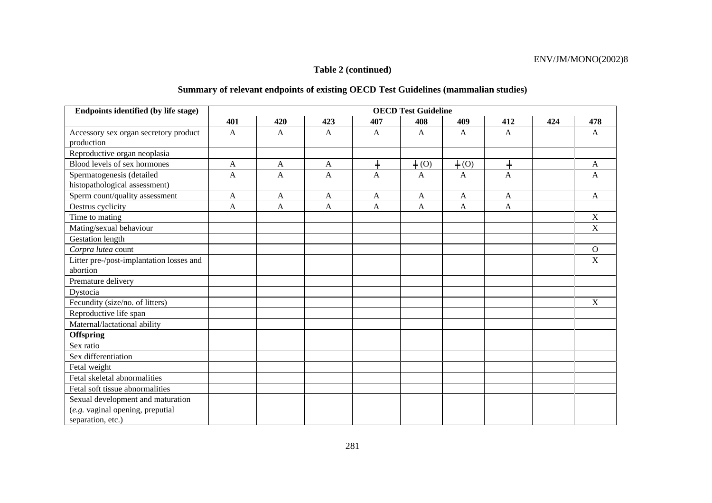## **Table 2 (continued)**

| Endpoints identified (by life stage)     |              | <b>OECD Test Guideline</b> |                |               |                |              |              |     |                |  |  |
|------------------------------------------|--------------|----------------------------|----------------|---------------|----------------|--------------|--------------|-----|----------------|--|--|
|                                          | 401          | 420                        | 423            | 407           | 408            | 409          | 412          | 424 | 478            |  |  |
| Accessory sex organ secretory product    | $\mathbf{A}$ | $\mathbf{A}$               | $\overline{A}$ | $\mathbf{A}$  | $\overline{A}$ | A            | A            |     | A              |  |  |
| production                               |              |                            |                |               |                |              |              |     |                |  |  |
| Reproductive organ neoplasia             |              |                            |                |               |                |              |              |     |                |  |  |
| Blood levels of sex hormones             | $\mathbf{A}$ | $\mathbf{A}$               | $\mathbf{A}$   | $^\mathrm{+}$ | $\neq$ (O)     | $\pm(0)$     | $\pm$        |     | $\mathbf{A}$   |  |  |
| Spermatogenesis (detailed                | A            | $\mathbf{A}$               | A              | A             | A              | A            | $\mathbf{A}$ |     | A              |  |  |
| histopathological assessment)            |              |                            |                |               |                |              |              |     |                |  |  |
| Sperm count/quality assessment           | A            | $\mathbf{A}$               | $\mathbf{A}$   | A             | A              | $\mathbf{A}$ | A            |     | $\mathbf{A}$   |  |  |
| Oestrus cyclicity                        | A            | $\mathbf{A}$               | A              | A             | $\mathbf{A}$   | A            | A            |     |                |  |  |
| Time to mating                           |              |                            |                |               |                |              |              |     | $\mathbf X$    |  |  |
| Mating/sexual behaviour                  |              |                            |                |               |                |              |              |     | $\mathbf X$    |  |  |
| Gestation length                         |              |                            |                |               |                |              |              |     |                |  |  |
| Corpra lutea count                       |              |                            |                |               |                |              |              |     | $\overline{O}$ |  |  |
| Litter pre-/post-implantation losses and |              |                            |                |               |                |              |              |     | $\mathbf X$    |  |  |
| abortion                                 |              |                            |                |               |                |              |              |     |                |  |  |
| Premature delivery                       |              |                            |                |               |                |              |              |     |                |  |  |
| Dystocia                                 |              |                            |                |               |                |              |              |     |                |  |  |
| Fecundity (size/no. of litters)          |              |                            |                |               |                |              |              |     | $\mathbf X$    |  |  |
| Reproductive life span                   |              |                            |                |               |                |              |              |     |                |  |  |
| Maternal/lactational ability             |              |                            |                |               |                |              |              |     |                |  |  |
| <b>Offspring</b>                         |              |                            |                |               |                |              |              |     |                |  |  |
| Sex ratio                                |              |                            |                |               |                |              |              |     |                |  |  |
| Sex differentiation                      |              |                            |                |               |                |              |              |     |                |  |  |
| Fetal weight                             |              |                            |                |               |                |              |              |     |                |  |  |
| Fetal skeletal abnormalities             |              |                            |                |               |                |              |              |     |                |  |  |
| Fetal soft tissue abnormalities          |              |                            |                |               |                |              |              |     |                |  |  |
| Sexual development and maturation        |              |                            |                |               |                |              |              |     |                |  |  |
| $(e.g.$ vaginal opening, preputial       |              |                            |                |               |                |              |              |     |                |  |  |
| separation, etc.)                        |              |                            |                |               |                |              |              |     |                |  |  |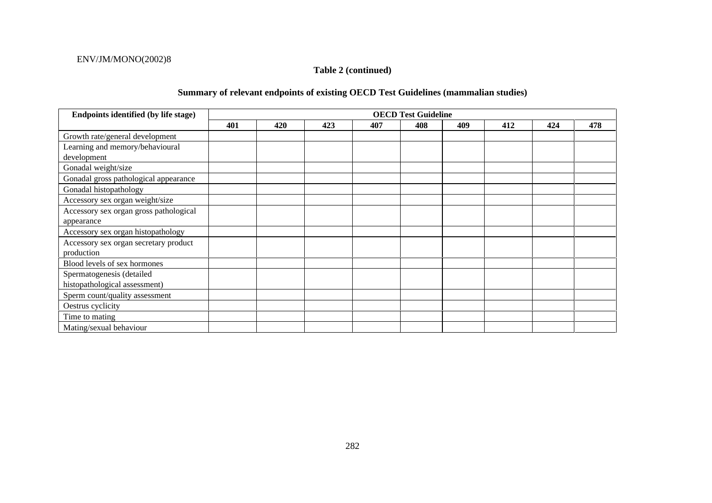## **Table 2 (continued)**

| Endpoints identified (by life stage)                       |     | <b>OECD Test Guideline</b><br>478<br>420<br>423<br>407<br>409<br>412<br>424<br>408 |  |  |  |  |  |  |  |  |
|------------------------------------------------------------|-----|------------------------------------------------------------------------------------|--|--|--|--|--|--|--|--|
|                                                            | 401 |                                                                                    |  |  |  |  |  |  |  |  |
| Growth rate/general development                            |     |                                                                                    |  |  |  |  |  |  |  |  |
| Learning and memory/behavioural<br>development             |     |                                                                                    |  |  |  |  |  |  |  |  |
| Gonadal weight/size                                        |     |                                                                                    |  |  |  |  |  |  |  |  |
| Gonadal gross pathological appearance                      |     |                                                                                    |  |  |  |  |  |  |  |  |
| Gonadal histopathology                                     |     |                                                                                    |  |  |  |  |  |  |  |  |
| Accessory sex organ weight/size                            |     |                                                                                    |  |  |  |  |  |  |  |  |
| Accessory sex organ gross pathological                     |     |                                                                                    |  |  |  |  |  |  |  |  |
| appearance                                                 |     |                                                                                    |  |  |  |  |  |  |  |  |
| Accessory sex organ histopathology                         |     |                                                                                    |  |  |  |  |  |  |  |  |
| Accessory sex organ secretary product<br>production        |     |                                                                                    |  |  |  |  |  |  |  |  |
| Blood levels of sex hormones                               |     |                                                                                    |  |  |  |  |  |  |  |  |
| Spermatogenesis (detailed<br>histopathological assessment) |     |                                                                                    |  |  |  |  |  |  |  |  |
| Sperm count/quality assessment                             |     |                                                                                    |  |  |  |  |  |  |  |  |
| Oestrus cyclicity                                          |     |                                                                                    |  |  |  |  |  |  |  |  |
| Time to mating                                             |     |                                                                                    |  |  |  |  |  |  |  |  |
| Mating/sexual behaviour                                    |     |                                                                                    |  |  |  |  |  |  |  |  |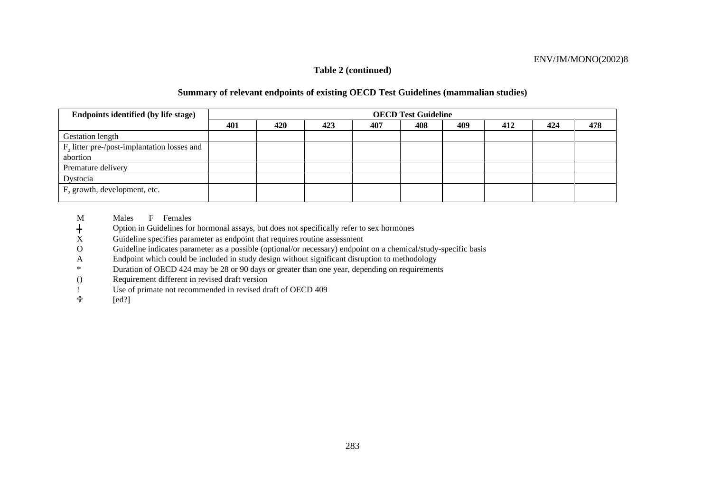## **Table 2 (continued)**

### **Summary of relevant endpoints of existing OECD Test Guidelines (mammalian studies)**

| Endpoints identified (by life stage)                    |     | <b>OECD Test Guideline</b> |     |     |     |     |     |     |     |  |
|---------------------------------------------------------|-----|----------------------------|-----|-----|-----|-----|-----|-----|-----|--|
|                                                         | 401 | 420                        | 423 | 407 | 408 | 409 | 412 | 424 | 478 |  |
| Gestation length                                        |     |                            |     |     |     |     |     |     |     |  |
| F <sub>2</sub> litter pre-/post-implantation losses and |     |                            |     |     |     |     |     |     |     |  |
| abortion                                                |     |                            |     |     |     |     |     |     |     |  |
| Premature delivery                                      |     |                            |     |     |     |     |     |     |     |  |
| Dystocia                                                |     |                            |     |     |     |     |     |     |     |  |
| $F2$ growth, development, etc.                          |     |                            |     |     |     |     |     |     |     |  |

M Males F Females

Option in Guidelines for hormonal assays, but does not specifically refer to sex hormones

† Option in Guidelines for hormonal assays, but does not specifically refer to X<br>
Suideline specifies parameter as endpoint that requires routine assessment<br>
O Guideline indicates parameter as a possible (optional/or nece

Guideline indicates parameter as a possible (optional/or necessary) endpoint on a chemical/study-specific basis

A Endpoint which could be included in study design without significant disruption to methodology<br>
Nuration of OECD 424 may be 28 or 90 days or greater than one year, depending on requirement

Duration of OECD 424 may be 28 or 90 days or greater than one year, depending on requirements

() Requirement different in revised draft version

! Use of primate not recommended in revised draft of OECD 409

 유  $[ed!]$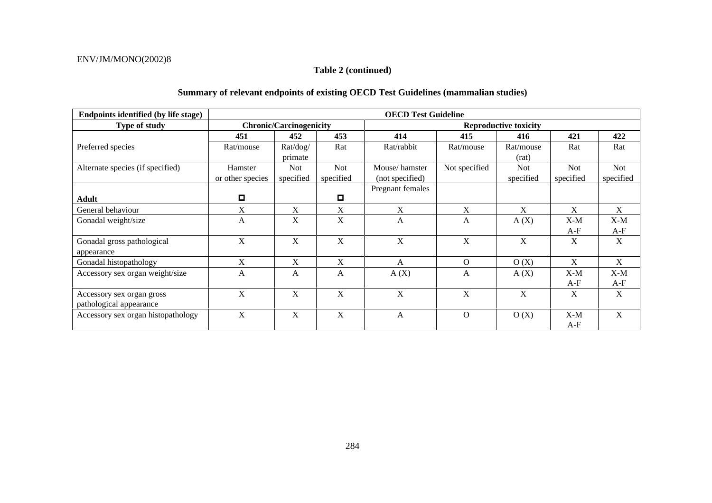## **Table 2 (continued)**

| Endpoints identified (by life stage)                 |                             | <b>OECD Test Guideline</b>     |                         |                                  |               |                              |                         |                  |  |  |  |  |
|------------------------------------------------------|-----------------------------|--------------------------------|-------------------------|----------------------------------|---------------|------------------------------|-------------------------|------------------|--|--|--|--|
| Type of study                                        |                             | <b>Chronic/Carcinogenicity</b> |                         |                                  |               | <b>Reproductive toxicity</b> |                         |                  |  |  |  |  |
|                                                      | 451                         | 452                            | 453                     | 414                              | 415           | 416                          | 421                     | 422              |  |  |  |  |
| Preferred species                                    | Rat/mouse                   | Rat/dog/<br>primate            | Rat                     | Rat/rabbit                       | Rat/mouse     | Rat/mouse<br>(rat)           | Rat                     | Rat              |  |  |  |  |
| Alternate species (if specified)                     | Hamster<br>or other species | <b>Not</b><br>specified        | <b>Not</b><br>specified | Mouse/hamster<br>(not specified) | Not specified | <b>Not</b><br>specified      | <b>Not</b><br>specified | Not<br>specified |  |  |  |  |
|                                                      |                             |                                |                         | Pregnant females                 |               |                              |                         |                  |  |  |  |  |
| <b>Adult</b>                                         | $\Box$                      |                                | $\Box$                  |                                  |               |                              |                         |                  |  |  |  |  |
| General behaviour                                    | X                           | X                              | X                       | $\mathbf X$                      | X             | X                            | X                       | X                |  |  |  |  |
| Gonadal weight/size                                  | A                           | $\boldsymbol{\mathrm{X}}$      | X                       | A                                | A             | A(X)                         | $X-M$                   | $X-M$            |  |  |  |  |
|                                                      |                             |                                |                         |                                  |               |                              | $A-F$                   | $A-F$            |  |  |  |  |
| Gonadal gross pathological<br>appearance             | X                           | $\boldsymbol{\mathrm{X}}$      | X                       | X                                | X             | X                            | X                       | X                |  |  |  |  |
| Gonadal histopathology                               | X                           | X                              | X                       | A                                | $\mathbf{O}$  | O(X)                         | X                       | X                |  |  |  |  |
| Accessory sex organ weight/size                      | A                           | A                              | $\mathbf{A}$            | A(X)                             | $\mathbf{A}$  | A(X)                         | $X-M$                   | X-M              |  |  |  |  |
|                                                      |                             |                                |                         |                                  |               |                              | $A-F$                   | $A-F$            |  |  |  |  |
| Accessory sex organ gross<br>pathological appearance | X                           | X                              | X                       | X                                | X             | X                            | X                       | X                |  |  |  |  |
| Accessory sex organ histopathology                   | X                           | X                              | X                       | A                                | $\mathbf{O}$  | O(X)                         | $X-M$<br>$A-F$          | X                |  |  |  |  |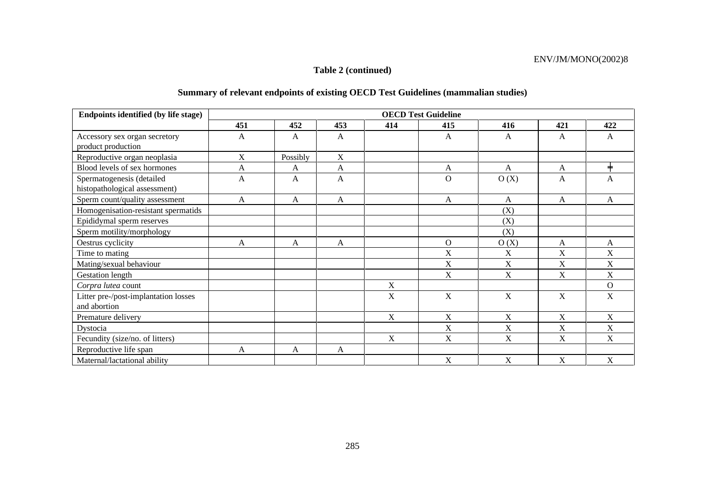## **Table 2 (continued)**

| Endpoints identified (by life stage)                 |     |          |             |                           | <b>OECD Test Guideline</b> |              |             |                           |
|------------------------------------------------------|-----|----------|-------------|---------------------------|----------------------------|--------------|-------------|---------------------------|
|                                                      | 451 | 452      | 453         | 414                       | 415                        | 416          | 421         | 422                       |
| Accessory sex organ secretory                        | A   | A        | A           |                           | A                          | A            | A           | A                         |
| product production                                   |     |          |             |                           |                            |              |             |                           |
| Reproductive organ neoplasia                         | X   | Possibly | $\mathbf X$ |                           |                            |              |             |                           |
| Blood levels of sex hormones                         | A   | A        | A           |                           | $\mathbf{A}$               | $\mathbf{A}$ | A           | ╪                         |
| Spermatogenesis (detailed                            | A   | A        | A           |                           | $\Omega$                   | O(X)         | A           | A                         |
| histopathological assessment)                        |     |          |             |                           |                            |              |             |                           |
| Sperm count/quality assessment                       | A   | A        | A           |                           | A                          | $\mathbf{A}$ | A           | A                         |
| Homogenisation-resistant spermatids                  |     |          |             |                           |                            | (X)          |             |                           |
| Epididymal sperm reserves                            |     |          |             |                           |                            | (X)          |             |                           |
| Sperm motility/morphology                            |     |          |             |                           |                            | (X)          |             |                           |
| Oestrus cyclicity                                    | A   | A        | A           |                           | $\mathbf{O}$               | O(X)         | A           | A                         |
| Time to mating                                       |     |          |             |                           | $\mathbf X$                | X            | $\mathbf X$ | X                         |
| Mating/sexual behaviour                              |     |          |             |                           | X                          | $\mathbf X$  | $\mathbf X$ | X                         |
| Gestation length                                     |     |          |             |                           | X                          | X            | $\mathbf X$ | X                         |
| Corpra lutea count                                   |     |          |             | X                         |                            |              |             | $\mathbf O$               |
| Litter pre-/post-implantation losses<br>and abortion |     |          |             | $\boldsymbol{\mathrm{X}}$ | $\mathbf X$                | X            | X           | X                         |
| Premature delivery                                   |     |          |             | $\mathbf X$               | $\mathbf X$                | $\mathbf X$  | $\mathbf X$ | X                         |
| Dystocia                                             |     |          |             |                           | $\mathbf X$                | X            | X           | X                         |
| Fecundity (size/no. of litters)                      |     |          |             | X                         | X                          | X            | $\mathbf X$ | $\boldsymbol{\mathrm{X}}$ |
| Reproductive life span                               | A   | A        | A           |                           |                            |              |             |                           |
| Maternal/lactational ability                         |     |          |             |                           | $\mathbf X$                | $\mathbf X$  | $\mathbf X$ | $\mathbf X$               |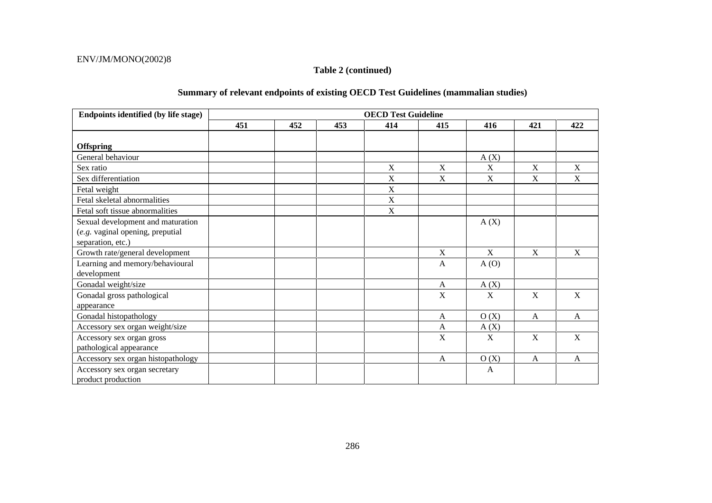## **Table 2 (continued)**

| Endpoints identified (by life stage) | <b>OECD Test Guideline</b> |     |     |             |                |                           |              |             |
|--------------------------------------|----------------------------|-----|-----|-------------|----------------|---------------------------|--------------|-------------|
|                                      | 451                        | 452 | 453 | 414         | 415            | 416                       | 421          | 422         |
|                                      |                            |     |     |             |                |                           |              |             |
| <b>Offspring</b>                     |                            |     |     |             |                |                           |              |             |
| General behaviour                    |                            |     |     |             |                | A(X)                      |              |             |
| Sex ratio                            |                            |     |     | $\mathbf X$ | $\mathbf X$    | $\boldsymbol{\mathrm{X}}$ | $\mathbf X$  | $\mathbf X$ |
| Sex differentiation                  |                            |     |     | $\mathbf X$ | $\mathbf X$    | $\boldsymbol{\mathrm{X}}$ | X            | $\mathbf X$ |
| Fetal weight                         |                            |     |     | $\mathbf X$ |                |                           |              |             |
| Fetal skeletal abnormalities         |                            |     |     | $\mathbf X$ |                |                           |              |             |
| Fetal soft tissue abnormalities      |                            |     |     | $\mathbf X$ |                |                           |              |             |
| Sexual development and maturation    |                            |     |     |             |                | A(X)                      |              |             |
| (e.g. vaginal opening, preputial     |                            |     |     |             |                |                           |              |             |
| separation, etc.)                    |                            |     |     |             |                |                           |              |             |
| Growth rate/general development      |                            |     |     |             | $\mathbf X$    | $\mathbf X$               | $\mathbf X$  | X           |
| Learning and memory/behavioural      |                            |     |     |             | $\overline{A}$ | A(0)                      |              |             |
| development                          |                            |     |     |             |                |                           |              |             |
| Gonadal weight/size                  |                            |     |     |             | A              | A(X)                      |              |             |
| Gonadal gross pathological           |                            |     |     |             | $\mathbf X$    | X                         | X            | X           |
| appearance                           |                            |     |     |             |                |                           |              |             |
| Gonadal histopathology               |                            |     |     |             | A              | O(X)                      | $\mathbf{A}$ | A           |
| Accessory sex organ weight/size      |                            |     |     |             | $\mathbf{A}$   | A(X)                      |              |             |
| Accessory sex organ gross            |                            |     |     |             | X              | X                         | X            | X           |
| pathological appearance              |                            |     |     |             |                |                           |              |             |
| Accessory sex organ histopathology   |                            |     |     |             | A              | O(X)                      | A            | A           |
| Accessory sex organ secretary        |                            |     |     |             |                | A                         |              |             |
| product production                   |                            |     |     |             |                |                           |              |             |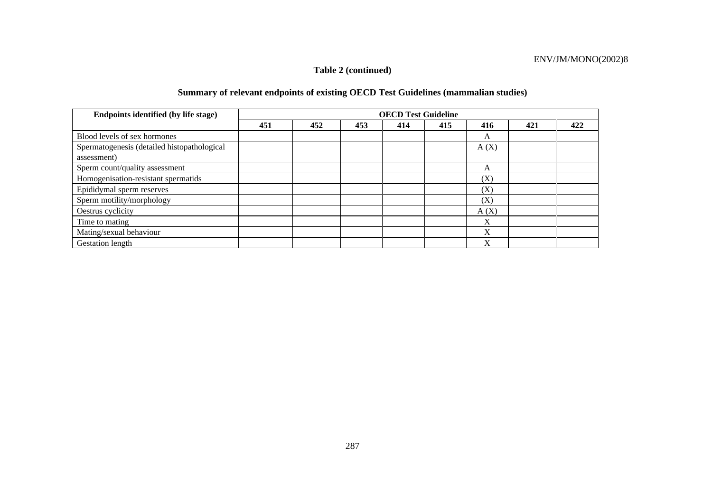## **Table 2 (continued)**

| Endpoints identified (by life stage)                       |     |     |     | <b>OECD Test Guideline</b> |     |                  |     |     |
|------------------------------------------------------------|-----|-----|-----|----------------------------|-----|------------------|-----|-----|
|                                                            | 451 | 452 | 453 | 414                        | 415 | 416              | 421 | 422 |
| Blood levels of sex hormones                               |     |     |     |                            |     | A                |     |     |
| Spermatogenesis (detailed histopathological<br>assessment) |     |     |     |                            |     | A(X)             |     |     |
| Sperm count/quality assessment                             |     |     |     |                            |     | A                |     |     |
| Homogenisation-resistant spermatids                        |     |     |     |                            |     | (X)              |     |     |
| Epididymal sperm reserves                                  |     |     |     |                            |     | (X)              |     |     |
| Sperm motility/morphology                                  |     |     |     |                            |     | (X)              |     |     |
| Oestrus cyclicity                                          |     |     |     |                            |     | A(X)             |     |     |
| Time to mating                                             |     |     |     |                            |     | $\mathbf v$<br>л |     |     |
| Mating/sexual behaviour                                    |     |     |     |                            |     | X                |     |     |
| Gestation length                                           |     |     |     |                            |     | X                |     |     |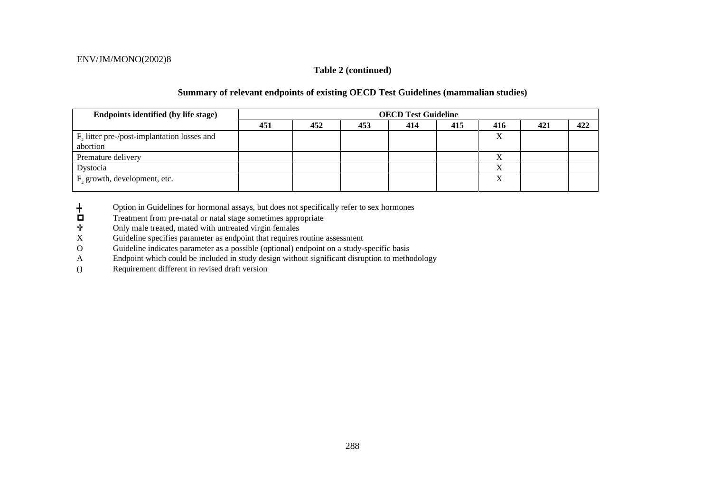## **Table 2 (continued)**

# **Summary of relevant endpoints of existing OECD Test Guidelines (mammalian studies)**

| Endpoints identified (by life stage)        |     | <b>OECD Test Guideline</b> |     |     |     |             |     |     |  |  |
|---------------------------------------------|-----|----------------------------|-----|-----|-----|-------------|-----|-----|--|--|
|                                             | 451 | 452                        | 453 | 414 | 415 | 416         | 421 | 422 |  |  |
| F, litter pre-/post-implantation losses and |     |                            |     |     |     | $\mathbf v$ |     |     |  |  |
| abortion                                    |     |                            |     |     |     |             |     |     |  |  |
| Premature delivery                          |     |                            |     |     |     |             |     |     |  |  |
| Dystocia                                    |     |                            |     |     |     | $\Lambda$   |     |     |  |  |
| F <sub>2</sub> growth, development, etc.    |     |                            |     |     |     | $\Lambda$   |     |     |  |  |

Option in Guidelines for hormonal assays, but does not specifically refer to sex hormones

 $\overset{+}{\Box}$ Treatment from pre-natal or natal stage sometimes appropriate

 유  $\hat{\mathbf{r}}$  Only male treated, mated with untreated virgin females<br>X Guideline specifies parameter as endpoint that requires i

X Guideline specifies parameter as endpoint that requires routine assessment<br>
O Guideline indicates parameter as a possible (optional) endpoint on a study-

O Guideline indicates parameter as a possible (optional) endpoint on a study-specific basis<br>A Endpoint which could be included in study design without significant disruption to method

A Endpoint which could be included in study design without significant disruption to methodology<br>() Requirement different in revised draft version

Requirement different in revised draft version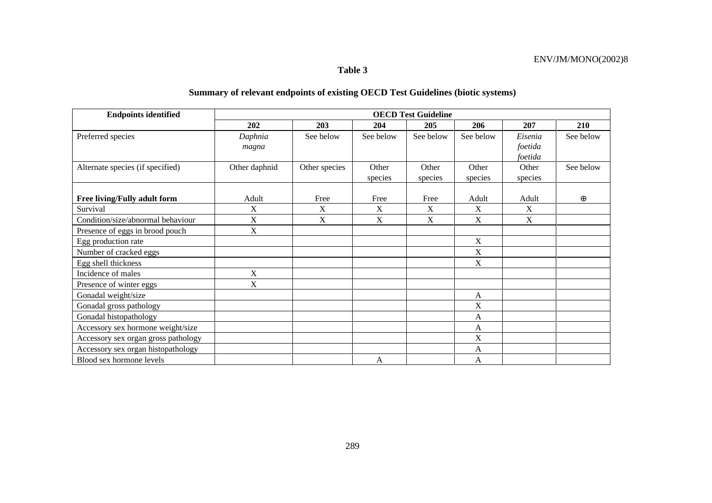#### **Table 3**

## **Summary of relevant endpoints of existing OECD Test Guidelines (biotic systems)**

| <b>Endpoints identified</b>         | <b>OECD Test Guideline</b> |               |             |           |                |             |           |  |  |  |
|-------------------------------------|----------------------------|---------------|-------------|-----------|----------------|-------------|-----------|--|--|--|
|                                     | 202                        | 203           | 204         | 205       | 206            | 207         | 210       |  |  |  |
| Preferred species                   | Daphnia                    | See below     | See below   | See below | See below      | Eisenia     | See below |  |  |  |
|                                     | magna                      |               |             |           |                | foetida     |           |  |  |  |
|                                     |                            |               |             |           |                | foetida     |           |  |  |  |
| Alternate species (if specified)    | Other daphnid              | Other species | Other       | Other     | Other          | Other       | See below |  |  |  |
|                                     |                            |               | species     | species   | species        | species     |           |  |  |  |
|                                     |                            |               |             |           |                |             |           |  |  |  |
| Free living/Fully adult form        | Adult                      | Free          | Free        | Free      | Adult          | Adult       | $\oplus$  |  |  |  |
| Survival                            | X                          | X             | $\mathbf X$ | X         | X              | $\mathbf X$ |           |  |  |  |
| Condition/size/abnormal behaviour   | X                          | $\mathbf X$   | X           | X         | $\mathbf X$    | $\mathbf X$ |           |  |  |  |
| Presence of eggs in brood pouch     | $\mathbf X$                |               |             |           |                |             |           |  |  |  |
| Egg production rate                 |                            |               |             |           | X              |             |           |  |  |  |
| Number of cracked eggs              |                            |               |             |           | $\mathbf X$    |             |           |  |  |  |
| Egg shell thickness                 |                            |               |             |           | X              |             |           |  |  |  |
| Incidence of males                  | $\mathbf X$                |               |             |           |                |             |           |  |  |  |
| Presence of winter eggs             | X                          |               |             |           |                |             |           |  |  |  |
| Gonadal weight/size                 |                            |               |             |           | $\overline{A}$ |             |           |  |  |  |
| Gonadal gross pathology             |                            |               |             |           | X              |             |           |  |  |  |
| Gonadal histopathology              |                            |               |             |           | A              |             |           |  |  |  |
| Accessory sex hormone weight/size   |                            |               |             |           | $\overline{A}$ |             |           |  |  |  |
| Accessory sex organ gross pathology |                            |               |             |           | X              |             |           |  |  |  |
| Accessory sex organ histopathology  |                            |               |             |           | A              |             |           |  |  |  |
| Blood sex hormone levels            |                            |               | A           |           | $\mathbf{A}$   |             |           |  |  |  |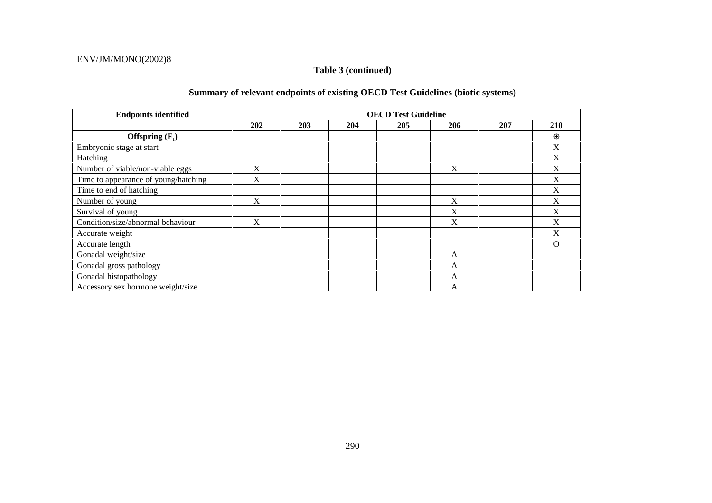## **Summary of relevant endpoints of existing OECD Test Guidelines (biotic systems)**

| <b>Endpoints identified</b>          | <b>OECD Test Guideline</b> |     |     |     |     |     |            |  |
|--------------------------------------|----------------------------|-----|-----|-----|-----|-----|------------|--|
|                                      | <b>202</b>                 | 203 | 204 | 205 | 206 | 207 | <b>210</b> |  |
| Offspring $(F_1)$                    |                            |     |     |     |     |     | $\oplus$   |  |
| Embryonic stage at start             |                            |     |     |     |     |     | X          |  |
| Hatching                             |                            |     |     |     |     |     | X          |  |
| Number of viable/non-viable eggs     | X                          |     |     |     | X   |     | X          |  |
| Time to appearance of young/hatching | X                          |     |     |     |     |     | X          |  |
| Time to end of hatching              |                            |     |     |     |     |     | X          |  |
| Number of young                      | X                          |     |     |     | X   |     | X          |  |
| Survival of young                    |                            |     |     |     | X   |     | X          |  |
| Condition/size/abnormal behaviour    | X                          |     |     |     | X   |     | X          |  |
| Accurate weight                      |                            |     |     |     |     |     | X          |  |
| Accurate length                      |                            |     |     |     |     |     | O          |  |
| Gonadal weight/size                  |                            |     |     |     | A   |     |            |  |
| Gonadal gross pathology              |                            |     |     |     | A   |     |            |  |
| Gonadal histopathology               |                            |     |     |     | A   |     |            |  |
| Accessory sex hormone weight/size    |                            |     |     |     | A   |     |            |  |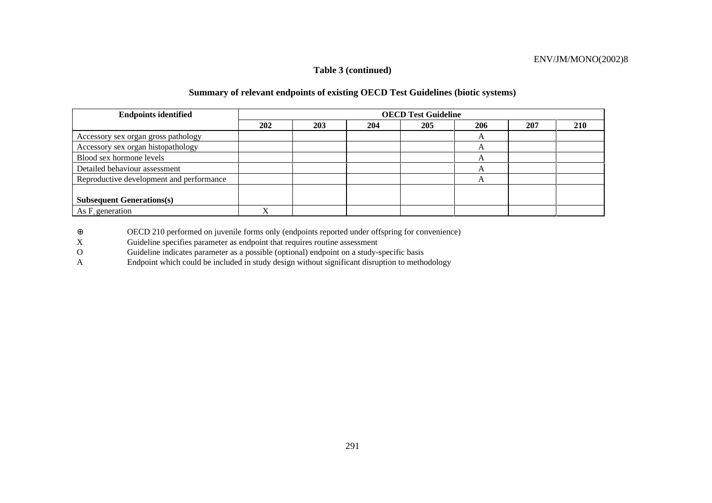#### **Table 3 (continued)**

#### **Summary of relevant endpoints of existing OECD Test Guidelines (biotic systems)**

| <b>Endpoints identified</b>              | <b>OECD Test Guideline</b> |     |     |     |     |     |            |
|------------------------------------------|----------------------------|-----|-----|-----|-----|-----|------------|
|                                          | <b>202</b>                 | 203 | 204 | 205 | 206 | 207 | <b>210</b> |
| Accessory sex organ gross pathology      |                            |     |     |     | Α   |     |            |
| Accessory sex organ histopathology       |                            |     |     |     |     |     |            |
| Blood sex hormone levels                 |                            |     |     |     |     |     |            |
| Detailed behaviour assessment            |                            |     |     |     |     |     |            |
| Reproductive development and performance |                            |     |     |     |     |     |            |
|                                          |                            |     |     |     |     |     |            |
| <b>Subsequent Generations(s)</b>         |                            |     |     |     |     |     |            |
| As $F_1$ generation                      |                            |     |     |     |     |     |            |

⊕OECD 210 performed on juvenile forms only (endpoints reported under offspring for convenience)

X Guideline specifies parameter as endpoint that requires routine assessment

O Guideline indicates parameter as a possible (optional) endpoint on a study-specific basis

A Endpoint which could be included in study design without significant disruption to methodology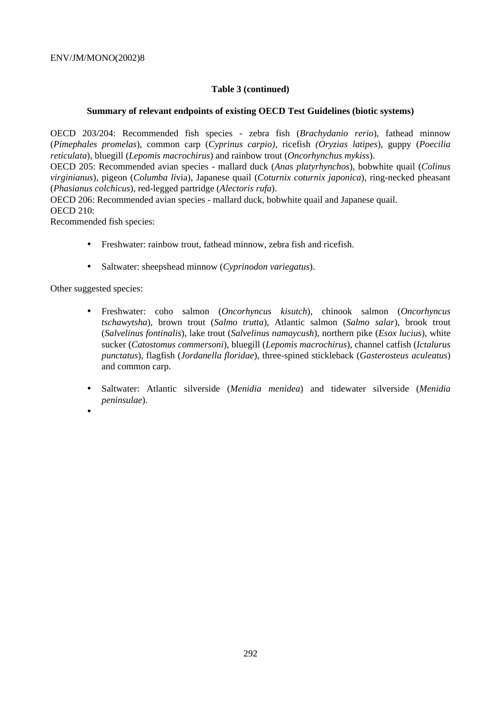#### **Summary of relevant endpoints of existing OECD Test Guidelines (biotic systems)**

OECD 203/204: Recommended fish species - zebra fish (*Brachydanio rerio*), fathead minnow (*Pimephales promelas*), common carp (*Cyprinus carpio),* ricefish *(Oryzias latipes*), guppy (*Poecilia reticulata*), bluegill (*Lepomis macrochirus*) and rainbow trout (*Oncorhynchus mykiss*).

OECD 205: Recommended avian species - mallard duck (*Anas platyrhynchos*), bobwhite quail (*Colinus virginianus*), pigeon (*Columba li*via), Japanese quail (*Coturnix coturnix japonica*), ring-necked pheasant (*Phasianus colchicus*), red-legged partridge (*Alectoris rufa*).

OECD 206: Recommended avian species - mallard duck, bobwhite quail and Japanese quail. OECD 210:

Recommended fish species:

- Freshwater: rainbow trout, fathead minnow, zebra fish and ricefish.
- Saltwater: sheepshead minnow (*Cyprinodon variegatus*).

Other suggested species:

- Freshwater: coho salmon (*Oncorhyncus kisutch*), chinook salmon (*Oncorhyncus tschawytsha*), brown trout (*Salmo trutta*), Atlantic salmon (*Salmo salar*), brook trout (*Salvelinus fontinalis*), lake trout (*Salvelinus namaycush*), northern pike (*Esox lucius*), white sucker (*Catostomus commersoni*), bluegill (*Lepomis macrochirus*), channel catfish (*Ictalurus punctatus*), flagfish (*Jordanella floridae*), three-spined stickleback (*Gasterosteus aculeatus*) and common carp.
- Saltwater: Atlantic silverside (*Menidia menidea*) and tidewater silverside (*Menidia peninsulae*).
- •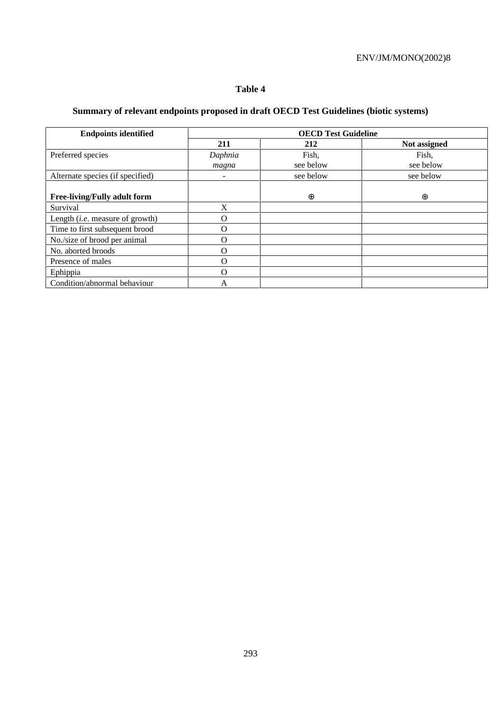#### **Table 4**

# **Summary of relevant endpoints proposed in draft OECD Test Guidelines (biotic systems)**

| <b>Endpoints identified</b>       | <b>OECD Test Guideline</b> |           |              |  |  |  |  |  |  |
|-----------------------------------|----------------------------|-----------|--------------|--|--|--|--|--|--|
|                                   | 211                        | 212       | Not assigned |  |  |  |  |  |  |
| Preferred species                 | Daphnia                    | Fish,     | Fish,        |  |  |  |  |  |  |
|                                   | magna                      | see below | see below    |  |  |  |  |  |  |
| Alternate species (if specified)  |                            | see below | see below    |  |  |  |  |  |  |
|                                   |                            |           |              |  |  |  |  |  |  |
| Free-living/Fully adult form      |                            | $\oplus$  | $\oplus$     |  |  |  |  |  |  |
| Survival                          | X                          |           |              |  |  |  |  |  |  |
| Length $(i.e.$ measure of growth) | O                          |           |              |  |  |  |  |  |  |
| Time to first subsequent brood    | O                          |           |              |  |  |  |  |  |  |
| No./size of brood per animal      | $\Omega$                   |           |              |  |  |  |  |  |  |
| No. aborted broods                | O                          |           |              |  |  |  |  |  |  |
| Presence of males                 | O                          |           |              |  |  |  |  |  |  |
| Ephippia                          | $\Omega$                   |           |              |  |  |  |  |  |  |
| Condition/abnormal behaviour      | A                          |           |              |  |  |  |  |  |  |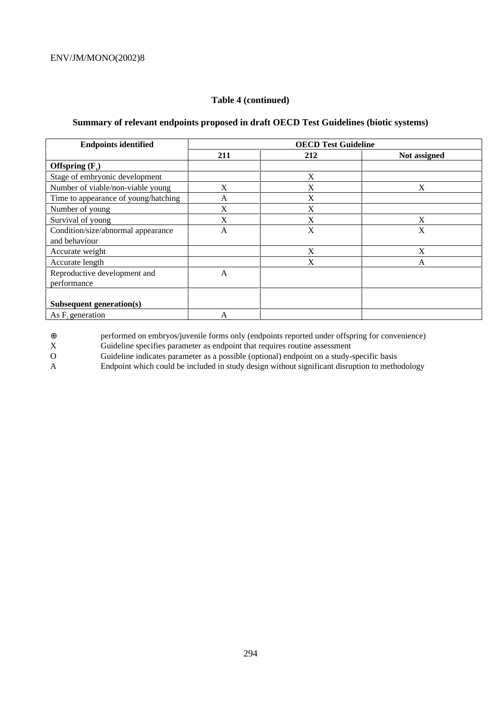#### **Summary of relevant endpoints proposed in draft OECD Test Guidelines (biotic systems)**

| <b>Endpoints identified</b>          | <b>OECD Test Guideline</b> |     |              |  |  |  |  |  |
|--------------------------------------|----------------------------|-----|--------------|--|--|--|--|--|
|                                      | 211                        | 212 | Not assigned |  |  |  |  |  |
| Offspring $(F_1)$                    |                            |     |              |  |  |  |  |  |
| Stage of embryonic development       |                            | X   |              |  |  |  |  |  |
| Number of viable/non-viable young    | X                          | X   | X            |  |  |  |  |  |
| Time to appearance of young/hatching | A                          | X   |              |  |  |  |  |  |
| Number of young                      | X                          | X   |              |  |  |  |  |  |
| Survival of young                    | X                          | X   | $\mathbf{X}$ |  |  |  |  |  |
| Condition/size/abnormal appearance   | A                          | X   | X            |  |  |  |  |  |
| and behaviour                        |                            |     |              |  |  |  |  |  |
| Accurate weight                      |                            | X   | X            |  |  |  |  |  |
| Accurate length                      |                            | X   | A            |  |  |  |  |  |
| Reproductive development and         | A                          |     |              |  |  |  |  |  |
| performance                          |                            |     |              |  |  |  |  |  |
|                                      |                            |     |              |  |  |  |  |  |
| Subsequent generation(s)             |                            |     |              |  |  |  |  |  |
| As $F_1$ generation                  | A                          |     |              |  |  |  |  |  |

⊕ performed on embryos/juvenile forms only (endpoints reported under offspring for convenience)<br>
Suideline specifies parameter as endpoint that requires routine assessment

X Guideline specifies parameter as endpoint that requires routine assessment<br>O Guideline indicates parameter as a possible (optional) endpoint on a study-

O Guideline indicates parameter as a possible (optional) endpoint on a study-specific basis

Endpoint which could be included in study design without significant disruption to methodology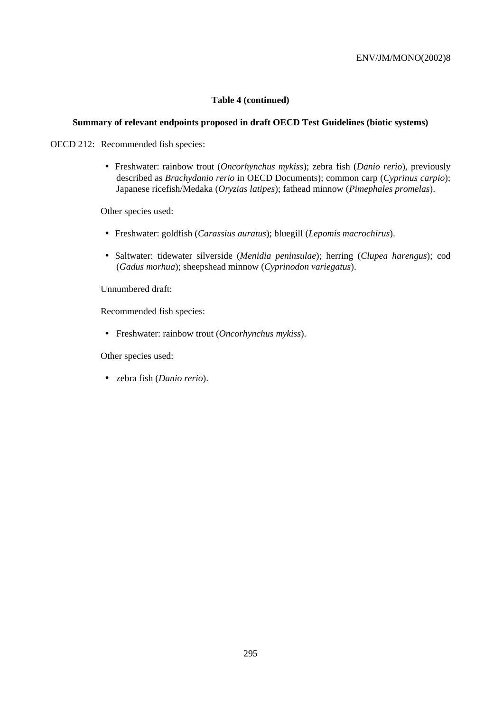### **Summary of relevant endpoints proposed in draft OECD Test Guidelines (biotic systems)**

OECD 212: Recommended fish species:

• Freshwater: rainbow trout (*Oncorhynchus mykiss*); zebra fish (*Danio rerio*)*,* previously described as *Brachydanio rerio* in OECD Documents); common carp (*Cyprinus carpio*); Japanese ricefish/Medaka (*Oryzias latipes*); fathead minnow (*Pimephales promelas*).

Other species used:

- Freshwater: goldfish (*Carassius auratus*); bluegill (*Lepomis macrochirus*).
- Saltwater: tidewater silverside (*Menidia peninsulae*); herring (*Clupea harengus*); cod (*Gadus morhua*); sheepshead minnow (*Cyprinodon variegatus*).

Unnumbered draft:

Recommended fish species:

• Freshwater: rainbow trout (*Oncorhynchus mykiss*).

Other species used:

• zebra fish (*Danio rerio*).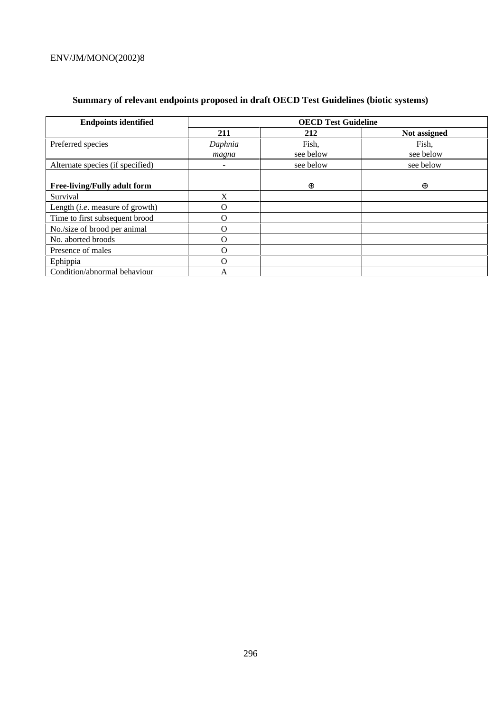| <b>Endpoints identified</b>       |          | <b>OECD Test Guideline</b> |              |
|-----------------------------------|----------|----------------------------|--------------|
|                                   | 211      | 212                        | Not assigned |
| Preferred species                 | Daphnia  | Fish,                      | Fish,        |
|                                   | magna    | see below                  | see below    |
| Alternate species (if specified)  | -        | see below                  | see below    |
| Free-living/Fully adult form      |          | $\oplus$                   | $\oplus$     |
| Survival                          | X        |                            |              |
| Length $(i.e.$ measure of growth) | $\Omega$ |                            |              |
| Time to first subsequent brood    | O        |                            |              |
| No./size of brood per animal      | O        |                            |              |
| No. aborted broods                | $\Omega$ |                            |              |
| Presence of males                 | $\Omega$ |                            |              |
| Ephippia                          | $\Omega$ |                            |              |
| Condition/abnormal behaviour      | Α        |                            |              |

# **Summary of relevant endpoints proposed in draft OECD Test Guidelines (biotic systems)**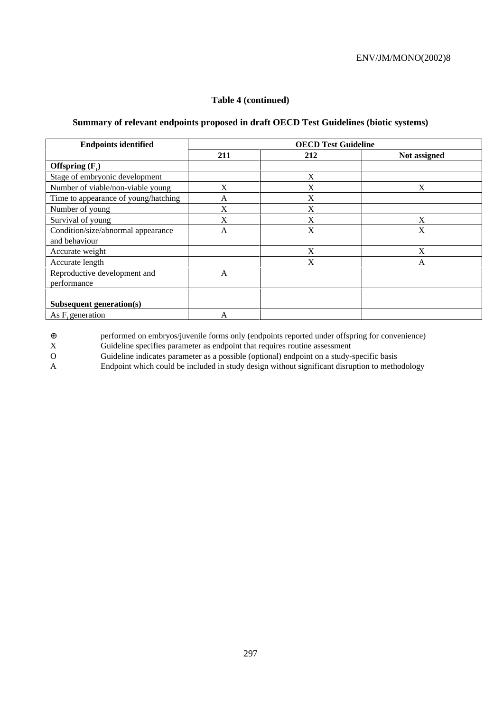#### **Summary of relevant endpoints proposed in draft OECD Test Guidelines (biotic systems)**

| <b>Endpoints identified</b>          |     | <b>OECD Test Guideline</b> |              |
|--------------------------------------|-----|----------------------------|--------------|
|                                      | 211 | 212                        | Not assigned |
| Offspring $(F_1)$                    |     |                            |              |
| Stage of embryonic development       |     | X                          |              |
| Number of viable/non-viable young    | X   | X                          | X            |
| Time to appearance of young/hatching | A   | X                          |              |
| Number of young                      | X   | X                          |              |
| Survival of young                    | X   | X                          | $\mathbf{X}$ |
| Condition/size/abnormal appearance   | A   | $\boldsymbol{\mathrm{X}}$  | X            |
| and behaviour                        |     |                            |              |
| Accurate weight                      |     | X                          | X            |
| Accurate length                      |     | X                          | A            |
| Reproductive development and         | A   |                            |              |
| performance                          |     |                            |              |
|                                      |     |                            |              |
| Subsequent generation(s)             |     |                            |              |
| As $F_1$ generation                  | A   |                            |              |

⊕ performed on embryos/juvenile forms only (endpoints reported under offspring for convenience)<br>
Suideline specifies parameter as endpoint that requires routine assessment

X<br>Guideline specifies parameter as endpoint that requires routine assessment<br>O Guideline indicates parameter as a possible (optional) endpoint on a study-

O Guideline indicates parameter as a possible (optional) endpoint on a study-specific basis

Endpoint which could be included in study design without significant disruption to methodology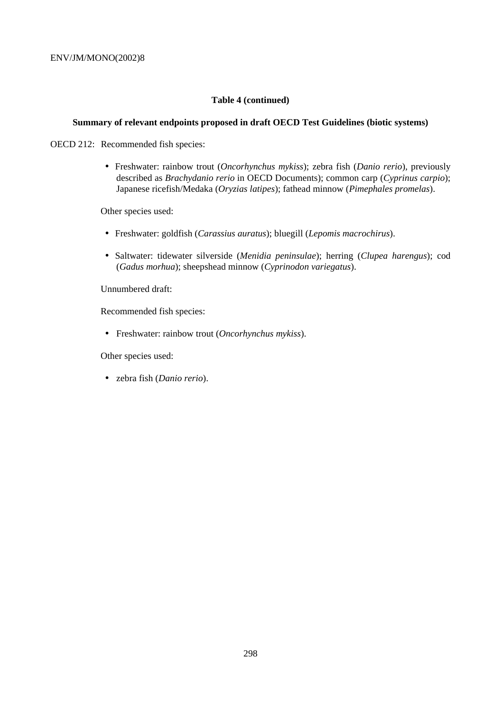### **Summary of relevant endpoints proposed in draft OECD Test Guidelines (biotic systems)**

OECD 212: Recommended fish species:

• Freshwater: rainbow trout (*Oncorhynchus mykiss*); zebra fish (*Danio rerio*)*,* previously described as *Brachydanio rerio* in OECD Documents); common carp (*Cyprinus carpio*); Japanese ricefish/Medaka (*Oryzias latipes*); fathead minnow (*Pimephales promelas*).

Other species used:

- Freshwater: goldfish (*Carassius auratus*); bluegill (*Lepomis macrochirus*).
- Saltwater: tidewater silverside (*Menidia peninsulae*); herring (*Clupea harengus*); cod (*Gadus morhua*); sheepshead minnow (*Cyprinodon variegatus*).

Unnumbered draft:

Recommended fish species:

• Freshwater: rainbow trout (*Oncorhynchus mykiss*).

Other species used:

• zebra fish (*Danio rerio*).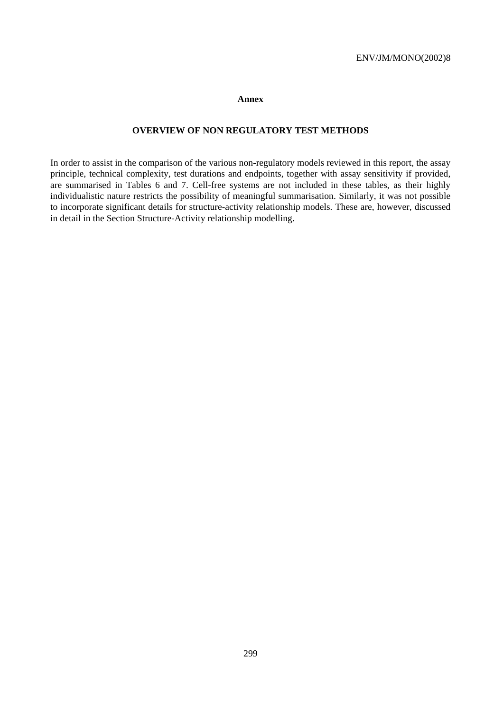#### **Annex**

#### **OVERVIEW OF NON REGULATORY TEST METHODS**

In order to assist in the comparison of the various non-regulatory models reviewed in this report, the assay principle, technical complexity, test durations and endpoints, together with assay sensitivity if provided, are summarised in Tables 6 and 7. Cell-free systems are not included in these tables, as their highly individualistic nature restricts the possibility of meaningful summarisation. Similarly, it was not possible to incorporate significant details for structure-activity relationship models. These are, however, discussed in detail in the Section Structure-Activity relationship modelling.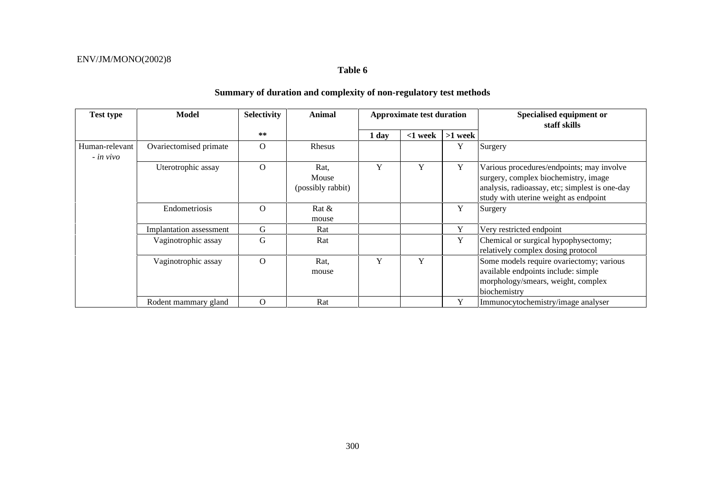#### **Table 6**

| <b>Test type</b>              | <b>Model</b>            | <b>Selectivity</b> | <b>Animal</b>                      |       | <b>Approximate test duration</b> |             | Specialised equipment or<br>staff skills                                                                                                                                     |
|-------------------------------|-------------------------|--------------------|------------------------------------|-------|----------------------------------|-------------|------------------------------------------------------------------------------------------------------------------------------------------------------------------------------|
|                               |                         | **                 |                                    | 1 day | $<$ 1 week                       | $>1$ week   |                                                                                                                                                                              |
| Human-relevant<br>$-$ in vivo | Ovariectomised primate  | $\Omega$           | Rhesus                             |       |                                  | Y           | Surgery                                                                                                                                                                      |
|                               | Uterotrophic assay      | $\Omega$           | Rat,<br>Mouse<br>(possibly rabbit) | Y     | Y                                | $\mathbf Y$ | Various procedures/endpoints; may involve<br>surgery, complex biochemistry, image<br>analysis, radioassay, etc; simplest is one-day<br>study with uterine weight as endpoint |
|                               | Endometriosis           | $\Omega$           | $\operatorname{Rat} \&$<br>mouse   |       |                                  | Y           | Surgery                                                                                                                                                                      |
|                               | Implantation assessment | G                  | Rat                                |       |                                  | Y           | Very restricted endpoint                                                                                                                                                     |
|                               | Vaginotrophic assay     | G                  | Rat                                |       |                                  | Y           | Chemical or surgical hypophysectomy;<br>relatively complex dosing protocol                                                                                                   |
|                               | Vaginotrophic assay     | $\overline{O}$     | Rat,<br>mouse                      | Y     | Y                                |             | Some models require ovariectomy; various<br>available endpoints include: simple<br>morphology/smears, weight, complex<br>biochemistry                                        |
|                               | Rodent mammary gland    | $\Omega$           | Rat                                |       |                                  | Y           | Immunocytochemistry/image analyser                                                                                                                                           |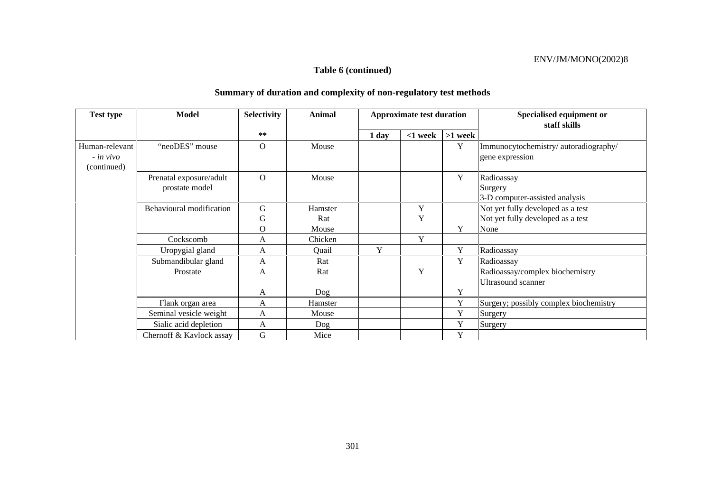## **Table 6 (continued)**

| <b>Test type</b>                             | <b>Model</b>                              | <b>Selectivity</b> | <b>Animal</b> | <b>Approximate test duration</b> |            |             | Specialised equipment or<br>staff skills                     |
|----------------------------------------------|-------------------------------------------|--------------------|---------------|----------------------------------|------------|-------------|--------------------------------------------------------------|
|                                              |                                           | **                 |               | 1 day                            | $<$ 1 week | $>1$ week   |                                                              |
| Human-relevant<br>$-$ in vivo<br>(continued) | "neoDES" mouse                            | $\Omega$           | Mouse         |                                  |            | Y           | Immunocytochemistry/autoradiography/<br>gene expression      |
|                                              | Prenatal exposure/adult<br>prostate model | $\Omega$           | Mouse         |                                  |            | Y           | Radioassay<br>Surgery<br>3-D computer-assisted analysis      |
|                                              | Behavioural modification                  | G                  | Hamster       |                                  | Y          |             | Not yet fully developed as a test                            |
|                                              |                                           | G                  | Rat           |                                  | Y          |             | Not yet fully developed as a test                            |
|                                              |                                           | O                  | Mouse         |                                  |            | Y           | None                                                         |
|                                              | Cockscomb                                 | A                  | Chicken       |                                  | Y          |             |                                                              |
|                                              | Uropygial gland                           | A                  | Quail         | Y                                |            | Y           | Radioassay                                                   |
|                                              | Submandibular gland                       | A                  | Rat           |                                  |            | Y           | Radioassay                                                   |
|                                              | Prostate                                  | A                  | Rat           |                                  | Y          |             | Radioassay/complex biochemistry<br><b>Ultrasound scanner</b> |
|                                              |                                           | A                  | Dog           |                                  |            | Y           |                                                              |
|                                              | Flank organ area                          | A                  | Hamster       |                                  |            | Y           | Surgery; possibly complex biochemistry                       |
|                                              | Seminal vesicle weight                    | A                  | Mouse         |                                  |            | $\mathbf Y$ | Surgery                                                      |
|                                              | Sialic acid depletion                     | A                  | Dog           |                                  |            | Y           | Surgery                                                      |
|                                              | Chernoff & Kavlock assay                  | $\mathbf G$        | Mice          |                                  |            | Y           |                                                              |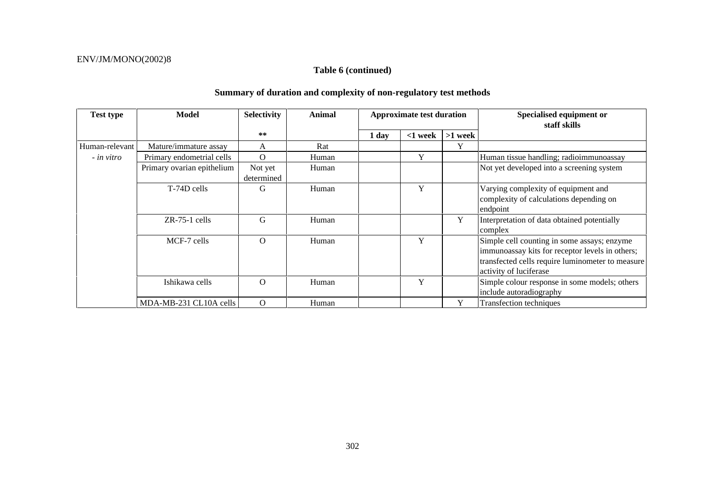| <b>Test type</b> | <b>Model</b>               | <b>Selectivity</b>    | Animal | <b>Approximate test duration</b> |            |           | Specialised equipment or<br>staff skills                                                                                                                                     |
|------------------|----------------------------|-----------------------|--------|----------------------------------|------------|-----------|------------------------------------------------------------------------------------------------------------------------------------------------------------------------------|
|                  |                            | **                    |        | 1 day                            | $<$ 1 week | $>1$ week |                                                                                                                                                                              |
| Human-relevant   | Mature/immature assay      | A                     | Rat    |                                  |            | Y         |                                                                                                                                                                              |
| - in vitro       | Primary endometrial cells  | $\Omega$              | Human  |                                  | Y          |           | Human tissue handling; radioimmunoassay                                                                                                                                      |
|                  | Primary ovarian epithelium | Not yet<br>determined | Human  |                                  |            |           | Not yet developed into a screening system                                                                                                                                    |
|                  | T-74D cells                | G                     | Human  |                                  | Y          |           | Varying complexity of equipment and<br>complexity of calculations depending on<br>endpoint                                                                                   |
|                  | $ZR-75-1$ cells            | G                     | Human  |                                  |            | Y         | Interpretation of data obtained potentially<br>complex                                                                                                                       |
|                  | MCF-7 cells                | $\Omega$              | Human  |                                  | Y          |           | Simple cell counting in some assays; enzyme<br>immunoassay kits for receptor levels in others;<br>transfected cells require luminometer to measure<br>activity of luciferase |
|                  | Ishikawa cells             | $\Omega$              | Human  |                                  | Y          |           | Simple colour response in some models; others<br>include autoradiography                                                                                                     |
|                  | MDA-MB-231 CL10A cells     | $\Omega$              | Human  |                                  |            | Y         | Transfection techniques                                                                                                                                                      |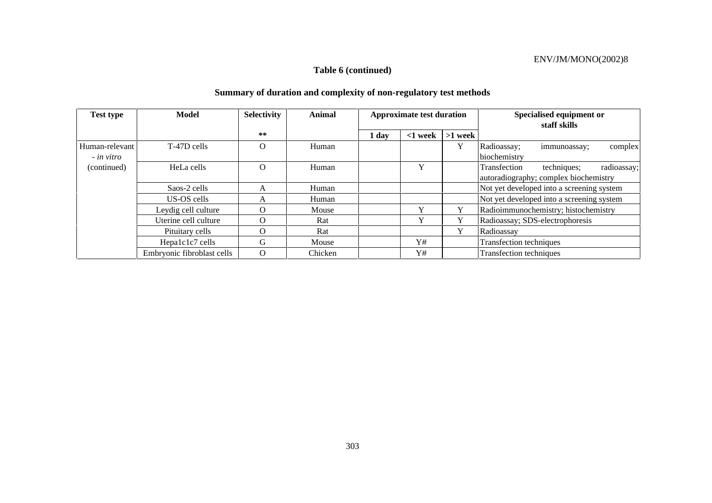## **Table 6 (continued)**

| <b>Test type</b> | Model                      | <b>Selectivity</b> | Animal  | <b>Approximate test duration</b> |              |              | Specialised equipment or<br>staff skills   |
|------------------|----------------------------|--------------------|---------|----------------------------------|--------------|--------------|--------------------------------------------|
|                  |                            | $**$               |         | 1 day                            | $<$ 1 week   | $>1$ week    |                                            |
| Human-relevant   | T-47D cells                | $\Omega$           | Human   |                                  |              | Y            | Radioassay;<br>complex<br>immunoassay;     |
| <i>in vitro</i>  |                            |                    |         |                                  |              |              | biochemistry                               |
| (continued)      | HeLa cells                 | $\Omega$           | Human   |                                  | Y            |              | techniques;<br>Transfection<br>radioassay; |
|                  |                            |                    |         |                                  |              |              | autoradiography; complex biochemistry      |
|                  | Saos-2 cells               | А                  | Human   |                                  |              |              | Not yet developed into a screening system  |
|                  | US-OS cells                | А                  | Human   |                                  |              |              | Not yet developed into a screening system  |
|                  | Leydig cell culture        | $\Omega$           | Mouse   |                                  | $\mathbf{v}$ | Y            | Radioimmunochemistry; histochemistry       |
|                  | Uterine cell culture       | $\Omega$           | Rat     |                                  | v            | $\mathbf{v}$ | Radioassay; SDS-electrophoresis            |
|                  | Pituitary cells            | $\Omega$           | Rat     |                                  |              | $\mathbf{v}$ | Radioassav                                 |
|                  | Hepa1c1c7 cells            | G                  | Mouse   |                                  | Y#           |              | Transfection techniques                    |
|                  | Embryonic fibroblast cells | $\Omega$           | Chicken |                                  | Y#           |              | Transfection techniques                    |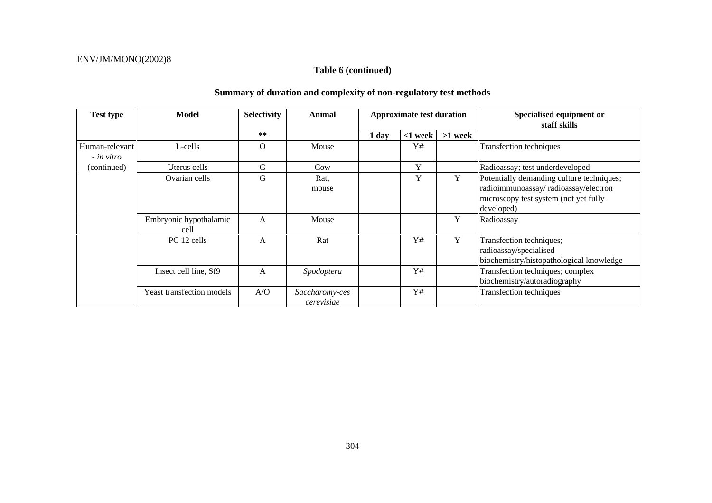| <b>Test type</b>                    | Model                          | <b>Selectivity</b> | <b>Animal</b>                | <b>Approximate test duration</b> |            |           | Specialised equipment or<br>staff skills                                                                                                 |
|-------------------------------------|--------------------------------|--------------------|------------------------------|----------------------------------|------------|-----------|------------------------------------------------------------------------------------------------------------------------------------------|
|                                     |                                | $**$               |                              | 1 day                            | $<$ 1 week | $>1$ week |                                                                                                                                          |
| Human-relevant<br><i>- in vitro</i> | L-cells                        | $\Omega$           | Mouse                        |                                  | Y#         |           | Transfection techniques                                                                                                                  |
| (continued)                         | Uterus cells                   | G                  | Cow                          |                                  | Y          |           | Radioassay; test underdeveloped                                                                                                          |
|                                     | Ovarian cells                  | G                  | Rat,<br>mouse                |                                  | Y          | Y         | Potentially demanding culture techniques;<br>radioimmunoassay/radioassay/electron<br>microscopy test system (not yet fully<br>developed) |
|                                     | Embryonic hypothalamic<br>cell | A                  | Mouse                        |                                  |            | Y         | Radioassay                                                                                                                               |
|                                     | PC 12 cells                    | A                  | Rat                          |                                  | Y#         | Y         | Transfection techniques;<br>radioassay/specialised<br>biochemistry/histopathological knowledge                                           |
|                                     | Insect cell line, Sf9          | A                  | Spodoptera                   |                                  | Y#         |           | Transfection techniques; complex<br>biochemistry/autoradiography                                                                         |
|                                     | Yeast transfection models      | A/O                | Saccharomy-ces<br>cerevisiae |                                  | Y#         |           | Transfection techniques                                                                                                                  |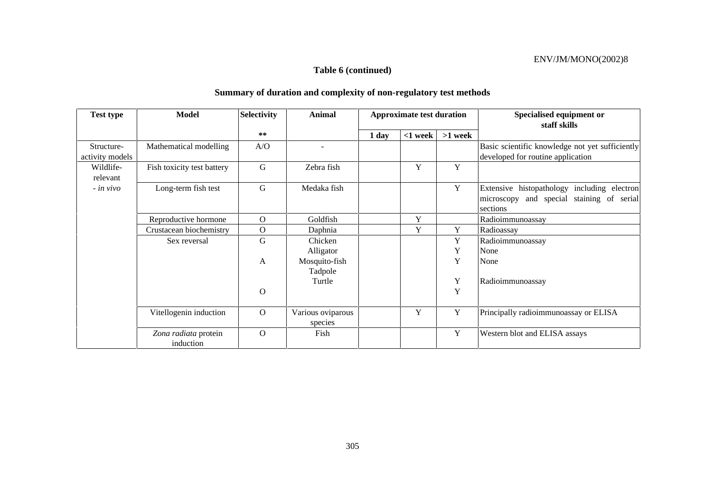## **Table 6 (continued)**

| <b>Test type</b>              | <b>Model</b>                      | <b>Selectivity</b> | <b>Animal</b>                | <b>Approximate test duration</b> |            |           | Specialised equipment or<br>staff skills                                                             |
|-------------------------------|-----------------------------------|--------------------|------------------------------|----------------------------------|------------|-----------|------------------------------------------------------------------------------------------------------|
|                               |                                   | **                 |                              | 1 day                            | $<$ 1 week | $>1$ week |                                                                                                      |
| Structure-<br>activity models | Mathematical modelling            | A/O                |                              |                                  |            |           | Basic scientific knowledge not yet sufficiently<br>developed for routine application                 |
| Wildlife-<br>relevant         | Fish toxicity test battery        | G                  | Zebra fish                   |                                  | Y          | Y         |                                                                                                      |
| $-$ in vivo                   | Long-term fish test               | G                  | Medaka fish                  |                                  |            | Y         | Extensive histopathology including electron<br>microscopy and special staining of serial<br>sections |
|                               | Reproductive hormone              | $\overline{O}$     | Goldfish                     |                                  | Y          |           | Radioimmunoassay                                                                                     |
|                               | Crustacean biochemistry           | $\mathbf{O}$       | Daphnia                      |                                  | Y          | Y         | Radioassay                                                                                           |
|                               | Sex reversal                      | G                  | Chicken                      |                                  |            | Y         | Radioimmunoassay                                                                                     |
|                               |                                   |                    | Alligator                    |                                  |            | Y         | None                                                                                                 |
|                               |                                   | $\mathbf{A}$       | Mosquito-fish<br>Tadpole     |                                  |            | Y         | None                                                                                                 |
|                               |                                   |                    | Turtle                       |                                  |            | Y         | Radioimmunoassay                                                                                     |
|                               |                                   | $\Omega$           |                              |                                  |            | Y         |                                                                                                      |
|                               | Vitellogenin induction            | $\Omega$           | Various oviparous<br>species |                                  | Y          | Y         | Principally radioimmunoassay or ELISA                                                                |
|                               | Zona radiata protein<br>induction | $\Omega$           | Fish                         |                                  |            | Y         | Western blot and ELISA assays                                                                        |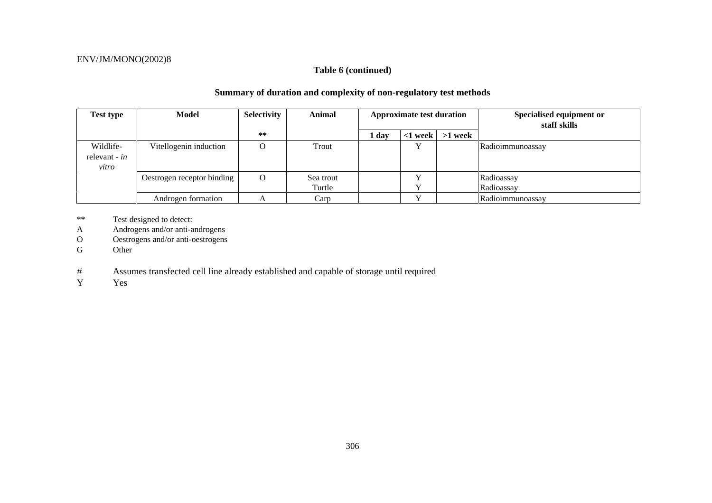#### **Summary of duration and complexity of non-regulatory test methods**

| <b>Test type</b>                      | <b>Model</b>               | <b>Selectivity</b> | Animal              | <b>Approximate test duration</b> |                        |           | Specialised equipment or<br>staff skills |
|---------------------------------------|----------------------------|--------------------|---------------------|----------------------------------|------------------------|-----------|------------------------------------------|
|                                       |                            | **                 |                     | dav.                             | $<$ 1 week $\parallel$ | $>1$ week |                                          |
| Wildlife-<br>relevant - $in$<br>vitro | Vitellogenin induction     |                    | Trout               |                                  |                        |           | Radioimmunoassay                         |
|                                       | Oestrogen receptor binding | O                  | Sea trout<br>Turtle |                                  |                        |           | Radioassay<br>Radioassay                 |
|                                       | Androgen formation         |                    | Carp                |                                  |                        |           | Radioimmunoassav                         |

\*\*Test designed to detect:

A Androgens and/or anti-androgens

O Oestrogens and/or anti-oestrogens

G Other

# Assumes transfected cell line already established and capable of storage until required

Y Yes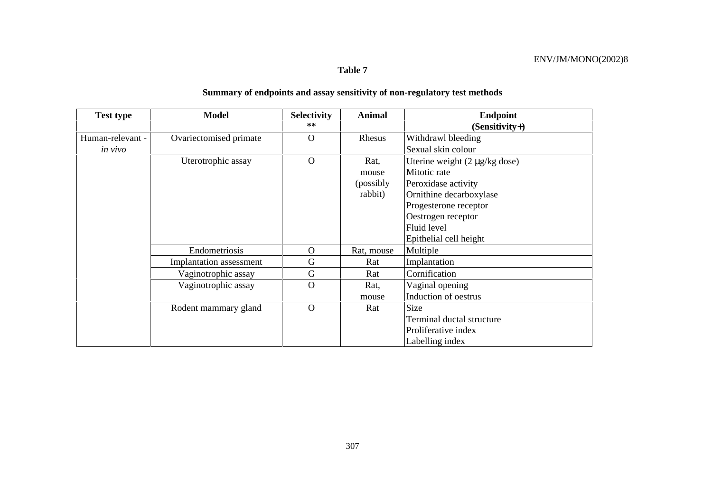#### **Table 7**

| <b>Test type</b> | <b>Model</b>            | <b>Selectivity</b> | <b>Animal</b> | <b>Endpoint</b>                    |
|------------------|-------------------------|--------------------|---------------|------------------------------------|
|                  |                         | $***$              |               | $(Sensitivity+)$                   |
| Human-relevant - | Ovariectomised primate  | $\Omega$           | Rhesus        | Withdrawl bleeding                 |
| in vivo          |                         |                    |               | Sexual skin colour                 |
|                  | Uterotrophic assay      | $\mathbf{O}$       | Rat,          | Uterine weight $(2 \mu g/kg$ dose) |
|                  |                         |                    | mouse         | Mitotic rate                       |
|                  |                         |                    | (possibly)    | Peroxidase activity                |
|                  |                         |                    | rabbit)       | Ornithine decarboxylase            |
|                  |                         |                    |               | Progesterone receptor              |
|                  |                         |                    |               | Oestrogen receptor                 |
|                  |                         |                    |               | Fluid level                        |
|                  |                         |                    |               | Epithelial cell height             |
|                  | Endometriosis           | $\Omega$           | Rat, mouse    | Multiple                           |
|                  | Implantation assessment | G                  | Rat           | Implantation                       |
|                  | Vaginotrophic assay     | G                  | Rat           | Cornification                      |
|                  | Vaginotrophic assay     | $\mathbf{O}$       | Rat,          | Vaginal opening                    |
|                  |                         |                    | mouse         | Induction of oestrus               |
|                  | Rodent mammary gland    | $\mathbf{O}$       | Rat           | <b>Size</b>                        |
|                  |                         |                    |               | Terminal ductal structure          |
|                  |                         |                    |               | Proliferative index                |
|                  |                         |                    |               | Labelling index                    |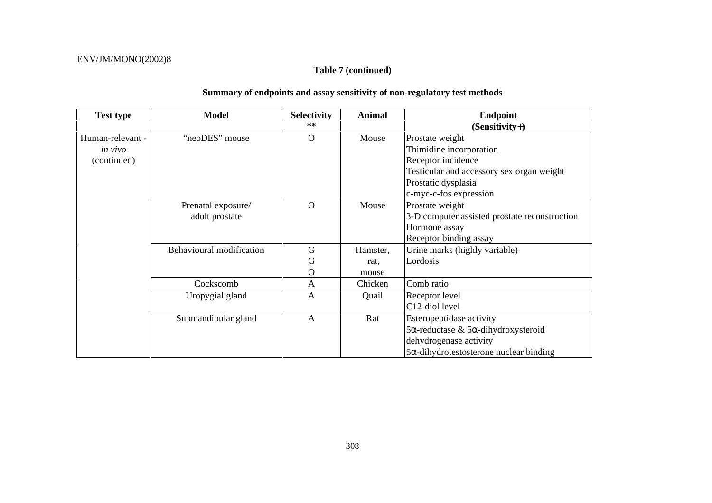| <b>Test type</b> | <b>Model</b>             | <b>Selectivity</b> | <b>Animal</b> | <b>Endpoint</b>                                    |
|------------------|--------------------------|--------------------|---------------|----------------------------------------------------|
|                  |                          | $***$              |               | $(Sensitivity+)$                                   |
| Human-relevant - | "neoDES" mouse           | $\Omega$           | Mouse         | Prostate weight                                    |
| <i>in vivo</i>   |                          |                    |               | Thimidine incorporation                            |
| (continued)      |                          |                    |               | Receptor incidence                                 |
|                  |                          |                    |               | Testicular and accessory sex organ weight          |
|                  |                          |                    |               | Prostatic dysplasia                                |
|                  |                          |                    |               | c-myc-c-fos expression                             |
|                  | Prenatal exposure/       | $\overline{O}$     | Mouse         | Prostate weight                                    |
|                  | adult prostate           |                    |               | 3-D computer assisted prostate reconstruction      |
|                  |                          |                    |               | Hormone assay                                      |
|                  |                          |                    |               | Receptor binding assay                             |
|                  | Behavioural modification | G                  | Hamster,      | Urine marks (highly variable)                      |
|                  |                          | G                  | rat.          | Lordosis                                           |
|                  |                          | O                  | mouse         |                                                    |
|                  | Cockscomb                | A                  | Chicken       | Comb ratio                                         |
|                  | Uropygial gland          | A                  | Quail         | Receptor level                                     |
|                  |                          |                    |               | C12-diol level                                     |
|                  | Submandibular gland      | $\mathbf{A}$       | Rat           | Esteropeptidase activity                           |
|                  |                          |                    |               | $5\alpha$ -reductase & $5\alpha$ -dihydroxysteroid |
|                  |                          |                    |               | dehydrogenase activity                             |
|                  |                          |                    |               | $5\alpha$ -dihydrotestosterone nuclear binding     |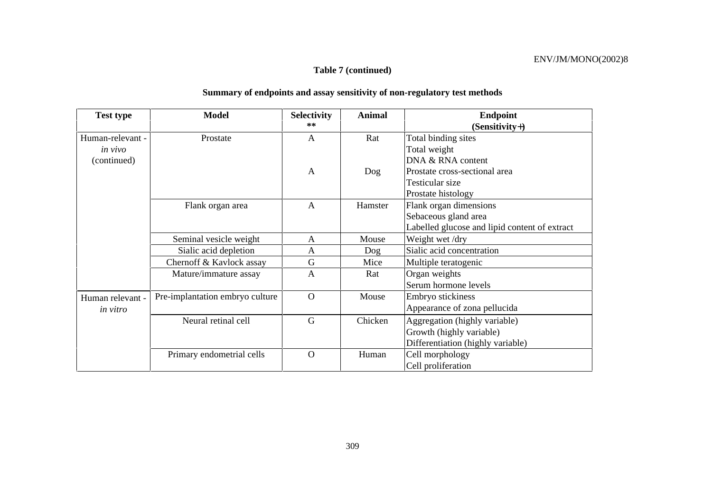## **Table 7 (continued)**

| <b>Test type</b> | <b>Model</b>                    | <b>Selectivity</b> | <b>Animal</b> | <b>Endpoint</b>                               |
|------------------|---------------------------------|--------------------|---------------|-----------------------------------------------|
|                  |                                 | **                 |               | $(Sensitivity+)$                              |
| Human-relevant - | Prostate                        | $\mathbf{A}$       | Rat           | Total binding sites                           |
| in vivo          |                                 |                    |               | Total weight                                  |
| (continued)      |                                 |                    |               | DNA & RNA content                             |
|                  |                                 | A                  | Dog           | Prostate cross-sectional area                 |
|                  |                                 |                    |               | Testicular size                               |
|                  |                                 |                    |               | Prostate histology                            |
|                  | Flank organ area                | $\mathbf{A}$       | Hamster       | Flank organ dimensions                        |
|                  |                                 |                    |               | Sebaceous gland area                          |
|                  |                                 |                    |               | Labelled glucose and lipid content of extract |
|                  | Seminal vesicle weight          | $\mathbf{A}$       | Mouse         | Weight wet /dry                               |
|                  | Sialic acid depletion           | A                  | Dog           | Sialic acid concentration                     |
|                  | Chernoff & Kavlock assay        | G                  | Mice          | Multiple teratogenic                          |
|                  | Mature/immature assay           | $\mathbf{A}$       | Rat           | Organ weights                                 |
|                  |                                 |                    |               | Serum hormone levels                          |
| Human relevant - | Pre-implantation embryo culture | $\overline{O}$     | Mouse         | Embryo stickiness                             |
| <i>in vitro</i>  |                                 |                    |               | Appearance of zona pellucida                  |
|                  | Neural retinal cell             | G                  | Chicken       | Aggregation (highly variable)                 |
|                  |                                 |                    |               | Growth (highly variable)                      |
|                  |                                 |                    |               | Differentiation (highly variable)             |
|                  | Primary endometrial cells       | $\overline{O}$     | Human         | Cell morphology                               |
|                  |                                 |                    |               | Cell proliferation                            |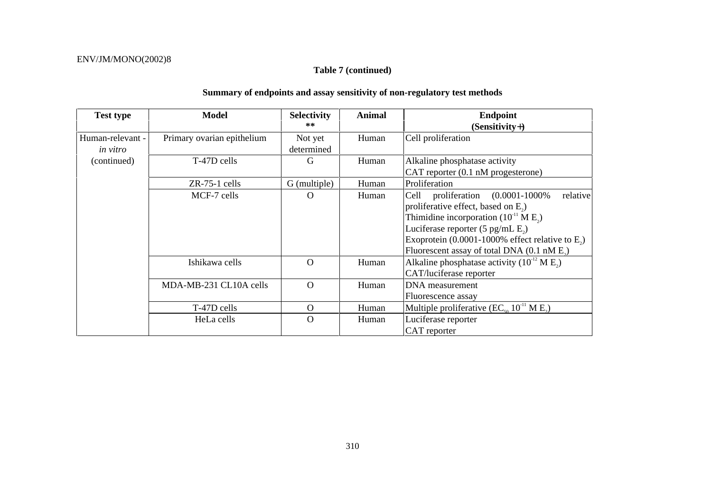| <b>Test type</b> | <b>Model</b>               | <b>Selectivity</b> | <b>Animal</b> | <b>Endpoint</b>                                                   |
|------------------|----------------------------|--------------------|---------------|-------------------------------------------------------------------|
|                  |                            | **                 |               | $(Sensitivity+)$                                                  |
| Human-relevant - | Primary ovarian epithelium | Not yet            | Human         | Cell proliferation                                                |
| <i>in vitro</i>  |                            | determined         |               |                                                                   |
| (continued)      | T-47D cells                | G                  | Human         | Alkaline phosphatase activity                                     |
|                  |                            |                    |               | CAT reporter (0.1 nM progesterone)                                |
|                  | ZR-75-1 cells              | G (multiple)       | Human         | Proliferation                                                     |
|                  | MCF-7 cells                | $\Omega$           | Human         | relative<br>proliferation $(0.0001-1000\%$<br>Cell                |
|                  |                            |                    |               | proliferative effect, based on E <sub>2</sub> )                   |
|                  |                            |                    |               | Thimidine incorporation $(10^{-11} \text{ M E})$                  |
|                  |                            |                    |               | Luciferase reporter $(5 \text{ pg/mL E})$                         |
|                  |                            |                    |               | Exoprotein $(0.0001 - 1000\%$ effect relative to E <sub>2</sub> ) |
|                  |                            |                    |               | Fluorescent assay of total DNA $(0.1 \text{ nM E})$               |
|                  | Ishikawa cells             | $\Omega$           | Human         | Alkaline phosphatase activity $(10^{12} \text{ M E})$             |
|                  |                            |                    |               | CAT/luciferase reporter                                           |
|                  | MDA-MB-231 CL10A cells     | $\Omega$           | Human         | <b>DNA</b> measurement                                            |
|                  |                            |                    |               | Fluorescence assay                                                |
|                  | T-47D cells                | $\Omega$           | Human         | Multiple proliferative ( $EC_{so} 10^{-11}$ M E <sub>2</sub> )    |
|                  | HeLa cells                 | $\Omega$           | Human         | Luciferase reporter                                               |
|                  |                            |                    |               | CAT reporter                                                      |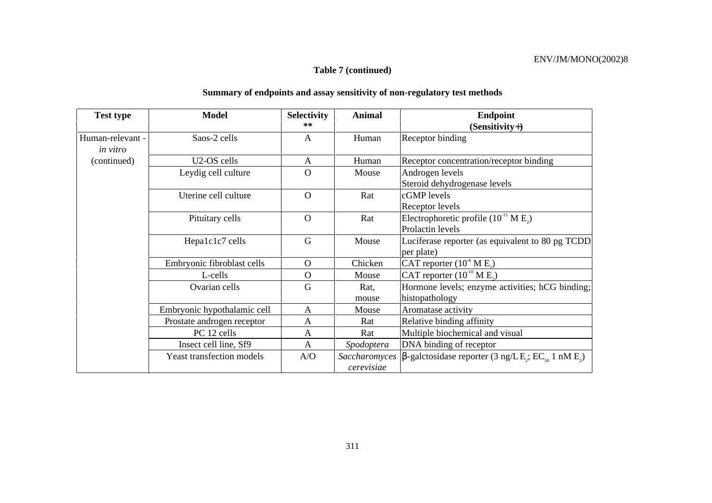| <b>Test type</b> | <b>Model</b>                | <b>Selectivity</b> | <b>Animal</b> | <b>Endpoint</b>                                                                 |
|------------------|-----------------------------|--------------------|---------------|---------------------------------------------------------------------------------|
|                  |                             | $* *$              |               | (Sensitivity+)                                                                  |
| Human-relevant - | Saos-2 cells                | A                  | Human         | Receptor binding                                                                |
| <i>in vitro</i>  |                             |                    |               |                                                                                 |
| (continued)      | U2-OS cells                 | A                  | Human         | Receptor concentration/receptor binding                                         |
|                  | Leydig cell culture         | $\overline{O}$     | Mouse         | Androgen levels                                                                 |
|                  |                             |                    |               | Steroid dehydrogenase levels                                                    |
|                  | Uterine cell culture        | $\overline{O}$     | Rat           | cGMP levels                                                                     |
|                  |                             |                    |               | Receptor levels                                                                 |
|                  | Pituitary cells             | $\overline{O}$     | Rat           | Electrophoretic profile $(10^{11} \text{ M E})$                                 |
|                  |                             |                    |               | Prolactin levels                                                                |
|                  | Hepa1c1c7 cells             | G                  | Mouse         | Luciferase reporter (as equivalent to 80 pg TCDD                                |
|                  |                             |                    |               | per plate)                                                                      |
|                  | Embryonic fibroblast cells  | $\Omega$           | Chicken       | CAT reporter $(10^8 \text{ M E})$                                               |
|                  | L-cells                     | $\Omega$           | Mouse         | CAT reporter $(10^{10} \text{ M E}_2)$                                          |
|                  | Ovarian cells               | G                  | Rat,          | Hormone levels; enzyme activities; hCG binding;                                 |
|                  |                             |                    | mouse         | histopathology                                                                  |
|                  | Embryonic hypothalamic cell | A                  | Mouse         | Aromatase activity                                                              |
|                  | Prostate androgen receptor  | A                  | Rat           | Relative binding affinity                                                       |
|                  | PC 12 cells                 | A                  | Rat           | Multiple biochemical and visual                                                 |
|                  | Insect cell line, Sf9       | A                  | Spodoptera    | DNA binding of receptor                                                         |
|                  | Yeast transfection models   | A/O                | Saccharomyces | $\beta$ -galctosidase reporter (3 ng/LE; EC <sub>so</sub> 1 nM E <sub>2</sub> ) |
|                  |                             |                    | cerevisiae    |                                                                                 |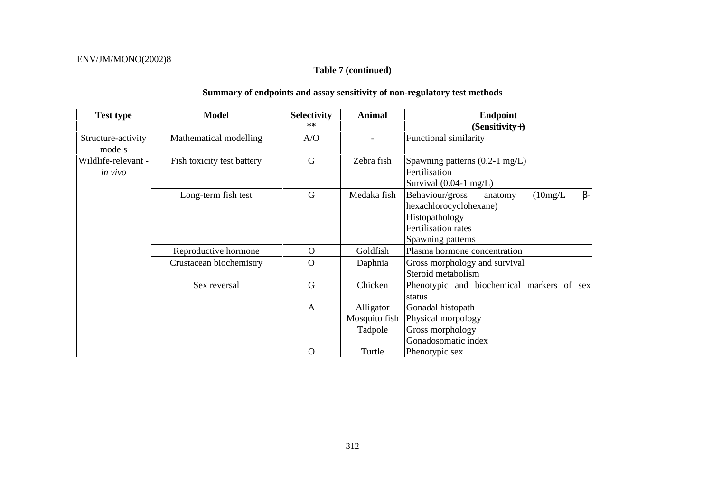| <b>Test type</b>                      | <b>Model</b>               | <b>Selectivity</b> | <b>Animal</b> | <b>Endpoint</b>                                                                                                                             |
|---------------------------------------|----------------------------|--------------------|---------------|---------------------------------------------------------------------------------------------------------------------------------------------|
|                                       |                            | **                 |               | (Sensitivity+)                                                                                                                              |
| Structure-activity<br>models          | Mathematical modelling     | A/O                |               | Functional similarity                                                                                                                       |
| Wildlife-relevant -<br><i>in vivo</i> | Fish toxicity test battery | $\mathbf G$        | Zebra fish    | Spawning patterns $(0.2-1$ mg/L)<br>Fertilisation<br>Survival $(0.04-1$ mg/L)                                                               |
|                                       | Long-term fish test        | G                  | Medaka fish   | $\beta$ -<br>Behaviour/gross<br>(10mg/L)<br>anatomy<br>hexachlorocyclohexane)<br>Histopathology<br>Fertilisation rates<br>Spawning patterns |
|                                       | Reproductive hormone       | $\mathbf{O}$       | Goldfish      | Plasma hormone concentration                                                                                                                |
|                                       | Crustacean biochemistry    | $\Omega$           | Daphnia       | Gross morphology and survival<br>Steroid metabolism                                                                                         |
|                                       | Sex reversal               | $\mathbf G$        | Chicken       | Phenotypic and biochemical markers of sex<br>status                                                                                         |
|                                       |                            | A                  | Alligator     | Gonadal histopath                                                                                                                           |
|                                       |                            |                    | Mosquito fish | Physical morpology                                                                                                                          |
|                                       |                            |                    | Tadpole       | Gross morphology                                                                                                                            |
|                                       |                            |                    |               | Gonadosomatic index                                                                                                                         |
|                                       |                            | $\mathbf{O}$       | Turtle        | Phenotypic sex                                                                                                                              |